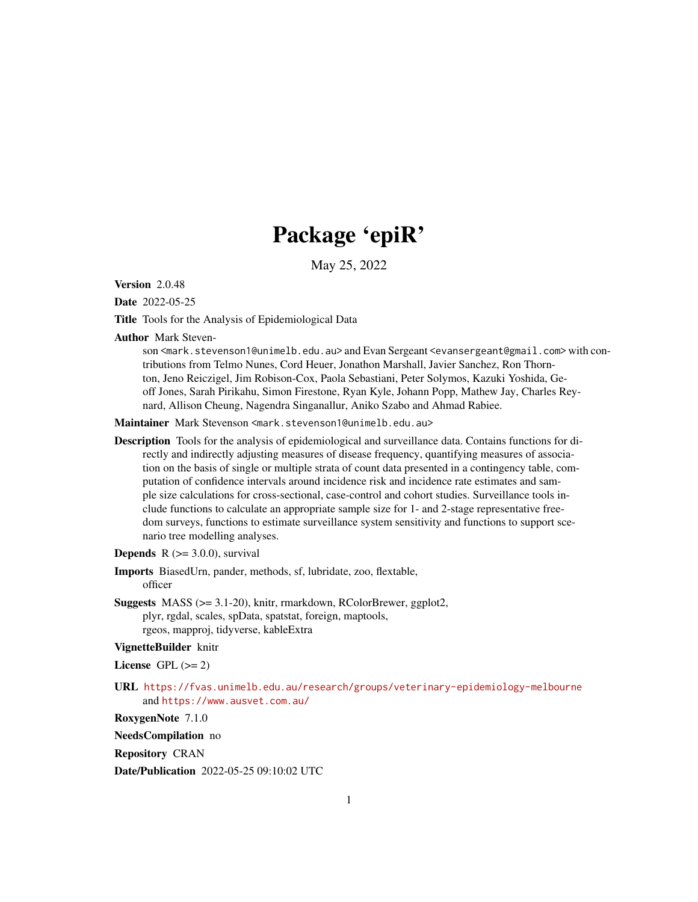# Package 'epiR'

May 25, 2022

**Version 2.0.48** 

Date 2022-05-25

Title Tools for the Analysis of Epidemiological Data

Author Mark Steven-

son <mark.stevenson1@unimelb.edu.au> and Evan Sergeant <evansergeant@gmail.com> with contributions from Telmo Nunes, Cord Heuer, Jonathon Marshall, Javier Sanchez, Ron Thornton, Jeno Reiczigel, Jim Robison-Cox, Paola Sebastiani, Peter Solymos, Kazuki Yoshida, Geoff Jones, Sarah Pirikahu, Simon Firestone, Ryan Kyle, Johann Popp, Mathew Jay, Charles Reynard, Allison Cheung, Nagendra Singanallur, Aniko Szabo and Ahmad Rabiee.

Maintainer Mark Stevenson <mark.stevenson1@unimelb.edu.au>

Description Tools for the analysis of epidemiological and surveillance data. Contains functions for directly and indirectly adjusting measures of disease frequency, quantifying measures of association on the basis of single or multiple strata of count data presented in a contingency table, computation of confidence intervals around incidence risk and incidence rate estimates and sample size calculations for cross-sectional, case-control and cohort studies. Surveillance tools include functions to calculate an appropriate sample size for 1- and 2-stage representative freedom surveys, functions to estimate surveillance system sensitivity and functions to support scenario tree modelling analyses.

**Depends**  $R$  ( $>= 3.0.0$ ), survival

- Imports BiasedUrn, pander, methods, sf, lubridate, zoo, flextable, officer
- Suggests MASS (>= 3.1-20), knitr, rmarkdown, RColorBrewer, ggplot2, plyr, rgdal, scales, spData, spatstat, foreign, maptools, rgeos, mapproj, tidyverse, kableExtra

# VignetteBuilder knitr

License GPL  $(>= 2)$ 

URL <https://fvas.unimelb.edu.au/research/groups/veterinary-epidemiology-melbourne> and <https://www.ausvet.com.au/>

RoxygenNote 7.1.0

NeedsCompilation no

Repository CRAN

Date/Publication 2022-05-25 09:10:02 UTC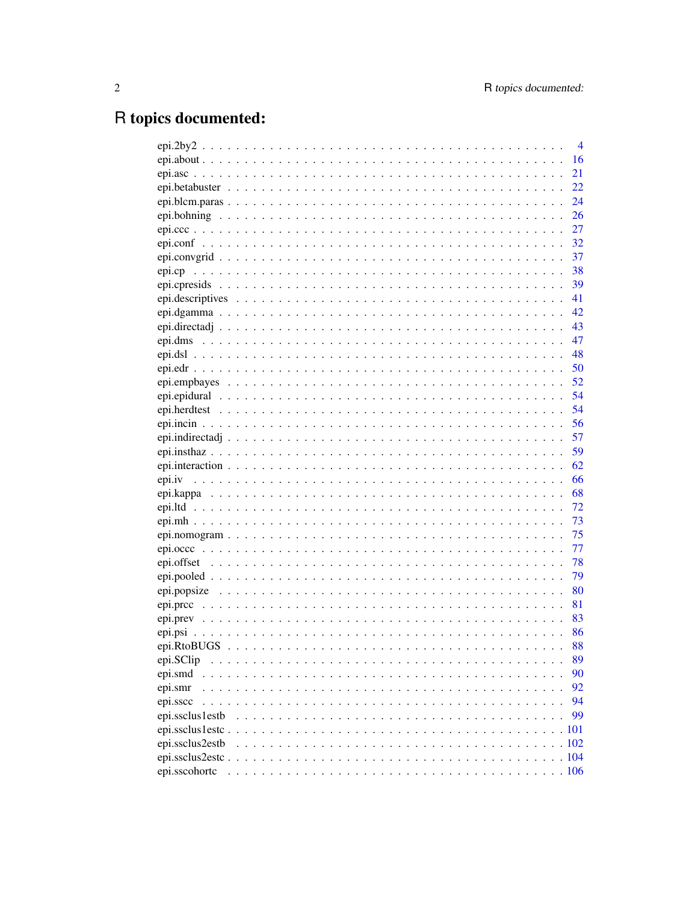# R topics documented:

| $\overline{4}$        |
|-----------------------|
| 16                    |
| 21                    |
| 22                    |
| 24                    |
| 26                    |
| 27                    |
| 32                    |
| 37                    |
| - 38<br>epi.cp        |
| .39                   |
| -41                   |
|                       |
|                       |
| - 47                  |
| -48                   |
|                       |
|                       |
| 54                    |
| 54                    |
| 56                    |
| 57                    |
| 59                    |
|                       |
|                       |
|                       |
| 72                    |
| 73                    |
| 75                    |
| 77                    |
| 78                    |
| 79                    |
|                       |
| 81                    |
| 83                    |
| 86                    |
| 88                    |
| 89<br>epi.SClip       |
| epi.smd<br>90         |
| 92<br>epi.smr         |
| 94<br>epi.sscc        |
| 99<br>epi.ssclus1estb |
| .101                  |
| epi.ssclus2estb       |
|                       |
| epi.sscohortc         |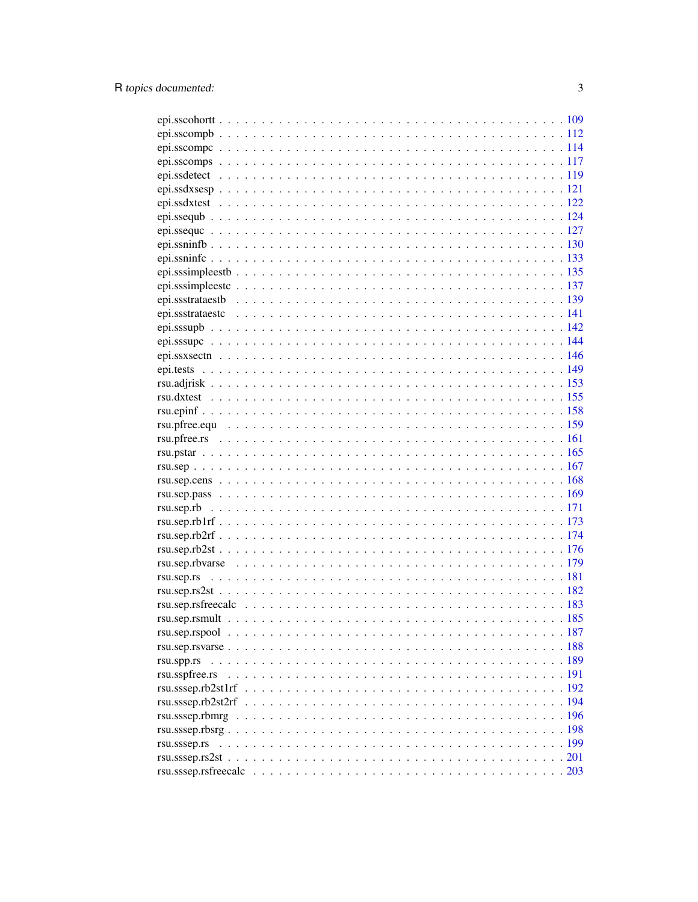| rsu.spp.rs     |  |
|----------------|--|
| rsu.sspfree.rs |  |
|                |  |
|                |  |
|                |  |
|                |  |
|                |  |
|                |  |
|                |  |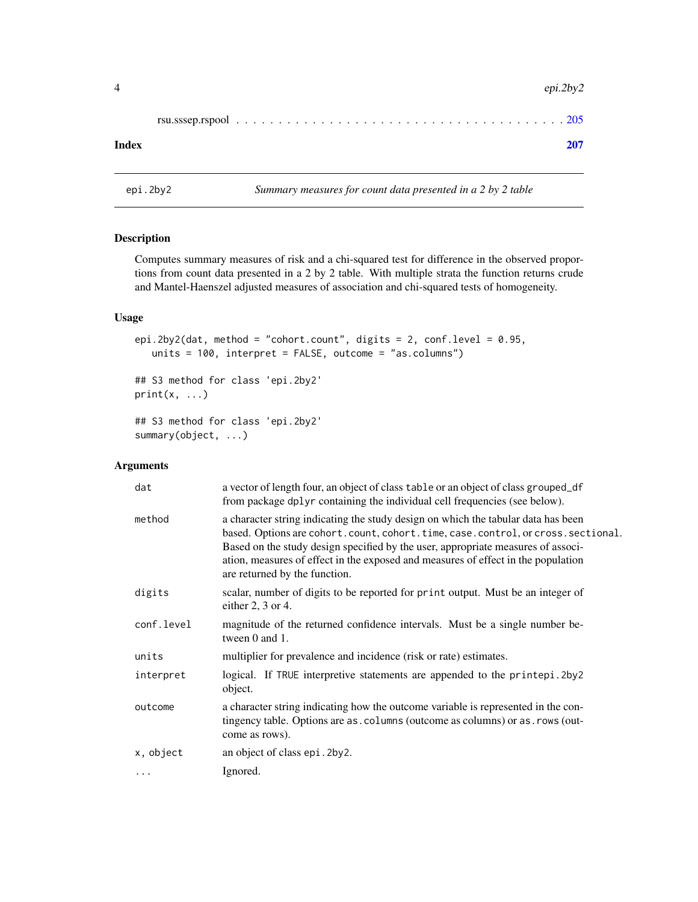<span id="page-3-0"></span>

|--|--|--|--|--|--|--|--|

#### **Index** [207](#page-206-0)

<span id="page-3-1"></span>epi.2by2 *Summary measures for count data presented in a 2 by 2 table*

# Description

Computes summary measures of risk and a chi-squared test for difference in the observed proportions from count data presented in a 2 by 2 table. With multiple strata the function returns crude and Mantel-Haenszel adjusted measures of association and chi-squared tests of homogeneity.

#### Usage

```
epi.2by2(dat, method = "cohort.count", digits = 2, conf.level = 0.95,
   units = 100, interpret = FALSE, outcome = "as.columns")
```
## S3 method for class 'epi.2by2'  $print(x, \ldots)$ 

## S3 method for class 'epi.2by2' summary(object, ...)

# Arguments

| dat        | a vector of length four, an object of class table or an object of class grouped_df<br>from package dplyr containing the individual cell frequencies (see below).                                                                                                                                                                                                               |
|------------|--------------------------------------------------------------------------------------------------------------------------------------------------------------------------------------------------------------------------------------------------------------------------------------------------------------------------------------------------------------------------------|
| method     | a character string indicating the study design on which the tabular data has been<br>based. Options are cohort.count, cohort.time, case.control, or cross.sectional.<br>Based on the study design specified by the user, appropriate measures of associ-<br>ation, measures of effect in the exposed and measures of effect in the population<br>are returned by the function. |
| digits     | scalar, number of digits to be reported for print output. Must be an integer of<br>either $2, 3$ or 4.                                                                                                                                                                                                                                                                         |
| conf.level | magnitude of the returned confidence intervals. Must be a single number be-<br>tween 0 and 1.                                                                                                                                                                                                                                                                                  |
| units      | multiplier for prevalence and incidence (risk or rate) estimates.                                                                                                                                                                                                                                                                                                              |
| interpret  | logical. If TRUE interpretive statements are appended to the printepi. 2by 2<br>object.                                                                                                                                                                                                                                                                                        |
| outcome    | a character string indicating how the outcome variable is represented in the con-<br>tingency table. Options are as. columns (outcome as columns) or as. rows (out-<br>come as rows).                                                                                                                                                                                          |
| x, object  | an object of class epi. 2by 2.                                                                                                                                                                                                                                                                                                                                                 |
| $\cdots$   | Ignored.                                                                                                                                                                                                                                                                                                                                                                       |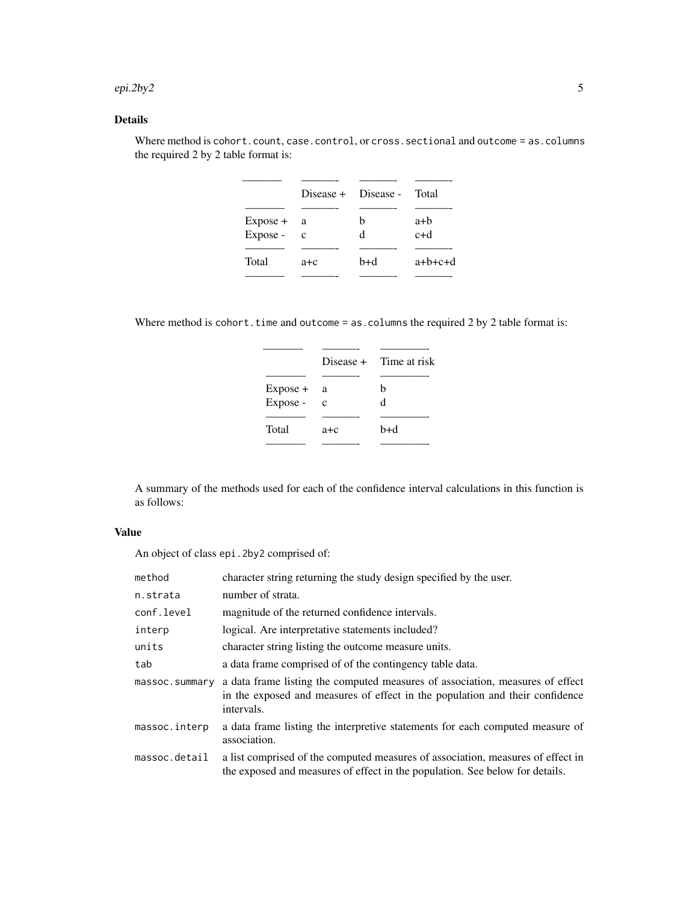#### epi.2by2 5

# Details

|            |              | Disease + Disease - Total |           |
|------------|--------------|---------------------------|-----------|
|            |              |                           |           |
| $Expose +$ | a a          | h                         | a+b       |
| Expose -   | $\mathbf{c}$ | d                         | $c+d$     |
|            |              |                           |           |
| Total      | $a + c$      | b+d                       | $a+b+c+d$ |
|            |              |                           |           |

Where method is cohort.count, case.control, or cross.sectional and outcome = as.columns the required 2 by 2 table format is:

Where method is cohort.time and outcome = as.columns the required 2 by 2 table format is:

|            |             | Disease $+$ Time at risk |
|------------|-------------|--------------------------|
|            |             |                          |
| $Expose +$ | a           | h                        |
| Expose -   | $\mathbf c$ | d                        |
|            |             |                          |
| Total      | $a + c$     | b+d                      |
|            |             |                          |

A summary of the methods used for each of the confidence interval calculations in this function is as follows:

# Value

An object of class epi.2by2 comprised of:

| method         | character string returning the study design specified by the user.                                                                                                          |
|----------------|-----------------------------------------------------------------------------------------------------------------------------------------------------------------------------|
| n.strata       | number of strata.                                                                                                                                                           |
| conf.level     | magnitude of the returned confidence intervals.                                                                                                                             |
| interp         | logical. Are interpretative statements included?                                                                                                                            |
| units          | character string listing the outcome measure units.                                                                                                                         |
| tab            | a data frame comprised of of the contingency table data.                                                                                                                    |
| massoc.summary | a data frame listing the computed measures of association, measures of effect<br>in the exposed and measures of effect in the population and their confidence<br>intervals. |
| massoc.interp  | a data frame listing the interpretive statements for each computed measure of<br>association.                                                                               |
| massoc.detail  | a list comprised of the computed measures of association, measures of effect in<br>the exposed and measures of effect in the population. See below for details.             |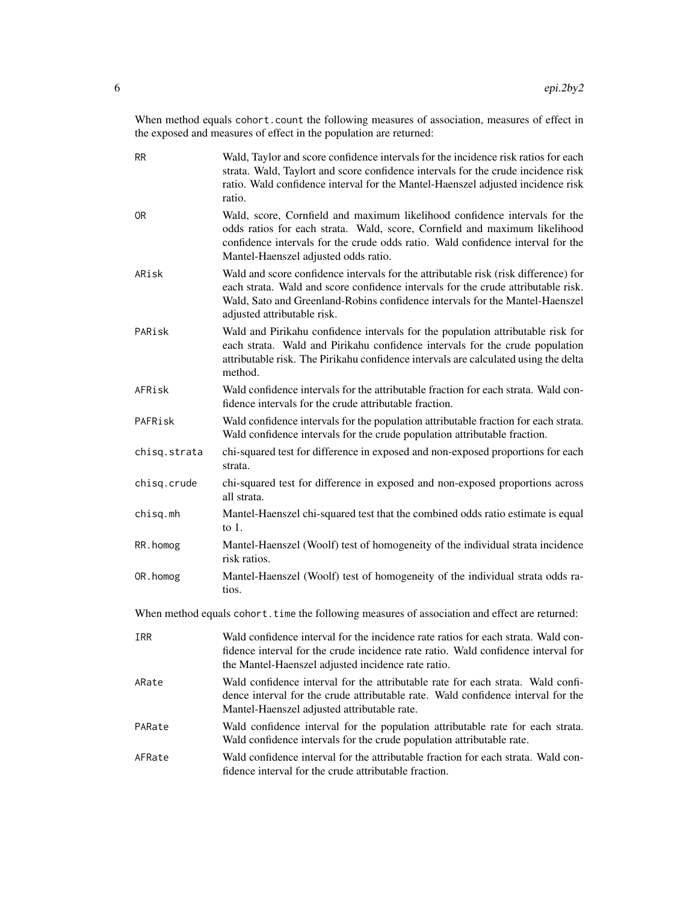When method equals cohort.count the following measures of association, measures of effect in the exposed and measures of effect in the population are returned:

| <b>RR</b>      | Wald, Taylor and score confidence intervals for the incidence risk ratios for each<br>strata. Wald, Taylort and score confidence intervals for the crude incidence risk<br>ratio. Wald confidence interval for the Mantel-Haenszel adjusted incidence risk<br>ratio.                    |
|----------------|-----------------------------------------------------------------------------------------------------------------------------------------------------------------------------------------------------------------------------------------------------------------------------------------|
| 0 <sub>R</sub> | Wald, score, Cornfield and maximum likelihood confidence intervals for the<br>odds ratios for each strata. Wald, score, Cornfield and maximum likelihood<br>confidence intervals for the crude odds ratio. Wald confidence interval for the<br>Mantel-Haenszel adjusted odds ratio.     |
| ARisk          | Wald and score confidence intervals for the attributable risk (risk difference) for<br>each strata. Wald and score confidence intervals for the crude attributable risk.<br>Wald, Sato and Greenland-Robins confidence intervals for the Mantel-Haenszel<br>adjusted attributable risk. |
| PARisk         | Wald and Pirikahu confidence intervals for the population attributable risk for<br>each strata. Wald and Pirikahu confidence intervals for the crude population<br>attributable risk. The Pirikahu confidence intervals are calculated using the delta<br>method.                       |
| AFRisk         | Wald confidence intervals for the attributable fraction for each strata. Wald con-<br>fidence intervals for the crude attributable fraction.                                                                                                                                            |
| PAFRisk        | Wald confidence intervals for the population attributable fraction for each strata.<br>Wald confidence intervals for the crude population attributable fraction.                                                                                                                        |
| chisq.strata   | chi-squared test for difference in exposed and non-exposed proportions for each<br>strata.                                                                                                                                                                                              |
| chisq.crude    | chi-squared test for difference in exposed and non-exposed proportions across<br>all strata.                                                                                                                                                                                            |
| chisq.mh       | Mantel-Haenszel chi-squared test that the combined odds ratio estimate is equal<br>to $1$ .                                                                                                                                                                                             |
| RR.homog       | Mantel-Haenszel (Woolf) test of homogeneity of the individual strata incidence<br>risk ratios.                                                                                                                                                                                          |
| OR. homog      | Mantel-Haenszel (Woolf) test of homogeneity of the individual strata odds ra-<br>tios.                                                                                                                                                                                                  |
|                | When method equals cohort. time the following measures of association and effect are returned:                                                                                                                                                                                          |
| IRR            | Wald confidence interval for the incidence rate ratios for each strata. Wald con-<br>fidence interval for the crude incidence rate ratio. Wald confidence interval for<br>the Mantel-Haenszel adjusted incidence rate ratio.                                                            |
| ARate          | Wald confidence interval for the attributable rate for each strata. Wald confi-<br>dence interval for the crude attributable rate. Wald confidence interval for the<br>Mantel-Haenszel adjusted attributable rate.                                                                      |
| PARate         | Wald confidence interval for the population attributable rate for each strata.<br>Wald confidence intervals for the crude population attributable rate.                                                                                                                                 |
| AFRate         | Wald confidence interval for the attributable fraction for each strata. Wald con-<br>fidence interval for the crude attributable fraction.                                                                                                                                              |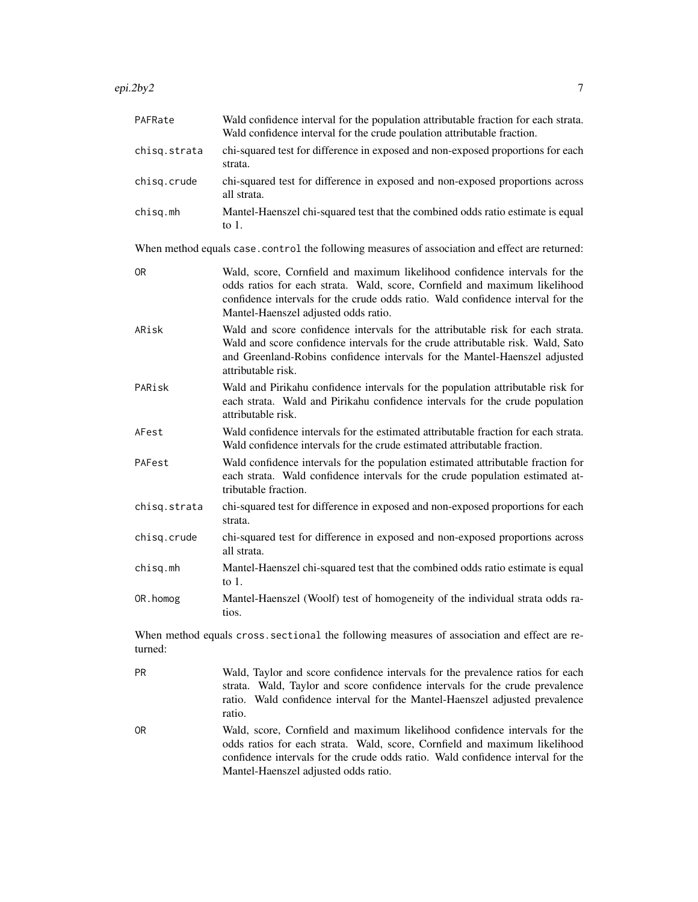epi.2by2 7

| PAFRate        | Wald confidence interval for the population attributable fraction for each strata.<br>Wald confidence interval for the crude poulation attributable fraction.                                                                                                                       |
|----------------|-------------------------------------------------------------------------------------------------------------------------------------------------------------------------------------------------------------------------------------------------------------------------------------|
| chisq.strata   | chi-squared test for difference in exposed and non-exposed proportions for each<br>strata.                                                                                                                                                                                          |
| chisq.crude    | chi-squared test for difference in exposed and non-exposed proportions across<br>all strata.                                                                                                                                                                                        |
| chisq.mh       | Mantel-Haenszel chi-squared test that the combined odds ratio estimate is equal<br>to $1$ .                                                                                                                                                                                         |
|                | When method equals case. control the following measures of association and effect are returned:                                                                                                                                                                                     |
| <b>OR</b>      | Wald, score, Cornfield and maximum likelihood confidence intervals for the<br>odds ratios for each strata. Wald, score, Cornfield and maximum likelihood<br>confidence intervals for the crude odds ratio. Wald confidence interval for the<br>Mantel-Haenszel adjusted odds ratio. |
| ARisk          | Wald and score confidence intervals for the attributable risk for each strata.<br>Wald and score confidence intervals for the crude attributable risk. Wald, Sato<br>and Greenland-Robins confidence intervals for the Mantel-Haenszel adjusted<br>attributable risk.               |
| PARisk         | Wald and Pirikahu confidence intervals for the population attributable risk for<br>each strata. Wald and Pirikahu confidence intervals for the crude population<br>attributable risk.                                                                                               |
| AFest          | Wald confidence intervals for the estimated attributable fraction for each strata.<br>Wald confidence intervals for the crude estimated attributable fraction.                                                                                                                      |
| PAFest         | Wald confidence intervals for the population estimated attributable fraction for<br>each strata. Wald confidence intervals for the crude population estimated at-<br>tributable fraction.                                                                                           |
| chisq.strata   | chi-squared test for difference in exposed and non-exposed proportions for each<br>strata.                                                                                                                                                                                          |
| chisq.crude    | chi-squared test for difference in exposed and non-exposed proportions across<br>all strata.                                                                                                                                                                                        |
| chisq.mh       | Mantel-Haenszel chi-squared test that the combined odds ratio estimate is equal<br>to $1$ .                                                                                                                                                                                         |
| OR. homog      | Mantel-Haenszel (Woolf) test of homogeneity of the individual strata odds ra-<br>tios.                                                                                                                                                                                              |
| turned:        | When method equals cross sectional the following measures of association and effect are re-                                                                                                                                                                                         |
| <b>PR</b>      | Wald, Taylor and score confidence intervals for the prevalence ratios for each<br>strata. Wald, Taylor and score confidence intervals for the crude prevalence<br>ratio. Wald confidence interval for the Mantel-Haenszel adjusted prevalence<br>ratio.                             |
| 0 <sub>R</sub> | Wald, score, Cornfield and maximum likelihood confidence intervals for the<br>odds ratios for each strata. Wald, score, Cornfield and maximum likelihood<br>confidence intervals for the crude odds ratio. Wald confidence interval for the<br>Mantel-Haenszel adjusted odds ratio. |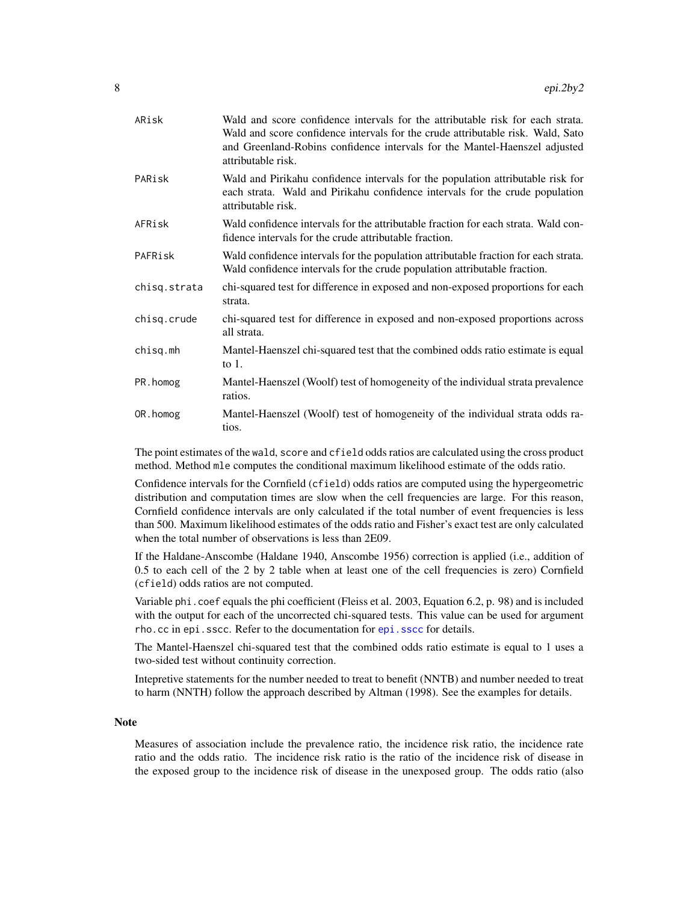| ARisk        | Wald and score confidence intervals for the attributable risk for each strata.<br>Wald and score confidence intervals for the crude attributable risk. Wald, Sato<br>and Greenland-Robins confidence intervals for the Mantel-Haenszel adjusted<br>attributable risk. |
|--------------|-----------------------------------------------------------------------------------------------------------------------------------------------------------------------------------------------------------------------------------------------------------------------|
| PARisk       | Wald and Pirikahu confidence intervals for the population attributable risk for<br>each strata. Wald and Pirikahu confidence intervals for the crude population<br>attributable risk.                                                                                 |
| AFRisk       | Wald confidence intervals for the attributable fraction for each strata. Wald con-<br>fidence intervals for the crude attributable fraction.                                                                                                                          |
| PAFRisk      | Wald confidence intervals for the population attributable fraction for each strata.<br>Wald confidence intervals for the crude population attributable fraction.                                                                                                      |
| chisq.strata | chi-squared test for difference in exposed and non-exposed proportions for each<br>strata.                                                                                                                                                                            |
| chisq.crude  | chi-squared test for difference in exposed and non-exposed proportions across<br>all strata.                                                                                                                                                                          |
| chisq.mh     | Mantel-Haenszel chi-squared test that the combined odds ratio estimate is equal<br>to $1$ .                                                                                                                                                                           |
| PR.homog     | Mantel-Haenszel (Woolf) test of homogeneity of the individual strata prevalence<br>ratios.                                                                                                                                                                            |
| OR.homog     | Mantel-Haenszel (Woolf) test of homogeneity of the individual strata odds ra-<br>tios.                                                                                                                                                                                |

The point estimates of the wald, score and cfield odds ratios are calculated using the cross product method. Method mle computes the conditional maximum likelihood estimate of the odds ratio.

Confidence intervals for the Cornfield (cfield) odds ratios are computed using the hypergeometric distribution and computation times are slow when the cell frequencies are large. For this reason, Cornfield confidence intervals are only calculated if the total number of event frequencies is less than 500. Maximum likelihood estimates of the odds ratio and Fisher's exact test are only calculated when the total number of observations is less than 2E09.

If the Haldane-Anscombe (Haldane 1940, Anscombe 1956) correction is applied (i.e., addition of 0.5 to each cell of the 2 by 2 table when at least one of the cell frequencies is zero) Cornfield (cfield) odds ratios are not computed.

Variable phi.coef equals the phi coefficient (Fleiss et al. 2003, Equation 6.2, p. 98) and is included with the output for each of the uncorrected chi-squared tests. This value can be used for argument rho.cc in epi.sscc. Refer to the documentation for [epi.sscc](#page-93-1) for details.

The Mantel-Haenszel chi-squared test that the combined odds ratio estimate is equal to 1 uses a two-sided test without continuity correction.

Intepretive statements for the number needed to treat to benefit (NNTB) and number needed to treat to harm (NNTH) follow the approach described by Altman (1998). See the examples for details.

#### **Note**

Measures of association include the prevalence ratio, the incidence risk ratio, the incidence rate ratio and the odds ratio. The incidence risk ratio is the ratio of the incidence risk of disease in the exposed group to the incidence risk of disease in the unexposed group. The odds ratio (also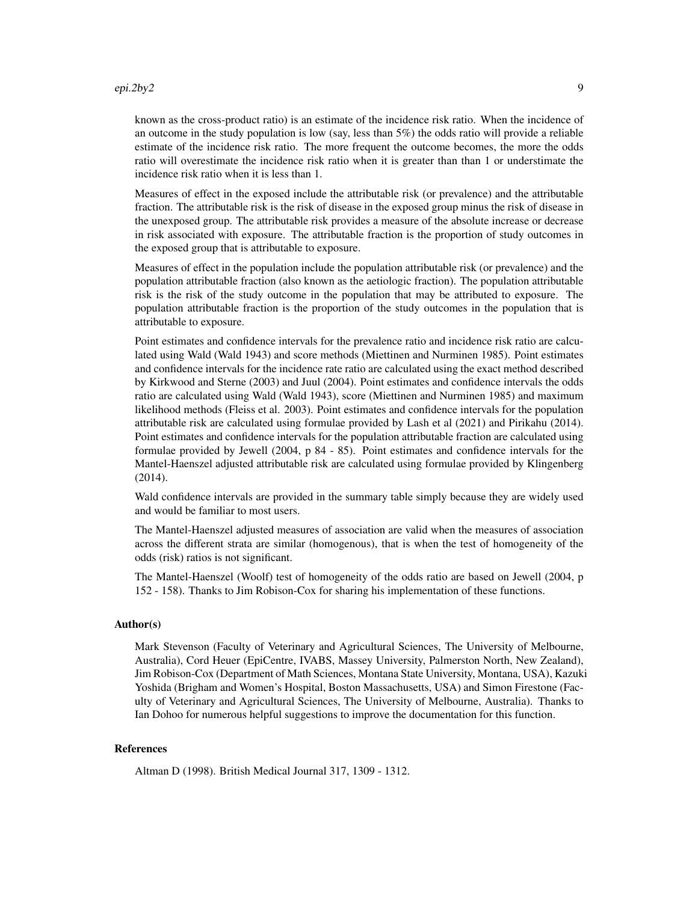#### epi.2by2 9

known as the cross-product ratio) is an estimate of the incidence risk ratio. When the incidence of an outcome in the study population is low (say, less than 5%) the odds ratio will provide a reliable estimate of the incidence risk ratio. The more frequent the outcome becomes, the more the odds ratio will overestimate the incidence risk ratio when it is greater than than 1 or understimate the incidence risk ratio when it is less than 1.

Measures of effect in the exposed include the attributable risk (or prevalence) and the attributable fraction. The attributable risk is the risk of disease in the exposed group minus the risk of disease in the unexposed group. The attributable risk provides a measure of the absolute increase or decrease in risk associated with exposure. The attributable fraction is the proportion of study outcomes in the exposed group that is attributable to exposure.

Measures of effect in the population include the population attributable risk (or prevalence) and the population attributable fraction (also known as the aetiologic fraction). The population attributable risk is the risk of the study outcome in the population that may be attributed to exposure. The population attributable fraction is the proportion of the study outcomes in the population that is attributable to exposure.

Point estimates and confidence intervals for the prevalence ratio and incidence risk ratio are calculated using Wald (Wald 1943) and score methods (Miettinen and Nurminen 1985). Point estimates and confidence intervals for the incidence rate ratio are calculated using the exact method described by Kirkwood and Sterne (2003) and Juul (2004). Point estimates and confidence intervals the odds ratio are calculated using Wald (Wald 1943), score (Miettinen and Nurminen 1985) and maximum likelihood methods (Fleiss et al. 2003). Point estimates and confidence intervals for the population attributable risk are calculated using formulae provided by Lash et al (2021) and Pirikahu (2014). Point estimates and confidence intervals for the population attributable fraction are calculated using formulae provided by Jewell (2004, p 84 - 85). Point estimates and confidence intervals for the Mantel-Haenszel adjusted attributable risk are calculated using formulae provided by Klingenberg (2014).

Wald confidence intervals are provided in the summary table simply because they are widely used and would be familiar to most users.

The Mantel-Haenszel adjusted measures of association are valid when the measures of association across the different strata are similar (homogenous), that is when the test of homogeneity of the odds (risk) ratios is not significant.

The Mantel-Haenszel (Woolf) test of homogeneity of the odds ratio are based on Jewell (2004, p 152 - 158). Thanks to Jim Robison-Cox for sharing his implementation of these functions.

#### Author(s)

Mark Stevenson (Faculty of Veterinary and Agricultural Sciences, The University of Melbourne, Australia), Cord Heuer (EpiCentre, IVABS, Massey University, Palmerston North, New Zealand), Jim Robison-Cox (Department of Math Sciences, Montana State University, Montana, USA), Kazuki Yoshida (Brigham and Women's Hospital, Boston Massachusetts, USA) and Simon Firestone (Faculty of Veterinary and Agricultural Sciences, The University of Melbourne, Australia). Thanks to Ian Dohoo for numerous helpful suggestions to improve the documentation for this function.

### References

Altman D (1998). British Medical Journal 317, 1309 - 1312.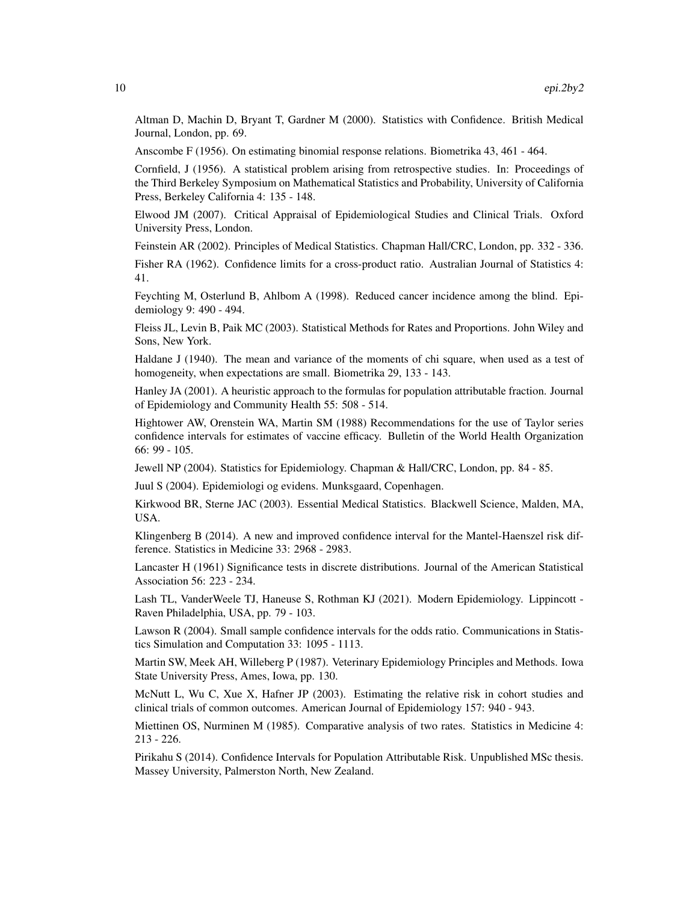Altman D, Machin D, Bryant T, Gardner M (2000). Statistics with Confidence. British Medical Journal, London, pp. 69.

Anscombe F (1956). On estimating binomial response relations. Biometrika 43, 461 - 464.

Cornfield, J (1956). A statistical problem arising from retrospective studies. In: Proceedings of the Third Berkeley Symposium on Mathematical Statistics and Probability, University of California Press, Berkeley California 4: 135 - 148.

Elwood JM (2007). Critical Appraisal of Epidemiological Studies and Clinical Trials. Oxford University Press, London.

Feinstein AR (2002). Principles of Medical Statistics. Chapman Hall/CRC, London, pp. 332 - 336.

Fisher RA (1962). Confidence limits for a cross-product ratio. Australian Journal of Statistics 4: 41.

Feychting M, Osterlund B, Ahlbom A (1998). Reduced cancer incidence among the blind. Epidemiology 9: 490 - 494.

Fleiss JL, Levin B, Paik MC (2003). Statistical Methods for Rates and Proportions. John Wiley and Sons, New York.

Haldane J (1940). The mean and variance of the moments of chi square, when used as a test of homogeneity, when expectations are small. Biometrika 29, 133 - 143.

Hanley JA (2001). A heuristic approach to the formulas for population attributable fraction. Journal of Epidemiology and Community Health 55: 508 - 514.

Hightower AW, Orenstein WA, Martin SM (1988) Recommendations for the use of Taylor series confidence intervals for estimates of vaccine efficacy. Bulletin of the World Health Organization 66: 99 - 105.

Jewell NP (2004). Statistics for Epidemiology. Chapman & Hall/CRC, London, pp. 84 - 85.

Juul S (2004). Epidemiologi og evidens. Munksgaard, Copenhagen.

Kirkwood BR, Sterne JAC (2003). Essential Medical Statistics. Blackwell Science, Malden, MA, USA.

Klingenberg B (2014). A new and improved confidence interval for the Mantel-Haenszel risk difference. Statistics in Medicine 33: 2968 - 2983.

Lancaster H (1961) Significance tests in discrete distributions. Journal of the American Statistical Association 56: 223 - 234.

Lash TL, VanderWeele TJ, Haneuse S, Rothman KJ (2021). Modern Epidemiology. Lippincott - Raven Philadelphia, USA, pp. 79 - 103.

Lawson R (2004). Small sample confidence intervals for the odds ratio. Communications in Statistics Simulation and Computation 33: 1095 - 1113.

Martin SW, Meek AH, Willeberg P (1987). Veterinary Epidemiology Principles and Methods. Iowa State University Press, Ames, Iowa, pp. 130.

McNutt L, Wu C, Xue X, Hafner JP (2003). Estimating the relative risk in cohort studies and clinical trials of common outcomes. American Journal of Epidemiology 157: 940 - 943.

Miettinen OS, Nurminen M (1985). Comparative analysis of two rates. Statistics in Medicine 4: 213 - 226.

Pirikahu S (2014). Confidence Intervals for Population Attributable Risk. Unpublished MSc thesis. Massey University, Palmerston North, New Zealand.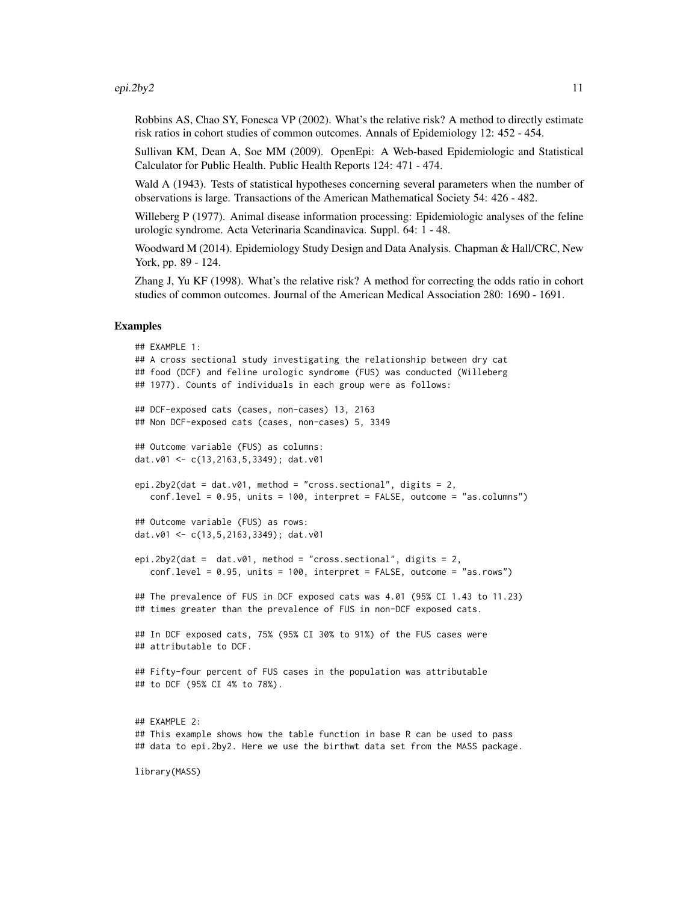#### epi.2by2  $11$

Robbins AS, Chao SY, Fonesca VP (2002). What's the relative risk? A method to directly estimate risk ratios in cohort studies of common outcomes. Annals of Epidemiology 12: 452 - 454.

Sullivan KM, Dean A, Soe MM (2009). OpenEpi: A Web-based Epidemiologic and Statistical Calculator for Public Health. Public Health Reports 124: 471 - 474.

Wald A (1943). Tests of statistical hypotheses concerning several parameters when the number of observations is large. Transactions of the American Mathematical Society 54: 426 - 482.

Willeberg P (1977). Animal disease information processing: Epidemiologic analyses of the feline urologic syndrome. Acta Veterinaria Scandinavica. Suppl. 64: 1 - 48.

Woodward M (2014). Epidemiology Study Design and Data Analysis. Chapman & Hall/CRC, New York, pp. 89 - 124.

Zhang J, Yu KF (1998). What's the relative risk? A method for correcting the odds ratio in cohort studies of common outcomes. Journal of the American Medical Association 280: 1690 - 1691.

#### Examples

```
## EXAMPLE 1:
## A cross sectional study investigating the relationship between dry cat
## food (DCF) and feline urologic syndrome (FUS) was conducted (Willeberg
## 1977). Counts of individuals in each group were as follows:
## DCF-exposed cats (cases, non-cases) 13, 2163
## Non DCF-exposed cats (cases, non-cases) 5, 3349
## Outcome variable (FUS) as columns:
dat.v01 <- c(13,2163,5,3349); dat.v01
epi.2by2(dat = dat.v01, method = "cross.sectional", digits = 2,
  conf.level = 0.95, units = 100, interpret = FALSE, outcome = "as.columns")
## Outcome variable (FUS) as rows:
dat.v01 <- c(13,5,2163,3349); dat.v01
epi.2by2(dat = dat.v01, method = "cross.sectional", digits = 2,
   conf<math>. level = 0.95, units = 100, interpret = FALSE, outcome = "as.rows")
## The prevalence of FUS in DCF exposed cats was 4.01 (95% CI 1.43 to 11.23)
## times greater than the prevalence of FUS in non-DCF exposed cats.
## In DCF exposed cats, 75% (95% CI 30% to 91%) of the FUS cases were
## attributable to DCF.
## Fifty-four percent of FUS cases in the population was attributable
## to DCF (95% CI 4% to 78%).
## EXAMPLE 2:
## This example shows how the table function in base R can be used to pass
## data to epi.2by2. Here we use the birthwt data set from the MASS package.
```
library(MASS)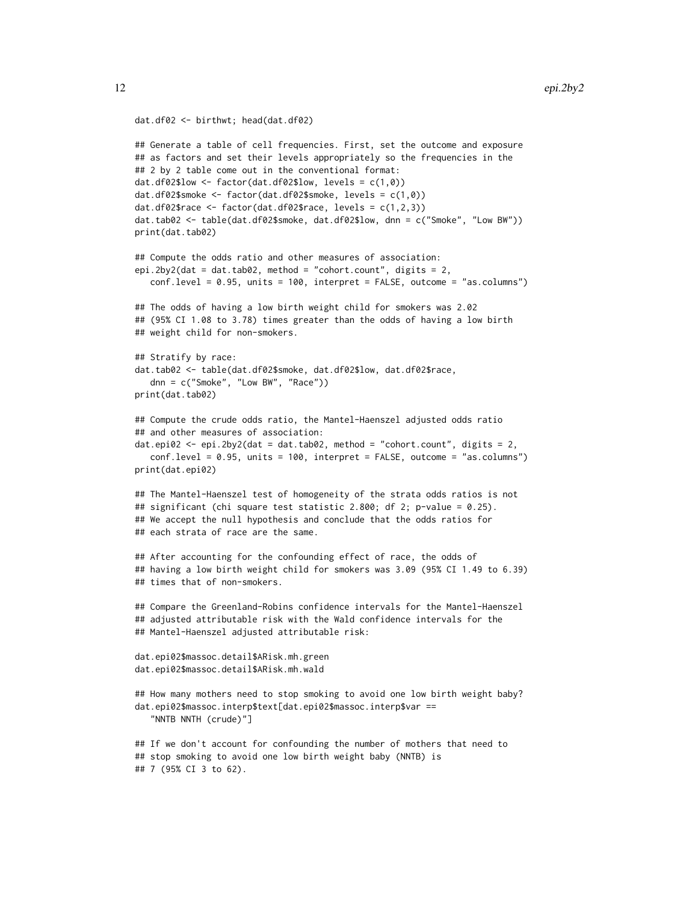```
dat.df02 <- birthwt; head(dat.df02)
```

```
## Generate a table of cell frequencies. First, set the outcome and exposure
## as factors and set their levels appropriately so the frequencies in the
## 2 by 2 table come out in the conventional format:
dat.df02$low <- factor(dat.df02$low, levels = c(1,0))
dat.df02$smoke <- factor(dat.df02$smoke, levels = c(1,0))
dat.df02$race \leq factor(dat.df02$race, levels = c(1,2,3))
dat.tab02 <- table(dat.df02$smoke, dat.df02$low, dnn = c("Smoke", "Low BW"))
print(dat.tab02)
## Compute the odds ratio and other measures of association:
epi.2by2(dat = dat.tab02, method = "cohort.count", digits = 2,
   conf.level = 0.95, units = 100, interpret = FALSE, outcome = "as.columns")
## The odds of having a low birth weight child for smokers was 2.02
## (95% CI 1.08 to 3.78) times greater than the odds of having a low birth
## weight child for non-smokers.
## Stratify by race:
dat.tab02 <- table(dat.df02$smoke, dat.df02$low, dat.df02$race,
   dnn = c("Smoke", "Low BW", "Race"))
print(dat.tab02)
## Compute the crude odds ratio, the Mantel-Haenszel adjusted odds ratio
## and other measures of association:
dat.\nepi02 \leq -\nepi.2by2(data = dat.tab02, method = "cohort.count", digits = 2,conf.level = 0.95, units = 100, interpret = FALSE, outcome = "as.columns")
print(dat.epi02)
## The Mantel-Haenszel test of homogeneity of the strata odds ratios is not
## significant (chi square test statistic 2.800; df 2; p-value = 0.25).
## We accept the null hypothesis and conclude that the odds ratios for
## each strata of race are the same.
## After accounting for the confounding effect of race, the odds of
## having a low birth weight child for smokers was 3.09 (95% CI 1.49 to 6.39)
## times that of non-smokers.
## Compare the Greenland-Robins confidence intervals for the Mantel-Haenszel
## adjusted attributable risk with the Wald confidence intervals for the
## Mantel-Haenszel adjusted attributable risk:
dat.epi02$massoc.detail$ARisk.mh.green
dat.epi02$massoc.detail$ARisk.mh.wald
## How many mothers need to stop smoking to avoid one low birth weight baby?
dat.epi02$massoc.interp$text[dat.epi02$massoc.interp$var ==
   "NNTB NNTH (crude)"]
## If we don't account for confounding the number of mothers that need to
## stop smoking to avoid one low birth weight baby (NNTB) is
## 7 (95% CI 3 to 62).
```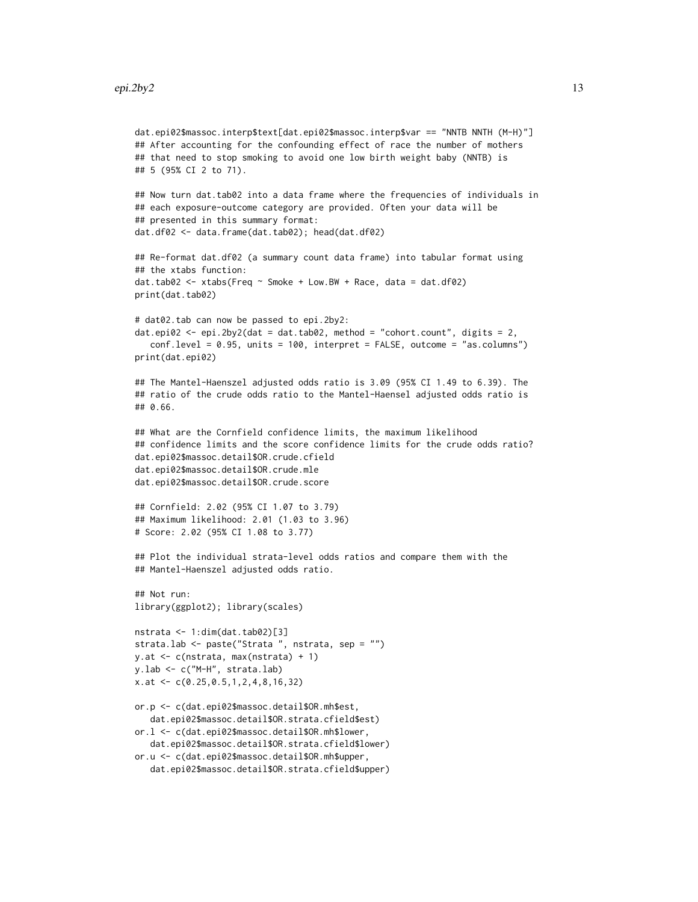```
dat.epi02$massoc.interp$text[dat.epi02$massoc.interp$var == "NNTB NNTH (M-H)"]
## After accounting for the confounding effect of race the number of mothers
## that need to stop smoking to avoid one low birth weight baby (NNTB) is
## 5 (95% CI 2 to 71).
## Now turn dat.tab02 into a data frame where the frequencies of individuals in
## each exposure-outcome category are provided. Often your data will be
## presented in this summary format:
dat.df02 <- data.frame(dat.tab02); head(dat.df02)
## Re-format dat.df02 (a summary count data frame) into tabular format using
## the xtabs function:
dat.tab02 \leq xtabs(Freq \sim Smoke + Low.BW + Race, data = dat.df02)print(dat.tab02)
# dat02.tab can now be passed to epi.2by2:
dat.epi02 \leq epi.2by2(dat = dat.tab02, method = "cohort.count", digits = 2,
   conf.level = 0.95, units = 100, interpret = FALSE, outcome = "as.columns")
print(dat.epi02)
## The Mantel-Haenszel adjusted odds ratio is 3.09 (95% CI 1.49 to 6.39). The
## ratio of the crude odds ratio to the Mantel-Haensel adjusted odds ratio is
## 0.66.
## What are the Cornfield confidence limits, the maximum likelihood
## confidence limits and the score confidence limits for the crude odds ratio?
dat.epi02$massoc.detail$OR.crude.cfield
dat.epi02$massoc.detail$OR.crude.mle
dat.epi02$massoc.detail$OR.crude.score
## Cornfield: 2.02 (95% CI 1.07 to 3.79)
## Maximum likelihood: 2.01 (1.03 to 3.96)
# Score: 2.02 (95% CI 1.08 to 3.77)
## Plot the individual strata-level odds ratios and compare them with the
## Mantel-Haenszel adjusted odds ratio.
## Not run:
library(ggplot2); library(scales)
nstrata <- 1:dim(dat.tab02)[3]
strata.lab <- paste("Strata ", nstrata, sep = "")
y.at <- c(nstrata, max(nstrata) + 1)
y.lab <- c("M-H", strata.lab)
x.at <- c(0.25,0.5,1,2,4,8,16,32)
or.p <- c(dat.epi02$massoc.detail$OR.mh$est,
   dat.epi02$massoc.detail$OR.strata.cfield$est)
or.l <- c(dat.epi02$massoc.detail$OR.mh$lower,
   dat.epi02$massoc.detail$OR.strata.cfield$lower)
or.u <- c(dat.epi02$massoc.detail$OR.mh$upper,
   dat.epi02$massoc.detail$OR.strata.cfield$upper)
```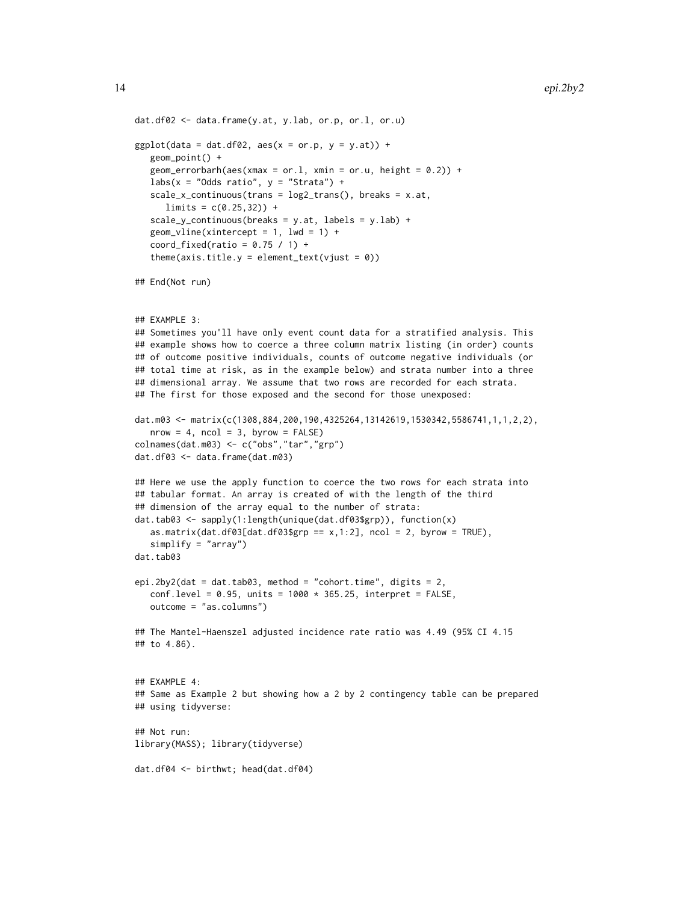```
dat.df02 <- data.frame(y.at, y.lab, or.p, or.l, or.u)
ggplot(data = dat.df02, aes(x = or.p, y = y.at)) +geom_point() +
   geom_errorbarh(aes(xmax = or.1, xmin = or.u, height = 0.2)) +
  labs(x = "Odds ratio", y = "Strata") +scale_x_{continuous}(trans = log2_{trans}(), breaks = x.at,limits = c(0.25, 32)) +scale_y_continuous(breaks = y.at, labels = y.lab) +geom\_vline(xintercept = 1, lwd = 1) +coord\_fixed(ratio = 0.75 / 1) +
   theme(axis.title.y = element_text(vjust = 0))
## End(Not run)
## EXAMPLE 3:
## Sometimes you'll have only event count data for a stratified analysis. This
## example shows how to coerce a three column matrix listing (in order) counts
## of outcome positive individuals, counts of outcome negative individuals (or
## total time at risk, as in the example below) and strata number into a three
## dimensional array. We assume that two rows are recorded for each strata.
## The first for those exposed and the second for those unexposed:
dat.m03 <- matrix(c(1308,884,200,190,4325264,13142619,1530342,5586741,1,1,2,2),
  nrow = 4, ncol = 3, byrow = FALSE)
colnames(dat.m03) <- c("obs","tar","grp")
dat.df03 <- data.frame(dat.m03)
## Here we use the apply function to coerce the two rows for each strata into
## tabular format. An array is created of with the length of the third
## dimension of the array equal to the number of strata:
dat.tab03 <- sapply(1:length(unique(dat.df03$grp)), function(x)
   as.matrix(dat.df03[dat.df03$grp == x, 1:2], ncol = 2, byrow = TRUE),
   simplify = "array")
dat.tab03
epi.2by2(dat = dat.tab03, method = "cohort.time", digits = 2,
   conf<math>. level = 0.95, units = 1000 * 365.25, interpret = FALSE,
  outcome = "as.columns")
## The Mantel-Haenszel adjusted incidence rate ratio was 4.49 (95% CI 4.15
## to 4.86).
## EXAMPLE 4:
## Same as Example 2 but showing how a 2 by 2 contingency table can be prepared
## using tidyverse:
## Not run:
library(MASS); library(tidyverse)
dat.df04 <- birthwt; head(dat.df04)
```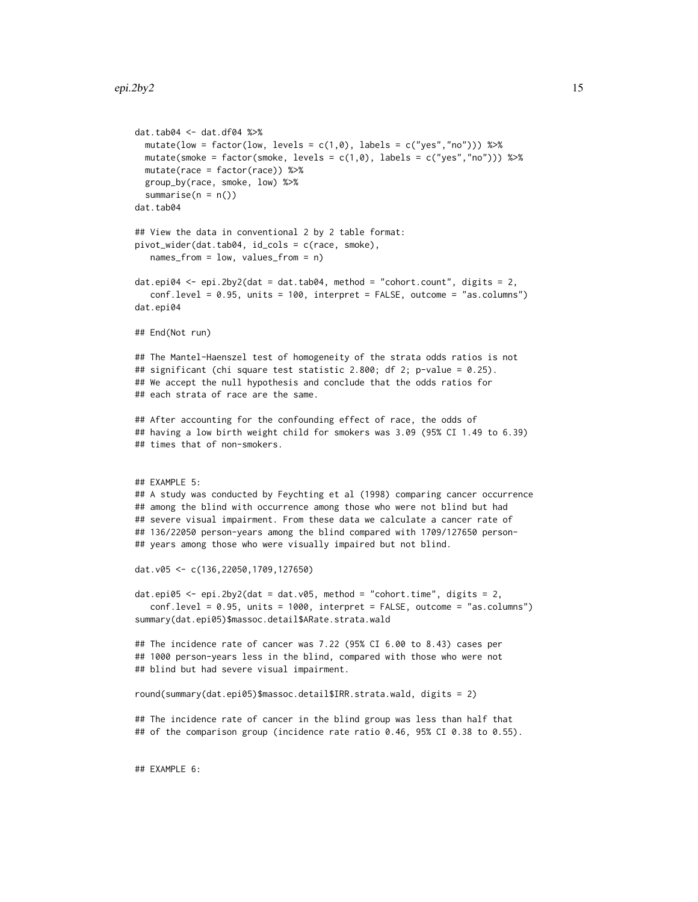```
dat.tab04 <- dat.df04 %>%
 mutate(low = factor(low, levels = c(1,0), labels = c("yes", "no"))) %>%
 mutate(smoke = factor(smoke, levels = c(1,0), labels = c("yes", "no"))) %>%
 mutate(race = factor(race)) %>%
 group_by(race, smoke, low) %>%
 summarise(n = n())
dat.tab04
## View the data in conventional 2 by 2 table format:
pivot_wider(dat.tab04, id_cols = c(race, smoke),
  names_from = low, values_from = n)
dat.\nepi04 \leftarrow \nepi.2by2(data = dat.tab04, method = "cohort.count", digits = 2,conf.level = 0.95, units = 100, interpret = FALSE, outcome = "as.columns")
dat.epi04
## End(Not run)
## The Mantel-Haenszel test of homogeneity of the strata odds ratios is not
## significant (chi square test statistic 2.800; df 2; p-value = 0.25).
## We accept the null hypothesis and conclude that the odds ratios for
## each strata of race are the same.
## After accounting for the confounding effect of race, the odds of
## having a low birth weight child for smokers was 3.09 (95% CI 1.49 to 6.39)
## times that of non-smokers.
## EXAMPLE 5:
## A study was conducted by Feychting et al (1998) comparing cancer occurrence
## among the blind with occurrence among those who were not blind but had
## severe visual impairment. From these data we calculate a cancer rate of
## 136/22050 person-years among the blind compared with 1709/127650 person-
## years among those who were visually impaired but not blind.
dat.v05 <- c(136,22050,1709,127650)
dat.epi05 <- epi.2by2(dat = dat.v05, method = "cohort.time", digits = 2,
   conf.level = 0.95, units = 1000, interpret = FALSE, outcome = "as.columns")
summary(dat.epi05)$massoc.detail$ARate.strata.wald
## The incidence rate of cancer was 7.22 (95% CI 6.00 to 8.43) cases per
## 1000 person-years less in the blind, compared with those who were not
## blind but had severe visual impairment.
round(summary(dat.epi05)$massoc.detail$IRR.strata.wald, digits = 2)
## The incidence rate of cancer in the blind group was less than half that
## of the comparison group (incidence rate ratio 0.46, 95% CI 0.38 to 0.55).
## EXAMPLE 6:
```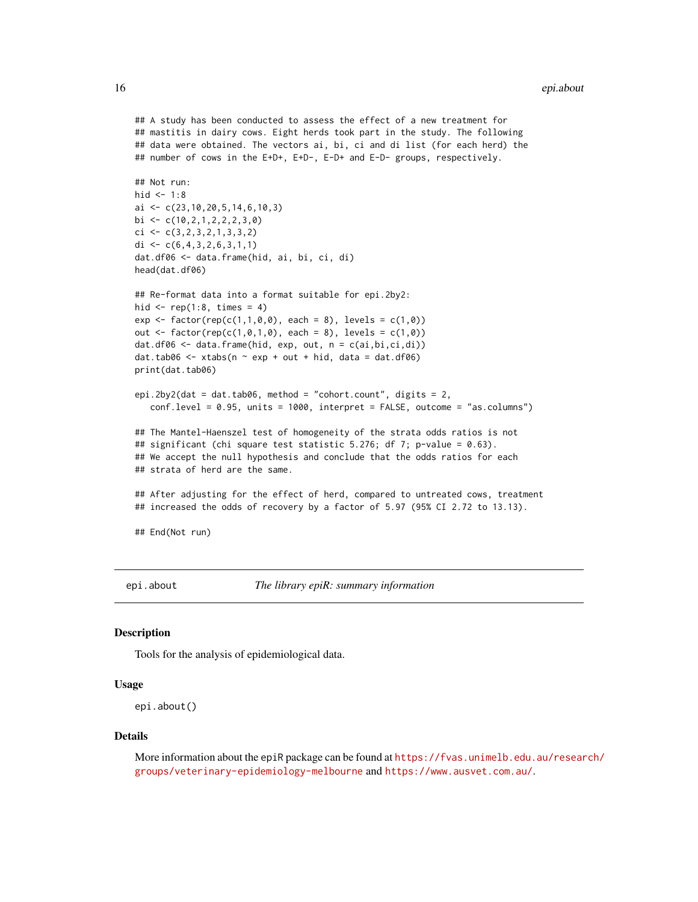```
## A study has been conducted to assess the effect of a new treatment for
## mastitis in dairy cows. Eight herds took part in the study. The following
## data were obtained. The vectors ai, bi, ci and di list (for each herd) the
## number of cows in the E+D+, E+D-, E-D+ and E-D- groups, respectively.
## Not run:
hid <-1:8ai <- c(23,10,20,5,14,6,10,3)
bi \leftarrow c(10, 2, 1, 2, 2, 2, 3, 0)ci \leftarrow c(3, 2, 3, 2, 1, 3, 3, 2)di \leq c(6, 4, 3, 2, 6, 3, 1, 1)dat.df06 <- data.frame(hid, ai, bi, ci, di)
head(dat.df06)
## Re-format data into a format suitable for epi.2by2:
hid \le rep(1:8, times = 4)
exp \leftarrow factor(rep(c(1,1,0,0), each = 8), levels = c(1,0))out <- factor(rep(c(1,0,1,0), each = 8), levels = c(1,0))
dat.df06 <- data.frame(hid, exp, out, n = c(ai,bi,ci,di))
dat.tab06 <- xtabs(n \sim \exp + \omega t + \text{hid}, data = dat.df06)
print(dat.tab06)
epi.2by2(dat = dat.tab06, method = "cohort.count", digits = 2,
   conf.level = 0.95, units = 1000, interpret = FALSE, outcome = "as.columns")
## The Mantel-Haenszel test of homogeneity of the strata odds ratios is not
## significant (chi square test statistic 5.276; df 7; p-value = 0.63).
## We accept the null hypothesis and conclude that the odds ratios for each
## strata of herd are the same.
## After adjusting for the effect of herd, compared to untreated cows, treatment
## increased the odds of recovery by a factor of 5.97 (95% CI 2.72 to 13.13).
## End(Not run)
```
epi.about *The library epiR: summary information*

# Description

Tools for the analysis of epidemiological data.

#### Usage

```
epi.about()
```
#### Details

More information about the epiR package can be found at [https://fvas.unimelb.edu.au/resear](https://fvas.unimelb.edu.au/research/groups/veterinary-epidemiology-melbourne)ch/ [groups/veterinary-epidemiology-melbourne](https://fvas.unimelb.edu.au/research/groups/veterinary-epidemiology-melbourne) and <https://www.ausvet.com.au/>.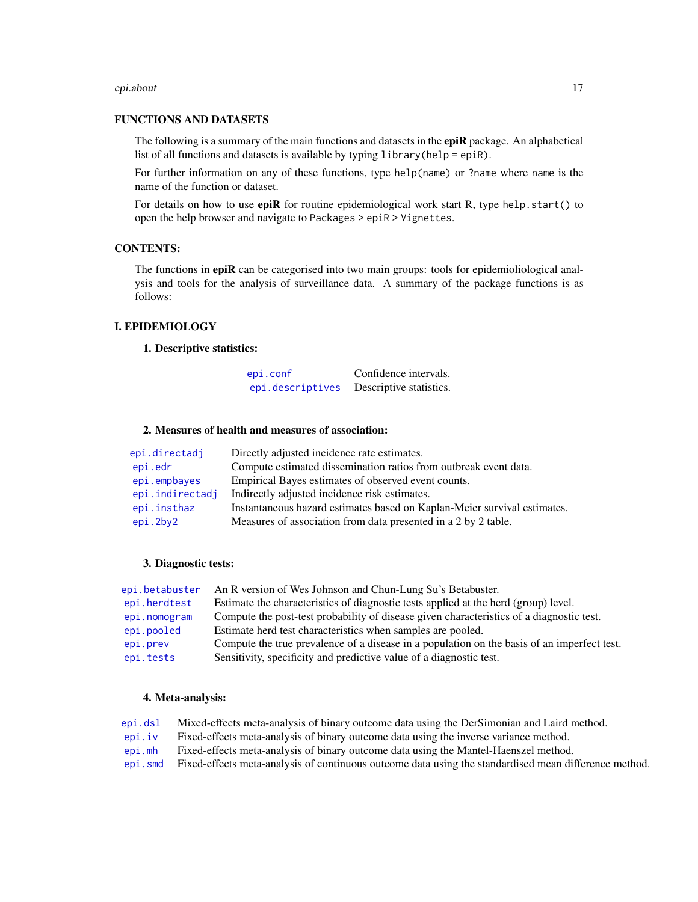#### epi.about 17

# FUNCTIONS AND DATASETS

The following is a summary of the main functions and datasets in the **epiR** package. An alphabetical list of all functions and datasets is available by typing library(help = epiR).

For further information on any of these functions, type help(name) or ?name where name is the name of the function or dataset.

For details on how to use  $epiR$  for routine epidemiological work start R, type help.start() to open the help browser and navigate to Packages > epiR > Vignettes.

# CONTENTS:

The functions in epiR can be categorised into two main groups: tools for epidemioliological analysis and tools for the analysis of surveillance data. A summary of the package functions is as follows:

# I. EPIDEMIOLOGY

# 1. Descriptive statistics:

| epi.conf         | Confidence intervals.   |
|------------------|-------------------------|
| epi.descriptives | Descriptive statistics. |

#### 2. Measures of health and measures of association:

| epi.directadj   | Directly adjusted incidence rate estimates.                              |
|-----------------|--------------------------------------------------------------------------|
| epi.edr         | Compute estimated dissemination ratios from outbreak event data.         |
| epi.empbayes    | Empirical Bayes estimates of observed event counts.                      |
| epi.indirectadj | Indirectly adjusted incidence risk estimates.                            |
| epi.insthaz     | Instantaneous hazard estimates based on Kaplan-Meier survival estimates. |
| epi.2by2        | Measures of association from data presented in a 2 by 2 table.           |

# 3. Diagnostic tests:

| epi.betabuster | An R version of Wes Johnson and Chun-Lung Su's Betabuster.                                  |
|----------------|---------------------------------------------------------------------------------------------|
| epi.herdtest   | Estimate the characteristics of diagnostic tests applied at the herd (group) level.         |
| epi.nomogram   | Compute the post-test probability of disease given characteristics of a diagnostic test.    |
| epi.pooled     | Estimate herd test characteristics when samples are pooled.                                 |
| epi.prev       | Compute the true prevalence of a disease in a population on the basis of an imperfect test. |
| epi.tests      | Sensitivity, specificity and predictive value of a diagnostic test.                         |

#### 4. Meta-analysis:

[epi.dsl](#page-47-1) Mixed-effects meta-analysis of binary outcome data using the DerSimonian and Laird method.

- [epi.iv](#page-65-1) Fixed-effects meta-analysis of binary outcome data using the inverse variance method.
- [epi.mh](#page-72-1) Fixed-effects meta-analysis of binary outcome data using the Mantel-Haenszel method.
- [epi.smd](#page-89-1) Fixed-effects meta-analysis of continuous outcome data using the standardised mean difference method.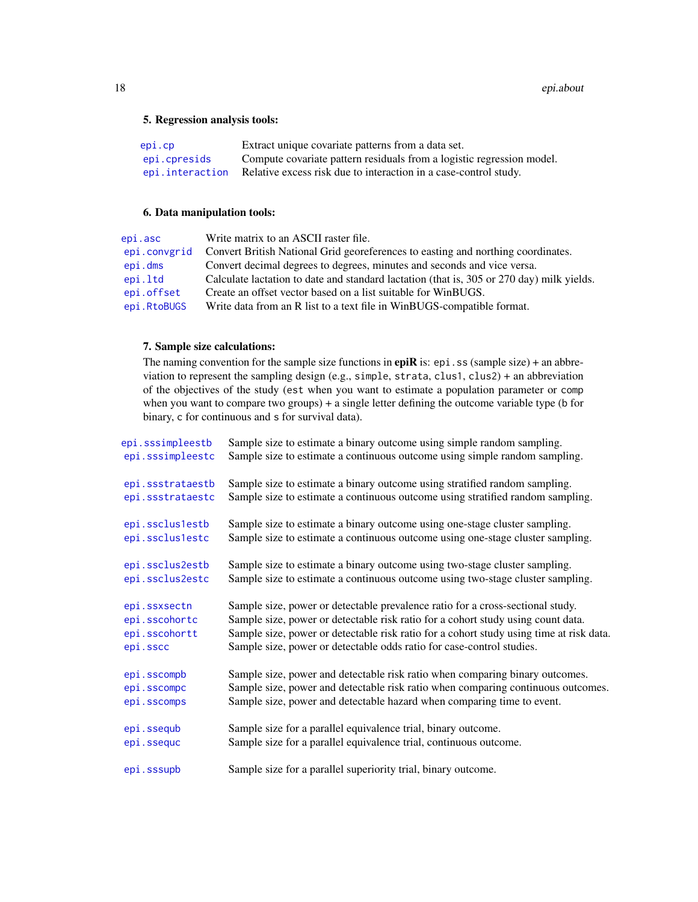# 5. Regression analysis tools:

| epi.cp       | Extract unique covariate patterns from a data set.                               |
|--------------|----------------------------------------------------------------------------------|
| epi.cpresids | Compute covariate pattern residuals from a logistic regression model.            |
|              | epi.interaction Relative excess risk due to interaction in a case-control study. |

# 6. Data manipulation tools:

| epi.asc      | Write matrix to an ASCII raster file.                                                     |
|--------------|-------------------------------------------------------------------------------------------|
| epi.convgrid | Convert British National Grid georeferences to easting and northing coordinates.          |
| epi.dms      | Convert decimal degrees to degrees, minutes and seconds and vice versa.                   |
| epi.ltd      | Calculate lactation to date and standard lactation (that is, 305 or 270 day) milk yields. |
| epi.offset   | Create an offset vector based on a list suitable for WinBUGS.                             |
| epi.RtoBUGS  | Write data from an R list to a text file in WinBUGS-compatible format.                    |

# 7. Sample size calculations:

The naming convention for the sample size functions in  $epiR$  is:  $epi$ . ss (sample size) + an abbreviation to represent the sampling design (e.g., simple, strata, clus1, clus2) + an abbreviation of the objectives of the study (est when you want to estimate a population parameter or comp when you want to compare two groups) + a single letter defining the outcome variable type (b for binary, c for continuous and s for survival data).

| epi.sssimpleestb | Sample size to estimate a binary outcome using simple random sampling.                  |
|------------------|-----------------------------------------------------------------------------------------|
| epi.sssimpleestc | Sample size to estimate a continuous outcome using simple random sampling.              |
| epi.ssstrataestb | Sample size to estimate a binary outcome using stratified random sampling.              |
| epi.ssstrataestc | Sample size to estimate a continuous outcome using stratified random sampling.          |
| epi.ssclus1estb  | Sample size to estimate a binary outcome using one-stage cluster sampling.              |
| epi.ssclus1estc  | Sample size to estimate a continuous outcome using one-stage cluster sampling.          |
| epi.ssclus2estb  | Sample size to estimate a binary outcome using two-stage cluster sampling.              |
| epi.ssclus2estc  | Sample size to estimate a continuous outcome using two-stage cluster sampling.          |
| epi.ssxsectn     | Sample size, power or detectable prevalence ratio for a cross-sectional study.          |
| epi.sscohortc    | Sample size, power or detectable risk ratio for a cohort study using count data.        |
| epi.sscohortt    | Sample size, power or detectable risk ratio for a cohort study using time at risk data. |
| epi.sscc         | Sample size, power or detectable odds ratio for case-control studies.                   |
| epi.sscompb      | Sample size, power and detectable risk ratio when comparing binary outcomes.            |
| epi.sscompc      | Sample size, power and detectable risk ratio when comparing continuous outcomes.        |
| epi.sscomps      | Sample size, power and detectable hazard when comparing time to event.                  |
| epi.ssequb       | Sample size for a parallel equivalence trial, binary outcome.                           |
| epi.ssequc       | Sample size for a parallel equivalence trial, continuous outcome.                       |
| epi.sssupb       | Sample size for a parallel superiority trial, binary outcome.                           |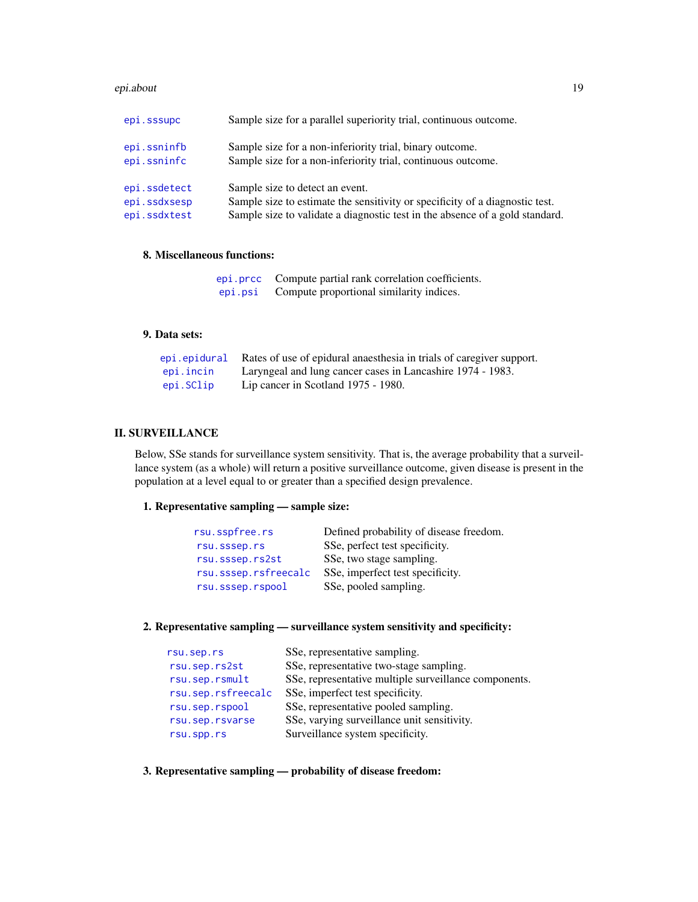#### epi.about 19

| epi.sssupc   | Sample size for a parallel superiority trial, continuous outcome.            |
|--------------|------------------------------------------------------------------------------|
| epi.ssninfb  | Sample size for a non-inferiority trial, binary outcome.                     |
| epi.ssninfc  | Sample size for a non-inferiority trial, continuous outcome.                 |
| epi.ssdetect | Sample size to detect an event.                                              |
| epi.ssdxsesp | Sample size to estimate the sensitivity or specificity of a diagnostic test. |
| epi.ssdxtest | Sample size to validate a diagnostic test in the absence of a gold standard. |

# 8. Miscellaneous functions:

|         | epi.prcc Compute partial rank correlation coefficients. |
|---------|---------------------------------------------------------|
| epi.psi | Compute proportional similarity indices.                |

#### 9. Data sets:

|           | epi epidural Rates of use of epidural anaesthesia in trials of caregiver support. |
|-----------|-----------------------------------------------------------------------------------|
| epi.incin | Laryngeal and lung cancer cases in Lancashire 1974 - 1983.                        |
| epi.SClip | Lip cancer in Scotland 1975 - 1980.                                               |

# II. SURVEILLANCE

Below, SSe stands for surveillance system sensitivity. That is, the average probability that a surveillance system (as a whole) will return a positive surveillance outcome, given disease is present in the population at a level equal to or greater than a specified design prevalence.

# 1. Representative sampling — sample size:

| rsu.sspfree.rs       | Defined probability of disease freedom. |
|----------------------|-----------------------------------------|
| rsu.sssep.rs         | SSe, perfect test specificity.          |
| rsu.sssep.rs2st      | SSe, two stage sampling.                |
| rsu.sssep.rsfreecalc | SSe, imperfect test specificity.        |
| rsu.sssep.rspool     | SSe, pooled sampling.                   |

# 2. Representative sampling — surveillance system sensitivity and specificity:

| rsu.sep.rs         | SSe, representative sampling.                         |
|--------------------|-------------------------------------------------------|
| rsu.sep.rs2st      | SSe, representative two-stage sampling.               |
| rsu.sep.rsmult     | SSe, representative multiple surveillance components. |
| rsu.sep.rsfreecalc | SSe, imperfect test specificity.                      |
| rsu.sep.rspool     | SSe, representative pooled sampling.                  |
| rsu.sep.rsvarse    | SSe, varying surveillance unit sensitivity.           |
| rsu.spp.rs         | Surveillance system specificity.                      |
|                    |                                                       |

3. Representative sampling — probability of disease freedom: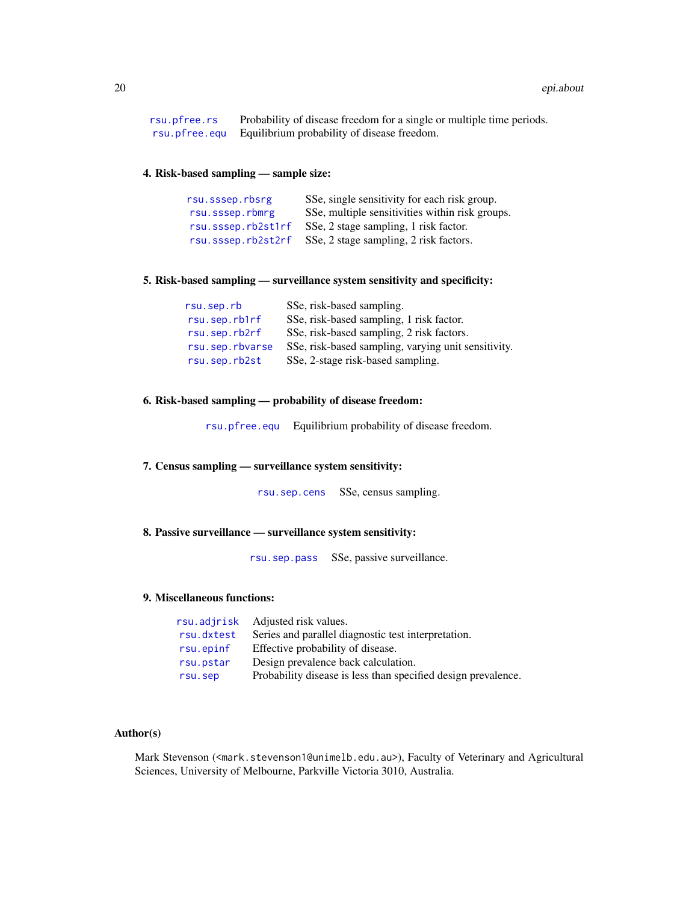| rsu.pfree.rs | Probability of disease freedom for a single or multiple time periods. |
|--------------|-----------------------------------------------------------------------|
|              | rsu.pfree.equ Equilibrium probability of disease freedom.             |

#### 4. Risk-based sampling — sample size:

| rsu.sssep.rbsrg    | SSe, single sensitivity for each risk group.    |
|--------------------|-------------------------------------------------|
| rsu.sssep.rbmrg    | SSe, multiple sensitivities within risk groups. |
| rsu.sssep.rb2st1rf | SSe, 2 stage sampling, 1 risk factor.           |
| rsu.sssep.rb2st2rf | SSe, 2 stage sampling, 2 risk factors.          |

#### 5. Risk-based sampling — surveillance system sensitivity and specificity:

| rsu.sep.rb      | SSe, risk-based sampling.                           |
|-----------------|-----------------------------------------------------|
| rsu.sep.rb1rf   | SSe, risk-based sampling, 1 risk factor.            |
| rsu.sep.rb2rf   | SSe, risk-based sampling, 2 risk factors.           |
| rsu.sep.rbvarse | SSe, risk-based sampling, varying unit sensitivity. |
| rsu.sep.rb2st   | SSe, 2-stage risk-based sampling.                   |

# 6. Risk-based sampling — probability of disease freedom:

[rsu.pfree.equ](#page-158-1) Equilibrium probability of disease freedom.

# 7. Census sampling — surveillance system sensitivity:

[rsu.sep.cens](#page-167-1) SSe, census sampling.

# 8. Passive surveillance — surveillance system sensitivity:

[rsu.sep.pass](#page-168-1) SSe, passive surveillance.

## 9. Miscellaneous functions:

|            | rsu. ad jrisk Adjusted risk values.                           |
|------------|---------------------------------------------------------------|
| rsu.dxtest | Series and parallel diagnostic test interpretation.           |
| rsu.epinf  | Effective probability of disease.                             |
| rsu.pstar  | Design prevalence back calculation.                           |
| rsu.sep    | Probability disease is less than specified design prevalence. |

# Author(s)

Mark Stevenson (<mark.stevenson1@unimelb.edu.au>), Faculty of Veterinary and Agricultural Sciences, University of Melbourne, Parkville Victoria 3010, Australia.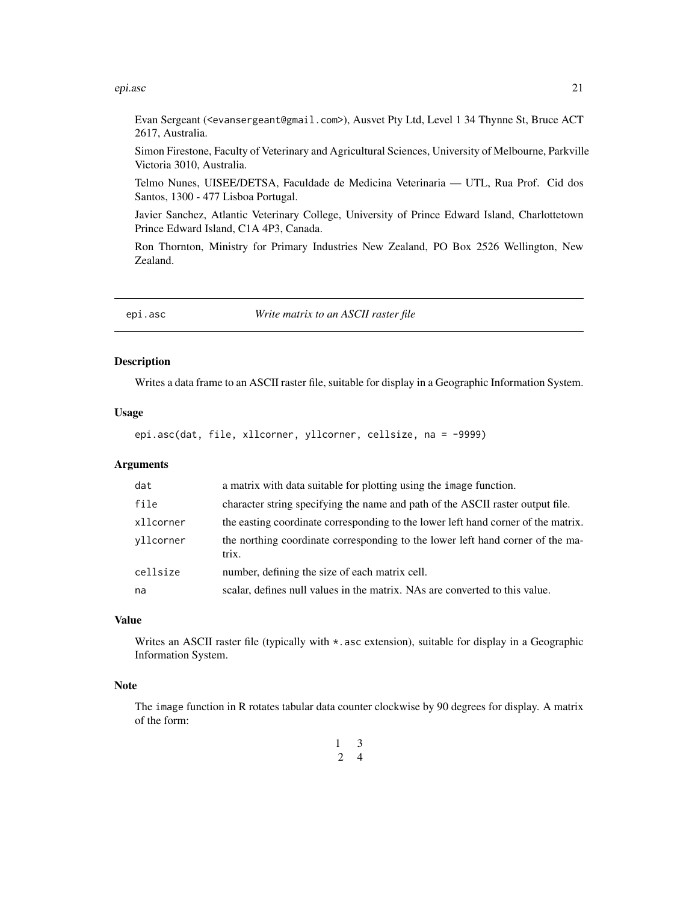#### <span id="page-20-0"></span>epi.asc 21

Evan Sergeant (<evansergeant@gmail.com>), Ausvet Pty Ltd, Level 1 34 Thynne St, Bruce ACT 2617, Australia.

Simon Firestone, Faculty of Veterinary and Agricultural Sciences, University of Melbourne, Parkville Victoria 3010, Australia.

Telmo Nunes, UISEE/DETSA, Faculdade de Medicina Veterinaria — UTL, Rua Prof. Cid dos Santos, 1300 - 477 Lisboa Portugal.

Javier Sanchez, Atlantic Veterinary College, University of Prince Edward Island, Charlottetown Prince Edward Island, C1A 4P3, Canada.

Ron Thornton, Ministry for Primary Industries New Zealand, PO Box 2526 Wellington, New Zealand.

<span id="page-20-1"></span>epi.asc *Write matrix to an ASCII raster file*

#### Description

Writes a data frame to an ASCII raster file, suitable for display in a Geographic Information System.

# Usage

epi.asc(dat, file, xllcorner, yllcorner, cellsize, na = -9999)

# Arguments

| dat       | a matrix with data suitable for plotting using the image function.                      |  |
|-----------|-----------------------------------------------------------------------------------------|--|
| file      | character string specifying the name and path of the ASCII raster output file.          |  |
| xllcorner | the easting coordinate corresponding to the lower left hand corner of the matrix.       |  |
| vllcorner | the northing coordinate corresponding to the lower left hand corner of the ma-<br>trix. |  |
| cellsize  | number, defining the size of each matrix cell.                                          |  |
| na        | scalar, defines null values in the matrix. NAs are converted to this value.             |  |

### Value

Writes an ASCII raster file (typically with  $\star$ , asc extension), suitable for display in a Geographic Information System.

#### Note

The image function in R rotates tabular data counter clockwise by 90 degrees for display. A matrix of the form:

> 1 3 2 4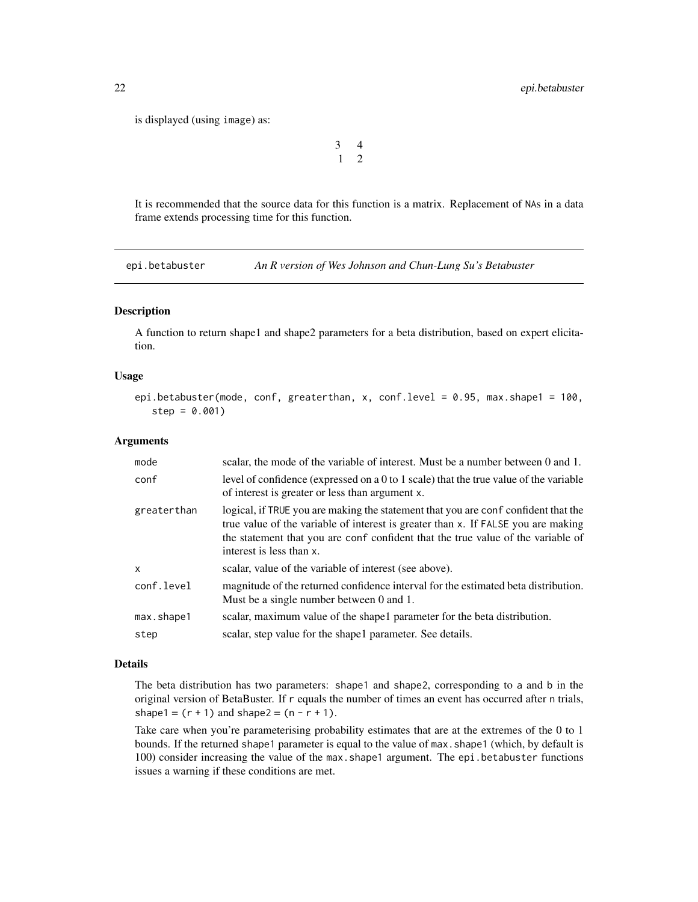<span id="page-21-0"></span>is displayed (using image) as:

```
3 4
1 2
```
It is recommended that the source data for this function is a matrix. Replacement of NAs in a data frame extends processing time for this function.

<span id="page-21-1"></span>epi.betabuster *An R version of Wes Johnson and Chun-Lung Su's Betabuster*

#### Description

A function to return shape1 and shape2 parameters for a beta distribution, based on expert elicitation.

#### Usage

```
epi.betabuster(mode, conf, greaterthan, x, conf.level = 0.95, max.shape1 = 100,
   step = 0.001)
```
#### Arguments

| mode        | scalar, the mode of the variable of interest. Must be a number between 0 and 1.                                                                                                                                                                                                         |  |
|-------------|-----------------------------------------------------------------------------------------------------------------------------------------------------------------------------------------------------------------------------------------------------------------------------------------|--|
| conf        | level of confidence (expressed on a $0$ to 1 scale) that the true value of the variable<br>of interest is greater or less than argument x.                                                                                                                                              |  |
| greaterthan | logical, if TRUE you are making the statement that you are conf confident that the<br>true value of the variable of interest is greater than x. If FALSE you are making<br>the statement that you are conf confident that the true value of the variable of<br>interest is less than x. |  |
| X           | scalar, value of the variable of interest (see above).                                                                                                                                                                                                                                  |  |
| conf.level  | magnitude of the returned confidence interval for the estimated beta distribution.<br>Must be a single number between 0 and 1.                                                                                                                                                          |  |
| max.shape1  | scalar, maximum value of the shape 1 parameter for the beta distribution.                                                                                                                                                                                                               |  |
| step        | scalar, step value for the shape1 parameter. See details.                                                                                                                                                                                                                               |  |

#### Details

The beta distribution has two parameters: shape1 and shape2, corresponding to a and b in the original version of BetaBuster. If r equals the number of times an event has occurred after n trials, shape1 =  $(r + 1)$  and shape2 =  $(n - r + 1)$ .

Take care when you're parameterising probability estimates that are at the extremes of the 0 to 1 bounds. If the returned shape1 parameter is equal to the value of max. shape1 (which, by default is 100) consider increasing the value of the max.shape1 argument. The epi.betabuster functions issues a warning if these conditions are met.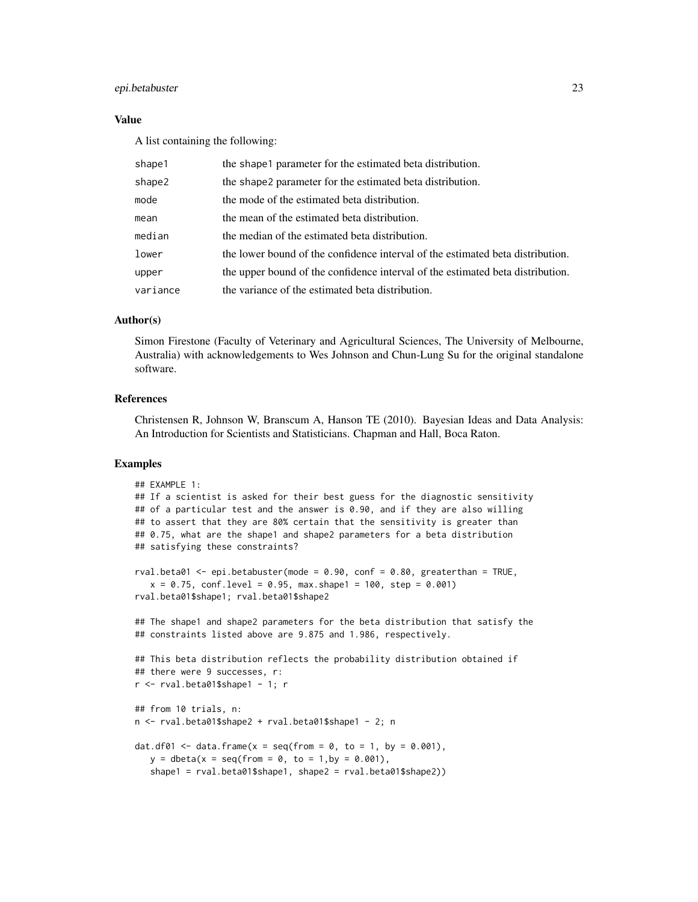### epi.betabuster 23

### Value

A list containing the following:

| shape1   | the shape 1 parameter for the estimated beta distribution.                     |  |
|----------|--------------------------------------------------------------------------------|--|
| shape2   | the shape2 parameter for the estimated beta distribution.                      |  |
| mode     | the mode of the estimated beta distribution.                                   |  |
| mean     | the mean of the estimated beta distribution.                                   |  |
| median   | the median of the estimated beta distribution.                                 |  |
| lower    | the lower bound of the confidence interval of the estimated beta distribution. |  |
| upper    | the upper bound of the confidence interval of the estimated beta distribution. |  |
| variance | the variance of the estimated beta distribution.                               |  |

# Author(s)

Simon Firestone (Faculty of Veterinary and Agricultural Sciences, The University of Melbourne, Australia) with acknowledgements to Wes Johnson and Chun-Lung Su for the original standalone software.

#### References

Christensen R, Johnson W, Branscum A, Hanson TE (2010). Bayesian Ideas and Data Analysis: An Introduction for Scientists and Statisticians. Chapman and Hall, Boca Raton.

# Examples

```
## EXAMPLE 1:
## If a scientist is asked for their best guess for the diagnostic sensitivity
## of a particular test and the answer is 0.90, and if they are also willing
## to assert that they are 80% certain that the sensitivity is greater than
## 0.75, what are the shape1 and shape2 parameters for a beta distribution
## satisfying these constraints?
rval.beta01 <- epi.betabuster(mode = 0.90, conf = 0.80, greaterthan = TRUE,
  x = 0.75, conf.level = 0.95, max.shape1 = 100, step = 0.001)
rval.beta01$shape1; rval.beta01$shape2
## The shape1 and shape2 parameters for the beta distribution that satisfy the
## constraints listed above are 9.875 and 1.986, respectively.
## This beta distribution reflects the probability distribution obtained if
## there were 9 successes, r:
r <- rval.beta01$shape1 - 1; r
## from 10 trials, n:
n <- rval.beta01$shape2 + rval.beta01$shape1 - 2; n
dat.df01 <- data.frame(x = seq(from = 0, to = 1, by = 0.001),
  y = \text{dbeta}(x = \text{seq}(\text{from} = 0, \text{to} = 1, \text{by} = 0.001),shape1 = rval.beta01$shape1, shape2 = rval.beta01$shape2))
```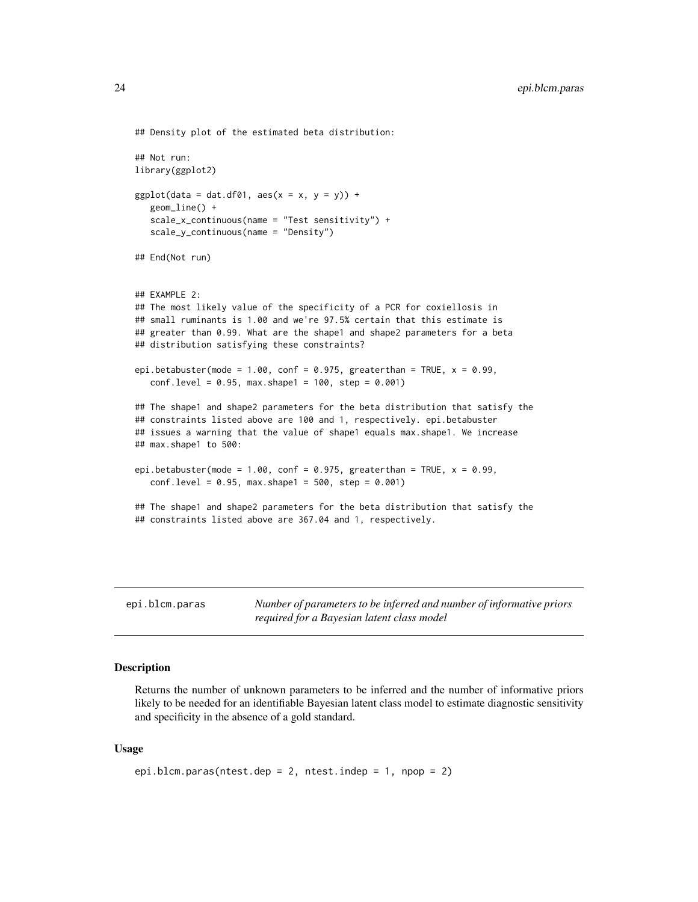```
## Density plot of the estimated beta distribution:
## Not run:
library(ggplot2)
ggplot(data = dat.df01, aes(x = x, y = y)) +geom_line() +
  scale_x_continuous(name = "Test sensitivity") +
  scale_y_continuous(name = "Density")
## End(Not run)
## EXAMPLE 2:
## The most likely value of the specificity of a PCR for coxiellosis in
## small ruminants is 1.00 and we're 97.5% certain that this estimate is
## greater than 0.99. What are the shape1 and shape2 parameters for a beta
## distribution satisfying these constraints?
epi.betabuster(mode = 1.00, conf = 0.975, greaterthan = TRUE, x = 0.99,
   conf. level = 0.95, max. shape1 = 100, step = 0.001)## The shape1 and shape2 parameters for the beta distribution that satisfy the
## constraints listed above are 100 and 1, respectively. epi.betabuster
## issues a warning that the value of shape1 equals max.shape1. We increase
## max.shape1 to 500:
epi.betabuster(mode = 1.00, conf = 0.975, greaterthan = TRUE, x = 0.99,
  conf. level = 0.95, max. shape1 = 500, step = 0.001)## The shape1 and shape2 parameters for the beta distribution that satisfy the
## constraints listed above are 367.04 and 1, respectively.
```
epi.blcm.paras *Number of parameters to be inferred and number of informative priors required for a Bayesian latent class model*

#### Description

Returns the number of unknown parameters to be inferred and the number of informative priors likely to be needed for an identifiable Bayesian latent class model to estimate diagnostic sensitivity and specificity in the absence of a gold standard.

#### Usage

```
epi.blcm.paras(ntest.dep = 2, ntest.indep = 1, npop = 2)
```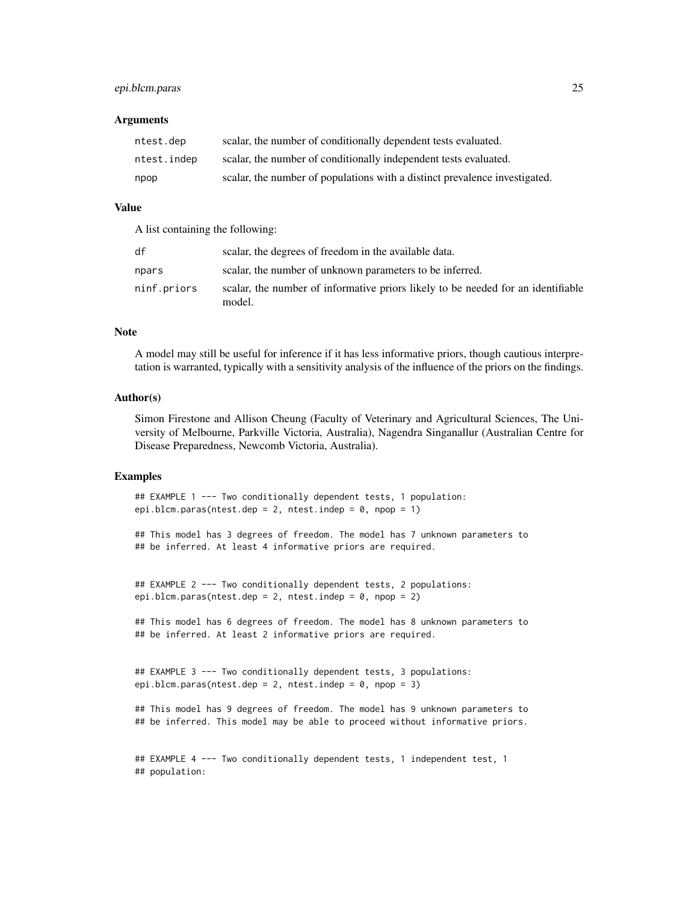#### **Arguments**

| ntest.dep   | scalar, the number of conditionally dependent tests evaluated.             |  |
|-------------|----------------------------------------------------------------------------|--|
| ntest.indep | scalar, the number of conditionally independent tests evaluated.           |  |
| npop        | scalar, the number of populations with a distinct prevalence investigated. |  |

# Value

A list containing the following:

| df          | scalar, the degrees of freedom in the available data.                                      |  |
|-------------|--------------------------------------------------------------------------------------------|--|
| npars       | scalar, the number of unknown parameters to be inferred.                                   |  |
| ninf.priors | scalar, the number of informative priors likely to be needed for an identifiable<br>model. |  |

# Note

A model may still be useful for inference if it has less informative priors, though cautious interpretation is warranted, typically with a sensitivity analysis of the influence of the priors on the findings.

#### Author(s)

Simon Firestone and Allison Cheung (Faculty of Veterinary and Agricultural Sciences, The University of Melbourne, Parkville Victoria, Australia), Nagendra Singanallur (Australian Centre for Disease Preparedness, Newcomb Victoria, Australia).

#### Examples

## EXAMPLE 1 --- Two conditionally dependent tests, 1 population: epi.blcm.paras(ntest.dep = 2, ntest.indep = 0, npop = 1)

```
## This model has 3 degrees of freedom. The model has 7 unknown parameters to
## be inferred. At least 4 informative priors are required.
```

```
## EXAMPLE 2 --- Two conditionally dependent tests, 2 populations:
epi.blcm.paras(ntest.dep = 2, ntest.indep = 0, npop = 2)
```

```
## This model has 6 degrees of freedom. The model has 8 unknown parameters to
## be inferred. At least 2 informative priors are required.
```

```
## EXAMPLE 3 --- Two conditionally dependent tests, 3 populations:
epi.blcm.paras(ntest.dep = 2, ntest.indep = 0, npop = 3)
```
## This model has 9 degrees of freedom. The model has 9 unknown parameters to ## be inferred. This model may be able to proceed without informative priors.

## EXAMPLE 4 --- Two conditionally dependent tests, 1 independent test, 1 ## population: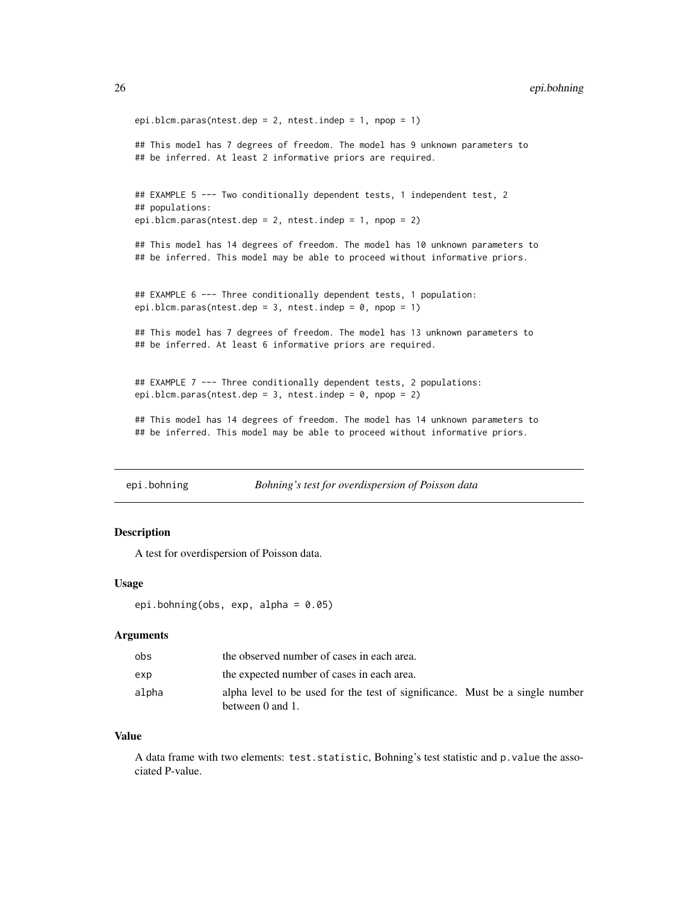```
epi.blcm.paras(ntest.dep = 2, ntest.indep = 1, npop = 1)
## This model has 7 degrees of freedom. The model has 9 unknown parameters to
## be inferred. At least 2 informative priors are required.
## EXAMPLE 5 --- Two conditionally dependent tests, 1 independent test, 2
## populations:
epi.blcm.paras(ntest.dep = 2, ntest.indep = 1, npop = 2)
## This model has 14 degrees of freedom. The model has 10 unknown parameters to
## be inferred. This model may be able to proceed without informative priors.
## EXAMPLE 6 --- Three conditionally dependent tests, 1 population:
epi.blcm.paras(ntest.dep = 3, ntest.indep = 0, npop = 1)
## This model has 7 degrees of freedom. The model has 13 unknown parameters to
## be inferred. At least 6 informative priors are required.
## EXAMPLE 7 --- Three conditionally dependent tests, 2 populations:
epi.blcm.paras(ntest.dep = 3, ntest.indep = 0, npop = 2)
## This model has 14 degrees of freedom. The model has 14 unknown parameters to
## be inferred. This model may be able to proceed without informative priors.
```
epi.bohning *Bohning's test for overdispersion of Poisson data*

#### Description

A test for overdispersion of Poisson data.

#### Usage

```
epi.bohning(obs, exp, alpha = 0.05)
```
#### **Arguments**

| obs   | the observed number of cases in each area.                                                       |  |  |
|-------|--------------------------------------------------------------------------------------------------|--|--|
| exp   | the expected number of cases in each area.                                                       |  |  |
| alpha | alpha level to be used for the test of significance. Must be a single number<br>between 0 and 1. |  |  |

#### Value

A data frame with two elements: test.statistic, Bohning's test statistic and p.value the associated P-value.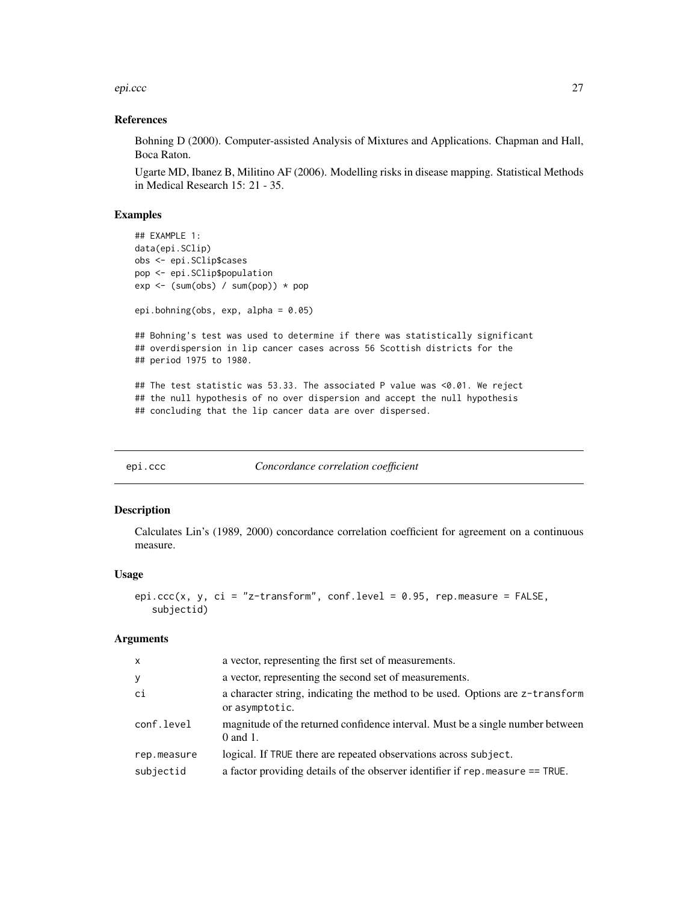<span id="page-26-0"></span>epi.ccc 27

#### References

Bohning D (2000). Computer-assisted Analysis of Mixtures and Applications. Chapman and Hall, Boca Raton.

Ugarte MD, Ibanez B, Militino AF (2006). Modelling risks in disease mapping. Statistical Methods in Medical Research 15: 21 - 35.

# Examples

```
## EXAMPLE 1:
data(epi.SClip)
obs <- epi.SClip$cases
pop <- epi.SClip$population
exp < - (sum(obs) / sum(pop)) * pop
epi.bohning(obs, exp, alpha = 0.05)
## Bohning's test was used to determine if there was statistically significant
## overdispersion in lip cancer cases across 56 Scottish districts for the
## period 1975 to 1980.
## The test statistic was 53.33. The associated P value was <0.01. We reject
## the null hypothesis of no over dispersion and accept the null hypothesis
## concluding that the lip cancer data are over dispersed.
```
epi.ccc *Concordance correlation coefficient*

#### Description

Calculates Lin's (1989, 2000) concordance correlation coefficient for agreement on a continuous measure.

#### Usage

```
epi.ccc(x, y, ci = "z-transform", conf.level = 0.95, rep.measure = FALSE,
   subjectid)
```
#### Arguments

| $\mathsf{x}$ | a vector, representing the first set of measurements.                                           |  |
|--------------|-------------------------------------------------------------------------------------------------|--|
| У            | a vector, representing the second set of measurements.                                          |  |
| ci           | a character string, indicating the method to be used. Options are z-transform<br>or asymptotic. |  |
| conf.level   | magnitude of the returned confidence interval. Must be a single number between<br>$0$ and $1$ . |  |
| rep.measure  | logical. If TRUE there are repeated observations across subject.                                |  |
| subjectid    | a factor providing details of the observer identifier if rep. measure == TRUE.                  |  |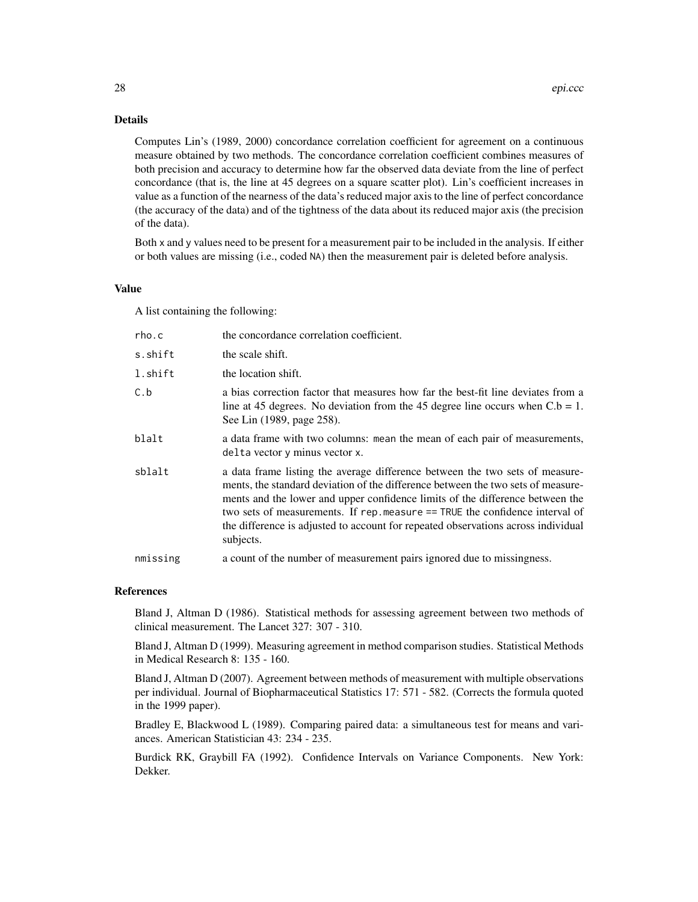# Details

Computes Lin's (1989, 2000) concordance correlation coefficient for agreement on a continuous measure obtained by two methods. The concordance correlation coefficient combines measures of both precision and accuracy to determine how far the observed data deviate from the line of perfect concordance (that is, the line at 45 degrees on a square scatter plot). Lin's coefficient increases in value as a function of the nearness of the data's reduced major axis to the line of perfect concordance (the accuracy of the data) and of the tightness of the data about its reduced major axis (the precision of the data).

Both x and y values need to be present for a measurement pair to be included in the analysis. If either or both values are missing (i.e., coded NA) then the measurement pair is deleted before analysis.

#### Value

A list containing the following:

| rho.c    | the concordance correlation coefficient.                                                                                                                                                                                                                                                                                                                                                                                           |  |
|----------|------------------------------------------------------------------------------------------------------------------------------------------------------------------------------------------------------------------------------------------------------------------------------------------------------------------------------------------------------------------------------------------------------------------------------------|--|
| s.shift  | the scale shift.                                                                                                                                                                                                                                                                                                                                                                                                                   |  |
| l.shift  | the location shift.                                                                                                                                                                                                                                                                                                                                                                                                                |  |
| C.b      | a bias correction factor that measures how far the best-fit line deviates from a<br>line at 45 degrees. No deviation from the 45 degree line occurs when $C.b = 1$ .<br>See Lin (1989, page 258).                                                                                                                                                                                                                                  |  |
| blalt    | a data frame with two columns: mean the mean of each pair of measurements,<br>delta vector y minus vector x.                                                                                                                                                                                                                                                                                                                       |  |
| sblalt   | a data frame listing the average difference between the two sets of measure-<br>ments, the standard deviation of the difference between the two sets of measure-<br>ments and the lower and upper confidence limits of the difference between the<br>two sets of measurements. If rep.measure == TRUE the confidence interval of<br>the difference is adjusted to account for repeated observations across individual<br>subjects. |  |
| nmissing | a count of the number of measurement pairs ignored due to missingness.                                                                                                                                                                                                                                                                                                                                                             |  |

#### References

Bland J, Altman D (1986). Statistical methods for assessing agreement between two methods of clinical measurement. The Lancet 327: 307 - 310.

Bland J, Altman D (1999). Measuring agreement in method comparison studies. Statistical Methods in Medical Research 8: 135 - 160.

Bland J, Altman D (2007). Agreement between methods of measurement with multiple observations per individual. Journal of Biopharmaceutical Statistics 17: 571 - 582. (Corrects the formula quoted in the 1999 paper).

Bradley E, Blackwood L (1989). Comparing paired data: a simultaneous test for means and variances. American Statistician 43: 234 - 235.

Burdick RK, Graybill FA (1992). Confidence Intervals on Variance Components. New York: Dekker.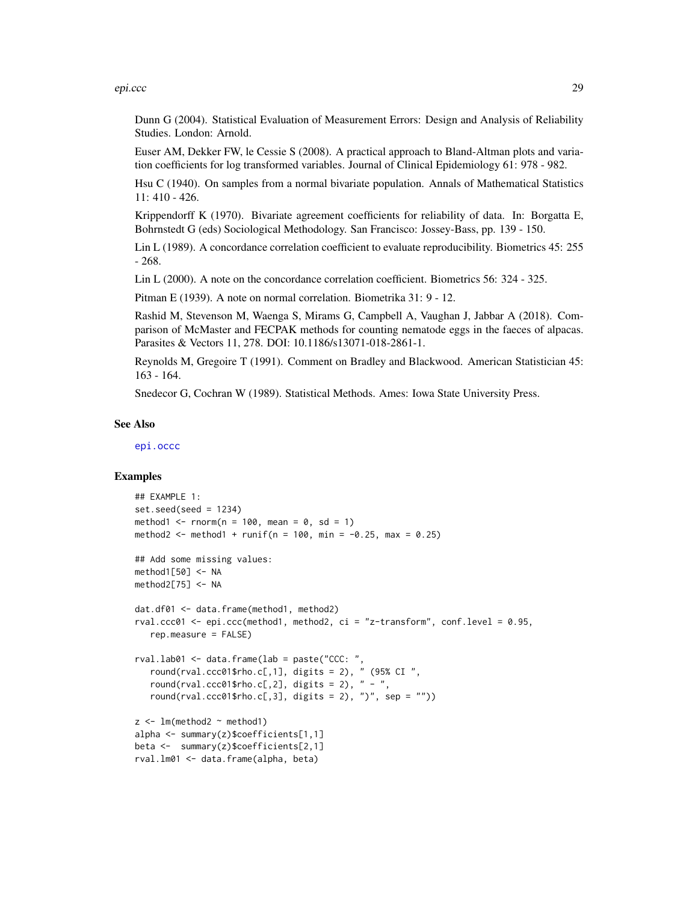#### epi.ccc 29

Dunn G (2004). Statistical Evaluation of Measurement Errors: Design and Analysis of Reliability Studies. London: Arnold.

Euser AM, Dekker FW, le Cessie S (2008). A practical approach to Bland-Altman plots and variation coefficients for log transformed variables. Journal of Clinical Epidemiology 61: 978 - 982.

Hsu C (1940). On samples from a normal bivariate population. Annals of Mathematical Statistics 11: 410 - 426.

Krippendorff K (1970). Bivariate agreement coefficients for reliability of data. In: Borgatta E, Bohrnstedt G (eds) Sociological Methodology. San Francisco: Jossey-Bass, pp. 139 - 150.

Lin L (1989). A concordance correlation coefficient to evaluate reproducibility. Biometrics 45: 255 - 268.

Lin L (2000). A note on the concordance correlation coefficient. Biometrics 56: 324 - 325.

Pitman E (1939). A note on normal correlation. Biometrika 31: 9 - 12.

Rashid M, Stevenson M, Waenga S, Mirams G, Campbell A, Vaughan J, Jabbar A (2018). Comparison of McMaster and FECPAK methods for counting nematode eggs in the faeces of alpacas. Parasites & Vectors 11, 278. DOI: 10.1186/s13071-018-2861-1.

Reynolds M, Gregoire T (1991). Comment on Bradley and Blackwood. American Statistician 45: 163 - 164.

Snedecor G, Cochran W (1989). Statistical Methods. Ames: Iowa State University Press.

#### See Also

[epi.occc](#page-76-1)

#### Examples

```
## EXAMPLE 1:
set.seed(seed = 1234)
method1 \le- rnorm(n = 100, mean = 0, sd = 1)
method2 <- method1 + runif(n = 100, min = -0.25, max = 0.25)
## Add some missing values:
method1[50] < -NAmethod2[75] <- NA
dat.df01 <- data.frame(method1, method2)
rval.ccc01 <- epi.ccc(method1, method2, ci = "z-transform", conf.level = 0.95,
   rep.measure = FALSE)
rval.lab01 <- data.frame(lab = paste("CCC: ",
   round(rval.ccc01$rho.c[,1], digits = 2), " (95% CI",
   round(rval.ccc01$rho.c[,2], digits = 2), " - ",
  round(rval.ccc01$rho.c[,3], digits = 2), ")", sep = ""))
z \leq 1m(method2 ~ method1)
alpha <- summary(z)$coefficients[1,1]
beta <- summary(z)$coefficients[2,1]
rval.lm01 <- data.frame(alpha, beta)
```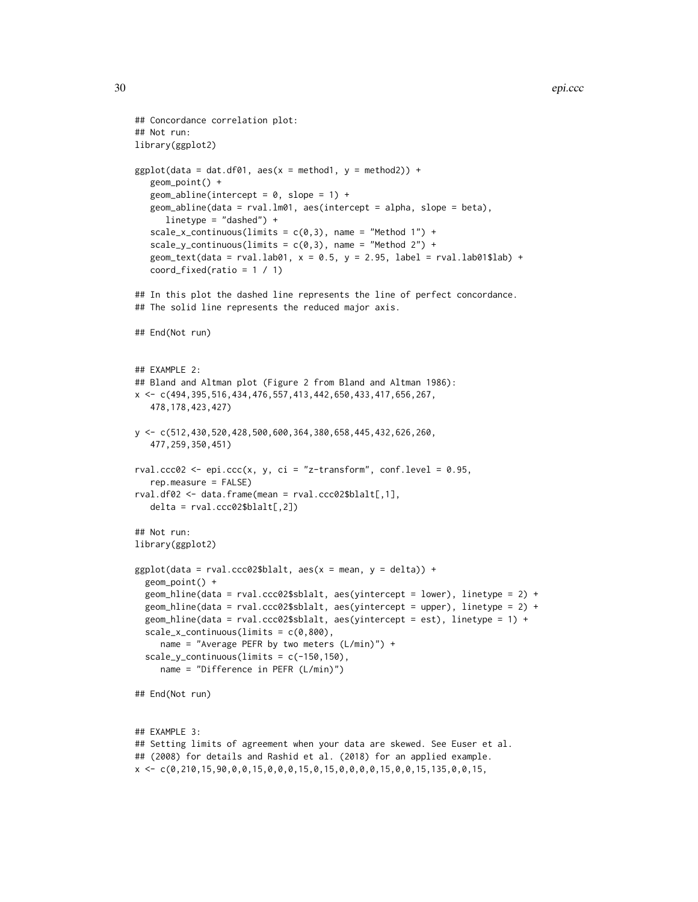```
30 epi.ccc
```

```
## Concordance correlation plot:
## Not run:
library(ggplot2)
ggplot(data = dat.df01, aes(x = method1, y = method2)) +geom_point() +
   geom_abline(intercept = 0, slope = 1) +
   geom_abline(data = rval.lm01, aes(intercept = alpha, slope = beta),
      linetype = "dashed") +
   scale_x_{continuous(limits = c(0,3), name = "Method 1") +scale_y_continuous(limits = c(0,3), name = "Method 2") +
   geom_text(data = rval.lab01, x = 0.5, y = 2.95, label = rval.lab01$lab) +
   coord_fixed(ratio = 1 / 1)
## In this plot the dashed line represents the line of perfect concordance.
## The solid line represents the reduced major axis.
## End(Not run)
## EXAMPLE 2:
## Bland and Altman plot (Figure 2 from Bland and Altman 1986):
x <- c(494,395,516,434,476,557,413,442,650,433,417,656,267,
   478,178,423,427)
y <- c(512,430,520,428,500,600,364,380,658,445,432,626,260,
   477,259,350,451)
rval.ccc02 <- epi.ccc(x, y, ci = "z-transform", conf.level = 0.95,
  rep.measure = FALSE)
rval.df02 <- data.frame(mean = rval.ccc02$blalt[,1],
   delta = rval.ccc02$blalt[, 2])## Not run:
library(ggplot2)
ggplot(data = rval.ccc02$blalt, aes(x = mean, y = delta)) +geom_point() +
  geom_hline(data = rval.ccc02$sblalt, aes(yintercept = lower), linetype = 2) +
  geom_hline(data = rval.ccc02$sblalt, aes(yintercept = upper), linetype = 2) +
  geom_hline(data = rval.ccc02$sblalt, aes(yintercept = est), linetype = 1) +
  scale_x_continuous(limits = c(0,800),
     name = "Average PEFR by two meters (L/min)") +
  scale_y_continuous(limits = c(-150, 150),
     name = "Difference in PEFR (L/min)")
## End(Not run)
## EXAMPLE 3:
## Setting limits of agreement when your data are skewed. See Euser et al.
## (2008) for details and Rashid et al. (2018) for an applied example.
x \leq -c(0, 210, 15, 90, 0, 0, 15, 0, 0, 0, 15, 0, 15, 0, 0, 0, 15, 0, 0, 15, 135, 0, 0, 15,
```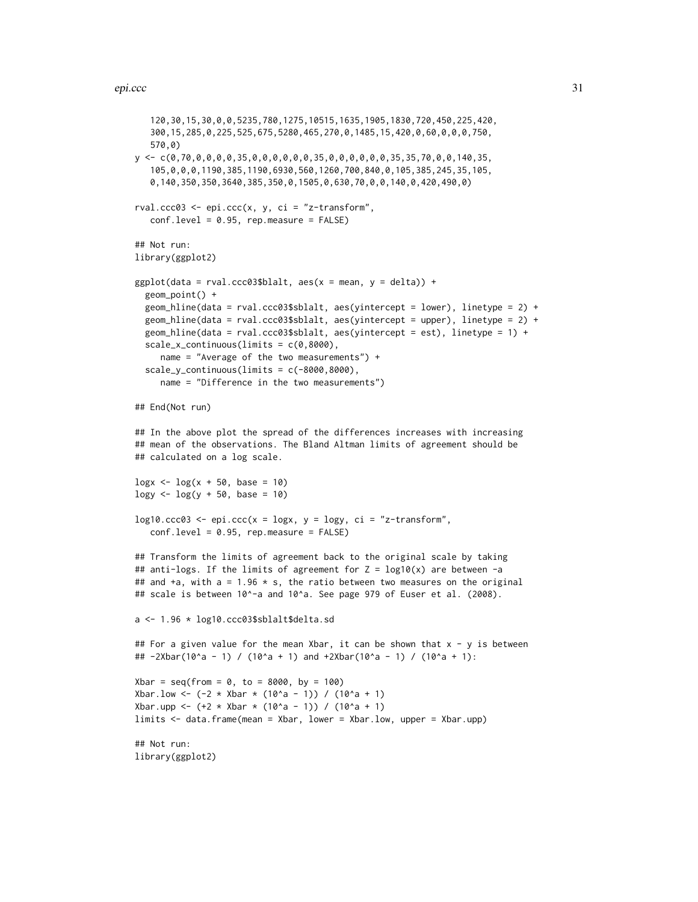```
120,30,15,30,0,0,5235,780,1275,10515,1635,1905,1830,720,450,225,420,
   300,15,285,0,225,525,675,5280,465,270,0,1485,15,420,0,60,0,0,0,750,
   570,0)
y \leftarrow c(0, 70, 0, 0, 0, 0, 35, 0, 0, 0, 0, 0, 35, 0, 0, 0, 0, 0, 0, 35, 35, 70, 0, 0, 140, 35,105,0,0,0,1190,385,1190,6930,560,1260,700,840,0,105,385,245,35,105,
   0,140,350,350,3640,385,350,0,1505,0,630,70,0,0,140,0,420,490,0)
rval.ccc03 \leq epi.ccc(x, y, ci = "z-transform",conf.level = 0.95, rep.measure = FALSE)
## Not run:
library(ggplot2)
ggplot(data = rval.ccc03$blalt, aes(x = mean, y = delta)) +geom_point() +
 geom_hline(data = rval.ccc03$sblalt, aes(yintercept = lower), linetype = 2) +
 geom_hline(data = rval.ccc03$sblalt, aes(yintercept = upper), linetype = 2) +
 geom_hline(data = rval.ccc03$sblalt, aes(yintercept = est), linetype = 1) +
 scale_x_{continuous} (limits = c(0,8000),name = "Average of the two measurements") +
 scale_y_{continuous(limits = c(-8000, 8000)),
     name = "Difference in the two measurements")
## End(Not run)
## In the above plot the spread of the differences increases with increasing
## mean of the observations. The Bland Altman limits of agreement should be
## calculated on a log scale.
\log x <- \log(x + 50, \text{ base} = 10)\log y <- \log(y + 50, \text{base} = 10)log10.ccc03 \leq epi.ccc(x = logx, y = logy, ci = "z-transform",conf.level = 0.95, rep.measure = FALSE)
## Transform the limits of agreement back to the original scale by taking
## anti-logs. If the limits of agreement for Z = log10(x) are between -a
## and +a, with a = 1.96 * s, the ratio between two measures on the original
## scale is between 10^-a and 10^a. See page 979 of Euser et al. (2008).
a <- 1.96 * log10.ccc03$sblalt$delta.sd
## For a given value for the mean Xbar, it can be shown that x - y is between
## -2Xbar(10^a - 1) / (10^a + 1) and +2Xbar(10^a - 1) / (10^a + 1):
Xbar = seq(from = 0, to = 8000, by = 100)Xbar.low <- (-2 \times X)bar *(10^2a - 1)) / (10^2a + 1)Xbar.upp <- (+2 \times \text{X} \text{bar} \times (10^2 \text{ a } - 1)) / (10^2 \text{ a } + 1)limits <- data.frame(mean = Xbar, lower = Xbar.low, upper = Xbar.upp)
## Not run:
library(ggplot2)
```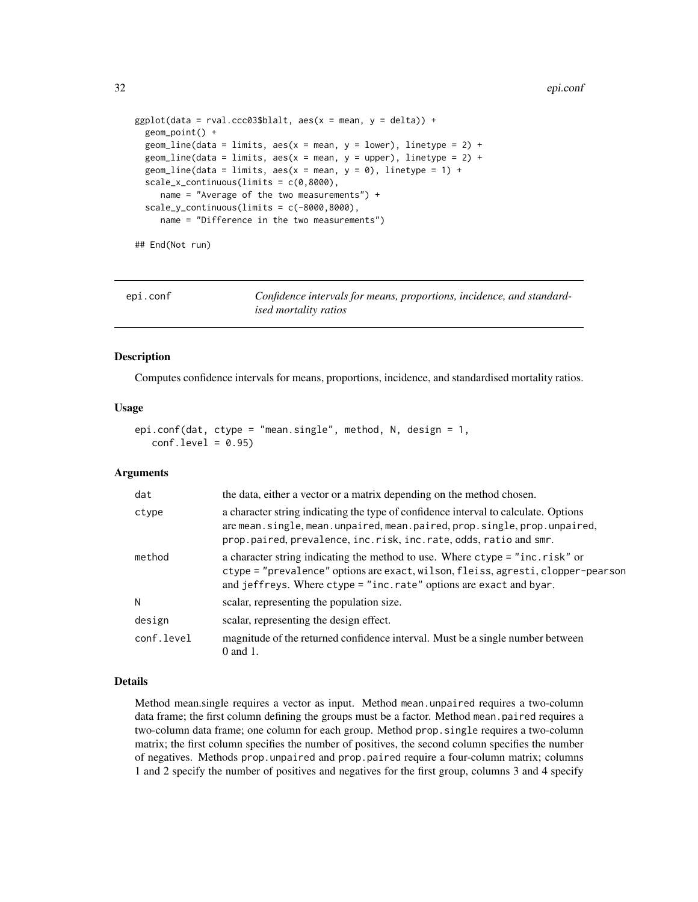```
ggplot(data = rval.ccc03$blalt, aes(x = mean, y = delta)) +geom_point() +
 geom\_line(data = limits, aes(x = mean, y = lower), linetype = 2) +geom_line(data = limits, aes(x = mean, y = upper), linetype = 2) +
 geom_line(data = limits, aes(x = mean, y = 0), linetype = 1) +
 scale_x_continuous(limits = c(0,8000),
    name = "Average of the two measurements") +
 scale_y_continuous(limits = c(-8000,8000),
    name = "Difference in the two measurements")
```
## End(Not run)

<span id="page-31-1"></span>epi.conf *Confidence intervals for means, proportions, incidence, and standardised mortality ratios*

#### Description

Computes confidence intervals for means, proportions, incidence, and standardised mortality ratios.

#### Usage

```
epi.conf(dat, ctype = "mean.single", method, N, design = 1,
   conf<math>level = 0.95
```
#### Arguments

| dat        | the data, either a vector or a matrix depending on the method chosen.                                                                                                                                                                  |  |
|------------|----------------------------------------------------------------------------------------------------------------------------------------------------------------------------------------------------------------------------------------|--|
| ctype      | a character string indicating the type of confidence interval to calculate. Options<br>are mean.single, mean.unpaired, mean.paired, prop.single, prop.unpaired,<br>prop.paired, prevalence, inc.risk, inc.rate, odds, ratio and smr.   |  |
| method     | a character string indicating the method to use. Where ctype = "inc.risk" or<br>ctype = "prevalence" options are exact, wilson, fleiss, agresti, clopper-pearson<br>and jeffreys. Where ctype = "inc.rate" options are exact and byar. |  |
| N          | scalar, representing the population size.                                                                                                                                                                                              |  |
| design     | scalar, representing the design effect.                                                                                                                                                                                                |  |
| conf.level | magnitude of the returned confidence interval. Must be a single number between<br>$0$ and $1$ .                                                                                                                                        |  |

#### Details

Method mean.single requires a vector as input. Method mean.unpaired requires a two-column data frame; the first column defining the groups must be a factor. Method mean.paired requires a two-column data frame; one column for each group. Method prop.single requires a two-column matrix; the first column specifies the number of positives, the second column specifies the number of negatives. Methods prop.unpaired and prop.paired require a four-column matrix; columns 1 and 2 specify the number of positives and negatives for the first group, columns 3 and 4 specify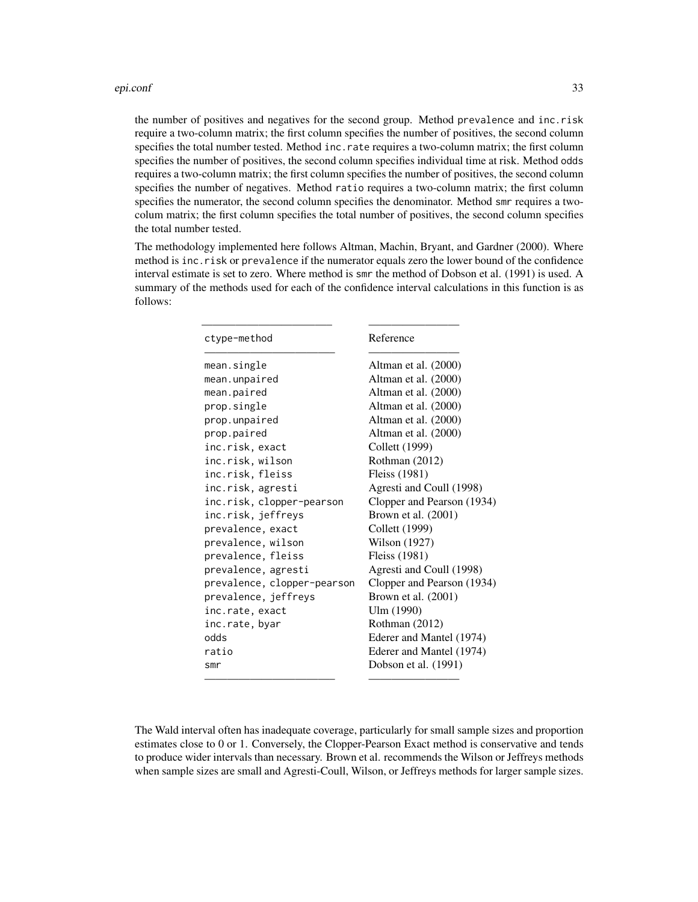the number of positives and negatives for the second group. Method prevalence and inc.risk require a two-column matrix; the first column specifies the number of positives, the second column specifies the total number tested. Method inc.rate requires a two-column matrix; the first column specifies the number of positives, the second column specifies individual time at risk. Method odds requires a two-column matrix; the first column specifies the number of positives, the second column specifies the number of negatives. Method ratio requires a two-column matrix; the first column specifies the numerator, the second column specifies the denominator. Method smr requires a twocolum matrix; the first column specifies the total number of positives, the second column specifies the total number tested.

The methodology implemented here follows Altman, Machin, Bryant, and Gardner (2000). Where method is inc.risk or prevalence if the numerator equals zero the lower bound of the confidence interval estimate is set to zero. Where method is smr the method of Dobson et al. (1991) is used. A summary of the methods used for each of the confidence interval calculations in this function is as follows:

| ctype-method                | Reference                  |
|-----------------------------|----------------------------|
| mean.single                 | Altman et al. (2000)       |
| mean.unpaired               | Altman et al. (2000)       |
| mean.paired                 | Altman et al. (2000)       |
| prop.single                 | Altman et al. (2000)       |
| prop.unpaired               | Altman et al. (2000)       |
| prop.paired                 | Altman et al. (2000)       |
| inc.risk, exact             | Collett (1999)             |
| inc.risk, wilson            | Rothman (2012)             |
| inc.risk, fleiss            | Fleiss (1981)              |
| inc.risk, agresti           | Agresti and Coull (1998)   |
| inc.risk, clopper-pearson   | Clopper and Pearson (1934) |
| inc.risk, jeffreys          | Brown et al. (2001)        |
| prevalence, exact           | Collett (1999)             |
| prevalence, wilson          | Wilson (1927)              |
| prevalence, fleiss          | Fleiss (1981)              |
| prevalence, agresti         | Agresti and Coull (1998)   |
| prevalence, clopper-pearson | Clopper and Pearson (1934) |
| prevalence, jeffreys        | Brown et al. (2001)        |
| inc.rate, exact             | Ulm (1990)                 |
| inc.rate, byar              | Rothman (2012)             |
| odds                        | Ederer and Mantel (1974)   |
| ratio                       | Ederer and Mantel (1974)   |
| smr                         | Dobson et al. (1991)       |

The Wald interval often has inadequate coverage, particularly for small sample sizes and proportion estimates close to 0 or 1. Conversely, the Clopper-Pearson Exact method is conservative and tends to produce wider intervals than necessary. Brown et al. recommends the Wilson or Jeffreys methods when sample sizes are small and Agresti-Coull, Wilson, or Jeffreys methods for larger sample sizes.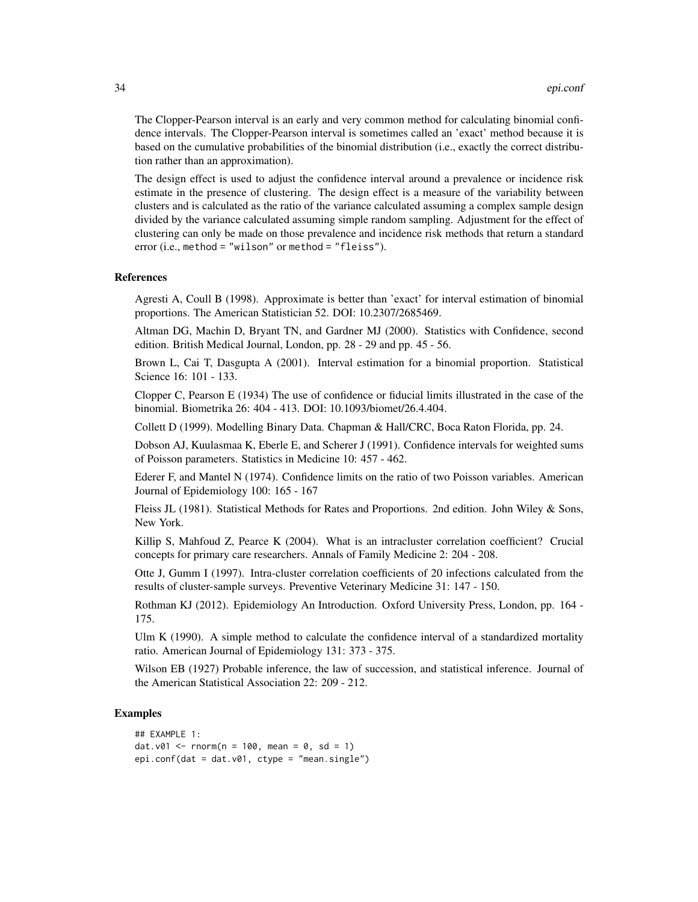The Clopper-Pearson interval is an early and very common method for calculating binomial confidence intervals. The Clopper-Pearson interval is sometimes called an 'exact' method because it is based on the cumulative probabilities of the binomial distribution (i.e., exactly the correct distribution rather than an approximation).

The design effect is used to adjust the confidence interval around a prevalence or incidence risk estimate in the presence of clustering. The design effect is a measure of the variability between clusters and is calculated as the ratio of the variance calculated assuming a complex sample design divided by the variance calculated assuming simple random sampling. Adjustment for the effect of clustering can only be made on those prevalence and incidence risk methods that return a standard error (i.e., method = "wilson" or method = "fleiss").

#### References

Agresti A, Coull B (1998). Approximate is better than 'exact' for interval estimation of binomial proportions. The American Statistician 52. DOI: 10.2307/2685469.

Altman DG, Machin D, Bryant TN, and Gardner MJ (2000). Statistics with Confidence, second edition. British Medical Journal, London, pp. 28 - 29 and pp. 45 - 56.

Brown L, Cai T, Dasgupta A (2001). Interval estimation for a binomial proportion. Statistical Science 16: 101 - 133.

Clopper C, Pearson E (1934) The use of confidence or fiducial limits illustrated in the case of the binomial. Biometrika 26: 404 - 413. DOI: 10.1093/biomet/26.4.404.

Collett D (1999). Modelling Binary Data. Chapman & Hall/CRC, Boca Raton Florida, pp. 24.

Dobson AJ, Kuulasmaa K, Eberle E, and Scherer J (1991). Confidence intervals for weighted sums of Poisson parameters. Statistics in Medicine 10: 457 - 462.

Ederer F, and Mantel N (1974). Confidence limits on the ratio of two Poisson variables. American Journal of Epidemiology 100: 165 - 167

Fleiss JL (1981). Statistical Methods for Rates and Proportions. 2nd edition. John Wiley & Sons, New York.

Killip S, Mahfoud Z, Pearce K (2004). What is an intracluster correlation coefficient? Crucial concepts for primary care researchers. Annals of Family Medicine 2: 204 - 208.

Otte J, Gumm I (1997). Intra-cluster correlation coefficients of 20 infections calculated from the results of cluster-sample surveys. Preventive Veterinary Medicine 31: 147 - 150.

Rothman KJ (2012). Epidemiology An Introduction. Oxford University Press, London, pp. 164 - 175.

Ulm K (1990). A simple method to calculate the confidence interval of a standardized mortality ratio. American Journal of Epidemiology 131: 373 - 375.

Wilson EB (1927) Probable inference, the law of succession, and statistical inference. Journal of the American Statistical Association 22: 209 - 212.

#### Examples

```
## EXAMPLE 1:
dat.v01 <- rnorm(n = 100, mean = 0, sd = 1)epi.conf(dat = dat.v01, ctype = "mean.single")
```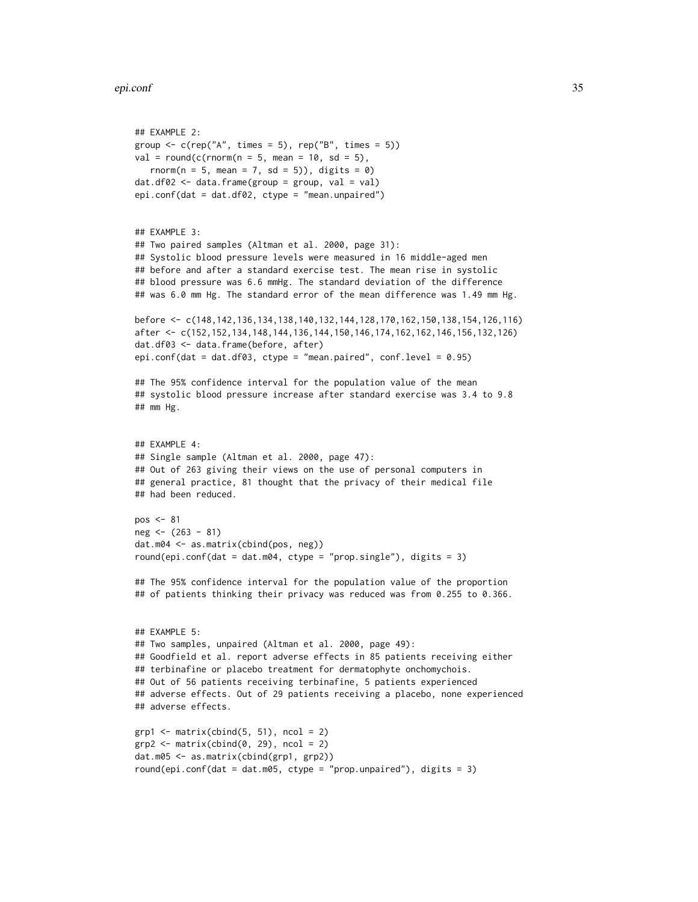```
## EXAMPLE 2:
group \leq c(rep("A", times = 5), rep("B", times = 5))
val = round(c(rnorm(n = 5, mean = 10, sd = 5)),
  rnorm(n = 5, mean = 7, sd = 5)), digits = 0)
dat.df@2 \leq dataframe(group = group, val = val)epi.conf(dat = dat.df02, ctype = "mean.unpaired")
## EXAMPLE 3:
## Two paired samples (Altman et al. 2000, page 31):
## Systolic blood pressure levels were measured in 16 middle-aged men
## before and after a standard exercise test. The mean rise in systolic
## blood pressure was 6.6 mmHg. The standard deviation of the difference
## was 6.0 mm Hg. The standard error of the mean difference was 1.49 mm Hg.
before <- c(148,142,136,134,138,140,132,144,128,170,162,150,138,154,126,116)
after <- c(152,152,134,148,144,136,144,150,146,174,162,162,146,156,132,126)
dat.df03 <- data.frame(before, after)
epi.conf(dat = dat.df03, ctype = "mean.paired", conf.level = 0.95)
## The 95% confidence interval for the population value of the mean
## systolic blood pressure increase after standard exercise was 3.4 to 9.8
## mm Hg.
## EXAMPLE 4:
## Single sample (Altman et al. 2000, page 47):
## Out of 263 giving their views on the use of personal computers in
## general practice, 81 thought that the privacy of their medical file
## had been reduced.
pos <- 81
neg <- (263 - 81)
dat.m04 <- as.matrix(cbind(pos, neg))
round(epi.conf(dat = dat.m04, ctype = "prop.single"), digits = 3)
## The 95% confidence interval for the population value of the proportion
## of patients thinking their privacy was reduced was from 0.255 to 0.366.
## EXAMPLE 5:
## Two samples, unpaired (Altman et al. 2000, page 49):
## Goodfield et al. report adverse effects in 85 patients receiving either
## terbinafine or placebo treatment for dermatophyte onchomychois.
## Out of 56 patients receiving terbinafine, 5 patients experienced
## adverse effects. Out of 29 patients receiving a placebo, none experienced
## adverse effects.
grp1 \leftarrow matrix(cbind(5, 51), ncol = 2)grp2 \leq -\text{matrix}(\text{cbind}(0, 29), \text{ncol} = 2)dat.m05 <- as.matrix(cbind(grp1, grp2))
round(epi.conf(dat = dat.m05, ctype = "prop.unpaired"), digits = 3)
```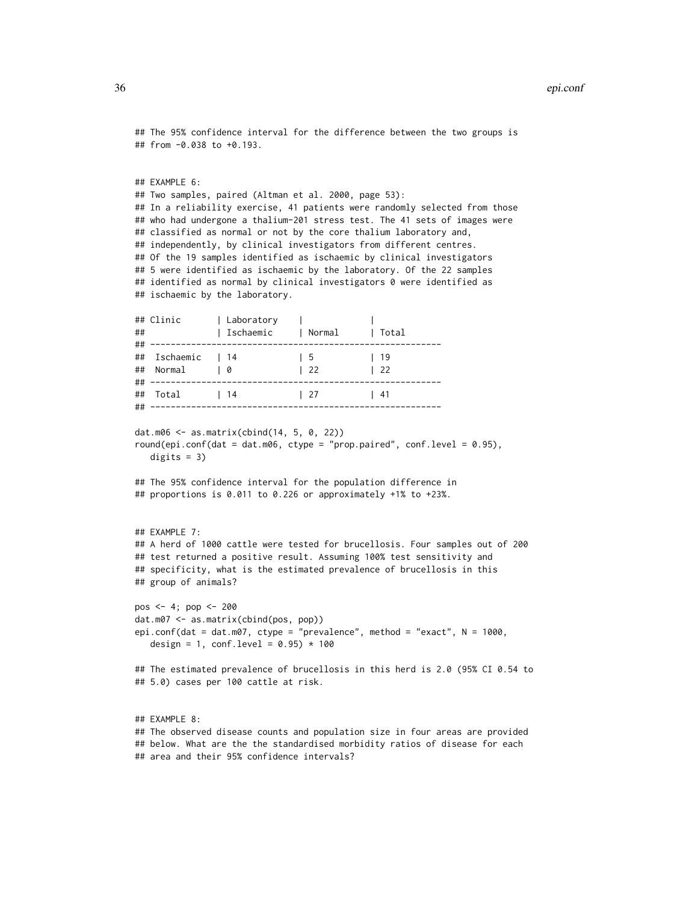#### 36 epi.conf

```
## The 95% confidence interval for the difference between the two groups is
## from -0.038 to +0.193.
## EXAMPLE 6:
## Two samples, paired (Altman et al. 2000, page 53):
## In a reliability exercise, 41 patients were randomly selected from those
## who had undergone a thalium-201 stress test. The 41 sets of images were
## classified as normal or not by the core thalium laboratory and,
## independently, by clinical investigators from different centres.
## Of the 19 samples identified as ischaemic by clinical investigators
## 5 were identified as ischaemic by the laboratory. Of the 22 samples
## identified as normal by clinical investigators 0 were identified as
## ischaemic by the laboratory.
## Clinic | Laboratory | |
## | Ischaemic | Normal | Total
## ---------------------------------------------------------
## Ischaemic | 14 | 5 | 19
## Normal | 0 | 22 | 22
## ---------------------------------------------------------
## Total | 14 | 27 | 41
## ---------------------------------------------------------
dat.m06 <- as.matrix(cbind(14, 5, 0, 22))
round(epi.conf(dat = dat.m06, ctype = "prop.paired", conf.level = 0.95),
  digits = 3)
## The 95% confidence interval for the population difference in
## proportions is 0.011 to 0.226 or approximately +1% to +23%.
## EXAMPLE 7:
## A herd of 1000 cattle were tested for brucellosis. Four samples out of 200
## test returned a positive result. Assuming 100% test sensitivity and
## specificity, what is the estimated prevalence of brucellosis in this
## group of animals?
pos <- 4; pop <- 200
dat.m07 <- as.matrix(cbind(pos, pop))
epi.conf(dat = dat.m07, ctype = "prevalence", method = "exact", N = 1000,
  design = 1, conf.level = 0.95) * 100
## The estimated prevalence of brucellosis in this herd is 2.0 (95% CI 0.54 to
## 5.0) cases per 100 cattle at risk.
## EXAMPLE 8:
## The observed disease counts and population size in four areas are provided
## below. What are the the standardised morbidity ratios of disease for each
```
## area and their 95% confidence intervals?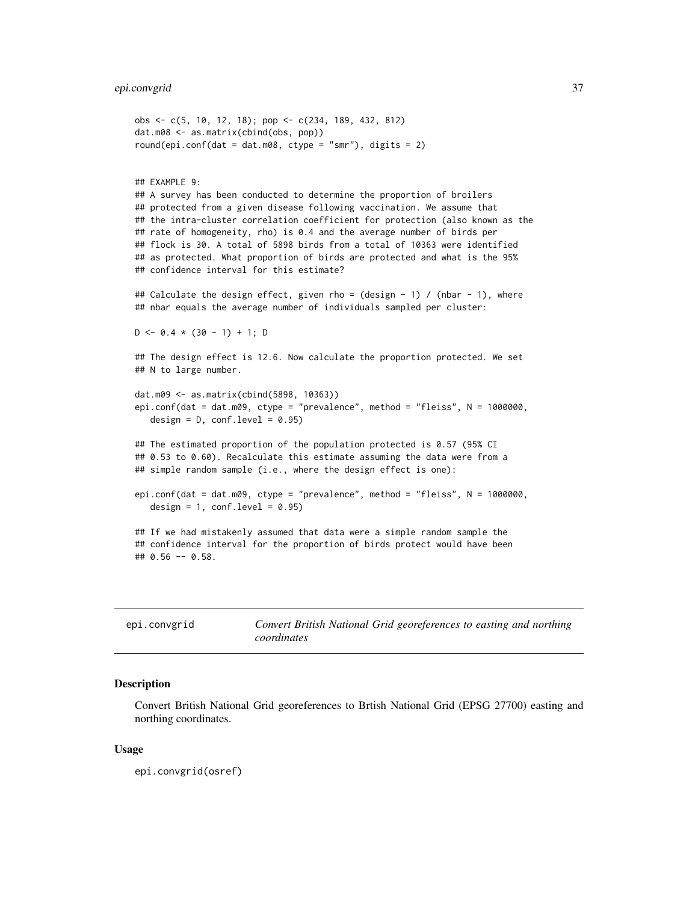### epi.convgrid 37

```
obs <- c(5, 10, 12, 18); pop <- c(234, 189, 432, 812)
dat.m08 <- as.matrix(cbind(obs, pop))
round(epi.conf(dat = dat.m08, ctype = "smr"), digits = 2)
## EXAMPLE 9:
## A survey has been conducted to determine the proportion of broilers
## protected from a given disease following vaccination. We assume that
## the intra-cluster correlation coefficient for protection (also known as the
## rate of homogeneity, rho) is 0.4 and the average number of birds per
## flock is 30. A total of 5898 birds from a total of 10363 were identified
## as protected. What proportion of birds are protected and what is the 95%
## confidence interval for this estimate?
## Calculate the design effect, given rho = (design - 1) / (nbar - 1), where
## nbar equals the average number of individuals sampled per cluster:
D \le -0.4 \times (30 - 1) + 1; D
## The design effect is 12.6. Now calculate the proportion protected. We set
## N to large number.
dat.m09 <- as.matrix(cbind(5898, 10363))
epi.conf(dat = dat.m09, ctype = "prevalence", method = "fleiss", N = 1000000,
  design = D, conf.level = 0.95)
## The estimated proportion of the population protected is 0.57 (95% CI
## 0.53 to 0.60). Recalculate this estimate assuming the data were from a
## simple random sample (i.e., where the design effect is one):
epi.conf(dat = dat.m09, ctype = "prevalence", method = "fleiss", N = 1000000,
  design = 1, conf. level = 0.95)
## If we had mistakenly assumed that data were a simple random sample the
## confidence interval for the proportion of birds protect would have been
## 0.56 -- 0.58.
```

| epi.convgrid | Convert British National Grid georeferences to easting and northing |
|--------------|---------------------------------------------------------------------|
|              | coordinates                                                         |

### **Description**

Convert British National Grid georeferences to Brtish National Grid (EPSG 27700) easting and northing coordinates.

### Usage

epi.convgrid(osref)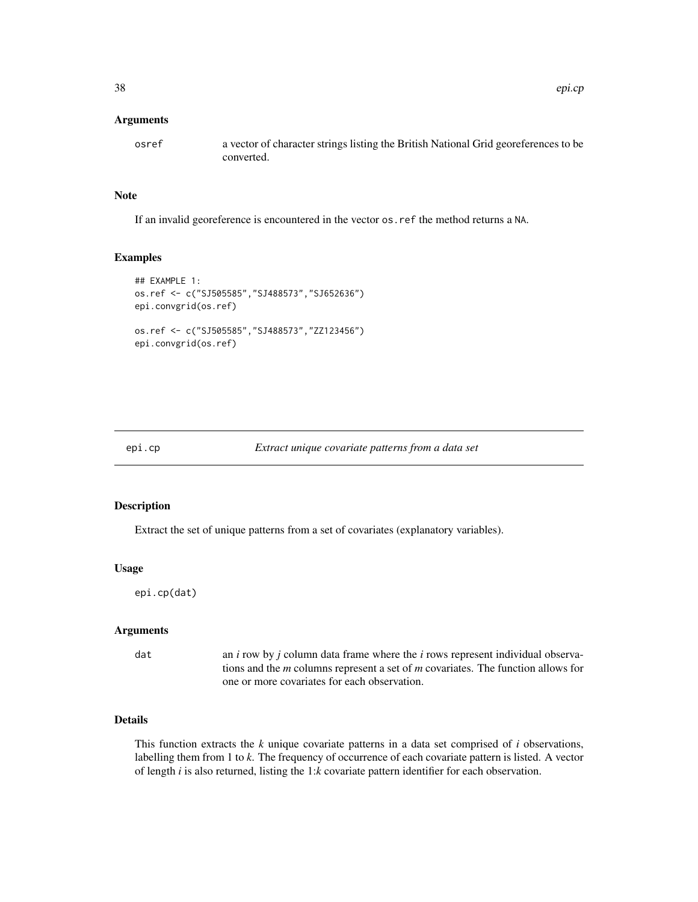osref a vector of character strings listing the British National Grid georeferences to be converted.

# Note

If an invalid georeference is encountered in the vector os.ref the method returns a NA.

### Examples

```
## EXAMPLE 1:
os.ref <- c("SJ505585","SJ488573","SJ652636")
epi.convgrid(os.ref)
os.ref <- c("SJ505585","SJ488573","ZZ123456")
epi.convgrid(os.ref)
```
<span id="page-37-0"></span>

#### epi.cp *Extract unique covariate patterns from a data set*

# Description

Extract the set of unique patterns from a set of covariates (explanatory variables).

#### Usage

epi.cp(dat)

# Arguments

dat an *i* row by *j* column data frame where the *i* rows represent individual observations and the *m* columns represent a set of *m* covariates. The function allows for one or more covariates for each observation.

# Details

This function extracts the *k* unique covariate patterns in a data set comprised of *i* observations, labelling them from 1 to *k*. The frequency of occurrence of each covariate pattern is listed. A vector of length *i* is also returned, listing the 1:*k* covariate pattern identifier for each observation.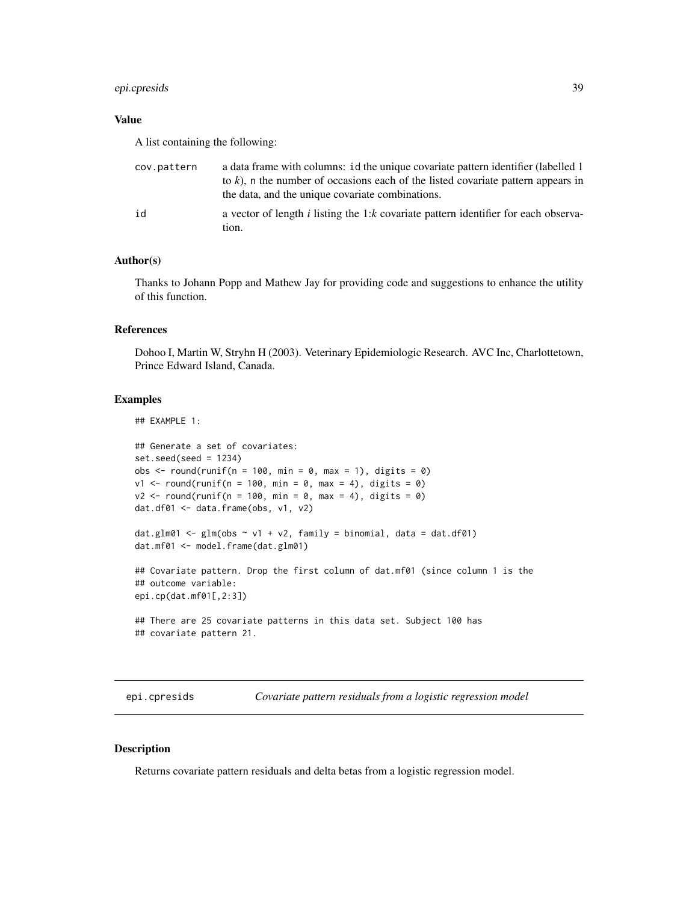# epi.cpresids 39

# Value

A list containing the following:

| cov.pattern | a data frame with columns: id the unique covariate pattern identifier (labelled 1)<br>to k), n the number of occasions each of the listed covariate pattern appears in<br>the data, and the unique covariate combinations. |
|-------------|----------------------------------------------------------------------------------------------------------------------------------------------------------------------------------------------------------------------------|
| id          | a vector of length <i>i</i> listing the 1: <i>k</i> covariate pattern identifier for each observa-<br>tion.                                                                                                                |

# Author(s)

Thanks to Johann Popp and Mathew Jay for providing code and suggestions to enhance the utility of this function.

## References

Dohoo I, Martin W, Stryhn H (2003). Veterinary Epidemiologic Research. AVC Inc, Charlottetown, Prince Edward Island, Canada.

## Examples

```
## EXAMPLE 1:
## Generate a set of covariates:
set.seed(seed = 1234)
obs \le round(runif(n = 100, min = 0, max = 1), digits = 0)
v1 \le round(runif(n = 100, min = 0, max = 4), digits = 0)
v2 \le round(runif(n = 100, min = 0, max = 4), digits = 0)
dat.df01 <- data.frame(obs, v1, v2)
dat.glm01 \leq glm(obs \sim v1 + v2, family = binomial, data = dat.df01)dat.mf01 <- model.frame(dat.glm01)
## Covariate pattern. Drop the first column of dat.mf01 (since column 1 is the
## outcome variable:
epi.cp(dat.mf01[,2:3])
## There are 25 covariate patterns in this data set. Subject 100 has
## covariate pattern 21.
```
epi.cpresids *Covariate pattern residuals from a logistic regression model*

### Description

Returns covariate pattern residuals and delta betas from a logistic regression model.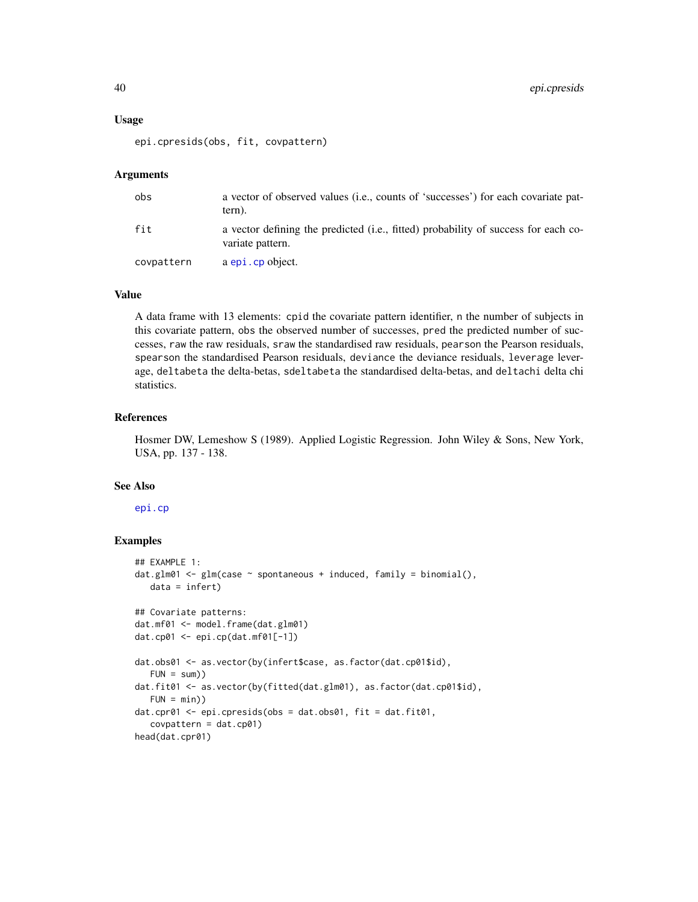#### Usage

epi.cpresids(obs, fit, covpattern)

# Arguments

| obs        | a vector of observed values ( <i>i.e.</i> , counts of 'successes') for each covariate pat-<br>tern).   |
|------------|--------------------------------------------------------------------------------------------------------|
| fit        | a vector defining the predicted (i.e., fitted) probability of success for each co-<br>variate pattern. |
| covpattern | a epi.cp object.                                                                                       |

## Value

A data frame with 13 elements: cpid the covariate pattern identifier, n the number of subjects in this covariate pattern, obs the observed number of successes, pred the predicted number of successes, raw the raw residuals, sraw the standardised raw residuals, pearson the Pearson residuals, spearson the standardised Pearson residuals, deviance the deviance residuals, leverage leverage, deltabeta the delta-betas, sdeltabeta the standardised delta-betas, and deltachi delta chi statistics.

### References

Hosmer DW, Lemeshow S (1989). Applied Logistic Regression. John Wiley & Sons, New York, USA, pp. 137 - 138.

# See Also

[epi.cp](#page-37-0)

```
## EXAMPLE 1:
dat.glm@1 \leq glm(case \leq spontaneous + induced, family = binomial(),data = infert)## Covariate patterns:
dat.mf01 <- model.frame(dat.glm01)
dat.cp01 <- epi.cp(dat.mf01[-1])
dat.obs01 <- as.vector(by(infert$case, as.factor(dat.cp01$id),
  FUN = sum)dat.fit01 <- as.vector(by(fitted(dat.glm01), as.factor(dat.cp01$id),
  FUN = min))
dat.cpr01 <- epi.cpresids(obs = dat.obs01, fit = dat.fit01,
  covpattern = dat.cp01)
head(dat.cpr01)
```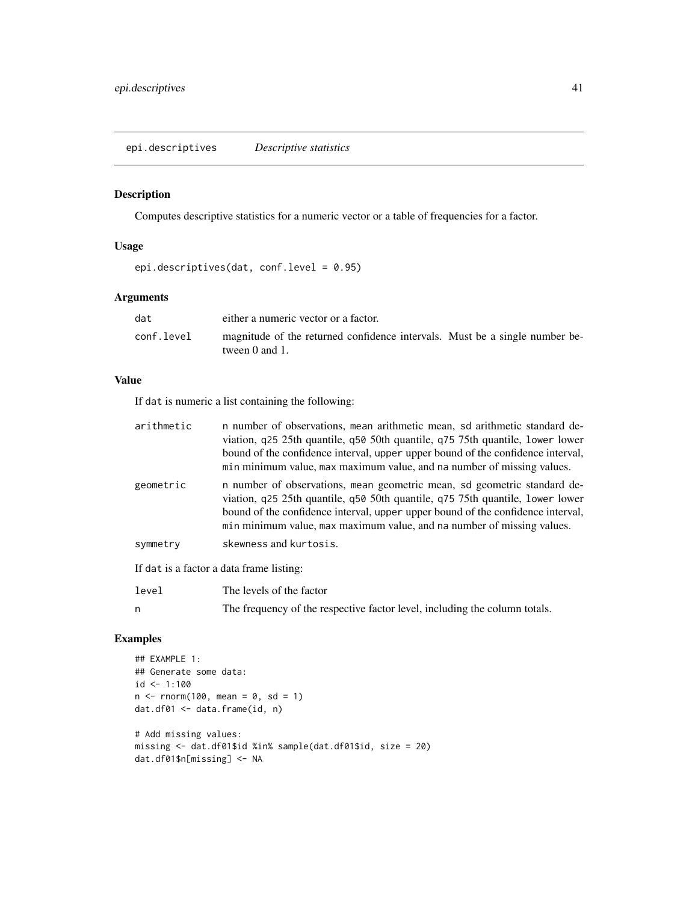# Description

Computes descriptive statistics for a numeric vector or a table of frequencies for a factor.

# Usage

epi.descriptives(dat, conf.level = 0.95)

# Arguments

| dat        | either a numeric vector or a factor.                                                               |  |
|------------|----------------------------------------------------------------------------------------------------|--|
| conf.level | magnitude of the returned confidence intervals. Must be a single number be-<br>tween $0$ and $1$ . |  |

# Value

If dat is numeric a list containing the following:

| arithmetic | n number of observations, mean arithmetic mean, so arithmetic standard de-<br>viation, q25 25th quantile, q50 50th quantile, q75 75th quantile, lower lower<br>bound of the confidence interval, upper upper bound of the confidence interval,<br>min minimum value, max maximum value, and na number of missing values. |
|------------|--------------------------------------------------------------------------------------------------------------------------------------------------------------------------------------------------------------------------------------------------------------------------------------------------------------------------|
| geometric  | n number of observations, mean geometric mean, so geometric standard de-<br>viation, q25 25th quantile, q50 50th quantile, q75 75th quantile, lower lower<br>bound of the confidence interval, upper upper bound of the confidence interval,<br>min minimum value, max maximum value, and na number of missing values.   |
| symmetry   | skewness and kurtosis.                                                                                                                                                                                                                                                                                                   |
|            | If dat is a factor a data frame listing:                                                                                                                                                                                                                                                                                 |
| level      | The levels of the factor                                                                                                                                                                                                                                                                                                 |

|  | The frequency of the respective factor level, including the column totals. |  |  |
|--|----------------------------------------------------------------------------|--|--|

```
## EXAMPLE 1:
## Generate some data:
id <- 1:100
n < - rnorm(100, mean = 0, sd = 1)
dat.df01 <- data.frame(id, n)
# Add missing values:
missing <- dat.df01$id %in% sample(dat.df01$id, size = 20)
dat.df01$n[missing] <- NA
```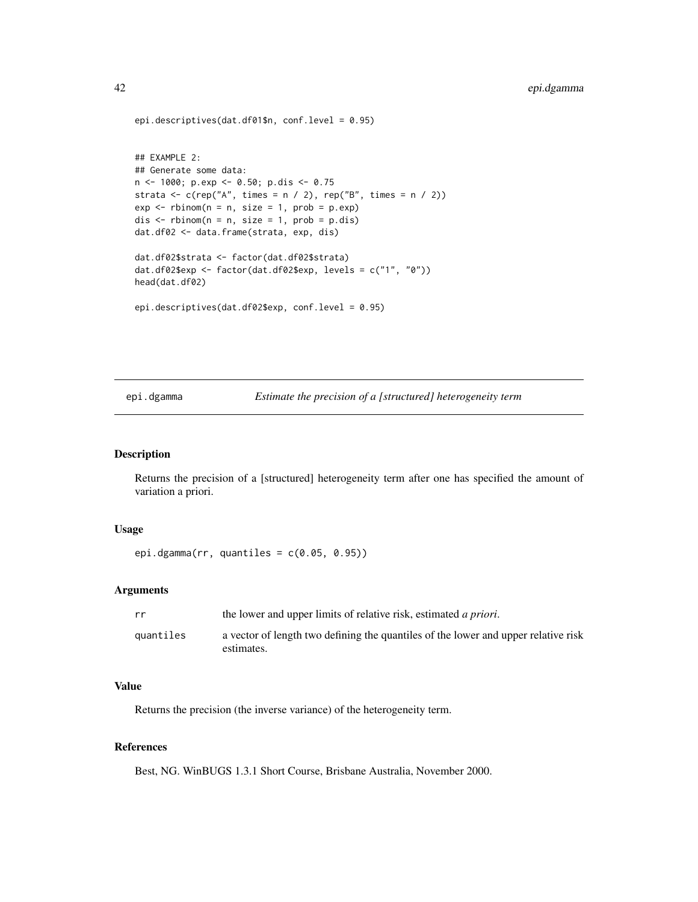```
epi.descriptives(dat.df01$n, conf.level = 0.95)
## EXAMPLE 2:
## Generate some data:
n <- 1000; p.exp <- 0.50; p.dis <- 0.75
strata \leq c(rep("A", times = n / 2), rep("B", times = n / 2))
exp \leftarrow rbinom(n = n, size = 1, prob = p.exp)
dis \le - rbinom(n = n, size = 1, prob = p.dis)
dat.df02 <- data.frame(strata, exp, dis)
dat.df02$strata <- factor(dat.df02$strata)
dat.df02$exp <- factor(dat.df02$exp, levels = c("1", "0"))
head(dat.df02)
epi.descriptives(dat.df02$exp, conf.level = 0.95)
```
epi.dgamma *Estimate the precision of a [structured] heterogeneity term*

#### Description

Returns the precision of a [structured] heterogeneity term after one has specified the amount of variation a priori.

### Usage

epi.dgamma(rr, quantiles = c(0.05, 0.95))

### Arguments

| rr        | the lower and upper limits of relative risk, estimated <i>a priori</i> .                         |
|-----------|--------------------------------------------------------------------------------------------------|
| quantiles | a vector of length two defining the quantiles of the lower and upper relative risk<br>estimates. |

# Value

Returns the precision (the inverse variance) of the heterogeneity term.

# References

Best, NG. WinBUGS 1.3.1 Short Course, Brisbane Australia, November 2000.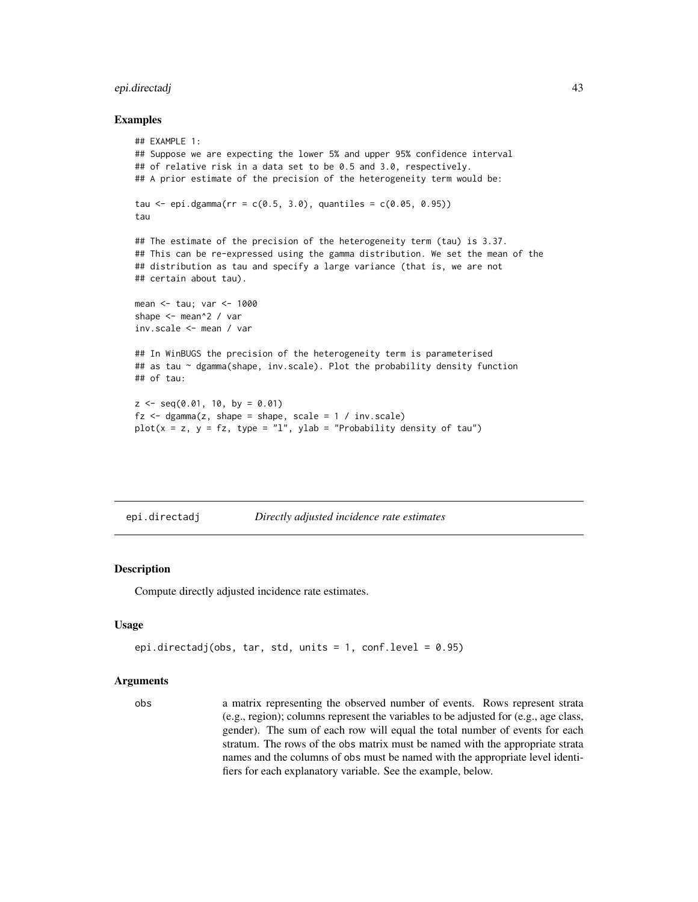# epi.directadj 43

### Examples

```
## EXAMPLE 1:
## Suppose we are expecting the lower 5% and upper 95% confidence interval
## of relative risk in a data set to be 0.5 and 3.0, respectively.
## A prior estimate of the precision of the heterogeneity term would be:
tau \le epi.dgamma(rr = c(0.5, 3.0), quantiles = c(0.05, 0.95))
tau
## The estimate of the precision of the heterogeneity term (tau) is 3.37.
## This can be re-expressed using the gamma distribution. We set the mean of the
## distribution as tau and specify a large variance (that is, we are not
## certain about tau).
mean <- tau; var <- 1000
shape <- mean^2 / var
inv.scale <- mean / var
## In WinBUGS the precision of the heterogeneity term is parameterised
## as tau ~ dgamma(shape, inv.scale). Plot the probability density function
## of tau:
z \leq -\text{seq}(0.01, 10, \text{ by } = 0.01)fz \leq - dgamma(z, shape = shape, scale = 1 / inv.scale)
plot(x = z, y = fz, type = "l", ylab = "Probability density of tau")
```
<span id="page-42-0"></span>

| epi.directadj | Directly adjusted incidence rate estimates |
|---------------|--------------------------------------------|
|               |                                            |

#### Description

Compute directly adjusted incidence rate estimates.

#### Usage

```
epi.directadj(obs, tar, std, units = 1, conf.level = 0.95)
```
#### Arguments

obs a matrix representing the observed number of events. Rows represent strata (e.g., region); columns represent the variables to be adjusted for (e.g., age class, gender). The sum of each row will equal the total number of events for each stratum. The rows of the obs matrix must be named with the appropriate strata names and the columns of obs must be named with the appropriate level identifiers for each explanatory variable. See the example, below.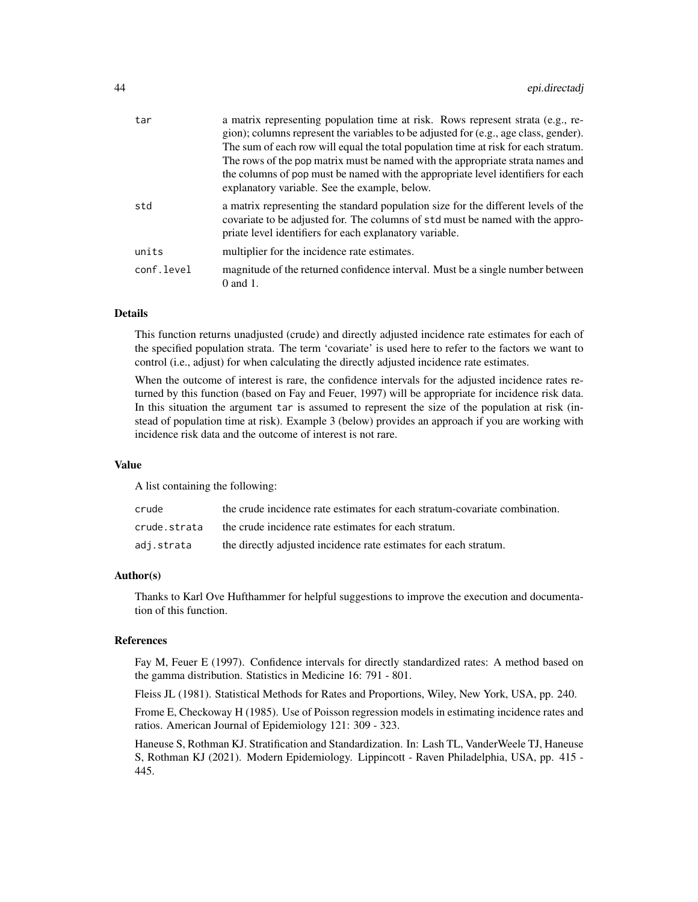| tar        | a matrix representing population time at risk. Rows represent strata (e.g., re-<br>gion); columns represent the variables to be adjusted for (e.g., age class, gender).<br>The sum of each row will equal the total population time at risk for each stratum.<br>The rows of the pop matrix must be named with the appropriate strata names and |  |
|------------|-------------------------------------------------------------------------------------------------------------------------------------------------------------------------------------------------------------------------------------------------------------------------------------------------------------------------------------------------|--|
|            | the columns of pop must be named with the appropriate level identifiers for each<br>explanatory variable. See the example, below.                                                                                                                                                                                                               |  |
| std        | a matrix representing the standard population size for the different levels of the<br>covariate to be adjusted for. The columns of std must be named with the appro-<br>priate level identifiers for each explanatory variable.                                                                                                                 |  |
| units      | multiplier for the incidence rate estimates.                                                                                                                                                                                                                                                                                                    |  |
| conf.level | magnitude of the returned confidence interval. Must be a single number between<br>$0$ and $1$ .                                                                                                                                                                                                                                                 |  |

# Details

This function returns unadjusted (crude) and directly adjusted incidence rate estimates for each of the specified population strata. The term 'covariate' is used here to refer to the factors we want to control (i.e., adjust) for when calculating the directly adjusted incidence rate estimates.

When the outcome of interest is rare, the confidence intervals for the adjusted incidence rates returned by this function (based on Fay and Feuer, 1997) will be appropriate for incidence risk data. In this situation the argument tar is assumed to represent the size of the population at risk (instead of population time at risk). Example 3 (below) provides an approach if you are working with incidence risk data and the outcome of interest is not rare.

#### Value

A list containing the following:

| crude        | the crude incidence rate estimates for each stratum-covariate combination. |
|--------------|----------------------------------------------------------------------------|
| crude.strata | the crude incidence rate estimates for each stratum.                       |
| adj.strata   | the directly adjusted incidence rate estimates for each stratum.           |

### Author(s)

Thanks to Karl Ove Hufthammer for helpful suggestions to improve the execution and documentation of this function.

### References

Fay M, Feuer E (1997). Confidence intervals for directly standardized rates: A method based on the gamma distribution. Statistics in Medicine 16: 791 - 801.

Fleiss JL (1981). Statistical Methods for Rates and Proportions, Wiley, New York, USA, pp. 240.

Frome E, Checkoway H (1985). Use of Poisson regression models in estimating incidence rates and ratios. American Journal of Epidemiology 121: 309 - 323.

Haneuse S, Rothman KJ. Stratification and Standardization. In: Lash TL, VanderWeele TJ, Haneuse S, Rothman KJ (2021). Modern Epidemiology. Lippincott - Raven Philadelphia, USA, pp. 415 - 445.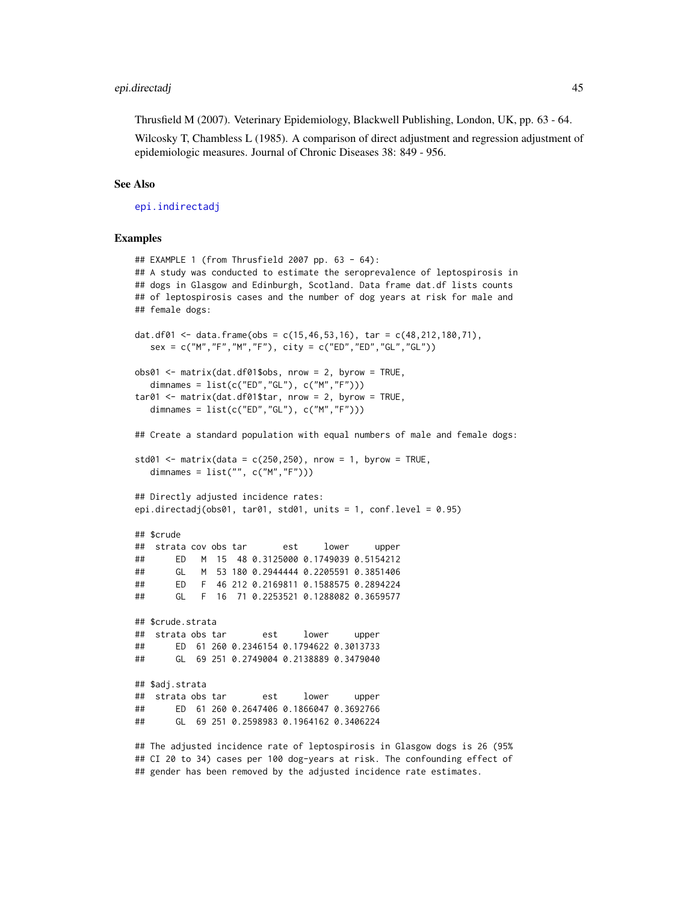### epi.directadj 45

Thrusfield M (2007). Veterinary Epidemiology, Blackwell Publishing, London, UK, pp. 63 - 64.

Wilcosky T, Chambless L (1985). A comparison of direct adjustment and regression adjustment of epidemiologic measures. Journal of Chronic Diseases 38: 849 - 956.

### See Also

[epi.indirectadj](#page-56-0)

### Examples

```
## EXAMPLE 1 (from Thrusfield 2007 pp. 63 - 64):
## A study was conducted to estimate the seroprevalence of leptospirosis in
## dogs in Glasgow and Edinburgh, Scotland. Data frame dat.df lists counts
## of leptospirosis cases and the number of dog years at risk for male and
## female dogs:
dat.df01 <- data.frame(obs = c(15, 46, 53, 16), tar = c(48, 212, 180, 71),
  sex = c("M", "F", "M", "F"), city = c("ED", "ED", "GL", "GL")obs@1 <- matrix(dat.df01$obs, nrow = 2, byrow = TRUE,
  dimnames = list(c("ED","GL"), c("M","F")))
tar@1 < - matrix(dat.df01$tar, nrow = 2, byrow = TRUE,
  dimnames = list(c("ED", "GL"), c("M", "F"))
## Create a standard population with equal numbers of male and female dogs:
std01 \le- matrix(data = c(250,250), nrow = 1, byrow = TRUE,
  dimnames = list("", c("M", "F"))## Directly adjusted incidence rates:
epi.directadj(obs01, tar01, std01, units = 1, conf.level = 0.95)
## $crude
## strata cov obs tar est lower upper
## ED M 15 48 0.3125000 0.1749039 0.5154212
## GL M 53 180 0.2944444 0.2205591 0.3851406
## ED F 46 212 0.2169811 0.1588575 0.2894224
## GL F 16 71 0.2253521 0.1288082 0.3659577
## $crude.strata
## strata obs tar est lower upper
## ED 61 260 0.2346154 0.1794622 0.3013733
## GL 69 251 0.2749004 0.2138889 0.3479040
## $adj.strata
## strata obs tar est lower upper
## ED 61 260 0.2647406 0.1866047 0.3692766
## GL 69 251 0.2598983 0.1964162 0.3406224
```
## The adjusted incidence rate of leptospirosis in Glasgow dogs is 26 (95% ## CI 20 to 34) cases per 100 dog-years at risk. The confounding effect of ## gender has been removed by the adjusted incidence rate estimates.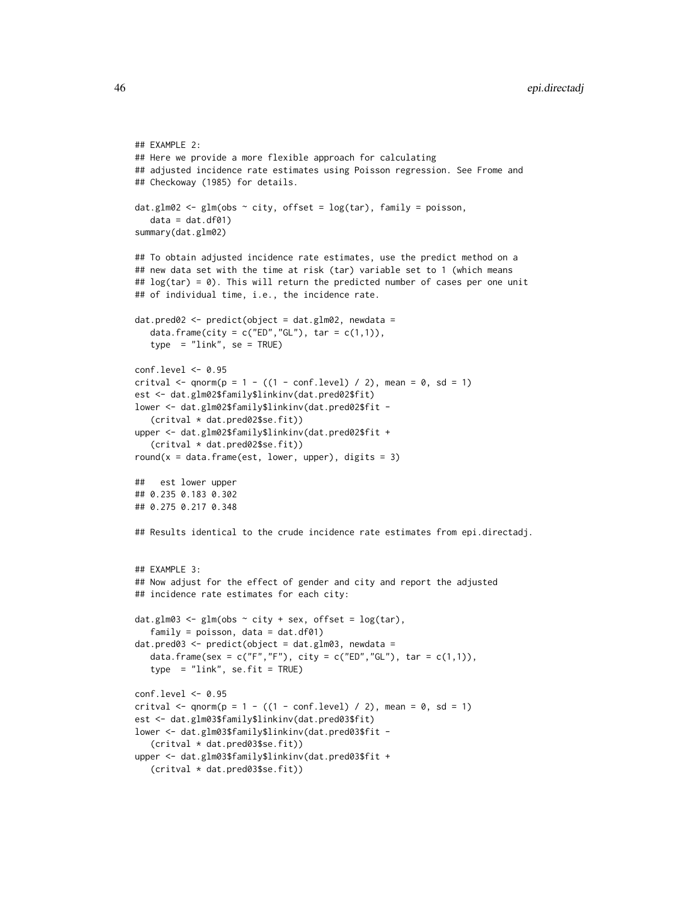```
## EXAMPLE 2:
## Here we provide a more flexible approach for calculating
## adjusted incidence rate estimates using Poisson regression. See Frome and
## Checkoway (1985) for details.
dat.glm02 <- glm(obs \sim city, offset = log(tar), family = poisson,
  data = dat.df01)summary(dat.glm02)
## To obtain adjusted incidence rate estimates, use the predict method on a
## new data set with the time at risk (tar) variable set to 1 (which means
## log(tar) = 0). This will return the predicted number of cases per one unit
## of individual time, i.e., the incidence rate.
dat.pred02 <- predict(object = dat.glm02, newdata =
  data.frame(city = c("ED", "GL"), tar = c(1,1)),
   type = "link", se = TRUE)
conf.level <- 0.95
critval \leq qnorm(p = 1 - ((1 - conf.level) / 2), mean = 0, sd = 1)
est <- dat.glm02$family$linkinv(dat.pred02$fit)
lower <- dat.glm02$family$linkinv(dat.pred02$fit -
   (critval * dat.pred02$se.fit))
upper <- dat.glm02$family$linkinv(dat.pred02$fit +
   (critval * dat.pred02$se.fit))
round(x = data.frame(est, lower, upper), digits = 3)
## est lower upper
## 0.235 0.183 0.302
## 0.275 0.217 0.348
## Results identical to the crude incidence rate estimates from epi.directadj.
## EXAMPLE 3:
## Now adjust for the effect of gender and city and report the adjusted
## incidence rate estimates for each city:
dat.glm03 <- glm(obs \sim city + sex, offset = log(tar),
   family = poisson, data = dat.df01)
dat.pred03 <- predict(object = dat.glm03, newdata =
  data.frame(sex = c("F","F"), city = c("ED","GL"), tar = c(1,1)),
   type = "link", se.fit = TRUE)
conf.level <- 0.95
critval \leq qnorm(p = 1 - ((1 - conf.level) / 2), mean = 0, sd = 1)
est <- dat.glm03$family$linkinv(dat.pred03$fit)
lower <- dat.glm03$family$linkinv(dat.pred03$fit -
   (critval * dat.pred03$se.fit))
upper <- dat.glm03$family$linkinv(dat.pred03$fit +
   (critval * dat.pred03$se.fit))
```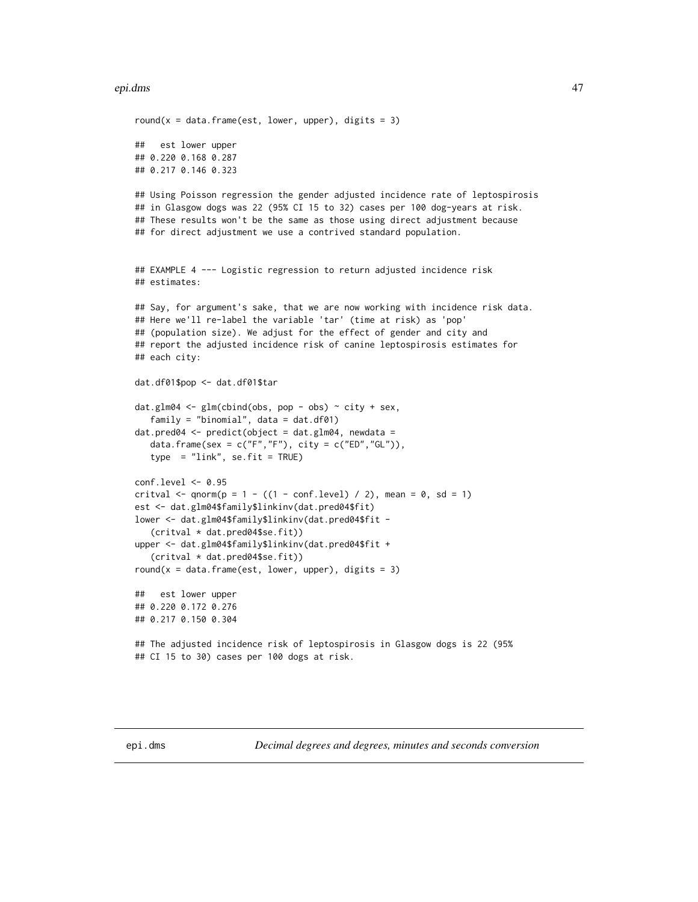#### epi.dms 47

```
round(x = data. frame(est, lower, upper), digits = 3)
## est lower upper
## 0.220 0.168 0.287
## 0.217 0.146 0.323
## Using Poisson regression the gender adjusted incidence rate of leptospirosis
## in Glasgow dogs was 22 (95% CI 15 to 32) cases per 100 dog-years at risk.
## These results won't be the same as those using direct adjustment because
## for direct adjustment we use a contrived standard population.
## EXAMPLE 4 --- Logistic regression to return adjusted incidence risk
## estimates:
## Say, for argument's sake, that we are now working with incidence risk data.
## Here we'll re-label the variable 'tar' (time at risk) as 'pop'
## (population size). We adjust for the effect of gender and city and
## report the adjusted incidence risk of canine leptospirosis estimates for
## each city:
dat.df01$pop <- dat.df01$tar
dat.glm04 <- glm(cbind(obs, pop - obs) \sim city + sex,
  family = "binomial", data = dat.df01)
dat.pred04 \leq predict(object = dat.glm04, newdata =
  data.frame(sex = c("F", "F"), city = c("ED", "GL")),
   type = "link", se.fit = TRUE)conf.level <- 0.95
critval \leq qnorm(p = 1 - ((1 - conf.level) / 2), mean = 0, sd = 1)
est <- dat.glm04$family$linkinv(dat.pred04$fit)
lower <- dat.glm04$family$linkinv(dat.pred04$fit -
   (critval * dat.pred04$se.fit))
upper <- dat.glm04$family$linkinv(dat.pred04$fit +
   (critval * dat.pred04$se.fit))
round(x = data. frame(est, lower, upper), digits = 3)
## est lower upper
## 0.220 0.172 0.276
## 0.217 0.150 0.304
## The adjusted incidence risk of leptospirosis in Glasgow dogs is 22 (95%
## CI 15 to 30) cases per 100 dogs at risk.
```
epi.dms *Decimal degrees and degrees, minutes and seconds conversion*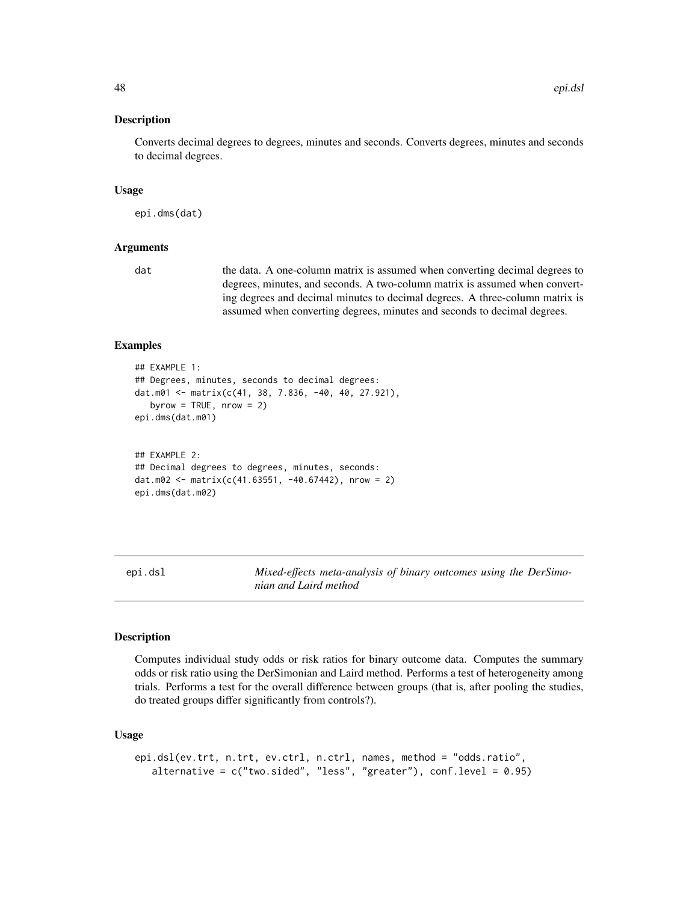### Description

Converts decimal degrees to degrees, minutes and seconds. Converts degrees, minutes and seconds to decimal degrees.

#### Usage

epi.dms(dat)

# Arguments

dat the data. A one-column matrix is assumed when converting decimal degrees to degrees, minutes, and seconds. A two-column matrix is assumed when converting degrees and decimal minutes to decimal degrees. A three-column matrix is assumed when converting degrees, minutes and seconds to decimal degrees.

### Examples

```
## EXAMPLE 1:
## Degrees, minutes, seconds to decimal degrees:
dat.m01 <- matrix(c(41, 38, 7.836, -40, 40, 27.921),
  byrow = TRUE, nrow = 2)
epi.dms(dat.m01)
## EXAMPLE 2:
## Decimal degrees to degrees, minutes, seconds:
dat.m02 <- matrix(c(41.63551, -40.67442), nrow = 2)
epi.dms(dat.m02)
```
<span id="page-47-0"></span>epi.dsl *Mixed-effects meta-analysis of binary outcomes using the DerSimonian and Laird method*

#### Description

Computes individual study odds or risk ratios for binary outcome data. Computes the summary odds or risk ratio using the DerSimonian and Laird method. Performs a test of heterogeneity among trials. Performs a test for the overall difference between groups (that is, after pooling the studies, do treated groups differ significantly from controls?).

### Usage

```
epi.dsl(ev.trt, n.trt, ev.ctrl, n.ctrl, names, method = "odds.ratio",
   alternative = c("two-sided", "less", "greater"), conf. level = 0.95)
```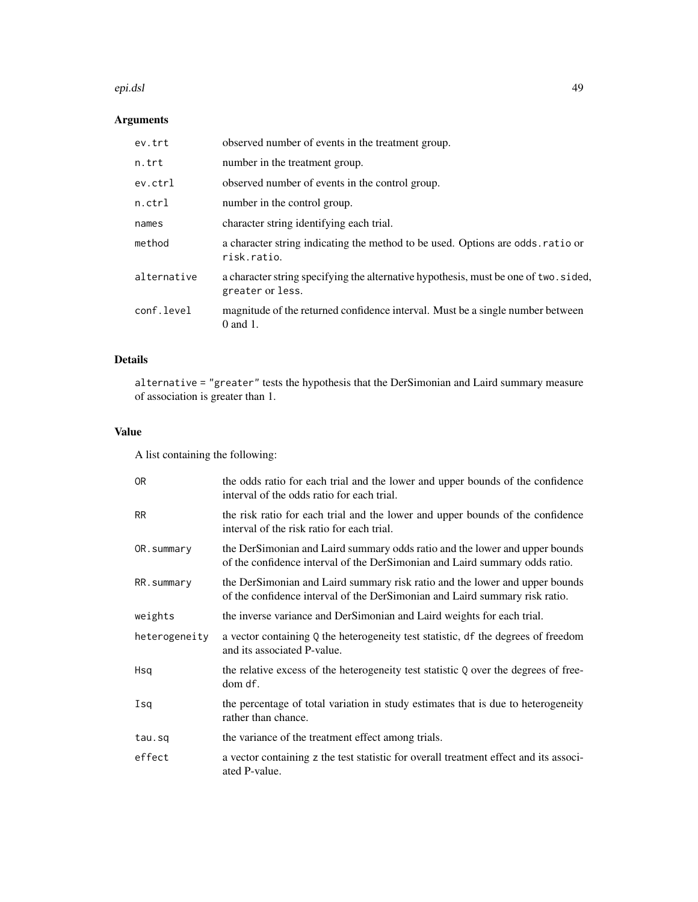#### epi.dsl 49

# Arguments

| ev.trt      | observed number of events in the treatment group.                                                        |
|-------------|----------------------------------------------------------------------------------------------------------|
| n.trt       | number in the treatment group.                                                                           |
| ev.ctrl     | observed number of events in the control group.                                                          |
| $n.$ ctrl   | number in the control group.                                                                             |
| names       | character string identifying each trial.                                                                 |
| method      | a character string indicating the method to be used. Options are odds ratio or<br>risk.ratio.            |
| alternative | a character string specifying the alternative hypothesis, must be one of two. sided,<br>greater or less. |
| conf.level  | magnitude of the returned confidence interval. Must be a single number between<br>$0$ and $1$ .          |

# Details

alternative = "greater" tests the hypothesis that the DerSimonian and Laird summary measure of association is greater than 1.

# Value

A list containing the following:

| 0 <sub>R</sub> | the odds ratio for each trial and the lower and upper bounds of the confidence<br>interval of the odds ratio for each trial.                               |
|----------------|------------------------------------------------------------------------------------------------------------------------------------------------------------|
| <b>RR</b>      | the risk ratio for each trial and the lower and upper bounds of the confidence<br>interval of the risk ratio for each trial.                               |
| OR.summary     | the DerSimonian and Laird summary odds ratio and the lower and upper bounds<br>of the confidence interval of the DerSimonian and Laird summary odds ratio. |
| RR.summary     | the DerSimonian and Laird summary risk ratio and the lower and upper bounds<br>of the confidence interval of the DerSimonian and Laird summary risk ratio. |
| weights        | the inverse variance and DerSimonian and Laird weights for each trial.                                                                                     |
| heterogeneity  | a vector containing $Q$ the heterogeneity test statistic, df the degrees of freedom<br>and its associated P-value.                                         |
| Hsq            | the relative excess of the heterogeneity test statistic Q over the degrees of free-<br>dom df.                                                             |
| Isq            | the percentage of total variation in study estimates that is due to heterogeneity<br>rather than chance.                                                   |
| tau.sq         | the variance of the treatment effect among trials.                                                                                                         |
| effect         | a vector containing z the test statistic for overall treatment effect and its associ-<br>ated P-value.                                                     |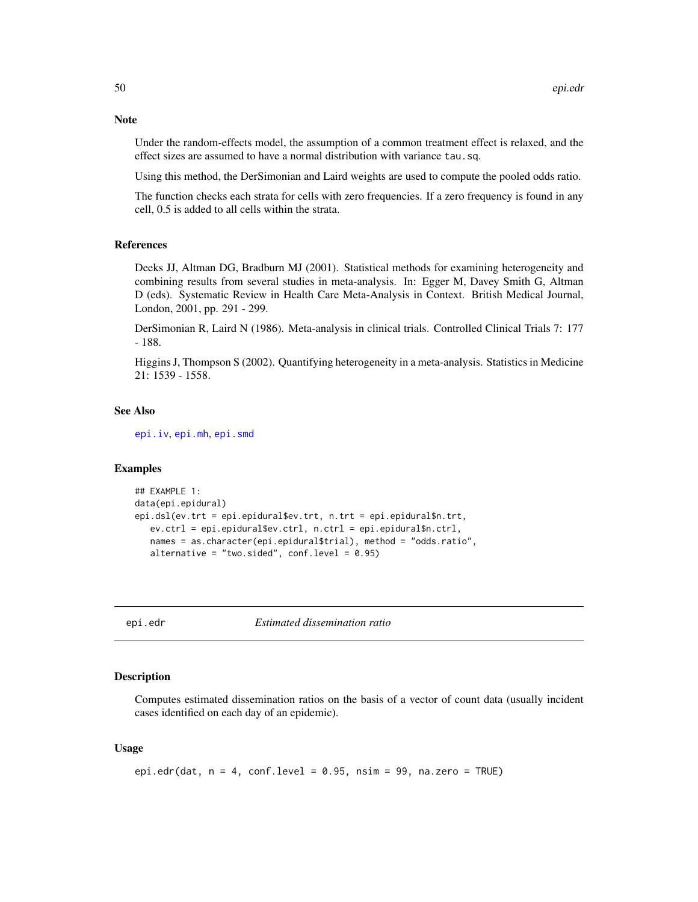Under the random-effects model, the assumption of a common treatment effect is relaxed, and the effect sizes are assumed to have a normal distribution with variance tau.sq.

Using this method, the DerSimonian and Laird weights are used to compute the pooled odds ratio.

The function checks each strata for cells with zero frequencies. If a zero frequency is found in any cell, 0.5 is added to all cells within the strata.

# References

Deeks JJ, Altman DG, Bradburn MJ (2001). Statistical methods for examining heterogeneity and combining results from several studies in meta-analysis. In: Egger M, Davey Smith G, Altman D (eds). Systematic Review in Health Care Meta-Analysis in Context. British Medical Journal, London, 2001, pp. 291 - 299.

DerSimonian R, Laird N (1986). Meta-analysis in clinical trials. Controlled Clinical Trials 7: 177 - 188.

Higgins J, Thompson S (2002). Quantifying heterogeneity in a meta-analysis. Statistics in Medicine 21: 1539 - 1558.

### See Also

[epi.iv](#page-65-0), [epi.mh](#page-72-0), [epi.smd](#page-89-0)

## Examples

```
## EXAMPLE 1:
data(epi.epidural)
epi.dsl(ev.trt = epi.epidural$ev.trt, n.trt = epi.epidural$n.trt,
  ev.ctrl = epi.epidural$ev.ctrl, n.ctrl = epi.epidural$n.ctrl,
  names = as.character(epi.epidural$trial), method = "odds.ratio",
  alternative = "two.sided", conf. level = 0.95)
```
epi.edr *Estimated dissemination ratio*

### Description

Computes estimated dissemination ratios on the basis of a vector of count data (usually incident cases identified on each day of an epidemic).

### Usage

```
epi.edr(dat, n = 4, conf.level = 0.95, nsim = 99, na.zero = TRUE)
```
### **Note**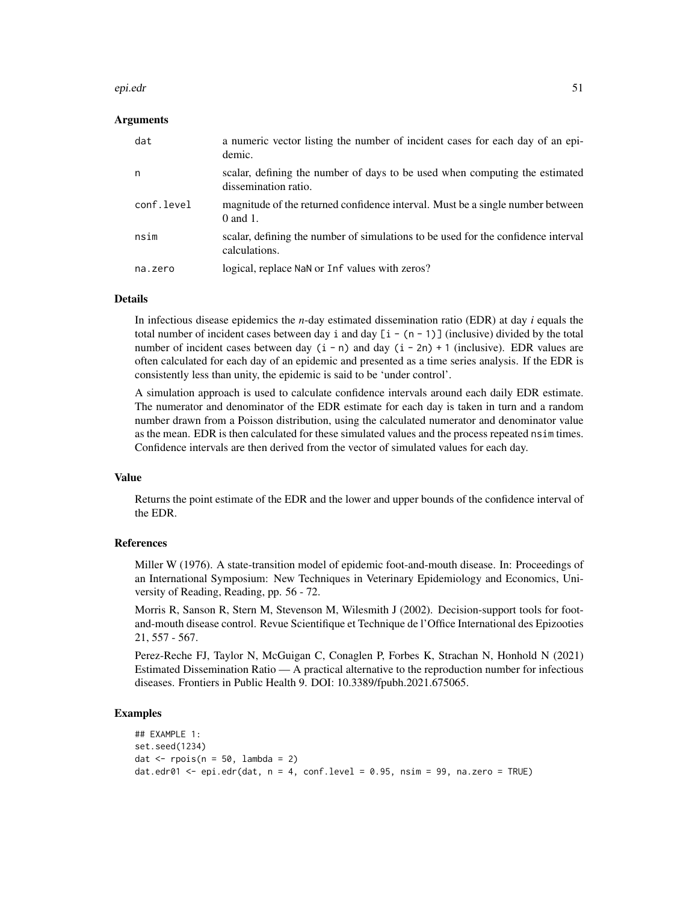#### epi.edr 51

# Arguments

| dat        | a numeric vector listing the number of incident cases for each day of an epi-<br>demic.             |
|------------|-----------------------------------------------------------------------------------------------------|
| n          | scalar, defining the number of days to be used when computing the estimated<br>dissemination ratio. |
| conf.level | magnitude of the returned confidence interval. Must be a single number between<br>$0$ and $1$ .     |
| nsim       | scalar, defining the number of simulations to be used for the confidence interval<br>calculations.  |
| na.zero    | logical, replace NaN or Inf values with zeros?                                                      |

#### **Details**

In infectious disease epidemics the *n*-day estimated dissemination ratio (EDR) at day *i* equals the total number of incident cases between day i and day  $[i - (n - 1)]$  (inclusive) divided by the total number of incident cases between day  $(i - n)$  and day  $(i - 2n) + 1$  (inclusive). EDR values are often calculated for each day of an epidemic and presented as a time series analysis. If the EDR is consistently less than unity, the epidemic is said to be 'under control'.

A simulation approach is used to calculate confidence intervals around each daily EDR estimate. The numerator and denominator of the EDR estimate for each day is taken in turn and a random number drawn from a Poisson distribution, using the calculated numerator and denominator value as the mean. EDR is then calculated for these simulated values and the process repeated nsim times. Confidence intervals are then derived from the vector of simulated values for each day.

### Value

Returns the point estimate of the EDR and the lower and upper bounds of the confidence interval of the EDR.

### References

Miller W (1976). A state-transition model of epidemic foot-and-mouth disease. In: Proceedings of an International Symposium: New Techniques in Veterinary Epidemiology and Economics, University of Reading, Reading, pp. 56 - 72.

Morris R, Sanson R, Stern M, Stevenson M, Wilesmith J (2002). Decision-support tools for footand-mouth disease control. Revue Scientifique et Technique de l'Office International des Epizooties 21, 557 - 567.

Perez-Reche FJ, Taylor N, McGuigan C, Conaglen P, Forbes K, Strachan N, Honhold N (2021) Estimated Dissemination Ratio — A practical alternative to the reproduction number for infectious diseases. Frontiers in Public Health 9. DOI: 10.3389/fpubh.2021.675065.

```
## EXAMPLE 1:
set.seed(1234)
dat \leq rpois(n = 50, lambda = 2)
dat.edr01 <- epi.edr(dat, n = 4, conf.level = 0.95, nsim = 99, na.zero = TRUE)
```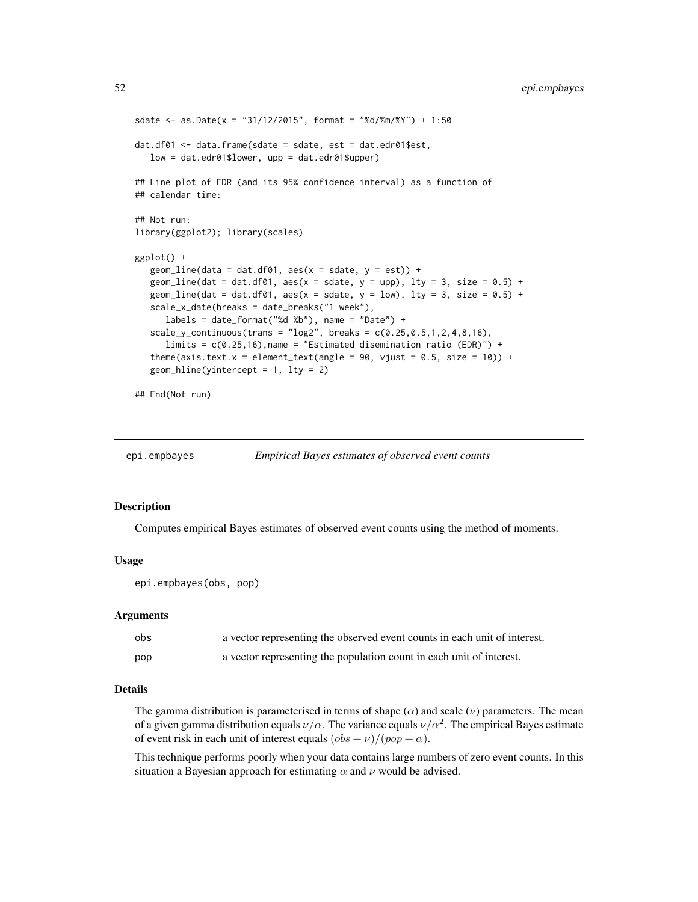```
sdate <- as.Date(x = "31/12/2015", format = "%d/%m/%Y") + 1:50
dat.df01 <- data.frame(sdate = sdate, est = dat.edr01$est,
   low = dat.edr01$lower, upp = dat.edr01$upper)
## Line plot of EDR (and its 95% confidence interval) as a function of
## calendar time:
## Not run:
library(ggplot2); library(scales)
ggplot() +
   geom_line(data = dat.df01, aes(x = sdate, y = est)) +
   geom_line(dat = dat.df01, aes(x = sdate, y = upp), lty = 3, size = 0.5) +
   geom_line(dat = dat.df01, aes(x = sdate, y = low), lty = 3, size = 0.5) +
   scale_x_date(breaks = date_breaks("1 week"),
      labels = date_format("%d %b"), name = "Date") +
   scale_y_{continuous}(trans = "log2", breaks = c(0.25, 0.5, 1, 2, 4, 8, 16),limits = c(0.25, 16), name = "Estimated disemination ratio (EDR)") +
   theme(axis.text.x = element_text(angle = 90, vjust = 0.5, size = 10)) +
   geom_hline(yintercept = 1, lty = 2)
```
## End(Not run)

| epi.empbayes | <i>Empirical Bayes estimates of observed event counts</i> |  |
|--------------|-----------------------------------------------------------|--|
|              |                                                           |  |

# Description

Computes empirical Bayes estimates of observed event counts using the method of moments.

### Usage

```
epi.empbayes(obs, pop)
```
#### Arguments

| obs | a vector representing the observed event counts in each unit of interest. |
|-----|---------------------------------------------------------------------------|
| pop | a vector representing the population count in each unit of interest.      |

# Details

The gamma distribution is parameterised in terms of shape  $(\alpha)$  and scale  $(\nu)$  parameters. The mean of a given gamma distribution equals  $\nu/\alpha$ . The variance equals  $\nu/\alpha^2$ . The empirical Bayes estimate of event risk in each unit of interest equals  $(\partial bs + \nu) / (\rho op + \alpha)$ .

This technique performs poorly when your data contains large numbers of zero event counts. In this situation a Bayesian approach for estimating  $\alpha$  and  $\nu$  would be advised.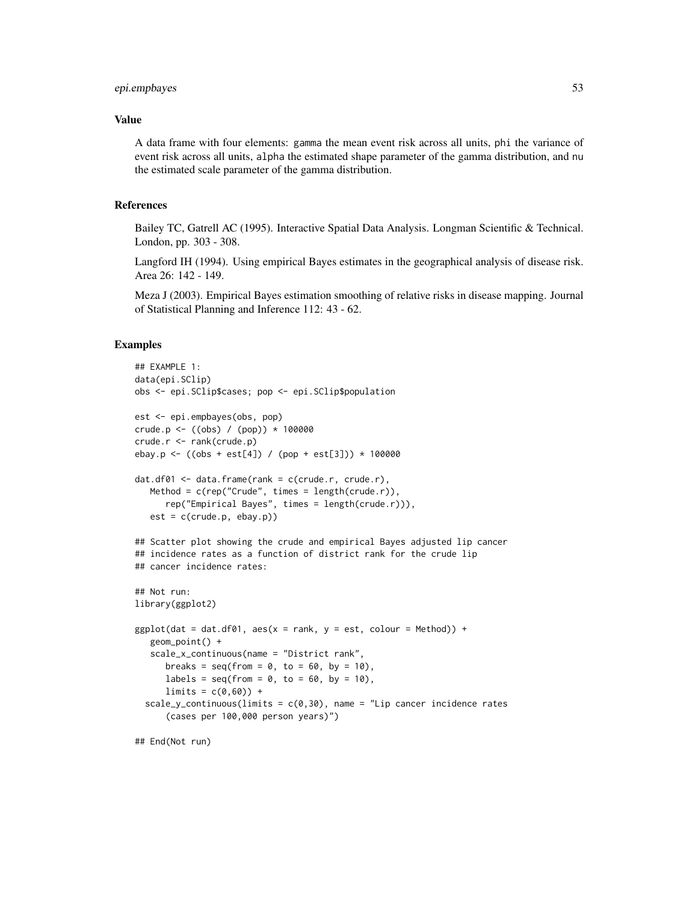# epi.empbayes 53

# Value

A data frame with four elements: gamma the mean event risk across all units, phi the variance of event risk across all units, alpha the estimated shape parameter of the gamma distribution, and nu the estimated scale parameter of the gamma distribution.

# References

Bailey TC, Gatrell AC (1995). Interactive Spatial Data Analysis. Longman Scientific & Technical. London, pp. 303 - 308.

Langford IH (1994). Using empirical Bayes estimates in the geographical analysis of disease risk. Area 26: 142 - 149.

Meza J (2003). Empirical Bayes estimation smoothing of relative risks in disease mapping. Journal of Statistical Planning and Inference 112: 43 - 62.

```
## EXAMPLE 1:
data(epi.SClip)
obs <- epi.SClip$cases; pop <- epi.SClip$population
est <- epi.empbayes(obs, pop)
crude.p <- ((obs) / (pop)) * 100000
crude.r <- rank(crude.p)
ebay.p <- ((obs + est[4]) / (pop + est[3])) * 100000
dat.df01 <- data.frame(rank = c(crude.r, crude.r),
  Method = c(rep("Crude", times = length(crude.r)),rep("Empirical Bayes", times = length(crude.r))),
  est = c(crude.p, ebay.p)## Scatter plot showing the crude and empirical Bayes adjusted lip cancer
## incidence rates as a function of district rank for the crude lip
## cancer incidence rates:
## Not run:
library(ggplot2)
ggplot(data = dat.df01, aes(x = rank, y = est, colour = Method)) +geom_point() +
  scale_x_continuous(name = "District rank",
     breaks = seq(from = 0, to = 60, by = 10),
     labels = seq(from = 0, to = 60, by = 10),
     limits = c(0,60) +
 scale_y_continuous(limits = c(0,30), name = "Lip cancer incidence rates
      (cases per 100,000 person years)")
## End(Not run)
```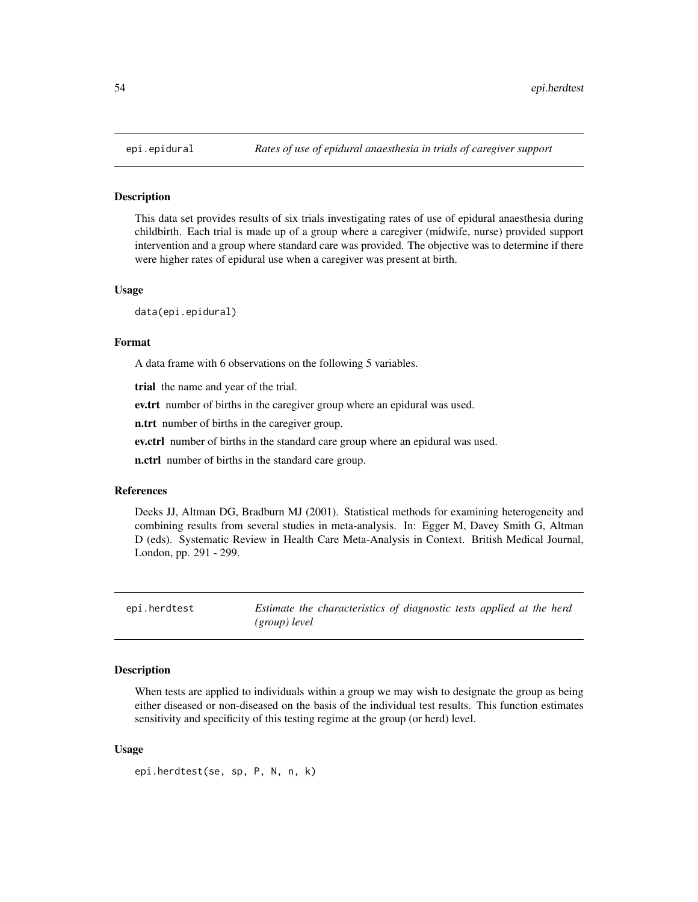#### Description

This data set provides results of six trials investigating rates of use of epidural anaesthesia during childbirth. Each trial is made up of a group where a caregiver (midwife, nurse) provided support intervention and a group where standard care was provided. The objective was to determine if there were higher rates of epidural use when a caregiver was present at birth.

#### Usage

data(epi.epidural)

#### Format

A data frame with 6 observations on the following 5 variables.

trial the name and year of the trial.

ev.trt number of births in the caregiver group where an epidural was used.

n.trt number of births in the caregiver group.

ev.ctrl number of births in the standard care group where an epidural was used.

n.ctrl number of births in the standard care group.

# References

Deeks JJ, Altman DG, Bradburn MJ (2001). Statistical methods for examining heterogeneity and combining results from several studies in meta-analysis. In: Egger M, Davey Smith G, Altman D (eds). Systematic Review in Health Care Meta-Analysis in Context. British Medical Journal, London, pp. 291 - 299.

epi.herdtest *Estimate the characteristics of diagnostic tests applied at the herd (group) level*

# Description

When tests are applied to individuals within a group we may wish to designate the group as being either diseased or non-diseased on the basis of the individual test results. This function estimates sensitivity and specificity of this testing regime at the group (or herd) level.

### Usage

```
epi.herdtest(se, sp, P, N, n, k)
```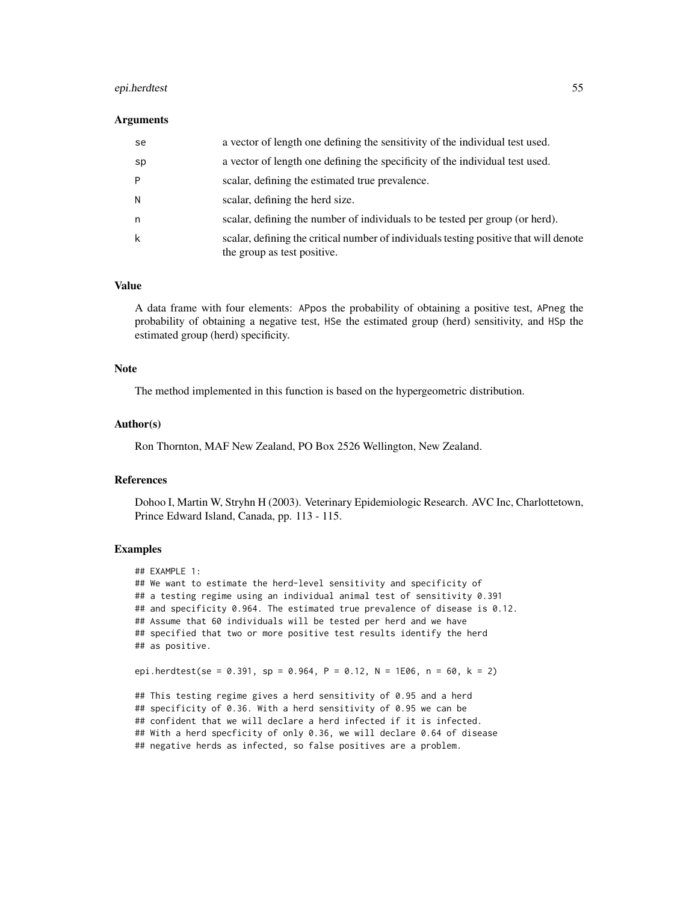### epi.herdtest 55

#### Arguments

| se | a vector of length one defining the sensitivity of the individual test used.                                         |
|----|----------------------------------------------------------------------------------------------------------------------|
| sp | a vector of length one defining the specificity of the individual test used.                                         |
| P  | scalar, defining the estimated true prevalence.                                                                      |
| N  | scalar, defining the herd size.                                                                                      |
| n  | scalar, defining the number of individuals to be tested per group (or herd).                                         |
| k  | scalar, defining the critical number of individuals testing positive that will denote<br>the group as test positive. |

### Value

A data frame with four elements: APpos the probability of obtaining a positive test, APneg the probability of obtaining a negative test, HSe the estimated group (herd) sensitivity, and HSp the estimated group (herd) specificity.

# Note

The method implemented in this function is based on the hypergeometric distribution.

### Author(s)

Ron Thornton, MAF New Zealand, PO Box 2526 Wellington, New Zealand.

### References

Dohoo I, Martin W, Stryhn H (2003). Veterinary Epidemiologic Research. AVC Inc, Charlottetown, Prince Edward Island, Canada, pp. 113 - 115.

# Examples

```
## EXAMPLE 1:
## We want to estimate the herd-level sensitivity and specificity of
## a testing regime using an individual animal test of sensitivity 0.391
## and specificity 0.964. The estimated true prevalence of disease is 0.12.
## Assume that 60 individuals will be tested per herd and we have
## specified that two or more positive test results identify the herd
## as positive.
epi.herdtest(se = 0.391, sp = 0.964, P = 0.12, N = 1E06, n = 60, k = 2)
## This testing regime gives a herd sensitivity of 0.95 and a herd
## specificity of 0.36. With a herd sensitivity of 0.95 we can be
```
## confident that we will declare a herd infected if it is infected. ## With a herd specficity of only 0.36, we will declare 0.64 of disease ## negative herds as infected, so false positives are a problem.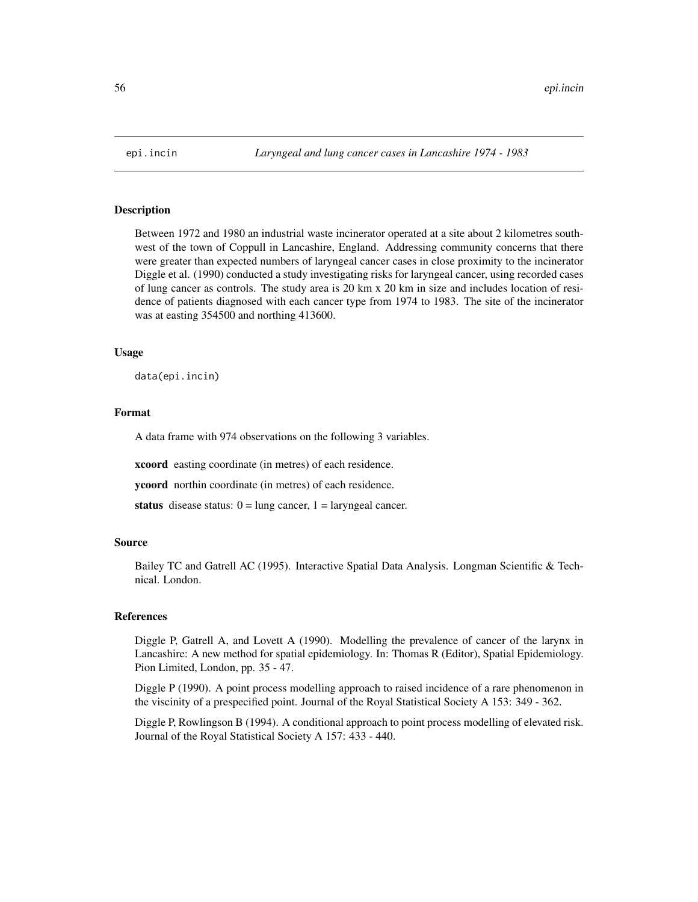### Description

Between 1972 and 1980 an industrial waste incinerator operated at a site about 2 kilometres southwest of the town of Coppull in Lancashire, England. Addressing community concerns that there were greater than expected numbers of laryngeal cancer cases in close proximity to the incinerator Diggle et al. (1990) conducted a study investigating risks for laryngeal cancer, using recorded cases of lung cancer as controls. The study area is 20 km x 20 km in size and includes location of residence of patients diagnosed with each cancer type from 1974 to 1983. The site of the incinerator was at easting 354500 and northing 413600.

### Usage

data(epi.incin)

# Format

A data frame with 974 observations on the following 3 variables.

xcoord easting coordinate (in metres) of each residence.

ycoord northin coordinate (in metres) of each residence.

status disease status:  $0 = \text{lung cancer}, 1 = \text{laryngeal cancer}.$ 

#### Source

Bailey TC and Gatrell AC (1995). Interactive Spatial Data Analysis. Longman Scientific & Technical. London.

#### References

Diggle P, Gatrell A, and Lovett A (1990). Modelling the prevalence of cancer of the larynx in Lancashire: A new method for spatial epidemiology. In: Thomas R (Editor), Spatial Epidemiology. Pion Limited, London, pp. 35 - 47.

Diggle P (1990). A point process modelling approach to raised incidence of a rare phenomenon in the viscinity of a prespecified point. Journal of the Royal Statistical Society A 153: 349 - 362.

Diggle P, Rowlingson B (1994). A conditional approach to point process modelling of elevated risk. Journal of the Royal Statistical Society A 157: 433 - 440.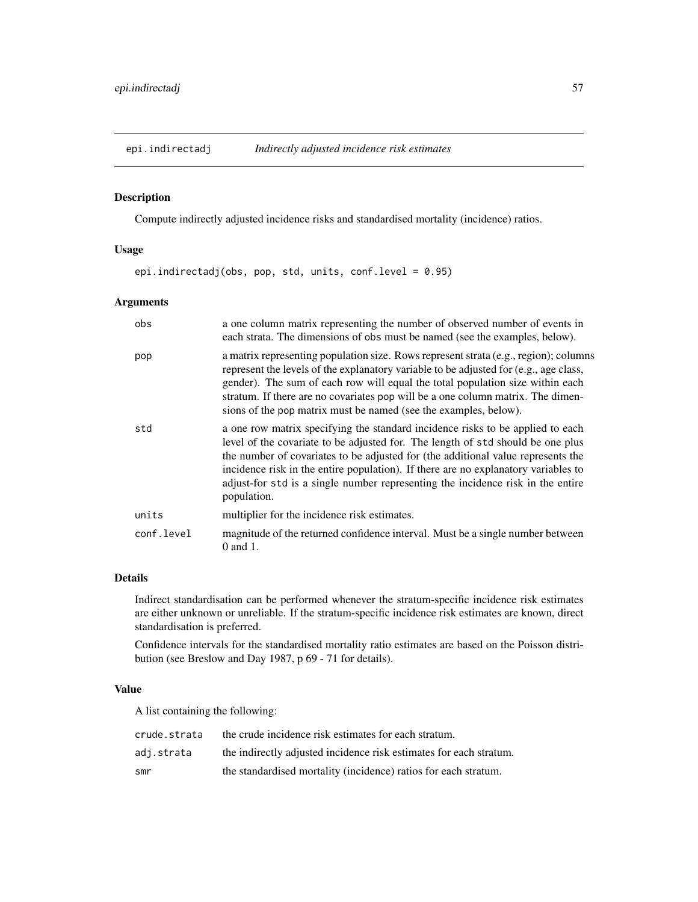<span id="page-56-0"></span>

# Description

Compute indirectly adjusted incidence risks and standardised mortality (incidence) ratios.

# Usage

epi.indirectadj(obs, pop, std, units, conf.level = 0.95)

# Arguments

| obs        | a one column matrix representing the number of observed number of events in<br>each strata. The dimensions of obs must be named (see the examples, below).                                                                                                                                                                                                                                                                                    |
|------------|-----------------------------------------------------------------------------------------------------------------------------------------------------------------------------------------------------------------------------------------------------------------------------------------------------------------------------------------------------------------------------------------------------------------------------------------------|
| pop        | a matrix representing population size. Rows represent strata (e.g., region); columns<br>represent the levels of the explanatory variable to be adjusted for (e.g., age class,<br>gender). The sum of each row will equal the total population size within each<br>stratum. If there are no covariates pop will be a one column matrix. The dimen-<br>sions of the pop matrix must be named (see the examples, below).                         |
| std        | a one row matrix specifying the standard incidence risks to be applied to each<br>level of the covariate to be adjusted for. The length of std should be one plus<br>the number of covariates to be adjusted for (the additional value represents the<br>incidence risk in the entire population). If there are no explanatory variables to<br>adjust-for std is a single number representing the incidence risk in the entire<br>population. |
| units      | multiplier for the incidence risk estimates.                                                                                                                                                                                                                                                                                                                                                                                                  |
| conf.level | magnitude of the returned confidence interval. Must be a single number between<br>$0$ and $1$ .                                                                                                                                                                                                                                                                                                                                               |

# Details

Indirect standardisation can be performed whenever the stratum-specific incidence risk estimates are either unknown or unreliable. If the stratum-specific incidence risk estimates are known, direct standardisation is preferred.

Confidence intervals for the standardised mortality ratio estimates are based on the Poisson distribution (see Breslow and Day 1987, p 69 - 71 for details).

# Value

A list containing the following:

| crude.strata | the crude incidence risk estimates for each stratum.               |
|--------------|--------------------------------------------------------------------|
| adi.strata   | the indirectly adjusted incidence risk estimates for each stratum. |
| smr          | the standardised mortality (incidence) ratios for each stratum.    |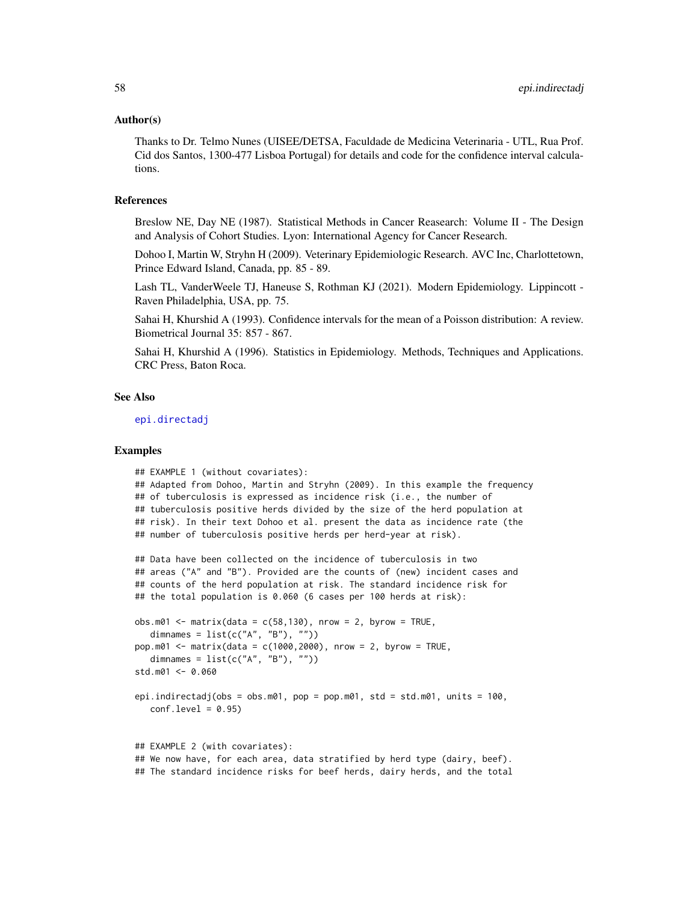#### Author(s)

Thanks to Dr. Telmo Nunes (UISEE/DETSA, Faculdade de Medicina Veterinaria - UTL, Rua Prof. Cid dos Santos, 1300-477 Lisboa Portugal) for details and code for the confidence interval calculations.

# References

Breslow NE, Day NE (1987). Statistical Methods in Cancer Reasearch: Volume II - The Design and Analysis of Cohort Studies. Lyon: International Agency for Cancer Research.

Dohoo I, Martin W, Stryhn H (2009). Veterinary Epidemiologic Research. AVC Inc, Charlottetown, Prince Edward Island, Canada, pp. 85 - 89.

Lash TL, VanderWeele TJ, Haneuse S, Rothman KJ (2021). Modern Epidemiology. Lippincott - Raven Philadelphia, USA, pp. 75.

Sahai H, Khurshid A (1993). Confidence intervals for the mean of a Poisson distribution: A review. Biometrical Journal 35: 857 - 867.

Sahai H, Khurshid A (1996). Statistics in Epidemiology. Methods, Techniques and Applications. CRC Press, Baton Roca.

### See Also

[epi.directadj](#page-42-0)

```
## EXAMPLE 1 (without covariates):
## Adapted from Dohoo, Martin and Stryhn (2009). In this example the frequency
## of tuberculosis is expressed as incidence risk (i.e., the number of
## tuberculosis positive herds divided by the size of the herd population at
## risk). In their text Dohoo et al. present the data as incidence rate (the
## number of tuberculosis positive herds per herd-year at risk).
## Data have been collected on the incidence of tuberculosis in two
## areas ("A" and "B"). Provided are the counts of (new) incident cases and
## counts of the herd population at risk. The standard incidence risk for
## the total population is 0.060 (6 cases per 100 herds at risk):
obs.m01 \leq max matrix(data = c(58,130), nrow = 2, byrow = TRUE,
  dimnames = list(c("A", "B"), "")pop.m01 \le - matrix(data = c(1000, 2000), nrow = 2, byrow = TRUE,
  dimnames = list(c("A", "B"), ""))
std.m01 <- 0.060
epi.indirectadj(obs = obs.m01, pop = pop.m01, std = std.m01, units = 100,
  conf<math>level = 0.95## EXAMPLE 2 (with covariates):
## We now have, for each area, data stratified by herd type (dairy, beef).
## The standard incidence risks for beef herds, dairy herds, and the total
```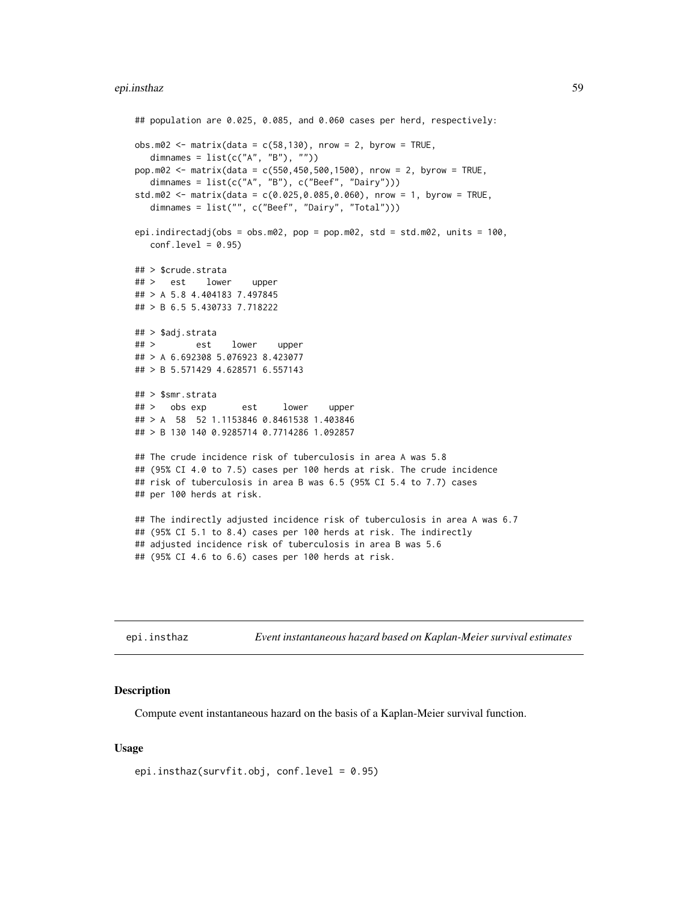```
## population are 0.025, 0.085, and 0.060 cases per herd, respectively:
obs.m02 \leq max(clasta = c(58, 130)), nrow = 2, byrow = TRUE,
  dimnames = list(c("A", "B"), ""))
pop.m02 <- matrix(data = c(550,450,500,1500), nrow = 2, byrow = TRUE,
  dimnames = list(c("A", "B"), c("Beef", "Dairy")))
std.m02 \leq max matrix(data = c(0.025, 0.085, 0.060), nrow = 1, byrow = TRUE,
  dimnames = list("", c("Beef", "Dairy", "Total")))
epi.indirectadj(obs = obs.m02, pop = pop.m02, std = std.m02, units = 100,
  conf.level = 0.95## > $crude.strata
## > est lower upper
## > A 5.8 4.404183 7.497845
## > B 6.5 5.430733 7.718222
## > $adj.strata
## > est lower upper
## > A 6.692308 5.076923 8.423077
## > B 5.571429 4.628571 6.557143
## > $smr.strata
## > obs exp est lower upper
## > A 58 52 1.1153846 0.8461538 1.403846
## > B 130 140 0.9285714 0.7714286 1.092857
## The crude incidence risk of tuberculosis in area A was 5.8
## (95% CI 4.0 to 7.5) cases per 100 herds at risk. The crude incidence
## risk of tuberculosis in area B was 6.5 (95% CI 5.4 to 7.7) cases
## per 100 herds at risk.
## The indirectly adjusted incidence risk of tuberculosis in area A was 6.7
## (95% CI 5.1 to 8.4) cases per 100 herds at risk. The indirectly
## adjusted incidence risk of tuberculosis in area B was 5.6
## (95% CI 4.6 to 6.6) cases per 100 herds at risk.
```
epi.insthaz *Event instantaneous hazard based on Kaplan-Meier survival estimates*

#### **Description**

Compute event instantaneous hazard on the basis of a Kaplan-Meier survival function.

#### Usage

epi.insthaz(survfit.obj, conf.level = 0.95)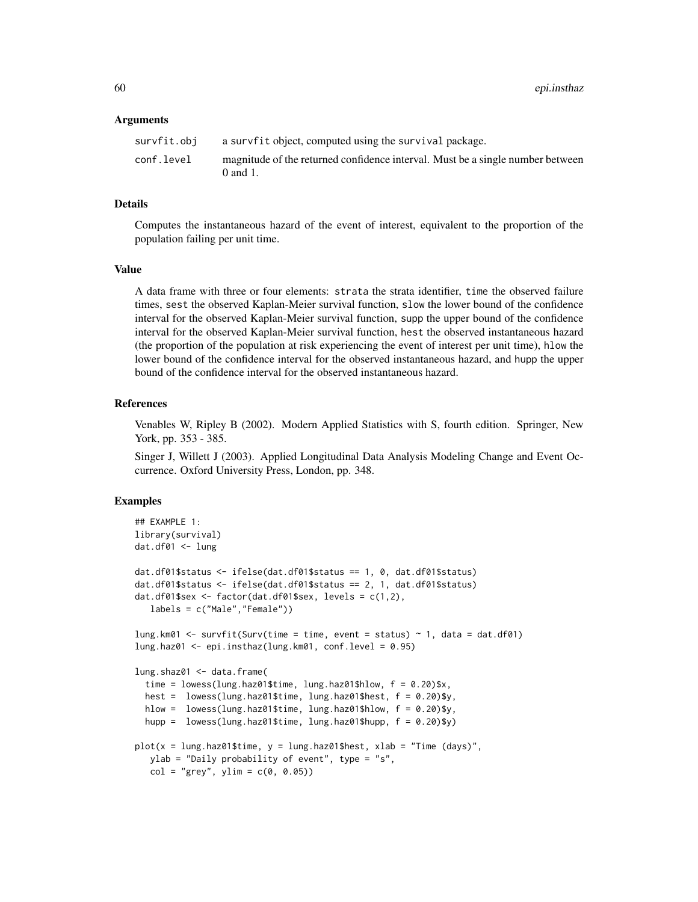### Arguments

| survfit.obj | a survfit object, computed using the survival package.                                          |
|-------------|-------------------------------------------------------------------------------------------------|
| conf.level  | magnitude of the returned confidence interval. Must be a single number between<br>$0$ and $1$ . |

## Details

Computes the instantaneous hazard of the event of interest, equivalent to the proportion of the population failing per unit time.

### Value

A data frame with three or four elements: strata the strata identifier, time the observed failure times, sest the observed Kaplan-Meier survival function, slow the lower bound of the confidence interval for the observed Kaplan-Meier survival function, supp the upper bound of the confidence interval for the observed Kaplan-Meier survival function, hest the observed instantaneous hazard (the proportion of the population at risk experiencing the event of interest per unit time), hlow the lower bound of the confidence interval for the observed instantaneous hazard, and hupp the upper bound of the confidence interval for the observed instantaneous hazard.

# References

Venables W, Ripley B (2002). Modern Applied Statistics with S, fourth edition. Springer, New York, pp. 353 - 385.

Singer J, Willett J (2003). Applied Longitudinal Data Analysis Modeling Change and Event Occurrence. Oxford University Press, London, pp. 348.

```
## EXAMPLE 1:
library(survival)
dat.df01 <- lung
dat.df01$status <- ifelse(dat.df01$status == 1, 0, dat.df01$status)
dat.df01$status <- ifelse(dat.df01$status == 2, 1, dat.df01$status)
dat.df01$sex <- factor(dat.df01$sex, levels = c(1,2),
  labels = c("Male","Female"))
lung.km01 <- survfit(Surv(time = time, event = status) ~ 1, data = dat.df01)
lung.haz01 <- epi.insthaz(lung.km01, conf.level = 0.95)
lung.shaz01 <- data.frame(
 time = lowss(lung.haz01$time, lung.haz01$hlow, <math>f = 0.20</math>)$x,
 hest = lowess(lung.haz01$time, lung.haz01$hest, f = 0.20)$y,
 hlow = lowess(lung.haz01$time, lung.haz01$hlow, f = 0.20)$y,
 hupp = lowess(lung.haz01$time, lung.haz01$hupp, f = 0.20)$y)
plot(x = lung.haz01$time, y = lung.haz01$hest, xlab = "Time (days)",
  ylab = "Daily probability of event", type = "s",
  col = "grey", ylim = c(0, 0.05))
```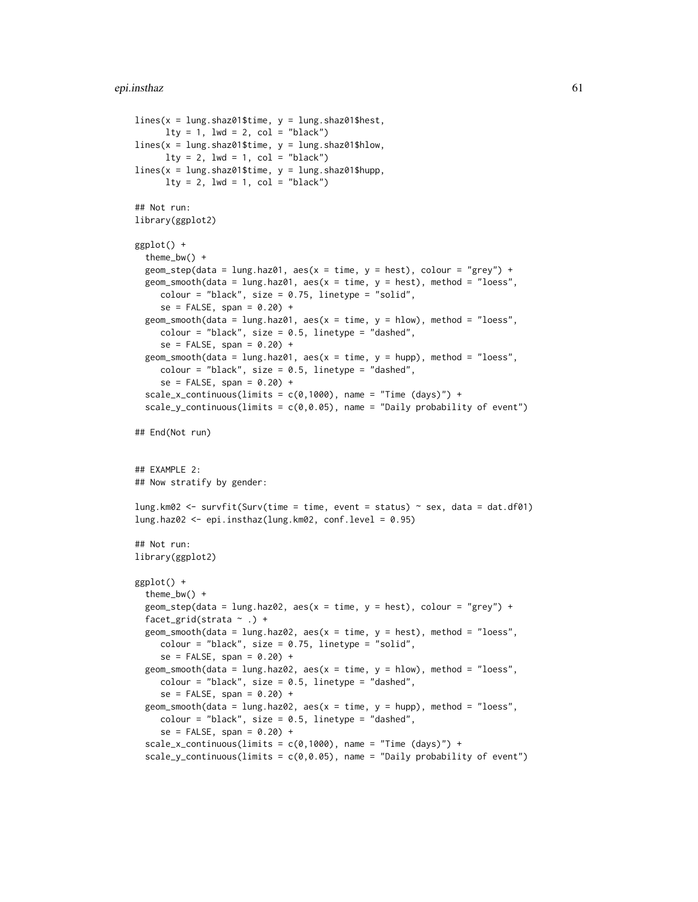#### epi.insthaz 61

```
lines(x = lung.shape1$time, y = lung.shape1$hest,lty = 1, lwd = 2, col = "black")lines(x = lung.shaz01$time, y = lung.shaz01$hlow,
      lty = 2, lwd = 1, col = "black")lines(x = lung.shaz01$time, y = lung.shaz01$hupp,
      lty = 2, lwd = 1, col = "black")## Not run:
library(ggplot2)
ggplot() +
 theme_bw() +
 geom_step(data = lung.haz01, aes(x = time, y = hest), colour = "grey") +
 geom_smooth(data = lung.haz01, aes(x = time, y = host), method = "loess",
     color = "black", size = 0.75, linetype = "solid",se = FALSE, span = 0.20) +geom_smooth(data = lung.haz01, aes(x = time, y = hlow), method = "loess",
     colour = "black", size = 0.5, linetype = "dashed",
     se = FALSE, span = 0.20) +geom_smooth(data = lung.haz01, aes(x = time, y = hupp), method = "loess",
     colour = "black", size = 0.5, linetype = "dashed",
     se = FALSE, span = 0.20) +scale_x_{continuous(limits = c(0,1000), name = "Time (days)") +scale_y_continuous(limits = c(\emptyset, \emptyset.05), name = "Daily probability of event")
## End(Not run)
## EXAMPLE 2:
## Now stratify by gender:
lung.km02 <- survfit(Surv(time = time, event = status) \sim sex, data = dat.df01)
lung.haz02 <- epi.insthaz(lung.km02, conf.level = 0.95)
## Not run:
library(ggplot2)
ggplot() +
 theme_bw() +
 geom_step(data = lung.haz02, aes(x = time, y = hest), colour = "grey") +
 facet_grid(strata ~ .) +
 geom_smooth(data = lung.haz02, aes(x = time, y = host), method = "loess",
     color = "black", size = 0.75, linetype = "solid",se = FALSE, span = 0.20) +geom_smooth(data = lung.haz02, aes(x = time, y = hlow), method = "loess",
     colour = "black", size = 0.5, linetype = "dashed",
     se = FALSE, span = 0.20) +geom_smooth(data = lung.haz02, aes(x = time, y = hupp), method = "loess",
     colour = "black", size = 0.5, linetype = "dashed",
     se = FALSE, span = 0.20) +scale_x_continuous(limits = c(0,1000), name = "Time (days)") +
  scale_y_continuous(limits = c(\emptyset, \emptyset.05), name = "Daily probability of event")
```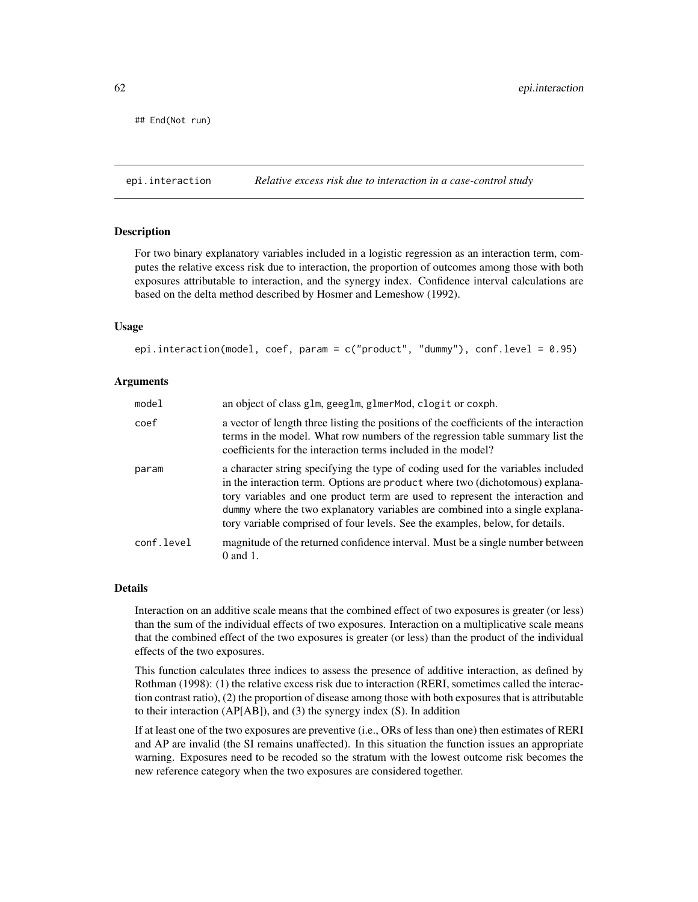```
## End(Not run)
```
epi.interaction *Relative excess risk due to interaction in a case-control study*

## Description

For two binary explanatory variables included in a logistic regression as an interaction term, computes the relative excess risk due to interaction, the proportion of outcomes among those with both exposures attributable to interaction, and the synergy index. Confidence interval calculations are based on the delta method described by Hosmer and Lemeshow (1992).

### Usage

epi.interaction(model, coef, param = c("product", "dummy"), conf.level = 0.95)

### Arguments

| model      | an object of class glm, geeglm, glmerMod, clogit or coxph.                                                                                                                                                                                                                                                                                                                                                           |
|------------|----------------------------------------------------------------------------------------------------------------------------------------------------------------------------------------------------------------------------------------------------------------------------------------------------------------------------------------------------------------------------------------------------------------------|
| coef       | a vector of length three listing the positions of the coefficients of the interaction<br>terms in the model. What row numbers of the regression table summary list the<br>coefficients for the interaction terms included in the model?                                                                                                                                                                              |
| param      | a character string specifying the type of coding used for the variables included<br>in the interaction term. Options are product where two (dichotomous) explana-<br>tory variables and one product term are used to represent the interaction and<br>dummy where the two explanatory variables are combined into a single explana-<br>tory variable comprised of four levels. See the examples, below, for details. |
| conf.level | magnitude of the returned confidence interval. Must be a single number between<br>$0$ and $1$ .                                                                                                                                                                                                                                                                                                                      |

# Details

Interaction on an additive scale means that the combined effect of two exposures is greater (or less) than the sum of the individual effects of two exposures. Interaction on a multiplicative scale means that the combined effect of the two exposures is greater (or less) than the product of the individual effects of the two exposures.

This function calculates three indices to assess the presence of additive interaction, as defined by Rothman (1998): (1) the relative excess risk due to interaction (RERI, sometimes called the interaction contrast ratio), (2) the proportion of disease among those with both exposures that is attributable to their interaction (AP[AB]), and (3) the synergy index (S). In addition

If at least one of the two exposures are preventive (i.e., ORs of less than one) then estimates of RERI and AP are invalid (the SI remains unaffected). In this situation the function issues an appropriate warning. Exposures need to be recoded so the stratum with the lowest outcome risk becomes the new reference category when the two exposures are considered together.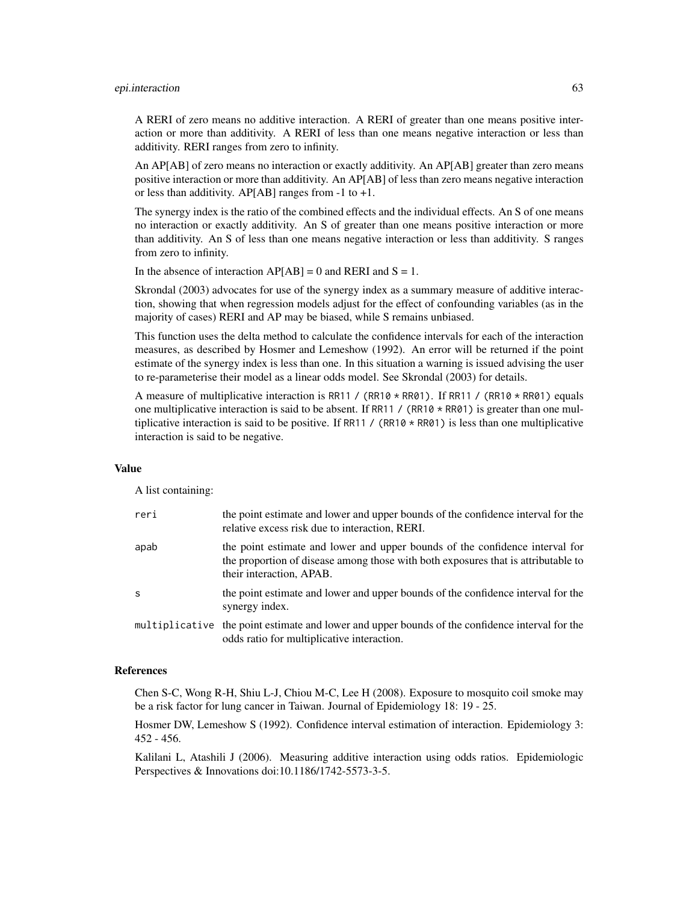### epi.interaction 63

A RERI of zero means no additive interaction. A RERI of greater than one means positive interaction or more than additivity. A RERI of less than one means negative interaction or less than additivity. RERI ranges from zero to infinity.

An AP[AB] of zero means no interaction or exactly additivity. An AP[AB] greater than zero means positive interaction or more than additivity. An AP[AB] of less than zero means negative interaction or less than additivity. AP[AB] ranges from  $-1$  to  $+1$ .

The synergy index is the ratio of the combined effects and the individual effects. An S of one means no interaction or exactly additivity. An S of greater than one means positive interaction or more than additivity. An S of less than one means negative interaction or less than additivity. S ranges from zero to infinity.

In the absence of interaction  $AP[AB] = 0$  and RERI and  $S = 1$ .

Skrondal (2003) advocates for use of the synergy index as a summary measure of additive interaction, showing that when regression models adjust for the effect of confounding variables (as in the majority of cases) RERI and AP may be biased, while S remains unbiased.

This function uses the delta method to calculate the confidence intervals for each of the interaction measures, as described by Hosmer and Lemeshow (1992). An error will be returned if the point estimate of the synergy index is less than one. In this situation a warning is issued advising the user to re-parameterise their model as a linear odds model. See Skrondal (2003) for details.

A measure of multiplicative interaction is RR11 / (RR10  $\star$  RR01). If RR11 / (RR10  $\star$  RR01) equals one multiplicative interaction is said to be absent. If RR11 / (RR10  $\star$  RR01) is greater than one multiplicative interaction is said to be positive. If RR11 / (RR10  $\star$  RR01) is less than one multiplicative interaction is said to be negative.

#### Value

A list containing:

| reri         | the point estimate and lower and upper bounds of the confidence interval for the<br>relative excess risk due to interaction, RERI.                                                            |
|--------------|-----------------------------------------------------------------------------------------------------------------------------------------------------------------------------------------------|
| apab         | the point estimate and lower and upper bounds of the confidence interval for<br>the proportion of disease among those with both exposures that is attributable to<br>their interaction, APAB. |
| <sub>S</sub> | the point estimate and lower and upper bounds of the confidence interval for the<br>synergy index.                                                                                            |
|              | multiplicative the point estimate and lower and upper bounds of the confidence interval for the<br>odds ratio for multiplicative interaction.                                                 |

### References

Chen S-C, Wong R-H, Shiu L-J, Chiou M-C, Lee H (2008). Exposure to mosquito coil smoke may be a risk factor for lung cancer in Taiwan. Journal of Epidemiology 18: 19 - 25.

Hosmer DW, Lemeshow S (1992). Confidence interval estimation of interaction. Epidemiology 3: 452 - 456.

Kalilani L, Atashili J (2006). Measuring additive interaction using odds ratios. Epidemiologic Perspectives & Innovations doi:10.1186/1742-5573-3-5.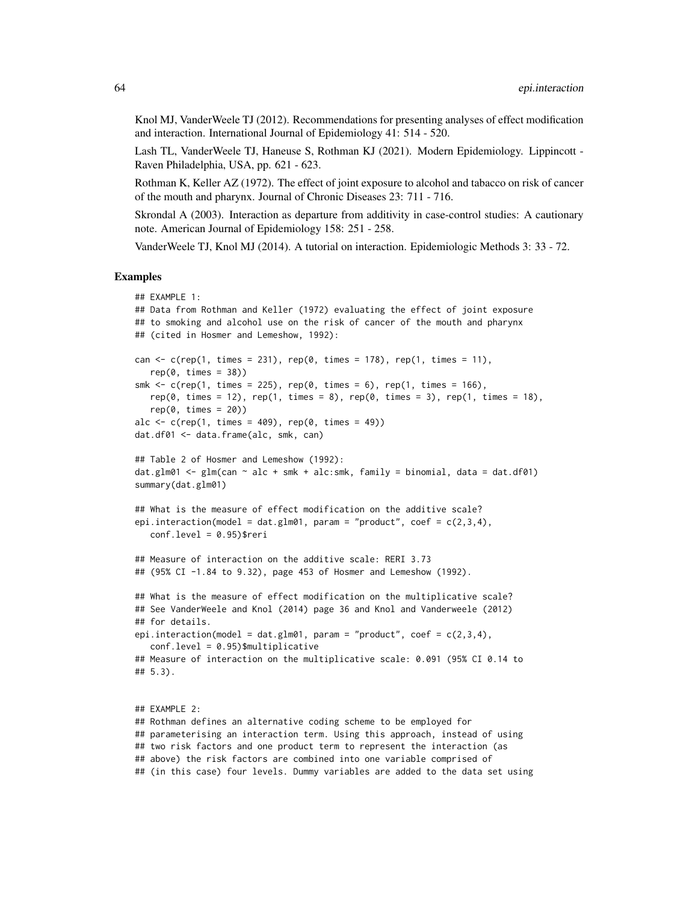Knol MJ, VanderWeele TJ (2012). Recommendations for presenting analyses of effect modification and interaction. International Journal of Epidemiology 41: 514 - 520.

Lash TL, VanderWeele TJ, Haneuse S, Rothman KJ (2021). Modern Epidemiology. Lippincott - Raven Philadelphia, USA, pp. 621 - 623.

Rothman K, Keller AZ (1972). The effect of joint exposure to alcohol and tabacco on risk of cancer of the mouth and pharynx. Journal of Chronic Diseases 23: 711 - 716.

Skrondal A (2003). Interaction as departure from additivity in case-control studies: A cautionary note. American Journal of Epidemiology 158: 251 - 258.

VanderWeele TJ, Knol MJ (2014). A tutorial on interaction. Epidemiologic Methods 3: 33 - 72.

#### Examples

```
## EXAMPLE 1:
## Data from Rothman and Keller (1972) evaluating the effect of joint exposure
## to smoking and alcohol use on the risk of cancer of the mouth and pharynx
## (cited in Hosmer and Lemeshow, 1992):
can \leq c(rep(1, times = 231), rep(0, times = 178), rep(1, times = 11),
   rep(0, times = 38))smk \leq c(rep(1, times = 225), rep(0, times = 6), rep(1, times = 166),
  rep(0, times = 12), rep(1, times = 8), rep(0, times = 3), rep(1, times = 18),
   rep(0, times = 20)alc \leq c(rep(1, times = 409), rep(0, times = 49))
dat.df01 <- data.frame(alc, smk, can)
## Table 2 of Hosmer and Lemeshow (1992):
dat.glm01 \leq glm(can \sim alc + smk + alc:smk, family = binomial, data = dat.df01)
summary(dat.glm01)
## What is the measure of effect modification on the additive scale?
epi.interaction(model = dat.glm01, param = "product", coef = c(2,3,4),
  conf. level = 0.95)$reri
## Measure of interaction on the additive scale: RERI 3.73
## (95% CI -1.84 to 9.32), page 453 of Hosmer and Lemeshow (1992).
## What is the measure of effect modification on the multiplicative scale?
## See VanderWeele and Knol (2014) page 36 and Knol and Vanderweele (2012)
## for details.
epi.interaction(model = dat.glm01, param = "product", coef = c(2,3,4),
  conf.level = 0.95)$multiplicative
## Measure of interaction on the multiplicative scale: 0.091 (95% CI 0.14 to
## 5.3).
## EXAMPLE 2:
## Rothman defines an alternative coding scheme to be employed for
## parameterising an interaction term. Using this approach, instead of using
## two risk factors and one product term to represent the interaction (as
```
## above) the risk factors are combined into one variable comprised of

## (in this case) four levels. Dummy variables are added to the data set using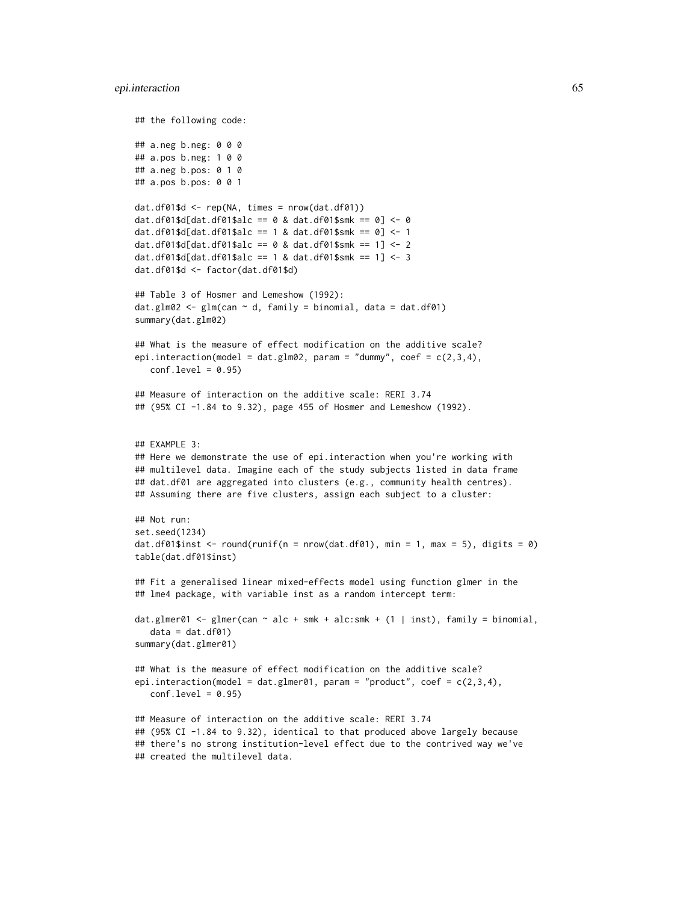#### epi.interaction 65

```
## the following code:
## a.neg b.neg: 0 0 0
## a.pos b.neg: 1 0 0
## a.neg b.pos: 0 1 0
## a.pos b.pos: 0 0 1
dat.df@1$d < - rep(NA, times = nrow(data.df@1))dat.df01$d[dat.df01$alc == 0 & dat.df01$smk == 0] <- 0
dat.df01$d[dat.df01$alc == 1 & dat.df01$smk == 0] <- 1
dat.df01$d[dat.df01$alc == 0 & dat.df01$smk == 1] <- 2
dat.df01$d[dat.df01$alc == 1 & dat.df01$smk == 1] <- 3
dat.df01$d <- factor(dat.df01$d)
## Table 3 of Hosmer and Lemeshow (1992):
dat.g1m02 < -g1m(can ~ d, family = binomial, data = dat.df01)summary(dat.glm02)
## What is the measure of effect modification on the additive scale?
epi.interaction(model = dat.glm02, param = "dummy", coef = c(2,3,4),
  conf. level = 0.95## Measure of interaction on the additive scale: RERI 3.74
## (95% CI -1.84 to 9.32), page 455 of Hosmer and Lemeshow (1992).
## EXAMPLE 3:
## Here we demonstrate the use of epi.interaction when you're working with
## multilevel data. Imagine each of the study subjects listed in data frame
## dat.df01 are aggregated into clusters (e.g., community health centres).
## Assuming there are five clusters, assign each subject to a cluster:
## Not run:
set.seed(1234)
dat.df01$inst <- round(runif(n = nrow(dat.df01), min = 1, max = 5), digits = 0)
table(dat.df01$inst)
## Fit a generalised linear mixed-effects model using function glmer in the
## lme4 package, with variable inst as a random intercept term:
dat.glmer01 <- glmer(can \sim alc + smk + alc:smk + (1 | inst), family = binomial,
   data = dat.df01)summary(dat.glmer01)
## What is the measure of effect modification on the additive scale?
epi.interaction(model = dat.glmer01, param = "product", coef = c(2,3,4),
  conf<math>level = 0.95## Measure of interaction on the additive scale: RERI 3.74
## (95% CI -1.84 to 9.32), identical to that produced above largely because
## there's no strong institution-level effect due to the contrived way we've
## created the multilevel data.
```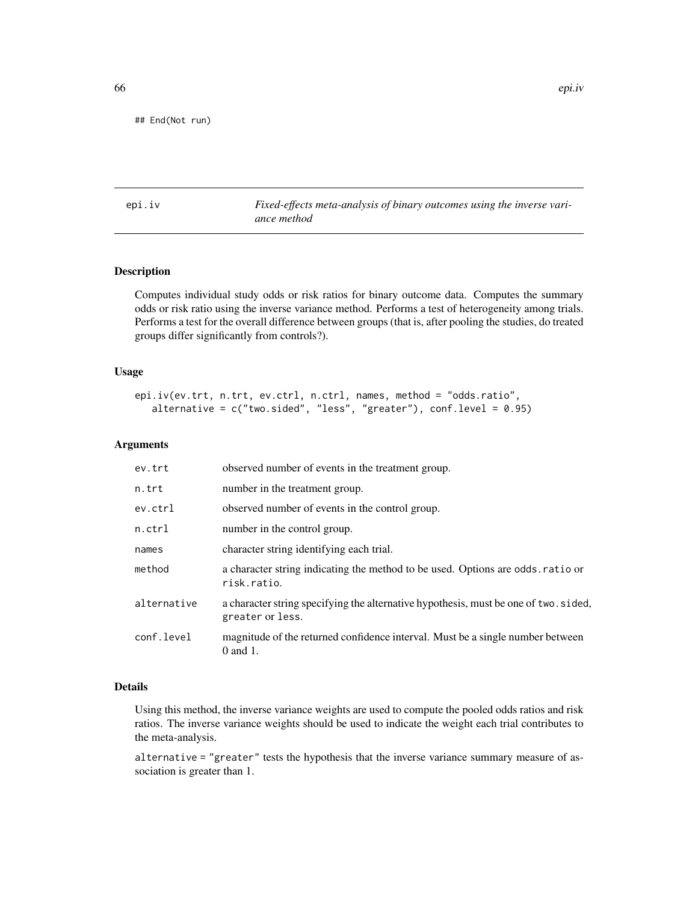## End(Not run)

<span id="page-65-0"></span>epi.iv *Fixed-effects meta-analysis of binary outcomes using the inverse variance method*

# Description

Computes individual study odds or risk ratios for binary outcome data. Computes the summary odds or risk ratio using the inverse variance method. Performs a test of heterogeneity among trials. Performs a test for the overall difference between groups (that is, after pooling the studies, do treated groups differ significantly from controls?).

### Usage

```
epi.iv(ev.trt, n.trt, ev.ctrl, n.ctrl, names, method = "odds.ratio",
  alternative = c("two-sided", "less", "greater"), conf. level = 0.95)
```
#### Arguments

| ev.trt      | observed number of events in the treatment group.                                                        |
|-------------|----------------------------------------------------------------------------------------------------------|
| n.trt       | number in the treatment group.                                                                           |
| ev.ctrl     | observed number of events in the control group.                                                          |
| $n.$ ctrl   | number in the control group.                                                                             |
| names       | character string identifying each trial.                                                                 |
| method      | a character string indicating the method to be used. Options are odds ratio or<br>risk.ratio.            |
| alternative | a character string specifying the alternative hypothesis, must be one of two. sided,<br>greater or less. |
| conf.level  | magnitude of the returned confidence interval. Must be a single number between<br>$0$ and $1$ .          |

# Details

Using this method, the inverse variance weights are used to compute the pooled odds ratios and risk ratios. The inverse variance weights should be used to indicate the weight each trial contributes to the meta-analysis.

alternative = "greater" tests the hypothesis that the inverse variance summary measure of association is greater than 1.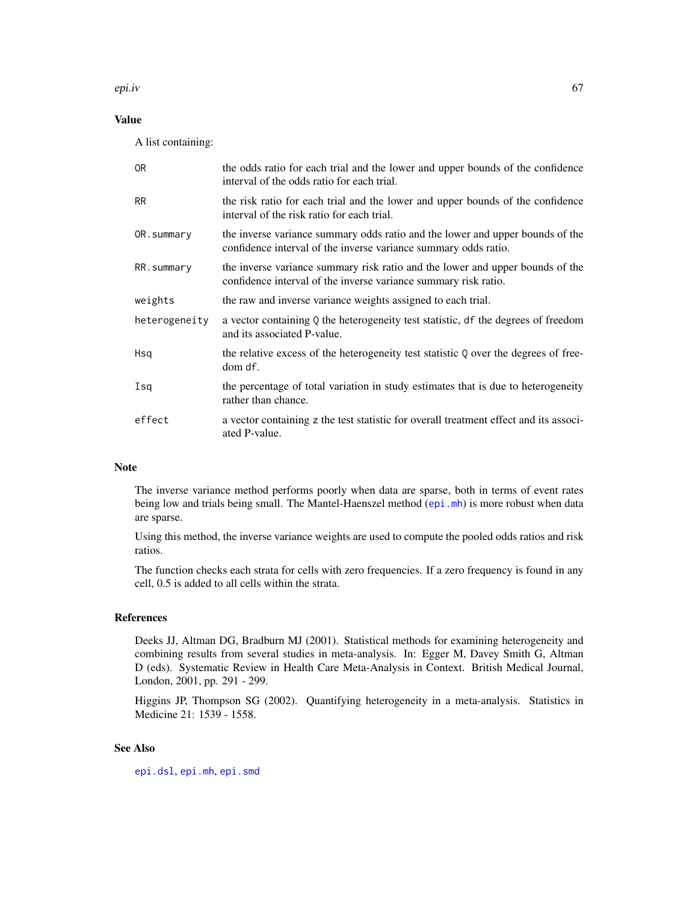epi.iv 67

# Value

A list containing:

| 0 <sub>R</sub> | the odds ratio for each trial and the lower and upper bounds of the confidence<br>interval of the odds ratio for each trial.                     |
|----------------|--------------------------------------------------------------------------------------------------------------------------------------------------|
| <b>RR</b>      | the risk ratio for each trial and the lower and upper bounds of the confidence<br>interval of the risk ratio for each trial.                     |
| OR.summary     | the inverse variance summary odds ratio and the lower and upper bounds of the<br>confidence interval of the inverse variance summary odds ratio. |
| RR.summary     | the inverse variance summary risk ratio and the lower and upper bounds of the<br>confidence interval of the inverse variance summary risk ratio. |
| weights        | the raw and inverse variance weights assigned to each trial.                                                                                     |
| heterogeneity  | a vector containing Q the heterogeneity test statistic, df the degrees of freedom<br>and its associated P-value.                                 |
| Hsq            | the relative excess of the heterogeneity test statistic Q over the degrees of free-<br>dom df.                                                   |
| Isq            | the percentage of total variation in study estimates that is due to heterogeneity<br>rather than chance.                                         |
| effect         | a vector containing z the test statistic for overall treatment effect and its associ-<br>ated P-value.                                           |

# Note

The inverse variance method performs poorly when data are sparse, both in terms of event rates being low and trials being small. The Mantel-Haenszel method ([epi.mh](#page-72-0)) is more robust when data are sparse.

Using this method, the inverse variance weights are used to compute the pooled odds ratios and risk ratios.

The function checks each strata for cells with zero frequencies. If a zero frequency is found in any cell, 0.5 is added to all cells within the strata.

# References

Deeks JJ, Altman DG, Bradburn MJ (2001). Statistical methods for examining heterogeneity and combining results from several studies in meta-analysis. In: Egger M, Davey Smith G, Altman D (eds). Systematic Review in Health Care Meta-Analysis in Context. British Medical Journal, London, 2001, pp. 291 - 299.

Higgins JP, Thompson SG (2002). Quantifying heterogeneity in a meta-analysis. Statistics in Medicine 21: 1539 - 1558.

# See Also

[epi.dsl](#page-47-0), [epi.mh](#page-72-0), [epi.smd](#page-89-0)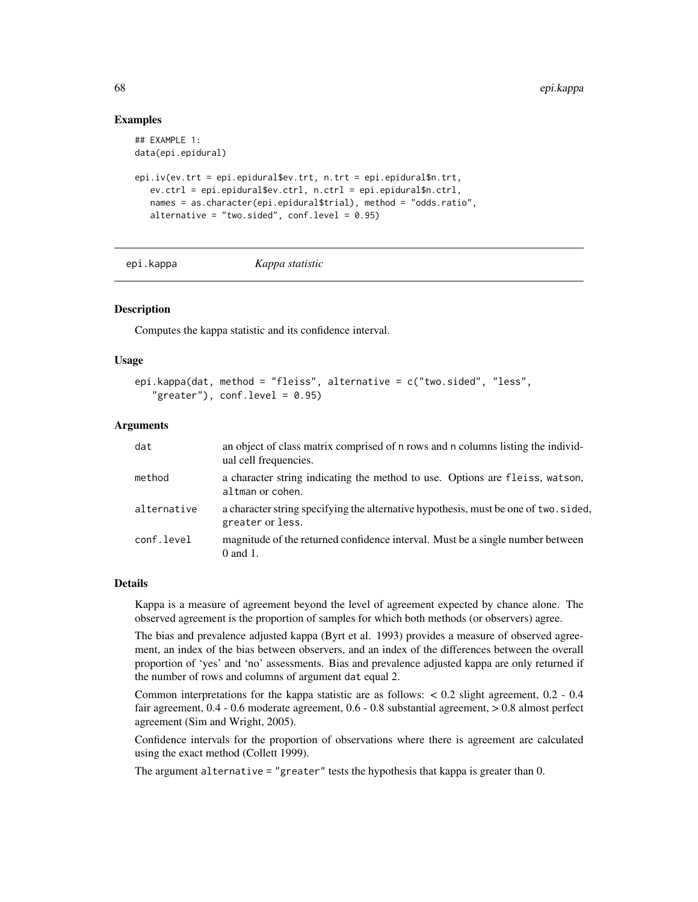# Examples

```
## EXAMPLE 1:
data(epi.epidural)
epi.iv(ev.trt = epi.epidural$ev.trt, n.trt = epi.epidural$n.trt,
   ev.ctrl = epi.epidural$ev.ctrl, n.ctrl = epi.epidural$n.ctrl,
   names = as.character(epi.epidural$trial), method = "odds.ratio",
   alternative = "two.sided", conf.level = 0.95)
```
# epi.kappa *Kappa statistic*

# **Description**

Computes the kappa statistic and its confidence interval.

#### Usage

```
epi.kappa(dat, method = "fleiss", alternative = c("two.sided", "less",
   "greater"), conf<math>level = 0.95
```
### Arguments

| dat         | an object of class matrix comprised of n rows and n columns listing the individ-<br>ual cell frequencies. |
|-------------|-----------------------------------------------------------------------------------------------------------|
| method      | a character string indicating the method to use. Options are fleiss, watson,<br>altman or cohen.          |
| alternative | a character string specifying the alternative hypothesis, must be one of two. sided,<br>greater or less.  |
| conf.level  | magnitude of the returned confidence interval. Must be a single number between<br>$0$ and $1$ .           |

## Details

Kappa is a measure of agreement beyond the level of agreement expected by chance alone. The observed agreement is the proportion of samples for which both methods (or observers) agree.

The bias and prevalence adjusted kappa (Byrt et al. 1993) provides a measure of observed agreement, an index of the bias between observers, and an index of the differences between the overall proportion of 'yes' and 'no' assessments. Bias and prevalence adjusted kappa are only returned if the number of rows and columns of argument dat equal 2.

Common interpretations for the kappa statistic are as follows: < 0.2 slight agreement, 0.2 - 0.4 fair agreement, 0.4 - 0.6 moderate agreement, 0.6 - 0.8 substantial agreement, > 0.8 almost perfect agreement (Sim and Wright, 2005).

Confidence intervals for the proportion of observations where there is agreement are calculated using the exact method (Collett 1999).

The argument alternative = "greater" tests the hypothesis that kappa is greater than 0.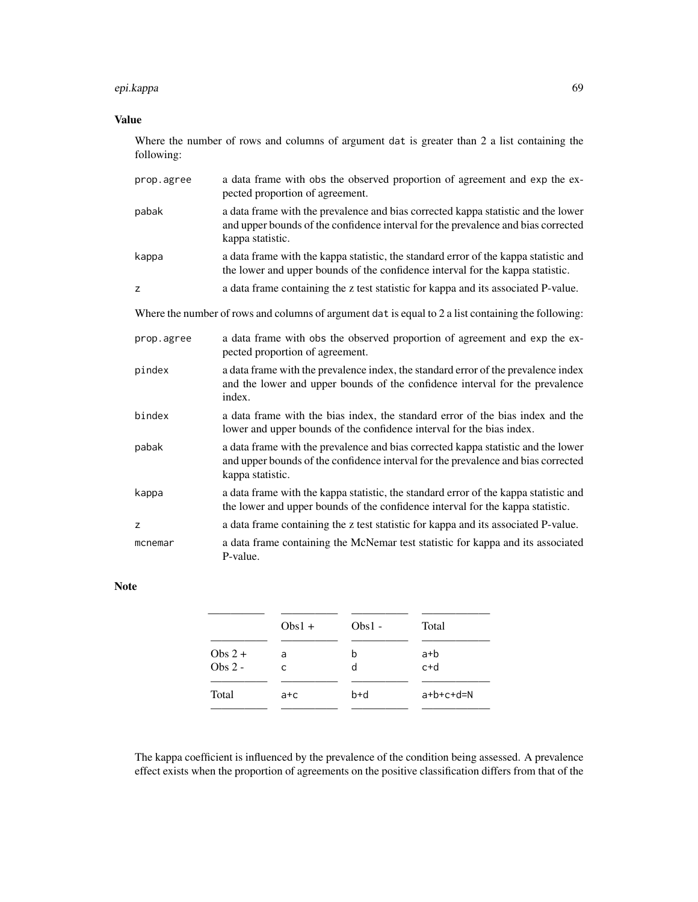#### epi.kappa 69

# Value

Where the number of rows and columns of argument dat is greater than 2 a list containing the following:

| prop.agree                                                                                          | a data frame with obs the observed proportion of agreement and exp the ex-<br>pected proportion of agreement.                                                                              |  |  |  |
|-----------------------------------------------------------------------------------------------------|--------------------------------------------------------------------------------------------------------------------------------------------------------------------------------------------|--|--|--|
| pabak                                                                                               | a data frame with the prevalence and bias corrected kappa statistic and the lower<br>and upper bounds of the confidence interval for the prevalence and bias corrected<br>kappa statistic. |  |  |  |
| kappa                                                                                               | a data frame with the kappa statistic, the standard error of the kappa statistic and<br>the lower and upper bounds of the confidence interval for the kappa statistic.                     |  |  |  |
| z                                                                                                   | a data frame containing the z test statistic for kappa and its associated P-value.                                                                                                         |  |  |  |
| Where the number of rows and columns of argument dat is equal to 2 a list containing the following: |                                                                                                                                                                                            |  |  |  |
| prop.agree                                                                                          | a data frame with obs the observed proportion of agreement and exp the ex-<br>pected proportion of agreement.                                                                              |  |  |  |
| pindex                                                                                              | a data frame with the prevalence index, the standard error of the prevalence index<br>and the lower and upper bounds of the confidence interval for the prevalence<br>index.               |  |  |  |
| bindex                                                                                              | a data frame with the bias index, the standard error of the bias index and the<br>lower and upper bounds of the confidence interval for the bias index.                                    |  |  |  |
| pabak                                                                                               | a data frame with the prevalence and bias corrected kappa statistic and the lower<br>and upper bounds of the confidence interval for the prevalence and bias corrected<br>kappa statistic. |  |  |  |
| kappa                                                                                               | a data frame with the kappa statistic, the standard error of the kappa statistic and<br>the lower and upper bounds of the confidence interval for the kappa statistic.                     |  |  |  |
| z                                                                                                   | a data frame containing the z test statistic for kappa and its associated P-value.                                                                                                         |  |  |  |
| mcnemar                                                                                             | a data frame containing the McNemar test statistic for kappa and its associated<br>P-value.                                                                                                |  |  |  |

# Note

|                        | $Obs1 +$ | $Obs1 -$ | Total          |
|------------------------|----------|----------|----------------|
| Obs $2 +$<br>Obs $2 -$ | a<br>C   | b<br>d   | $a+b$<br>$c+d$ |
| Total                  | a+c      | $b+d$    | $a+b+c+d=N$    |

The kappa coefficient is influenced by the prevalence of the condition being assessed. A prevalence effect exists when the proportion of agreements on the positive classification differs from that of the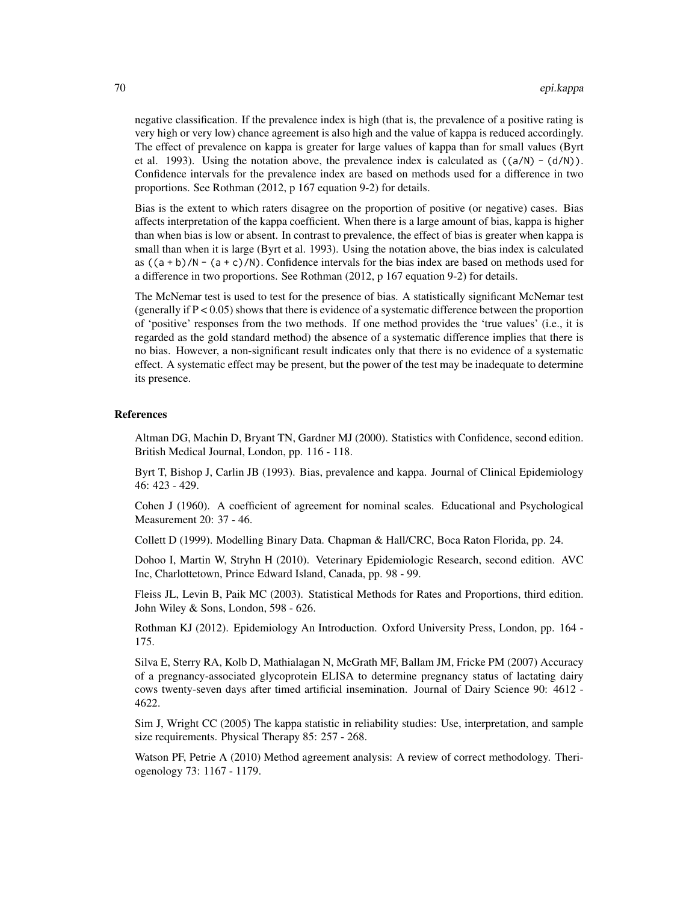negative classification. If the prevalence index is high (that is, the prevalence of a positive rating is very high or very low) chance agreement is also high and the value of kappa is reduced accordingly. The effect of prevalence on kappa is greater for large values of kappa than for small values (Byrt et al. 1993). Using the notation above, the prevalence index is calculated as  $((a/N) - (d/N))$ . Confidence intervals for the prevalence index are based on methods used for a difference in two proportions. See Rothman (2012, p 167 equation 9-2) for details.

Bias is the extent to which raters disagree on the proportion of positive (or negative) cases. Bias affects interpretation of the kappa coefficient. When there is a large amount of bias, kappa is higher than when bias is low or absent. In contrast to prevalence, the effect of bias is greater when kappa is small than when it is large (Byrt et al. 1993). Using the notation above, the bias index is calculated as  $((a + b)/N - (a + c)/N)$ . Confidence intervals for the bias index are based on methods used for a difference in two proportions. See Rothman (2012, p 167 equation 9-2) for details.

The McNemar test is used to test for the presence of bias. A statistically significant McNemar test (generally if  $P < 0.05$ ) shows that there is evidence of a systematic difference between the proportion of 'positive' responses from the two methods. If one method provides the 'true values' (i.e., it is regarded as the gold standard method) the absence of a systematic difference implies that there is no bias. However, a non-significant result indicates only that there is no evidence of a systematic effect. A systematic effect may be present, but the power of the test may be inadequate to determine its presence.

### References

Altman DG, Machin D, Bryant TN, Gardner MJ (2000). Statistics with Confidence, second edition. British Medical Journal, London, pp. 116 - 118.

Byrt T, Bishop J, Carlin JB (1993). Bias, prevalence and kappa. Journal of Clinical Epidemiology 46: 423 - 429.

Cohen J (1960). A coefficient of agreement for nominal scales. Educational and Psychological Measurement 20: 37 - 46.

Collett D (1999). Modelling Binary Data. Chapman & Hall/CRC, Boca Raton Florida, pp. 24.

Dohoo I, Martin W, Stryhn H (2010). Veterinary Epidemiologic Research, second edition. AVC Inc, Charlottetown, Prince Edward Island, Canada, pp. 98 - 99.

Fleiss JL, Levin B, Paik MC (2003). Statistical Methods for Rates and Proportions, third edition. John Wiley & Sons, London, 598 - 626.

Rothman KJ (2012). Epidemiology An Introduction. Oxford University Press, London, pp. 164 - 175.

Silva E, Sterry RA, Kolb D, Mathialagan N, McGrath MF, Ballam JM, Fricke PM (2007) Accuracy of a pregnancy-associated glycoprotein ELISA to determine pregnancy status of lactating dairy cows twenty-seven days after timed artificial insemination. Journal of Dairy Science 90: 4612 - 4622.

Sim J, Wright CC (2005) The kappa statistic in reliability studies: Use, interpretation, and sample size requirements. Physical Therapy 85: 257 - 268.

Watson PF, Petrie A (2010) Method agreement analysis: A review of correct methodology. Theriogenology 73: 1167 - 1179.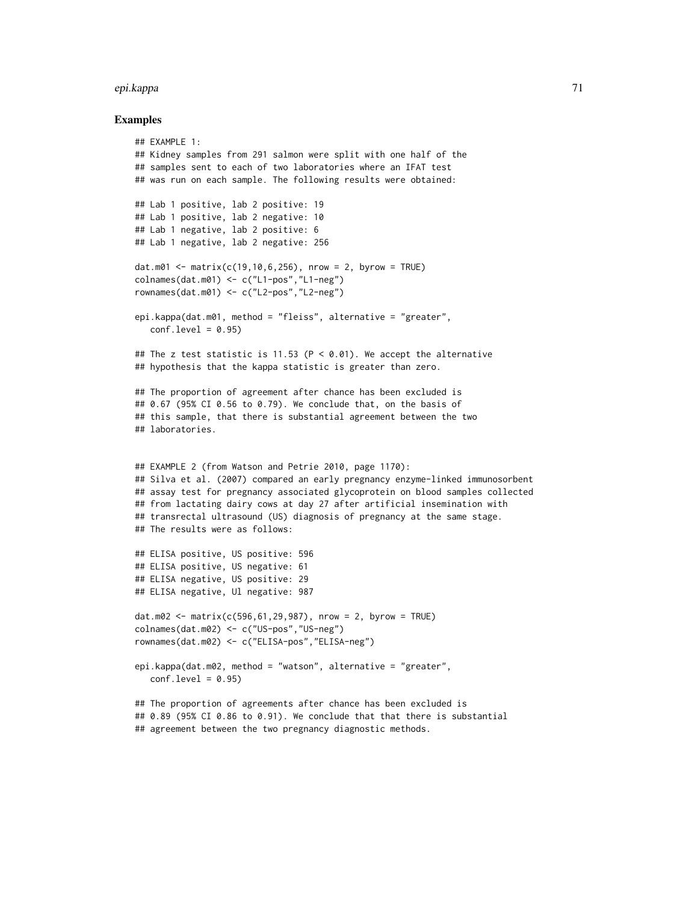#### epi.kappa 71

```
## EXAMPLE 1:
## Kidney samples from 291 salmon were split with one half of the
## samples sent to each of two laboratories where an IFAT test
## was run on each sample. The following results were obtained:
## Lab 1 positive, lab 2 positive: 19
## Lab 1 positive, lab 2 negative: 10
## Lab 1 negative, lab 2 positive: 6
## Lab 1 negative, lab 2 negative: 256
dat.m01 \leq matrix(c(19,10,6,256), nrow = 2, byrow = TRUE)colnames(dat.m01) <- c("L1-pos","L1-neg")
rownames(dat.m01) <- c("L2-pos","L2-neg")
epi.kappa(dat.m01, method = "fleiss", alternative = "greater",
   conf<math>level = 0.95## The z test statistic is 11.53 (P < 0.01). We accept the alternative
## hypothesis that the kappa statistic is greater than zero.
## The proportion of agreement after chance has been excluded is
## 0.67 (95% CI 0.56 to 0.79). We conclude that, on the basis of
## this sample, that there is substantial agreement between the two
## laboratories.
## EXAMPLE 2 (from Watson and Petrie 2010, page 1170):
## Silva et al. (2007) compared an early pregnancy enzyme-linked immunosorbent
## assay test for pregnancy associated glycoprotein on blood samples collected
## from lactating dairy cows at day 27 after artificial insemination with
## transrectal ultrasound (US) diagnosis of pregnancy at the same stage.
## The results were as follows:
## ELISA positive, US positive: 596
## ELISA positive, US negative: 61
## ELISA negative, US positive: 29
## ELISA negative, Ul negative: 987
dat.m02 \leq matrix(c(596, 61, 29, 987), nrow = 2, byrow = TRUE)
colnames(dat.m02) <- c("US-pos","US-neg")
rownames(dat.m02) <- c("ELISA-pos","ELISA-neg")
epi.kappa(dat.m02, method = "watson", alternative = "greater",
   conf<math>level = 0.95## The proportion of agreements after chance has been excluded is
## 0.89 (95% CI 0.86 to 0.91). We conclude that that there is substantial
## agreement between the two pregnancy diagnostic methods.
```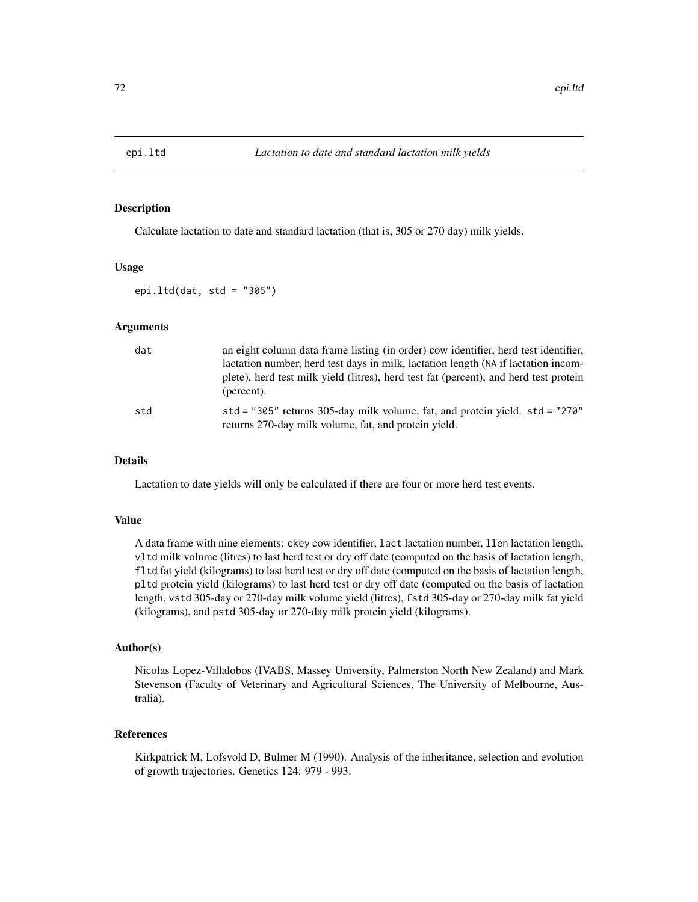# Description

Calculate lactation to date and standard lactation (that is, 305 or 270 day) milk yields.

#### Usage

epi.ltd(dat, std =  $"305"$ )

### Arguments

| dat | an eight column data frame listing (in order) cow identifier, herd test identifier,<br>lactation number, herd test days in milk, lactation length (NA if lactation incom-<br>plete), herd test milk yield (litres), herd test fat (percent), and herd test protein<br>(percent). |
|-----|----------------------------------------------------------------------------------------------------------------------------------------------------------------------------------------------------------------------------------------------------------------------------------|
| std | std = "305" returns 305-day milk volume, fat, and protein yield. $std = "270"$<br>returns 270-day milk volume, fat, and protein yield.                                                                                                                                           |

# Details

Lactation to date yields will only be calculated if there are four or more herd test events.

### Value

A data frame with nine elements: ckey cow identifier, lact lactation number, llen lactation length, vltd milk volume (litres) to last herd test or dry off date (computed on the basis of lactation length, fltd fat yield (kilograms) to last herd test or dry off date (computed on the basis of lactation length, pltd protein yield (kilograms) to last herd test or dry off date (computed on the basis of lactation length, vstd 305-day or 270-day milk volume yield (litres), fstd 305-day or 270-day milk fat yield (kilograms), and pstd 305-day or 270-day milk protein yield (kilograms).

### Author(s)

Nicolas Lopez-Villalobos (IVABS, Massey University, Palmerston North New Zealand) and Mark Stevenson (Faculty of Veterinary and Agricultural Sciences, The University of Melbourne, Australia).

# References

Kirkpatrick M, Lofsvold D, Bulmer M (1990). Analysis of the inheritance, selection and evolution of growth trajectories. Genetics 124: 979 - 993.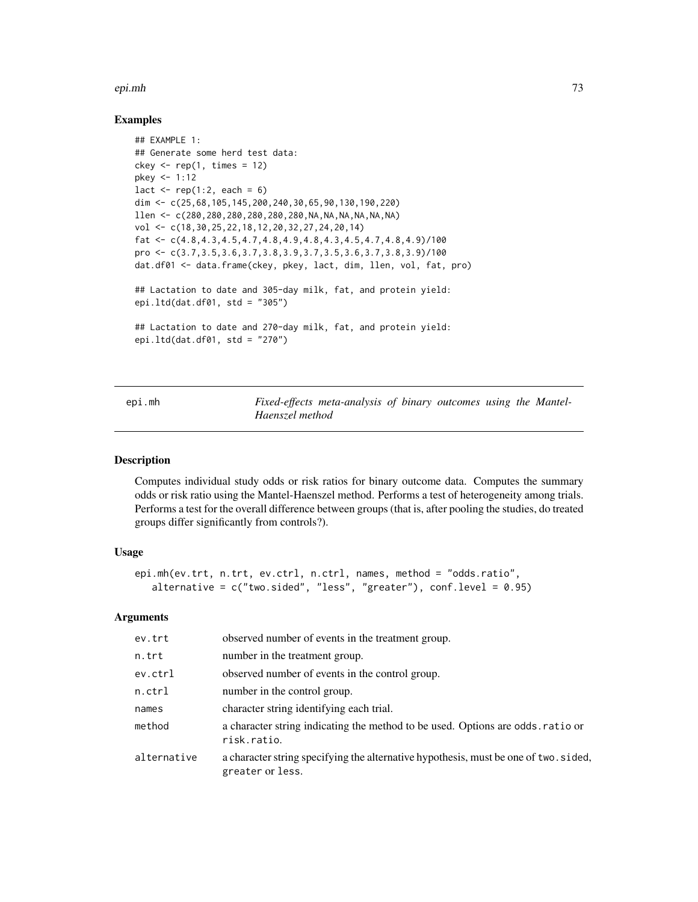#### epi.mh 73

## Examples

```
## EXAMPLE 1:
## Generate some herd test data:
ckey \leq rep(1, times = 12)
pkey <- 1:12
lact \leq rep(1:2, each = 6)
dim <- c(25,68,105,145,200,240,30,65,90,130,190,220)
llen <- c(280,280,280,280,280,280,NA,NA,NA,NA,NA,NA)
vol <- c(18,30,25,22,18,12,20,32,27,24,20,14)
fat \leq c(4.8, 4.3, 4.5, 4.7, 4.8, 4.9, 4.8, 4.3, 4.5, 4.7, 4.8, 4.9)/100
pro <- c(3.7,3.5,3.6,3.7,3.8,3.9,3.7,3.5,3.6,3.7,3.8,3.9)/100
dat.df01 <- data.frame(ckey, pkey, lact, dim, llen, vol, fat, pro)
## Lactation to date and 305-day milk, fat, and protein yield:
epi.ltd(dat.df01, std = "305")
## Lactation to date and 270-day milk, fat, and protein yield:
epi.ltd(dat.df01, std = "270")
```
<span id="page-72-0"></span>epi.mh *Fixed-effects meta-analysis of binary outcomes using the Mantel-Haenszel method*

## Description

Computes individual study odds or risk ratios for binary outcome data. Computes the summary odds or risk ratio using the Mantel-Haenszel method. Performs a test of heterogeneity among trials. Performs a test for the overall difference between groups (that is, after pooling the studies, do treated groups differ significantly from controls?).

## Usage

```
epi.mh(ev.trt, n.trt, ev.ctrl, n.ctrl, names, method = "odds.ratio",
   alternative = c("two.sided", "less", "greater"), conf.level = 0.95)
```
## Arguments

| ev.trt      | observed number of events in the treatment group.                                                        |
|-------------|----------------------------------------------------------------------------------------------------------|
| n.trt       | number in the treatment group.                                                                           |
| ev.ctrl     | observed number of events in the control group.                                                          |
| n.ctrl      | number in the control group.                                                                             |
| names       | character string identifying each trial.                                                                 |
| method      | a character string indicating the method to be used. Options are odds ratio or<br>risk.ratio.            |
| alternative | a character string specifying the alternative hypothesis, must be one of two. sided,<br>greater or less. |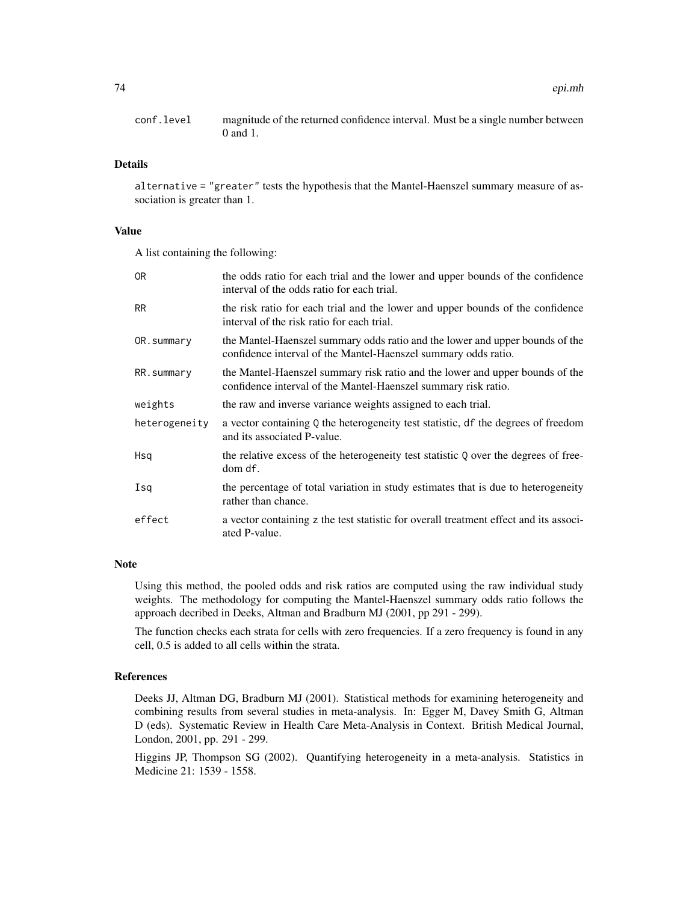conf.level magnitude of the returned confidence interval. Must be a single number between 0 and 1.

## Details

alternative = "greater" tests the hypothesis that the Mantel-Haenszel summary measure of association is greater than 1.

# Value

A list containing the following:

| 0 <sub>R</sub> | the odds ratio for each trial and the lower and upper bounds of the confidence<br>interval of the odds ratio for each trial.                   |
|----------------|------------------------------------------------------------------------------------------------------------------------------------------------|
| <b>RR</b>      | the risk ratio for each trial and the lower and upper bounds of the confidence<br>interval of the risk ratio for each trial.                   |
| OR.summary     | the Mantel-Haenszel summary odds ratio and the lower and upper bounds of the<br>confidence interval of the Mantel-Haenszel summary odds ratio. |
| RR.summary     | the Mantel-Haenszel summary risk ratio and the lower and upper bounds of the<br>confidence interval of the Mantel-Haenszel summary risk ratio. |
| weights        | the raw and inverse variance weights assigned to each trial.                                                                                   |
| heterogeneity  | a vector containing Q the heterogeneity test statistic, df the degrees of freedom<br>and its associated P-value.                               |
| Hsq            | the relative excess of the heterogeneity test statistic Q over the degrees of free-<br>dom df.                                                 |
| Isq            | the percentage of total variation in study estimates that is due to heterogeneity<br>rather than chance.                                       |
| effect         | a vector containing z the test statistic for overall treatment effect and its associ-<br>ated P-value.                                         |

# Note

Using this method, the pooled odds and risk ratios are computed using the raw individual study weights. The methodology for computing the Mantel-Haenszel summary odds ratio follows the approach decribed in Deeks, Altman and Bradburn MJ (2001, pp 291 - 299).

The function checks each strata for cells with zero frequencies. If a zero frequency is found in any cell, 0.5 is added to all cells within the strata.

## References

Deeks JJ, Altman DG, Bradburn MJ (2001). Statistical methods for examining heterogeneity and combining results from several studies in meta-analysis. In: Egger M, Davey Smith G, Altman D (eds). Systematic Review in Health Care Meta-Analysis in Context. British Medical Journal, London, 2001, pp. 291 - 299.

Higgins JP, Thompson SG (2002). Quantifying heterogeneity in a meta-analysis. Statistics in Medicine 21: 1539 - 1558.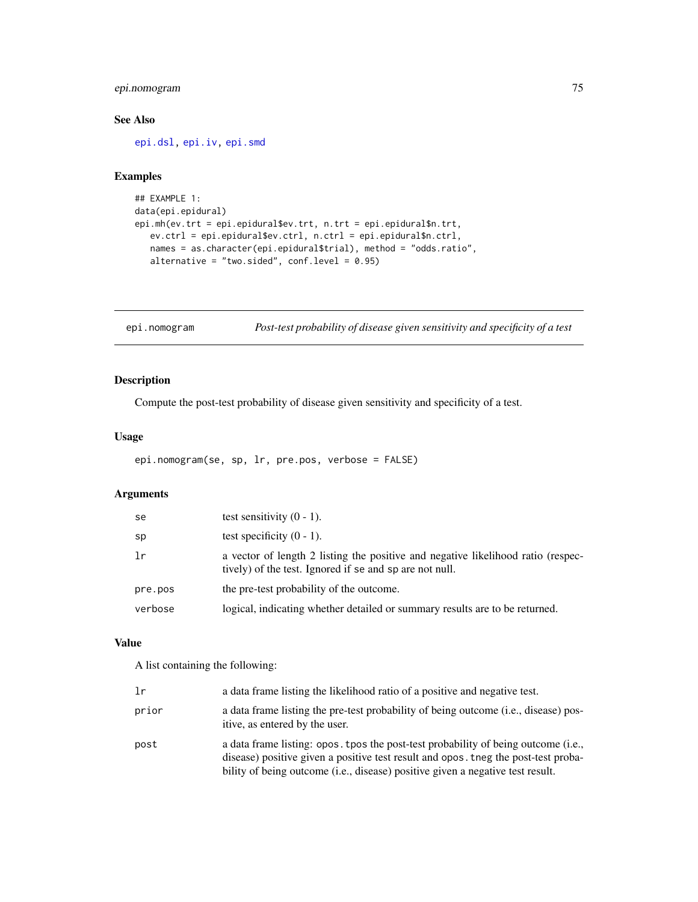# epi.nomogram 75

# See Also

[epi.dsl,](#page-47-0) [epi.iv,](#page-65-0) [epi.smd](#page-89-0)

# Examples

```
## EXAMPLE 1:
data(epi.epidural)
epi.mh(ev.trt = epi.epidural$ev.trt, n.trt = epi.epidural$n.trt,
   ev.ctrl = epi.epidural$ev.ctrl, n.ctrl = epi.epidural$n.ctrl,
  names = as.character(epi.epidural$trial), method = "odds.ratio",
   alternative = "two.sided", conf. level = 0.95)
```
epi.nomogram *Post-test probability of disease given sensitivity and specificity of a test*

# Description

Compute the post-test probability of disease given sensitivity and specificity of a test.

# Usage

```
epi.nomogram(se, sp, lr, pre.pos, verbose = FALSE)
```
# Arguments

| se      | test sensitivity $(0 - 1)$ .                                                                                                                |
|---------|---------------------------------------------------------------------------------------------------------------------------------------------|
| sp      | test specificity $(0 - 1)$ .                                                                                                                |
| 1r      | a vector of length 2 listing the positive and negative likelihood ratio (respec-<br>tively) of the test. Ignored if se and sp are not null. |
| pre.pos | the pre-test probability of the outcome.                                                                                                    |
| verbose | logical, indicating whether detailed or summary results are to be returned.                                                                 |

#### Value

A list containing the following:

| lr    | a data frame listing the likelihood ratio of a positive and negative test.                                                                                                                                                                                 |
|-------|------------------------------------------------------------------------------------------------------------------------------------------------------------------------------------------------------------------------------------------------------------|
| prior | a data frame listing the pre-test probability of being outcome (i.e., disease) pos-<br>itive, as entered by the user.                                                                                                                                      |
| post  | a data frame listing: opos. tpos the post-test probability of being outcome (i.e.,<br>disease) positive given a positive test result and opos. they the post-test proba-<br>bility of being outcome (i.e., disease) positive given a negative test result. |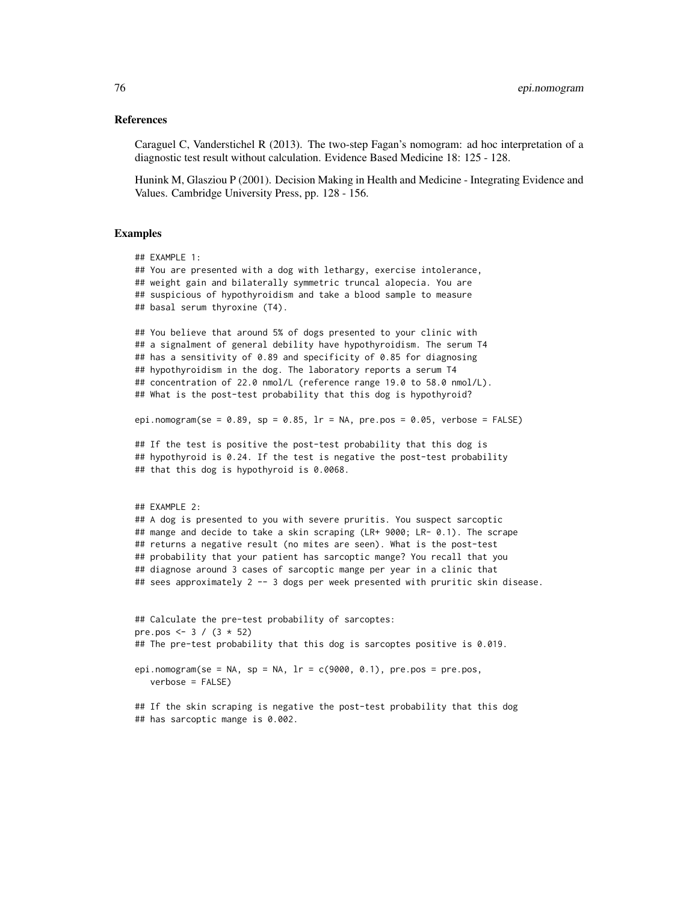### References

Caraguel C, Vanderstichel R (2013). The two-step Fagan's nomogram: ad hoc interpretation of a diagnostic test result without calculation. Evidence Based Medicine 18: 125 - 128.

Hunink M, Glasziou P (2001). Decision Making in Health and Medicine - Integrating Evidence and Values. Cambridge University Press, pp. 128 - 156.

#### Examples

```
## EXAMPLE 1:
## You are presented with a dog with lethargy, exercise intolerance,
## weight gain and bilaterally symmetric truncal alopecia. You are
## suspicious of hypothyroidism and take a blood sample to measure
## basal serum thyroxine (T4).
## You believe that around 5% of dogs presented to your clinic with
## a signalment of general debility have hypothyroidism. The serum T4
## has a sensitivity of 0.89 and specificity of 0.85 for diagnosing
## hypothyroidism in the dog. The laboratory reports a serum T4
## concentration of 22.0 nmol/L (reference range 19.0 to 58.0 nmol/L).
## What is the post-test probability that this dog is hypothyroid?
epi.nomogram(se = 0.89, sp = 0.85, lr = NA, pre.pos = 0.05, verbose = FALSE)
## If the test is positive the post-test probability that this dog is
## hypothyroid is 0.24. If the test is negative the post-test probability
## that this dog is hypothyroid is 0.0068.
## EXAMPLE 2:
## A dog is presented to you with severe pruritis. You suspect sarcoptic
## mange and decide to take a skin scraping (LR+ 9000; LR- 0.1). The scrape
## returns a negative result (no mites are seen). What is the post-test
## probability that your patient has sarcoptic mange? You recall that you
## diagnose around 3 cases of sarcoptic mange per year in a clinic that
## sees approximately 2 -- 3 dogs per week presented with pruritic skin disease.
## Calculate the pre-test probability of sarcoptes:
pre.pos <- 3 / (3 * 52)## The pre-test probability that this dog is sarcoptes positive is 0.019.
epi.nomogram(se = NA, sp = NA, lr = c(9000, 0.1), pre.pos = pre.pos,
  verbose = FALSE)
## If the skin scraping is negative the post-test probability that this dog
```
## has sarcoptic mange is 0.002.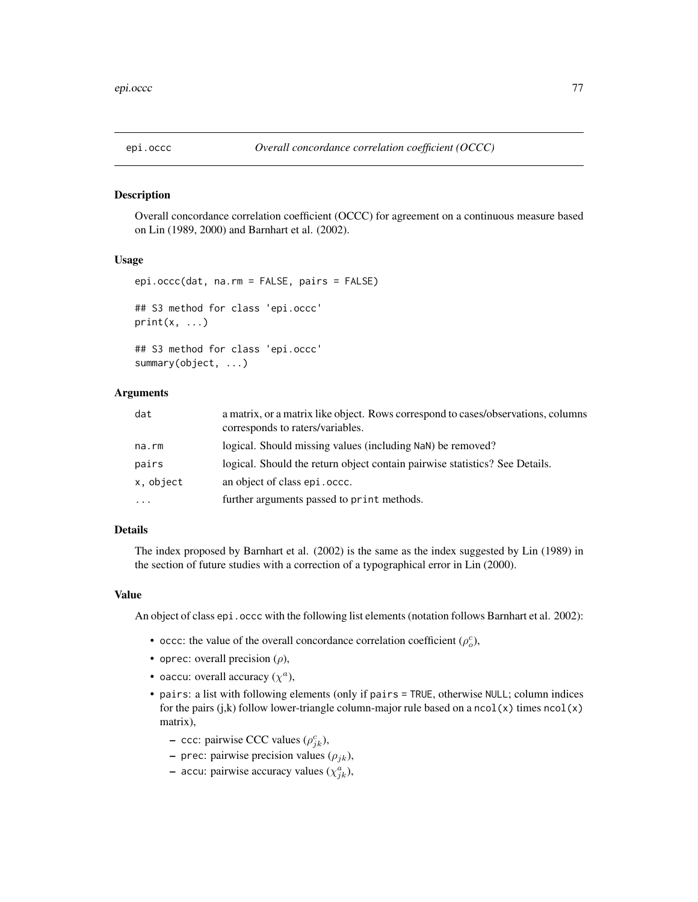## Description

Overall concordance correlation coefficient (OCCC) for agreement on a continuous measure based on Lin (1989, 2000) and Barnhart et al. (2002).

#### Usage

```
epi.occc(dat, na.rm = FALSE, pairs = FALSE)
## S3 method for class 'epi.occc'
print(x, \ldots)## S3 method for class 'epi.occc'
summary(object, ...)
```
# Arguments

| dat       | a matrix, or a matrix like object. Rows correspond to cases/observations, columns<br>corresponds to raters/variables. |
|-----------|-----------------------------------------------------------------------------------------------------------------------|
| na.rm     | logical. Should missing values (including NaN) be removed?                                                            |
| pairs     | logical. Should the return object contain pairwise statistics? See Details.                                           |
| x, object | an object of class epi. occc.                                                                                         |
| $\cdots$  | further arguments passed to print methods.                                                                            |

## Details

The index proposed by Barnhart et al. (2002) is the same as the index suggested by Lin (1989) in the section of future studies with a correction of a typographical error in Lin (2000).

#### Value

An object of class epi. occc with the following list elements (notation follows Barnhart et al. 2002):

- occc: the value of the overall concordance correlation coefficient  $(\rho_o^c)$ ,
- oprec: overall precision  $(\rho)$ ,
- oaccu: overall accuracy  $(\chi^a)$ ,
- pairs: a list with following elements (only if pairs = TRUE, otherwise NULL; column indices for the pairs (j,k) follow lower-triangle column-major rule based on a  $ncol(x)$  times  $ncol(x)$ matrix),
	- $\sim$  ccc: pairwise CCC values ( $\rho_{jk}^c$ ),
	- prec: pairwise precision values  $(\rho_{jk})$ ,
	- accu: pairwise accuracy values  $(\chi_{jk}^a)$ ,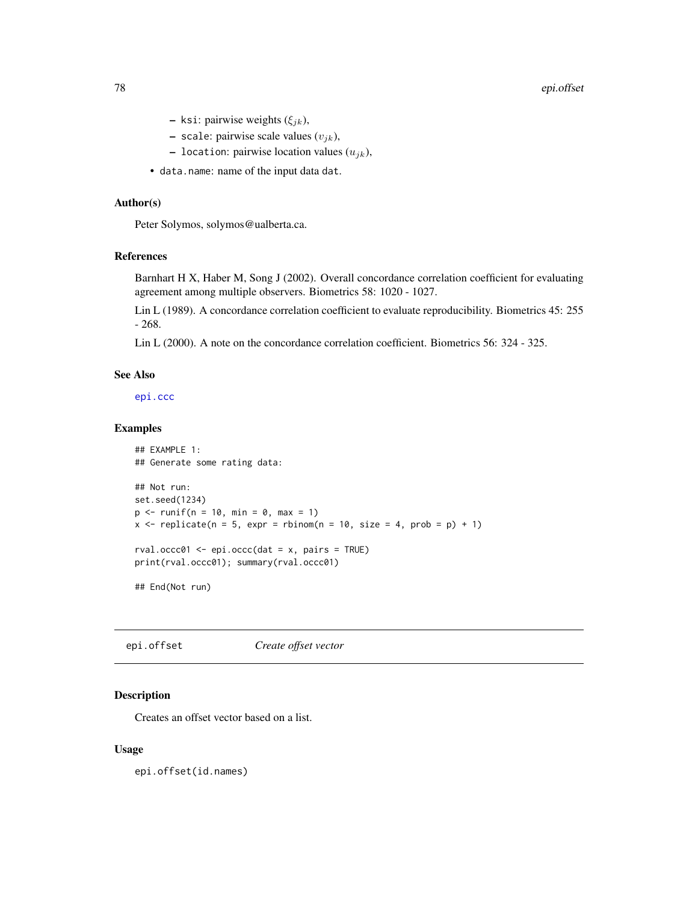- ksi: pairwise weights  $(\xi_{jk})$ ,
- scale: pairwise scale values  $(v_{jk})$ ,
- location: pairwise location values  $(u_{ik})$ ,
- data.name: name of the input data dat.

# Author(s)

Peter Solymos, solymos@ualberta.ca.

# References

Barnhart H X, Haber M, Song J (2002). Overall concordance correlation coefficient for evaluating agreement among multiple observers. Biometrics 58: 1020 - 1027.

Lin L (1989). A concordance correlation coefficient to evaluate reproducibility. Biometrics 45: 255 - 268.

Lin L (2000). A note on the concordance correlation coefficient. Biometrics 56: 324 - 325.

# See Also

[epi.ccc](#page-26-0)

# Examples

```
## EXAMPLE 1:
## Generate some rating data:
## Not run:
set.seed(1234)
p \le -runif(n = 10, min = 0, max = 1)
x \le replicate(n = 5, expr = rbinom(n = 10, size = 4, prob = p) + 1)
rval.occc01 \leq epi.occc(dat = x, pairs = TRUE)
print(rval.occc01); summary(rval.occc01)
```
## End(Not run)

epi.offset *Create offset vector*

# Description

Creates an offset vector based on a list.

## Usage

epi.offset(id.names)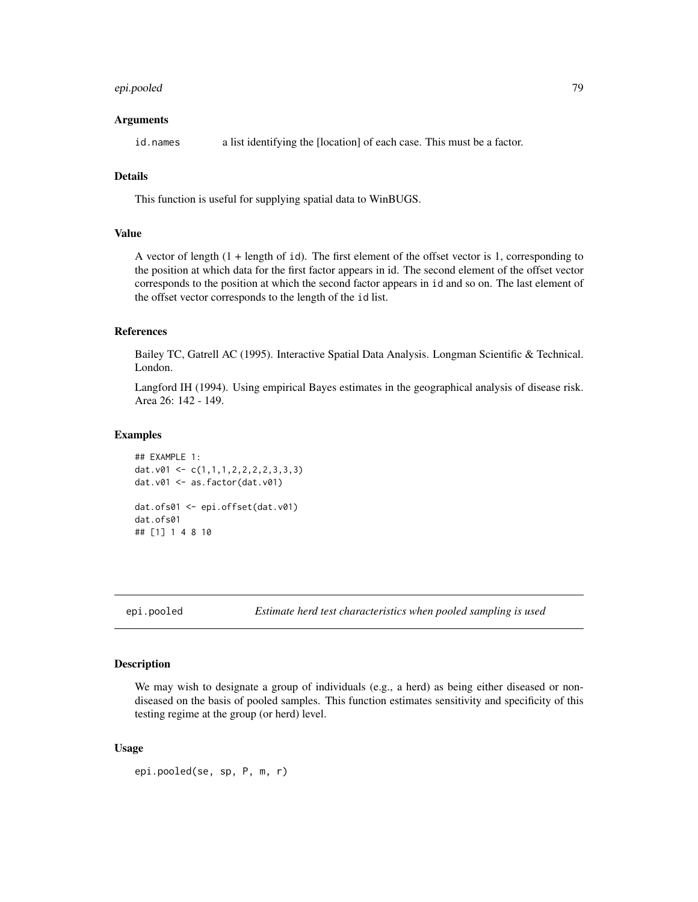# epi.pooled 79

### Arguments

id.names a list identifying the [location] of each case. This must be a factor.

# Details

This function is useful for supplying spatial data to WinBUGS.

## Value

A vector of length (1 + length of id). The first element of the offset vector is 1, corresponding to the position at which data for the first factor appears in id. The second element of the offset vector corresponds to the position at which the second factor appears in id and so on. The last element of the offset vector corresponds to the length of the id list.

# References

Bailey TC, Gatrell AC (1995). Interactive Spatial Data Analysis. Longman Scientific & Technical. London.

Langford IH (1994). Using empirical Bayes estimates in the geographical analysis of disease risk. Area 26: 142 - 149.

#### Examples

```
## EXAMPLE 1:
dat.v01 <- c(1,1,1,2,2,2,2,3,3,3)
dat.v01 <- as.factor(dat.v01)
dat.ofs01 <- epi.offset(dat.v01)
dat.ofs01
## [1] 1 4 8 10
```
epi.pooled *Estimate herd test characteristics when pooled sampling is used*

#### Description

We may wish to designate a group of individuals (e.g., a herd) as being either diseased or nondiseased on the basis of pooled samples. This function estimates sensitivity and specificity of this testing regime at the group (or herd) level.

```
epi.pooled(se, sp, P, m, r)
```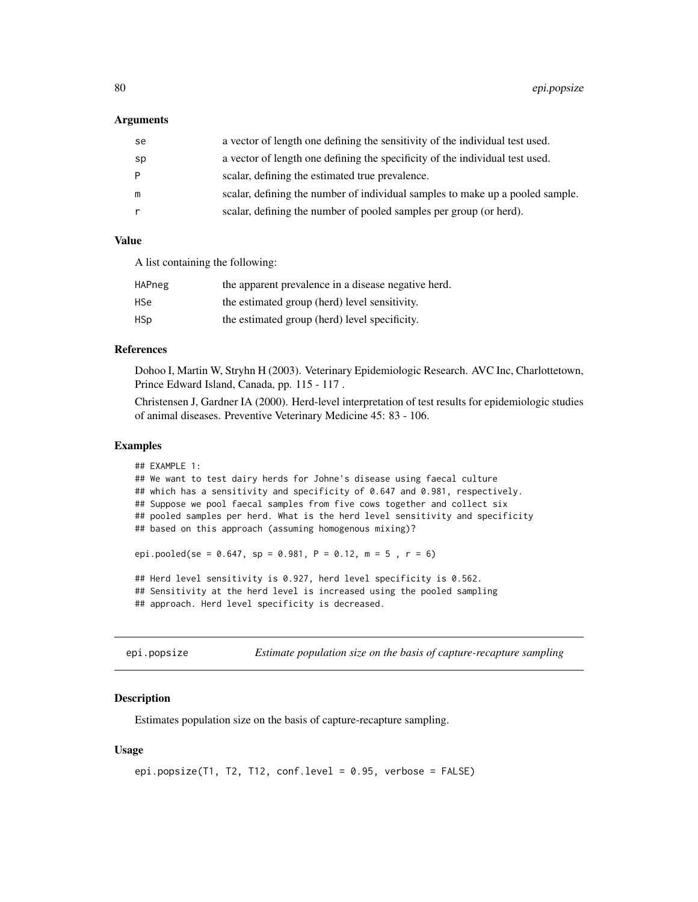#### Arguments

| se | a vector of length one defining the sensitivity of the individual test used.  |
|----|-------------------------------------------------------------------------------|
| sp | a vector of length one defining the specificity of the individual test used.  |
| P  | scalar, defining the estimated true prevalence.                               |
| m  | scalar, defining the number of individual samples to make up a pooled sample. |
|    | scalar, defining the number of pooled samples per group (or herd).            |

## Value

A list containing the following:

| HAPneg | the apparent prevalence in a disease negative herd. |
|--------|-----------------------------------------------------|
| HSe    | the estimated group (herd) level sensitivity.       |
| HSp    | the estimated group (herd) level specificity.       |

## References

Dohoo I, Martin W, Stryhn H (2003). Veterinary Epidemiologic Research. AVC Inc, Charlottetown, Prince Edward Island, Canada, pp. 115 - 117 .

Christensen J, Gardner IA (2000). Herd-level interpretation of test results for epidemiologic studies of animal diseases. Preventive Veterinary Medicine 45: 83 - 106.

# Examples

```
## EXAMPLE 1:
## We want to test dairy herds for Johne's disease using faecal culture
## which has a sensitivity and specificity of 0.647 and 0.981, respectively.
## Suppose we pool faecal samples from five cows together and collect six
## pooled samples per herd. What is the herd level sensitivity and specificity
## based on this approach (assuming homogenous mixing)?
epi.pooled(se = 0.647, sp = 0.981, P = 0.12, m = 5, r = 6)
## Herd level sensitivity is 0.927, herd level specificity is 0.562.
## Sensitivity at the herd level is increased using the pooled sampling
## approach. Herd level specificity is decreased.
```
epi.popsize *Estimate population size on the basis of capture-recapture sampling*

## Description

Estimates population size on the basis of capture-recapture sampling.

```
epi.popsize(T1, T2, T12, conf.level = 0.95, verbose = FALSE)
```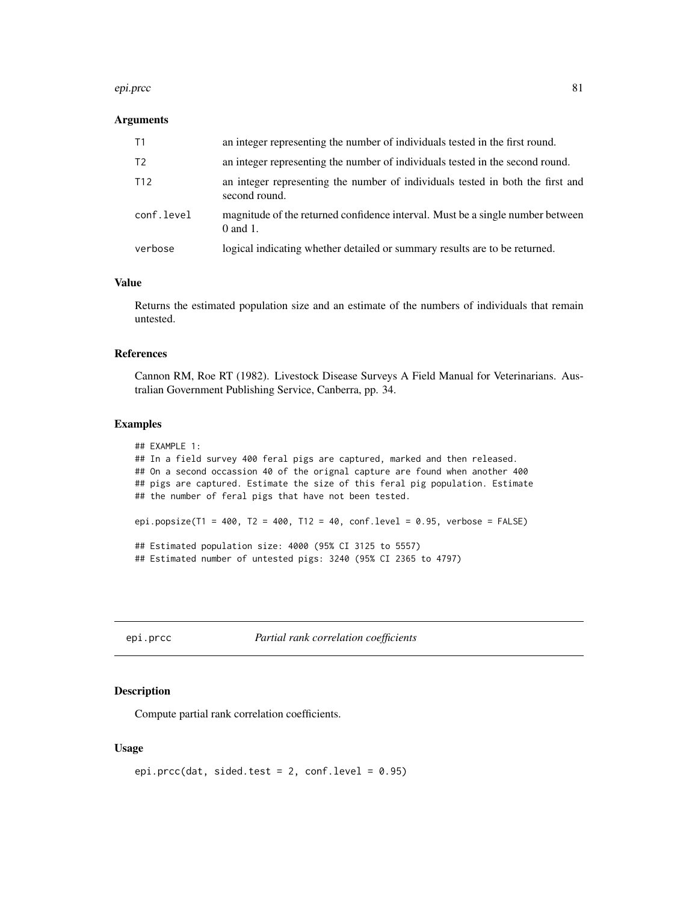#### epi.prcc 81

#### Arguments

| T1              | an integer representing the number of individuals tested in the first round.                    |
|-----------------|-------------------------------------------------------------------------------------------------|
| T <sub>2</sub>  | an integer representing the number of individuals tested in the second round.                   |
| T <sub>12</sub> | an integer representing the number of individuals tested in both the first and<br>second round. |
| conf.level      | magnitude of the returned confidence interval. Must be a single number between<br>$0$ and 1.    |
| verbose         | logical indicating whether detailed or summary results are to be returned.                      |

#### Value

Returns the estimated population size and an estimate of the numbers of individuals that remain untested.

## References

Cannon RM, Roe RT (1982). Livestock Disease Surveys A Field Manual for Veterinarians. Australian Government Publishing Service, Canberra, pp. 34.

#### Examples

```
## EXAMPLE 1:
## In a field survey 400 feral pigs are captured, marked and then released.
## On a second occassion 40 of the orignal capture are found when another 400
## pigs are captured. Estimate the size of this feral pig population. Estimate
## the number of feral pigs that have not been tested.
epi.popsize(T1 = 400, T2 = 400, T12 = 40, conf.level = 0.95, verbose = FALSE)
## Estimated population size: 4000 (95% CI 3125 to 5557)
## Estimated number of untested pigs: 3240 (95% CI 2365 to 4797)
```
epi.prcc *Partial rank correlation coefficients*

#### Description

Compute partial rank correlation coefficients.

```
epi.prcc(dat, sided.test = 2, conf.level = 0.95)
```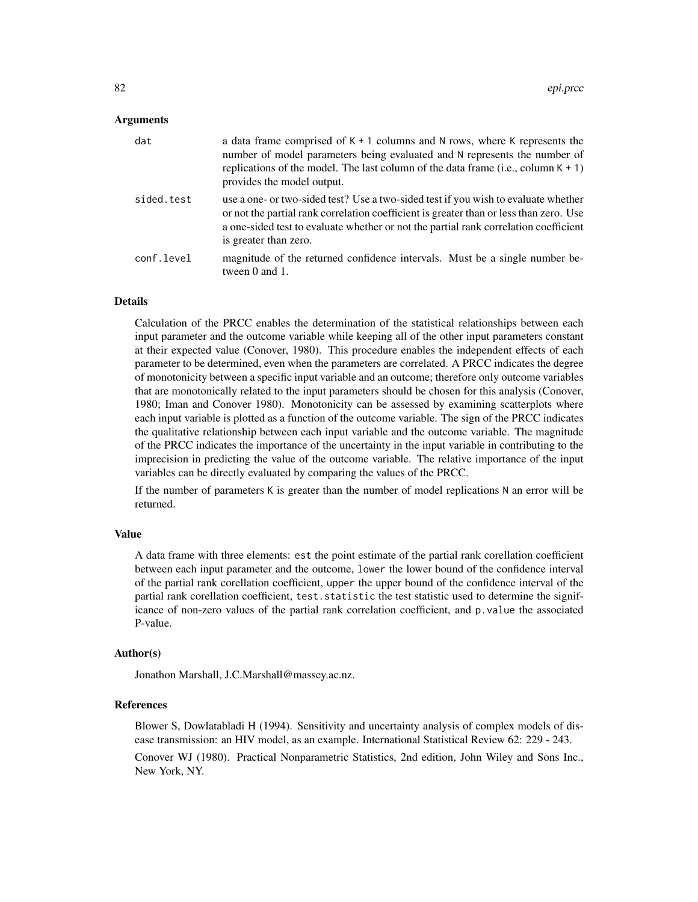## Arguments

| dat        | a data frame comprised of $K + 1$ columns and N rows, where K represents the<br>number of model parameters being evaluated and N represents the number of<br>replications of the model. The last column of the data frame (i.e., column $K + 1$ )<br>provides the model output.               |
|------------|-----------------------------------------------------------------------------------------------------------------------------------------------------------------------------------------------------------------------------------------------------------------------------------------------|
| sided.test | use a one- or two-sided test? Use a two-sided test if you wish to evaluate whether<br>or not the partial rank correlation coefficient is greater than or less than zero. Use<br>a one-sided test to evaluate whether or not the partial rank correlation coefficient<br>is greater than zero. |
| conf.level | magnitude of the returned confidence intervals. Must be a single number be-<br>tween 0 and 1.                                                                                                                                                                                                 |

# Details

Calculation of the PRCC enables the determination of the statistical relationships between each input parameter and the outcome variable while keeping all of the other input parameters constant at their expected value (Conover, 1980). This procedure enables the independent effects of each parameter to be determined, even when the parameters are correlated. A PRCC indicates the degree of monotonicity between a specific input variable and an outcome; therefore only outcome variables that are monotonically related to the input parameters should be chosen for this analysis (Conover, 1980; Iman and Conover 1980). Monotonicity can be assessed by examining scatterplots where each input variable is plotted as a function of the outcome variable. The sign of the PRCC indicates the qualitative relationship between each input variable and the outcome variable. The magnitude of the PRCC indicates the importance of the uncertainty in the input variable in contributing to the imprecision in predicting the value of the outcome variable. The relative importance of the input variables can be directly evaluated by comparing the values of the PRCC.

If the number of parameters K is greater than the number of model replications N an error will be returned.

#### Value

A data frame with three elements: est the point estimate of the partial rank corellation coefficient between each input parameter and the outcome, lower the lower bound of the confidence interval of the partial rank corellation coefficient, upper the upper bound of the confidence interval of the partial rank corellation coefficient, test. statistic the test statistic used to determine the significance of non-zero values of the partial rank correlation coefficient, and p.value the associated P-value.

## Author(s)

Jonathon Marshall, J.C.Marshall@massey.ac.nz.

## References

Blower S, Dowlatabladi H (1994). Sensitivity and uncertainty analysis of complex models of disease transmission: an HIV model, as an example. International Statistical Review 62: 229 - 243. Conover WJ (1980). Practical Nonparametric Statistics, 2nd edition, John Wiley and Sons Inc., New York, NY.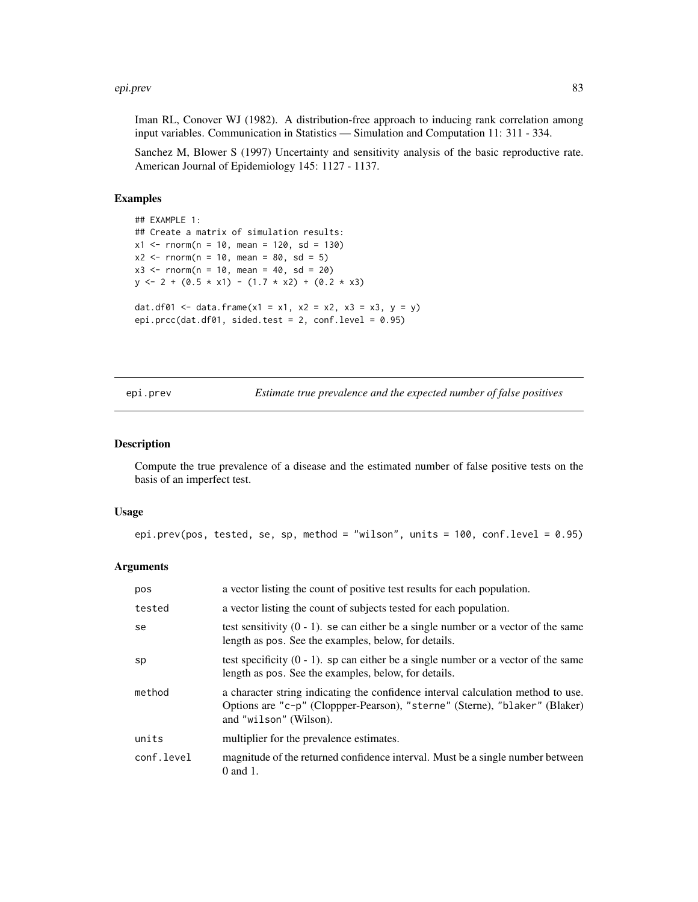#### epi.prev 83

Iman RL, Conover WJ (1982). A distribution-free approach to inducing rank correlation among input variables. Communication in Statistics — Simulation and Computation 11: 311 - 334.

Sanchez M, Blower S (1997) Uncertainty and sensitivity analysis of the basic reproductive rate. American Journal of Epidemiology 145: 1127 - 1137.

## Examples

```
## EXAMPLE 1:
## Create a matrix of simulation results:
x1 <- rnorm(n = 10, mean = 120, sd = 130)
x2 \le - rnorm(n = 10, mean = 80, sd = 5)
x3 \le rnorm(n = 10, mean = 40, sd = 20)
y \le -2 + (0.5 \times x1) - (1.7 \times x2) + (0.2 \times x3)dat.df01 <- data.frame(x1 = x1, x2 = x2, x3 = x3, y = y)
epi.prcc(dat.df01, sided.test = 2, conf.level = 0.95)
```
epi.prev *Estimate true prevalence and the expected number of false positives*

## Description

Compute the true prevalence of a disease and the estimated number of false positive tests on the basis of an imperfect test.

#### Usage

```
epi.prev(pos, tested, se, sp, method = "wilson", units = 100, conf.level = 0.95)
```
## Arguments

| pos        | a vector listing the count of positive test results for each population.                                                                                                                 |
|------------|------------------------------------------------------------------------------------------------------------------------------------------------------------------------------------------|
| tested     | a vector listing the count of subjects tested for each population.                                                                                                                       |
| se         | test sensitivity $(0 - 1)$ , se can either be a single number or a vector of the same<br>length as pos. See the examples, below, for details.                                            |
| sp         | test specificity $(0 - 1)$ . sp can either be a single number or a vector of the same<br>length as pos. See the examples, below, for details.                                            |
| method     | a character string indicating the confidence interval calculation method to use.<br>Options are "c-p" (Cloppper-Pearson), "sterne" (Sterne), "blaker" (Blaker)<br>and "wilson" (Wilson). |
| units      | multiplier for the prevalence estimates.                                                                                                                                                 |
| conf.level | magnitude of the returned confidence interval. Must be a single number between<br>$0$ and $1$ .                                                                                          |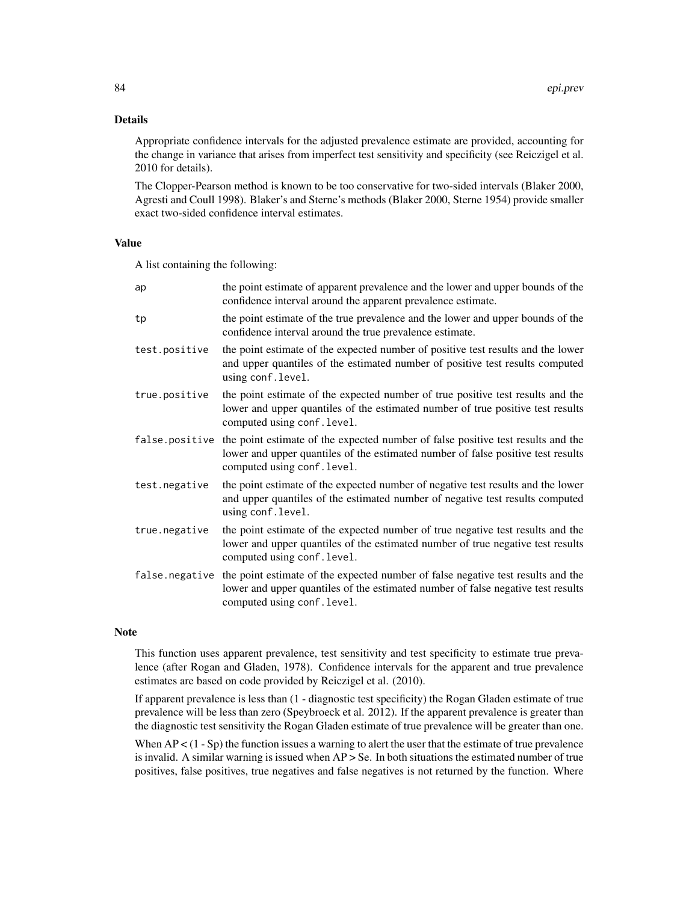# Details

Appropriate confidence intervals for the adjusted prevalence estimate are provided, accounting for the change in variance that arises from imperfect test sensitivity and specificity (see Reiczigel et al. 2010 for details).

The Clopper-Pearson method is known to be too conservative for two-sided intervals (Blaker 2000, Agresti and Coull 1998). Blaker's and Sterne's methods (Blaker 2000, Sterne 1954) provide smaller exact two-sided confidence interval estimates.

#### Value

A list containing the following:

| ap            | the point estimate of apparent prevalence and the lower and upper bounds of the<br>confidence interval around the apparent prevalence estimate.                                                                    |
|---------------|--------------------------------------------------------------------------------------------------------------------------------------------------------------------------------------------------------------------|
| tp            | the point estimate of the true prevalence and the lower and upper bounds of the<br>confidence interval around the true prevalence estimate.                                                                        |
| test.positive | the point estimate of the expected number of positive test results and the lower<br>and upper quantiles of the estimated number of positive test results computed<br>using conf.level.                             |
| true.positive | the point estimate of the expected number of true positive test results and the<br>lower and upper quantiles of the estimated number of true positive test results<br>computed using conf. level.                  |
|               | false positive the point estimate of the expected number of false positive test results and the<br>lower and upper quantiles of the estimated number of false positive test results<br>computed using conf. level. |
| test.negative | the point estimate of the expected number of negative test results and the lower<br>and upper quantiles of the estimated number of negative test results computed<br>using conf.level.                             |
| true.negative | the point estimate of the expected number of true negative test results and the<br>lower and upper quantiles of the estimated number of true negative test results<br>computed using conf. level.                  |
|               | false negative the point estimate of the expected number of false negative test results and the<br>lower and upper quantiles of the estimated number of false negative test results<br>computed using conf. level. |

# Note

This function uses apparent prevalence, test sensitivity and test specificity to estimate true prevalence (after Rogan and Gladen, 1978). Confidence intervals for the apparent and true prevalence estimates are based on code provided by Reiczigel et al. (2010).

If apparent prevalence is less than (1 - diagnostic test specificity) the Rogan Gladen estimate of true prevalence will be less than zero (Speybroeck et al. 2012). If the apparent prevalence is greater than the diagnostic test sensitivity the Rogan Gladen estimate of true prevalence will be greater than one.

When  $AP < (1 - Sp)$  the function issues a warning to alert the user that the estimate of true prevalence is invalid. A similar warning is issued when  $AP > Se$ . In both situations the estimated number of true positives, false positives, true negatives and false negatives is not returned by the function. Where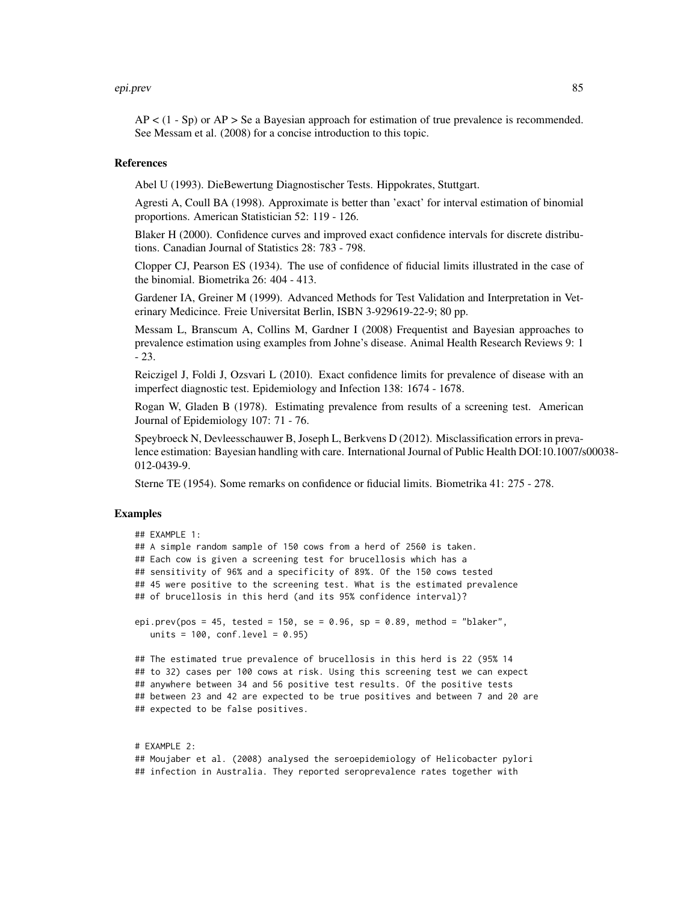#### epi.prev 85

 $AP < (1 - Sp)$  or  $AP > Se$  a Bayesian approach for estimation of true prevalence is recommended. See Messam et al. (2008) for a concise introduction to this topic.

#### References

Abel U (1993). DieBewertung Diagnostischer Tests. Hippokrates, Stuttgart.

Agresti A, Coull BA (1998). Approximate is better than 'exact' for interval estimation of binomial proportions. American Statistician 52: 119 - 126.

Blaker H (2000). Confidence curves and improved exact confidence intervals for discrete distributions. Canadian Journal of Statistics 28: 783 - 798.

Clopper CJ, Pearson ES (1934). The use of confidence of fiducial limits illustrated in the case of the binomial. Biometrika 26: 404 - 413.

Gardener IA, Greiner M (1999). Advanced Methods for Test Validation and Interpretation in Veterinary Medicince. Freie Universitat Berlin, ISBN 3-929619-22-9; 80 pp.

Messam L, Branscum A, Collins M, Gardner I (2008) Frequentist and Bayesian approaches to prevalence estimation using examples from Johne's disease. Animal Health Research Reviews 9: 1 - 23.

Reiczigel J, Foldi J, Ozsvari L (2010). Exact confidence limits for prevalence of disease with an imperfect diagnostic test. Epidemiology and Infection 138: 1674 - 1678.

Rogan W, Gladen B (1978). Estimating prevalence from results of a screening test. American Journal of Epidemiology 107: 71 - 76.

Speybroeck N, Devleesschauwer B, Joseph L, Berkvens D (2012). Misclassification errors in prevalence estimation: Bayesian handling with care. International Journal of Public Health DOI:10.1007/s00038- 012-0439-9.

Sterne TE (1954). Some remarks on confidence or fiducial limits. Biometrika 41: 275 - 278.

## Examples

```
## EXAMPLE 1:
## A simple random sample of 150 cows from a herd of 2560 is taken.
## Each cow is given a screening test for brucellosis which has a
## sensitivity of 96% and a specificity of 89%. Of the 150 cows tested
## 45 were positive to the screening test. What is the estimated prevalence
## of brucellosis in this herd (and its 95% confidence interval)?
epi.prev(pos = 45, tested = 150, se = 0.96, sp = 0.89, method = "blaker",
  units = 100, conf.level = 0.95)
## The estimated true prevalence of brucellosis in this herd is 22 (95% 14
## to 32) cases per 100 cows at risk. Using this screening test we can expect
## anywhere between 34 and 56 positive test results. Of the positive tests
## between 23 and 42 are expected to be true positives and between 7 and 20 are
## expected to be false positives.
```
# EXAMPLE 2: ## Moujaber et al. (2008) analysed the seroepidemiology of Helicobacter pylori ## infection in Australia. They reported seroprevalence rates together with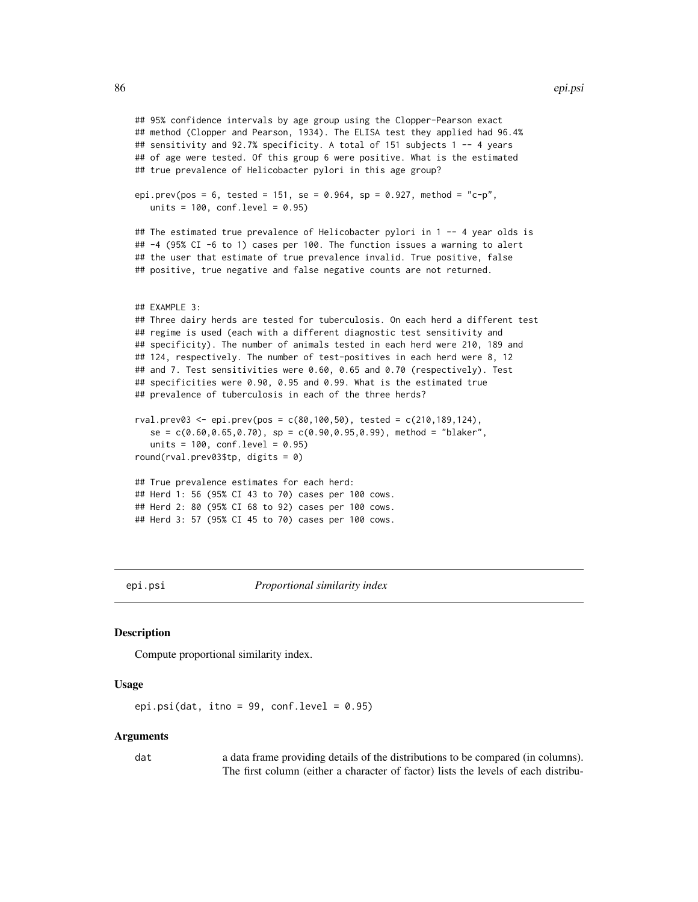```
## 95% confidence intervals by age group using the Clopper-Pearson exact
## method (Clopper and Pearson, 1934). The ELISA test they applied had 96.4%
## sensitivity and 92.7% specificity. A total of 151 subjects 1 -- 4 years
## of age were tested. Of this group 6 were positive. What is the estimated
## true prevalence of Helicobacter pylori in this age group?
epi.prev(pos = 6, tested = 151, se = 0.964, sp = 0.927, method = "c-p",
  units = 100, conf.level = 0.95)
## The estimated true prevalence of Helicobacter pylori in 1 -- 4 year olds is
## -4 (95% CI -6 to 1) cases per 100. The function issues a warning to alert
## the user that estimate of true prevalence invalid. True positive, false
## positive, true negative and false negative counts are not returned.
## EXAMPLE 3:
## Three dairy herds are tested for tuberculosis. On each herd a different test
## regime is used (each with a different diagnostic test sensitivity and
## specificity). The number of animals tested in each herd were 210, 189 and
## 124, respectively. The number of test-positives in each herd were 8, 12
## and 7. Test sensitivities were 0.60, 0.65 and 0.70 (respectively). Test
## specificities were 0.90, 0.95 and 0.99. What is the estimated true
## prevalence of tuberculosis in each of the three herds?
rval.prev03 \leq epi.prev(pos = c(80, 100, 50), tested = c(210, 189, 124),se = c(0.60, 0.65, 0.70), sp = c(0.90, 0.95, 0.99), method = "blacker",units = 100, conf.level = 0.95)
round(rval.prev03$tp, digits = 0)
## True prevalence estimates for each herd:
## Herd 1: 56 (95% CI 43 to 70) cases per 100 cows.
## Herd 2: 80 (95% CI 68 to 92) cases per 100 cows.
## Herd 3: 57 (95% CI 45 to 70) cases per 100 cows.
```
epi.psi *Proportional similarity index*

## Description

Compute proportional similarity index.

#### Usage

epi.psi(dat, itno = 99, conf.level =  $0.95$ )

#### Arguments

dat a data frame providing details of the distributions to be compared (in columns). The first column (either a character of factor) lists the levels of each distribu-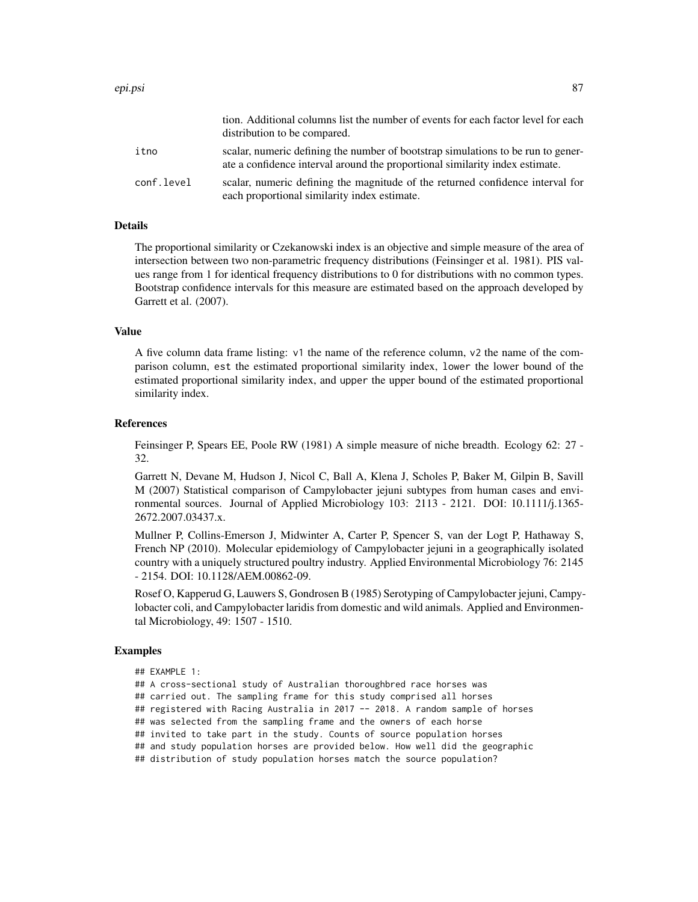|            | tion. Additional columns list the number of events for each factor level for each<br>distribution to be compared.                                                |
|------------|------------------------------------------------------------------------------------------------------------------------------------------------------------------|
| itno       | scalar, numeric defining the number of bootstrap simulations to be run to gener-<br>ate a confidence interval around the proportional similarity index estimate. |
| conf.level | scalar, numeric defining the magnitude of the returned confidence interval for<br>each proportional similarity index estimate.                                   |

# Details

The proportional similarity or Czekanowski index is an objective and simple measure of the area of intersection between two non-parametric frequency distributions (Feinsinger et al. 1981). PIS values range from 1 for identical frequency distributions to 0 for distributions with no common types. Bootstrap confidence intervals for this measure are estimated based on the approach developed by Garrett et al. (2007).

# Value

A five column data frame listing: v1 the name of the reference column, v2 the name of the comparison column, est the estimated proportional similarity index, lower the lower bound of the estimated proportional similarity index, and upper the upper bound of the estimated proportional similarity index.

#### **References**

Feinsinger P, Spears EE, Poole RW (1981) A simple measure of niche breadth. Ecology 62: 27 - 32.

Garrett N, Devane M, Hudson J, Nicol C, Ball A, Klena J, Scholes P, Baker M, Gilpin B, Savill M (2007) Statistical comparison of Campylobacter jejuni subtypes from human cases and environmental sources. Journal of Applied Microbiology 103: 2113 - 2121. DOI: 10.1111/j.1365- 2672.2007.03437.x.

Mullner P, Collins-Emerson J, Midwinter A, Carter P, Spencer S, van der Logt P, Hathaway S, French NP (2010). Molecular epidemiology of Campylobacter jejuni in a geographically isolated country with a uniquely structured poultry industry. Applied Environmental Microbiology 76: 2145 - 2154. DOI: 10.1128/AEM.00862-09.

Rosef O, Kapperud G, Lauwers S, Gondrosen B (1985) Serotyping of Campylobacter jejuni, Campylobacter coli, and Campylobacter laridis from domestic and wild animals. Applied and Environmental Microbiology, 49: 1507 - 1510.

#### Examples

```
## EXAMPLE 1:
```
## A cross-sectional study of Australian thoroughbred race horses was

## carried out. The sampling frame for this study comprised all horses

## registered with Racing Australia in 2017 -- 2018. A random sample of horses

## was selected from the sampling frame and the owners of each horse

```
## invited to take part in the study. Counts of source population horses
```
## and study population horses are provided below. How well did the geographic

## distribution of study population horses match the source population?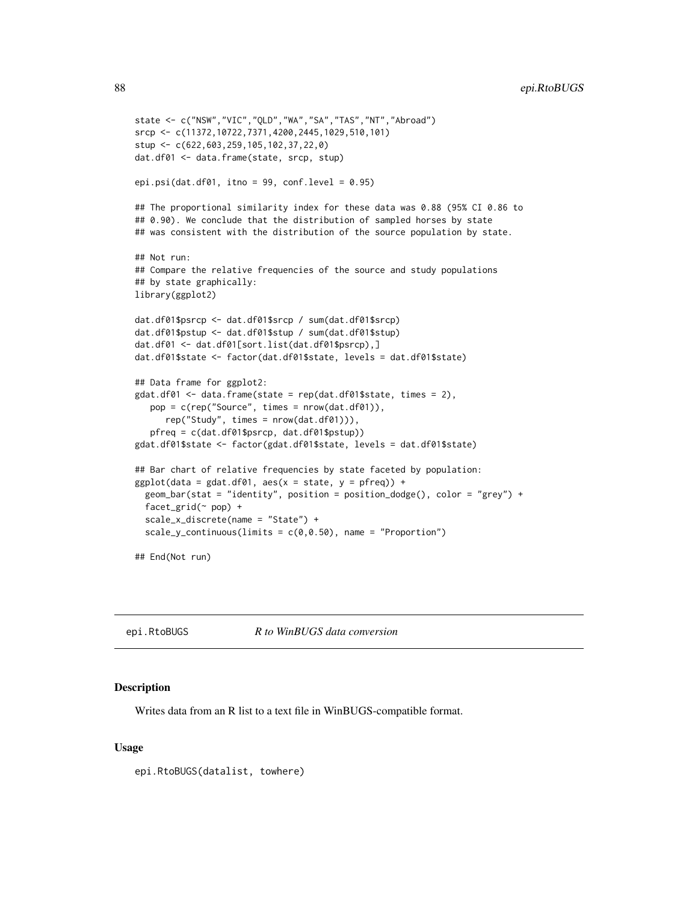88 epi.RtoBUGS

```
state <- c("NSW","VIC","QLD","WA","SA","TAS","NT","Abroad")
srcp <- c(11372,10722,7371,4200,2445,1029,510,101)
stup <- c(622,603,259,105,102,37,22,0)
dat.df01 <- data.frame(state, srcp, stup)
epi.psi(dat.df01, itno = 99, conf.level = 0.95)
## The proportional similarity index for these data was 0.88 (95% CI 0.86 to
## 0.90). We conclude that the distribution of sampled horses by state
## was consistent with the distribution of the source population by state.
## Not run:
## Compare the relative frequencies of the source and study populations
## by state graphically:
library(ggplot2)
dat.df01$psrcp <- dat.df01$srcp / sum(dat.df01$srcp)
dat.df01$pstup <- dat.df01$stup / sum(dat.df01$stup)
dat.df01 <- dat.df01[sort.list(dat.df01$psrcp),]
dat.df01$state <- factor(dat.df01$state, levels = dat.df01$state)
## Data frame for ggplot2:
gdat.df01 <- data.frame(state = rep(dat.df01$state, times = 2),
  pop = c(rep("Source", times = nrow(dat.df01)),
     rep("Study", times = nrow(dat.df01))),
   pfreq = c(dat.df01$psrcp, dat.df01$pstup))
gdat.df01$state <- factor(gdat.df01$state, levels = dat.df01$state)
## Bar chart of relative frequencies by state faceted by population:
ggplot(data = gdat.df01, aes(x = state, y = pfreq)) +geom_bar(stat = "identity", position = position_dodge(), color = "grey") +
 facet_grid(~ pop) +
 scale_x_discrete(name = "State") +
 scale_y_continuous(limits = c(0, 0.50), name = "Proportion")
## End(Not run)
```
epi.RtoBUGS *R to WinBUGS data conversion*

## Description

Writes data from an R list to a text file in WinBUGS-compatible format.

#### Usage

epi.RtoBUGS(datalist, towhere)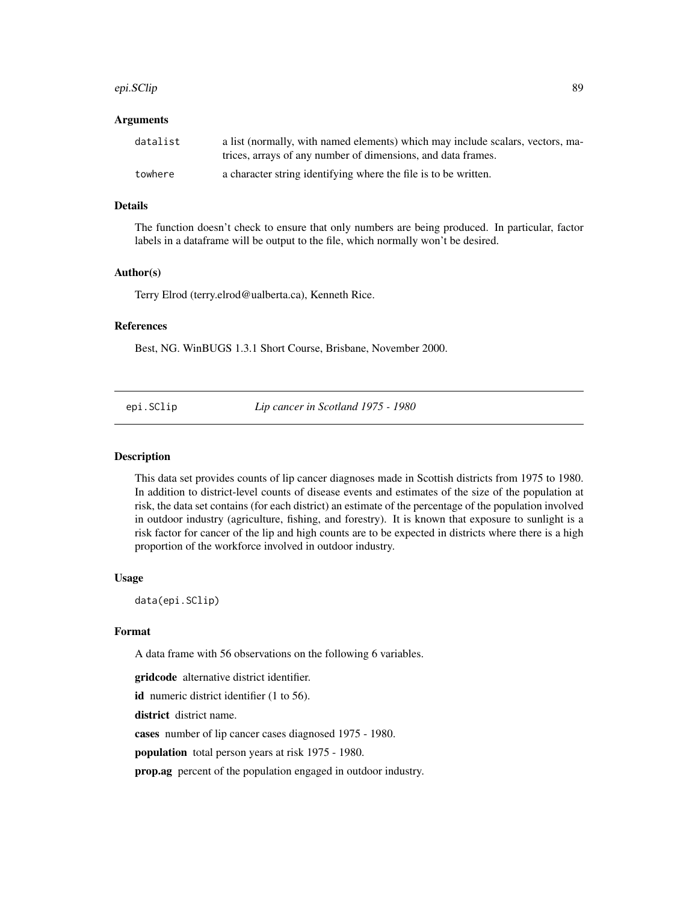#### epi.SClip 89

### Arguments

| datalist | a list (normally, with named elements) which may include scalars, vectors, ma- |
|----------|--------------------------------------------------------------------------------|
|          | trices, arrays of any number of dimensions, and data frames.                   |
| towhere  | a character string identifying where the file is to be written.                |

# Details

The function doesn't check to ensure that only numbers are being produced. In particular, factor labels in a dataframe will be output to the file, which normally won't be desired.

#### Author(s)

Terry Elrod (terry.elrod@ualberta.ca), Kenneth Rice.

# References

Best, NG. WinBUGS 1.3.1 Short Course, Brisbane, November 2000.

epi.SClip *Lip cancer in Scotland 1975 - 1980*

#### Description

This data set provides counts of lip cancer diagnoses made in Scottish districts from 1975 to 1980. In addition to district-level counts of disease events and estimates of the size of the population at risk, the data set contains (for each district) an estimate of the percentage of the population involved in outdoor industry (agriculture, fishing, and forestry). It is known that exposure to sunlight is a risk factor for cancer of the lip and high counts are to be expected in districts where there is a high proportion of the workforce involved in outdoor industry.

### Usage

data(epi.SClip)

# Format

A data frame with 56 observations on the following 6 variables.

gridcode alternative district identifier.

id numeric district identifier (1 to 56).

district district name.

cases number of lip cancer cases diagnosed 1975 - 1980.

population total person years at risk 1975 - 1980.

prop.ag percent of the population engaged in outdoor industry.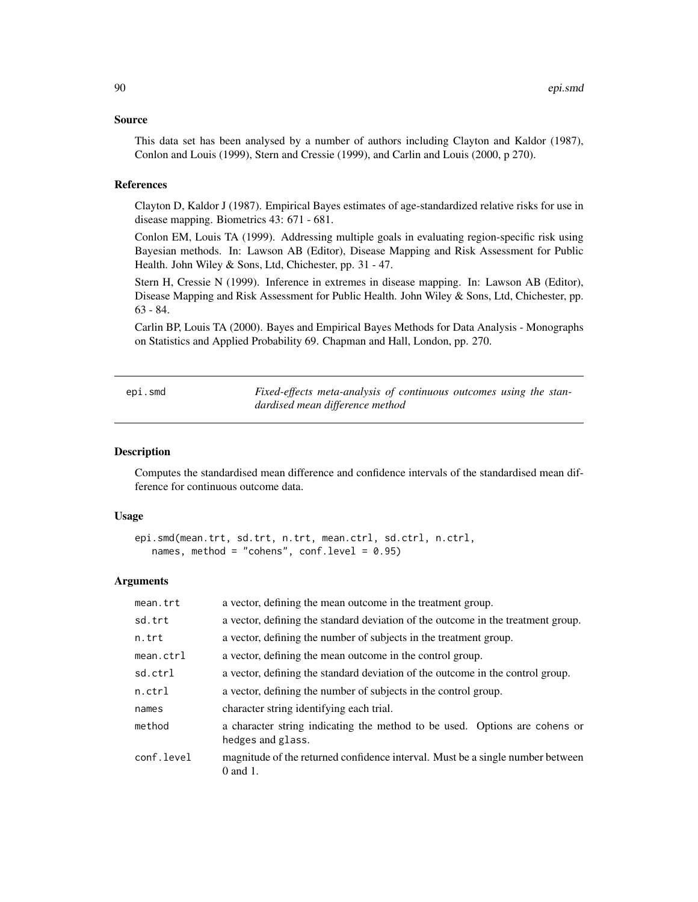#### Source

This data set has been analysed by a number of authors including Clayton and Kaldor (1987), Conlon and Louis (1999), Stern and Cressie (1999), and Carlin and Louis (2000, p 270).

### References

Clayton D, Kaldor J (1987). Empirical Bayes estimates of age-standardized relative risks for use in disease mapping. Biometrics 43: 671 - 681.

Conlon EM, Louis TA (1999). Addressing multiple goals in evaluating region-specific risk using Bayesian methods. In: Lawson AB (Editor), Disease Mapping and Risk Assessment for Public Health. John Wiley & Sons, Ltd, Chichester, pp. 31 - 47.

Stern H, Cressie N (1999). Inference in extremes in disease mapping. In: Lawson AB (Editor), Disease Mapping and Risk Assessment for Public Health. John Wiley & Sons, Ltd, Chichester, pp. 63 - 84.

Carlin BP, Louis TA (2000). Bayes and Empirical Bayes Methods for Data Analysis - Monographs on Statistics and Applied Probability 69. Chapman and Hall, London, pp. 270.

<span id="page-89-0"></span>epi.smd *Fixed-effects meta-analysis of continuous outcomes using the standardised mean difference method*

# **Description**

Computes the standardised mean difference and confidence intervals of the standardised mean difference for continuous outcome data.

## Usage

```
epi.smd(mean.trt, sd.trt, n.trt, mean.ctrl, sd.ctrl, n.ctrl,
   names, method = "cohens", conf.level = 0.95)
```
## Arguments

| mean.trt            | a vector, defining the mean outcome in the treatment group.                                     |
|---------------------|-------------------------------------------------------------------------------------------------|
| sd.trt              | a vector, defining the standard deviation of the outcome in the treatment group.                |
| n.trt               | a vector, defining the number of subjects in the treatment group.                               |
| $mean. \text{ctrl}$ | a vector, defining the mean outcome in the control group.                                       |
| sd.ctrl             | a vector, defining the standard deviation of the outcome in the control group.                  |
| n.ctrl              | a vector, defining the number of subjects in the control group.                                 |
| names               | character string identifying each trial.                                                        |
| method              | a character string indicating the method to be used. Options are cohens or<br>hedges and glass. |
| conf.level          | magnitude of the returned confidence interval. Must be a single number between<br>$0$ and $1$ . |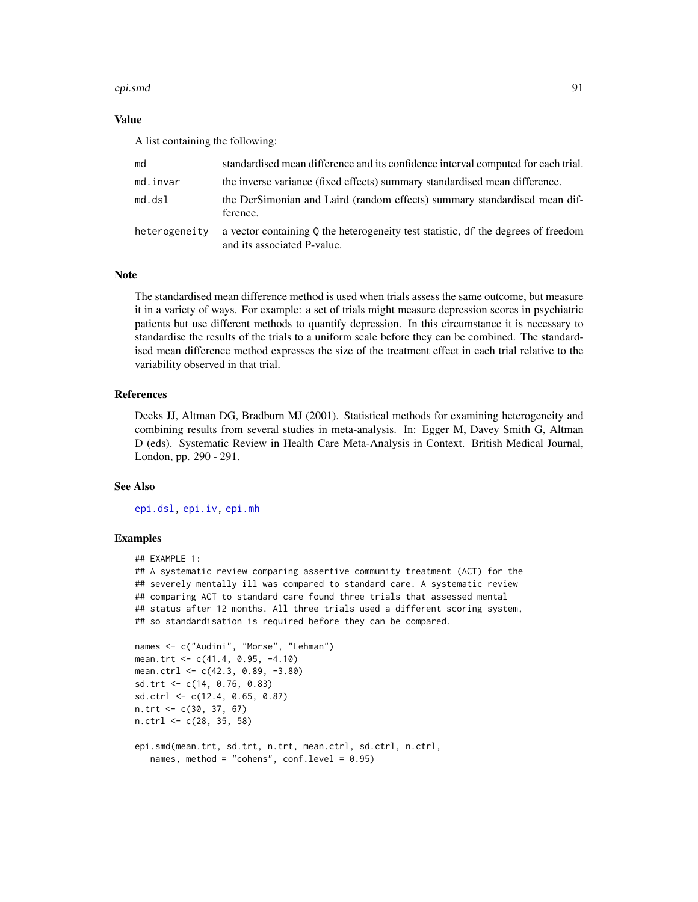#### epi.smd 91

# Value

A list containing the following:

| md            | standardised mean difference and its confidence interval computed for each trial.                                  |
|---------------|--------------------------------------------------------------------------------------------------------------------|
| md.invar      | the inverse variance (fixed effects) summary standardised mean difference.                                         |
| md.dsl        | the DerSimonian and Laird (random effects) summary standardised mean dif-<br>ference.                              |
| heterogeneity | a vector containing $Q$ the heterogeneity test statistic, df the degrees of freedom<br>and its associated P-value. |

## Note

The standardised mean difference method is used when trials assess the same outcome, but measure it in a variety of ways. For example: a set of trials might measure depression scores in psychiatric patients but use different methods to quantify depression. In this circumstance it is necessary to standardise the results of the trials to a uniform scale before they can be combined. The standardised mean difference method expresses the size of the treatment effect in each trial relative to the variability observed in that trial.

# References

Deeks JJ, Altman DG, Bradburn MJ (2001). Statistical methods for examining heterogeneity and combining results from several studies in meta-analysis. In: Egger M, Davey Smith G, Altman D (eds). Systematic Review in Health Care Meta-Analysis in Context. British Medical Journal, London, pp. 290 - 291.

## See Also

[epi.dsl,](#page-47-0) [epi.iv,](#page-65-0) [epi.mh](#page-72-0)

## Examples

```
## EXAMPLE 1:
## A systematic review comparing assertive community treatment (ACT) for the
## severely mentally ill was compared to standard care. A systematic review
## comparing ACT to standard care found three trials that assessed mental
## status after 12 months. All three trials used a different scoring system,
## so standardisation is required before they can be compared.
names <- c("Audini", "Morse", "Lehman")
mean.trt <- c(41.4, 0.95, -4.10)
mean.ctrl <- c(42.3, 0.89, -3.80)
sd.trt <- c(14, 0.76, 0.83)
sd.ctrl <- c(12.4, 0.65, 0.87)
n.trt <- c(30, 37, 67)
n.ctrl <- c(28, 35, 58)
```

```
epi.smd(mean.trt, sd.trt, n.trt, mean.ctrl, sd.ctrl, n.ctrl,
  names, method = "cohens", conf.level = 0.95)
```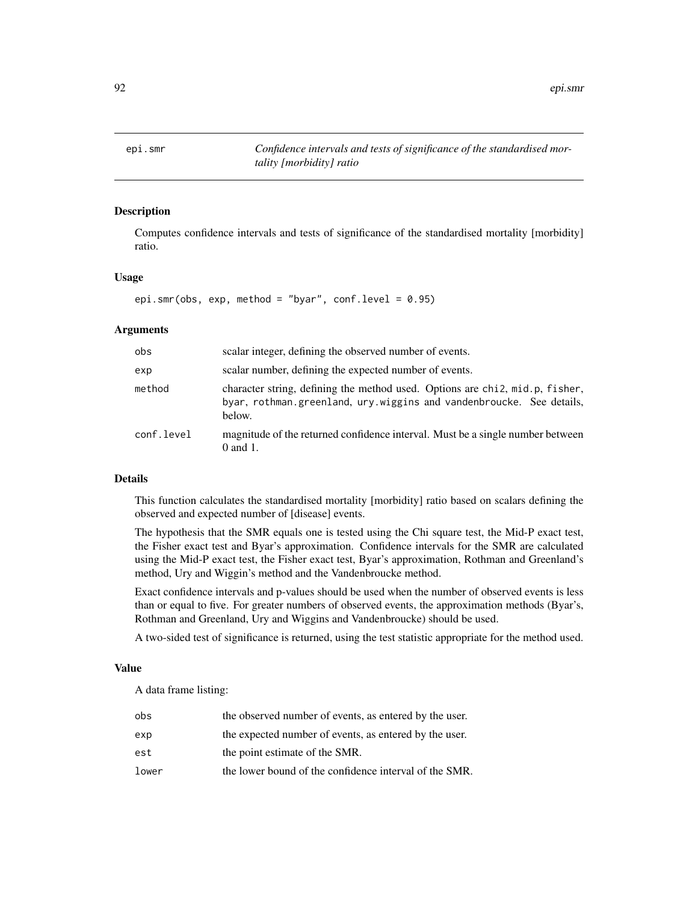epi.smr *Confidence intervals and tests of significance of the standardised mortality [morbidity] ratio*

## Description

Computes confidence intervals and tests of significance of the standardised mortality [morbidity] ratio.

## Usage

epi.smr(obs, exp, method = "byar", conf.level =  $0.95$ )

# Arguments

| obs        | scalar integer, defining the observed number of events.                                                                                                        |
|------------|----------------------------------------------------------------------------------------------------------------------------------------------------------------|
| exp        | scalar number, defining the expected number of events.                                                                                                         |
| method     | character string, defining the method used. Options are chi2, mid.p, fisher,<br>byar, rothman.greenland, ury.wiggins and vandenbroucke. See details,<br>below. |
| conf.level | magnitude of the returned confidence interval. Must be a single number between<br>$0$ and $1$ .                                                                |

# Details

This function calculates the standardised mortality [morbidity] ratio based on scalars defining the observed and expected number of [disease] events.

The hypothesis that the SMR equals one is tested using the Chi square test, the Mid-P exact test, the Fisher exact test and Byar's approximation. Confidence intervals for the SMR are calculated using the Mid-P exact test, the Fisher exact test, Byar's approximation, Rothman and Greenland's method, Ury and Wiggin's method and the Vandenbroucke method.

Exact confidence intervals and p-values should be used when the number of observed events is less than or equal to five. For greater numbers of observed events, the approximation methods (Byar's, Rothman and Greenland, Ury and Wiggins and Vandenbroucke) should be used.

A two-sided test of significance is returned, using the test statistic appropriate for the method used.

#### Value

A data frame listing:

| obs   | the observed number of events, as entered by the user. |
|-------|--------------------------------------------------------|
| exp   | the expected number of events, as entered by the user. |
| est   | the point estimate of the SMR.                         |
| lower | the lower bound of the confidence interval of the SMR. |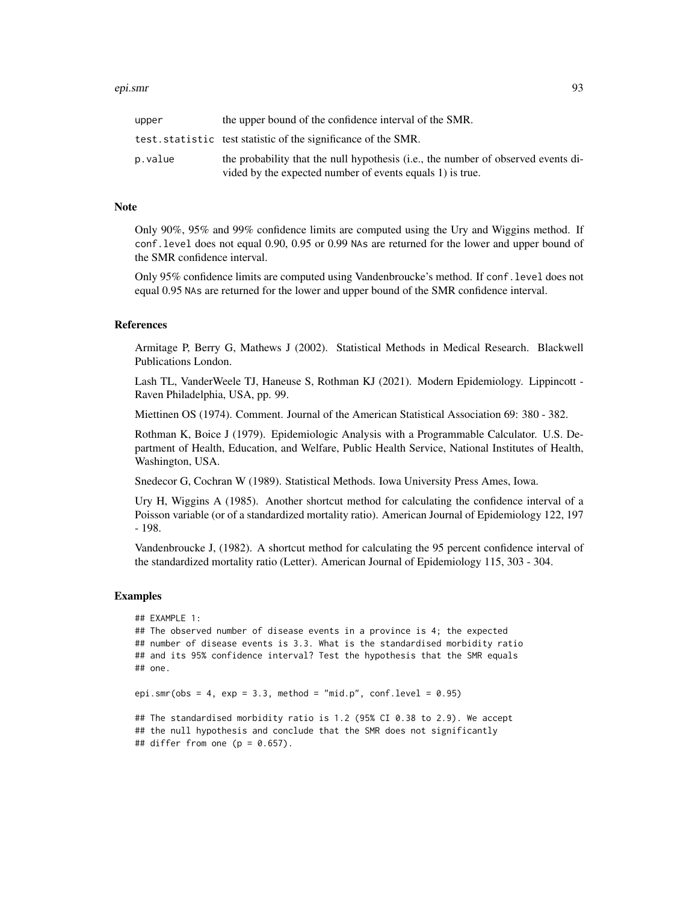#### epi.smr 93

| upper   | the upper bound of the confidence interval of the SMR.                                                                                         |
|---------|------------------------------------------------------------------------------------------------------------------------------------------------|
|         | test.statistic test statistic of the significance of the SMR.                                                                                  |
| p.value | the probability that the null hypothesis (i.e., the number of observed events di-<br>vided by the expected number of events equals 1) is true. |

### Note

Only 90%, 95% and 99% confidence limits are computed using the Ury and Wiggins method. If conf.level does not equal 0.90, 0.95 or 0.99 NAs are returned for the lower and upper bound of the SMR confidence interval.

Only 95% confidence limits are computed using Vandenbroucke's method. If conf.level does not equal 0.95 NAs are returned for the lower and upper bound of the SMR confidence interval.

# References

Armitage P, Berry G, Mathews J (2002). Statistical Methods in Medical Research. Blackwell Publications London.

Lash TL, VanderWeele TJ, Haneuse S, Rothman KJ (2021). Modern Epidemiology. Lippincott - Raven Philadelphia, USA, pp. 99.

Miettinen OS (1974). Comment. Journal of the American Statistical Association 69: 380 - 382.

Rothman K, Boice J (1979). Epidemiologic Analysis with a Programmable Calculator. U.S. Department of Health, Education, and Welfare, Public Health Service, National Institutes of Health, Washington, USA.

Snedecor G, Cochran W (1989). Statistical Methods. Iowa University Press Ames, Iowa.

Ury H, Wiggins A (1985). Another shortcut method for calculating the confidence interval of a Poisson variable (or of a standardized mortality ratio). American Journal of Epidemiology 122, 197 - 198.

Vandenbroucke J, (1982). A shortcut method for calculating the 95 percent confidence interval of the standardized mortality ratio (Letter). American Journal of Epidemiology 115, 303 - 304.

#### Examples

```
## EXAMPLE 1:
## The observed number of disease events in a province is 4; the expected
## number of disease events is 3.3. What is the standardised morbidity ratio
## and its 95% confidence interval? Test the hypothesis that the SMR equals
## one.
epi.smr(obs = 4, exp = 3.3, method = "mid.p", conf. level = 0.95)
## The standardised morbidity ratio is 1.2 (95% CI 0.38 to 2.9). We accept
## the null hypothesis and conclude that the SMR does not significantly
## differ from one (p = 0.657).
```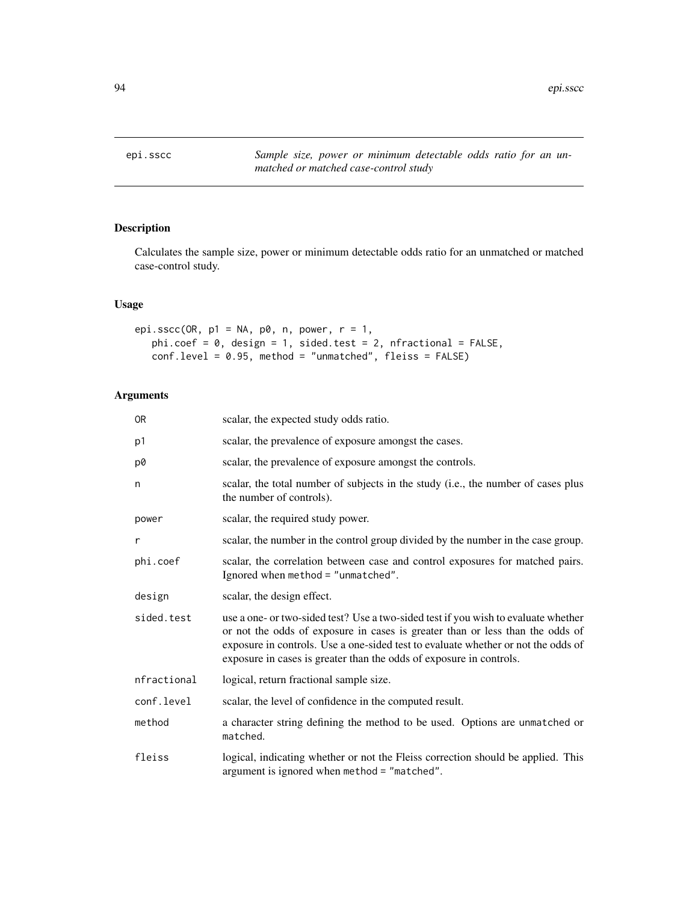# Description

Calculates the sample size, power or minimum detectable odds ratio for an unmatched or matched case-control study.

# Usage

```
epi.sscc(OR, p1 = NA, p0, n, power, r = 1,
   phi.coef = 0, design = 1, sided.test = 2, nfractional = FALSE,
   conf.level = 0.95, method = "unmatched", fleiss = FALSE)
```
# Arguments

| 0R          | scalar, the expected study odds ratio.                                                                                                                                                                                                                                                                                          |
|-------------|---------------------------------------------------------------------------------------------------------------------------------------------------------------------------------------------------------------------------------------------------------------------------------------------------------------------------------|
| p1          | scalar, the prevalence of exposure amongst the cases.                                                                                                                                                                                                                                                                           |
| p0          | scalar, the prevalence of exposure amongst the controls.                                                                                                                                                                                                                                                                        |
| n           | scalar, the total number of subjects in the study (i.e., the number of cases plus<br>the number of controls).                                                                                                                                                                                                                   |
| power       | scalar, the required study power.                                                                                                                                                                                                                                                                                               |
| r           | scalar, the number in the control group divided by the number in the case group.                                                                                                                                                                                                                                                |
| phi.coef    | scalar, the correlation between case and control exposures for matched pairs.<br>Ignored when method = "unmatched".                                                                                                                                                                                                             |
| design      | scalar, the design effect.                                                                                                                                                                                                                                                                                                      |
| sided.test  | use a one- or two-sided test? Use a two-sided test if you wish to evaluate whether<br>or not the odds of exposure in cases is greater than or less than the odds of<br>exposure in controls. Use a one-sided test to evaluate whether or not the odds of<br>exposure in cases is greater than the odds of exposure in controls. |
| nfractional | logical, return fractional sample size.                                                                                                                                                                                                                                                                                         |
| conf.level  | scalar, the level of confidence in the computed result.                                                                                                                                                                                                                                                                         |
| method      | a character string defining the method to be used. Options are unmatched or<br>matched.                                                                                                                                                                                                                                         |
| fleiss      | logical, indicating whether or not the Fleiss correction should be applied. This<br>argument is ignored when method = "matched".                                                                                                                                                                                                |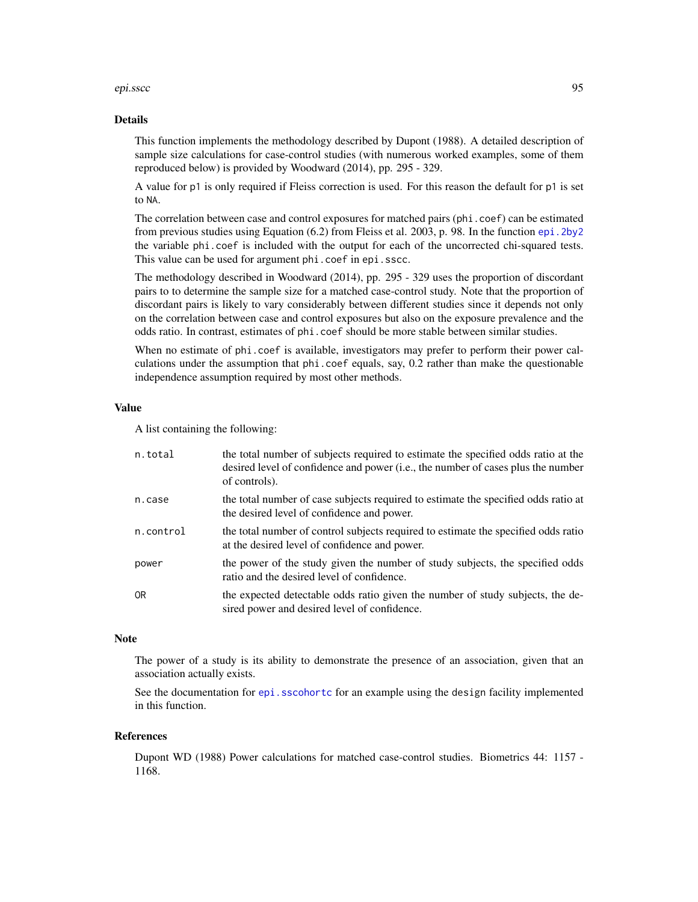#### epi.sscc 95

#### Details

This function implements the methodology described by Dupont (1988). A detailed description of sample size calculations for case-control studies (with numerous worked examples, some of them reproduced below) is provided by Woodward (2014), pp. 295 - 329.

A value for p1 is only required if Fleiss correction is used. For this reason the default for p1 is set to NA.

The correlation between case and control exposures for matched pairs (phi.coef) can be estimated from previous studies using Equation (6.2) from Fleiss et al. 2003, p. 98. In the function [epi.2by2](#page-3-0) the variable phi.coef is included with the output for each of the uncorrected chi-squared tests. This value can be used for argument phi.coef in epi.sscc.

The methodology described in Woodward (2014), pp. 295 - 329 uses the proportion of discordant pairs to to determine the sample size for a matched case-control study. Note that the proportion of discordant pairs is likely to vary considerably between different studies since it depends not only on the correlation between case and control exposures but also on the exposure prevalence and the odds ratio. In contrast, estimates of phi.coef should be more stable between similar studies.

When no estimate of phi.coef is available, investigators may prefer to perform their power calculations under the assumption that phi.coef equals, say, 0.2 rather than make the questionable independence assumption required by most other methods.

#### Value

A list containing the following:

| n.total   | the total number of subjects required to estimate the specified odds ratio at the<br>desired level of confidence and power (i.e., the number of cases plus the number<br>of controls). |
|-----------|----------------------------------------------------------------------------------------------------------------------------------------------------------------------------------------|
| n.case    | the total number of case subjects required to estimate the specified odds ratio at<br>the desired level of confidence and power.                                                       |
| n.control | the total number of control subjects required to estimate the specified odds ratio<br>at the desired level of confidence and power.                                                    |
| power     | the power of the study given the number of study subjects, the specified odds<br>ratio and the desired level of confidence.                                                            |
| 0R        | the expected detectable odds ratio given the number of study subjects, the de-<br>sired power and desired level of confidence.                                                         |

## **Note**

The power of a study is its ability to demonstrate the presence of an association, given that an association actually exists.

See the documentation for [epi.sscohortc](#page-105-0) for an example using the design facility implemented in this function.

#### References

Dupont WD (1988) Power calculations for matched case-control studies. Biometrics 44: 1157 - 1168.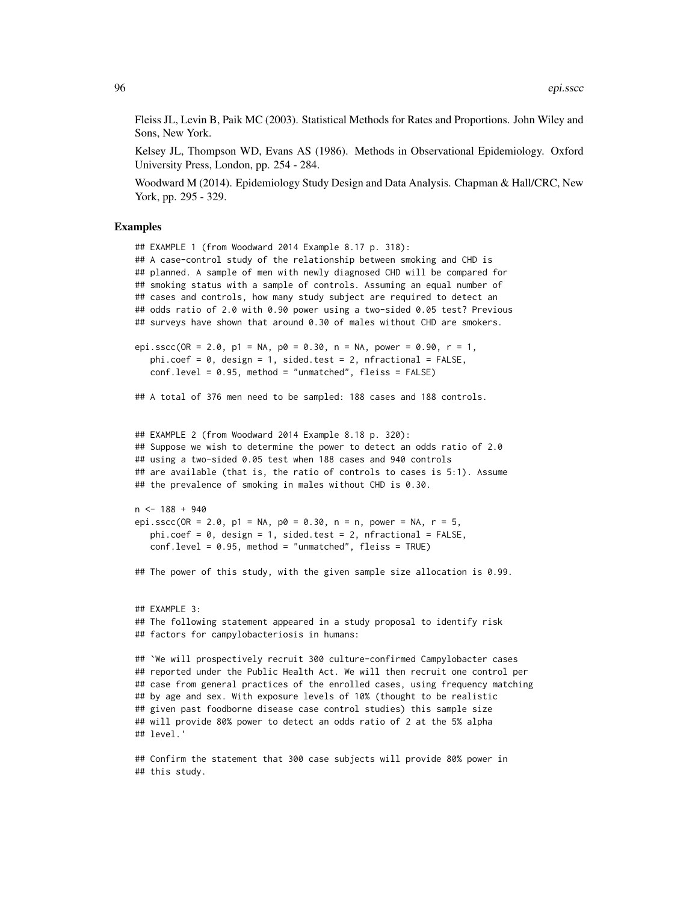Fleiss JL, Levin B, Paik MC (2003). Statistical Methods for Rates and Proportions. John Wiley and Sons, New York.

Kelsey JL, Thompson WD, Evans AS (1986). Methods in Observational Epidemiology. Oxford University Press, London, pp. 254 - 284.

Woodward M (2014). Epidemiology Study Design and Data Analysis. Chapman & Hall/CRC, New York, pp. 295 - 329.

#### Examples

```
## EXAMPLE 1 (from Woodward 2014 Example 8.17 p. 318):
## A case-control study of the relationship between smoking and CHD is
## planned. A sample of men with newly diagnosed CHD will be compared for
## smoking status with a sample of controls. Assuming an equal number of
## cases and controls, how many study subject are required to detect an
## odds ratio of 2.0 with 0.90 power using a two-sided 0.05 test? Previous
## surveys have shown that around 0.30 of males without CHD are smokers.
epi.sscc(OR = 2.0, p1 = NA, p0 = 0.30, n = NA, power = 0.90, r = 1,
   phi.coef = 0, design = 1, sided.test = 2, nfractional = FALSE,
   conf.level = 0.95, method = "unmatched", fleiss = FALSE)
## A total of 376 men need to be sampled: 188 cases and 188 controls.
## EXAMPLE 2 (from Woodward 2014 Example 8.18 p. 320):
## Suppose we wish to determine the power to detect an odds ratio of 2.0
## using a two-sided 0.05 test when 188 cases and 940 controls
## are available (that is, the ratio of controls to cases is 5:1). Assume
## the prevalence of smoking in males without CHD is 0.30.
n < -188 + 940epi.sscc(OR = 2.0, p1 = NA, p0 = 0.30, n = n, power = NA, r = 5,
   phi.coef = \theta, design = 1, sided.test = 2, nfractional = FALSE,
   conf.level = 0.95, method = "unmatched", fleiss = TRUE)
## The power of this study, with the given sample size allocation is 0.99.
## EXAMPLE 3:
## The following statement appeared in a study proposal to identify risk
## factors for campylobacteriosis in humans:
## `We will prospectively recruit 300 culture-confirmed Campylobacter cases
## reported under the Public Health Act. We will then recruit one control per
## case from general practices of the enrolled cases, using frequency matching
## by age and sex. With exposure levels of 10% (thought to be realistic
## given past foodborne disease case control studies) this sample size
## will provide 80% power to detect an odds ratio of 2 at the 5% alpha
## level.'
```
## Confirm the statement that 300 case subjects will provide 80% power in ## this study.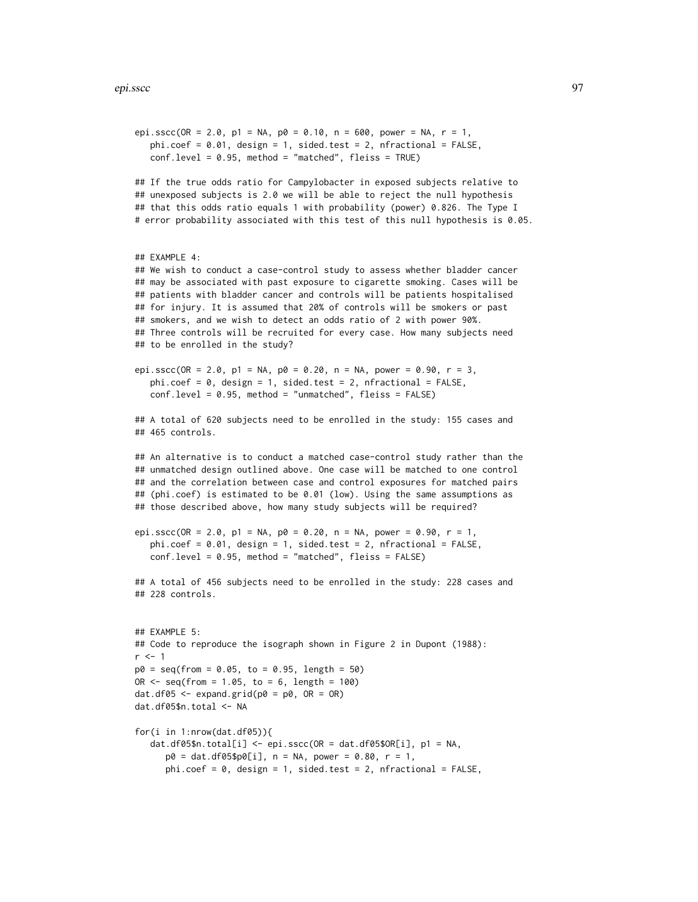```
epi.sscc(OR = 2.0, p1 = NA, p0 = 0.10, n = 600, power = NA, r = 1,
  phi.coef = 0.01, design = 1, sided.test = 2, nfractional = FALSE,
  conf.level = 0.95, method = "matched", fleiss = TRUE)
## If the true odds ratio for Campylobacter in exposed subjects relative to
## unexposed subjects is 2.0 we will be able to reject the null hypothesis
## that this odds ratio equals 1 with probability (power) 0.826. The Type I
# error probability associated with this test of this null hypothesis is 0.05.
## EXAMPLE 4:
## We wish to conduct a case-control study to assess whether bladder cancer
## may be associated with past exposure to cigarette smoking. Cases will be
## patients with bladder cancer and controls will be patients hospitalised
## for injury. It is assumed that 20% of controls will be smokers or past
## smokers, and we wish to detect an odds ratio of 2 with power 90%.
## Three controls will be recruited for every case. How many subjects need
## to be enrolled in the study?
epi.sscc(OR = 2.0, p1 = NA, p0 = 0.20, n = NA, power = 0.90, r = 3,
  phi.coef = 0, design = 1, sided.test = 2, nfractional = FALSE,
  conf.level = 0.95, method = "unmatched", fleiss = FALSE)
## A total of 620 subjects need to be enrolled in the study: 155 cases and
## 465 controls.
## An alternative is to conduct a matched case-control study rather than the
## unmatched design outlined above. One case will be matched to one control
## and the correlation between case and control exposures for matched pairs
## (phi.coef) is estimated to be 0.01 (low). Using the same assumptions as
## those described above, how many study subjects will be required?
epi.sscc(OR = 2.0, p1 = NA, p0 = 0.20, n = NA, power = 0.90, r = 1,
  phi.coef = 0.01, design = 1, sided.test = 2, nfractional = FALSE,
  conf.level = 0.95, method = "matched", fleiss = FALSE)
## A total of 456 subjects need to be enrolled in the study: 228 cases and
## 228 controls.
## EXAMPLE 5:
## Code to reproduce the isograph shown in Figure 2 in Dupont (1988):
r < -1p0 = seq(from = 0.05, to = 0.95, length = 50)OR \leq seq(from = 1.05, to = 6, length = 100)
dat.df05 \leq expand.grid(p0 = p0, OR = OR)
dat.df05$n.total <- NA
for(i in 1:nrow(dat.df05)){
  dat.df05$n.total[i] <- epi.sscc(OR = dat.df05$OR[i], p1 = NA,
      p0 = dat.df05$p0[i], n = NA, power = 0.80, r = 1,phi.coef = 0, design = 1, sided.test = 2, nfractional = FALSE,
```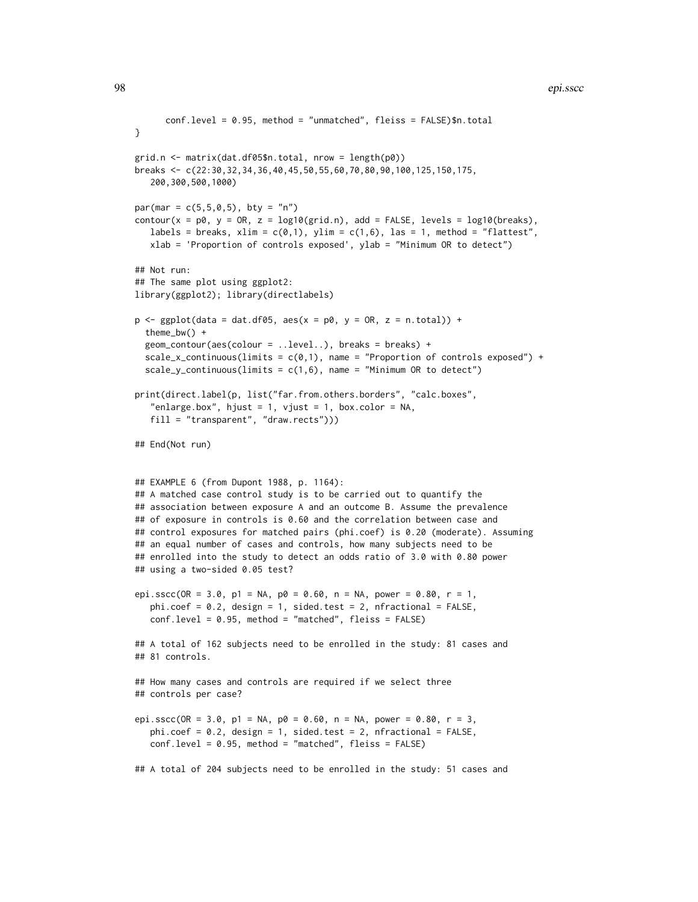#### 98 epi.sscc

```
conf.level = 0.95, method = "unmatched", fleiss = FALSE)$n.total
}
grid.n <- matrix(dat.df05$n.total, nrow = length(p0))
breaks <- c(22:30,32,34,36,40,45,50,55,60,70,80,90,100,125,150,175,
   200,300,500,1000)
par(max = c(5, 5, 0, 5), bty = "n")contour(x = p\theta, y = QR, z = log10(grid.n), add = FALSE, levels = log10(breaks),
   labels = breaks, xlim = c(0,1), ylim = c(1,6), las = 1, method = "flattest",
   xlab = 'Proportion of controls exposed', ylab = "Minimum OR to detect")
## Not run:
## The same plot using ggplot2:
library(ggplot2); library(directlabels)
p \leq - ggplot(data = dat.df05, aes(x = p0, y = OR, z = n.total)) +
  theme_bw() +
  geom_contour(aes(colour = ..level..), breaks = breaks) +
  scale_x_continuous(limits = c(\emptyset,1), name = "Proportion of controls exposed") +
  scale_y_continuous(limits = c(1,6), name = "Minimum OR to detect")
print(direct.label(p, list("far.from.others.borders", "calc.boxes",
   "enlarge.box", hjust = 1, vjust = 1, box.color = NA,
   fill = "transparent", "draw.rects")))
## End(Not run)
## EXAMPLE 6 (from Dupont 1988, p. 1164):
## A matched case control study is to be carried out to quantify the
## association between exposure A and an outcome B. Assume the prevalence
## of exposure in controls is 0.60 and the correlation between case and
## control exposures for matched pairs (phi.coef) is 0.20 (moderate). Assuming
## an equal number of cases and controls, how many subjects need to be
## enrolled into the study to detect an odds ratio of 3.0 with 0.80 power
## using a two-sided 0.05 test?
epi.sscc(OR = 3.0, p1 = NA, p0 = 0.60, n = NA, power = 0.80, r = 1,
   phi.coef = 0.2, design = 1, sided.test = 2, nfractional = FALSE,
   conf.level = 0.95, method = "matched", fleiss = FALSE)
## A total of 162 subjects need to be enrolled in the study: 81 cases and
## 81 controls.
## How many cases and controls are required if we select three
## controls per case?
epi.sscc(OR = 3.0, p1 = NA, p0 = 0.60, n = NA, power = 0.80, r = 3,
   phi.coef = 0.2, design = 1, sided.test = 2, nfractional = FALSE,
   conf.level = 0.95, method = "matched", fleiss = FALSE)
## A total of 204 subjects need to be enrolled in the study: 51 cases and
```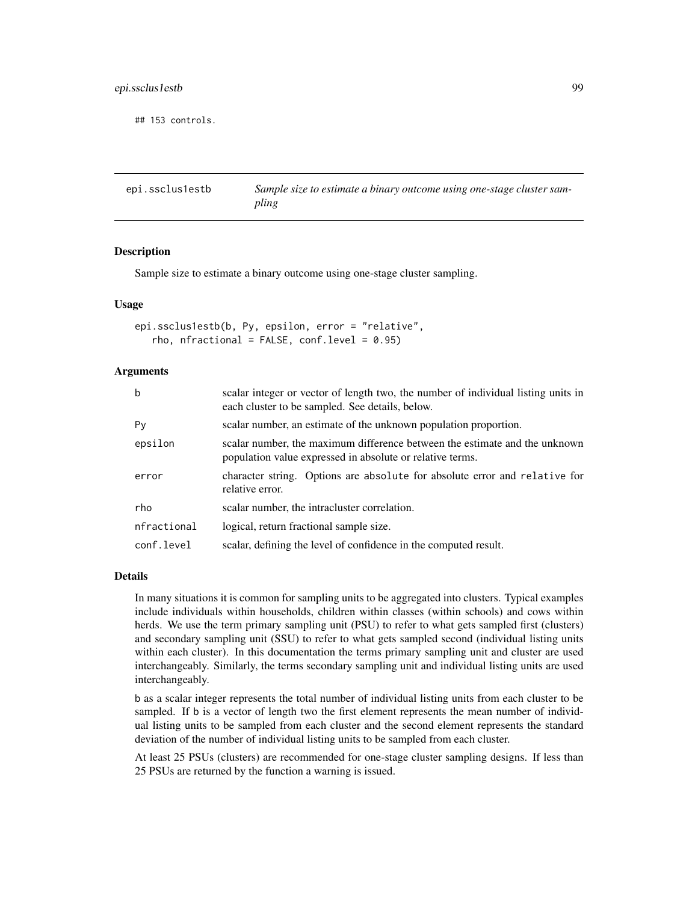# epi.ssclus1estb 99

## 153 controls.

epi.ssclus1estb *Sample size to estimate a binary outcome using one-stage cluster sampling*

### **Description**

Sample size to estimate a binary outcome using one-stage cluster sampling.

## Usage

```
epi.ssclus1estb(b, Py, epsilon, error = "relative",
   rho, nfractional = FALSE, conf.level = 0.95)
```
## Arguments

| $\mathbf b$ | scalar integer or vector of length two, the number of individual listing units in<br>each cluster to be sampled. See details, below.    |
|-------------|-----------------------------------------------------------------------------------------------------------------------------------------|
| Py          | scalar number, an estimate of the unknown population proportion.                                                                        |
| epsilon     | scalar number, the maximum difference between the estimate and the unknown<br>population value expressed in absolute or relative terms. |
| error       | character string. Options are absolute for absolute error and relative for<br>relative error.                                           |
| rho         | scalar number, the intracluster correlation.                                                                                            |
| nfractional | logical, return fractional sample size.                                                                                                 |
| conf.level  | scalar, defining the level of confidence in the computed result.                                                                        |

## Details

In many situations it is common for sampling units to be aggregated into clusters. Typical examples include individuals within households, children within classes (within schools) and cows within herds. We use the term primary sampling unit (PSU) to refer to what gets sampled first (clusters) and secondary sampling unit (SSU) to refer to what gets sampled second (individual listing units within each cluster). In this documentation the terms primary sampling unit and cluster are used interchangeably. Similarly, the terms secondary sampling unit and individual listing units are used interchangeably.

b as a scalar integer represents the total number of individual listing units from each cluster to be sampled. If b is a vector of length two the first element represents the mean number of individual listing units to be sampled from each cluster and the second element represents the standard deviation of the number of individual listing units to be sampled from each cluster.

At least 25 PSUs (clusters) are recommended for one-stage cluster sampling designs. If less than 25 PSUs are returned by the function a warning is issued.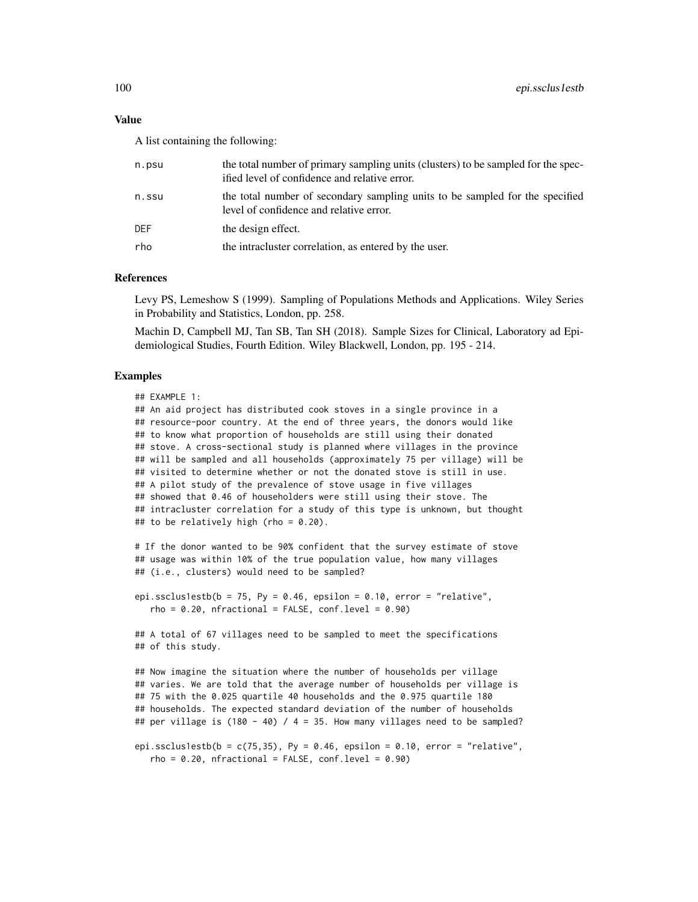#### Value

A list containing the following:

| n.psu | the total number of primary sampling units (clusters) to be sampled for the spec-<br>ified level of confidence and relative error. |
|-------|------------------------------------------------------------------------------------------------------------------------------------|
| n.ssu | the total number of secondary sampling units to be sampled for the specified<br>level of confidence and relative error.            |
| DEF   | the design effect.                                                                                                                 |
| rho   | the intracluster correlation, as entered by the user.                                                                              |
|       |                                                                                                                                    |

#### References

Levy PS, Lemeshow S (1999). Sampling of Populations Methods and Applications. Wiley Series in Probability and Statistics, London, pp. 258.

Machin D, Campbell MJ, Tan SB, Tan SH (2018). Sample Sizes for Clinical, Laboratory ad Epidemiological Studies, Fourth Edition. Wiley Blackwell, London, pp. 195 - 214.

## Examples

```
## EXAMPLE 1:
## An aid project has distributed cook stoves in a single province in a
## resource-poor country. At the end of three years, the donors would like
## to know what proportion of households are still using their donated
## stove. A cross-sectional study is planned where villages in the province
## will be sampled and all households (approximately 75 per village) will be
## visited to determine whether or not the donated stove is still in use.
## A pilot study of the prevalence of stove usage in five villages
## showed that 0.46 of householders were still using their stove. The
## intracluster correlation for a study of this type is unknown, but thought
## to be relatively high (rho = 0.20).
# If the donor wanted to be 90% confident that the survey estimate of stove
## usage was within 10% of the true population value, how many villages
## (i.e., clusters) would need to be sampled?
epi.ssclus1estb(b = 75, Py = 0.46, epsilon = 0.10, error = "relative",
  rho = 0.20, nfractional = FALSE, conf.level = 0.90)
## A total of 67 villages need to be sampled to meet the specifications
## of this study.
## Now imagine the situation where the number of households per village
## varies. We are told that the average number of households per village is
## 75 with the 0.025 quartile 40 households and the 0.975 quartile 180
## households. The expected standard deviation of the number of households
## per village is (180 - 40) / 4 = 35. How many villages need to be sampled?
epi.ssclus1estb(b = c(75, 35), Py = 0.46, epsilon = 0.10, error = "relative",
  rho = 0.20, nfractional = FALSE, conf.level = 0.90)
```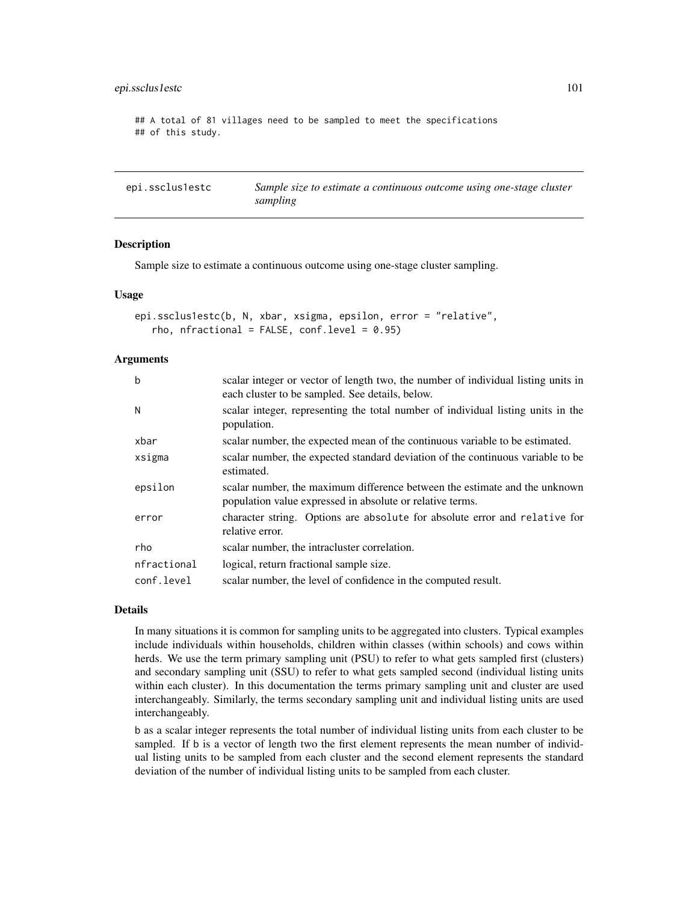## epi.ssclus1estc 101

## A total of 81 villages need to be sampled to meet the specifications ## of this study.

epi.ssclus1estc *Sample size to estimate a continuous outcome using one-stage cluster sampling*

# Description

Sample size to estimate a continuous outcome using one-stage cluster sampling.

#### Usage

```
epi.ssclus1estc(b, N, xbar, xsigma, epsilon, error = "relative",
   rho, nfractional = FALSE, conf.level = 0.95)
```
### Arguments

| $\mathbf b$ | scalar integer or vector of length two, the number of individual listing units in<br>each cluster to be sampled. See details, below.    |
|-------------|-----------------------------------------------------------------------------------------------------------------------------------------|
| N           | scalar integer, representing the total number of individual listing units in the<br>population.                                         |
| xbar        | scalar number, the expected mean of the continuous variable to be estimated.                                                            |
| xsigma      | scalar number, the expected standard deviation of the continuous variable to be<br>estimated.                                           |
| epsilon     | scalar number, the maximum difference between the estimate and the unknown<br>population value expressed in absolute or relative terms. |
| error       | character string. Options are absolute for absolute error and relative for<br>relative error.                                           |
| rho         | scalar number, the intracluster correlation.                                                                                            |
| nfractional | logical, return fractional sample size.                                                                                                 |
| conf.level  | scalar number, the level of confidence in the computed result.                                                                          |

## Details

In many situations it is common for sampling units to be aggregated into clusters. Typical examples include individuals within households, children within classes (within schools) and cows within herds. We use the term primary sampling unit (PSU) to refer to what gets sampled first (clusters) and secondary sampling unit (SSU) to refer to what gets sampled second (individual listing units within each cluster). In this documentation the terms primary sampling unit and cluster are used interchangeably. Similarly, the terms secondary sampling unit and individual listing units are used interchangeably.

b as a scalar integer represents the total number of individual listing units from each cluster to be sampled. If b is a vector of length two the first element represents the mean number of individual listing units to be sampled from each cluster and the second element represents the standard deviation of the number of individual listing units to be sampled from each cluster.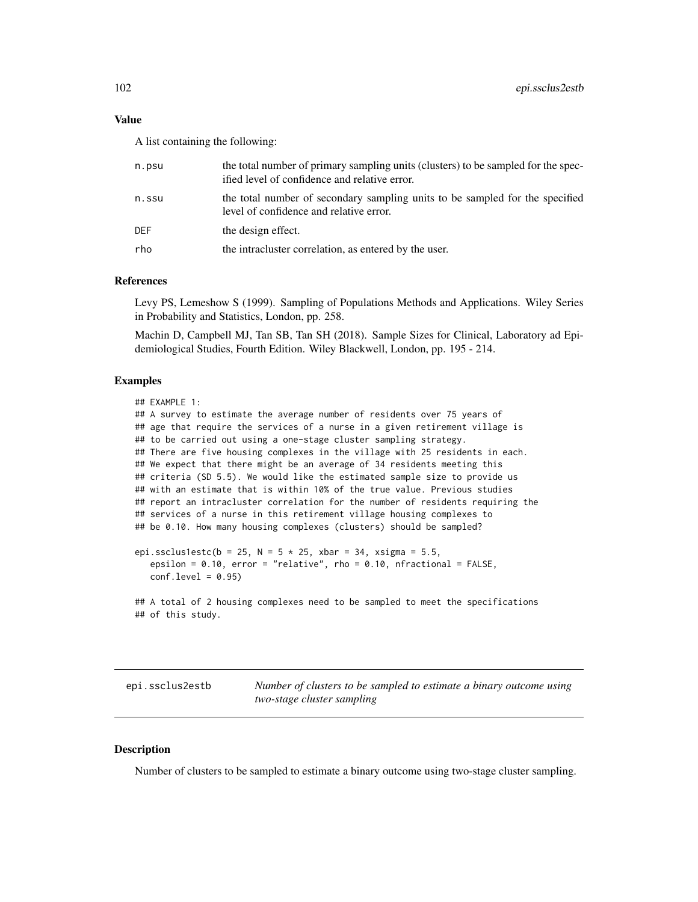#### Value

A list containing the following:

| n.psu | the total number of primary sampling units (clusters) to be sampled for the spec-<br>ified level of confidence and relative error. |
|-------|------------------------------------------------------------------------------------------------------------------------------------|
| n.ssu | the total number of secondary sampling units to be sampled for the specified<br>level of confidence and relative error.            |
| DEF   | the design effect.                                                                                                                 |
| rho   | the intractuster correlation, as entered by the user.                                                                              |
|       |                                                                                                                                    |

# References

Levy PS, Lemeshow S (1999). Sampling of Populations Methods and Applications. Wiley Series in Probability and Statistics, London, pp. 258.

Machin D, Campbell MJ, Tan SB, Tan SH (2018). Sample Sizes for Clinical, Laboratory ad Epidemiological Studies, Fourth Edition. Wiley Blackwell, London, pp. 195 - 214.

### Examples

```
## EXAMPLE 1:
## A survey to estimate the average number of residents over 75 years of
## age that require the services of a nurse in a given retirement village is
## to be carried out using a one-stage cluster sampling strategy.
## There are five housing complexes in the village with 25 residents in each.
## We expect that there might be an average of 34 residents meeting this
## criteria (SD 5.5). We would like the estimated sample size to provide us
## with an estimate that is within 10% of the true value. Previous studies
## report an intracluster correlation for the number of residents requiring the
## services of a nurse in this retirement village housing complexes to
## be 0.10. How many housing complexes (clusters) should be sampled?
epi.ssclus1estc(b = 25, N = 5 * 25, xbar = 34, xsigma = 5.5,
   epsilon = 0.10, error = "relative", rho = 0.10, nfractional = FALSE,
  conf.level = 0.95
```

```
## A total of 2 housing complexes need to be sampled to meet the specifications
## of this study.
```
epi.ssclus2estb *Number of clusters to be sampled to estimate a binary outcome using two-stage cluster sampling*

## Description

Number of clusters to be sampled to estimate a binary outcome using two-stage cluster sampling.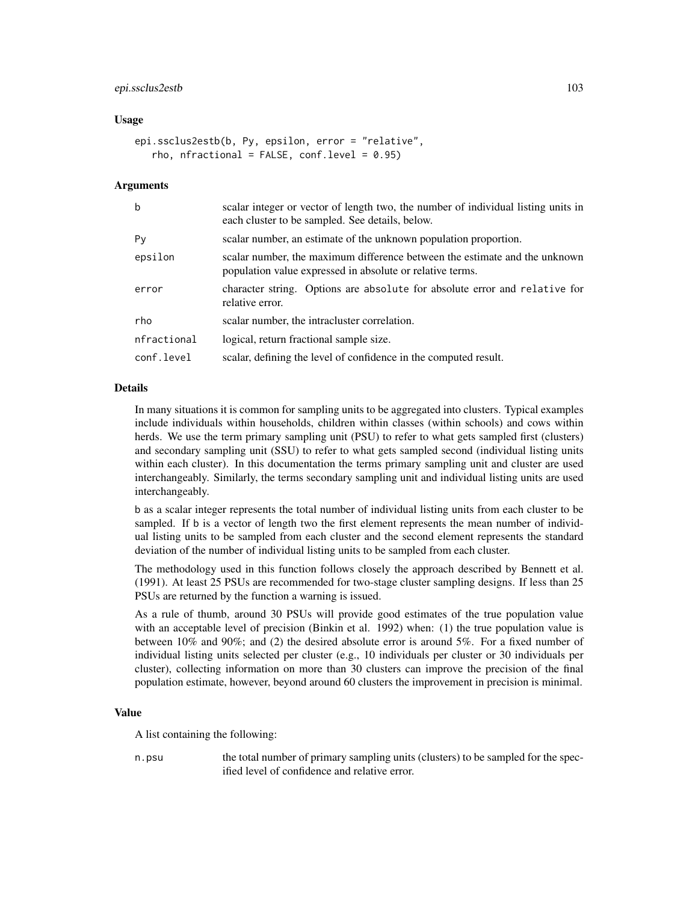# epi.ssclus2estb 103

### Usage

```
epi.ssclus2estb(b, Py, epsilon, error = "relative",
   rho, nfractional = FALSE, conf.level = 0.95)
```
#### Arguments

| $\mathbf b$ | scalar integer or vector of length two, the number of individual listing units in<br>each cluster to be sampled. See details, below.    |
|-------------|-----------------------------------------------------------------------------------------------------------------------------------------|
| Py          | scalar number, an estimate of the unknown population proportion.                                                                        |
| epsilon     | scalar number, the maximum difference between the estimate and the unknown<br>population value expressed in absolute or relative terms. |
| error       | character string. Options are absolute for absolute error and relative for<br>relative error.                                           |
| rho         | scalar number, the intracluster correlation.                                                                                            |
| nfractional | logical, return fractional sample size.                                                                                                 |
| conf.level  | scalar, defining the level of confidence in the computed result.                                                                        |

# Details

In many situations it is common for sampling units to be aggregated into clusters. Typical examples include individuals within households, children within classes (within schools) and cows within herds. We use the term primary sampling unit (PSU) to refer to what gets sampled first (clusters) and secondary sampling unit (SSU) to refer to what gets sampled second (individual listing units within each cluster). In this documentation the terms primary sampling unit and cluster are used interchangeably. Similarly, the terms secondary sampling unit and individual listing units are used interchangeably.

b as a scalar integer represents the total number of individual listing units from each cluster to be sampled. If b is a vector of length two the first element represents the mean number of individual listing units to be sampled from each cluster and the second element represents the standard deviation of the number of individual listing units to be sampled from each cluster.

The methodology used in this function follows closely the approach described by Bennett et al. (1991). At least 25 PSUs are recommended for two-stage cluster sampling designs. If less than 25 PSUs are returned by the function a warning is issued.

As a rule of thumb, around 30 PSUs will provide good estimates of the true population value with an acceptable level of precision (Binkin et al. 1992) when: (1) the true population value is between  $10\%$  and  $90\%$ ; and (2) the desired absolute error is around  $5\%$ . For a fixed number of individual listing units selected per cluster (e.g., 10 individuals per cluster or 30 individuals per cluster), collecting information on more than 30 clusters can improve the precision of the final population estimate, however, beyond around 60 clusters the improvement in precision is minimal.

#### Value

A list containing the following:

n.psu the total number of primary sampling units (clusters) to be sampled for the specified level of confidence and relative error.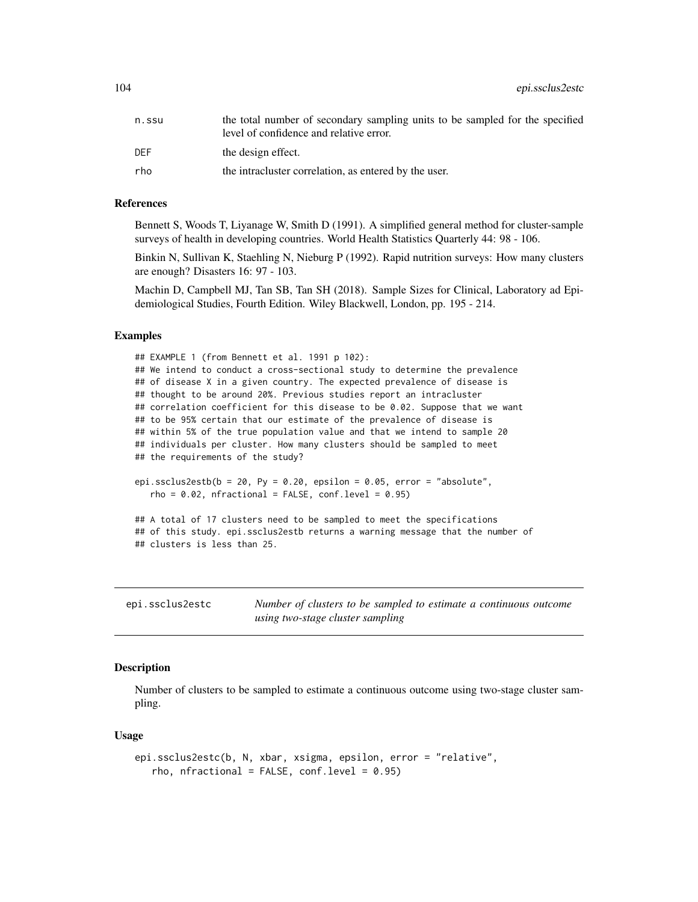104 epi.ssclus2estc

| n.ssu | the total number of secondary sampling units to be sampled for the specified<br>level of confidence and relative error. |
|-------|-------------------------------------------------------------------------------------------------------------------------|
| DEF   | the design effect.                                                                                                      |
| rho   | the intracluster correlation, as entered by the user.                                                                   |

#### References

Bennett S, Woods T, Liyanage W, Smith D (1991). A simplified general method for cluster-sample surveys of health in developing countries. World Health Statistics Quarterly 44: 98 - 106.

Binkin N, Sullivan K, Staehling N, Nieburg P (1992). Rapid nutrition surveys: How many clusters are enough? Disasters 16: 97 - 103.

Machin D, Campbell MJ, Tan SB, Tan SH (2018). Sample Sizes for Clinical, Laboratory ad Epidemiological Studies, Fourth Edition. Wiley Blackwell, London, pp. 195 - 214.

## Examples

```
## EXAMPLE 1 (from Bennett et al. 1991 p 102):
## We intend to conduct a cross-sectional study to determine the prevalence
## of disease X in a given country. The expected prevalence of disease is
## thought to be around 20%. Previous studies report an intracluster
## correlation coefficient for this disease to be 0.02. Suppose that we want
## to be 95% certain that our estimate of the prevalence of disease is
## within 5% of the true population value and that we intend to sample 20
## individuals per cluster. How many clusters should be sampled to meet
## the requirements of the study?
epi.ssclus2estb(b = 20, Py = 0.20, epsilon = 0.05, error = "absolute",
  rho = 0.02, nfractional = FALSE, conf.level = 0.95)
```
## A total of 17 clusters need to be sampled to meet the specifications ## of this study. epi.ssclus2estb returns a warning message that the number of ## clusters is less than 25.

| epi.ssclus2estc | Number of clusters to be sampled to estimate a continuous outcome |
|-----------------|-------------------------------------------------------------------|
|                 | using two-stage cluster sampling                                  |

## **Description**

Number of clusters to be sampled to estimate a continuous outcome using two-stage cluster sampling.

```
epi.ssclus2estc(b, N, xbar, xsigma, epsilon, error = "relative",
   rho, nfractional = FALSE, conf.level = 0.95)
```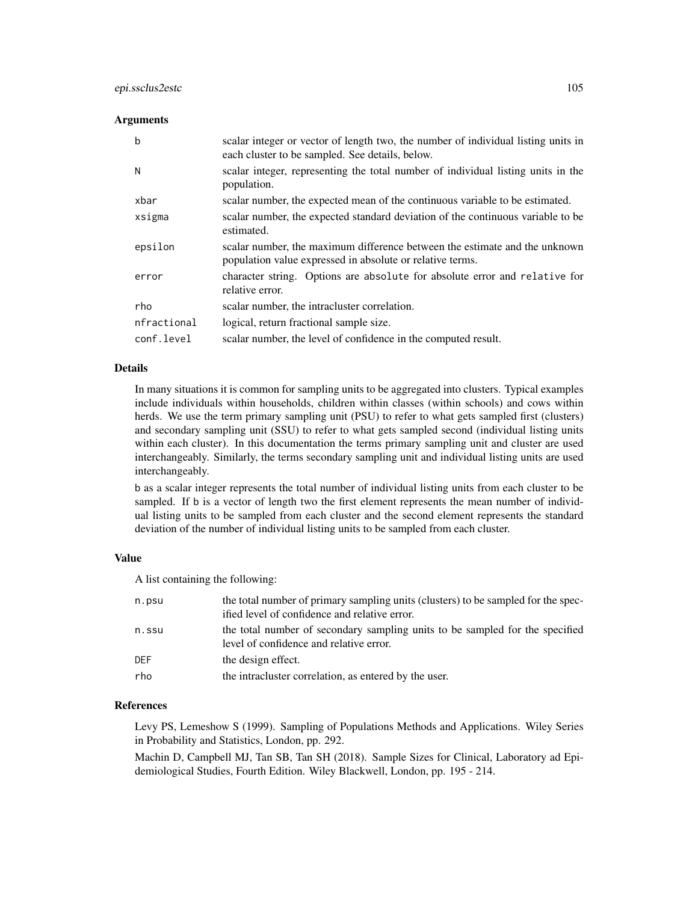## epi.ssclus2estc 105

### Arguments

| b           | scalar integer or vector of length two, the number of individual listing units in<br>each cluster to be sampled. See details, below.    |
|-------------|-----------------------------------------------------------------------------------------------------------------------------------------|
| N           | scalar integer, representing the total number of individual listing units in the<br>population.                                         |
| xbar        | scalar number, the expected mean of the continuous variable to be estimated.                                                            |
| xsigma      | scalar number, the expected standard deviation of the continuous variable to be<br>estimated.                                           |
| epsilon     | scalar number, the maximum difference between the estimate and the unknown<br>population value expressed in absolute or relative terms. |
| error       | character string. Options are absolute for absolute error and relative for<br>relative error.                                           |
| rho         | scalar number, the intracluster correlation.                                                                                            |
| nfractional | logical, return fractional sample size.                                                                                                 |
| conf.level  | scalar number, the level of confidence in the computed result.                                                                          |

#### Details

In many situations it is common for sampling units to be aggregated into clusters. Typical examples include individuals within households, children within classes (within schools) and cows within herds. We use the term primary sampling unit (PSU) to refer to what gets sampled first (clusters) and secondary sampling unit (SSU) to refer to what gets sampled second (individual listing units within each cluster). In this documentation the terms primary sampling unit and cluster are used interchangeably. Similarly, the terms secondary sampling unit and individual listing units are used interchangeably.

b as a scalar integer represents the total number of individual listing units from each cluster to be sampled. If b is a vector of length two the first element represents the mean number of individual listing units to be sampled from each cluster and the second element represents the standard deviation of the number of individual listing units to be sampled from each cluster.

#### Value

A list containing the following:

| n.psu      | the total number of primary sampling units (clusters) to be sampled for the spec-<br>ified level of confidence and relative error. |
|------------|------------------------------------------------------------------------------------------------------------------------------------|
| n.ssu      | the total number of secondary sampling units to be sampled for the specified<br>level of confidence and relative error.            |
| <b>DEF</b> | the design effect.                                                                                                                 |
| rho        | the intracluster correlation, as entered by the user.                                                                              |

### References

Levy PS, Lemeshow S (1999). Sampling of Populations Methods and Applications. Wiley Series in Probability and Statistics, London, pp. 292.

Machin D, Campbell MJ, Tan SB, Tan SH (2018). Sample Sizes for Clinical, Laboratory ad Epidemiological Studies, Fourth Edition. Wiley Blackwell, London, pp. 195 - 214.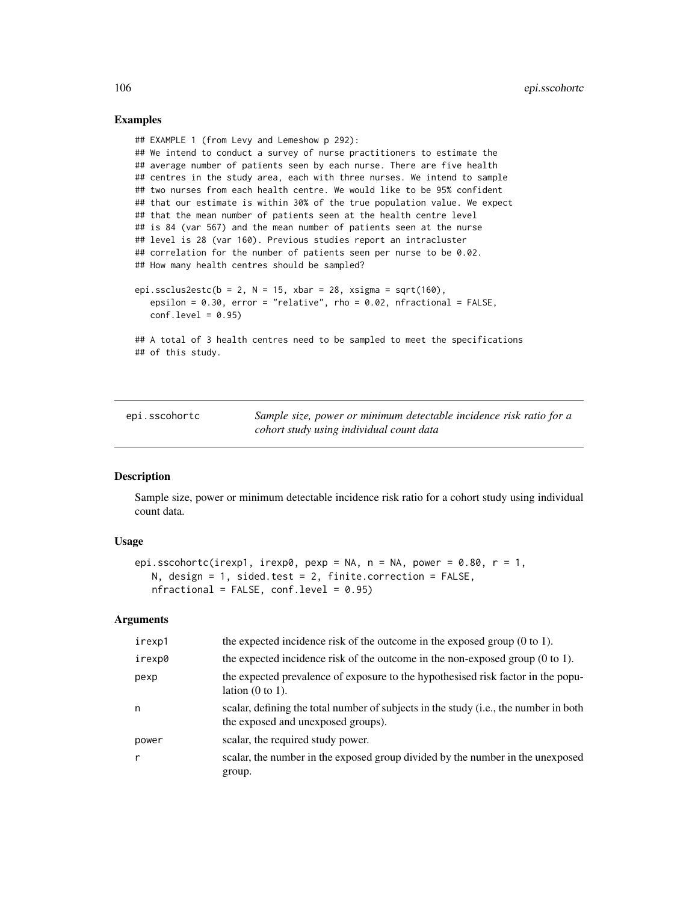## Examples

```
## EXAMPLE 1 (from Levy and Lemeshow p 292):
## We intend to conduct a survey of nurse practitioners to estimate the
## average number of patients seen by each nurse. There are five health
## centres in the study area, each with three nurses. We intend to sample
## two nurses from each health centre. We would like to be 95% confident
## that our estimate is within 30% of the true population value. We expect
## that the mean number of patients seen at the health centre level
## is 84 (var 567) and the mean number of patients seen at the nurse
## level is 28 (var 160). Previous studies report an intracluster
## correlation for the number of patients seen per nurse to be 0.02.
## How many health centres should be sampled?
epi.ssclus2estc(b = 2, N = 15, xbar = 28, xsigma = sqrt(160),
   epsilon = 0.30, error = "relative", rho = 0.02, nfractional = FALSE,
   conf. level = 0.95
```
## A total of 3 health centres need to be sampled to meet the specifications ## of this study.

<span id="page-105-0"></span>

| epi.sscohortc | Sample size, power or minimum detectable incidence risk ratio for a |
|---------------|---------------------------------------------------------------------|
|               | cohort study using individual count data                            |

# **Description**

Sample size, power or minimum detectable incidence risk ratio for a cohort study using individual count data.

# Usage

```
epi.sscohortc(irexp1, irexp0, pexp = NA, n = NA, power = 0.80, r = 1,
   N, design = 1, sided.test = 2, finite.correction = FALSE,
   nfractional = FALSE, conf.level = 0.95)
```
# Arguments

| irexp1 | the expected incidence risk of the outcome in the exposed group $(0 \text{ to } 1)$ .                                      |
|--------|----------------------------------------------------------------------------------------------------------------------------|
| irexp0 | the expected incidence risk of the outcome in the non-exposed group $(0 \text{ to } 1)$ .                                  |
| pexp   | the expected prevalence of exposure to the hypothesised risk factor in the popu-<br>lation $(0 \text{ to } 1)$ .           |
| n      | scalar, defining the total number of subjects in the study (i.e., the number in both<br>the exposed and unexposed groups). |
| power  | scalar, the required study power.                                                                                          |
| r      | scalar, the number in the exposed group divided by the number in the unexposed<br>group.                                   |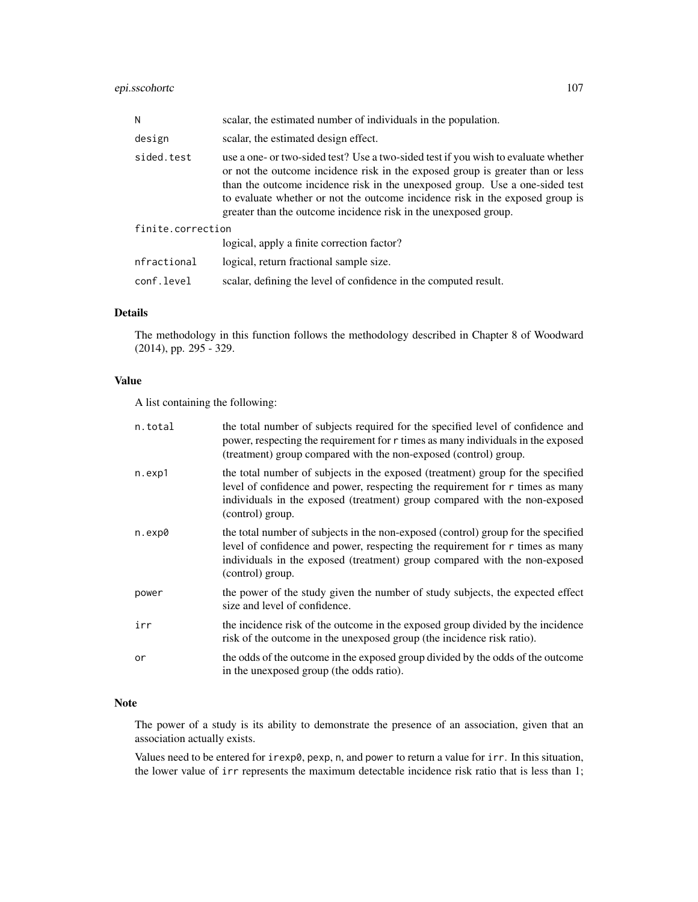# epi.sscohortc 107

| N                 | scalar, the estimated number of individuals in the population.                                                                                                                                                                                                                                                                                                                                           |  |
|-------------------|----------------------------------------------------------------------------------------------------------------------------------------------------------------------------------------------------------------------------------------------------------------------------------------------------------------------------------------------------------------------------------------------------------|--|
| design            | scalar, the estimated design effect.                                                                                                                                                                                                                                                                                                                                                                     |  |
| sided.test        | use a one- or two-sided test? Use a two-sided test if you wish to evaluate whether<br>or not the outcome incidence risk in the exposed group is greater than or less<br>than the outcome incidence risk in the unexposed group. Use a one-sided test<br>to evaluate whether or not the outcome incidence risk in the exposed group is<br>greater than the outcome incidence risk in the unexposed group. |  |
| finite.correction |                                                                                                                                                                                                                                                                                                                                                                                                          |  |
|                   | logical, apply a finite correction factor?                                                                                                                                                                                                                                                                                                                                                               |  |
| nfractional       | logical, return fractional sample size.                                                                                                                                                                                                                                                                                                                                                                  |  |
| conf.level        | scalar, defining the level of confidence in the computed result.                                                                                                                                                                                                                                                                                                                                         |  |

## Details

The methodology in this function follows the methodology described in Chapter 8 of Woodward (2014), pp. 295 - 329.

# Value

A list containing the following:

| n.total | the total number of subjects required for the specified level of confidence and<br>power, respecting the requirement for r times as many individuals in the exposed<br>(treatment) group compared with the non-exposed (control) group.                              |
|---------|----------------------------------------------------------------------------------------------------------------------------------------------------------------------------------------------------------------------------------------------------------------------|
| n.exp1  | the total number of subjects in the exposed (treatment) group for the specified<br>level of confidence and power, respecting the requirement for r times as many<br>individuals in the exposed (treatment) group compared with the non-exposed<br>(control) group.   |
| n.exp0  | the total number of subjects in the non-exposed (control) group for the specified<br>level of confidence and power, respecting the requirement for r times as many<br>individuals in the exposed (treatment) group compared with the non-exposed<br>(control) group. |
| power   | the power of the study given the number of study subjects, the expected effect<br>size and level of confidence.                                                                                                                                                      |
| irr     | the incidence risk of the outcome in the exposed group divided by the incidence<br>risk of the outcome in the unexposed group (the incidence risk ratio).                                                                                                            |
| or      | the odds of the outcome in the exposed group divided by the odds of the outcome<br>in the unexposed group (the odds ratio).                                                                                                                                          |

# Note

The power of a study is its ability to demonstrate the presence of an association, given that an association actually exists.

Values need to be entered for irexp0, pexp, n, and power to return a value for irr. In this situation, the lower value of irr represents the maximum detectable incidence risk ratio that is less than 1;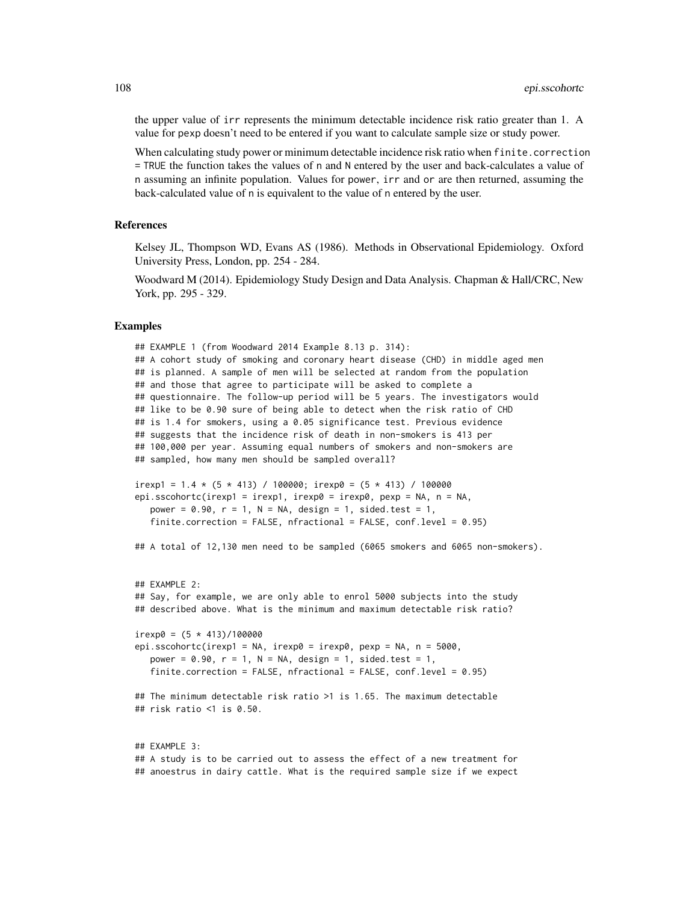the upper value of irr represents the minimum detectable incidence risk ratio greater than 1. A value for pexp doesn't need to be entered if you want to calculate sample size or study power.

When calculating study power or minimum detectable incidence risk ratio when finite.correction = TRUE the function takes the values of n and N entered by the user and back-calculates a value of n assuming an infinite population. Values for power, irr and or are then returned, assuming the back-calculated value of n is equivalent to the value of n entered by the user.

### References

Kelsey JL, Thompson WD, Evans AS (1986). Methods in Observational Epidemiology. Oxford University Press, London, pp. 254 - 284.

Woodward M (2014). Epidemiology Study Design and Data Analysis. Chapman & Hall/CRC, New York, pp. 295 - 329.

## Examples

```
## EXAMPLE 1 (from Woodward 2014 Example 8.13 p. 314):
## A cohort study of smoking and coronary heart disease (CHD) in middle aged men
## is planned. A sample of men will be selected at random from the population
## and those that agree to participate will be asked to complete a
## questionnaire. The follow-up period will be 5 years. The investigators would
## like to be 0.90 sure of being able to detect when the risk ratio of CHD
## is 1.4 for smokers, using a 0.05 significance test. Previous evidence
## suggests that the incidence risk of death in non-smokers is 413 per
## 100,000 per year. Assuming equal numbers of smokers and non-smokers are
## sampled, how many men should be sampled overall?
irexp1 = 1.4 * (5 * 413) / 100000; irexp0 = (5 * 413) / 100000
epi.sscohortc(irexp1 = irexp1, irexp0 = irexp0, pexp = NA, n = NA,
  power = 0.90, r = 1, N = NA, design = 1, sided.test = 1,
   finite.correction = FALSE, nfractional = FALSE, conf.level = 0.95)
## A total of 12,130 men need to be sampled (6065 smokers and 6065 non-smokers).
## EXAMPLE 2:
## Say, for example, we are only able to enrol 5000 subjects into the study
## described above. What is the minimum and maximum detectable risk ratio?
irexp0 = (5 * 413)/100000epi.sscohortc(irexp1 = NA, irexp0 = irexp0, pexp = NA, n = 5000,
  power = 0.90, r = 1, N = NA, design = 1, sided.test = 1,
   finite.correction = FALSE, nfractional = FALSE, conf.level = 0.95)
## The minimum detectable risk ratio >1 is 1.65. The maximum detectable
## risk ratio <1 is 0.50.
## EXAMPLE 3:
## A study is to be carried out to assess the effect of a new treatment for
```
## anoestrus in dairy cattle. What is the required sample size if we expect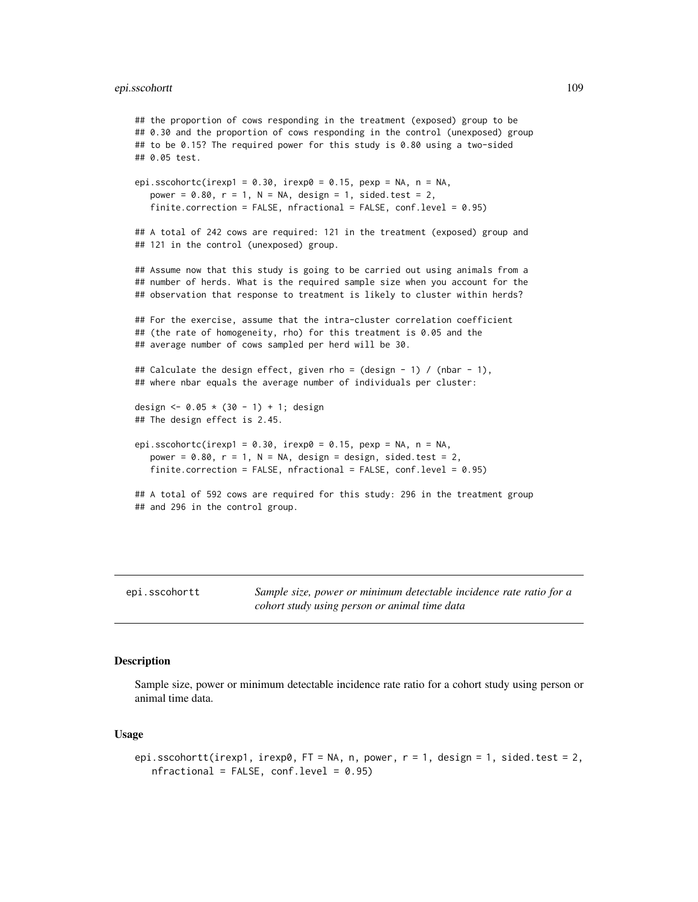## epi.sscohortt 109

```
## the proportion of cows responding in the treatment (exposed) group to be
## 0.30 and the proportion of cows responding in the control (unexposed) group
## to be 0.15? The required power for this study is 0.80 using a two-sided
## 0.05 test.
epi.sscohortc(irexp1 = 0.30, irexp0 = 0.15, pexp = NA, n = NA,
  power = 0.80, r = 1, N = NA, design = 1, sided.test = 2,
   finite.correction = FALSE, nfractional = FALSE, conf.level = 0.95)
## A total of 242 cows are required: 121 in the treatment (exposed) group and
## 121 in the control (unexposed) group.
## Assume now that this study is going to be carried out using animals from a
## number of herds. What is the required sample size when you account for the
## observation that response to treatment is likely to cluster within herds?
## For the exercise, assume that the intra-cluster correlation coefficient
## (the rate of homogeneity, rho) for this treatment is 0.05 and the
## average number of cows sampled per herd will be 30.
## Calculate the design effect, given rho = (design - 1) / (nbar - 1),
## where nbar equals the average number of individuals per cluster:
design <- 0.05 * (30 - 1) + 1; design
## The design effect is 2.45.
epi.sscohortc(irexp1 = 0.30, irexp0 = 0.15, pexp = NA, n = NA,
  power = 0.80, r = 1, N = NA, design = design, sided.test = 2,
   finite.correction = FALSE, nfractional = FALSE, conf.level = 0.95)
## A total of 592 cows are required for this study: 296 in the treatment group
## and 296 in the control group.
```
epi.sscohortt *Sample size, power or minimum detectable incidence rate ratio for a cohort study using person or animal time data*

## **Description**

Sample size, power or minimum detectable incidence rate ratio for a cohort study using person or animal time data.

## Usage

```
epi.sscohortt(irexp1, irexp0, FT = NA, n, power, r = 1, design = 1, sided.test = 2,
  nfractional = FALSE, conf.level = 0.95)
```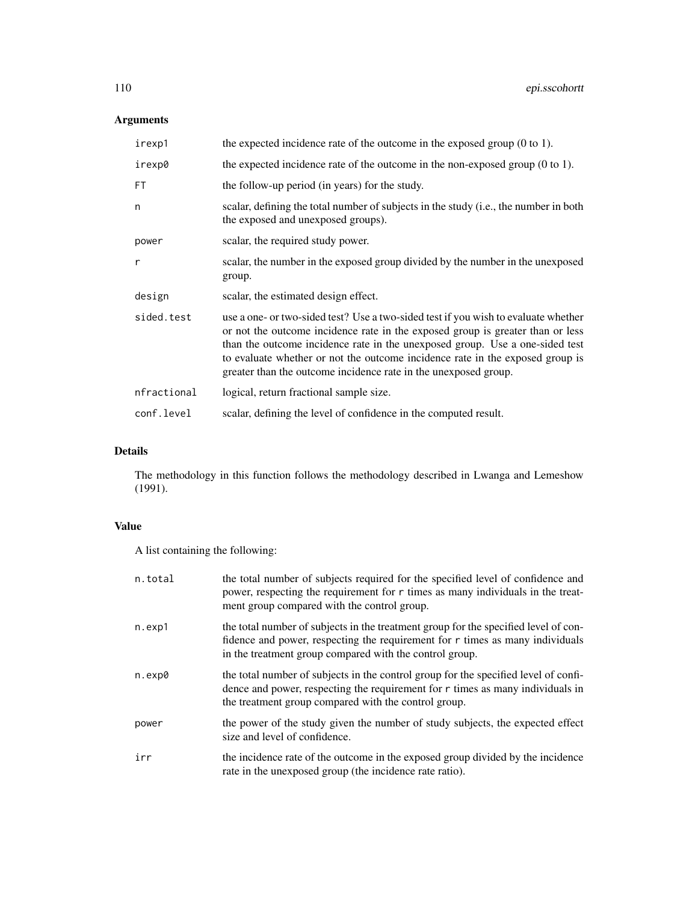# Arguments

| irexp1      | the expected incidence rate of the outcome in the exposed group $(0 \text{ to } 1)$ .                                                                                                                                                                                                                                                                                                                    |
|-------------|----------------------------------------------------------------------------------------------------------------------------------------------------------------------------------------------------------------------------------------------------------------------------------------------------------------------------------------------------------------------------------------------------------|
| irexp0      | the expected incidence rate of the outcome in the non-exposed group $(0 \text{ to } 1)$ .                                                                                                                                                                                                                                                                                                                |
| FT          | the follow-up period (in years) for the study.                                                                                                                                                                                                                                                                                                                                                           |
| n           | scalar, defining the total number of subjects in the study (i.e., the number in both<br>the exposed and unexposed groups).                                                                                                                                                                                                                                                                               |
| power       | scalar, the required study power.                                                                                                                                                                                                                                                                                                                                                                        |
| r           | scalar, the number in the exposed group divided by the number in the unexposed<br>group.                                                                                                                                                                                                                                                                                                                 |
| design      | scalar, the estimated design effect.                                                                                                                                                                                                                                                                                                                                                                     |
| sided.test  | use a one- or two-sided test? Use a two-sided test if you wish to evaluate whether<br>or not the outcome incidence rate in the exposed group is greater than or less<br>than the outcome incidence rate in the unexposed group. Use a one-sided test<br>to evaluate whether or not the outcome incidence rate in the exposed group is<br>greater than the outcome incidence rate in the unexposed group. |
| nfractional | logical, return fractional sample size.                                                                                                                                                                                                                                                                                                                                                                  |
| conf.level  | scalar, defining the level of confidence in the computed result.                                                                                                                                                                                                                                                                                                                                         |

# Details

The methodology in this function follows the methodology described in Lwanga and Lemeshow (1991).

# Value

A list containing the following:

| n.total | the total number of subjects required for the specified level of confidence and<br>power, respecting the requirement for r times as many individuals in the treat-<br>ment group compared with the control group.                 |
|---------|-----------------------------------------------------------------------------------------------------------------------------------------------------------------------------------------------------------------------------------|
| n.exp1  | the total number of subjects in the treatment group for the specified level of con-<br>fidence and power, respecting the requirement for $r$ times as many individuals<br>in the treatment group compared with the control group. |
| n.exp0  | the total number of subjects in the control group for the specified level of confi-<br>dence and power, respecting the requirement for $r$ times as many individuals in<br>the treatment group compared with the control group.   |
| power   | the power of the study given the number of study subjects, the expected effect<br>size and level of confidence.                                                                                                                   |
| irr     | the incidence rate of the outcome in the exposed group divided by the incidence<br>rate in the unexposed group (the incidence rate ratio).                                                                                        |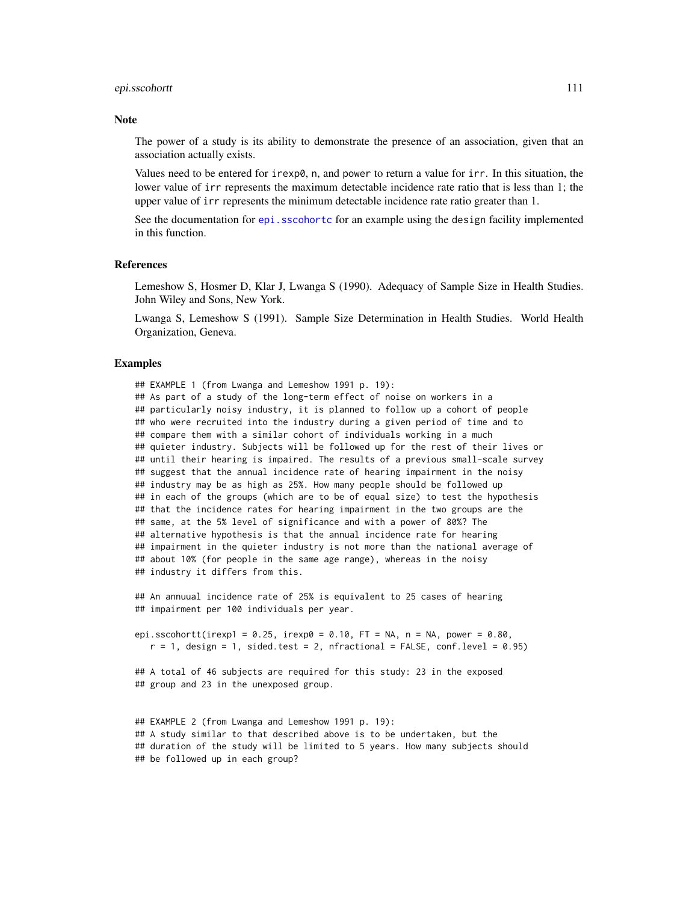#### epi.sscohortt 111

#### **Note**

The power of a study is its ability to demonstrate the presence of an association, given that an association actually exists.

Values need to be entered for  $i \rceil \exp(\theta)$ , n, and power to return a value for  $i \rceil r$ . In this situation, the lower value of irr represents the maximum detectable incidence rate ratio that is less than 1; the upper value of irr represents the minimum detectable incidence rate ratio greater than 1.

See the documentation for epi. sscohortc for an example using the design facility implemented in this function.

#### References

Lemeshow S, Hosmer D, Klar J, Lwanga S (1990). Adequacy of Sample Size in Health Studies. John Wiley and Sons, New York.

Lwanga S, Lemeshow S (1991). Sample Size Determination in Health Studies. World Health Organization, Geneva.

## Examples

## EXAMPLE 1 (from Lwanga and Lemeshow 1991 p. 19):

```
## As part of a study of the long-term effect of noise on workers in a
## particularly noisy industry, it is planned to follow up a cohort of people
## who were recruited into the industry during a given period of time and to
## compare them with a similar cohort of individuals working in a much
## quieter industry. Subjects will be followed up for the rest of their lives or
## until their hearing is impaired. The results of a previous small-scale survey
## suggest that the annual incidence rate of hearing impairment in the noisy
## industry may be as high as 25%. How many people should be followed up
## in each of the groups (which are to be of equal size) to test the hypothesis
## that the incidence rates for hearing impairment in the two groups are the
## same, at the 5% level of significance and with a power of 80%? The
## alternative hypothesis is that the annual incidence rate for hearing
## impairment in the quieter industry is not more than the national average of
## about 10% (for people in the same age range), whereas in the noisy
## industry it differs from this.
```
## An annuual incidence rate of 25% is equivalent to 25 cases of hearing ## impairment per 100 individuals per year.

epi.sscohortt(irexp1 =  $0.25$ , irexp0 =  $0.10$ , FT = NA, n = NA, power =  $0.80$ ,  $r = 1$ , design = 1, sided.test = 2, nfractional = FALSE, conf.level = 0.95)

## A total of 46 subjects are required for this study: 23 in the exposed ## group and 23 in the unexposed group.

## EXAMPLE 2 (from Lwanga and Lemeshow 1991 p. 19): ## A study similar to that described above is to be undertaken, but the ## duration of the study will be limited to 5 years. How many subjects should ## be followed up in each group?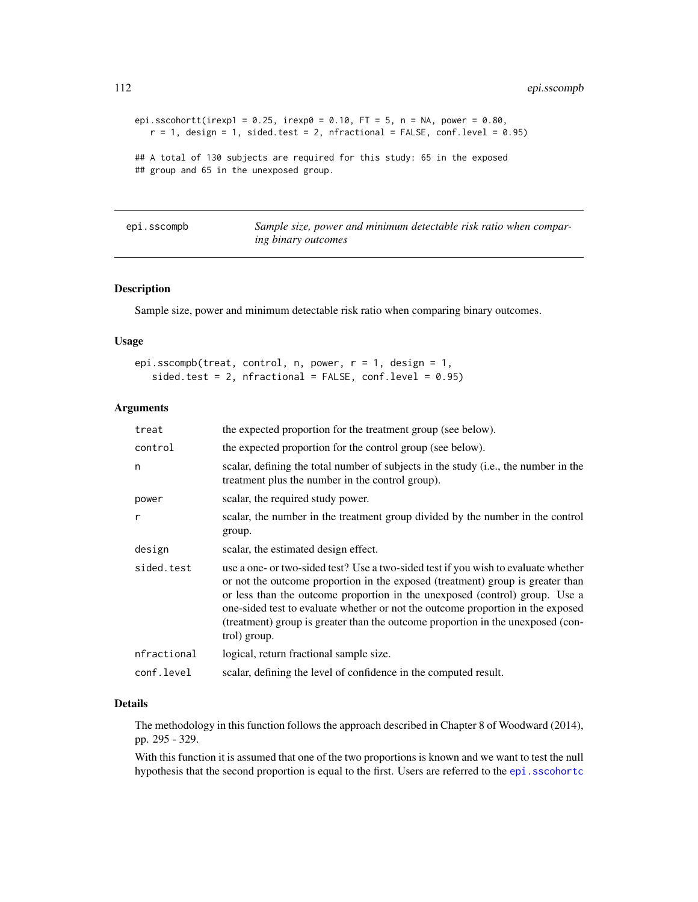```
epi.sscohortt(irexp1 = 0.25, irexp0 = 0.10, FT = 5, n = NA, power = 0.80,
  r = 1, design = 1, sided.test = 2, nfractional = FALSE, conf.level = 0.95)
## A total of 130 subjects are required for this study: 65 in the exposed
## group and 65 in the unexposed group.
```
epi.sscompb *Sample size, power and minimum detectable risk ratio when comparing binary outcomes*

## Description

Sample size, power and minimum detectable risk ratio when comparing binary outcomes.

## Usage

```
epi.sscompb(treat, control, n, power, r = 1, design = 1,
   sided.test = 2, nfractional = FALSE, conf.level = 0.95)
```
## Arguments

| treat        | the expected proportion for the treatment group (see below).                                                                                                                                                                                                                                                                                                                                                                              |
|--------------|-------------------------------------------------------------------------------------------------------------------------------------------------------------------------------------------------------------------------------------------------------------------------------------------------------------------------------------------------------------------------------------------------------------------------------------------|
| control      | the expected proportion for the control group (see below).                                                                                                                                                                                                                                                                                                                                                                                |
| n            | scalar, defining the total number of subjects in the study (i.e., the number in the<br>treatment plus the number in the control group).                                                                                                                                                                                                                                                                                                   |
| power        | scalar, the required study power.                                                                                                                                                                                                                                                                                                                                                                                                         |
| $\mathsf{r}$ | scalar, the number in the treatment group divided by the number in the control<br>group.                                                                                                                                                                                                                                                                                                                                                  |
| design       | scalar, the estimated design effect.                                                                                                                                                                                                                                                                                                                                                                                                      |
| sided.test   | use a one- or two-sided test? Use a two-sided test if you wish to evaluate whether<br>or not the outcome proportion in the exposed (treatment) group is greater than<br>or less than the outcome proportion in the unexposed (control) group. Use a<br>one-sided test to evaluate whether or not the outcome proportion in the exposed<br>(treatment) group is greater than the outcome proportion in the unexposed (con-<br>trol) group. |
| nfractional  | logical, return fractional sample size.                                                                                                                                                                                                                                                                                                                                                                                                   |
| conf.level   | scalar, defining the level of confidence in the computed result.                                                                                                                                                                                                                                                                                                                                                                          |

#### Details

The methodology in this function follows the approach described in Chapter 8 of Woodward (2014), pp. 295 - 329.

With this function it is assumed that one of the two proportions is known and we want to test the null hypothesis that the second proportion is equal to the first. Users are referred to the epi. sscohortc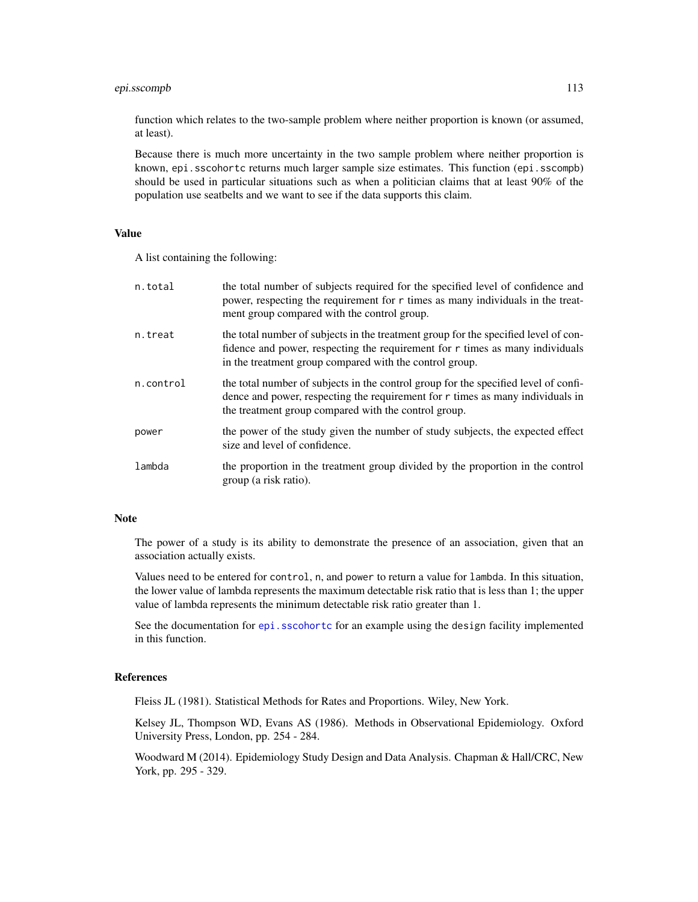## epi.sscompb 113

function which relates to the two-sample problem where neither proportion is known (or assumed, at least).

Because there is much more uncertainty in the two sample problem where neither proportion is known, epi.sscohortc returns much larger sample size estimates. This function (epi.sscompb) should be used in particular situations such as when a politician claims that at least 90% of the population use seatbelts and we want to see if the data supports this claim.

## Value

A list containing the following:

| n.total   | the total number of subjects required for the specified level of confidence and<br>power, respecting the requirement for r times as many individuals in the treat-<br>ment group compared with the control group.                 |
|-----------|-----------------------------------------------------------------------------------------------------------------------------------------------------------------------------------------------------------------------------------|
| n.treat   | the total number of subjects in the treatment group for the specified level of con-<br>fidence and power, respecting the requirement for $r$ times as many individuals<br>in the treatment group compared with the control group. |
| n.control | the total number of subjects in the control group for the specified level of confi-<br>dence and power, respecting the requirement for r times as many individuals in<br>the treatment group compared with the control group.     |
| power     | the power of the study given the number of study subjects, the expected effect<br>size and level of confidence.                                                                                                                   |
| lambda    | the proportion in the treatment group divided by the proportion in the control<br>group (a risk ratio).                                                                                                                           |

## Note

The power of a study is its ability to demonstrate the presence of an association, given that an association actually exists.

Values need to be entered for control, n, and power to return a value for lambda. In this situation, the lower value of lambda represents the maximum detectable risk ratio that is less than 1; the upper value of lambda represents the minimum detectable risk ratio greater than 1.

See the documentation for [epi.sscohortc](#page-105-0) for an example using the design facility implemented in this function.

# References

Fleiss JL (1981). Statistical Methods for Rates and Proportions. Wiley, New York.

Kelsey JL, Thompson WD, Evans AS (1986). Methods in Observational Epidemiology. Oxford University Press, London, pp. 254 - 284.

Woodward M (2014). Epidemiology Study Design and Data Analysis. Chapman & Hall/CRC, New York, pp. 295 - 329.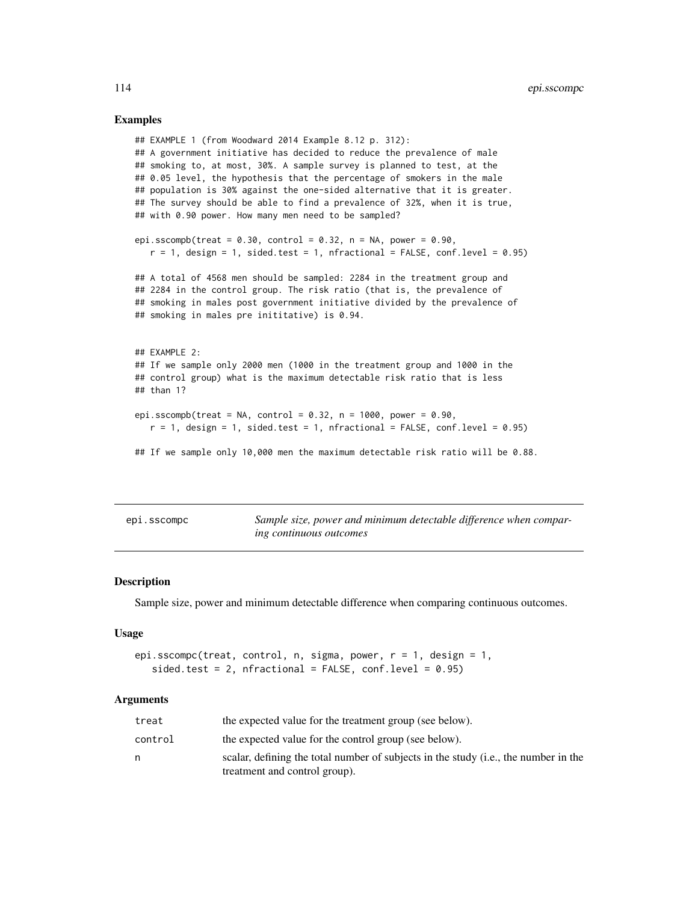## Examples

```
## EXAMPLE 1 (from Woodward 2014 Example 8.12 p. 312):
## A government initiative has decided to reduce the prevalence of male
## smoking to, at most, 30%. A sample survey is planned to test, at the
## 0.05 level, the hypothesis that the percentage of smokers in the male
## population is 30% against the one-sided alternative that it is greater.
## The survey should be able to find a prevalence of 32%, when it is true,
## with 0.90 power. How many men need to be sampled?
epi.sscompb(treat = 0.30, control = 0.32, n = NA, power = 0.90,
  r = 1, design = 1, sided.test = 1, nfractional = FALSE, conf.level = 0.95)
## A total of 4568 men should be sampled: 2284 in the treatment group and
## 2284 in the control group. The risk ratio (that is, the prevalence of
## smoking in males post government initiative divided by the prevalence of
## smoking in males pre inititative) is 0.94.
## EXAMPLE 2:
## If we sample only 2000 men (1000 in the treatment group and 1000 in the
## control group) what is the maximum detectable risk ratio that is less
## than 1?
epi.sscompb(treat = NA, control = 0.32, n = 1000, power = 0.90,
  r = 1, design = 1, sided.test = 1, nfractional = FALSE, conf.level = 0.95)
## If we sample only 10,000 men the maximum detectable risk ratio will be 0.88.
```

|  | epi.sscompc |  |
|--|-------------|--|
|--|-------------|--|

Sample size, power and minimum detectable difference when compar*ing continuous outcomes*

## **Description**

Sample size, power and minimum detectable difference when comparing continuous outcomes.

#### Usage

```
epi.sscompc(treat, control, n, sigma, power, r = 1, design = 1,
   sided.test = 2, nfractional = FALSE, conf.level = 0.95)
```
#### Arguments

| treat   | the expected value for the treatment group (see below).                             |
|---------|-------------------------------------------------------------------------------------|
| control | the expected value for the control group (see below).                               |
| n       | scalar, defining the total number of subjects in the study (i.e., the number in the |
|         | treatment and control group).                                                       |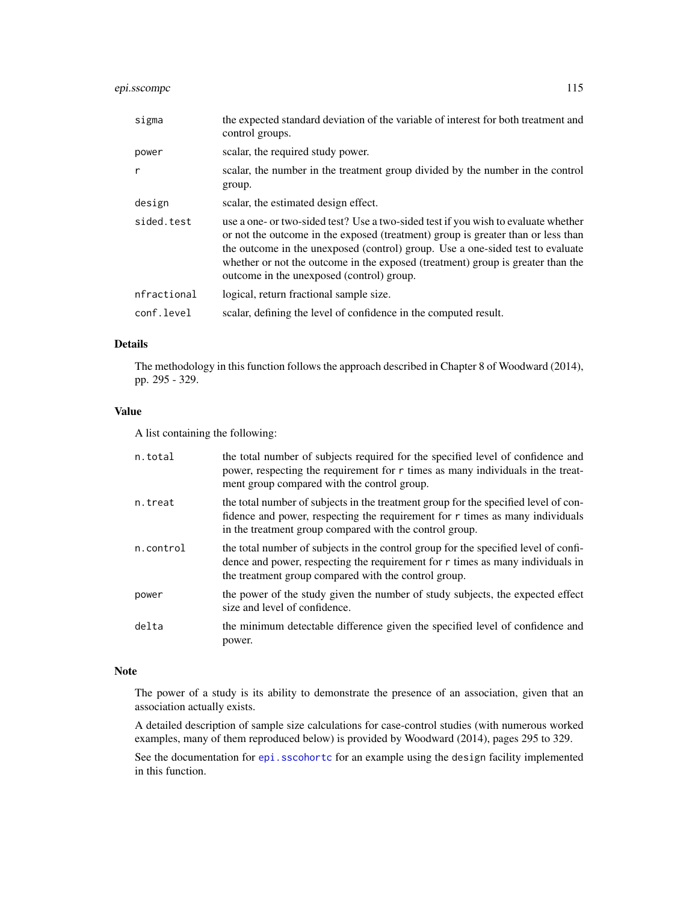## epi.sscompc 115

| sigma        | the expected standard deviation of the variable of interest for both treatment and<br>control groups.                                                                                                                                                                                                                                                                                    |
|--------------|------------------------------------------------------------------------------------------------------------------------------------------------------------------------------------------------------------------------------------------------------------------------------------------------------------------------------------------------------------------------------------------|
| power        | scalar, the required study power.                                                                                                                                                                                                                                                                                                                                                        |
| $\mathsf{r}$ | scalar, the number in the treatment group divided by the number in the control<br>group.                                                                                                                                                                                                                                                                                                 |
| design       | scalar, the estimated design effect.                                                                                                                                                                                                                                                                                                                                                     |
| sided.test   | use a one- or two-sided test? Use a two-sided test if you wish to evaluate whether<br>or not the outcome in the exposed (treatment) group is greater than or less than<br>the outcome in the unexposed (control) group. Use a one-sided test to evaluate<br>whether or not the outcome in the exposed (treatment) group is greater than the<br>outcome in the unexposed (control) group. |
| nfractional  | logical, return fractional sample size.                                                                                                                                                                                                                                                                                                                                                  |
| conf.level   | scalar, defining the level of confidence in the computed result.                                                                                                                                                                                                                                                                                                                         |

# Details

The methodology in this function follows the approach described in Chapter 8 of Woodward (2014), pp. 295 - 329.

## Value

A list containing the following:

| n.total   | the total number of subjects required for the specified level of confidence and<br>power, respecting the requirement for r times as many individuals in the treat-<br>ment group compared with the control group.                 |
|-----------|-----------------------------------------------------------------------------------------------------------------------------------------------------------------------------------------------------------------------------------|
| n.treat   | the total number of subjects in the treatment group for the specified level of con-<br>fidence and power, respecting the requirement for $r$ times as many individuals<br>in the treatment group compared with the control group. |
| n.control | the total number of subjects in the control group for the specified level of confi-<br>dence and power, respecting the requirement for r times as many individuals in<br>the treatment group compared with the control group.     |
| power     | the power of the study given the number of study subjects, the expected effect<br>size and level of confidence.                                                                                                                   |
| delta     | the minimum detectable difference given the specified level of confidence and<br>power.                                                                                                                                           |

## Note

The power of a study is its ability to demonstrate the presence of an association, given that an association actually exists.

A detailed description of sample size calculations for case-control studies (with numerous worked examples, many of them reproduced below) is provided by Woodward (2014), pages 295 to 329.

See the documentation for [epi.sscohortc](#page-105-0) for an example using the design facility implemented in this function.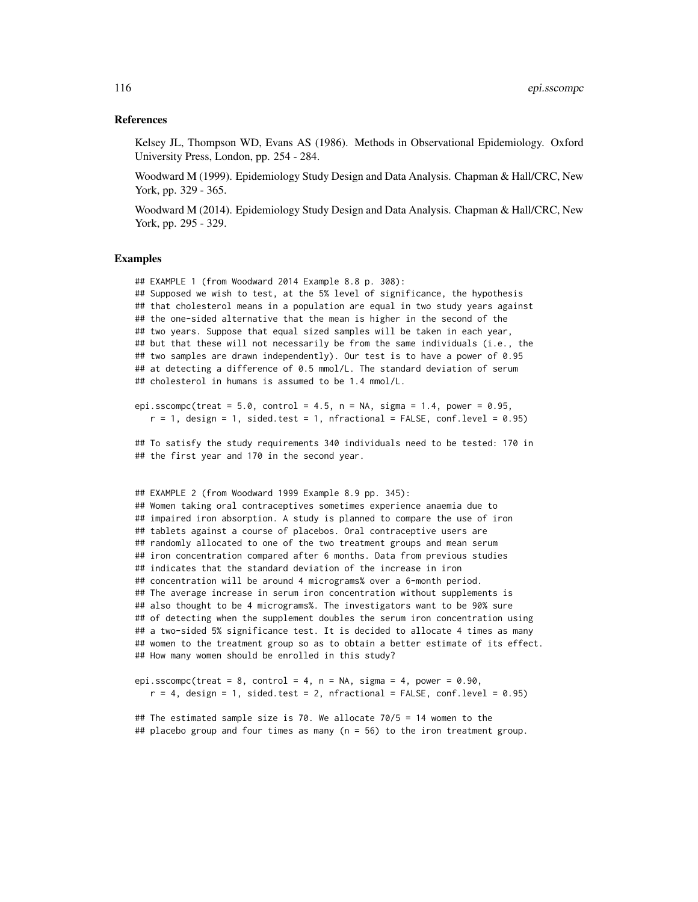#### References

Kelsey JL, Thompson WD, Evans AS (1986). Methods in Observational Epidemiology. Oxford University Press, London, pp. 254 - 284.

Woodward M (1999). Epidemiology Study Design and Data Analysis. Chapman & Hall/CRC, New York, pp. 329 - 365.

Woodward M (2014). Epidemiology Study Design and Data Analysis. Chapman & Hall/CRC, New York, pp. 295 - 329.

#### Examples

## EXAMPLE 1 (from Woodward 2014 Example 8.8 p. 308): ## Supposed we wish to test, at the 5% level of significance, the hypothesis ## that cholesterol means in a population are equal in two study years against ## the one-sided alternative that the mean is higher in the second of the ## two years. Suppose that equal sized samples will be taken in each year, ## but that these will not necessarily be from the same individuals (i.e., the ## two samples are drawn independently). Our test is to have a power of 0.95 ## at detecting a difference of 0.5 mmol/L. The standard deviation of serum ## cholesterol in humans is assumed to be 1.4 mmol/L.

epi.sscompc(treat =  $5.0$ , control =  $4.5$ , n = NA, sigma =  $1.4$ , power =  $0.95$ ,  $r = 1$ , design = 1, sided.test = 1, nfractional = FALSE, conf.level = 0.95)

## To satisfy the study requirements 340 individuals need to be tested: 170 in ## the first year and 170 in the second year.

```
## EXAMPLE 2 (from Woodward 1999 Example 8.9 pp. 345):
## Women taking oral contraceptives sometimes experience anaemia due to
## impaired iron absorption. A study is planned to compare the use of iron
## tablets against a course of placebos. Oral contraceptive users are
## randomly allocated to one of the two treatment groups and mean serum
## iron concentration compared after 6 months. Data from previous studies
## indicates that the standard deviation of the increase in iron
## concentration will be around 4 micrograms% over a 6-month period.
## The average increase in serum iron concentration without supplements is
## also thought to be 4 micrograms%. The investigators want to be 90% sure
## of detecting when the supplement doubles the serum iron concentration using
## a two-sided 5% significance test. It is decided to allocate 4 times as many
## women to the treatment group so as to obtain a better estimate of its effect.
## How many women should be enrolled in this study?
```

```
epi.sscompc(treat = 8, control = 4, n = NA, sigma = 4, power = 0.90,
   r = 4, design = 1, sided.test = 2, nfractional = FALSE, conf.level = 0.95)
```
## The estimated sample size is 70. We allocate 70/5 = 14 women to the ## placebo group and four times as many (n = 56) to the iron treatment group.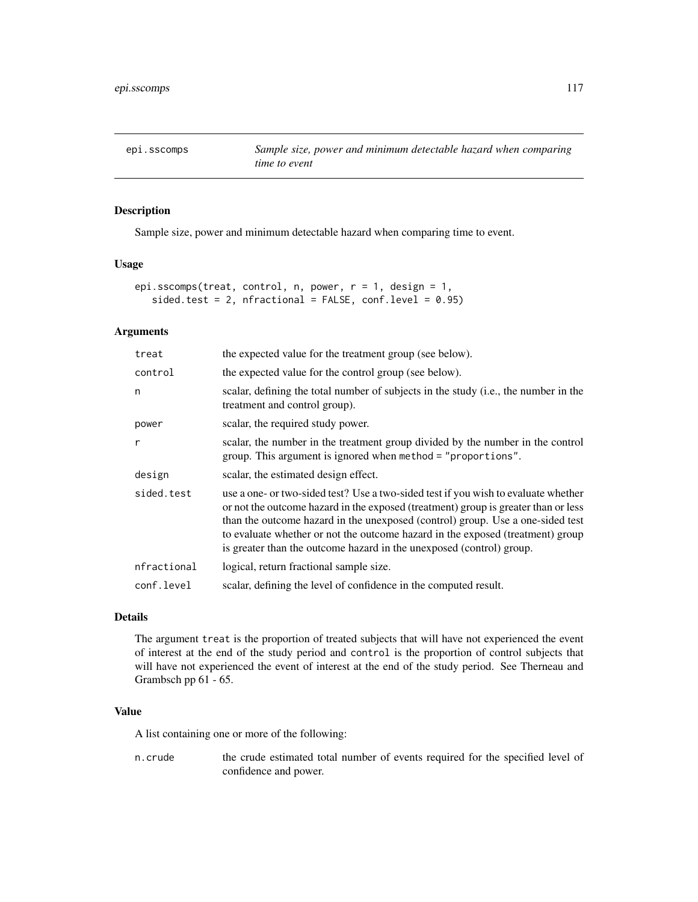epi.sscomps *Sample size, power and minimum detectable hazard when comparing time to event*

## Description

Sample size, power and minimum detectable hazard when comparing time to event.

## Usage

```
epi.sscomps(treat, control, n, power, r = 1, design = 1,
   sided.test = 2, nfractional = FALSE, conf.level = 0.95)
```
# Arguments

| treat       | the expected value for the treatment group (see below).                                                                                                                                                                                                                                                                                                                                                              |
|-------------|----------------------------------------------------------------------------------------------------------------------------------------------------------------------------------------------------------------------------------------------------------------------------------------------------------------------------------------------------------------------------------------------------------------------|
| control     | the expected value for the control group (see below).                                                                                                                                                                                                                                                                                                                                                                |
| n           | scalar, defining the total number of subjects in the study (i.e., the number in the<br>treatment and control group).                                                                                                                                                                                                                                                                                                 |
| power       | scalar, the required study power.                                                                                                                                                                                                                                                                                                                                                                                    |
| r           | scalar, the number in the treatment group divided by the number in the control<br>group. This argument is ignored when method = "proportions".                                                                                                                                                                                                                                                                       |
| design      | scalar, the estimated design effect.                                                                                                                                                                                                                                                                                                                                                                                 |
| sided.test  | use a one- or two-sided test? Use a two-sided test if you wish to evaluate whether<br>or not the outcome hazard in the exposed (treatment) group is greater than or less<br>than the outcome hazard in the unexposed (control) group. Use a one-sided test<br>to evaluate whether or not the outcome hazard in the exposed (treatment) group<br>is greater than the outcome hazard in the unexposed (control) group. |
| nfractional | logical, return fractional sample size.                                                                                                                                                                                                                                                                                                                                                                              |
| conf.level  | scalar, defining the level of confidence in the computed result.                                                                                                                                                                                                                                                                                                                                                     |

## Details

The argument treat is the proportion of treated subjects that will have not experienced the event of interest at the end of the study period and control is the proportion of control subjects that will have not experienced the event of interest at the end of the study period. See Therneau and Grambsch pp 61 - 65.

## Value

A list containing one or more of the following:

n.crude the crude estimated total number of events required for the specified level of confidence and power.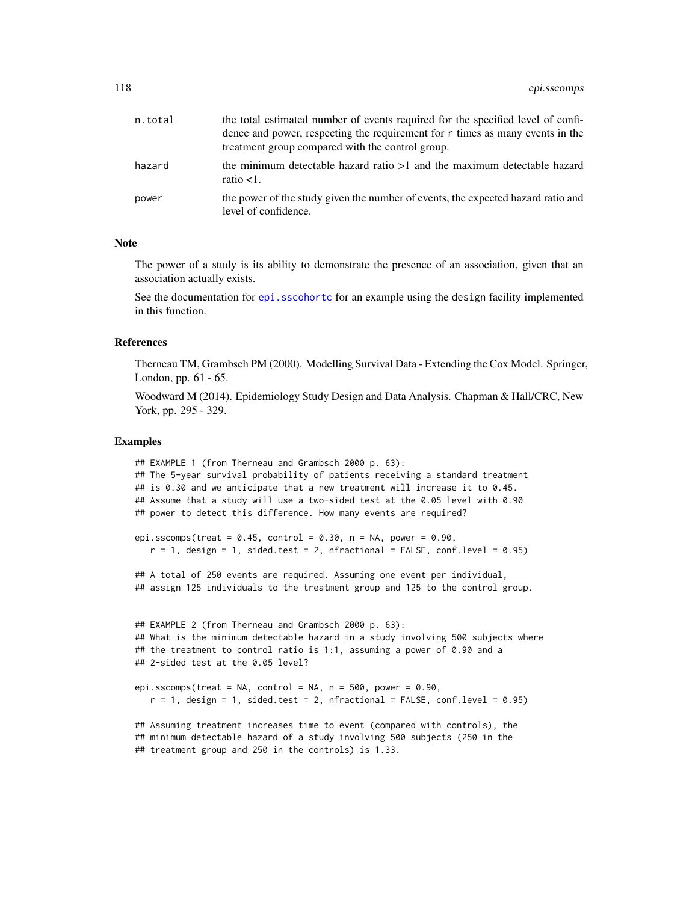| n.total | the total estimated number of events required for the specified level of confi-<br>dence and power, respecting the requirement for $r$ times as many events in the<br>treatment group compared with the control group. |
|---------|------------------------------------------------------------------------------------------------------------------------------------------------------------------------------------------------------------------------|
| hazard  | the minimum detectable hazard ratio $>1$ and the maximum detectable hazard<br>ratio $<1$ .                                                                                                                             |
| power   | the power of the study given the number of events, the expected hazard ratio and<br>level of confidence.                                                                                                               |

## **Note**

The power of a study is its ability to demonstrate the presence of an association, given that an association actually exists.

See the documentation for epi. sscohortc for an example using the design facility implemented in this function.

#### References

Therneau TM, Grambsch PM (2000). Modelling Survival Data - Extending the Cox Model. Springer, London, pp. 61 - 65.

Woodward M (2014). Epidemiology Study Design and Data Analysis. Chapman & Hall/CRC, New York, pp. 295 - 329.

#### Examples

```
## EXAMPLE 1 (from Therneau and Grambsch 2000 p. 63):
## The 5-year survival probability of patients receiving a standard treatment
## is 0.30 and we anticipate that a new treatment will increase it to 0.45.
## Assume that a study will use a two-sided test at the 0.05 level with 0.90
## power to detect this difference. How many events are required?
epi.sscomps(treat = 0.45, control = 0.30, n = NA, power = 0.90,
   r = 1, design = 1, sided.test = 2, nfractional = FALSE, conf.level = 0.95)
## A total of 250 events are required. Assuming one event per individual,
## assign 125 individuals to the treatment group and 125 to the control group.
## EXAMPLE 2 (from Therneau and Grambsch 2000 p. 63):
## What is the minimum detectable hazard in a study involving 500 subjects where
## the treatment to control ratio is 1:1, assuming a power of 0.90 and a
## 2-sided test at the 0.05 level?
epi.sscomps(treat = NA, control = NA, n = 500, power = 0.90,
  r = 1, design = 1, sided.test = 2, nfractional = FALSE, conf.level = 0.95)
## Assuming treatment increases time to event (compared with controls), the
## minimum detectable hazard of a study involving 500 subjects (250 in the
## treatment group and 250 in the controls) is 1.33.
```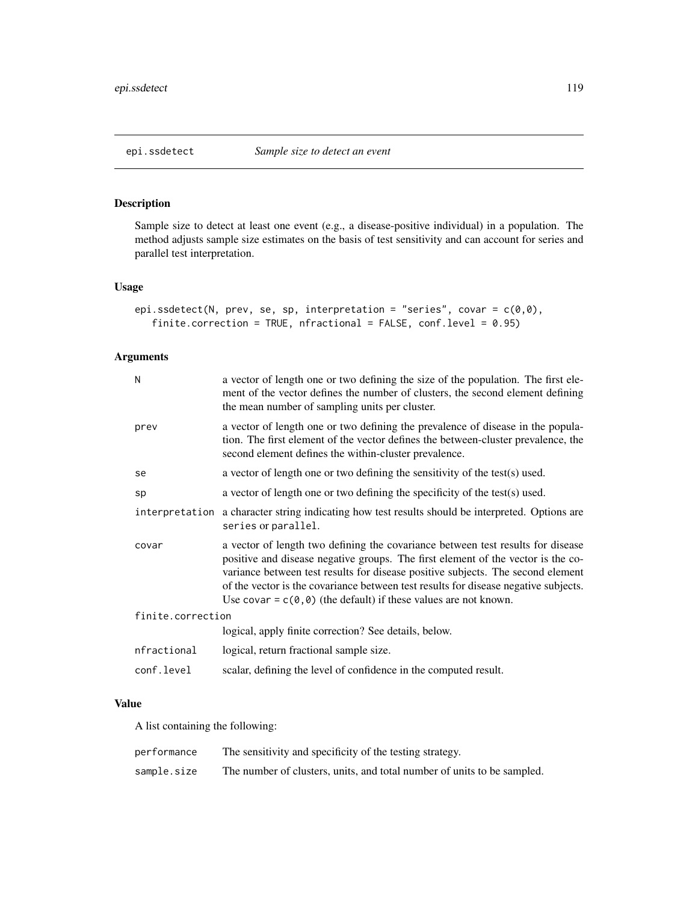## Description

Sample size to detect at least one event (e.g., a disease-positive individual) in a population. The method adjusts sample size estimates on the basis of test sensitivity and can account for series and parallel test interpretation.

## Usage

```
epi.ssdetect(N, prev, se, sp, interpretation = "series", covar = c(0,0),
   finite.correction = TRUE, nfractional = FALSE, conf.level = 0.95)
```
# Arguments

| N                 | a vector of length one or two defining the size of the population. The first ele-<br>ment of the vector defines the number of clusters, the second element defining<br>the mean number of sampling units per cluster.                                                                                                                                                                                                         |  |
|-------------------|-------------------------------------------------------------------------------------------------------------------------------------------------------------------------------------------------------------------------------------------------------------------------------------------------------------------------------------------------------------------------------------------------------------------------------|--|
| prev              | a vector of length one or two defining the prevalence of disease in the popula-<br>tion. The first element of the vector defines the between-cluster prevalence, the<br>second element defines the within-cluster prevalence.                                                                                                                                                                                                 |  |
| se                | a vector of length one or two defining the sensitivity of the test(s) used.                                                                                                                                                                                                                                                                                                                                                   |  |
| sp                | a vector of length one or two defining the specificity of the test(s) used.                                                                                                                                                                                                                                                                                                                                                   |  |
|                   | interpretation a character string indicating how test results should be interpreted. Options are<br>series or parallel.                                                                                                                                                                                                                                                                                                       |  |
| covar             | a vector of length two defining the covariance between test results for disease<br>positive and disease negative groups. The first element of the vector is the co-<br>variance between test results for disease positive subjects. The second element<br>of the vector is the covariance between test results for disease negative subjects.<br>Use covar = $c(\theta, \theta)$ (the default) if these values are not known. |  |
| finite.correction |                                                                                                                                                                                                                                                                                                                                                                                                                               |  |
|                   | logical, apply finite correction? See details, below.                                                                                                                                                                                                                                                                                                                                                                         |  |
| nfractional       | logical, return fractional sample size.                                                                                                                                                                                                                                                                                                                                                                                       |  |
| conf.level        | scalar, defining the level of confidence in the computed result.                                                                                                                                                                                                                                                                                                                                                              |  |
|                   |                                                                                                                                                                                                                                                                                                                                                                                                                               |  |

## Value

A list containing the following:

| performance | The sensitivity and specificity of the testing strategy.                |
|-------------|-------------------------------------------------------------------------|
| sample.size | The number of clusters, units, and total number of units to be sampled. |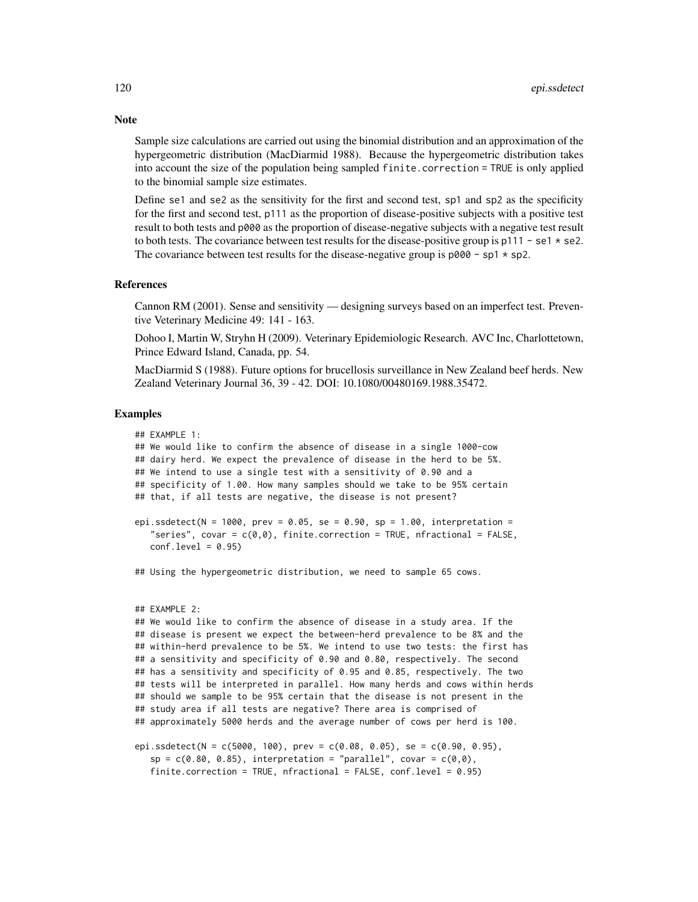Sample size calculations are carried out using the binomial distribution and an approximation of the hypergeometric distribution (MacDiarmid 1988). Because the hypergeometric distribution takes into account the size of the population being sampled finite.correction = TRUE is only applied to the binomial sample size estimates.

Define se1 and se2 as the sensitivity for the first and second test, sp1 and sp2 as the specificity for the first and second test, p111 as the proportion of disease-positive subjects with a positive test result to both tests and p000 as the proportion of disease-negative subjects with a negative test result to both tests. The covariance between test results for the disease-positive group is  $p111 - se1 * se2$ . The covariance between test results for the disease-negative group is  $p000 - sp1 * sp2$ .

#### References

Cannon RM (2001). Sense and sensitivity — designing surveys based on an imperfect test. Preventive Veterinary Medicine 49: 141 - 163.

Dohoo I, Martin W, Stryhn H (2009). Veterinary Epidemiologic Research. AVC Inc, Charlottetown, Prince Edward Island, Canada, pp. 54.

MacDiarmid S (1988). Future options for brucellosis surveillance in New Zealand beef herds. New Zealand Veterinary Journal 36, 39 - 42. DOI: 10.1080/00480169.1988.35472.

## Examples

```
## EXAMPLE 1:
## We would like to confirm the absence of disease in a single 1000-cow
## dairy herd. We expect the prevalence of disease in the herd to be 5%.
## We intend to use a single test with a sensitivity of 0.90 and a
## specificity of 1.00. How many samples should we take to be 95% certain
## that, if all tests are negative, the disease is not present?
epi.ssdetect(N = 1000, prev = 0.05, se = 0.90, sp = 1.00, interpretation =
   "series", covar = c(\emptyset, \emptyset), finite.correction = TRUE, nfractional = FALSE,
   conf<math>level = 0.95## Using the hypergeometric distribution, we need to sample 65 cows.
## EXAMPLE 2:
## We would like to confirm the absence of disease in a study area. If the
## disease is present we expect the between-herd prevalence to be 8% and the
## within-herd prevalence to be 5%. We intend to use two tests: the first has
## a sensitivity and specificity of 0.90 and 0.80, respectively. The second
## has a sensitivity and specificity of 0.95 and 0.85, respectively. The two
```
## tests will be interpreted in parallel. How many herds and cows within herds ## should we sample to be 95% certain that the disease is not present in the ## study area if all tests are negative? There area is comprised of ## approximately 5000 herds and the average number of cows per herd is 100.

```
epi.ssdetect(N = c(5000, 100), prev = c(0.08, 0.05), se = c(0.90, 0.95),
  sp = c(0.80, 0.85), interpretation = "parallel", covar = c(0,0),
  finite.correction = TRUE, nfractional = FALSE, conf.level = 0.95)
```
# **Note**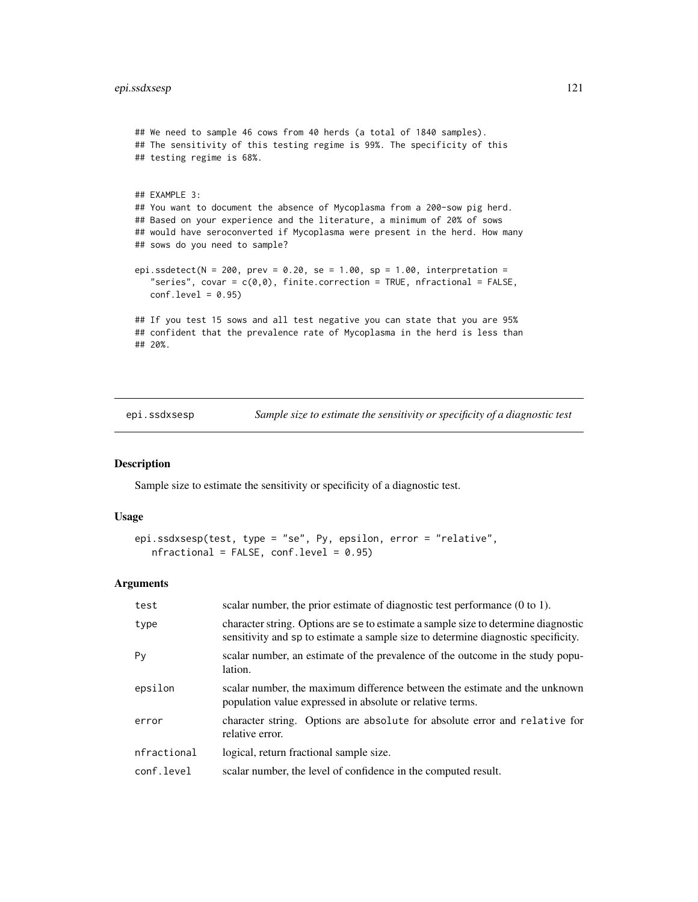```
## We need to sample 46 cows from 40 herds (a total of 1840 samples).
## The sensitivity of this testing regime is 99%. The specificity of this
## testing regime is 68%.
## EXAMPLE 3:
## You want to document the absence of Mycoplasma from a 200-sow pig herd.
## Based on your experience and the literature, a minimum of 20% of sows
## would have seroconverted if Mycoplasma were present in the herd. How many
## sows do you need to sample?
epi.ssdetect(N = 200, prev = 0.20, se = 1.00, sp = 1.00, interpretation =
   "series", covar = c(0,0), finite.correction = TRUE, nfractional = FALSE,
  conf<math>. level = 0.95## If you test 15 sows and all test negative you can state that you are 95%
## confident that the prevalence rate of Mycoplasma in the herd is less than
## 20%.
```
epi.ssdxsesp *Sample size to estimate the sensitivity or specificity of a diagnostic test*

## Description

Sample size to estimate the sensitivity or specificity of a diagnostic test.

#### Usage

```
epi.ssdxsesp(test, type = "se", Py, epsilon, error = "relative",
  nfractional = FALSE, conf.level = 0.95
```
## Arguments

| test        | scalar number, the prior estimate of diagnostic test performance $(0 \text{ to } 1)$ .                                                                                  |
|-------------|-------------------------------------------------------------------------------------------------------------------------------------------------------------------------|
| type        | character string. Options are se to estimate a sample size to determine diagnostic<br>sensitivity and sp to estimate a sample size to determine diagnostic specificity. |
| Py          | scalar number, an estimate of the prevalence of the outcome in the study popu-<br>lation.                                                                               |
| epsilon     | scalar number, the maximum difference between the estimate and the unknown<br>population value expressed in absolute or relative terms.                                 |
| error       | character string. Options are absolute for absolute error and relative for<br>relative error.                                                                           |
| nfractional | logical, return fractional sample size.                                                                                                                                 |
| conf.level  | scalar number, the level of confidence in the computed result.                                                                                                          |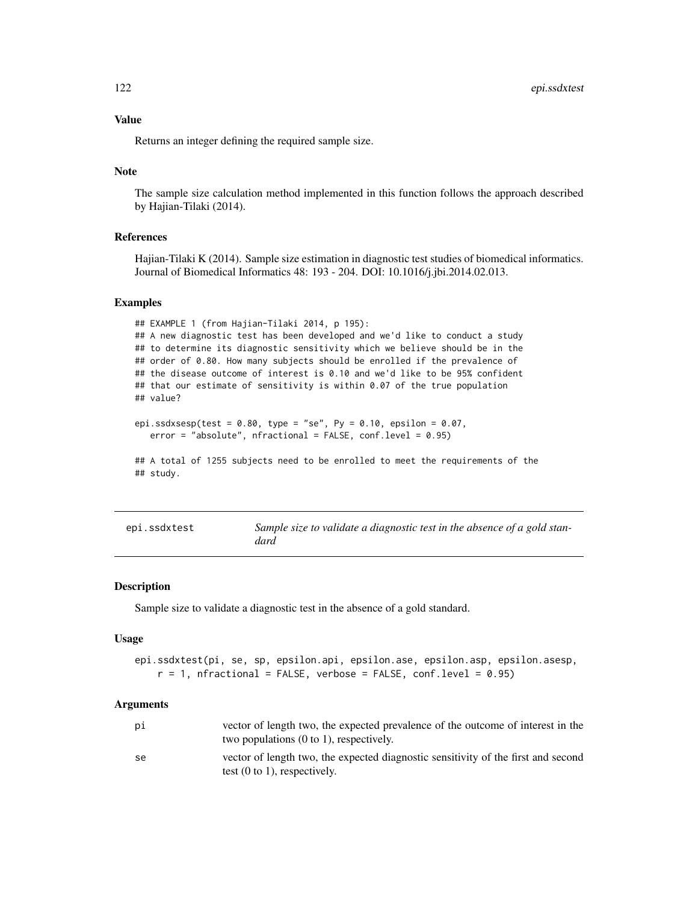## Value

Returns an integer defining the required sample size.

## Note

The sample size calculation method implemented in this function follows the approach described by Hajian-Tilaki (2014).

## References

Hajian-Tilaki K (2014). Sample size estimation in diagnostic test studies of biomedical informatics. Journal of Biomedical Informatics 48: 193 - 204. DOI: 10.1016/j.jbi.2014.02.013.

#### Examples

```
## EXAMPLE 1 (from Hajian-Tilaki 2014, p 195):
## A new diagnostic test has been developed and we'd like to conduct a study
## to determine its diagnostic sensitivity which we believe should be in the
## order of 0.80. How many subjects should be enrolled if the prevalence of
## the disease outcome of interest is 0.10 and we'd like to be 95% confident
## that our estimate of sensitivity is within 0.07 of the true population
## value?
epi.ssdxsesp(test = 0.80, type = "se", Py = 0.10, epsilon = 0.07,
   error = "absolute", nfractional = FALSE, conf.level = 0.95)
## A total of 1255 subjects need to be enrolled to meet the requirements of the
## study.
```

| epi.ssdxtest | Sample size to validate a diagnostic test in the absence of a gold stan- |
|--------------|--------------------------------------------------------------------------|
|              | dard                                                                     |

## Description

Sample size to validate a diagnostic test in the absence of a gold standard.

#### Usage

```
epi.ssdxtest(pi, se, sp, epsilon.api, epsilon.ase, epsilon.asp, epsilon.asesp,
   r = 1, nfractional = FALSE, verbose = FALSE, conf.level = 0.95)
```
## Arguments

| рi | vector of length two, the expected prevalence of the outcome of interest in the   |
|----|-----------------------------------------------------------------------------------|
|    | two populations $(0 \text{ to } 1)$ , respectively.                               |
| se | vector of length two, the expected diagnostic sensitivity of the first and second |
|    | test $(0 \text{ to } 1)$ , respectively.                                          |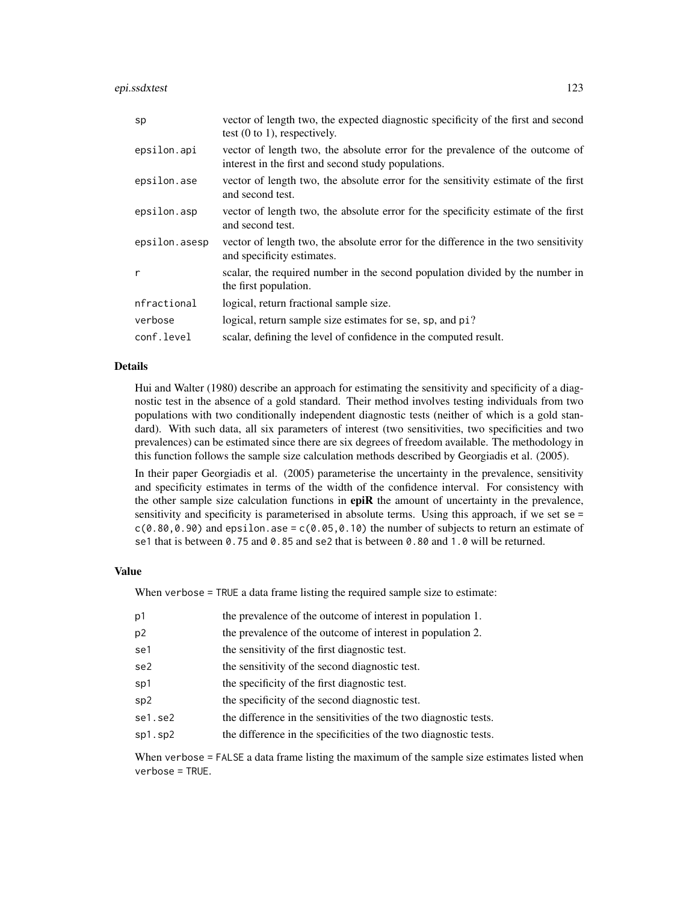epi.ssdxtest 123

| sp            | vector of length two, the expected diagnostic specificity of the first and second<br>test $(0 \text{ to } 1)$ , respectively.        |
|---------------|--------------------------------------------------------------------------------------------------------------------------------------|
| epsilon.api   | vector of length two, the absolute error for the prevalence of the outcome of<br>interest in the first and second study populations. |
| epsilon.ase   | vector of length two, the absolute error for the sensitivity estimate of the first<br>and second test.                               |
| epsilon.asp   | vector of length two, the absolute error for the specificity estimate of the first<br>and second test.                               |
| epsilon.asesp | vector of length two, the absolute error for the difference in the two sensitivity<br>and specificity estimates.                     |
| r             | scalar, the required number in the second population divided by the number in<br>the first population.                               |
| nfractional   | logical, return fractional sample size.                                                                                              |
| verbose       | logical, return sample size estimates for se, sp, and pi?                                                                            |
| conf.level    | scalar, defining the level of confidence in the computed result.                                                                     |

## Details

Hui and Walter (1980) describe an approach for estimating the sensitivity and specificity of a diagnostic test in the absence of a gold standard. Their method involves testing individuals from two populations with two conditionally independent diagnostic tests (neither of which is a gold standard). With such data, all six parameters of interest (two sensitivities, two specificities and two prevalences) can be estimated since there are six degrees of freedom available. The methodology in this function follows the sample size calculation methods described by Georgiadis et al. (2005).

In their paper Georgiadis et al. (2005) parameterise the uncertainty in the prevalence, sensitivity and specificity estimates in terms of the width of the confidence interval. For consistency with the other sample size calculation functions in epiR the amount of uncertainty in the prevalence, sensitivity and specificity is parameterised in absolute terms. Using this approach, if we set se =  $c(0.80, 0.90)$  and epsilon.ase =  $c(0.05, 0.10)$  the number of subjects to return an estimate of se1 that is between 0.75 and 0.85 and se2 that is between 0.80 and 1.0 will be returned.

## Value

When verbose = TRUE a data frame listing the required sample size to estimate:

| p1             | the prevalence of the outcome of interest in population 1.       |
|----------------|------------------------------------------------------------------|
| p <sub>2</sub> | the prevalence of the outcome of interest in population 2.       |
| se1            | the sensitivity of the first diagnostic test.                    |
| se2            | the sensitivity of the second diagnostic test.                   |
| sp1            | the specificity of the first diagnostic test.                    |
| sp2            | the specificity of the second diagnostic test.                   |
| se1.se2        | the difference in the sensitivities of the two diagnostic tests. |
| sp1.sp2        | the difference in the specificities of the two diagnostic tests. |
|                |                                                                  |

When verbose = FALSE a data frame listing the maximum of the sample size estimates listed when verbose = TRUE.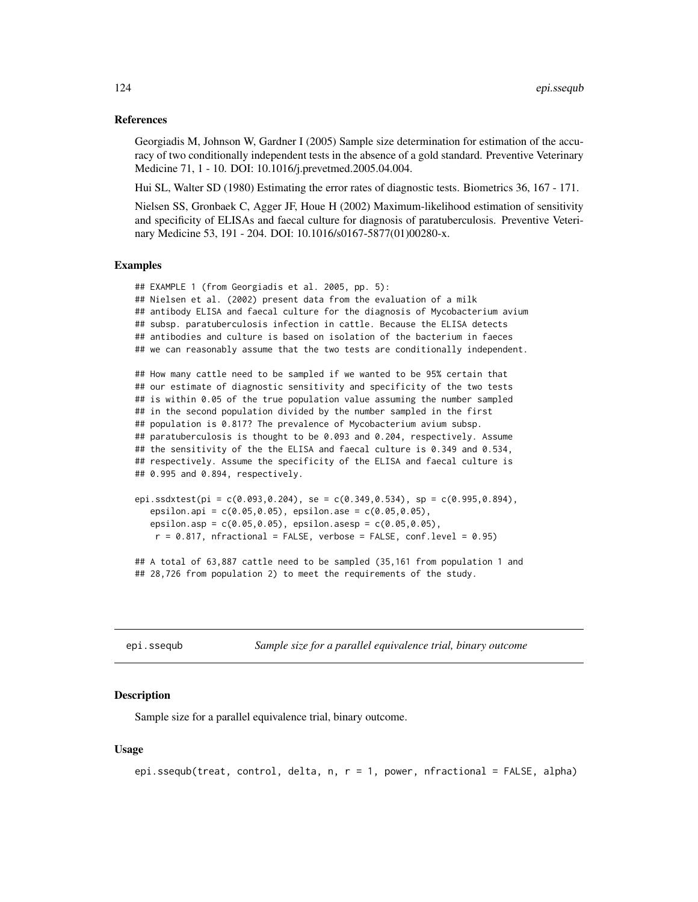### References

Georgiadis M, Johnson W, Gardner I (2005) Sample size determination for estimation of the accuracy of two conditionally independent tests in the absence of a gold standard. Preventive Veterinary Medicine 71, 1 - 10. DOI: 10.1016/j.prevetmed.2005.04.004.

Hui SL, Walter SD (1980) Estimating the error rates of diagnostic tests. Biometrics 36, 167 - 171.

Nielsen SS, Gronbaek C, Agger JF, Houe H (2002) Maximum-likelihood estimation of sensitivity and specificity of ELISAs and faecal culture for diagnosis of paratuberculosis. Preventive Veterinary Medicine 53, 191 - 204. DOI: 10.1016/s0167-5877(01)00280-x.

#### Examples

```
## EXAMPLE 1 (from Georgiadis et al. 2005, pp. 5):
## Nielsen et al. (2002) present data from the evaluation of a milk
## antibody ELISA and faecal culture for the diagnosis of Mycobacterium avium
## subsp. paratuberculosis infection in cattle. Because the ELISA detects
## antibodies and culture is based on isolation of the bacterium in faeces
## we can reasonably assume that the two tests are conditionally independent.
## How many cattle need to be sampled if we wanted to be 95% certain that
## our estimate of diagnostic sensitivity and specificity of the two tests
## is within 0.05 of the true population value assuming the number sampled
## in the second population divided by the number sampled in the first
## population is 0.817? The prevalence of Mycobacterium avium subsp.
## paratuberculosis is thought to be 0.093 and 0.204, respectively. Assume
## the sensitivity of the the ELISA and faecal culture is 0.349 and 0.534,
## respectively. Assume the specificity of the ELISA and faecal culture is
## 0.995 and 0.894, respectively.
```

```
epi.ssdxtest(pi = c(0.093, 0.204), se = c(0.349, 0.534), sp = c(0.995, 0.894),
   epsilon.api = c(0.05,0.05), epsilon.ase = c(0.05,0.05),
   epsilon.asp = c(0.05,0.05), epsilon.asesp = c(0.05,0.05),
   r = 0.817, nfractional = FALSE, verbose = FALSE, conf.level = 0.95)
```
## A total of 63,887 cattle need to be sampled (35,161 from population 1 and ## 28,726 from population 2) to meet the requirements of the study.

<span id="page-123-0"></span>epi.ssequb *Sample size for a parallel equivalence trial, binary outcome*

## Description

Sample size for a parallel equivalence trial, binary outcome.

## Usage

```
epi.ssequb(treat, control, delta, n, r = 1, power, nfractional = FALSE, alpha)
```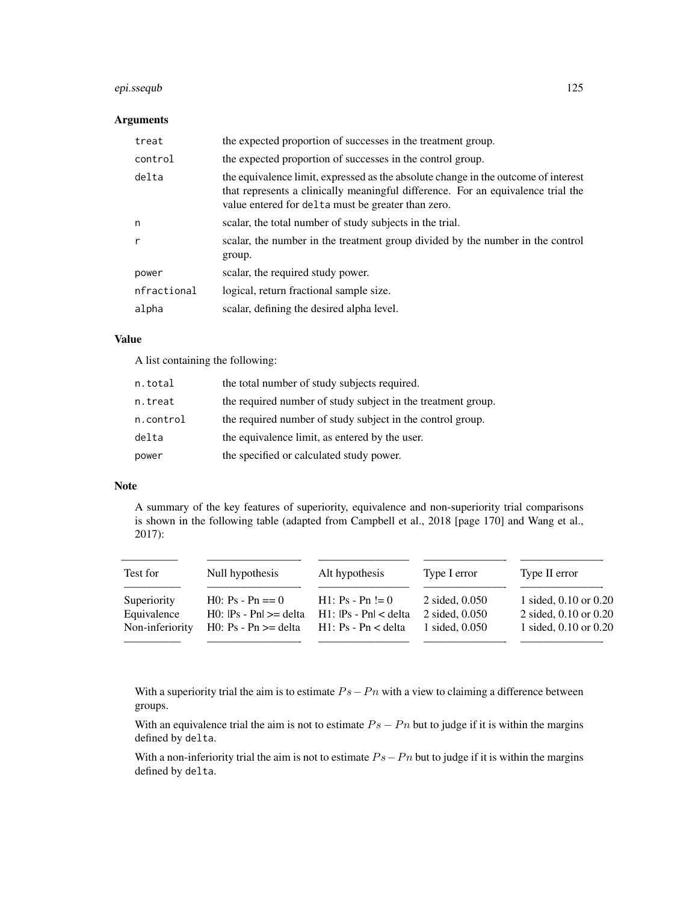## epi.ssequb 125

## Arguments

| treat        | the expected proportion of successes in the treatment group.                                                                                                                                                                 |
|--------------|------------------------------------------------------------------------------------------------------------------------------------------------------------------------------------------------------------------------------|
| control      | the expected proportion of successes in the control group.                                                                                                                                                                   |
| delta        | the equivalence limit, expressed as the absolute change in the outcome of interest<br>that represents a clinically meaningful difference. For an equivalence trial the<br>value entered for delta must be greater than zero. |
| n            | scalar, the total number of study subjects in the trial.                                                                                                                                                                     |
| $\mathsf{r}$ | scalar, the number in the treatment group divided by the number in the control<br>group.                                                                                                                                     |
| power        | scalar, the required study power.                                                                                                                                                                                            |
| nfractional  | logical, return fractional sample size.                                                                                                                                                                                      |
| alpha        | scalar, defining the desired alpha level.                                                                                                                                                                                    |

## Value

A list containing the following:

| n.total   | the total number of study subjects required.                 |
|-----------|--------------------------------------------------------------|
| n.treat   | the required number of study subject in the treatment group. |
| n.control | the required number of study subject in the control group.   |
| delta     | the equivalence limit, as entered by the user.               |
| power     | the specified or calculated study power.                     |

#### Note

A summary of the key features of superiority, equivalence and non-superiority trial comparisons is shown in the following table (adapted from Campbell et al., 2018 [page 170] and Wang et al., 2017):

| Test for        | Null hypothesis              | Alt hypothesis            | Type I error       | Type II error         |
|-----------------|------------------------------|---------------------------|--------------------|-----------------------|
| Superiority     | $H0: Ps - Pn == 0$           | $H1: Ps - Pn := 0$        | $2$ sided, $0.050$ | 1 sided, 0.10 or 0.20 |
| Equivalence     | $H0:$ $Ps - Ph$ $\geq$ delta | $H1:$ $ Ps - Pn  <$ delta | 2 sided, 0.050     | 2 sided, 0.10 or 0.20 |
| Non-inferiority | H0: $Ps$ - $Pn \geq$ delta   | $H1: Ps - Pn <$ delta     | 1 sided, 0.050     | 1 sided, 0.10 or 0.20 |
|                 |                              |                           |                    |                       |

With a superiority trial the aim is to estimate  $Ps-Pn$  with a view to claiming a difference between groups.

With an equivalence trial the aim is not to estimate  $Ps - Pn$  but to judge if it is within the margins defined by delta.

With a non-inferiority trial the aim is not to estimate  $Ps - Pn$  but to judge if it is within the margins defined by delta.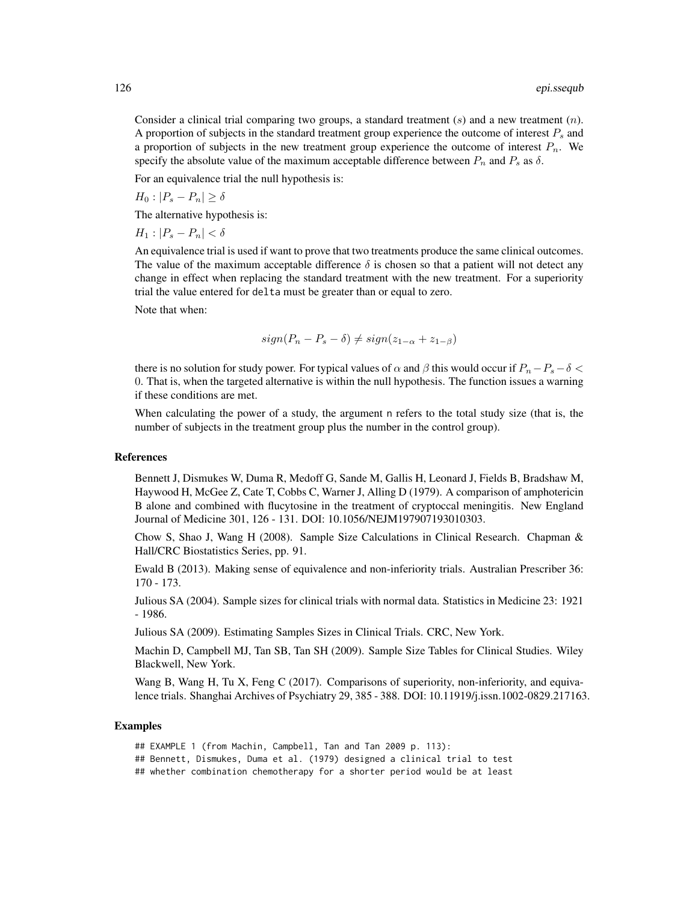Consider a clinical trial comparing two groups, a standard treatment  $(s)$  and a new treatment  $(n)$ . A proportion of subjects in the standard treatment group experience the outcome of interest  $P_s$  and a proportion of subjects in the new treatment group experience the outcome of interest  $P_n$ . We specify the absolute value of the maximum acceptable difference between  $P_n$  and  $P_s$  as  $\delta$ .

For an equivalence trial the null hypothesis is:

 $H_0$ :  $|P_s - P_n| \ge \delta$ 

The alternative hypothesis is:

 $H_1$  :  $|P_s - P_n| < \delta$ 

An equivalence trial is used if want to prove that two treatments produce the same clinical outcomes. The value of the maximum acceptable difference  $\delta$  is chosen so that a patient will not detect any change in effect when replacing the standard treatment with the new treatment. For a superiority trial the value entered for delta must be greater than or equal to zero.

Note that when:

$$
sign(P_n - P_s - \delta) \neq sign(z_{1-\alpha} + z_{1-\beta})
$$

there is no solution for study power. For typical values of  $\alpha$  and  $\beta$  this would occur if  $P_n-P_s-\delta <$ 0. That is, when the targeted alternative is within the null hypothesis. The function issues a warning if these conditions are met.

When calculating the power of a study, the argument n refers to the total study size (that is, the number of subjects in the treatment group plus the number in the control group).

## References

Bennett J, Dismukes W, Duma R, Medoff G, Sande M, Gallis H, Leonard J, Fields B, Bradshaw M, Haywood H, McGee Z, Cate T, Cobbs C, Warner J, Alling D (1979). A comparison of amphotericin B alone and combined with flucytosine in the treatment of cryptoccal meningitis. New England Journal of Medicine 301, 126 - 131. DOI: 10.1056/NEJM197907193010303.

Chow S, Shao J, Wang H (2008). Sample Size Calculations in Clinical Research. Chapman & Hall/CRC Biostatistics Series, pp. 91.

Ewald B (2013). Making sense of equivalence and non-inferiority trials. Australian Prescriber 36: 170 - 173.

Julious SA (2004). Sample sizes for clinical trials with normal data. Statistics in Medicine 23: 1921 - 1986.

Julious SA (2009). Estimating Samples Sizes in Clinical Trials. CRC, New York.

Machin D, Campbell MJ, Tan SB, Tan SH (2009). Sample Size Tables for Clinical Studies. Wiley Blackwell, New York.

Wang B, Wang H, Tu X, Feng C (2017). Comparisons of superiority, non-inferiority, and equivalence trials. Shanghai Archives of Psychiatry 29, 385 - 388. DOI: 10.11919/j.issn.1002-0829.217163.

### Examples

## EXAMPLE 1 (from Machin, Campbell, Tan and Tan 2009 p. 113): ## Bennett, Dismukes, Duma et al. (1979) designed a clinical trial to test ## whether combination chemotherapy for a shorter period would be at least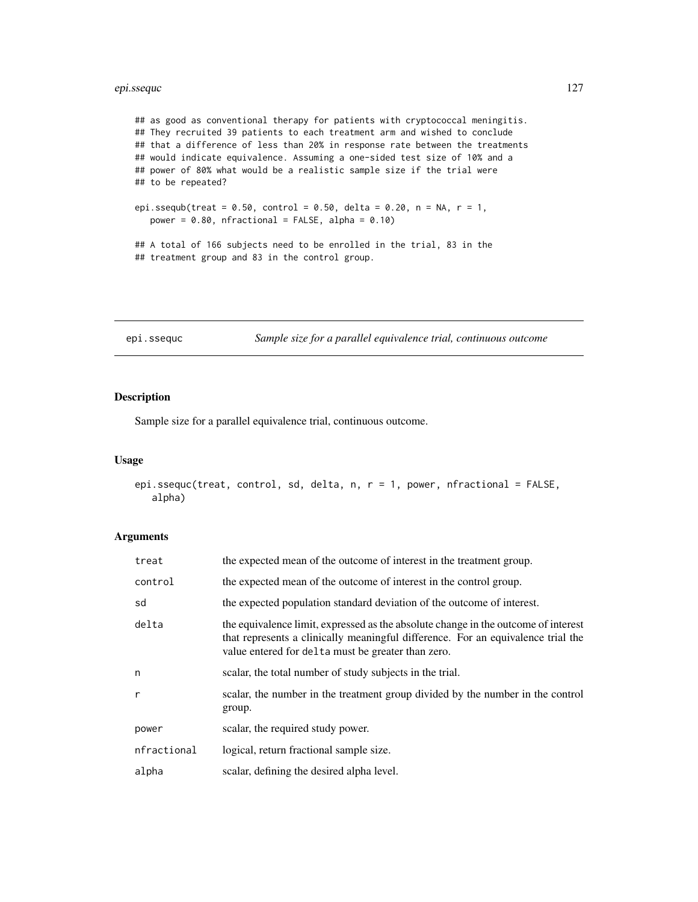## epi.ssequc 127

## as good as conventional therapy for patients with cryptococcal meningitis. ## They recruited 39 patients to each treatment arm and wished to conclude ## that a difference of less than 20% in response rate between the treatments ## would indicate equivalence. Assuming a one-sided test size of 10% and a ## power of 80% what would be a realistic sample size if the trial were ## to be repeated? epi.ssequb(treat =  $0.50$ , control =  $0.50$ , delta =  $0.20$ , n = NA, r = 1, power =  $0.80$ , nfractional = FALSE, alpha =  $0.10$ )

## A total of 166 subjects need to be enrolled in the trial, 83 in the ## treatment group and 83 in the control group.

epi.ssequc *Sample size for a parallel equivalence trial, continuous outcome*

## Description

Sample size for a parallel equivalence trial, continuous outcome.

#### Usage

```
epi.ssequc(treat, control, sd, delta, n, r = 1, power, nfractional = FALSE,
   alpha)
```
# Arguments

| treat        | the expected mean of the outcome of interest in the treatment group.                                                                                                                                                         |
|--------------|------------------------------------------------------------------------------------------------------------------------------------------------------------------------------------------------------------------------------|
| control      | the expected mean of the outcome of interest in the control group.                                                                                                                                                           |
| sd           | the expected population standard deviation of the outcome of interest.                                                                                                                                                       |
| delta        | the equivalence limit, expressed as the absolute change in the outcome of interest<br>that represents a clinically meaningful difference. For an equivalence trial the<br>value entered for delta must be greater than zero. |
| n            | scalar, the total number of study subjects in the trial.                                                                                                                                                                     |
| $\mathsf{r}$ | scalar, the number in the treatment group divided by the number in the control<br>group.                                                                                                                                     |
| power        | scalar, the required study power.                                                                                                                                                                                            |
| nfractional  | logical, return fractional sample size.                                                                                                                                                                                      |
| alpha        | scalar, defining the desired alpha level.                                                                                                                                                                                    |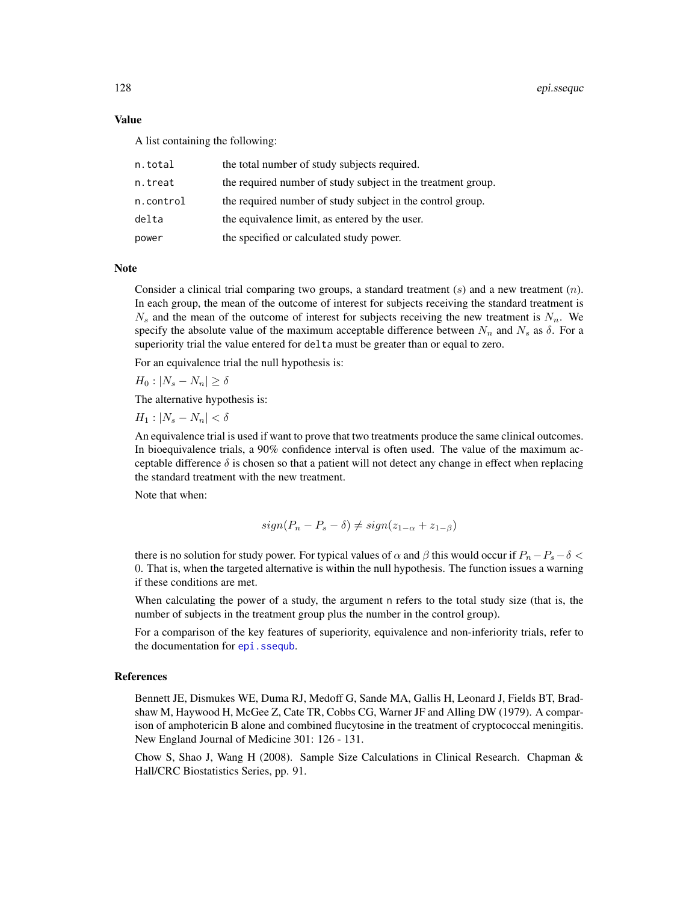### Value

A list containing the following:

| n.total   | the total number of study subjects required.                 |
|-----------|--------------------------------------------------------------|
| n.treat   | the required number of study subject in the treatment group. |
| n.control | the required number of study subject in the control group.   |
| delta     | the equivalence limit, as entered by the user.               |
| power     | the specified or calculated study power.                     |

## **Note**

Consider a clinical trial comparing two groups, a standard treatment  $(s)$  and a new treatment  $(n)$ . In each group, the mean of the outcome of interest for subjects receiving the standard treatment is  $N_s$  and the mean of the outcome of interest for subjects receiving the new treatment is  $N_n$ . We specify the absolute value of the maximum acceptable difference between  $N_n$  and  $N_s$  as  $\delta$ . For a superiority trial the value entered for delta must be greater than or equal to zero.

For an equivalence trial the null hypothesis is:

 $H_0$  :  $|N_s - N_n| \ge \delta$ 

The alternative hypothesis is:

 $H_1$  :  $|N_s - N_n| < \delta$ 

An equivalence trial is used if want to prove that two treatments produce the same clinical outcomes. In bioequivalence trials, a 90% confidence interval is often used. The value of the maximum acceptable difference  $\delta$  is chosen so that a patient will not detect any change in effect when replacing the standard treatment with the new treatment.

Note that when:

$$
sign(P_n - P_s - \delta) \neq sign(z_{1-\alpha} + z_{1-\beta})
$$

there is no solution for study power. For typical values of  $\alpha$  and  $\beta$  this would occur if  $P_n-P_s-\delta <$ 0. That is, when the targeted alternative is within the null hypothesis. The function issues a warning if these conditions are met.

When calculating the power of a study, the argument n refers to the total study size (that is, the number of subjects in the treatment group plus the number in the control group).

For a comparison of the key features of superiority, equivalence and non-inferiority trials, refer to the documentation for epi. ssequb.

## References

Bennett JE, Dismukes WE, Duma RJ, Medoff G, Sande MA, Gallis H, Leonard J, Fields BT, Bradshaw M, Haywood H, McGee Z, Cate TR, Cobbs CG, Warner JF and Alling DW (1979). A comparison of amphotericin B alone and combined flucytosine in the treatment of cryptococcal meningitis. New England Journal of Medicine 301: 126 - 131.

Chow S, Shao J, Wang H (2008). Sample Size Calculations in Clinical Research. Chapman & Hall/CRC Biostatistics Series, pp. 91.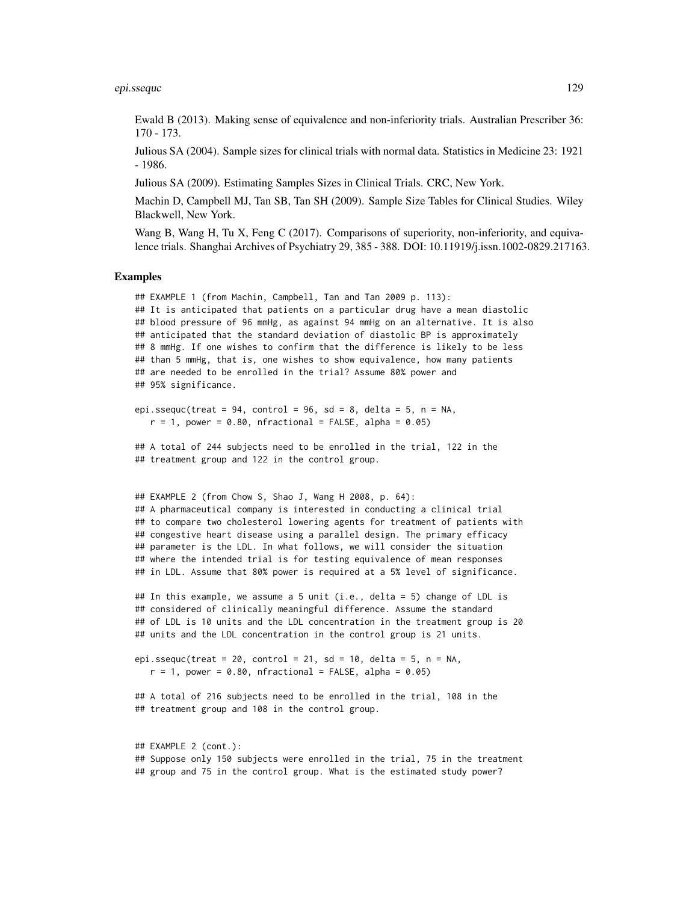#### epi.ssequc 129

Ewald B (2013). Making sense of equivalence and non-inferiority trials. Australian Prescriber 36: 170 - 173.

Julious SA (2004). Sample sizes for clinical trials with normal data. Statistics in Medicine 23: 1921 - 1986.

Julious SA (2009). Estimating Samples Sizes in Clinical Trials. CRC, New York.

Machin D, Campbell MJ, Tan SB, Tan SH (2009). Sample Size Tables for Clinical Studies. Wiley Blackwell, New York.

Wang B, Wang H, Tu X, Feng C (2017). Comparisons of superiority, non-inferiority, and equivalence trials. Shanghai Archives of Psychiatry 29, 385 - 388. DOI: 10.11919/j.issn.1002-0829.217163.

## Examples

```
## EXAMPLE 1 (from Machin, Campbell, Tan and Tan 2009 p. 113):
## It is anticipated that patients on a particular drug have a mean diastolic
## blood pressure of 96 mmHg, as against 94 mmHg on an alternative. It is also
## anticipated that the standard deviation of diastolic BP is approximately
## 8 mmHg. If one wishes to confirm that the difference is likely to be less
## than 5 mmHg, that is, one wishes to show equivalence, how many patients
## are needed to be enrolled in the trial? Assume 80% power and
## 95% significance.
epi.ssequc(treat = 94, control = 96, sd = 8, delta = 5, n = NA,
  r = 1, power = 0.80, nfractional = FALSE, alpha = 0.05)
## A total of 244 subjects need to be enrolled in the trial, 122 in the
## treatment group and 122 in the control group.
## EXAMPLE 2 (from Chow S, Shao J, Wang H 2008, p. 64):
## A pharmaceutical company is interested in conducting a clinical trial
## to compare two cholesterol lowering agents for treatment of patients with
## congestive heart disease using a parallel design. The primary efficacy
## parameter is the LDL. In what follows, we will consider the situation
## where the intended trial is for testing equivalence of mean responses
## in LDL. Assume that 80% power is required at a 5% level of significance.
## In this example, we assume a 5 unit (i.e., delta = 5) change of LDL is
## considered of clinically meaningful difference. Assume the standard
## of LDL is 10 units and the LDL concentration in the treatment group is 20
## units and the LDL concentration in the control group is 21 units.
epi.ssequc(treat = 20, control = 21, sd = 10, delta = 5, n = NA,
  r = 1, power = 0.80, nfractional = FALSE, alpha = 0.05)
## A total of 216 subjects need to be enrolled in the trial, 108 in the
## treatment group and 108 in the control group.
## EXAMPLE 2 (cont.):
```
## Suppose only 150 subjects were enrolled in the trial, 75 in the treatment ## group and 75 in the control group. What is the estimated study power?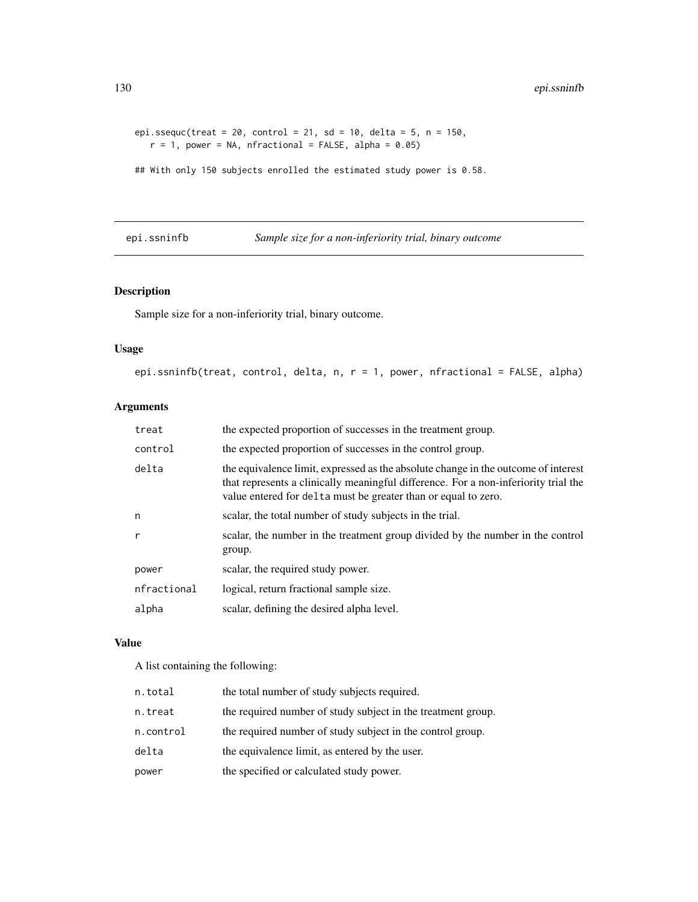```
epi.ssequc(treat = 20, control = 21, sd = 10, delta = 5, n = 150,
  r = 1, power = NA, nfractional = FALSE, alpha = 0.05)
```
## With only 150 subjects enrolled the estimated study power is 0.58.

epi.ssninfb *Sample size for a non-inferiority trial, binary outcome*

## Description

Sample size for a non-inferiority trial, binary outcome.

## Usage

epi.ssninfb(treat, control, delta, n, r = 1, power, nfractional = FALSE, alpha)

## Arguments

| treat       | the expected proportion of successes in the treatment group.                                                                                                                                                                                |
|-------------|---------------------------------------------------------------------------------------------------------------------------------------------------------------------------------------------------------------------------------------------|
| control     | the expected proportion of successes in the control group.                                                                                                                                                                                  |
| delta       | the equivalence limit, expressed as the absolute change in the outcome of interest<br>that represents a clinically meaningful difference. For a non-inferiority trial the<br>value entered for delta must be greater than or equal to zero. |
| n           | scalar, the total number of study subjects in the trial.                                                                                                                                                                                    |
| r           | scalar, the number in the treatment group divided by the number in the control<br>group.                                                                                                                                                    |
| power       | scalar, the required study power.                                                                                                                                                                                                           |
| nfractional | logical, return fractional sample size.                                                                                                                                                                                                     |
| alpha       | scalar, defining the desired alpha level.                                                                                                                                                                                                   |
|             |                                                                                                                                                                                                                                             |

## Value

A list containing the following:

| n.total   | the total number of study subjects required.                 |
|-----------|--------------------------------------------------------------|
| n.treat   | the required number of study subject in the treatment group. |
| n.control | the required number of study subject in the control group.   |
| delta     | the equivalence limit, as entered by the user.               |
| power     | the specified or calculated study power.                     |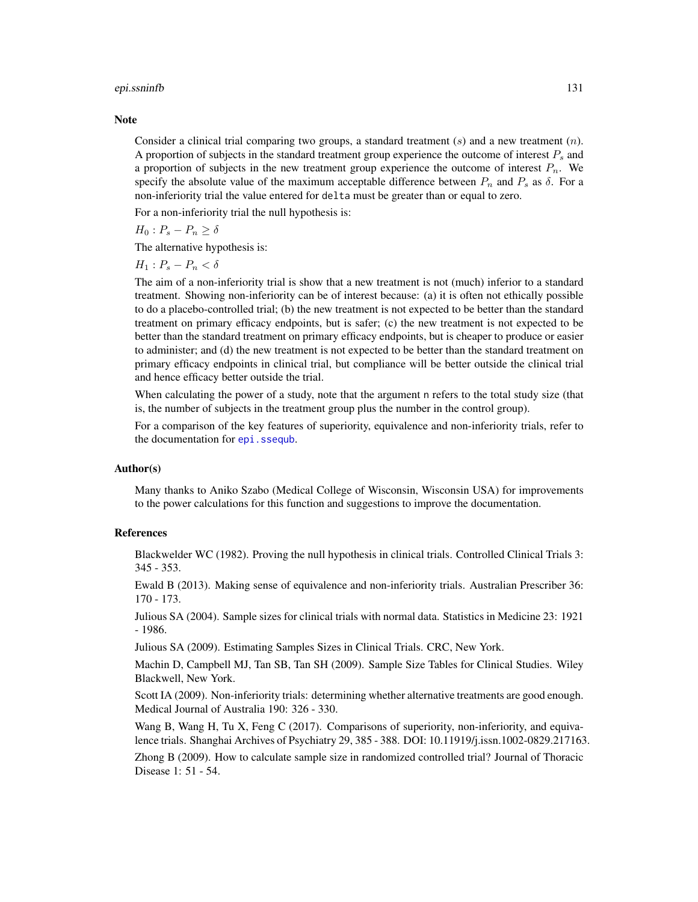#### epi.ssninfb 131

#### **Note**

Consider a clinical trial comparing two groups, a standard treatment  $(s)$  and a new treatment  $(n)$ . A proportion of subjects in the standard treatment group experience the outcome of interest  $P_s$  and a proportion of subjects in the new treatment group experience the outcome of interest  $P_n$ . We specify the absolute value of the maximum acceptable difference between  $P_n$  and  $P_s$  as  $\delta$ . For a non-inferiority trial the value entered for delta must be greater than or equal to zero.

For a non-inferiority trial the null hypothesis is:

 $H_0: P_s - P_n \geq \delta$ 

The alternative hypothesis is:

 $H_1$ :  $P_s - P_n < \delta$ 

The aim of a non-inferiority trial is show that a new treatment is not (much) inferior to a standard treatment. Showing non-inferiority can be of interest because: (a) it is often not ethically possible to do a placebo-controlled trial; (b) the new treatment is not expected to be better than the standard treatment on primary efficacy endpoints, but is safer; (c) the new treatment is not expected to be better than the standard treatment on primary efficacy endpoints, but is cheaper to produce or easier to administer; and (d) the new treatment is not expected to be better than the standard treatment on primary efficacy endpoints in clinical trial, but compliance will be better outside the clinical trial and hence efficacy better outside the trial.

When calculating the power of a study, note that the argument n refers to the total study size (that is, the number of subjects in the treatment group plus the number in the control group).

For a comparison of the key features of superiority, equivalence and non-inferiority trials, refer to the documentation for epi. ssequb.

## Author(s)

Many thanks to Aniko Szabo (Medical College of Wisconsin, Wisconsin USA) for improvements to the power calculations for this function and suggestions to improve the documentation.

## References

Blackwelder WC (1982). Proving the null hypothesis in clinical trials. Controlled Clinical Trials 3: 345 - 353.

Ewald B (2013). Making sense of equivalence and non-inferiority trials. Australian Prescriber 36: 170 - 173.

Julious SA (2004). Sample sizes for clinical trials with normal data. Statistics in Medicine 23: 1921 - 1986.

Julious SA (2009). Estimating Samples Sizes in Clinical Trials. CRC, New York.

Machin D, Campbell MJ, Tan SB, Tan SH (2009). Sample Size Tables for Clinical Studies. Wiley Blackwell, New York.

Scott IA (2009). Non-inferiority trials: determining whether alternative treatments are good enough. Medical Journal of Australia 190: 326 - 330.

Wang B, Wang H, Tu X, Feng C (2017). Comparisons of superiority, non-inferiority, and equivalence trials. Shanghai Archives of Psychiatry 29, 385 - 388. DOI: 10.11919/j.issn.1002-0829.217163.

Zhong B (2009). How to calculate sample size in randomized controlled trial? Journal of Thoracic Disease 1: 51 - 54.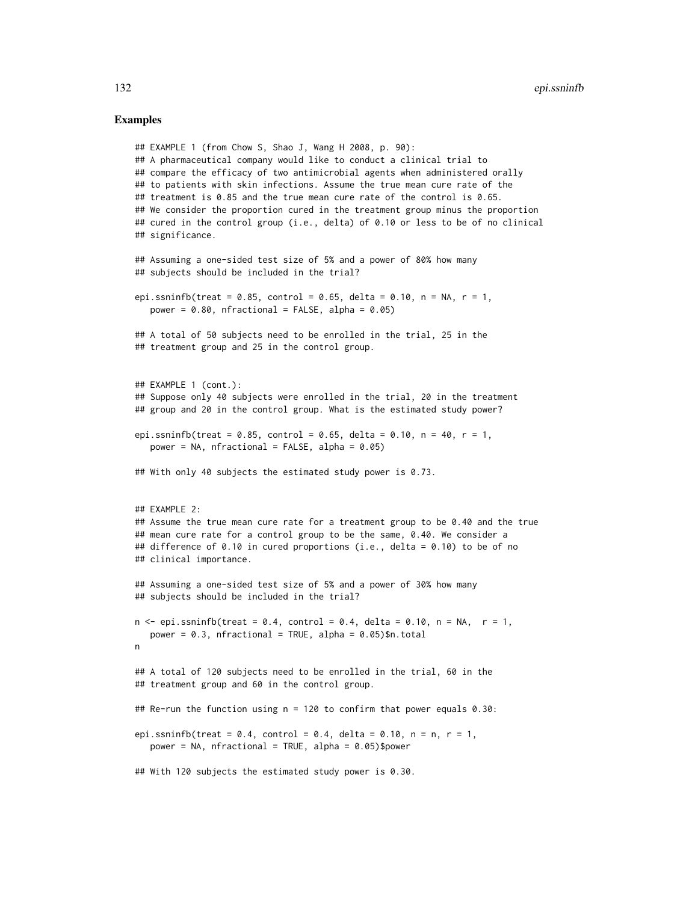## Examples

```
## EXAMPLE 1 (from Chow S, Shao J, Wang H 2008, p. 90):
## A pharmaceutical company would like to conduct a clinical trial to
## compare the efficacy of two antimicrobial agents when administered orally
## to patients with skin infections. Assume the true mean cure rate of the
## treatment is 0.85 and the true mean cure rate of the control is 0.65.
## We consider the proportion cured in the treatment group minus the proportion
## cured in the control group (i.e., delta) of 0.10 or less to be of no clinical
## significance.
## Assuming a one-sided test size of 5% and a power of 80% how many
## subjects should be included in the trial?
epi.ssninfb(treat = 0.85, control = 0.65, delta = 0.10, n = NA, r = 1,
  power = 0.80, nfractional = FALSE, alpha = 0.05)
## A total of 50 subjects need to be enrolled in the trial, 25 in the
## treatment group and 25 in the control group.
## EXAMPLE 1 (cont.):
## Suppose only 40 subjects were enrolled in the trial, 20 in the treatment
## group and 20 in the control group. What is the estimated study power?
epi.ssninfb(treat = 0.85, control = 0.65, delta = 0.10, n = 40, r = 1,
  power = NA, nfractional = FALSE, alpha = 0.05)
## With only 40 subjects the estimated study power is 0.73.
## EXAMPLE 2:
## Assume the true mean cure rate for a treatment group to be 0.40 and the true
## mean cure rate for a control group to be the same, 0.40. We consider a
## difference of 0.10 in cured proportions (i.e., delta = 0.10) to be of no
## clinical importance.
## Assuming a one-sided test size of 5% and a power of 30% how many
## subjects should be included in the trial?
n \leq - epi.ssninfb(treat = 0.4, control = 0.4, delta = 0.10, n = NA, r = 1,
  power = 0.3, nfractional = TRUE, alpha = 0.05)$n.total
n
## A total of 120 subjects need to be enrolled in the trial, 60 in the
## treatment group and 60 in the control group.
## Re-run the function using n = 120 to confirm that power equals 0.30:
epi.ssninfb(treat = 0.4, control = 0.4, delta = 0.10, n = n, r = 1,
  power = NA, nfractional = TRUE, alpha = 0.05)$power
## With 120 subjects the estimated study power is 0.30.
```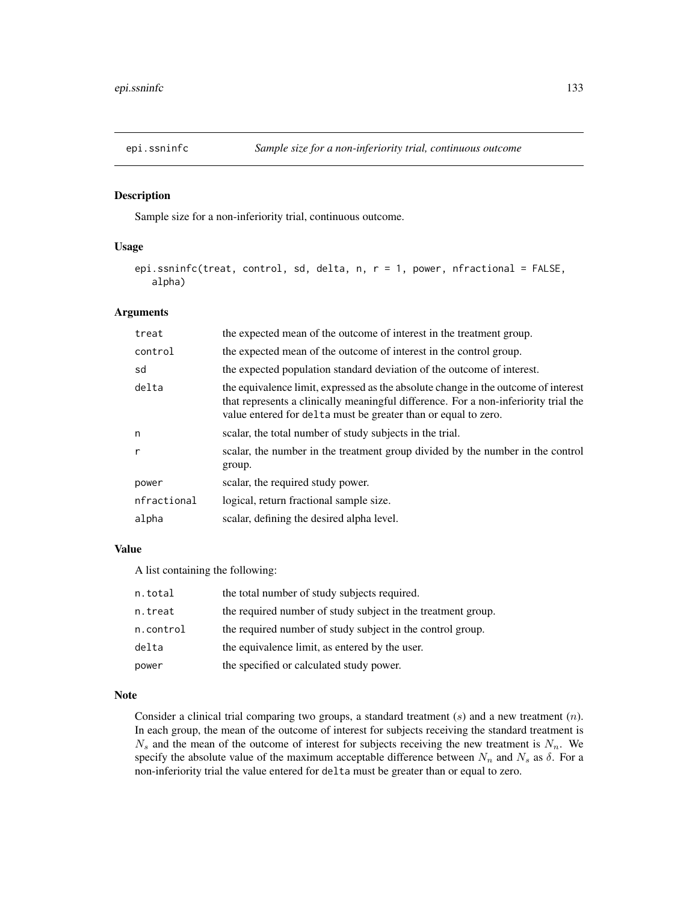## Description

Sample size for a non-inferiority trial, continuous outcome.

## Usage

```
epi.ssninfc(treat, control, sd, delta, n, r = 1, power, nfractional = FALSE,
   alpha)
```
## Arguments

| treat        | the expected mean of the outcome of interest in the treatment group.                                                                                                                                                                        |
|--------------|---------------------------------------------------------------------------------------------------------------------------------------------------------------------------------------------------------------------------------------------|
| control      | the expected mean of the outcome of interest in the control group.                                                                                                                                                                          |
| sd           | the expected population standard deviation of the outcome of interest.                                                                                                                                                                      |
| delta        | the equivalence limit, expressed as the absolute change in the outcome of interest<br>that represents a clinically meaningful difference. For a non-inferiority trial the<br>value entered for delta must be greater than or equal to zero. |
| n            | scalar, the total number of study subjects in the trial.                                                                                                                                                                                    |
| $\mathsf{r}$ | scalar, the number in the treatment group divided by the number in the control<br>group.                                                                                                                                                    |
| power        | scalar, the required study power.                                                                                                                                                                                                           |
| nfractional  | logical, return fractional sample size.                                                                                                                                                                                                     |
| alpha        | scalar, defining the desired alpha level.                                                                                                                                                                                                   |

## Value

A list containing the following:

| n.total   | the total number of study subjects required.                 |
|-----------|--------------------------------------------------------------|
| n.treat   | the required number of study subject in the treatment group. |
| n.control | the required number of study subject in the control group.   |
| delta     | the equivalence limit, as entered by the user.               |
| power     | the specified or calculated study power.                     |

## Note

Consider a clinical trial comparing two groups, a standard treatment  $(s)$  and a new treatment  $(n)$ . In each group, the mean of the outcome of interest for subjects receiving the standard treatment is  $N_s$  and the mean of the outcome of interest for subjects receiving the new treatment is  $N_n$ . We specify the absolute value of the maximum acceptable difference between  $N_n$  and  $N_s$  as  $\delta$ . For a non-inferiority trial the value entered for delta must be greater than or equal to zero.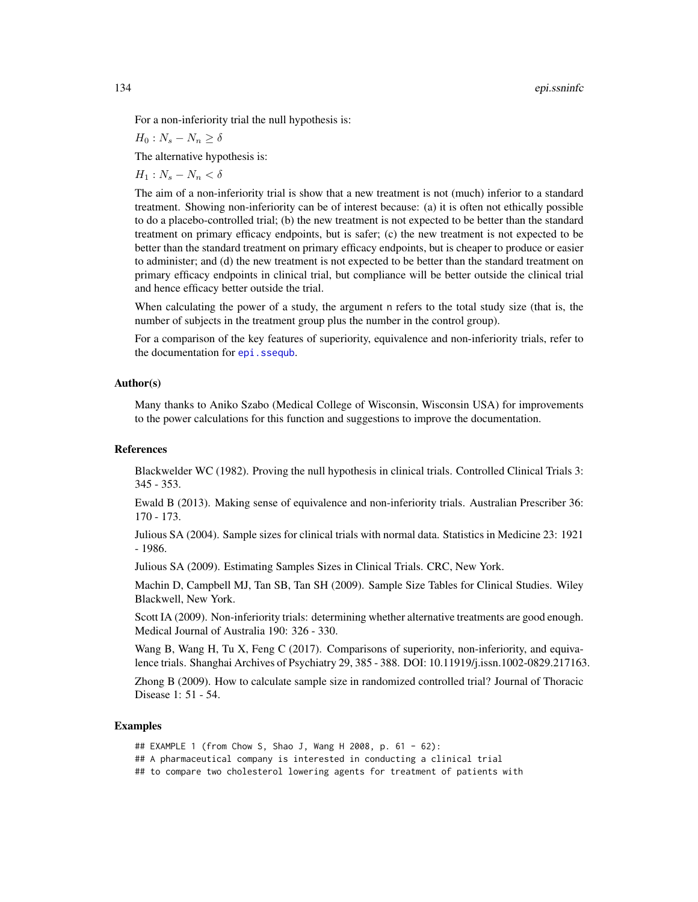For a non-inferiority trial the null hypothesis is:

 $H_0$ :  $N_s - N_n \ge \delta$ 

The alternative hypothesis is:

 $H_1$  :  $N_s - N_n < \delta$ 

The aim of a non-inferiority trial is show that a new treatment is not (much) inferior to a standard treatment. Showing non-inferiority can be of interest because: (a) it is often not ethically possible to do a placebo-controlled trial; (b) the new treatment is not expected to be better than the standard treatment on primary efficacy endpoints, but is safer; (c) the new treatment is not expected to be better than the standard treatment on primary efficacy endpoints, but is cheaper to produce or easier to administer; and (d) the new treatment is not expected to be better than the standard treatment on primary efficacy endpoints in clinical trial, but compliance will be better outside the clinical trial and hence efficacy better outside the trial.

When calculating the power of a study, the argument n refers to the total study size (that is, the number of subjects in the treatment group plus the number in the control group).

For a comparison of the key features of superiority, equivalence and non-inferiority trials, refer to the documentation for epi. ssequb.

## Author(s)

Many thanks to Aniko Szabo (Medical College of Wisconsin, Wisconsin USA) for improvements to the power calculations for this function and suggestions to improve the documentation.

## References

Blackwelder WC (1982). Proving the null hypothesis in clinical trials. Controlled Clinical Trials 3: 345 - 353.

Ewald B (2013). Making sense of equivalence and non-inferiority trials. Australian Prescriber 36: 170 - 173.

Julious SA (2004). Sample sizes for clinical trials with normal data. Statistics in Medicine 23: 1921 - 1986.

Julious SA (2009). Estimating Samples Sizes in Clinical Trials. CRC, New York.

Machin D, Campbell MJ, Tan SB, Tan SH (2009). Sample Size Tables for Clinical Studies. Wiley Blackwell, New York.

Scott IA (2009). Non-inferiority trials: determining whether alternative treatments are good enough. Medical Journal of Australia 190: 326 - 330.

Wang B, Wang H, Tu X, Feng C (2017). Comparisons of superiority, non-inferiority, and equivalence trials. Shanghai Archives of Psychiatry 29, 385 - 388. DOI: 10.11919/j.issn.1002-0829.217163.

Zhong B (2009). How to calculate sample size in randomized controlled trial? Journal of Thoracic Disease 1: 51 - 54.

### Examples

## EXAMPLE 1 (from Chow S, Shao J, Wang H 2008, p. 61 - 62): ## A pharmaceutical company is interested in conducting a clinical trial ## to compare two cholesterol lowering agents for treatment of patients with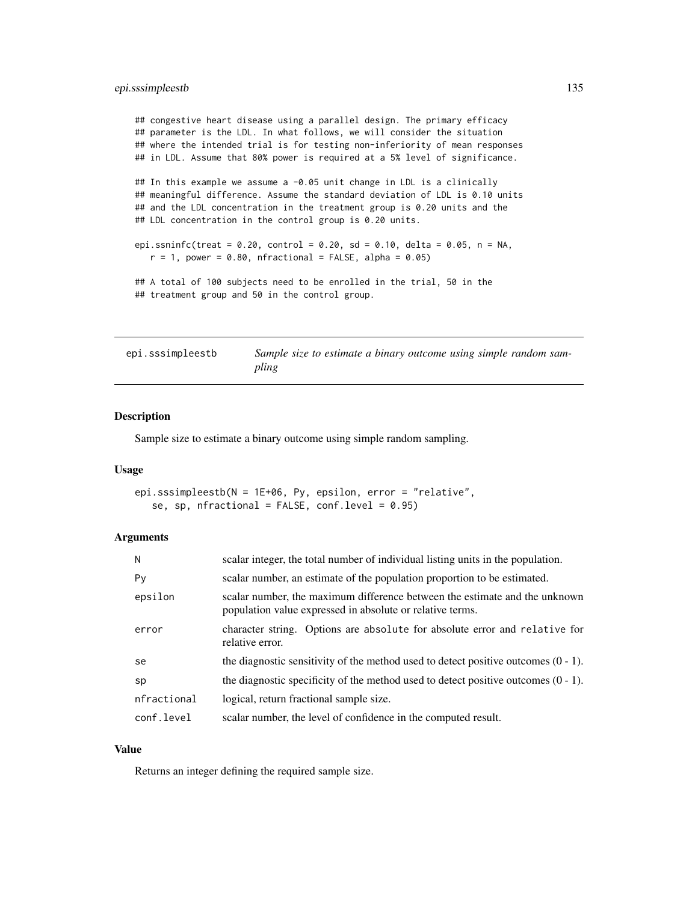## epi.sssimpleestb 135

## congestive heart disease using a parallel design. The primary efficacy ## parameter is the LDL. In what follows, we will consider the situation ## where the intended trial is for testing non-inferiority of mean responses ## in LDL. Assume that 80% power is required at a 5% level of significance.

## In this example we assume a -0.05 unit change in LDL is a clinically ## meaningful difference. Assume the standard deviation of LDL is 0.10 units ## and the LDL concentration in the treatment group is 0.20 units and the ## LDL concentration in the control group is 0.20 units.

```
epi.ssninfc(treat = 0.20, control = 0.20, sd = 0.10, delta = 0.05, n = NA,
  r = 1, power = 0.80, nfractional = FALSE, alpha = 0.05)
```
## A total of 100 subjects need to be enrolled in the trial, 50 in the ## treatment group and 50 in the control group.

| epi.sssimpleestb | Sample size to estimate a binary outcome using simple random sam- |
|------------------|-------------------------------------------------------------------|
|                  | pling                                                             |

## Description

Sample size to estimate a binary outcome using simple random sampling.

#### Usage

```
epi.sssimpleestb(N = 1E+06, Py, epsilon, error = "relative",
   se, sp, nfractional = FALSE, conf.level = 0.95)
```
#### Arguments

| N           | scalar integer, the total number of individual listing units in the population.                                                         |
|-------------|-----------------------------------------------------------------------------------------------------------------------------------------|
| Py          | scalar number, an estimate of the population proportion to be estimated.                                                                |
| epsilon     | scalar number, the maximum difference between the estimate and the unknown<br>population value expressed in absolute or relative terms. |
| error       | character string. Options are absolute for absolute error and relative for<br>relative error.                                           |
| se          | the diagnostic sensitivity of the method used to detect positive outcomes $(0 - 1)$ .                                                   |
| sp          | the diagnostic specificity of the method used to detect positive outcomes $(0 - 1)$ .                                                   |
| nfractional | logical, return fractional sample size.                                                                                                 |
| conf.level  | scalar number, the level of confidence in the computed result.                                                                          |

## Value

Returns an integer defining the required sample size.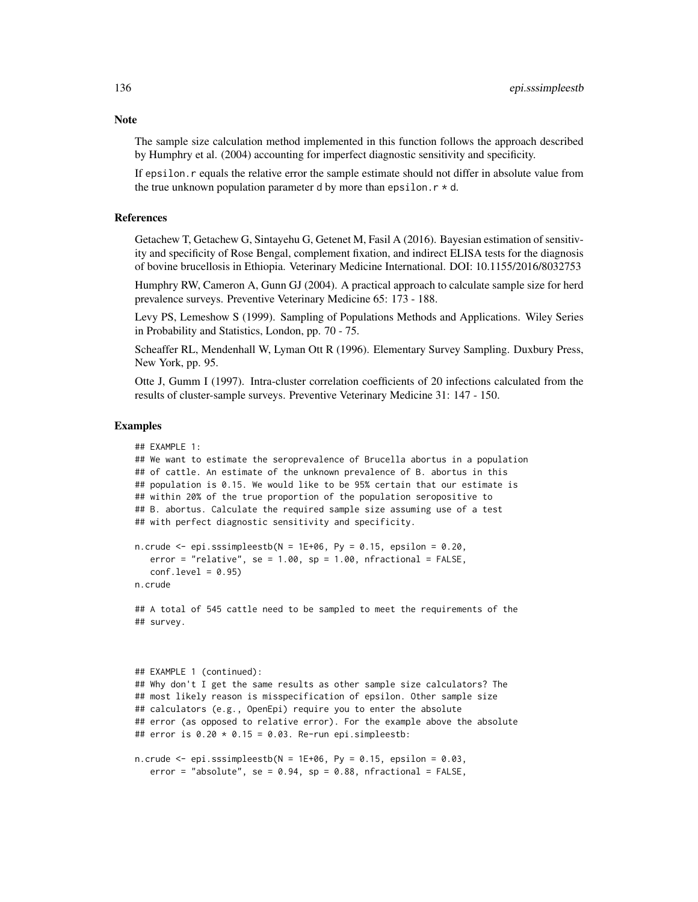The sample size calculation method implemented in this function follows the approach described by Humphry et al. (2004) accounting for imperfect diagnostic sensitivity and specificity.

If epsilon.r equals the relative error the sample estimate should not differ in absolute value from the true unknown population parameter d by more than epsilon.  $r * d$ .

## References

Getachew T, Getachew G, Sintayehu G, Getenet M, Fasil A (2016). Bayesian estimation of sensitivity and specificity of Rose Bengal, complement fixation, and indirect ELISA tests for the diagnosis of bovine brucellosis in Ethiopia. Veterinary Medicine International. DOI: 10.1155/2016/8032753

Humphry RW, Cameron A, Gunn GJ (2004). A practical approach to calculate sample size for herd prevalence surveys. Preventive Veterinary Medicine 65: 173 - 188.

Levy PS, Lemeshow S (1999). Sampling of Populations Methods and Applications. Wiley Series in Probability and Statistics, London, pp. 70 - 75.

Scheaffer RL, Mendenhall W, Lyman Ott R (1996). Elementary Survey Sampling. Duxbury Press, New York, pp. 95.

Otte J, Gumm I (1997). Intra-cluster correlation coefficients of 20 infections calculated from the results of cluster-sample surveys. Preventive Veterinary Medicine 31: 147 - 150.

#### Examples

```
## EXAMPLE 1:
## We want to estimate the seroprevalence of Brucella abortus in a population
## of cattle. An estimate of the unknown prevalence of B. abortus in this
## population is 0.15. We would like to be 95% certain that our estimate is
## within 20% of the true proportion of the population seropositive to
## B. abortus. Calculate the required sample size assuming use of a test
## with perfect diagnostic sensitivity and specificity.
n.crude \leq epi.sssimpleestb(N = 1E+06, Py = 0.15, epsilon = 0.20,
   error = "relative", se = 1.00, sp = 1.00, nfractional = FALSE,
   conf<math>. level = 0.95n.crude
## A total of 545 cattle need to be sampled to meet the requirements of the
## survey.
## EXAMPLE 1 (continued):
## Why don't I get the same results as other sample size calculators? The
## most likely reason is misspecification of epsilon. Other sample size
## calculators (e.g., OpenEpi) require you to enter the absolute
## error (as opposed to relative error). For the example above the absolute
## error is 0.20 \times 0.15 = 0.03. Re-run epi.simpleestb:
n.crude \leq epi.sssimpleestb(N = 1E+06, Py = 0.15, epsilon = 0.03,
```
# Note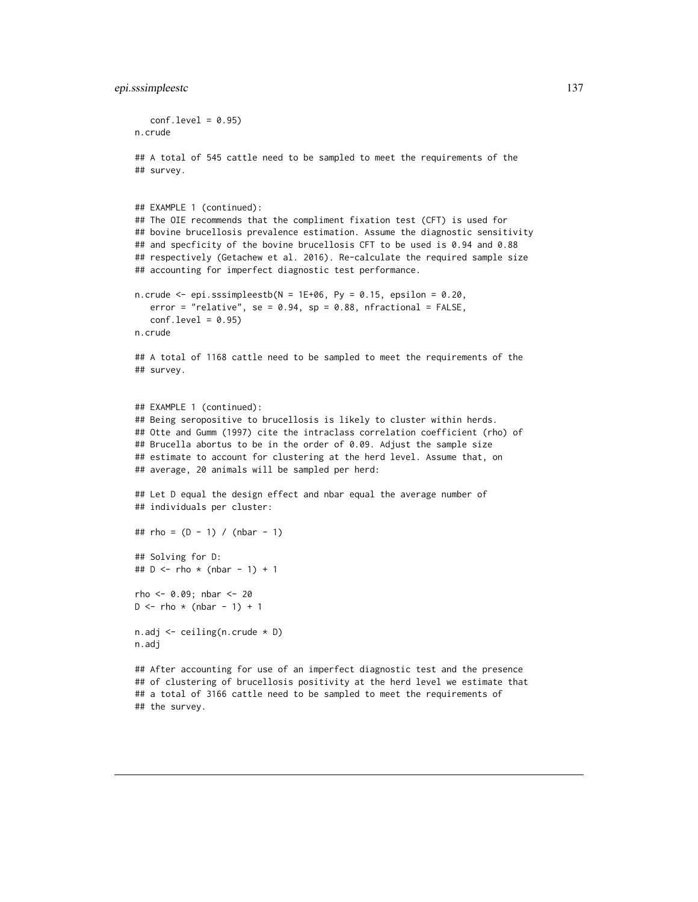```
conf<math>level = 0.95n.crude
## A total of 545 cattle need to be sampled to meet the requirements of the
## survey.
## EXAMPLE 1 (continued):
## The OIE recommends that the compliment fixation test (CFT) is used for
## bovine brucellosis prevalence estimation. Assume the diagnostic sensitivity
## and specficity of the bovine brucellosis CFT to be used is 0.94 and 0.88
## respectively (Getachew et al. 2016). Re-calculate the required sample size
## accounting for imperfect diagnostic test performance.
n.crude \leq epi.sssimpleestb(N = 1E+06, Py = 0.15, epsilon = 0.20,
   error = "relative", se = 0.94, sp = 0.88, nfractional = FALSE,
   conf<math>. level = 0.95n.crude
## A total of 1168 cattle need to be sampled to meet the requirements of the
## survey.
## EXAMPLE 1 (continued):
## Being seropositive to brucellosis is likely to cluster within herds.
## Otte and Gumm (1997) cite the intraclass correlation coefficient (rho) of
## Brucella abortus to be in the order of 0.09. Adjust the sample size
## estimate to account for clustering at the herd level. Assume that, on
## average, 20 animals will be sampled per herd:
## Let D equal the design effect and nbar equal the average number of
## individuals per cluster:
## rho = (D - 1) / (nbar - 1)## Solving for D:
## D \le - rho * (nbar - 1) + 1
rho <- 0.09; nbar <- 20
D \le - rho * (nbar - 1) + 1
n.adj <- ceiling(n.crude * D)
n.adj
```
## After accounting for use of an imperfect diagnostic test and the presence ## of clustering of brucellosis positivity at the herd level we estimate that ## a total of 3166 cattle need to be sampled to meet the requirements of ## the survey.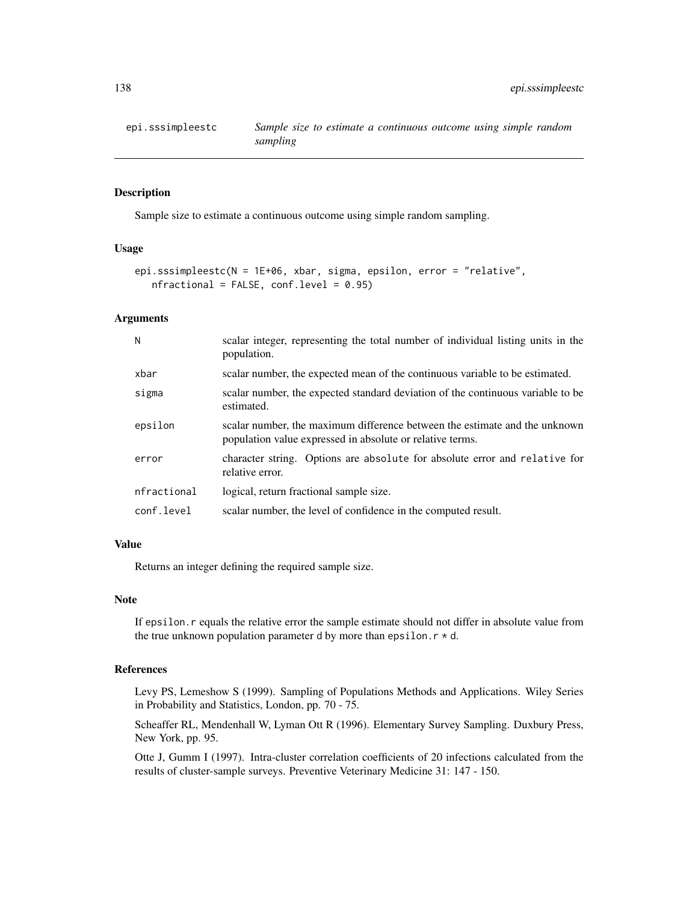## Description

Sample size to estimate a continuous outcome using simple random sampling.

## Usage

```
epi.sssimpleestc(N = 1E+06, xbar, sigma, epsilon, error = "relative",
   nfractional = FALSE, conf.level = 0.95)
```
#### Arguments

| N           | scalar integer, representing the total number of individual listing units in the<br>population.                                         |
|-------------|-----------------------------------------------------------------------------------------------------------------------------------------|
| xbar        | scalar number, the expected mean of the continuous variable to be estimated.                                                            |
| sigma       | scalar number, the expected standard deviation of the continuous variable to be<br>estimated.                                           |
| epsilon     | scalar number, the maximum difference between the estimate and the unknown<br>population value expressed in absolute or relative terms. |
| error       | character string. Options are absolute for absolute error and relative for<br>relative error.                                           |
| nfractional | logical, return fractional sample size.                                                                                                 |
| conf.level  | scalar number, the level of confidence in the computed result.                                                                          |

#### Value

Returns an integer defining the required sample size.

## Note

If epsilon.r equals the relative error the sample estimate should not differ in absolute value from the true unknown population parameter d by more than epsilon.  $r * d$ .

## References

Levy PS, Lemeshow S (1999). Sampling of Populations Methods and Applications. Wiley Series in Probability and Statistics, London, pp. 70 - 75.

Scheaffer RL, Mendenhall W, Lyman Ott R (1996). Elementary Survey Sampling. Duxbury Press, New York, pp. 95.

Otte J, Gumm I (1997). Intra-cluster correlation coefficients of 20 infections calculated from the results of cluster-sample surveys. Preventive Veterinary Medicine 31: 147 - 150.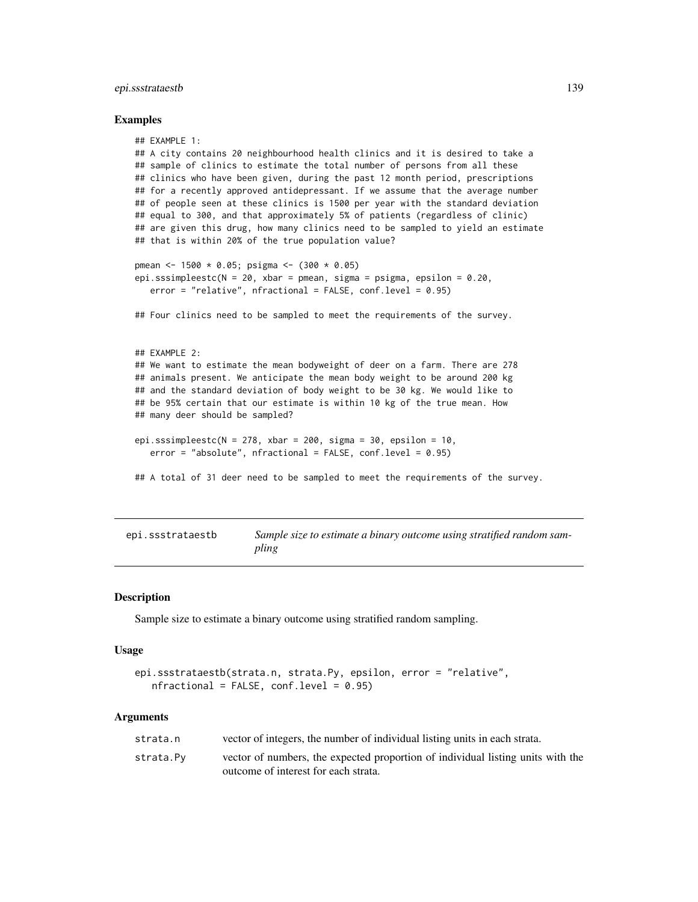## epi.ssstrataestb 139

#### Examples

```
## EXAMPLE 1:
## A city contains 20 neighbourhood health clinics and it is desired to take a
## sample of clinics to estimate the total number of persons from all these
## clinics who have been given, during the past 12 month period, prescriptions
## for a recently approved antidepressant. If we assume that the average number
## of people seen at these clinics is 1500 per year with the standard deviation
## equal to 300, and that approximately 5% of patients (regardless of clinic)
## are given this drug, how many clinics need to be sampled to yield an estimate
## that is within 20% of the true population value?
pmean <- 1500 * 0.05; psigma <- (300 * 0.05)
epi.sssimpleestc(N = 20, xbar = pmean, sigma = psigma, epsilon = 0.20,
   error = "relative", nfractional = FALSE, conf.level = 0.95)
## Four clinics need to be sampled to meet the requirements of the survey.
## EXAMPLE 2:
## We want to estimate the mean bodyweight of deer on a farm. There are 278
## animals present. We anticipate the mean body weight to be around 200 kg
## and the standard deviation of body weight to be 30 kg. We would like to
## be 95% certain that our estimate is within 10 kg of the true mean. How
## many deer should be sampled?
epi.sssimpleestc(N = 278, xbar = 200, sigma = 30, epsilon = 10,
   error = "absolute", nfractional = FALSE, conf.level = 0.95)
## A total of 31 deer need to be sampled to meet the requirements of the survey.
```
epi.ssstrataestb *Sample size to estimate a binary outcome using stratified random sampling*

#### **Description**

Sample size to estimate a binary outcome using stratified random sampling.

#### Usage

```
epi.ssstrataestb(strata.n, strata.Py, epsilon, error = "relative",
   nfractional = FALSE, conf.level = <math>0.95</math>)
```
#### Arguments

| strata.n  | vector of integers, the number of individual listing units in each strata.      |
|-----------|---------------------------------------------------------------------------------|
| strata.Pv | vector of numbers, the expected proportion of individual listing units with the |
|           | outcome of interest for each strata.                                            |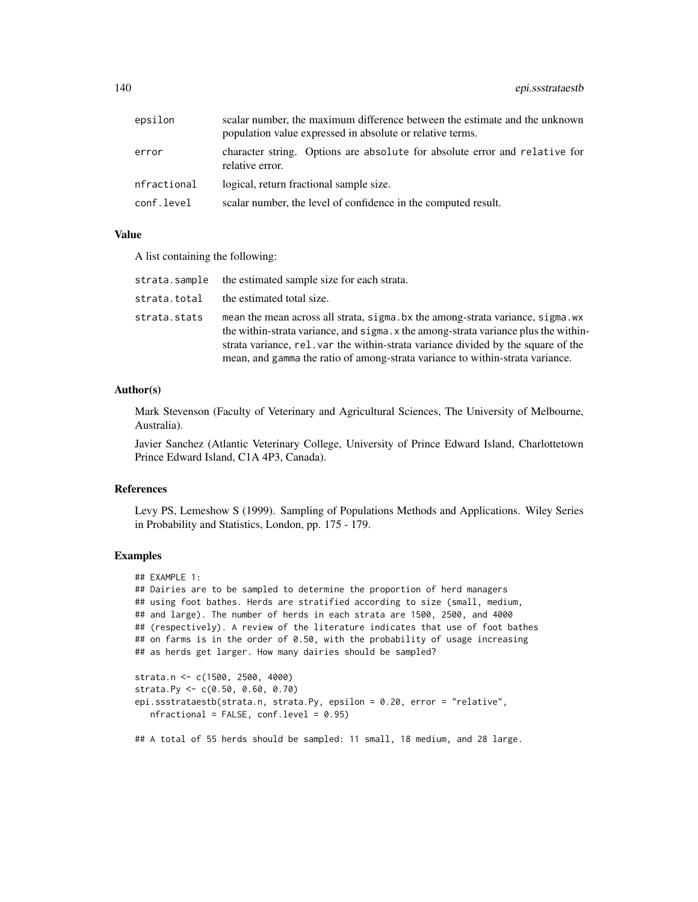| epsilon     | scalar number, the maximum difference between the estimate and the unknown<br>population value expressed in absolute or relative terms. |
|-------------|-----------------------------------------------------------------------------------------------------------------------------------------|
| error       | character string. Options are absolute for absolute error and relative for<br>relative error.                                           |
| nfractional | logical, return fractional sample size.                                                                                                 |
| conf.level  | scalar number, the level of confidence in the computed result.                                                                          |

#### Value

A list containing the following:

| strata.sample | the estimated sample size for each strata.                                                                                                                                                                                                                                                                                                |
|---------------|-------------------------------------------------------------------------------------------------------------------------------------------------------------------------------------------------------------------------------------------------------------------------------------------------------------------------------------------|
| strata.total  | the estimated total size.                                                                                                                                                                                                                                                                                                                 |
| strata.stats  | mean the mean across all strata, sigma bx the among-strata variance, sigma wx<br>the within-strata variance, and sigma x the among-strata variance plus the within-<br>strata variance, rel. var the within-strata variance divided by the square of the<br>mean, and gamma the ratio of among-strata variance to within-strata variance. |

## Author(s)

Mark Stevenson (Faculty of Veterinary and Agricultural Sciences, The University of Melbourne, Australia).

Javier Sanchez (Atlantic Veterinary College, University of Prince Edward Island, Charlottetown Prince Edward Island, C1A 4P3, Canada).

## References

Levy PS, Lemeshow S (1999). Sampling of Populations Methods and Applications. Wiley Series in Probability and Statistics, London, pp. 175 - 179.

#### Examples

```
## EXAMPLE 1:
## Dairies are to be sampled to determine the proportion of herd managers
## using foot bathes. Herds are stratified according to size (small, medium,
## and large). The number of herds in each strata are 1500, 2500, and 4000
## (respectively). A review of the literature indicates that use of foot bathes
## on farms is in the order of 0.50, with the probability of usage increasing
## as herds get larger. How many dairies should be sampled?
strata.n <- c(1500, 2500, 4000)
```

```
strata.Py <- c(0.50, 0.60, 0.70)
epi.ssstrataestb(strata.n, strata.Py, epsilon = 0.20, error = "relative",
  nfractional = FALSE, conf.level = 0.95)
```
## A total of 55 herds should be sampled: 11 small, 18 medium, and 28 large.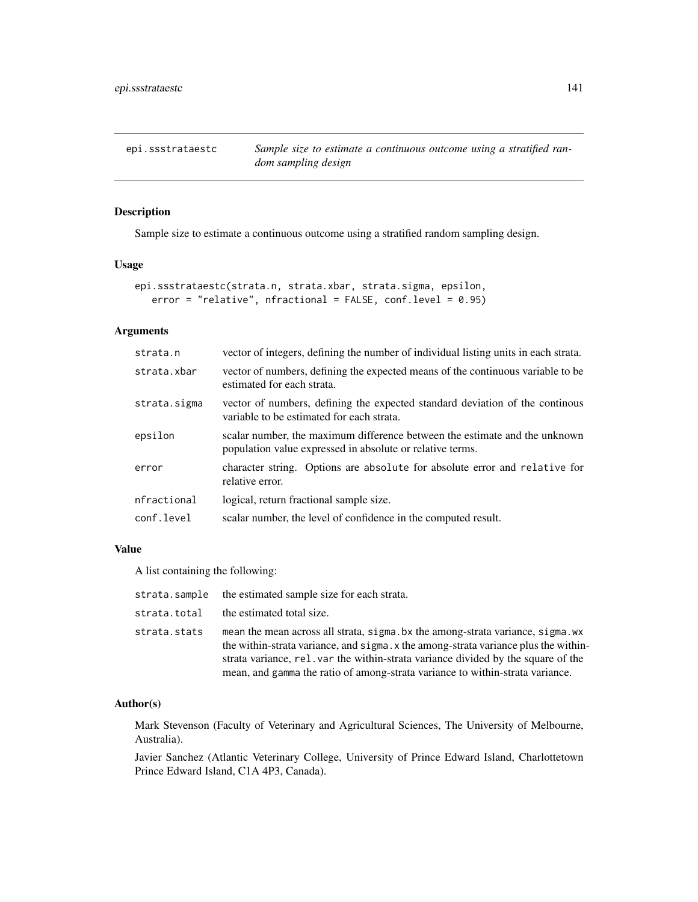epi.ssstrataestc *Sample size to estimate a continuous outcome using a stratified random sampling design*

## Description

Sample size to estimate a continuous outcome using a stratified random sampling design.

#### Usage

```
epi.ssstrataestc(strata.n, strata.xbar, strata.sigma, epsilon,
   error = "relative", nfractional = FALSE, conf.level = 0.95)
```
## Arguments

| strata.n     | vector of integers, defining the number of individual listing units in each strata.                                                     |
|--------------|-----------------------------------------------------------------------------------------------------------------------------------------|
| strata.xbar  | vector of numbers, defining the expected means of the continuous variable to be<br>estimated for each strata.                           |
| strata.sigma | vector of numbers, defining the expected standard deviation of the continuous<br>variable to be estimated for each strata.              |
| epsilon      | scalar number, the maximum difference between the estimate and the unknown<br>population value expressed in absolute or relative terms. |
| error        | character string. Options are absolute for absolute error and relative for<br>relative error.                                           |
| nfractional  | logical, return fractional sample size.                                                                                                 |
| conf.level   | scalar number, the level of confidence in the computed result.                                                                          |

## Value

A list containing the following:

| strata.sample | the estimated sample size for each strata.                                                                                                                                                                                                                                                                                                 |
|---------------|--------------------------------------------------------------------------------------------------------------------------------------------------------------------------------------------------------------------------------------------------------------------------------------------------------------------------------------------|
| strata.total  | the estimated total size.                                                                                                                                                                                                                                                                                                                  |
| strata.stats  | mean the mean across all strata, sigma bx the among-strata variance, sigma wx<br>the within-strata variance, and sigma. x the among-strata variance plus the within-<br>strata variance, rel. var the within-strata variance divided by the square of the<br>mean, and gamma the ratio of among-strata variance to within-strata variance. |

#### Author(s)

Mark Stevenson (Faculty of Veterinary and Agricultural Sciences, The University of Melbourne, Australia).

Javier Sanchez (Atlantic Veterinary College, University of Prince Edward Island, Charlottetown Prince Edward Island, C1A 4P3, Canada).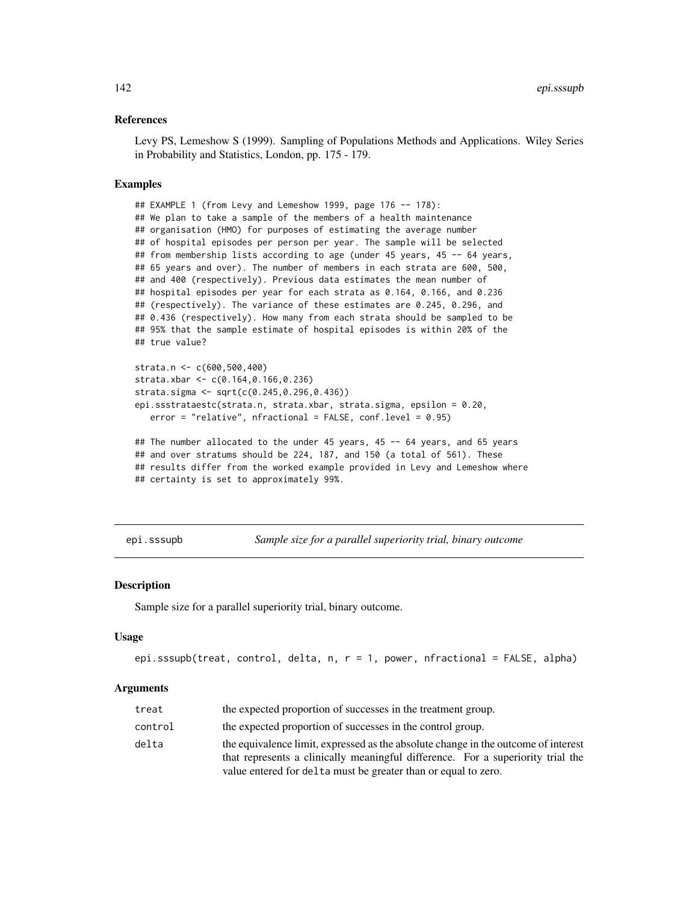#### References

Levy PS, Lemeshow S (1999). Sampling of Populations Methods and Applications. Wiley Series in Probability and Statistics, London, pp. 175 - 179.

## Examples

```
## EXAMPLE 1 (from Levy and Lemeshow 1999, page 176 -- 178):
## We plan to take a sample of the members of a health maintenance
## organisation (HMO) for purposes of estimating the average number
## of hospital episodes per person per year. The sample will be selected
## from membership lists according to age (under 45 years, 45 -- 64 years,
## 65 years and over). The number of members in each strata are 600, 500,
## and 400 (respectively). Previous data estimates the mean number of
## hospital episodes per year for each strata as 0.164, 0.166, and 0.236
## (respectively). The variance of these estimates are 0.245, 0.296, and
## 0.436 (respectively). How many from each strata should be sampled to be
## 95% that the sample estimate of hospital episodes is within 20% of the
## true value?
```

```
strata.n <- c(600,500,400)
strata.xbar <- c(0.164,0.166,0.236)
strata.sigma <- sqrt(c(0.245,0.296,0.436))
epi.ssstrataestc(strata.n, strata.xbar, strata.sigma, epsilon = 0.20,
  error = "relative", nfractional = FALSE, conf.level = 0.95)
```

```
## The number allocated to the under 45 years, 45 -- 64 years, and 65 years
## and over stratums should be 224, 187, and 150 (a total of 561). These
## results differ from the worked example provided in Levy and Lemeshow where
## certainty is set to approximately 99%.
```
epi.sssupb *Sample size for a parallel superiority trial, binary outcome*

## **Description**

Sample size for a parallel superiority trial, binary outcome.

#### Usage

```
epi.sssupb(treat, control, delta, n, r = 1, power, nfractional = FALSE, alpha)
```
## Arguments

| treat   | the expected proportion of successes in the treatment group.                       |
|---------|------------------------------------------------------------------------------------|
| control | the expected proportion of successes in the control group.                         |
| delta   | the equivalence limit, expressed as the absolute change in the outcome of interest |
|         | that represents a clinically meaningful difference. For a superiority trial the    |
|         | value entered for delta must be greater than or equal to zero.                     |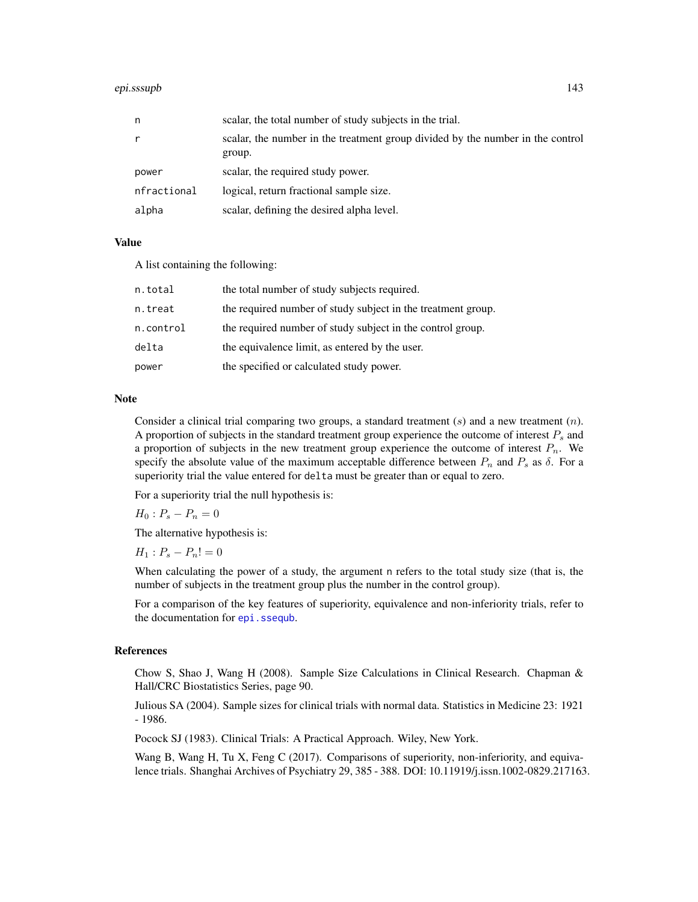#### epi.sssupb 143

| n           | scalar, the total number of study subjects in the trial.                                 |
|-------------|------------------------------------------------------------------------------------------|
| r           | scalar, the number in the treatment group divided by the number in the control<br>group. |
| power       | scalar, the required study power.                                                        |
| nfractional | logical, return fractional sample size.                                                  |
| alpha       | scalar, defining the desired alpha level.                                                |

#### Value

A list containing the following:

| n.total   | the total number of study subjects required.                 |
|-----------|--------------------------------------------------------------|
| n.treat   | the required number of study subject in the treatment group. |
| n.control | the required number of study subject in the control group.   |
| delta     | the equivalence limit, as entered by the user.               |
| power     | the specified or calculated study power.                     |

#### Note

Consider a clinical trial comparing two groups, a standard treatment  $(s)$  and a new treatment  $(n)$ . A proportion of subjects in the standard treatment group experience the outcome of interest  $P_s$  and a proportion of subjects in the new treatment group experience the outcome of interest  $P_n$ . We specify the absolute value of the maximum acceptable difference between  $P_n$  and  $P_s$  as  $\delta$ . For a superiority trial the value entered for delta must be greater than or equal to zero.

For a superiority trial the null hypothesis is:

 $H_0: P_s - P_n = 0$ 

The alternative hypothesis is:

 $H_1$  :  $P_s - P_n! = 0$ 

When calculating the power of a study, the argument n refers to the total study size (that is, the number of subjects in the treatment group plus the number in the control group).

For a comparison of the key features of superiority, equivalence and non-inferiority trials, refer to the documentation for [epi.ssequb](#page-123-0).

## References

Chow S, Shao J, Wang H (2008). Sample Size Calculations in Clinical Research. Chapman & Hall/CRC Biostatistics Series, page 90.

Julious SA (2004). Sample sizes for clinical trials with normal data. Statistics in Medicine 23: 1921 - 1986.

Pocock SJ (1983). Clinical Trials: A Practical Approach. Wiley, New York.

Wang B, Wang H, Tu X, Feng C (2017). Comparisons of superiority, non-inferiority, and equivalence trials. Shanghai Archives of Psychiatry 29, 385 - 388. DOI: 10.11919/j.issn.1002-0829.217163.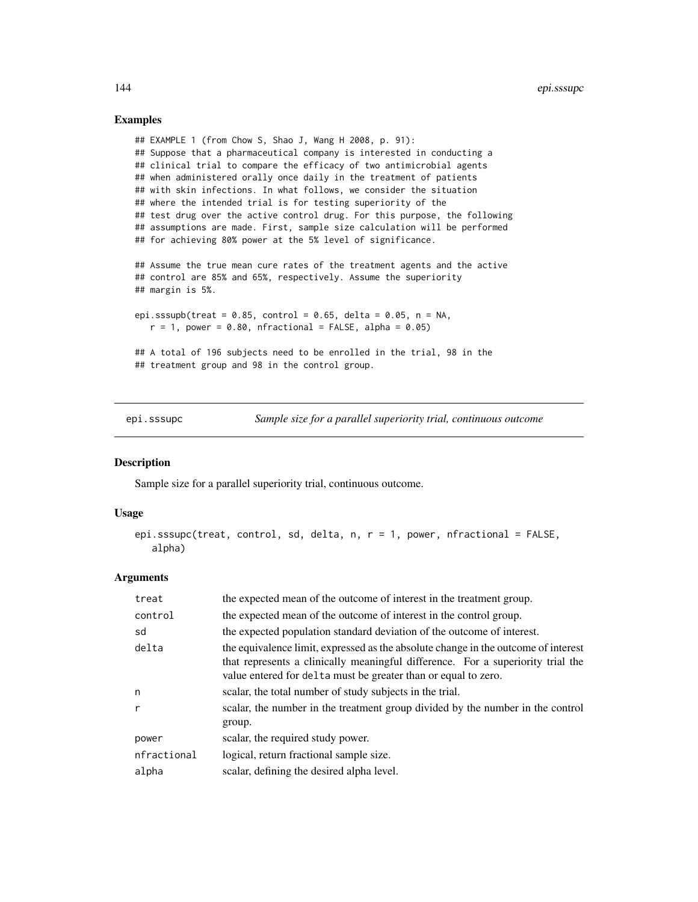## Examples

```
## EXAMPLE 1 (from Chow S, Shao J, Wang H 2008, p. 91):
## Suppose that a pharmaceutical company is interested in conducting a
## clinical trial to compare the efficacy of two antimicrobial agents
## when administered orally once daily in the treatment of patients
## with skin infections. In what follows, we consider the situation
## where the intended trial is for testing superiority of the
## test drug over the active control drug. For this purpose, the following
## assumptions are made. First, sample size calculation will be performed
## for achieving 80% power at the 5% level of significance.
## Assume the true mean cure rates of the treatment agents and the active
## control are 85% and 65%, respectively. Assume the superiority
## margin is 5%.
epi.sssupb(treat = 0.85, control = 0.65, delta = 0.05, n = NA,
   r = 1, power = 0.80, nfractional = FALSE, alpha = 0.05)
## A total of 196 subjects need to be enrolled in the trial, 98 in the
## treatment group and 98 in the control group.
```
epi.sssupc *Sample size for a parallel superiority trial, continuous outcome*

## Description

Sample size for a parallel superiority trial, continuous outcome.

#### Usage

```
epi.sssupc(treat, control, sd, delta, n, r = 1, power, nfractional = FALSE,
   alpha)
```
#### Arguments

| treat        | the expected mean of the outcome of interest in the treatment group.                                                                                                                                                                    |
|--------------|-----------------------------------------------------------------------------------------------------------------------------------------------------------------------------------------------------------------------------------------|
| control      | the expected mean of the outcome of interest in the control group.                                                                                                                                                                      |
| sd           | the expected population standard deviation of the outcome of interest.                                                                                                                                                                  |
| delta        | the equivalence limit, expressed as the absolute change in the outcome of interest<br>that represents a clinically meaningful difference. For a superiority trial the<br>value entered for delta must be greater than or equal to zero. |
| n            | scalar, the total number of study subjects in the trial.                                                                                                                                                                                |
| $\mathsf{r}$ | scalar, the number in the treatment group divided by the number in the control<br>group.                                                                                                                                                |
| power        | scalar, the required study power.                                                                                                                                                                                                       |
| nfractional  | logical, return fractional sample size.                                                                                                                                                                                                 |
| alpha        | scalar, defining the desired alpha level.                                                                                                                                                                                               |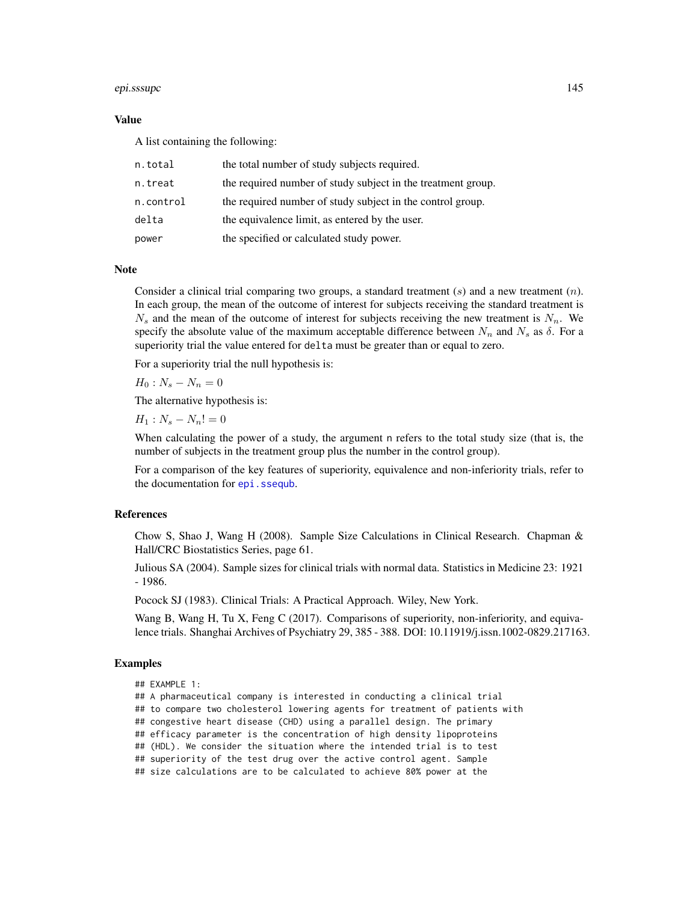### epi.sssupc 145

## Value

A list containing the following:

| n.total   | the total number of study subjects required.                 |
|-----------|--------------------------------------------------------------|
| n.treat   | the required number of study subject in the treatment group. |
| n.control | the required number of study subject in the control group.   |
| delta     | the equivalence limit, as entered by the user.               |
| power     | the specified or calculated study power.                     |

### Note

Consider a clinical trial comparing two groups, a standard treatment  $(s)$  and a new treatment  $(n)$ . In each group, the mean of the outcome of interest for subjects receiving the standard treatment is  $N_s$  and the mean of the outcome of interest for subjects receiving the new treatment is  $N_n$ . We specify the absolute value of the maximum acceptable difference between  $N_n$  and  $N_s$  as  $\delta$ . For a superiority trial the value entered for delta must be greater than or equal to zero.

For a superiority trial the null hypothesis is:

 $H_0$ :  $N_s - N_n = 0$ 

The alternative hypothesis is:

 $H_1$  :  $N_s - N_n! = 0$ 

When calculating the power of a study, the argument n refers to the total study size (that is, the number of subjects in the treatment group plus the number in the control group).

For a comparison of the key features of superiority, equivalence and non-inferiority trials, refer to the documentation for [epi.ssequb](#page-123-0).

# References

Chow S, Shao J, Wang H (2008). Sample Size Calculations in Clinical Research. Chapman & Hall/CRC Biostatistics Series, page 61.

Julious SA (2004). Sample sizes for clinical trials with normal data. Statistics in Medicine 23: 1921 - 1986.

Pocock SJ (1983). Clinical Trials: A Practical Approach. Wiley, New York.

Wang B, Wang H, Tu X, Feng C (2017). Comparisons of superiority, non-inferiority, and equivalence trials. Shanghai Archives of Psychiatry 29, 385 - 388. DOI: 10.11919/j.issn.1002-0829.217163.

## Examples

```
## EXAMPLE 1:
```
## A pharmaceutical company is interested in conducting a clinical trial

## to compare two cholesterol lowering agents for treatment of patients with

## congestive heart disease (CHD) using a parallel design. The primary

## efficacy parameter is the concentration of high density lipoproteins

## (HDL). We consider the situation where the intended trial is to test

## superiority of the test drug over the active control agent. Sample

## size calculations are to be calculated to achieve 80% power at the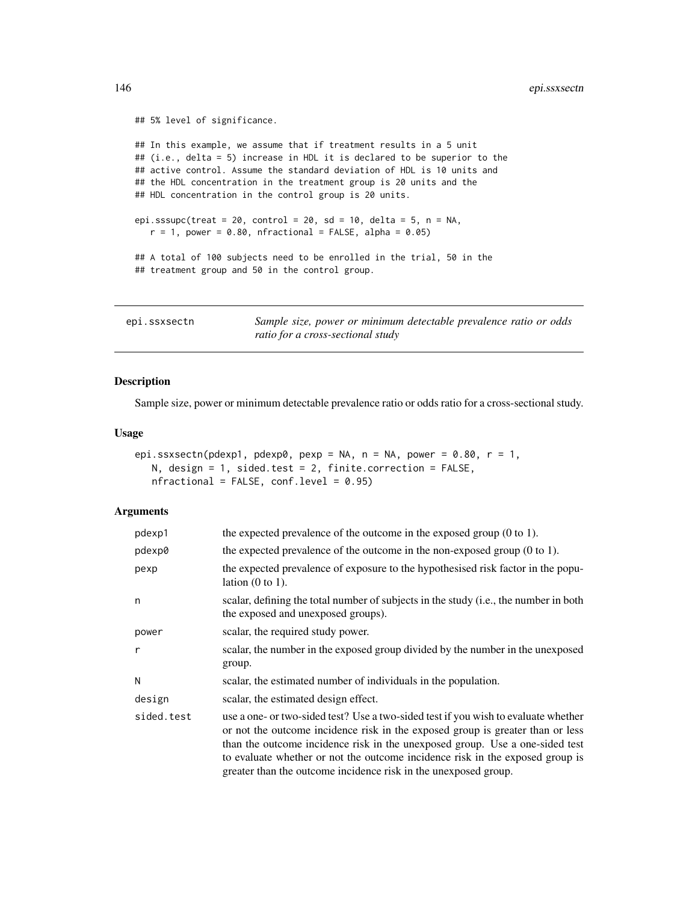```
## 5% level of significance.
## In this example, we assume that if treatment results in a 5 unit
## (i.e., delta = 5) increase in HDL it is declared to be superior to the
## active control. Assume the standard deviation of HDL is 10 units and
## the HDL concentration in the treatment group is 20 units and the
## HDL concentration in the control group is 20 units.
epi.sssupc(treat = 20, control = 20, sd = 10, delta = 5, n = NA,
   r = 1, power = 0.80, nfractional = FALSE, alpha = 0.05)
## A total of 100 subjects need to be enrolled in the trial, 50 in the
## treatment group and 50 in the control group.
```

| epi.ssxsectn | Sample size, power or minimum detectable prevalence ratio or odds |
|--------------|-------------------------------------------------------------------|
|              | ratio for a cross-sectional study                                 |

# Description

Sample size, power or minimum detectable prevalence ratio or odds ratio for a cross-sectional study.

## Usage

```
epi.ssxsectn(pdexp1, pdexp0, pexp = NA, n = NA, power = 0.80, r = 1,
   N, design = 1, sided.test = 2, finite.correction = FALSE,
   nfractional = FALSE, conf.level = 0.95)
```
## Arguments

| pdexp1     | the expected prevalence of the outcome in the exposed group $(0 \text{ to } 1)$ .                                                                                                                                                                                                                                                                                                                        |  |  |
|------------|----------------------------------------------------------------------------------------------------------------------------------------------------------------------------------------------------------------------------------------------------------------------------------------------------------------------------------------------------------------------------------------------------------|--|--|
| pdexp0     | the expected prevalence of the outcome in the non-exposed group $(0 \text{ to } 1)$ .                                                                                                                                                                                                                                                                                                                    |  |  |
| pexp       | the expected prevalence of exposure to the hypothesised risk factor in the popu-<br>lation $(0 \text{ to } 1)$ .                                                                                                                                                                                                                                                                                         |  |  |
| n          | scalar, defining the total number of subjects in the study (i.e., the number in both<br>the exposed and unexposed groups).                                                                                                                                                                                                                                                                               |  |  |
| power      | scalar, the required study power.                                                                                                                                                                                                                                                                                                                                                                        |  |  |
| r          | scalar, the number in the exposed group divided by the number in the unexposed<br>group.                                                                                                                                                                                                                                                                                                                 |  |  |
| N          | scalar, the estimated number of individuals in the population.                                                                                                                                                                                                                                                                                                                                           |  |  |
| design     | scalar, the estimated design effect.                                                                                                                                                                                                                                                                                                                                                                     |  |  |
| sided.test | use a one- or two-sided test? Use a two-sided test if you wish to evaluate whether<br>or not the outcome incidence risk in the exposed group is greater than or less<br>than the outcome incidence risk in the unexposed group. Use a one-sided test<br>to evaluate whether or not the outcome incidence risk in the exposed group is<br>greater than the outcome incidence risk in the unexposed group. |  |  |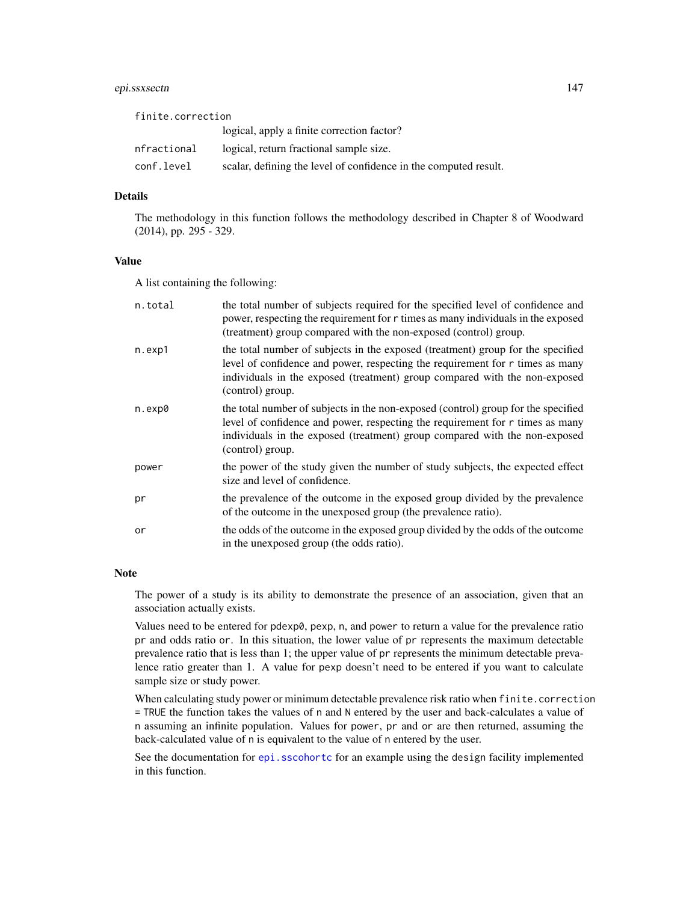# epi.ssxsectn 147

| finite.correction |                                                                  |
|-------------------|------------------------------------------------------------------|
|                   | logical, apply a finite correction factor?                       |
| nfractional       | logical, return fractional sample size.                          |
| conf.level        | scalar, defining the level of confidence in the computed result. |

# Details

The methodology in this function follows the methodology described in Chapter 8 of Woodward (2014), pp. 295 - 329.

## Value

A list containing the following:

| n.total | the total number of subjects required for the specified level of confidence and<br>power, respecting the requirement for r times as many individuals in the exposed<br>(treatment) group compared with the non-exposed (control) group.                              |
|---------|----------------------------------------------------------------------------------------------------------------------------------------------------------------------------------------------------------------------------------------------------------------------|
| n.exp1  | the total number of subjects in the exposed (treatment) group for the specified<br>level of confidence and power, respecting the requirement for r times as many<br>individuals in the exposed (treatment) group compared with the non-exposed<br>(control) group.   |
| n.exp0  | the total number of subjects in the non-exposed (control) group for the specified<br>level of confidence and power, respecting the requirement for r times as many<br>individuals in the exposed (treatment) group compared with the non-exposed<br>(control) group. |
| power   | the power of the study given the number of study subjects, the expected effect<br>size and level of confidence.                                                                                                                                                      |
| pr      | the prevalence of the outcome in the exposed group divided by the prevalence<br>of the outcome in the unexposed group (the prevalence ratio).                                                                                                                        |
| or      | the odds of the outcome in the exposed group divided by the odds of the outcome<br>in the unexposed group (the odds ratio).                                                                                                                                          |

## Note

The power of a study is its ability to demonstrate the presence of an association, given that an association actually exists.

Values need to be entered for pdexp0, pexp, n, and power to return a value for the prevalence ratio pr and odds ratio or. In this situation, the lower value of pr represents the maximum detectable prevalence ratio that is less than 1; the upper value of pr represents the minimum detectable prevalence ratio greater than 1. A value for pexp doesn't need to be entered if you want to calculate sample size or study power.

When calculating study power or minimum detectable prevalence risk ratio when finite.correction = TRUE the function takes the values of n and N entered by the user and back-calculates a value of n assuming an infinite population. Values for power, pr and or are then returned, assuming the back-calculated value of n is equivalent to the value of n entered by the user.

See the documentation for [epi.sscohortc](#page-105-0) for an example using the design facility implemented in this function.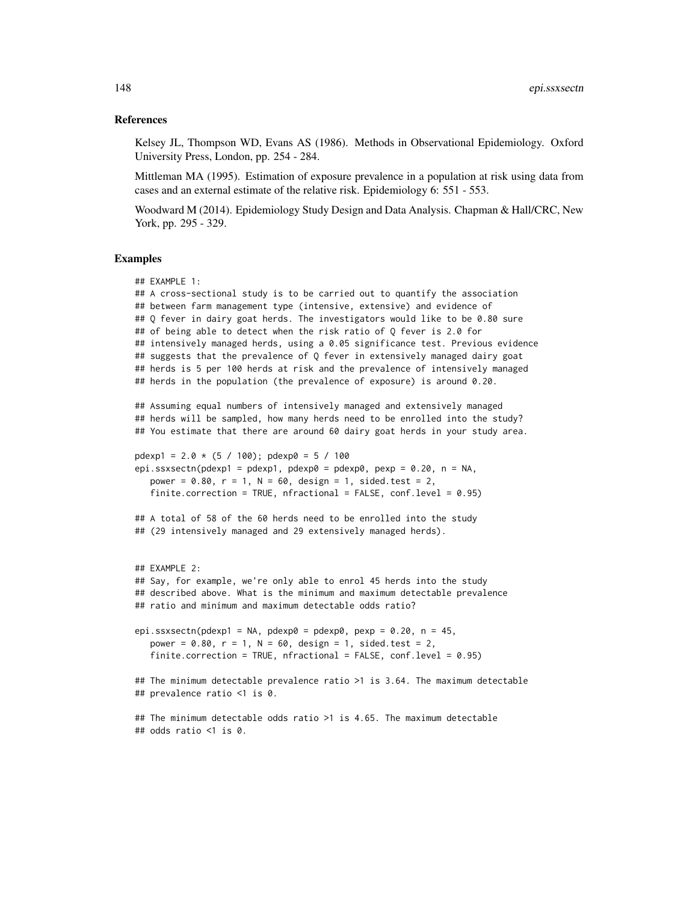### References

Kelsey JL, Thompson WD, Evans AS (1986). Methods in Observational Epidemiology. Oxford University Press, London, pp. 254 - 284.

Mittleman MA (1995). Estimation of exposure prevalence in a population at risk using data from cases and an external estimate of the relative risk. Epidemiology 6: 551 - 553.

Woodward M (2014). Epidemiology Study Design and Data Analysis. Chapman & Hall/CRC, New York, pp. 295 - 329.

```
## EXAMPLE 1:
## A cross-sectional study is to be carried out to quantify the association
## between farm management type (intensive, extensive) and evidence of
## Q fever in dairy goat herds. The investigators would like to be 0.80 sure
## of being able to detect when the risk ratio of Q fever is 2.0 for
## intensively managed herds, using a 0.05 significance test. Previous evidence
## suggests that the prevalence of Q fever in extensively managed dairy goat
## herds is 5 per 100 herds at risk and the prevalence of intensively managed
## herds in the population (the prevalence of exposure) is around 0.20.
## Assuming equal numbers of intensively managed and extensively managed
## herds will be sampled, how many herds need to be enrolled into the study?
## You estimate that there are around 60 dairy goat herds in your study area.
pdexp1 = 2.0 * (5 / 100); pdexp0 = 5 / 100
epi.ssxsectn(pdexp1 = pdexp1, pdexp0 = pdexp0, pexp = 0.20, n = NA,
   power = 0.80, r = 1, N = 60, design = 1, sided.test = 2,
   finite.correction = TRUE, nfractional = FALSE, conf.level = 0.95)
## A total of 58 of the 60 herds need to be enrolled into the study
## (29 intensively managed and 29 extensively managed herds).
## EXAMPLE 2:
## Say, for example, we're only able to enrol 45 herds into the study
## described above. What is the minimum and maximum detectable prevalence
## ratio and minimum and maximum detectable odds ratio?
epi.ssxsectn(pdexp1 = NA, pdexp0 = pdexp0, pexp = 0.20, n = 45,
   power = 0.80, r = 1, N = 60, design = 1, sided.test = 2,
   finite.correction = TRUE, nfractional = FALSE, conf.level = 0.95)
## The minimum detectable prevalence ratio >1 is 3.64. The maximum detectable
## prevalence ratio <1 is 0.
## The minimum detectable odds ratio >1 is 4.65. The maximum detectable
## odds ratio <1 is 0.
```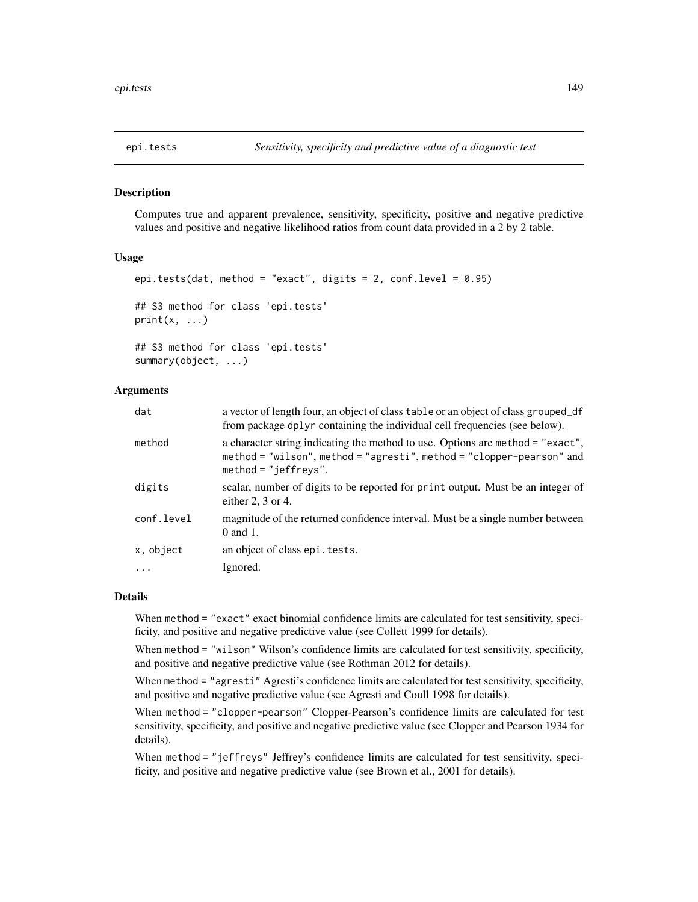## Description

Computes true and apparent prevalence, sensitivity, specificity, positive and negative predictive values and positive and negative likelihood ratios from count data provided in a 2 by 2 table.

## Usage

```
epi.tests(dat, method = "exact", digits = 2, conf.level = 0.95)
## S3 method for class 'epi.tests'
print(x, \ldots)## S3 method for class 'epi.tests'
summary(object, ...)
```
## Arguments

| dat        | a vector of length four, an object of class table or an object of class grouped_df<br>from package dplyr containing the individual cell frequencies (see below).                  |
|------------|-----------------------------------------------------------------------------------------------------------------------------------------------------------------------------------|
| method     | a character string indicating the method to use. Options are method = "exact",<br>method = "wilson", method = "agresti", method = "clopper-pearson" and<br>$method = "jeffreys".$ |
| digits     | scalar, number of digits to be reported for print output. Must be an integer of<br>either 2, $3$ or 4.                                                                            |
| conf.level | magnitude of the returned confidence interval. Must be a single number between<br>$0$ and 1.                                                                                      |
| x, object  | an object of class epi. tests.                                                                                                                                                    |
|            | Ignored.                                                                                                                                                                          |
|            |                                                                                                                                                                                   |

## Details

When method = "exact" exact binomial confidence limits are calculated for test sensitivity, specificity, and positive and negative predictive value (see Collett 1999 for details).

When method = "wilson" Wilson's confidence limits are calculated for test sensitivity, specificity, and positive and negative predictive value (see Rothman 2012 for details).

When method = "agresti" Agresti's confidence limits are calculated for test sensitivity, specificity, and positive and negative predictive value (see Agresti and Coull 1998 for details).

When method = "clopper-pearson" Clopper-Pearson's confidence limits are calculated for test sensitivity, specificity, and positive and negative predictive value (see Clopper and Pearson 1934 for details).

When method = "jeffreys" Jeffrey's confidence limits are calculated for test sensitivity, specificity, and positive and negative predictive value (see Brown et al., 2001 for details).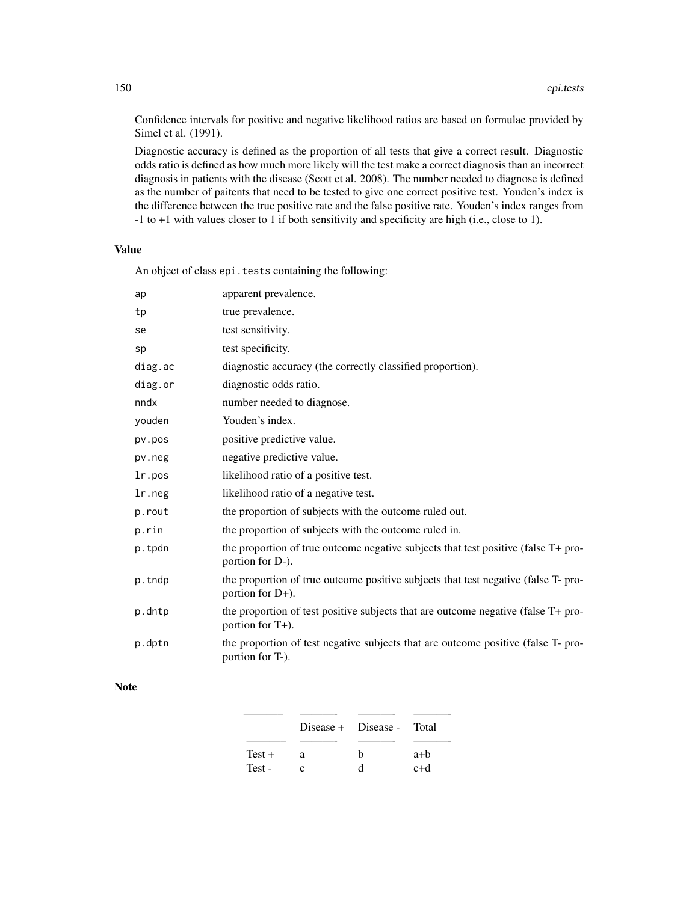Confidence intervals for positive and negative likelihood ratios are based on formulae provided by Simel et al. (1991).

Diagnostic accuracy is defined as the proportion of all tests that give a correct result. Diagnostic odds ratio is defined as how much more likely will the test make a correct diagnosis than an incorrect diagnosis in patients with the disease (Scott et al. 2008). The number needed to diagnose is defined as the number of paitents that need to be tested to give one correct positive test. Youden's index is the difference between the true positive rate and the false positive rate. Youden's index ranges from -1 to +1 with values closer to 1 if both sensitivity and specificity are high (i.e., close to 1).

## Value

An object of class epi.tests containing the following:

| ap      | apparent prevalence.                                                                                   |
|---------|--------------------------------------------------------------------------------------------------------|
| tp      | true prevalence.                                                                                       |
| se      | test sensitivity.                                                                                      |
| sp      | test specificity.                                                                                      |
| diag.ac | diagnostic accuracy (the correctly classified proportion).                                             |
| diag.or | diagnostic odds ratio.                                                                                 |
| nndx    | number needed to diagnose.                                                                             |
| youden  | Youden's index.                                                                                        |
| pv.pos  | positive predictive value.                                                                             |
| pv.neg  | negative predictive value.                                                                             |
| lr.pos  | likelihood ratio of a positive test.                                                                   |
| lr.neg  | likelihood ratio of a negative test.                                                                   |
| p.rout  | the proportion of subjects with the outcome ruled out.                                                 |
| p.rin   | the proportion of subjects with the outcome ruled in.                                                  |
| p.tpdn  | the proportion of true outcome negative subjects that test positive (false T+ pro-<br>portion for D-). |
| p.tndp  | the proportion of true outcome positive subjects that test negative (false T-pro-<br>portion for D+).  |
| p.dntp  | the proportion of test positive subjects that are outcome negative (false T+ pro-<br>portion for T+).  |
| p.dptn  | the proportion of test negative subjects that are outcome positive (false T- pro-<br>portion for T-).  |

## Note

|          |   | Disease + Disease - Total |       |
|----------|---|---------------------------|-------|
|          |   |                           |       |
| $Test +$ | я | h                         | $a+b$ |
| Test-    |   | ₫                         | c+d   |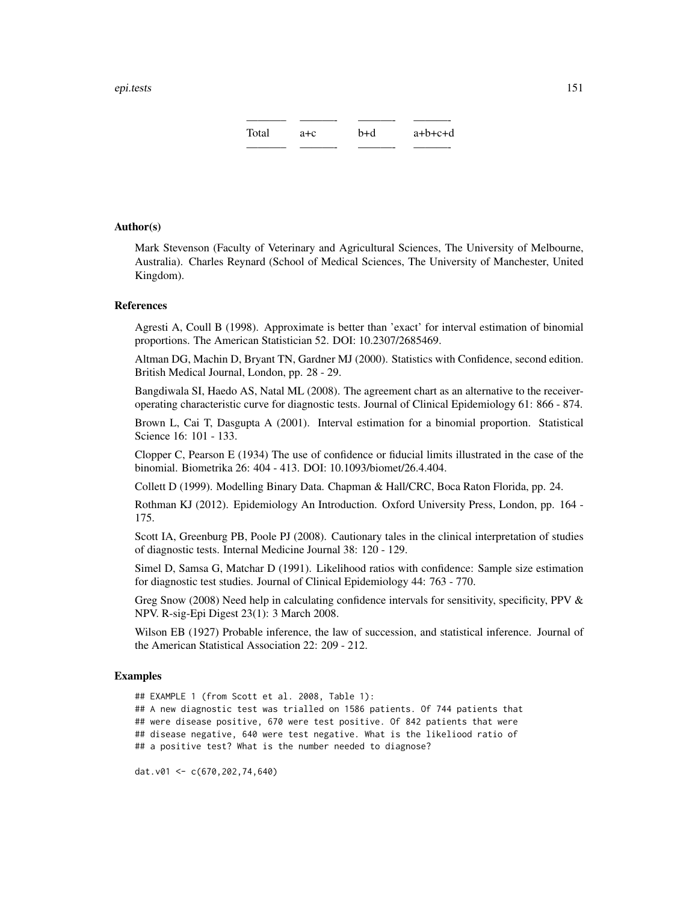———– ———- ———- ———- Total a+c b+d a+b+c+d ———– ———- ———- ———-

## Author(s)

Mark Stevenson (Faculty of Veterinary and Agricultural Sciences, The University of Melbourne, Australia). Charles Reynard (School of Medical Sciences, The University of Manchester, United Kingdom).

### References

Agresti A, Coull B (1998). Approximate is better than 'exact' for interval estimation of binomial proportions. The American Statistician 52. DOI: 10.2307/2685469.

Altman DG, Machin D, Bryant TN, Gardner MJ (2000). Statistics with Confidence, second edition. British Medical Journal, London, pp. 28 - 29.

Bangdiwala SI, Haedo AS, Natal ML (2008). The agreement chart as an alternative to the receiveroperating characteristic curve for diagnostic tests. Journal of Clinical Epidemiology 61: 866 - 874.

Brown L, Cai T, Dasgupta A (2001). Interval estimation for a binomial proportion. Statistical Science 16: 101 - 133.

Clopper C, Pearson E (1934) The use of confidence or fiducial limits illustrated in the case of the binomial. Biometrika 26: 404 - 413. DOI: 10.1093/biomet/26.4.404.

Collett D (1999). Modelling Binary Data. Chapman & Hall/CRC, Boca Raton Florida, pp. 24.

Rothman KJ (2012). Epidemiology An Introduction. Oxford University Press, London, pp. 164 - 175.

Scott IA, Greenburg PB, Poole PJ (2008). Cautionary tales in the clinical interpretation of studies of diagnostic tests. Internal Medicine Journal 38: 120 - 129.

Simel D, Samsa G, Matchar D (1991). Likelihood ratios with confidence: Sample size estimation for diagnostic test studies. Journal of Clinical Epidemiology 44: 763 - 770.

Greg Snow (2008) Need help in calculating confidence intervals for sensitivity, specificity, PPV & NPV. R-sig-Epi Digest 23(1): 3 March 2008.

Wilson EB (1927) Probable inference, the law of succession, and statistical inference. Journal of the American Statistical Association 22: 209 - 212.

## Examples

## EXAMPLE 1 (from Scott et al. 2008, Table 1): ## A new diagnostic test was trialled on 1586 patients. Of 744 patients that ## were disease positive, 670 were test positive. Of 842 patients that were ## disease negative, 640 were test negative. What is the likeliood ratio of ## a positive test? What is the number needed to diagnose?

dat.v01 <- c(670,202,74,640)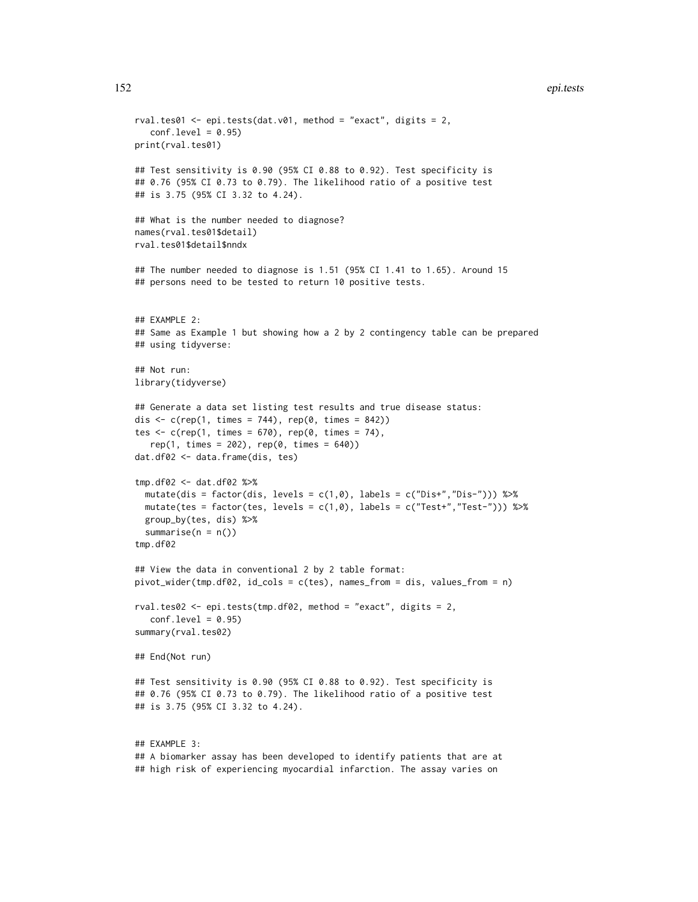### 152 epi.tests

```
rval.tes01 <- epi.tests(dat.v01, method = "exact", digits = 2,
   conf<math>level = 0.95print(rval.tes01)
## Test sensitivity is 0.90 (95% CI 0.88 to 0.92). Test specificity is
## 0.76 (95% CI 0.73 to 0.79). The likelihood ratio of a positive test
## is 3.75 (95% CI 3.32 to 4.24).
## What is the number needed to diagnose?
names(rval.tes01$detail)
rval.tes01$detail$nndx
## The number needed to diagnose is 1.51 (95% CI 1.41 to 1.65). Around 15
## persons need to be tested to return 10 positive tests.
## EXAMPLE 2:
## Same as Example 1 but showing how a 2 by 2 contingency table can be prepared
## using tidyverse:
## Not run:
library(tidyverse)
## Generate a data set listing test results and true disease status:
dis \leq c(rep(1, times = 744), rep(0, times = 842))
tes \leq c(rep(1, times = 670), rep(0, times = 74),
   rep(1, times = 202), rep(0, times = 640))dat.df02 <- data.frame(dis, tes)
tmp.df02 <- dat.df02 %>%
  mutate(dis = factor(dis, levels = c(1,0), labels = c("Dis+","Dis-"))) %>%
  mutate(tes = factor(tes, levels = c(1, \emptyset), labels = c("Test+, "Test-"))) %>%
  group_by(tes, dis) %>%
  summarise(n = n())
tmp.df02
## View the data in conventional 2 by 2 table format:
pivot_wider(tmp.df02, id_cols = c(tes), names_from = dis, values_from = n)
rval.tes02 <- epi.tests(tmp.df02, method = "exact", digits = 2,
   conf<math>level = 0.95summary(rval.tes02)
## End(Not run)
## Test sensitivity is 0.90 (95% CI 0.88 to 0.92). Test specificity is
## 0.76 (95% CI 0.73 to 0.79). The likelihood ratio of a positive test
## is 3.75 (95% CI 3.32 to 4.24).
## EXAMPLE 3:
## A biomarker assay has been developed to identify patients that are at
```
## high risk of experiencing myocardial infarction. The assay varies on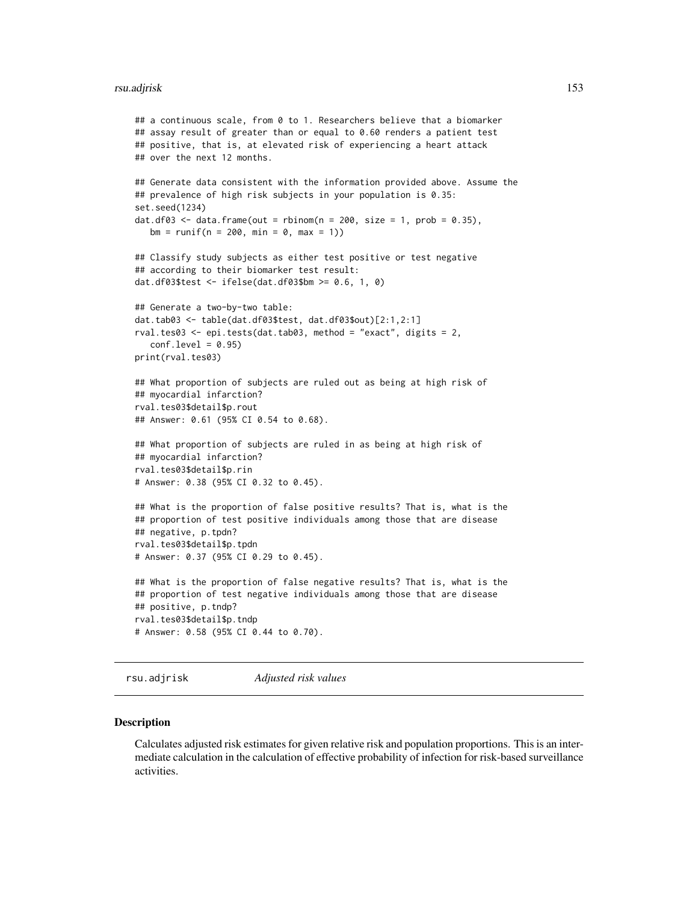### rsu.adjrisk 153

```
## a continuous scale, from 0 to 1. Researchers believe that a biomarker
## assay result of greater than or equal to 0.60 renders a patient test
## positive, that is, at elevated risk of experiencing a heart attack
## over the next 12 months.
## Generate data consistent with the information provided above. Assume the
## prevalence of high risk subjects in your population is 0.35:
set.seed(1234)
dat.df03 <- data.frame(out = rbinom(n = 200, size = 1, prob = 0.35),
  bm = runif(n = 200, min = 0, max = 1))## Classify study subjects as either test positive or test negative
## according to their biomarker test result:
dat.df03$test <- ifelse(dat.df03$bm >= 0.6, 1, 0)
## Generate a two-by-two table:
dat.tab03 <- table(dat.df03$test, dat.df03$out)[2:1,2:1]
rval.tes03 <- epi.tests(dat.tab03, method = "exact", digits = 2,
   conf<math>level = 0.95print(rval.tes03)
## What proportion of subjects are ruled out as being at high risk of
## myocardial infarction?
rval.tes03$detail$p.rout
## Answer: 0.61 (95% CI 0.54 to 0.68).
## What proportion of subjects are ruled in as being at high risk of
## myocardial infarction?
rval.tes03$detail$p.rin
# Answer: 0.38 (95% CI 0.32 to 0.45).
## What is the proportion of false positive results? That is, what is the
## proportion of test positive individuals among those that are disease
## negative, p.tpdn?
rval.tes03$detail$p.tpdn
# Answer: 0.37 (95% CI 0.29 to 0.45).
## What is the proportion of false negative results? That is, what is the
## proportion of test negative individuals among those that are disease
## positive, p.tndp?
rval.tes03$detail$p.tndp
# Answer: 0.58 (95% CI 0.44 to 0.70).
```
rsu.adjrisk *Adjusted risk values*

## Description

Calculates adjusted risk estimates for given relative risk and population proportions. This is an intermediate calculation in the calculation of effective probability of infection for risk-based surveillance activities.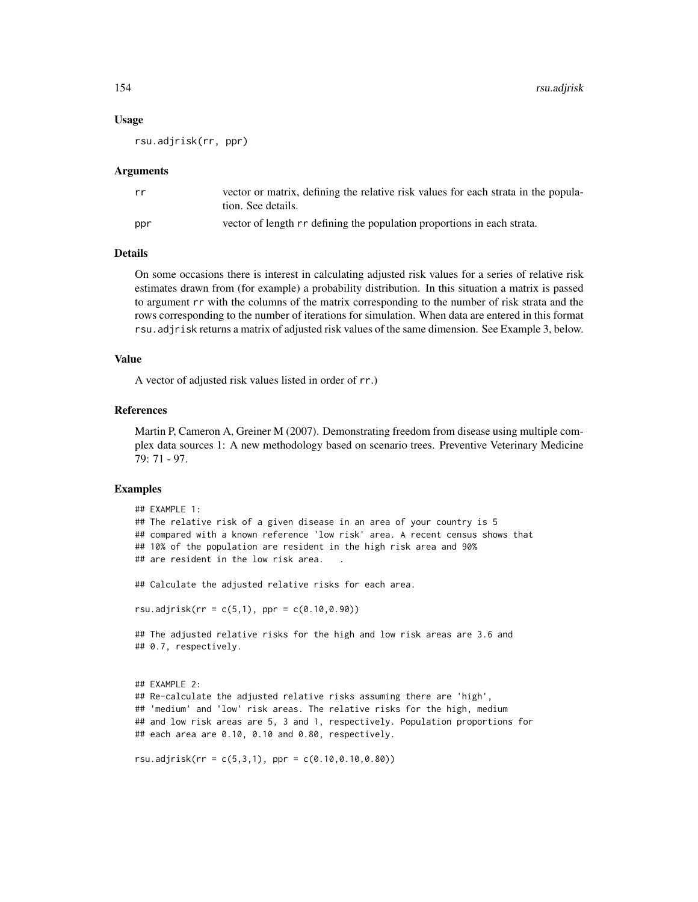### Usage

rsu.adjrisk(rr, ppr)

## Arguments

| rr  | vector or matrix, defining the relative risk values for each strata in the popula-<br>tion. See details. |
|-----|----------------------------------------------------------------------------------------------------------|
| ppr | vector of length rr defining the population proportions in each strata.                                  |

# **Details**

On some occasions there is interest in calculating adjusted risk values for a series of relative risk estimates drawn from (for example) a probability distribution. In this situation a matrix is passed to argument rr with the columns of the matrix corresponding to the number of risk strata and the rows corresponding to the number of iterations for simulation. When data are entered in this format rsu.adjrisk returns a matrix of adjusted risk values of the same dimension. See Example 3, below.

## Value

A vector of adjusted risk values listed in order of rr.)

## References

Martin P, Cameron A, Greiner M (2007). Demonstrating freedom from disease using multiple complex data sources 1: A new methodology based on scenario trees. Preventive Veterinary Medicine 79: 71 - 97.

```
## EXAMPLE 1:
## The relative risk of a given disease in an area of your country is 5
## compared with a known reference 'low risk' area. A recent census shows that
## 10% of the population are resident in the high risk area and 90%
## are resident in the low risk area.
## Calculate the adjusted relative risks for each area.
rsu.addirisk(rr = c(5,1), ppr = c(0.10, 0.90))## The adjusted relative risks for the high and low risk areas are 3.6 and
## 0.7, respectively.
## EXAMPLE 2:
## Re-calculate the adjusted relative risks assuming there are 'high',
## 'medium' and 'low' risk areas. The relative risks for the high, medium
## and low risk areas are 5, 3 and 1, respectively. Population proportions for
## each area are 0.10, 0.10 and 0.80, respectively.
rsu.addirisk(rr = c(5,3,1), ppr = c(0.10, 0.10, 0.80))
```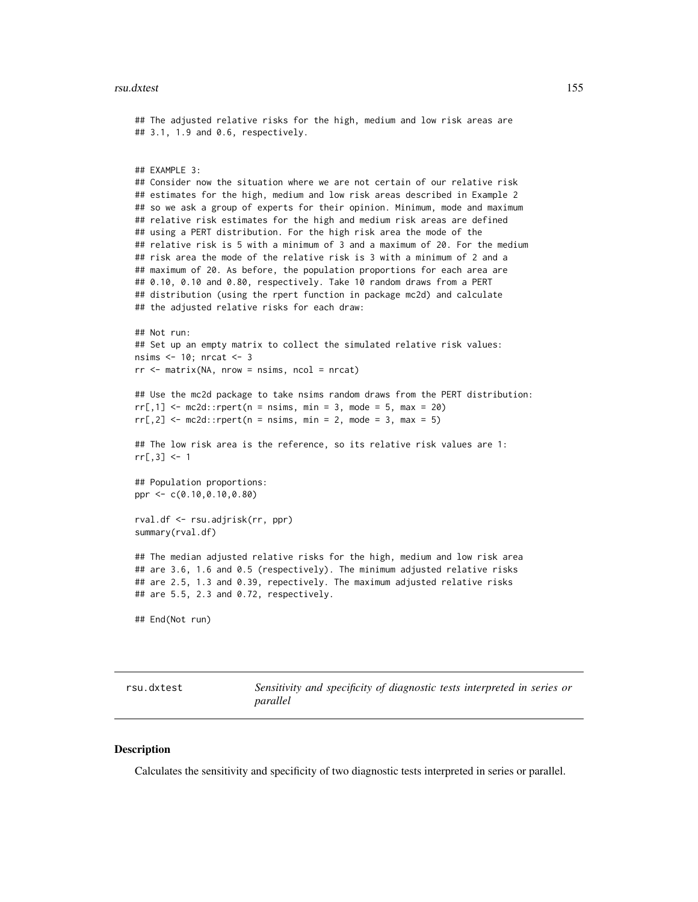### rsu.dxtest 155

```
## The adjusted relative risks for the high, medium and low risk areas are
## 3.1, 1.9 and 0.6, respectively.
## EXAMPLE 3:
## Consider now the situation where we are not certain of our relative risk
## estimates for the high, medium and low risk areas described in Example 2
## so we ask a group of experts for their opinion. Minimum, mode and maximum
## relative risk estimates for the high and medium risk areas are defined
## using a PERT distribution. For the high risk area the mode of the
## relative risk is 5 with a minimum of 3 and a maximum of 20. For the medium
## risk area the mode of the relative risk is 3 with a minimum of 2 and a
## maximum of 20. As before, the population proportions for each area are
## 0.10, 0.10 and 0.80, respectively. Take 10 random draws from a PERT
## distribution (using the rpert function in package mc2d) and calculate
## the adjusted relative risks for each draw:
## Not run:
## Set up an empty matrix to collect the simulated relative risk values:
nsims <- 10; nrcat <- 3
rr < - matrix(NA, nrow = nsims, ncol = nrcat)
## Use the mc2d package to take nsims random draws from the PERT distribution:
rr[,1] <- mc2d::rpert(n = nsims, min = 3, mode = 5, max = 20)rr[, 2] <- mc2d::rpert(n = nsims, min = 2, mode = 3, max = 5)## The low risk area is the reference, so its relative risk values are 1:
rr[, 3] <- 1
## Population proportions:
ppr <- c(0.10,0.10,0.80)
rval.df <- rsu.adjrisk(rr, ppr)
summary(rval.df)
## The median adjusted relative risks for the high, medium and low risk area
## are 3.6, 1.6 and 0.5 (respectively). The minimum adjusted relative risks
## are 2.5, 1.3 and 0.39, repectively. The maximum adjusted relative risks
## are 5.5, 2.3 and 0.72, respectively.
## End(Not run)
```
rsu.dxtest *Sensitivity and specificity of diagnostic tests interpreted in series or parallel*

## **Description**

Calculates the sensitivity and specificity of two diagnostic tests interpreted in series or parallel.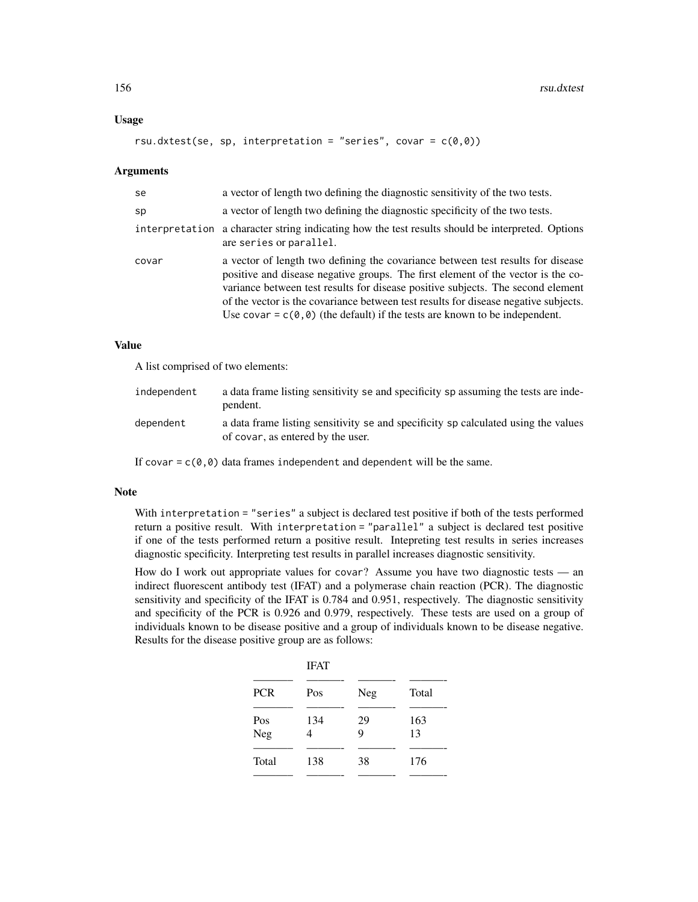# Usage

```
rsu.dxtest(se, sp, interpretation = "series", covar = c(\emptyset, \emptyset))
```
### Arguments

| se    | a vector of length two defining the diagnostic sensitivity of the two tests.                                                                                                                                                                                                                                                                                                                                                             |
|-------|------------------------------------------------------------------------------------------------------------------------------------------------------------------------------------------------------------------------------------------------------------------------------------------------------------------------------------------------------------------------------------------------------------------------------------------|
| sp    | a vector of length two defining the diagnostic specificity of the two tests.                                                                                                                                                                                                                                                                                                                                                             |
|       | interpretation a character string indicating how the test results should be interpreted. Options<br>are series or parallel.                                                                                                                                                                                                                                                                                                              |
| covar | a vector of length two defining the covariance between test results for disease<br>positive and disease negative groups. The first element of the vector is the co-<br>variance between test results for disease positive subjects. The second element<br>of the vector is the covariance between test results for disease negative subjects.<br>Use covar = $c(\theta, \theta)$ (the default) if the tests are known to be independent. |

# Value

A list comprised of two elements:

| independent | a data frame listing sensitivity se and specificity sp assuming the tests are inde-<br>pendent.                         |
|-------------|-------------------------------------------------------------------------------------------------------------------------|
| dependent   | a data frame listing sensitivity se and specificity sp calculated using the values<br>of covar, as entered by the user. |

If covar =  $c(\theta, \theta)$  data frames independent and dependent will be the same.

## Note

With interpretation = "series" a subject is declared test positive if both of the tests performed return a positive result. With interpretation = "parallel" a subject is declared test positive if one of the tests performed return a positive result. Intepreting test results in series increases diagnostic specificity. Interpreting test results in parallel increases diagnostic sensitivity.

How do I work out appropriate values for covar? Assume you have two diagnostic tests — an indirect fluorescent antibody test (IFAT) and a polymerase chain reaction (PCR). The diagnostic sensitivity and specificity of the IFAT is 0.784 and 0.951, respectively. The diagnostic sensitivity and specificity of the PCR is 0.926 and 0.979, respectively. These tests are used on a group of individuals known to be disease positive and a group of individuals known to be disease negative. Results for the disease positive group are as follows:

|            | <b>IFAT</b> |         |           |  |
|------------|-------------|---------|-----------|--|
| <b>PCR</b> | Pos         | Neg     | Total     |  |
| Pos<br>Neg | 134<br>4    | 29<br>9 | 163<br>13 |  |
| Total      | 138         | 38      | 176       |  |
|            |             |         |           |  |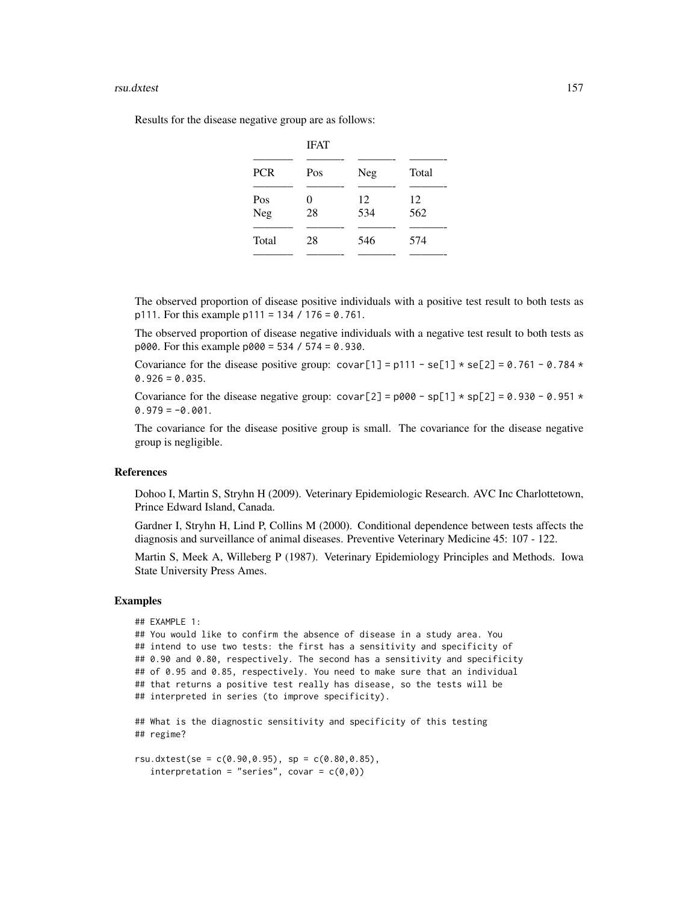### rsu.dxtest 157

Results for the disease negative group are as follows:

| <b>PCR</b> | Pos          | Neg       | Total     |
|------------|--------------|-----------|-----------|
| Pos<br>Neg | $_{0}$<br>28 | 12<br>534 | 12<br>562 |
| Total      | 28           | 546       | 574       |

The observed proportion of disease positive individuals with a positive test result to both tests as p111. For this example p111 = 134 / 176 = 0.761.

The observed proportion of disease negative individuals with a negative test result to both tests as p000. For this example p000 = 534 / 574 = 0.930.

Covariance for the disease positive group:  $covar[1] = p111 - se[1] * se[2] = 0.761 - 0.784 *$  $0.926 = 0.035$ .

Covariance for the disease negative group: covar[2] =  $p000 - sp[1] \times sp[2] = 0.930 - 0.951 \times$  $0.979 = -0.001$ .

The covariance for the disease positive group is small. The covariance for the disease negative group is negligible.

## References

Dohoo I, Martin S, Stryhn H (2009). Veterinary Epidemiologic Research. AVC Inc Charlottetown, Prince Edward Island, Canada.

Gardner I, Stryhn H, Lind P, Collins M (2000). Conditional dependence between tests affects the diagnosis and surveillance of animal diseases. Preventive Veterinary Medicine 45: 107 - 122.

Martin S, Meek A, Willeberg P (1987). Veterinary Epidemiology Principles and Methods. Iowa State University Press Ames.

```
## EXAMPLE 1:
## You would like to confirm the absence of disease in a study area. You
## intend to use two tests: the first has a sensitivity and specificity of
## 0.90 and 0.80, respectively. The second has a sensitivity and specificity
## of 0.95 and 0.85, respectively. You need to make sure that an individual
## that returns a positive test really has disease, so the tests will be
## interpreted in series (to improve specificity).
## What is the diagnostic sensitivity and specificity of this testing
## regime?
rsu.dxtest(se = c(0.90, 0.95), sp = c(0.80, 0.85),
```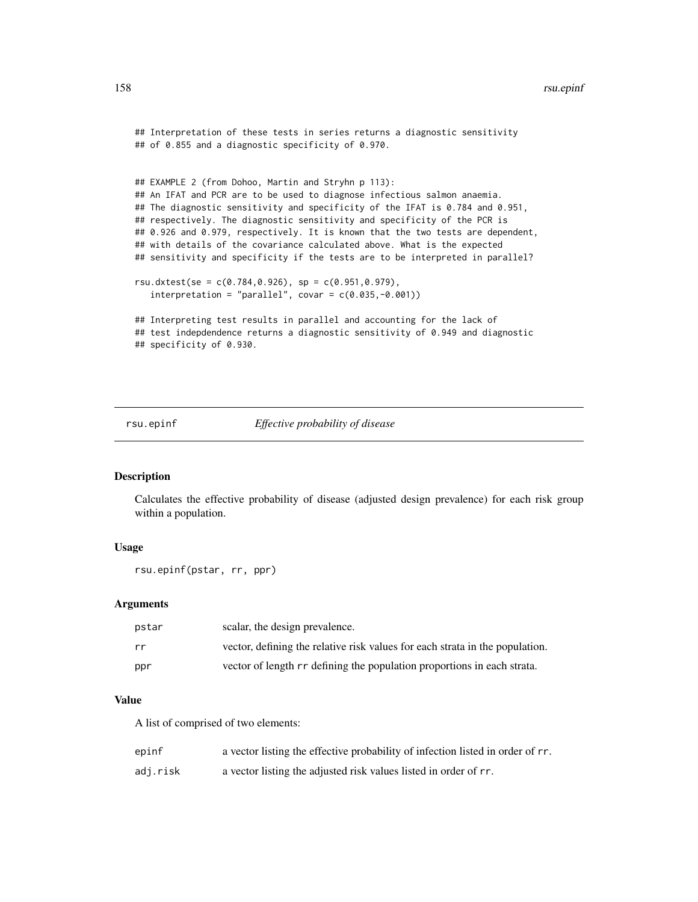### 158 rsu.epinf

```
## Interpretation of these tests in series returns a diagnostic sensitivity
## of 0.855 and a diagnostic specificity of 0.970.
## EXAMPLE 2 (from Dohoo, Martin and Stryhn p 113):
## An IFAT and PCR are to be used to diagnose infectious salmon anaemia.
## The diagnostic sensitivity and specificity of the IFAT is 0.784 and 0.951,
## respectively. The diagnostic sensitivity and specificity of the PCR is
## 0.926 and 0.979, respectively. It is known that the two tests are dependent,
## with details of the covariance calculated above. What is the expected
## sensitivity and specificity if the tests are to be interpreted in parallel?
rsu.dxtest(se = c(0.784, 0.926), sp = c(0.951, 0.979),
   interpretation = "parallel", covar = c(0.035, -0.001))## Interpreting test results in parallel and accounting for the lack of
## test indepdendence returns a diagnostic sensitivity of 0.949 and diagnostic
## specificity of 0.930.
```
rsu.epinf *Effective probability of disease*

# **Description**

Calculates the effective probability of disease (adjusted design prevalence) for each risk group within a population.

## Usage

rsu.epinf(pstar, rr, ppr)

### Arguments

| pstar | scalar, the design prevalence.                                               |
|-------|------------------------------------------------------------------------------|
| rr    | vector, defining the relative risk values for each strata in the population. |
| ppr   | vector of length r defining the population proportions in each strata.       |

## Value

A list of comprised of two elements:

| epinf    | a vector listing the effective probability of infection listed in order of rr. |
|----------|--------------------------------------------------------------------------------|
| adj.risk | a vector listing the adjusted risk values listed in order of rr.               |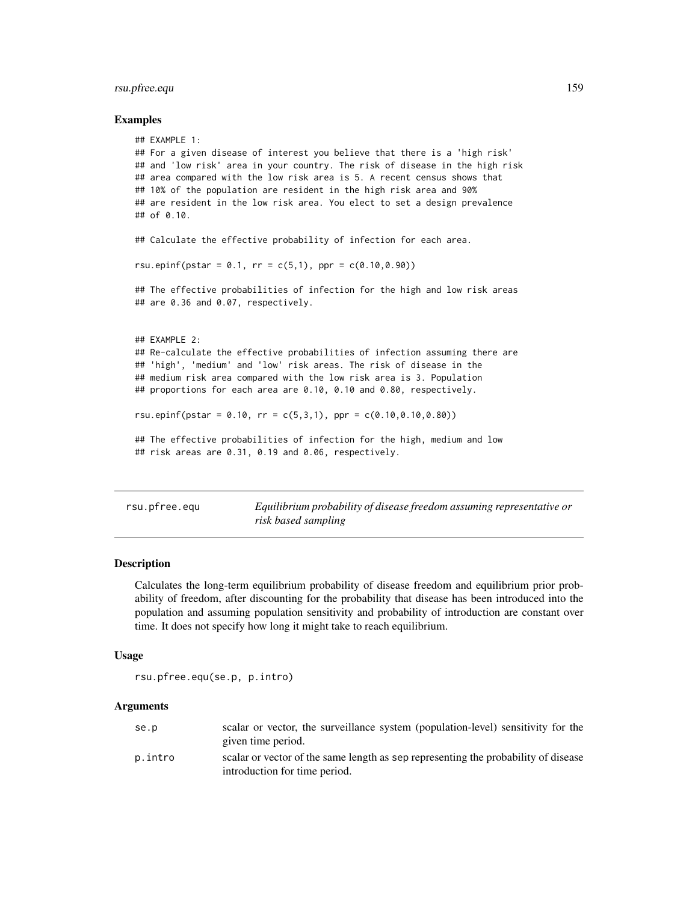# rsu.pfree.equ 159

## Examples

```
## EXAMPLE 1:
## For a given disease of interest you believe that there is a 'high risk'
## and 'low risk' area in your country. The risk of disease in the high risk
## area compared with the low risk area is 5. A recent census shows that
## 10% of the population are resident in the high risk area and 90%
## are resident in the low risk area. You elect to set a design prevalence
## of 0.10.
## Calculate the effective probability of infection for each area.
rsu.epinf(pstar = 0.1, rr = c(5,1), ppr = c(0.10, 0.90))
## The effective probabilities of infection for the high and low risk areas
## are 0.36 and 0.07, respectively.
## EXAMPLE 2:
## Re-calculate the effective probabilities of infection assuming there are
## 'high', 'medium' and 'low' risk areas. The risk of disease in the
## medium risk area compared with the low risk area is 3. Population
## proportions for each area are 0.10, 0.10 and 0.80, respectively.
rsu.epinf(pstar = 0.10, rr = c(5,3,1), ppr = c(0.10, 0.10, 0.80))## The effective probabilities of infection for the high, medium and low
## risk areas are 0.31, 0.19 and 0.06, respectively.
```
rsu.pfree.equ *Equilibrium probability of disease freedom assuming representative or risk based sampling*

## Description

Calculates the long-term equilibrium probability of disease freedom and equilibrium prior probability of freedom, after discounting for the probability that disease has been introduced into the population and assuming population sensitivity and probability of introduction are constant over time. It does not specify how long it might take to reach equilibrium.

## Usage

```
rsu.pfree.equ(se.p, p.intro)
```
## Arguments

| se.p    | scalar or vector, the surveillance system (population-level) sensitivity for the   |
|---------|------------------------------------------------------------------------------------|
|         | given time period.                                                                 |
| p.intro | scalar or vector of the same length as sep representing the probability of disease |
|         | introduction for time period.                                                      |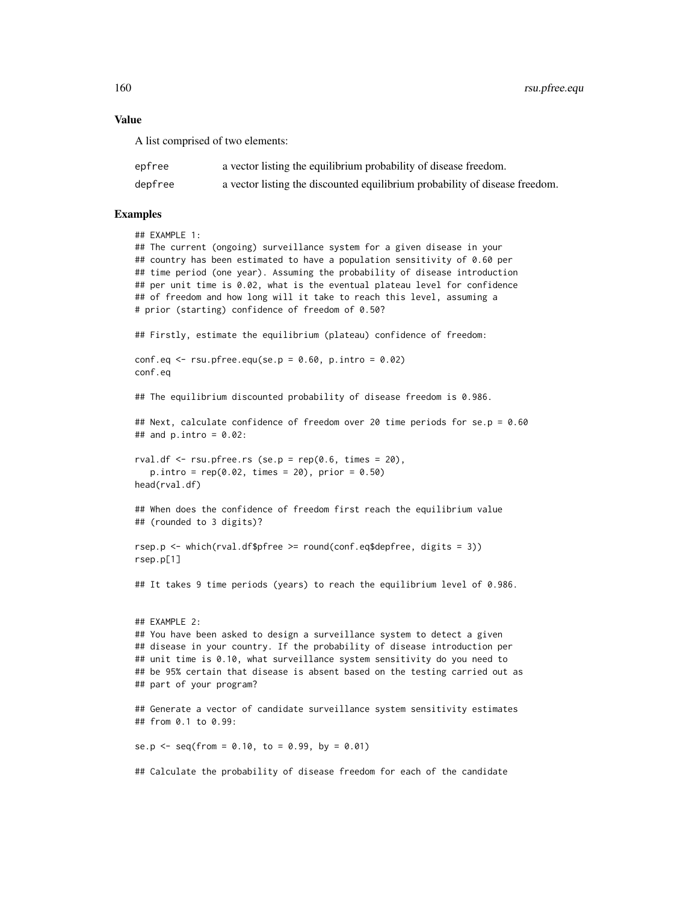#### Value

A list comprised of two elements:

| epfree  | a vector listing the equilibrium probability of disease freedom.            |
|---------|-----------------------------------------------------------------------------|
| depfree | a vector listing the discounted equilibrium probability of disease freedom. |

```
## EXAMPLE 1:
## The current (ongoing) surveillance system for a given disease in your
## country has been estimated to have a population sensitivity of 0.60 per
## time period (one year). Assuming the probability of disease introduction
## per unit time is 0.02, what is the eventual plateau level for confidence
## of freedom and how long will it take to reach this level, assuming a
# prior (starting) confidence of freedom of 0.50?
## Firstly, estimate the equilibrium (plateau) confidence of freedom:
conf.eq \le rsu.pfree.equ(se.p = 0.60, p.intro = 0.02)
conf.eq
## The equilibrium discounted probability of disease freedom is 0.986.
## Next, calculate confidence of freedom over 20 time periods for se.p = 0.60
## and p . intro = 0.02:
rval.df \leq rsu.pfree.rs (se.p = rep(0.6, times = 20),
   p.intro = rep(0.02, times = 20), prior = 0.50)head(rval.df)
## When does the confidence of freedom first reach the equilibrium value
## (rounded to 3 digits)?
rsep.p <- which(rval.df$pfree >= round(conf.eq$depfree, digits = 3))
rsep.p[1]
## It takes 9 time periods (years) to reach the equilibrium level of 0.986.
## EXAMPLE 2:
## You have been asked to design a surveillance system to detect a given
## disease in your country. If the probability of disease introduction per
## unit time is 0.10, what surveillance system sensitivity do you need to
## be 95% certain that disease is absent based on the testing carried out as
## part of your program?
## Generate a vector of candidate surveillance system sensitivity estimates
## from 0.1 to 0.99:
se.p <- seq(from = 0.10, to = 0.99, by = 0.01)
## Calculate the probability of disease freedom for each of the candidate
```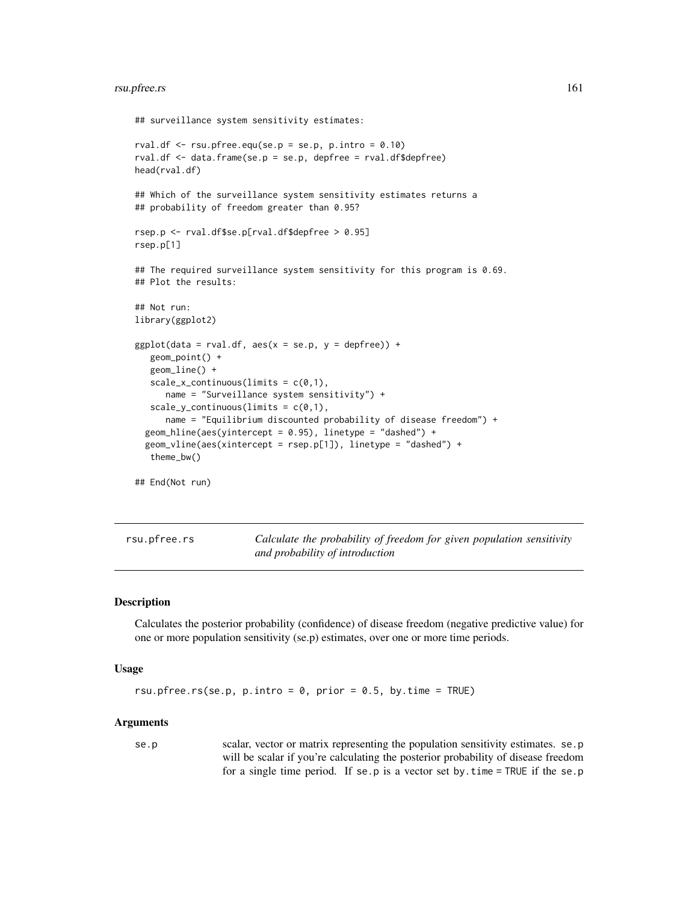# rsu.pfree.rs 161

```
## surveillance system sensitivity estimates:
rval.df \le rsu.pfree.equ(se.p = se.p, p.intro = 0.10)
rval.df <- data.frame(se.p = se.p, depfree = rval.df$depfree)
head(rval.df)
## Which of the surveillance system sensitivity estimates returns a
## probability of freedom greater than 0.95?
rsep.p <- rval.df$se.p[rval.df$depfree > 0.95]
rsep.p[1]
## The required surveillance system sensitivity for this program is 0.69.
## Plot the results:
## Not run:
library(ggplot2)
ggplot(data = rval.df, aes(x = se.p, y = depfree)) +geom_point() +
   geom_line() +
   scale_x_{continuous(limits = c(0,1)),
      name = "Surveillance system sensitivity") +
   scale_y_{continuous(limits = c(0,1)),
      name = "Equilibrium discounted probability of disease freedom") +
  geom_hline(aes(yintercept = 0.95), linetype = "dashed") +
  geom_vline(aes(xintercept = rsep.p[1]), linetype = "dashed") +
   theme_bw()
## End(Not run)
```
rsu.pfree.rs *Calculate the probability of freedom for given population sensitivity and probability of introduction*

# Description

Calculates the posterior probability (confidence) of disease freedom (negative predictive value) for one or more population sensitivity (se.p) estimates, over one or more time periods.

### Usage

```
rsu.pfree.rs(se.p, p.intro = 0, prior = 0.5, by.time = TRUE)
```
### Arguments

se.p scalar, vector or matrix representing the population sensitivity estimates. se.p will be scalar if you're calculating the posterior probability of disease freedom for a single time period. If se.p is a vector set by.time = TRUE if the se.p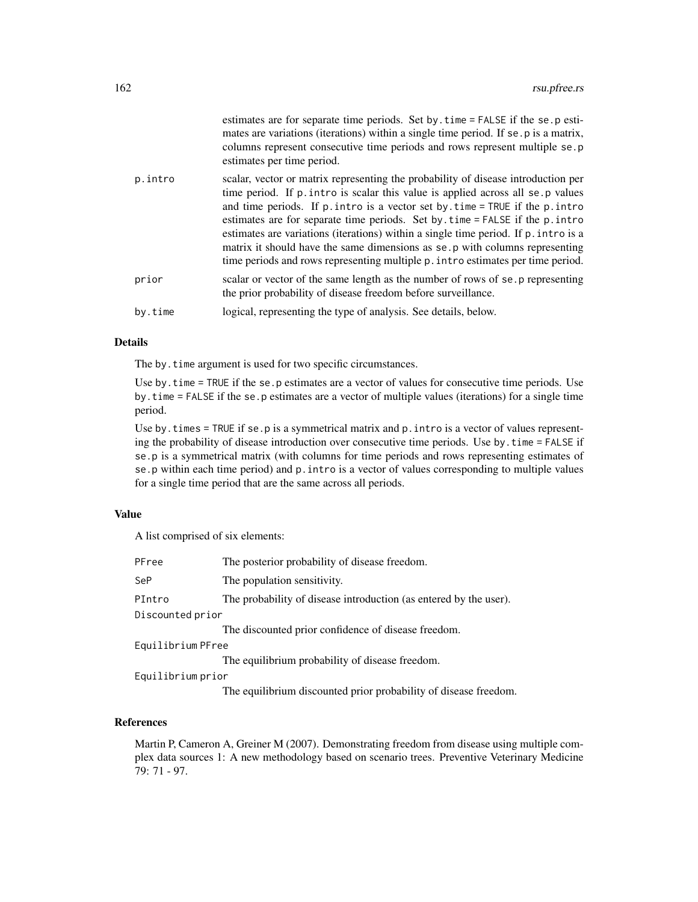|         | estimates are for separate time periods. Set by time = FALSE if the se.p esti-<br>mates are variations (iterations) within a single time period. If se p is a matrix,<br>columns represent consecutive time periods and rows represent multiple se.p<br>estimates per time period.                                                                                                                                                                                                                                                                                                                     |
|---------|--------------------------------------------------------------------------------------------------------------------------------------------------------------------------------------------------------------------------------------------------------------------------------------------------------------------------------------------------------------------------------------------------------------------------------------------------------------------------------------------------------------------------------------------------------------------------------------------------------|
| p.intro | scalar, vector or matrix representing the probability of disease introduction per<br>time period. If p. intro is scalar this value is applied across all se. p values<br>and time periods. If $p$ , intro is a vector set by, time = TRUE if the $p$ , intro<br>estimates are for separate time periods. Set by time = FALSE if the p. intro<br>estimates are variations (iterations) within a single time period. If p. intro is a<br>matrix it should have the same dimensions as se. p with columns representing<br>time periods and rows representing multiple p. intro estimates per time period. |
| prior   | scalar or vector of the same length as the number of rows of se. p representing<br>the prior probability of disease freedom before surveillance.                                                                                                                                                                                                                                                                                                                                                                                                                                                       |
| by.time | logical, representing the type of analysis. See details, below.                                                                                                                                                                                                                                                                                                                                                                                                                                                                                                                                        |

## Details

The by.time argument is used for two specific circumstances.

Use by.time = TRUE if the se.p estimates are a vector of values for consecutive time periods. Use by.time = FALSE if the se.p estimates are a vector of multiple values (iterations) for a single time period.

Use by. times  $=$  TRUE if se.p is a symmetrical matrix and  $p$ . intro is a vector of values representing the probability of disease introduction over consecutive time periods. Use by.time = FALSE if se.p is a symmetrical matrix (with columns for time periods and rows representing estimates of se.p within each time period) and p.intro is a vector of values corresponding to multiple values for a single time period that are the same across all periods.

# Value

A list comprised of six elements:

| PFree             | The posterior probability of disease freedom.                     |  |
|-------------------|-------------------------------------------------------------------|--|
| SeP               | The population sensitivity.                                       |  |
| PIntro            | The probability of disease introduction (as entered by the user). |  |
| Discounted prior  |                                                                   |  |
|                   | The discounted prior confidence of disease freedom.               |  |
| Equilibrium PFree |                                                                   |  |
|                   | The equilibrium probability of disease freedom.                   |  |
| Equilibrium prior |                                                                   |  |
|                   | The equilibrium discounted prior probability of disease freedom.  |  |

# References

Martin P, Cameron A, Greiner M (2007). Demonstrating freedom from disease using multiple complex data sources 1: A new methodology based on scenario trees. Preventive Veterinary Medicine 79: 71 - 97.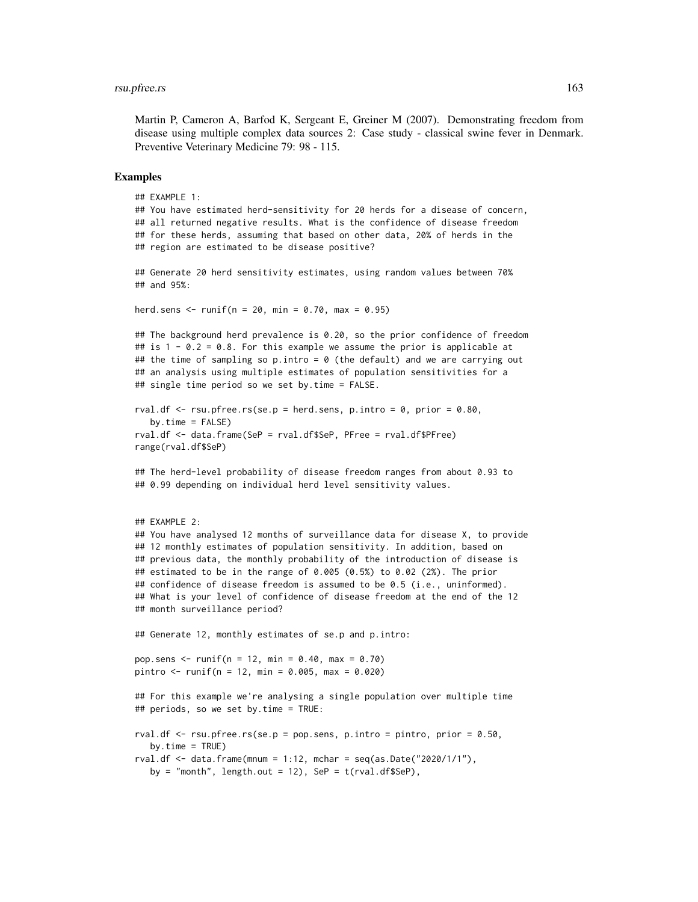Martin P, Cameron A, Barfod K, Sergeant E, Greiner M (2007). Demonstrating freedom from disease using multiple complex data sources 2: Case study - classical swine fever in Denmark. Preventive Veterinary Medicine 79: 98 - 115.

```
## EXAMPLE 1:
## You have estimated herd-sensitivity for 20 herds for a disease of concern,
## all returned negative results. What is the confidence of disease freedom
## for these herds, assuming that based on other data, 20% of herds in the
## region are estimated to be disease positive?
## Generate 20 herd sensitivity estimates, using random values between 70%
## and 95%:
herd.sens \le runif(n = 20, min = 0.70, max = 0.95)
## The background herd prevalence is 0.20, so the prior confidence of freedom
## is 1 - 0.2 = 0.8. For this example we assume the prior is applicable at
## the time of sampling so p.intro = 0 (the default) and we are carrying out
## an analysis using multiple estimates of population sensitivities for a
## single time period so we set by.time = FALSE.
rval.df \leq rsu.pfree.rs(se.p = herd.sens, p.intro = 0, prior = 0.80,
  by.time = FALSE)rval.df <- data.frame(SeP = rval.df$SeP, PFree = rval.df$PFree)
range(rval.df$SeP)
## The herd-level probability of disease freedom ranges from about 0.93 to
## 0.99 depending on individual herd level sensitivity values.
## EXAMPLE 2:
## You have analysed 12 months of surveillance data for disease X, to provide
## 12 monthly estimates of population sensitivity. In addition, based on
## previous data, the monthly probability of the introduction of disease is
## estimated to be in the range of 0.005 (0.5%) to 0.02 (2%). The prior
## confidence of disease freedom is assumed to be 0.5 (i.e., uninformed).
## What is your level of confidence of disease freedom at the end of the 12
## month surveillance period?
## Generate 12, monthly estimates of se.p and p.intro:
pop.sens <- runif(n = 12, min = 0.40, max = 0.70)
pintro <- runif(n = 12, min = 0.005, max = 0.020)
## For this example we're analysing a single population over multiple time
## periods, so we set by.time = TRUE:
rval.df \le rsu.pfree.rs(se.p = pop.sens, p.intro = pintro, prior = 0.50,
  by.time = TRUE)
rval.df \leq data.frame(mnum = 1:12, mchar = seq(as.Date("2020/1/1"),
  by = "month", length.out = 12), SeP = t(rval.df$SeP),
```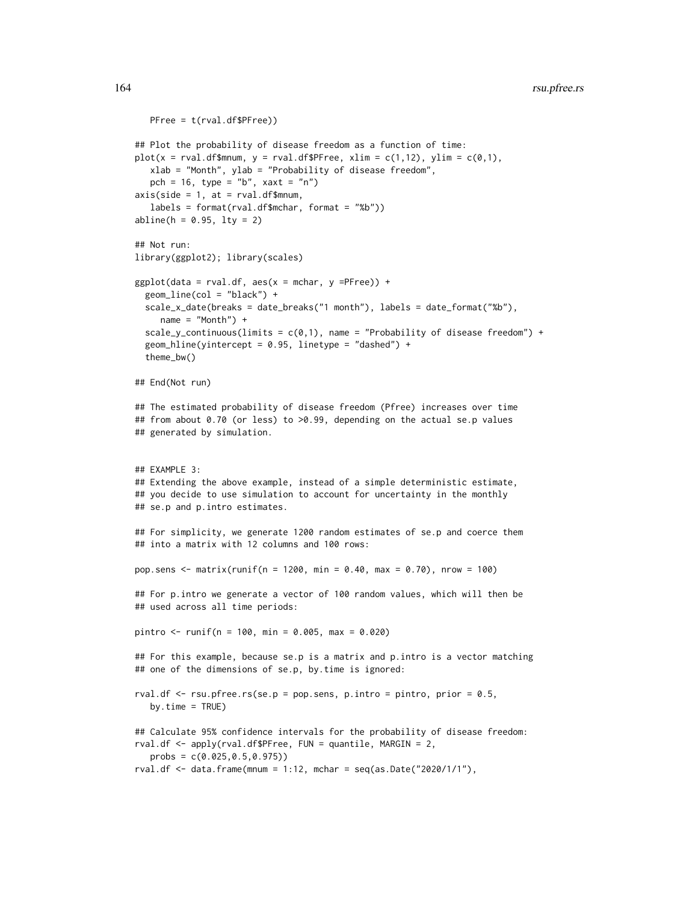```
PFree = t(rval.df$PFree))
## Plot the probability of disease freedom as a function of time:
plot(x = rval.df$mnum, y = rval.df$PFree, xlim = c(1,12), ylim = c(0,1),
  xlab = "Month", ylab = "Probability of disease freedom",
  pch = 16, type = nb'', xaxt = 'n'')
axis(side = 1, at = rval.df$mmum,labels = format(rval.df$mchar, format = "%b"))
abline(h = 0.95, 1ty = 2)## Not run:
library(ggplot2); library(scales)
ggplot(data = rval.df, aes(x = mchar, y =PFree)) +geom_line(col = "black") +
 scale_x_date(breaks = date_breaks("1 month"), labels = date_format("%b"),
    name = "Month") +scale_y_continuous(limits = c(\emptyset,1), name = "Probability of disease freedom") +
 geom_hline(yintercept = 0.95, linetype = "dashed") +
 theme_bw()
## End(Not run)
## The estimated probability of disease freedom (Pfree) increases over time
## from about 0.70 (or less) to >0.99, depending on the actual se.p values
## generated by simulation.
## EXAMPLE 3:
## Extending the above example, instead of a simple deterministic estimate,
## you decide to use simulation to account for uncertainty in the monthly
## se.p and p.intro estimates.
## For simplicity, we generate 1200 random estimates of se.p and coerce them
## into a matrix with 12 columns and 100 rows:
pop.sens <- matrix(runif(n = 1200, min = 0.40, max = 0.70), nrow = 100)
## For p.intro we generate a vector of 100 random values, which will then be
## used across all time periods:
pintro <- runif(n = 100, min = 0.005, max = 0.020)
## For this example, because se.p is a matrix and p.intro is a vector matching
## one of the dimensions of se.p, by.time is ignored:
rval.df \leq rsu.pfree.rs(se.p = pop.sens, p.intro = pintro, prior = 0.5,
  by.time = TRUE)
## Calculate 95% confidence intervals for the probability of disease freedom:
rval.df <- apply(rval.df$PFree, FUN = quantile, MARGIN = 2,
   probs = c(0.025,0.5,0.975))
rval.df \leq data.frame(mnum = 1:12, mchar = seq(as.Date("2020/1/1"),
```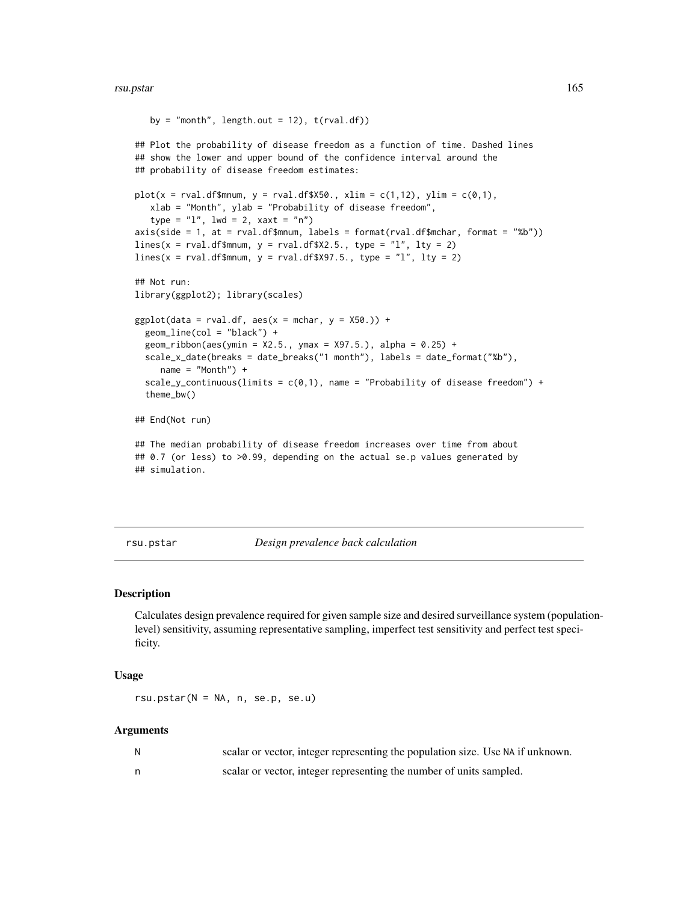### rsu.pstar 165

```
by = "month", length.out = 12), t(rval.df))
## Plot the probability of disease freedom as a function of time. Dashed lines
## show the lower and upper bound of the confidence interval around the
## probability of disease freedom estimates:
plot(x = rval.dffsmnum, y = rval.dff$X50., xlim = c(1,12), ylim = c(0,1),xlab = "Month", ylab = "Probability of disease freedom",
   type = "l", lwd = 2, xaxt = "n")axis(side = 1, at = rval.dffmmum, labels = format(rval.dffsmchar, format = "%b"))lines(x = rval.dff$mmum, y = rval.dff$X2.5., type = "l", lty = 2)lines(x = rval.dffsmnum, y = rval.dff$X97.5., type = "l", lty = 2)## Not run:
library(ggplot2); library(scales)
ggplot(data = rval.df, aes(x = mchar, y = X50.)) +geom_line(col = "black") +
 geom\_ribbon(aes(ymin = X2.5., ymax = X97.5.), alpha = 0.25) +scale_x_date(breaks = date_breaks("1 month"), labels = date_format("%b"),
    name = "Month") +scale_y_continuous(limits = c(0,1), name = "Probability of disease freedom") +
 theme_bw()
## End(Not run)
## The median probability of disease freedom increases over time from about
## 0.7 (or less) to >0.99, depending on the actual se.p values generated by
## simulation.
```
rsu.pstar *Design prevalence back calculation*

### Description

Calculates design prevalence required for given sample size and desired surveillance system (populationlevel) sensitivity, assuming representative sampling, imperfect test sensitivity and perfect test specificity.

## Usage

 $rsu.pstar(N = NA, n, se.p, se.u)$ 

#### Arguments

| scalar or vector, integer representing the population size. Use NA if unknown. |
|--------------------------------------------------------------------------------|
| scalar or vector, integer representing the number of units sampled.            |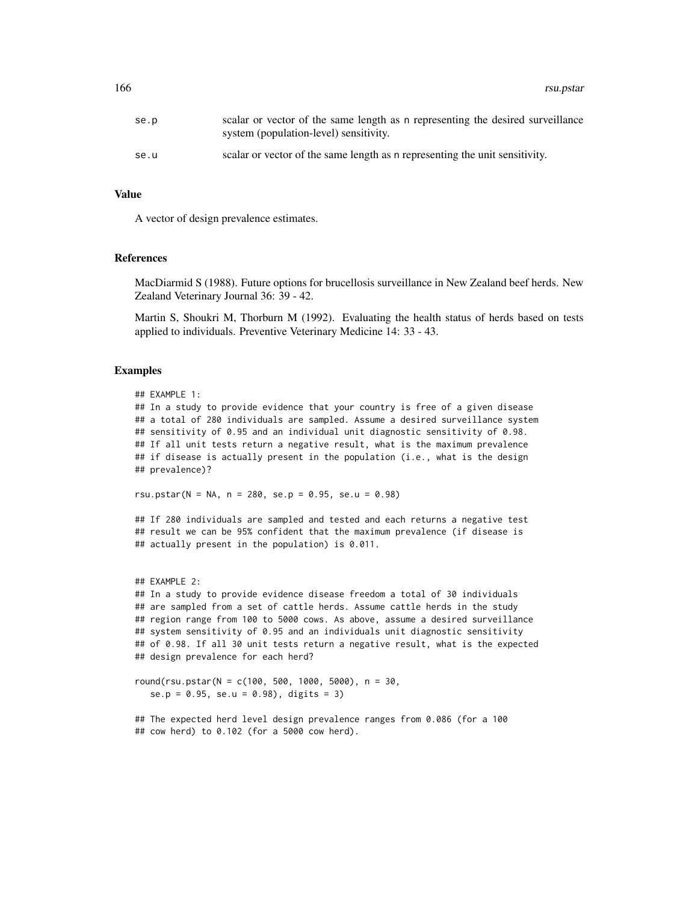166 rsu.pstar and the starting of the starting of the starting of the starting of the starting of the starting of the starting of the starting of the starting of the starting of the starting of the starting of the starting

| se.p | scalar or vector of the same length as n representing the desired surveillance<br>system (population-level) sensitivity. |
|------|--------------------------------------------------------------------------------------------------------------------------|
| se.u | scalar or vector of the same length as a representing the unit sensitivity.                                              |

## Value

A vector of design prevalence estimates.

### References

MacDiarmid S (1988). Future options for brucellosis surveillance in New Zealand beef herds. New Zealand Veterinary Journal 36: 39 - 42.

Martin S, Shoukri M, Thorburn M (1992). Evaluating the health status of herds based on tests applied to individuals. Preventive Veterinary Medicine 14: 33 - 43.

## Examples

```
## EXAMPLE 1:
## In a study to provide evidence that your country is free of a given disease
## a total of 280 individuals are sampled. Assume a desired surveillance system
## sensitivity of 0.95 and an individual unit diagnostic sensitivity of 0.98.
## If all unit tests return a negative result, what is the maximum prevalence
## if disease is actually present in the population (i.e., what is the design
## prevalence)?
```
rsu.pstar(N = NA, n = 280, se.p = 0.95, se.u = 0.98)

## If 280 individuals are sampled and tested and each returns a negative test ## result we can be 95% confident that the maximum prevalence (if disease is ## actually present in the population) is 0.011.

```
## EXAMPLE 2:
## In a study to provide evidence disease freedom a total of 30 individuals
## are sampled from a set of cattle herds. Assume cattle herds in the study
## region range from 100 to 5000 cows. As above, assume a desired surveillance
## system sensitivity of 0.95 and an individuals unit diagnostic sensitivity
## of 0.98. If all 30 unit tests return a negative result, what is the expected
## design prevalence for each herd?
```

```
round(rsu.pstar(N = c(100, 500, 1000, 5000), n = 30,
  se.p = 0.95, se.u = 0.98), digits = 3)
```

```
## The expected herd level design prevalence ranges from 0.086 (for a 100
## cow herd) to 0.102 (for a 5000 cow herd).
```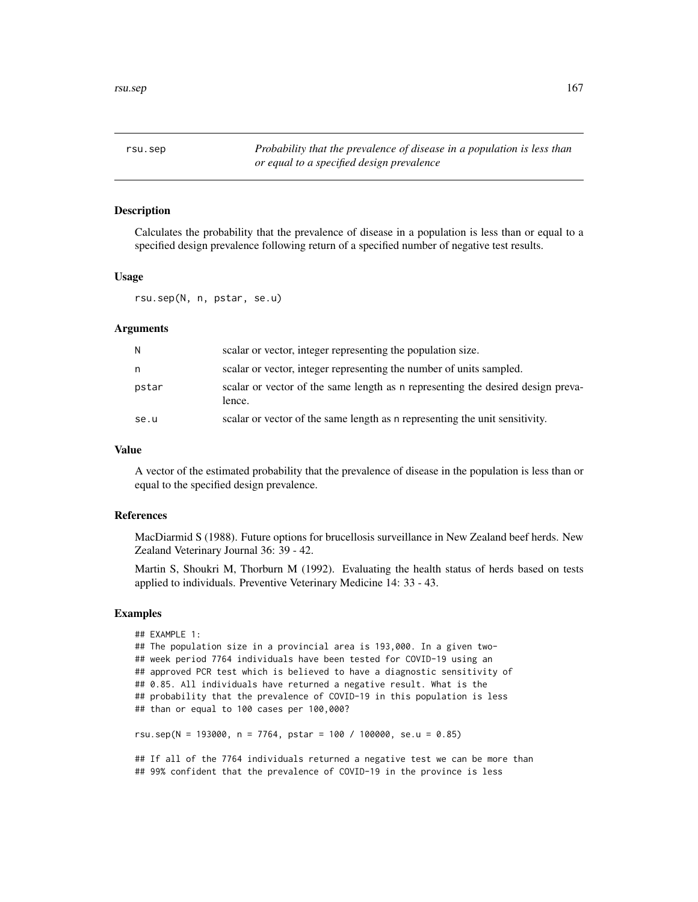rsu.sep *Probability that the prevalence of disease in a population is less than or equal to a specified design prevalence*

## **Description**

Calculates the probability that the prevalence of disease in a population is less than or equal to a specified design prevalence following return of a specified number of negative test results.

## Usage

rsu.sep(N, n, pstar, se.u)

## **Arguments**

| N     | scalar or vector, integer representing the population size.                               |
|-------|-------------------------------------------------------------------------------------------|
| n     | scalar or vector, integer representing the number of units sampled.                       |
| pstar | scalar or vector of the same length as n representing the desired design preva-<br>lence. |
| se.u  | scalar or vector of the same length as n representing the unit sensitivity.               |

# Value

A vector of the estimated probability that the prevalence of disease in the population is less than or equal to the specified design prevalence.

# References

MacDiarmid S (1988). Future options for brucellosis surveillance in New Zealand beef herds. New Zealand Veterinary Journal 36: 39 - 42.

Martin S, Shoukri M, Thorburn M (1992). Evaluating the health status of herds based on tests applied to individuals. Preventive Veterinary Medicine 14: 33 - 43.

```
## EXAMPLE 1:
## The population size in a provincial area is 193,000. In a given two-
## week period 7764 individuals have been tested for COVID-19 using an
## approved PCR test which is believed to have a diagnostic sensitivity of
## 0.85. All individuals have returned a negative result. What is the
## probability that the prevalence of COVID-19 in this population is less
## than or equal to 100 cases per 100,000?
rsu.sep(N = 193000, n = 7764, pstar = 100 / 100000, se.u = 0.85)
## If all of the 7764 individuals returned a negative test we can be more than
## 99% confident that the prevalence of COVID-19 in the province is less
```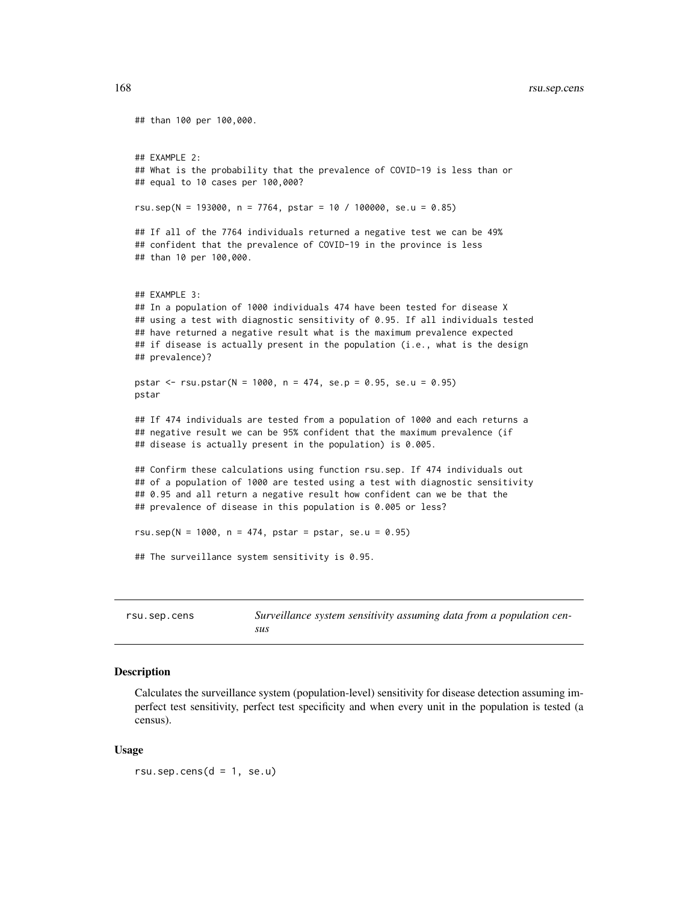```
## than 100 per 100,000.
## EXAMPLE 2:
## What is the probability that the prevalence of COVID-19 is less than or
## equal to 10 cases per 100,000?
rsu.sep(N = 193000, n = 7764, pstar = 10 / 100000, se.u = 0.85)
## If all of the 7764 individuals returned a negative test we can be 49%
## confident that the prevalence of COVID-19 in the province is less
## than 10 per 100,000.
## EXAMPLE 3:
## In a population of 1000 individuals 474 have been tested for disease X
## using a test with diagnostic sensitivity of 0.95. If all individuals tested
## have returned a negative result what is the maximum prevalence expected
## if disease is actually present in the population (i.e., what is the design
## prevalence)?
pstar <- rsu.pstar(N = 1000, n = 474, se.p = 0.95, se.u = 0.95)
pstar
## If 474 individuals are tested from a population of 1000 and each returns a
## negative result we can be 95% confident that the maximum prevalence (if
## disease is actually present in the population) is 0.005.
## Confirm these calculations using function rsu.sep. If 474 individuals out
## of a population of 1000 are tested using a test with diagnostic sensitivity
## 0.95 and all return a negative result how confident can we be that the
## prevalence of disease in this population is 0.005 or less?
rsu.sep(N = 1000, n = 474, pstar = pstar, se.u = 0.95)
## The surveillance system sensitivity is 0.95.
```

| rsu.sep.cens | Surveillance system sensitivity assuming data from a population cen- |
|--------------|----------------------------------------------------------------------|
|              | sus                                                                  |

### Description

Calculates the surveillance system (population-level) sensitivity for disease detection assuming imperfect test sensitivity, perfect test specificity and when every unit in the population is tested (a census).

## Usage

 $rsu.\nsep.cens(d = 1, se.u)$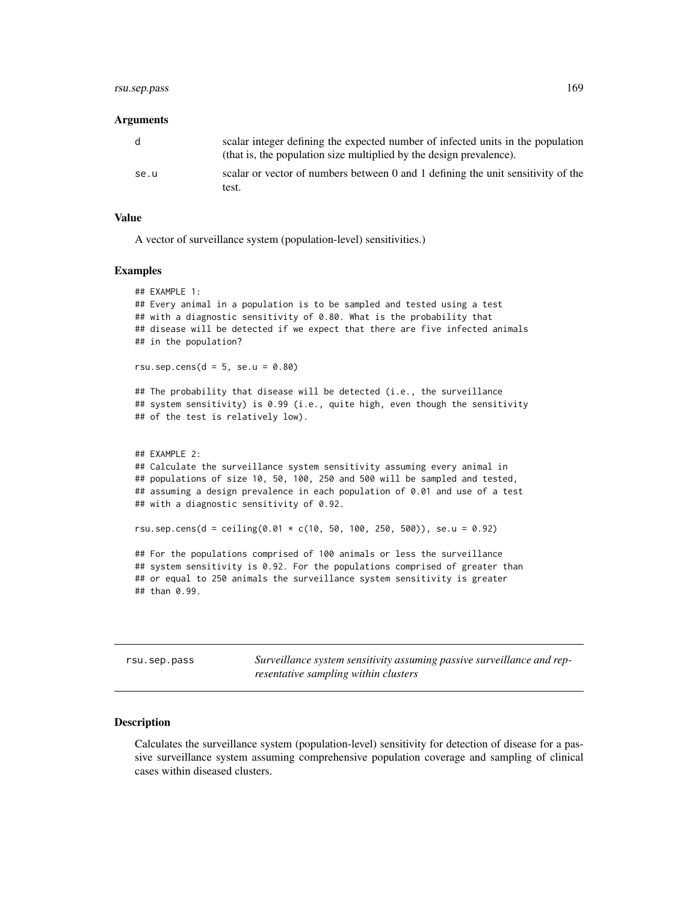# rsu.sep.pass 169

### Arguments

| d    | scalar integer defining the expected number of infected units in the population<br>(that is, the population size multiplied by the design prevalence). |
|------|--------------------------------------------------------------------------------------------------------------------------------------------------------|
| se.u | scalar or vector of numbers between 0 and 1 defining the unit sensitivity of the<br>test.                                                              |

## Value

A vector of surveillance system (population-level) sensitivities.)

### Examples

```
## EXAMPLE 1:
## Every animal in a population is to be sampled and tested using a test
## with a diagnostic sensitivity of 0.80. What is the probability that
## disease will be detected if we expect that there are five infected animals
## in the population?
rsu.sep.cens(d = 5, se.u = 0.80)
## The probability that disease will be detected (i.e., the surveillance
## system sensitivity) is 0.99 (i.e., quite high, even though the sensitivity
## of the test is relatively low).
## EXAMPLE 2:
## Calculate the surveillance system sensitivity assuming every animal in
## populations of size 10, 50, 100, 250 and 500 will be sampled and tested,
## assuming a design prevalence in each population of 0.01 and use of a test
## with a diagnostic sensitivity of 0.92.
rsu.sep.cens(d = ceiling(0.01 * c(10, 50, 100, 250, 500)), se.u = 0.92)
## For the populations comprised of 100 animals or less the surveillance
## system sensitivity is 0.92. For the populations comprised of greater than
## or equal to 250 animals the surveillance system sensitivity is greater
## than 0.99.
```
rsu.sep.pass *Surveillance system sensitivity assuming passive surveillance and representative sampling within clusters*

## **Description**

Calculates the surveillance system (population-level) sensitivity for detection of disease for a passive surveillance system assuming comprehensive population coverage and sampling of clinical cases within diseased clusters.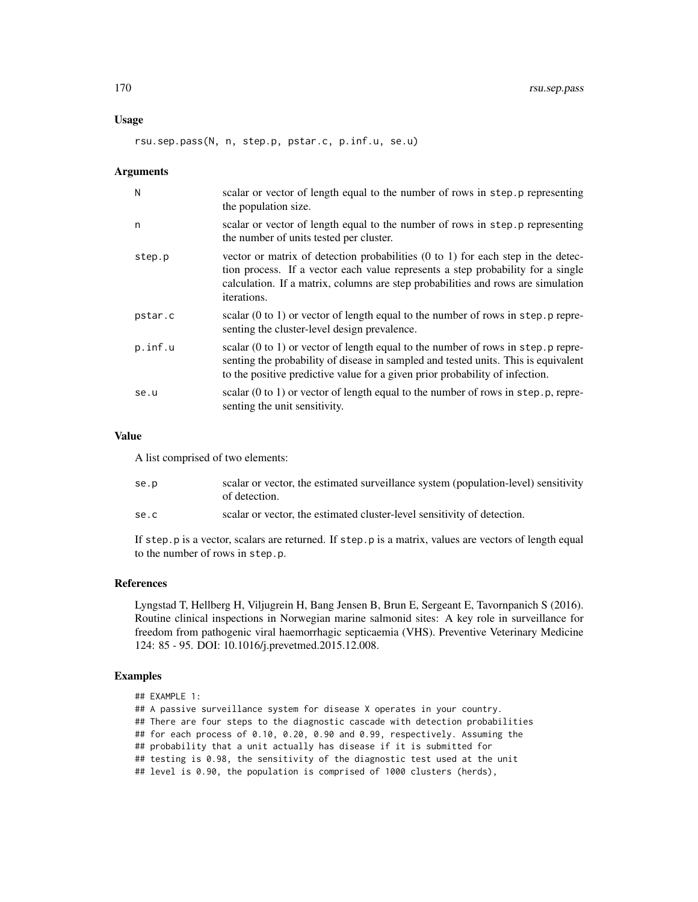## Usage

rsu.sep.pass(N, n, step.p, pstar.c, p.inf.u, se.u)

### Arguments

| N       | scalar or vector of length equal to the number of rows in step. p representing<br>the population size.                                                                                                                                                                            |
|---------|-----------------------------------------------------------------------------------------------------------------------------------------------------------------------------------------------------------------------------------------------------------------------------------|
| n       | scalar or vector of length equal to the number of rows in step.p representing<br>the number of units tested per cluster.                                                                                                                                                          |
| step.p  | vector or matrix of detection probabilities $(0 \text{ to } 1)$ for each step in the detec-<br>tion process. If a vector each value represents a step probability for a single<br>calculation. If a matrix, columns are step probabilities and rows are simulation<br>iterations. |
| pstar.c | scalar $(0 \text{ to } 1)$ or vector of length equal to the number of rows in step. p repre-<br>senting the cluster-level design prevalence.                                                                                                                                      |
| p.inf.u | scalar $(0 \text{ to } 1)$ or vector of length equal to the number of rows in step. p repre-<br>senting the probability of disease in sampled and tested units. This is equivalent<br>to the positive predictive value for a given prior probability of infection.                |
| se.u    | scalar (0 to 1) or vector of length equal to the number of rows in step.p, repre-<br>senting the unit sensitivity.                                                                                                                                                                |

## Value

A list comprised of two elements:

| se.p | scalar or vector, the estimated surveillance system (population-level) sensitivity<br>of detection. |
|------|-----------------------------------------------------------------------------------------------------|
| se.c | scalar or vector, the estimated cluster-level sensitivity of detection.                             |

If step.p is a vector, scalars are returned. If step.p is a matrix, values are vectors of length equal to the number of rows in step.p.

## References

Lyngstad T, Hellberg H, Viljugrein H, Bang Jensen B, Brun E, Sergeant E, Tavornpanich S (2016). Routine clinical inspections in Norwegian marine salmonid sites: A key role in surveillance for freedom from pathogenic viral haemorrhagic septicaemia (VHS). Preventive Veterinary Medicine 124: 85 - 95. DOI: 10.1016/j.prevetmed.2015.12.008.

# Examples

```
## EXAMPLE 1:
```
## A passive surveillance system for disease X operates in your country.

## There are four steps to the diagnostic cascade with detection probabilities

## for each process of 0.10, 0.20, 0.90 and 0.99, respectively. Assuming the

## probability that a unit actually has disease if it is submitted for

## testing is 0.98, the sensitivity of the diagnostic test used at the unit

## level is 0.90, the population is comprised of 1000 clusters (herds),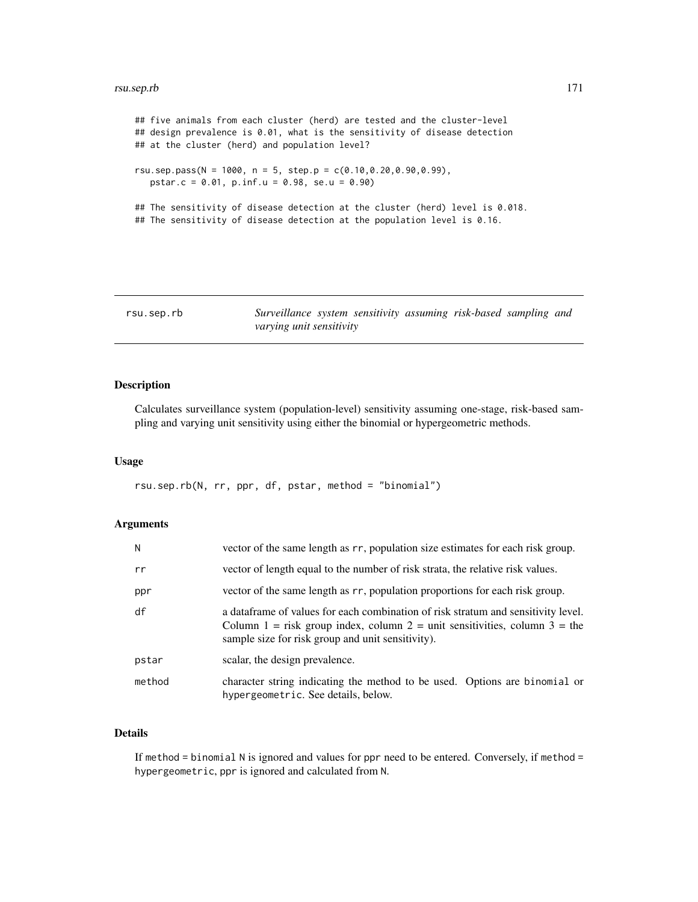### rsu.sep.rb 171

```
## five animals from each cluster (herd) are tested and the cluster-level
## design prevalence is 0.01, what is the sensitivity of disease detection
## at the cluster (herd) and population level?
rsu.sep.pass(N = 1000, n = 5, step.p = c(0.10, 0.20, 0.90, 0.99),
   pstar.c = 0.01, p.inf.u = 0.98, se.u = 0.90)
## The sensitivity of disease detection at the cluster (herd) level is 0.018.
## The sensitivity of disease detection at the population level is 0.16.
```

| rsu.sep.rb               | Surveillance system sensitivity assuming risk-based sampling and |  |  |  |  |
|--------------------------|------------------------------------------------------------------|--|--|--|--|
| varying unit sensitivity |                                                                  |  |  |  |  |

### Description

Calculates surveillance system (population-level) sensitivity assuming one-stage, risk-based sampling and varying unit sensitivity using either the binomial or hypergeometric methods.

### Usage

rsu.sep.rb(N, rr, ppr, df, pstar, method = "binomial")

### Arguments

| N.     | vector of the same length as rr, population size estimates for each risk group.                                                                                                                                      |  |  |  |  |  |
|--------|----------------------------------------------------------------------------------------------------------------------------------------------------------------------------------------------------------------------|--|--|--|--|--|
| rr     | vector of length equal to the number of risk strata, the relative risk values.                                                                                                                                       |  |  |  |  |  |
| ppr    | vector of the same length as rr, population proportions for each risk group.                                                                                                                                         |  |  |  |  |  |
| df     | a dataframe of values for each combination of risk stratum and sensitivity level.<br>Column 1 = risk group index, column 2 = unit sensitivities, column 3 = the<br>sample size for risk group and unit sensitivity). |  |  |  |  |  |
| pstar  | scalar, the design prevalence.                                                                                                                                                                                       |  |  |  |  |  |
| method | character string indicating the method to be used. Options are binomial or<br>hypergeometric. See details, below.                                                                                                    |  |  |  |  |  |

# Details

If method = binomial N is ignored and values for ppr need to be entered. Conversely, if method = hypergeometric, ppr is ignored and calculated from N.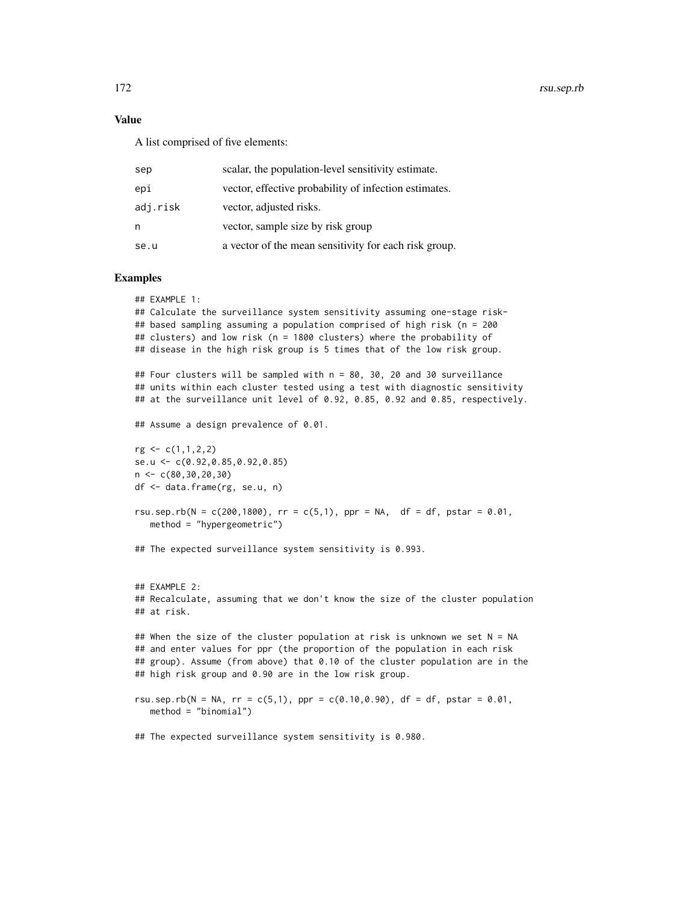# Value

A list comprised of five elements:

| sep      | scalar, the population-level sensitivity estimate.    |
|----------|-------------------------------------------------------|
| epi      | vector, effective probability of infection estimates. |
| adj.risk | vector, adjusted risks.                               |
| n        | vector, sample size by risk group                     |
| se.u     | a vector of the mean sensitivity for each risk group. |

```
## EXAMPLE 1:
## Calculate the surveillance system sensitivity assuming one-stage risk-
## based sampling assuming a population comprised of high risk (n = 200
## clusters) and low risk (n = 1800 clusters) where the probability of
## disease in the high risk group is 5 times that of the low risk group.
## Four clusters will be sampled with n = 80, 30, 20 and 30 surveillance
## units within each cluster tested using a test with diagnostic sensitivity
## at the surveillance unit level of 0.92, 0.85, 0.92 and 0.85, respectively.
## Assume a design prevalence of 0.01.
rg <- c(1,1,2,2)
se.u <- c(0.92,0.85,0.92,0.85)
n <- c(80,30,20,30)
df <- data.frame(rg, se.u, n)
rsu.sep.rb(N = c(200,1800), rr = c(5,1), ppr = NA, df = df, pstar = 0.01,
   method = "hypergeometric")
## The expected surveillance system sensitivity is 0.993.
## EXAMPLE 2:
## Recalculate, assuming that we don't know the size of the cluster population
## at risk.
## When the size of the cluster population at risk is unknown we set N = NA
## and enter values for ppr (the proportion of the population in each risk
## group). Assume (from above) that 0.10 of the cluster population are in the
## high risk group and 0.90 are in the low risk group.
rsu.sep.rb(N = NA, rr = c(5,1), ppr = c(0.10,0.90), df = df, pstar = 0.01,
   method = "binomial")
## The expected surveillance system sensitivity is 0.980.
```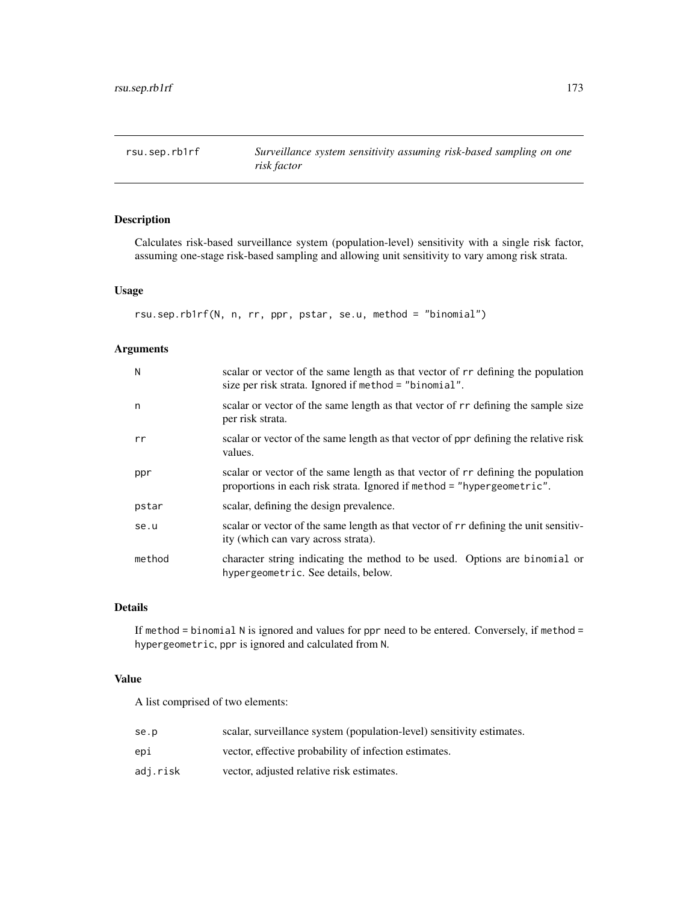rsu.sep.rb1rf *Surveillance system sensitivity assuming risk-based sampling on one risk factor*

# Description

Calculates risk-based surveillance system (population-level) sensitivity with a single risk factor, assuming one-stage risk-based sampling and allowing unit sensitivity to vary among risk strata.

## Usage

```
rsu.sep.rb1rf(N, n, rr, ppr, pstar, se.u, method = "binomial")
```
# Arguments

| N      | scalar or vector of the same length as that vector of r r defining the population<br>size per risk strata. Ignored if method = "binomial".                  |  |  |  |  |  |  |
|--------|-------------------------------------------------------------------------------------------------------------------------------------------------------------|--|--|--|--|--|--|
| n      | scalar or vector of the same length as that vector of r r defining the sample size<br>per risk strata.                                                      |  |  |  |  |  |  |
| rr     | scalar or vector of the same length as that vector of ppr defining the relative risk<br>values.                                                             |  |  |  |  |  |  |
| ppr    | scalar or vector of the same length as that vector of r r defining the population<br>proportions in each risk strata. Ignored if method = "hypergeometric". |  |  |  |  |  |  |
| pstar  | scalar, defining the design prevalence.                                                                                                                     |  |  |  |  |  |  |
| se.u   | scalar or vector of the same length as that vector of rr defining the unit sensitiv-<br>ity (which can vary across strata).                                 |  |  |  |  |  |  |
| method | character string indicating the method to be used. Options are binomial or<br>hypergeometric. See details, below.                                           |  |  |  |  |  |  |

# Details

If method = binomial N is ignored and values for ppr need to be entered. Conversely, if method = hypergeometric, ppr is ignored and calculated from N.

# Value

A list comprised of two elements:

| se.p     | scalar, surveillance system (population-level) sensitivity estimates. |
|----------|-----------------------------------------------------------------------|
| epi      | vector, effective probability of infection estimates.                 |
| adj.risk | vector, adjusted relative risk estimates.                             |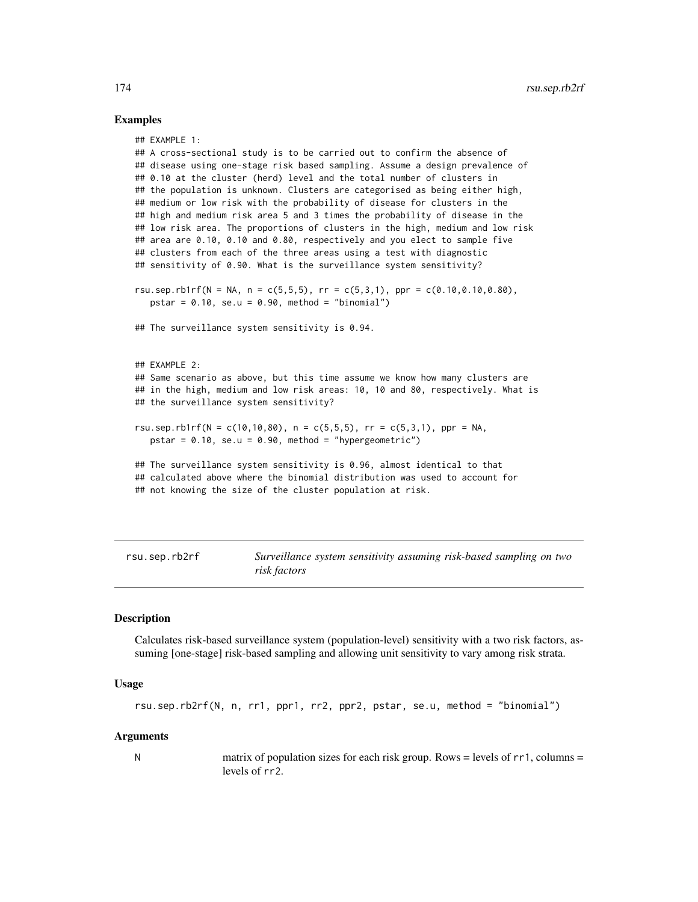## Examples

```
## EXAMPLE 1:
## A cross-sectional study is to be carried out to confirm the absence of
## disease using one-stage risk based sampling. Assume a design prevalence of
## 0.10 at the cluster (herd) level and the total number of clusters in
## the population is unknown. Clusters are categorised as being either high,
## medium or low risk with the probability of disease for clusters in the
## high and medium risk area 5 and 3 times the probability of disease in the
## low risk area. The proportions of clusters in the high, medium and low risk
## area are 0.10, 0.10 and 0.80, respectively and you elect to sample five
## clusters from each of the three areas using a test with diagnostic
## sensitivity of 0.90. What is the surveillance system sensitivity?
rsu.sep.rb1rf(N = NA, n = c(5,5,5), rr = c(5,3,1), ppr = c(0.10,0.10,0.80),
   pstar = 0.10, se.u = 0.90, method = "binomial")
## The surveillance system sensitivity is 0.94.
## EXAMPLE 2:
## Same scenario as above, but this time assume we know how many clusters are
## in the high, medium and low risk areas: 10, 10 and 80, respectively. What is
## the surveillance system sensitivity?
rsu.sep.rb1rf(N = c(10,10,80), n = c(5,5,5), rr = c(5,3,1), ppr = NA,
   pstar = 0.10, se.u = 0.90, method = "hypergeometric")
## The surveillance system sensitivity is 0.96, almost identical to that
## calculated above where the binomial distribution was used to account for
## not knowing the size of the cluster population at risk.
```
rsu.sep.rb2rf *Surveillance system sensitivity assuming risk-based sampling on two risk factors*

# Description

Calculates risk-based surveillance system (population-level) sensitivity with a two risk factors, assuming [one-stage] risk-based sampling and allowing unit sensitivity to vary among risk strata.

# Usage

```
rsu.sep.rb2rf(N, n, rr1, ppr1, rr2, ppr2, pstar, se.u, method = "binomial")
```
## Arguments

N matrix of population sizes for each risk group. Rows = levels of  $rr1$ , columns = levels of rr2.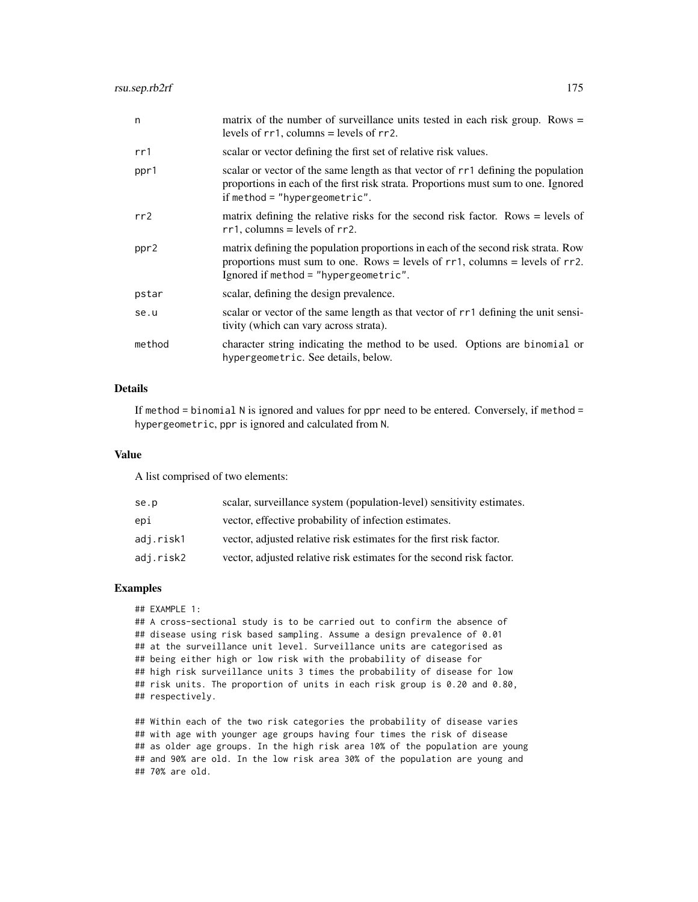| n      | matrix of the number of surveillance units tested in each risk group. Rows $=$<br>levels of $rr1$ , columns = levels of $rr2$ .                                                                                 |
|--------|-----------------------------------------------------------------------------------------------------------------------------------------------------------------------------------------------------------------|
| rr1    | scalar or vector defining the first set of relative risk values.                                                                                                                                                |
| ppr1   | scalar or vector of the same length as that vector of rr1 defining the population<br>proportions in each of the first risk strata. Proportions must sum to one. Ignored<br>if method = "hypergeometric".        |
| rr2    | matrix defining the relative risks for the second risk factor. Rows $=$ levels of<br>$rr1$ , columns = levels of $rr2$ .                                                                                        |
| ppr2   | matrix defining the population proportions in each of the second risk strata. Row<br>proportions must sum to one. Rows = levels of $rr1$ , columns = levels of $rr2$ .<br>Ignored if method = "hypergeometric". |
| pstar  | scalar, defining the design prevalence.                                                                                                                                                                         |
| se.u   | scalar or vector of the same length as that vector of rr1 defining the unit sensi-<br>tivity (which can vary across strata).                                                                                    |
| method | character string indicating the method to be used. Options are binomial or<br>hypergeometric. See details, below.                                                                                               |

## Details

If method  $=$  binomial N is ignored and values for ppr need to be entered. Conversely, if method  $=$ hypergeometric, ppr is ignored and calculated from N.

# Value

A list comprised of two elements:

| scalar, surveillance system (population-level) sensitivity estimates. |
|-----------------------------------------------------------------------|
| vector, effective probability of infection estimates.                 |
| vector, adjusted relative risk estimates for the first risk factor.   |
| vector, adjusted relative risk estimates for the second risk factor.  |
|                                                                       |

# Examples

## EXAMPLE 1:

## A cross-sectional study is to be carried out to confirm the absence of ## disease using risk based sampling. Assume a design prevalence of 0.01 ## at the surveillance unit level. Surveillance units are categorised as ## being either high or low risk with the probability of disease for ## high risk surveillance units 3 times the probability of disease for low ## risk units. The proportion of units in each risk group is 0.20 and 0.80, ## respectively.

## Within each of the two risk categories the probability of disease varies ## with age with younger age groups having four times the risk of disease ## as older age groups. In the high risk area 10% of the population are young ## and 90% are old. In the low risk area 30% of the population are young and ## 70% are old.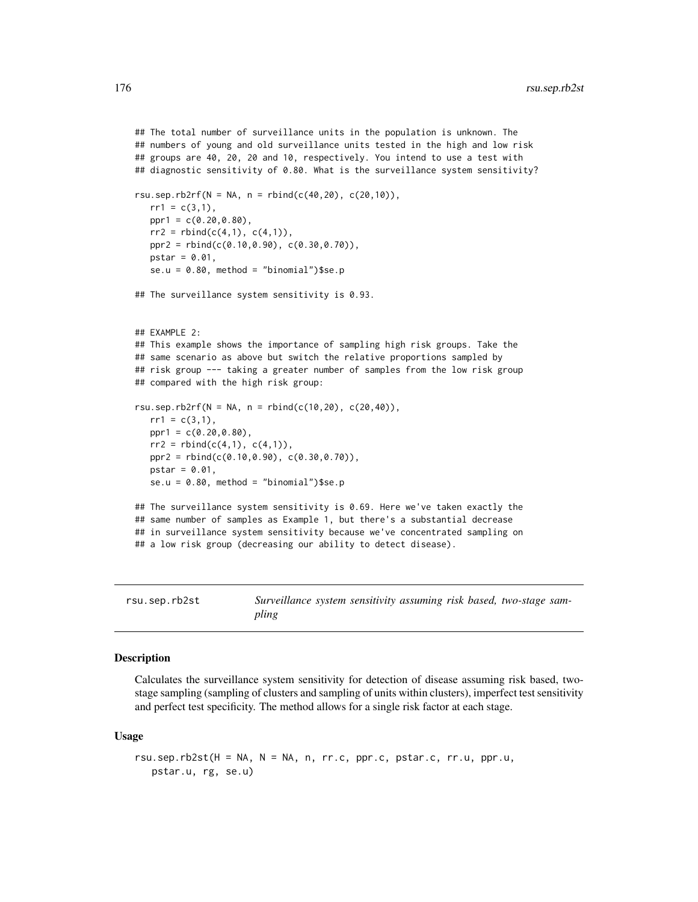```
## The total number of surveillance units in the population is unknown. The
## numbers of young and old surveillance units tested in the high and low risk
## groups are 40, 20, 20 and 10, respectively. You intend to use a test with
## diagnostic sensitivity of 0.80. What is the surveillance system sensitivity?
rsu.sep.rb2rf(N = NA, n = rbind(c(40,20), c(20,10)),
  rr1 = c(3,1),
  ppr1 = c(0.20, 0.80),
  rr2 = rbind(c(4,1), c(4,1)),ppr2 = rbind(c(0.10,0.90), c(0.30,0.70)),
  pstar = 0.01,se.u = 0.80, method = "binomial")$se.p
## The surveillance system sensitivity is 0.93.
## EXAMPLE 2:
## This example shows the importance of sampling high risk groups. Take the
## same scenario as above but switch the relative proportions sampled by
## risk group --- taking a greater number of samples from the low risk group
## compared with the high risk group:
rsu.sep.rb2rf(N = NA, n = rbind(c(10,20), c(20,40)),
  rr1 = c(3,1),
  ppr1 = c(0.20, 0.80),
   rr2 = rbind(c(4,1), c(4,1)),ppr2 = rbind(c(0.10,0.90), c(0.30,0.70)),
  pstar = 0.01,
  se.u = 0.80, method = "binomial")$se.p
## The surveillance system sensitivity is 0.69. Here we've taken exactly the
## same number of samples as Example 1, but there's a substantial decrease
## in surveillance system sensitivity because we've concentrated sampling on
## a low risk group (decreasing our ability to detect disease).
```
rsu.sep.rb2st *Surveillance system sensitivity assuming risk based, two-stage sampling*

## **Description**

Calculates the surveillance system sensitivity for detection of disease assuming risk based, twostage sampling (sampling of clusters and sampling of units within clusters), imperfect test sensitivity and perfect test specificity. The method allows for a single risk factor at each stage.

#### Usage

```
rsu.sep.rb2st(H = NA, N = NA, n, rr.c, ppr.c, pstar.c, rr.u, ppr.u,
  pstar.u, rg, se.u)
```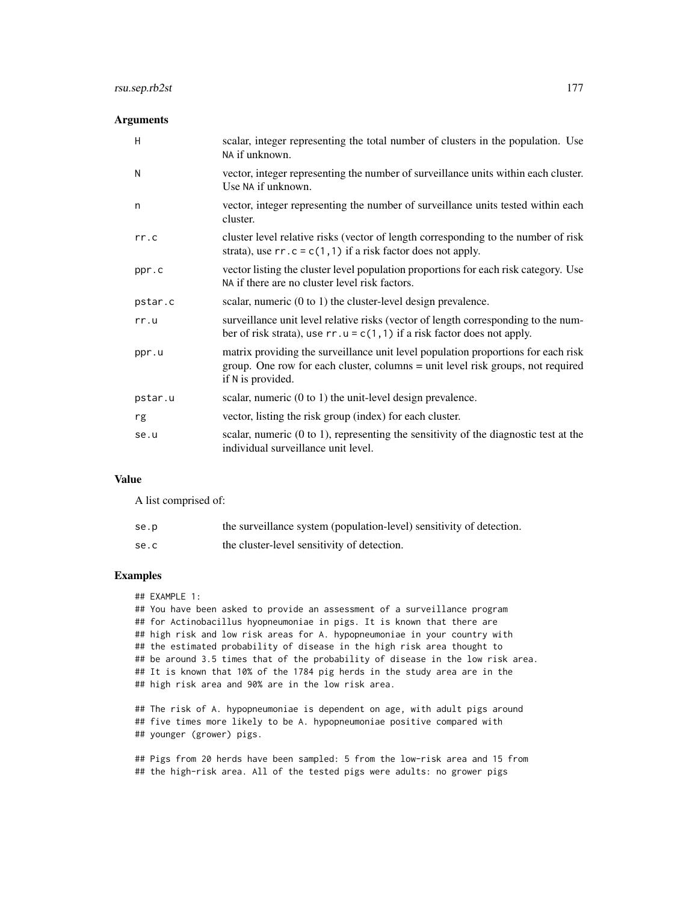# rsu.sep.rb2st 177

# Arguments

| H       | scalar, integer representing the total number of clusters in the population. Use<br>NA if unknown.                                                                                        |
|---------|-------------------------------------------------------------------------------------------------------------------------------------------------------------------------------------------|
| N       | vector, integer representing the number of surveillance units within each cluster.<br>Use NA if unknown.                                                                                  |
| n       | vector, integer representing the number of surveillance units tested within each<br>cluster.                                                                                              |
| rr.c    | cluster level relative risks (vector of length corresponding to the number of risk<br>strata), use $rr \cdot c = c(1, 1)$ if a risk factor does not apply.                                |
| ppr.c   | vector listing the cluster level population proportions for each risk category. Use<br>NA if there are no cluster level risk factors.                                                     |
| pstar.c | scalar, numeric (0 to 1) the cluster-level design prevalence.                                                                                                                             |
| rr.u    | surveillance unit level relative risks (vector of length corresponding to the num-<br>ber of risk strata), use $rr.u = c(1, 1)$ if a risk factor does not apply.                          |
| ppr.u   | matrix providing the surveillance unit level population proportions for each risk<br>group. One row for each cluster, columns = unit level risk groups, not required<br>if N is provided. |
| pstar.u | scalar, numeric $(0 \text{ to } 1)$ the unit-level design prevalence.                                                                                                                     |
| rg      | vector, listing the risk group (index) for each cluster.                                                                                                                                  |
| se.u    | scalar, numeric $(0 \text{ to } 1)$ , representing the sensitivity of the diagnostic test at the<br>individual surveillance unit level.                                                   |

# Value

A list comprised of:

| se.p | the surveillance system (population-level) sensitivity of detection. |
|------|----------------------------------------------------------------------|
| se.c | the cluster-level sensitivity of detection.                          |

# Examples

## EXAMPLE 1:

## You have been asked to provide an assessment of a surveillance program ## for Actinobacillus hyopneumoniae in pigs. It is known that there are ## high risk and low risk areas for A. hypopneumoniae in your country with ## the estimated probability of disease in the high risk area thought to ## be around 3.5 times that of the probability of disease in the low risk area. ## It is known that 10% of the 1784 pig herds in the study area are in the ## high risk area and 90% are in the low risk area.

## The risk of A. hypopneumoniae is dependent on age, with adult pigs around ## five times more likely to be A. hypopneumoniae positive compared with ## younger (grower) pigs.

## Pigs from 20 herds have been sampled: 5 from the low-risk area and 15 from ## the high-risk area. All of the tested pigs were adults: no grower pigs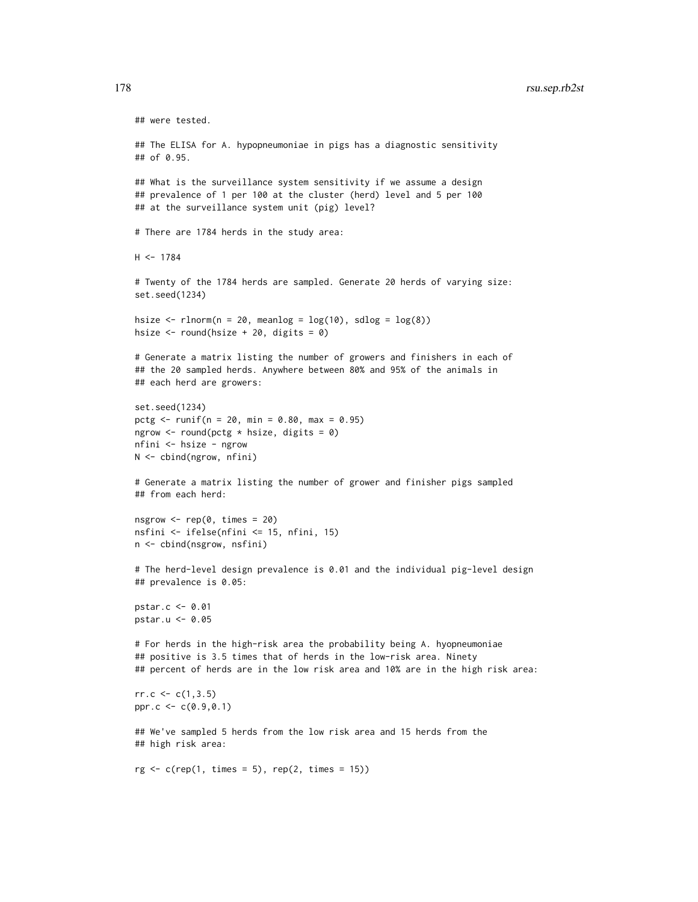# 178 rsu.sep.rb2st

```
## were tested.
## The ELISA for A. hypopneumoniae in pigs has a diagnostic sensitivity
## of 0.95.
## What is the surveillance system sensitivity if we assume a design
## prevalence of 1 per 100 at the cluster (herd) level and 5 per 100
## at the surveillance system unit (pig) level?
# There are 1784 herds in the study area:
H < -1784# Twenty of the 1784 herds are sampled. Generate 20 herds of varying size:
set.seed(1234)
hsize \le rlnorm(n = 20, meanlog = \log(10), sdlog = \log(8))
hsize \leftarrow round(hsize + 20, digits = 0)
# Generate a matrix listing the number of growers and finishers in each of
## the 20 sampled herds. Anywhere between 80% and 95% of the animals in
## each herd are growers:
set.seed(1234)
pctg <- runif(n = 20, min = 0.80, max = 0.95)
ngrow \le round(pctg * hsize, digits = 0)
nfini <- hsize - ngrow
N <- cbind(ngrow, nfini)
# Generate a matrix listing the number of grower and finisher pigs sampled
## from each herd:
nsgrow \leq rep(0, times = 20)
nsfini <- ifelse(nfini <= 15, nfini, 15)
n <- cbind(nsgrow, nsfini)
# The herd-level design prevalence is 0.01 and the individual pig-level design
## prevalence is 0.05:
pstar.c <- 0.01
pstar.u <- 0.05
# For herds in the high-risk area the probability being A. hyopneumoniae
## positive is 3.5 times that of herds in the low-risk area. Ninety
## percent of herds are in the low risk area and 10% are in the high risk area:
rr.c \leq c(1,3.5)ppr.c \leq -c(0.9, 0.1)## We've sampled 5 herds from the low risk area and 15 herds from the
## high risk area:
rg \leftarrow c(rep(1, times = 5), rep(2, times = 15))
```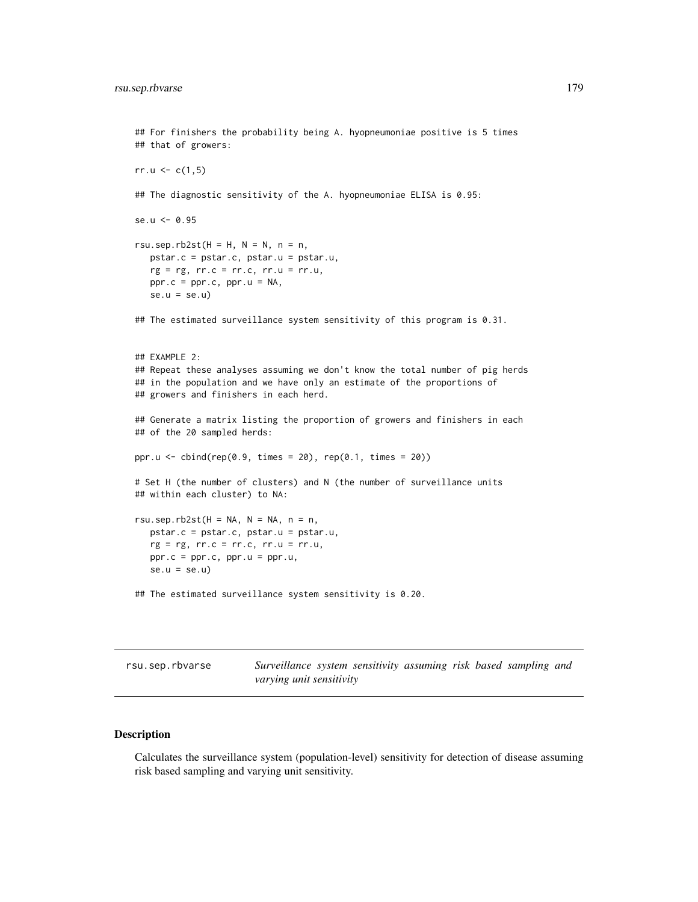```
## For finishers the probability being A. hyopneumoniae positive is 5 times
## that of growers:
rr.u < c(1,5)## The diagnostic sensitivity of the A. hyopneumoniae ELISA is 0.95:
se.u <- 0.95
rsu.sep.rb2st(H = H, N = N, n = n,
  pstar.c = pstar.c, pstar.u = pstar.u,
   rg = rg, rr.c = rr.c, rr.u = rr.u,ppr.c = ppr.c, ppr.u = NA,
   se.u = se.u## The estimated surveillance system sensitivity of this program is 0.31.
## EXAMPLE 2:
## Repeat these analyses assuming we don't know the total number of pig herds
## in the population and we have only an estimate of the proportions of
## growers and finishers in each herd.
## Generate a matrix listing the proportion of growers and finishers in each
## of the 20 sampled herds:
ppr.u <- cbind(rep(0.9, times = 20), rep(0.1, times = 20))
# Set H (the number of clusters) and N (the number of surveillance units
## within each cluster) to NA:
rsu.sep.rb2st(H = NA, N = NA, n = n,
  pstar.c = pstar.c, pstar.u = pstar.u,
   rg = rg, rr.c = rr.c, rr.u = rr.u,ppr.c = ppr.c, ppr.u = ppr.u,
   se.u = se.u## The estimated surveillance system sensitivity is 0.20.
```

| rsu.sep.rbvarse | Surveillance system sensitivity assuming risk based sampling and |  |  |  |  |  |  |  |
|-----------------|------------------------------------------------------------------|--|--|--|--|--|--|--|
|                 | varying unit sensitivity                                         |  |  |  |  |  |  |  |

## Description

Calculates the surveillance system (population-level) sensitivity for detection of disease assuming risk based sampling and varying unit sensitivity.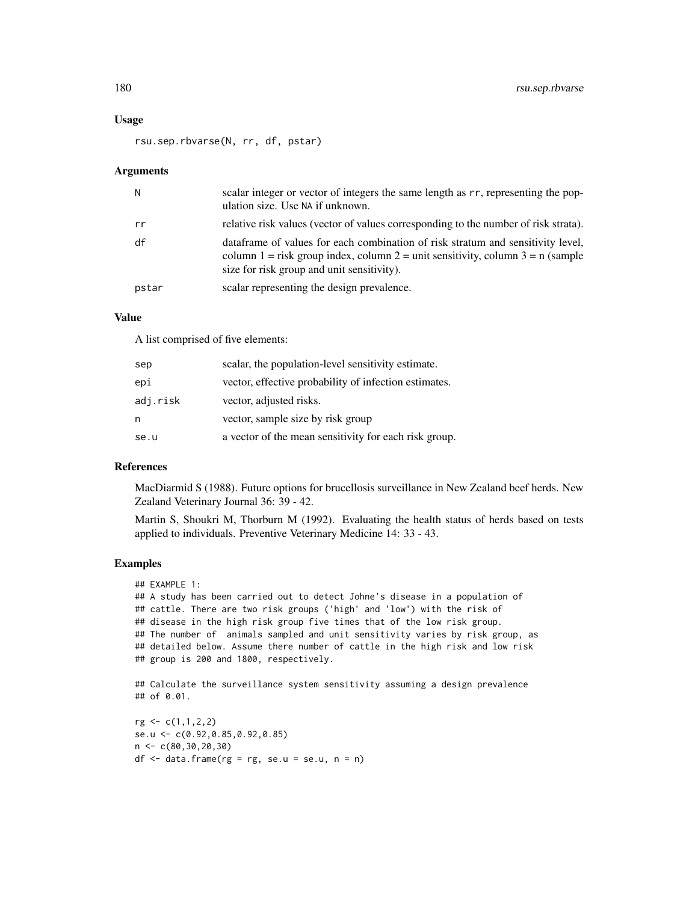### Usage

rsu.sep.rbvarse(N, rr, df, pstar)

### Arguments

| N     | scalar integer or vector of integers the same length as rr, representing the pop-<br>ulation size. Use NA if unknown.                                                                                            |
|-------|------------------------------------------------------------------------------------------------------------------------------------------------------------------------------------------------------------------|
| rr    | relative risk values (vector of values corresponding to the number of risk strata).                                                                                                                              |
| df    | data frame of values for each combination of risk stratum and sensitivity level,<br>column 1 = risk group index, column 2 = unit sensitivity, column 3 = n (sample<br>size for risk group and unit sensitivity). |
| pstar | scalar representing the design prevalence.                                                                                                                                                                       |

# Value

A list comprised of five elements:

| sep      | scalar, the population-level sensitivity estimate.    |
|----------|-------------------------------------------------------|
| epi      | vector, effective probability of infection estimates. |
| adj.risk | vector, adjusted risks.                               |
| n        | vector, sample size by risk group                     |
| se.u     | a vector of the mean sensitivity for each risk group. |

# References

MacDiarmid S (1988). Future options for brucellosis surveillance in New Zealand beef herds. New Zealand Veterinary Journal 36: 39 - 42.

Martin S, Shoukri M, Thorburn M (1992). Evaluating the health status of herds based on tests applied to individuals. Preventive Veterinary Medicine 14: 33 - 43.

```
## EXAMPLE 1:
## A study has been carried out to detect Johne's disease in a population of
## cattle. There are two risk groups ('high' and 'low') with the risk of
## disease in the high risk group five times that of the low risk group.
## The number of animals sampled and unit sensitivity varies by risk group, as
## detailed below. Assume there number of cattle in the high risk and low risk
## group is 200 and 1800, respectively.
## Calculate the surveillance system sensitivity assuming a design prevalence
## of 0.01.
```

```
rg <- c(1,1,2,2)
se.u <- c(0.92,0.85,0.92,0.85)
n <- c(80,30,20,30)
df \leq data.frame(rg = rg, se.u = se.u, n = n)
```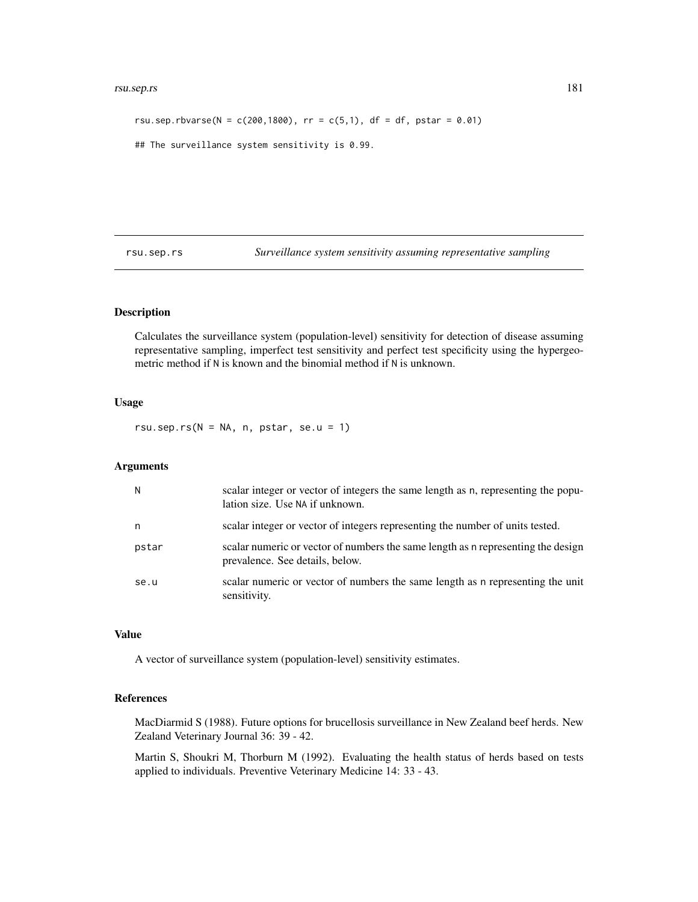#### <span id="page-180-0"></span>rsu.sep.rs 181

```
rsu.sep.rbvarse(N = c(200, 1800), rr = c(5,1), df = df, pstar = 0.01)
## The surveillance system sensitivity is 0.99.
```
rsu.sep.rs *Surveillance system sensitivity assuming representative sampling*

### Description

Calculates the surveillance system (population-level) sensitivity for detection of disease assuming representative sampling, imperfect test sensitivity and perfect test specificity using the hypergeometric method if N is known and the binomial method if N is unknown.

#### Usage

rsu.sep.rs( $N = NA$ , n, pstar, se.u = 1)

#### Arguments

| N     | scalar integer or vector of integers the same length as n, representing the popu-<br>lation size. Use NA if unknown. |
|-------|----------------------------------------------------------------------------------------------------------------------|
| n     | scalar integer or vector of integers representing the number of units tested.                                        |
| pstar | scalar numeric or vector of numbers the same length as a representing the design<br>prevalence. See details, below.  |
| se.u  | scalar numeric or vector of numbers the same length as n representing the unit<br>sensitivity.                       |

### Value

A vector of surveillance system (population-level) sensitivity estimates.

### References

MacDiarmid S (1988). Future options for brucellosis surveillance in New Zealand beef herds. New Zealand Veterinary Journal 36: 39 - 42.

Martin S, Shoukri M, Thorburn M (1992). Evaluating the health status of herds based on tests applied to individuals. Preventive Veterinary Medicine 14: 33 - 43.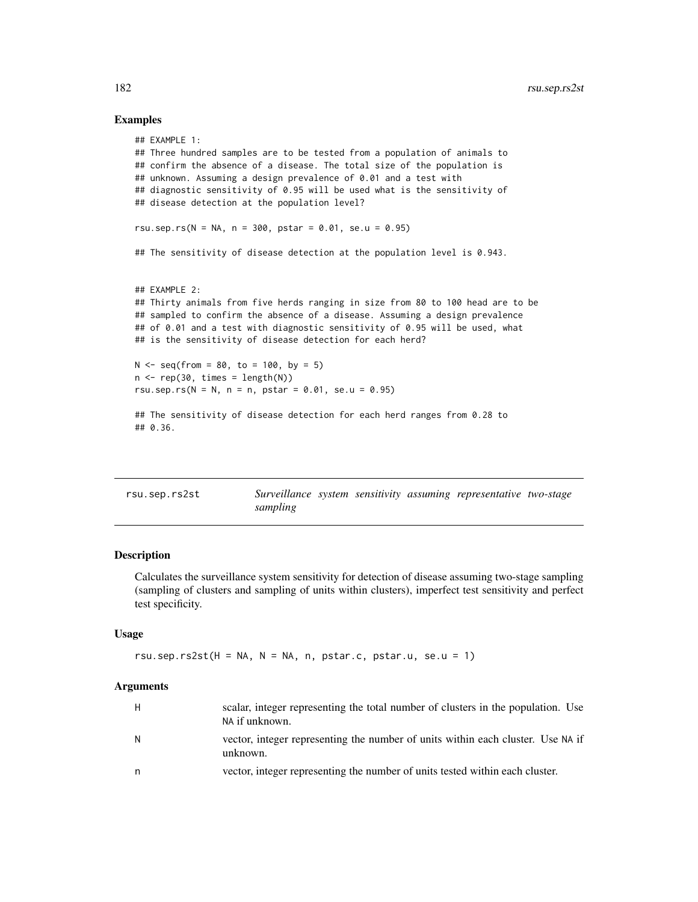### Examples

```
## EXAMPLE 1:
## Three hundred samples are to be tested from a population of animals to
## confirm the absence of a disease. The total size of the population is
## unknown. Assuming a design prevalence of 0.01 and a test with
## diagnostic sensitivity of 0.95 will be used what is the sensitivity of
## disease detection at the population level?
rsu.sep.rs(N = NA, n = 300, pstar = 0.01, se.u = 0.95)
## The sensitivity of disease detection at the population level is 0.943.
## EXAMPLE 2:
## Thirty animals from five herds ranging in size from 80 to 100 head are to be
## sampled to confirm the absence of a disease. Assuming a design prevalence
## of 0.01 and a test with diagnostic sensitivity of 0.95 will be used, what
## is the sensitivity of disease detection for each herd?
N < - seq(from = 80, to = 100, by = 5)
n \leq -\text{rep}(30, \text{ times} = \text{length}(N))rsu.sep.rs(N = N, n = n, pstar = 0.01, se.u = 0.95)
## The sensitivity of disease detection for each herd ranges from 0.28 to
## 0.36.
```

| rsu.sep.rs2st |          |  | Surveillance system sensitivity assuming representative two-stage |  |
|---------------|----------|--|-------------------------------------------------------------------|--|
|               | sampling |  |                                                                   |  |

### Description

Calculates the surveillance system sensitivity for detection of disease assuming two-stage sampling (sampling of clusters and sampling of units within clusters), imperfect test sensitivity and perfect test specificity.

#### Usage

```
rsu.sep.rs2st(H = NA, N = NA, n, pstar.c, pstar.u, se.u = 1)
```

| H | scalar, integer representing the total number of clusters in the population. Use<br>NA if unknown. |
|---|----------------------------------------------------------------------------------------------------|
| N | vector, integer representing the number of units within each cluster. Use NA if<br>unknown.        |
|   | vector, integer representing the number of units tested within each cluster.                       |

<span id="page-181-0"></span>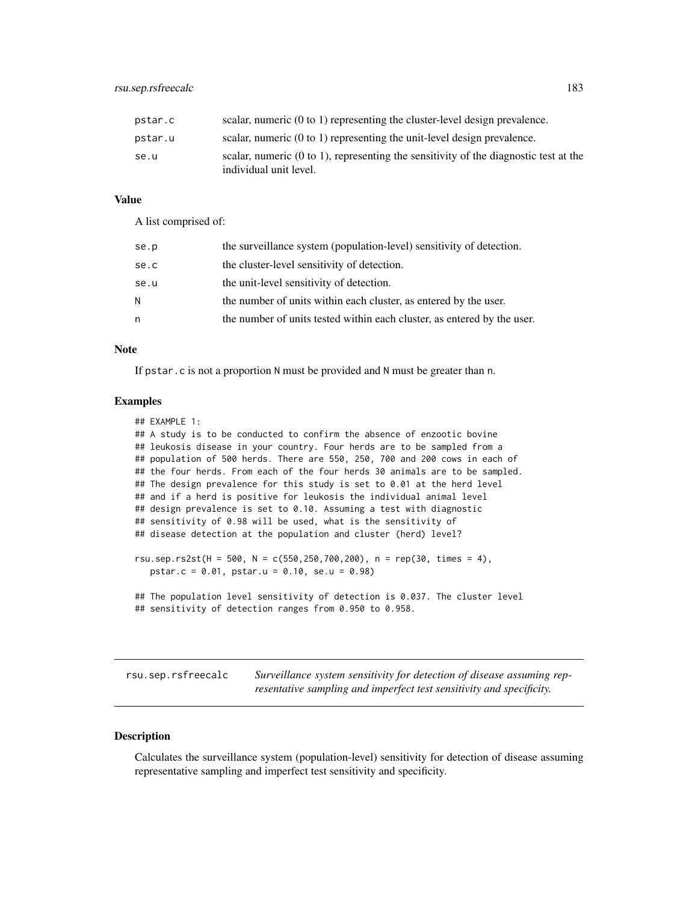<span id="page-182-0"></span>

| pstar.c | scalar, numeric $(0 \text{ to } 1)$ representing the cluster-level design prevalence.                                      |
|---------|----------------------------------------------------------------------------------------------------------------------------|
| pstar.u | scalar, numeric $(0 \text{ to } 1)$ representing the unit-level design prevalence.                                         |
| se.u    | scalar, numeric $(0 \text{ to } 1)$ , representing the sensitivity of the diagnostic test at the<br>individual unit level. |

A list comprised of:

| se.p | the surveillance system (population-level) sensitivity of detection.    |
|------|-------------------------------------------------------------------------|
| se.c | the cluster-level sensitivity of detection.                             |
| se.u | the unit-level sensitivity of detection.                                |
| N    | the number of units within each cluster, as entered by the user.        |
| n    | the number of units tested within each cluster, as entered by the user. |

#### **Note**

If pstar.c is not a proportion N must be provided and N must be greater than n.

### Examples

```
## EXAMPLE 1:
## A study is to be conducted to confirm the absence of enzootic bovine
## leukosis disease in your country. Four herds are to be sampled from a
## population of 500 herds. There are 550, 250, 700 and 200 cows in each of
## the four herds. From each of the four herds 30 animals are to be sampled.
## The design prevalence for this study is set to 0.01 at the herd level
## and if a herd is positive for leukosis the individual animal level
## design prevalence is set to 0.10. Assuming a test with diagnostic
## sensitivity of 0.98 will be used, what is the sensitivity of
## disease detection at the population and cluster (herd) level?
rsu.sep.rs2st(H = 500, N = c(550, 250, 700, 200), n = rep(30, times = 4),
  pstar.c = 0.01, pstar.u = 0.10, se.u = 0.98)
```

```
## The population level sensitivity of detection is 0.037. The cluster level
## sensitivity of detection ranges from 0.950 to 0.958.
```
rsu.sep.rsfreecalc *Surveillance system sensitivity for detection of disease assuming representative sampling and imperfect test sensitivity and specificity.*

### **Description**

Calculates the surveillance system (population-level) sensitivity for detection of disease assuming representative sampling and imperfect test sensitivity and specificity.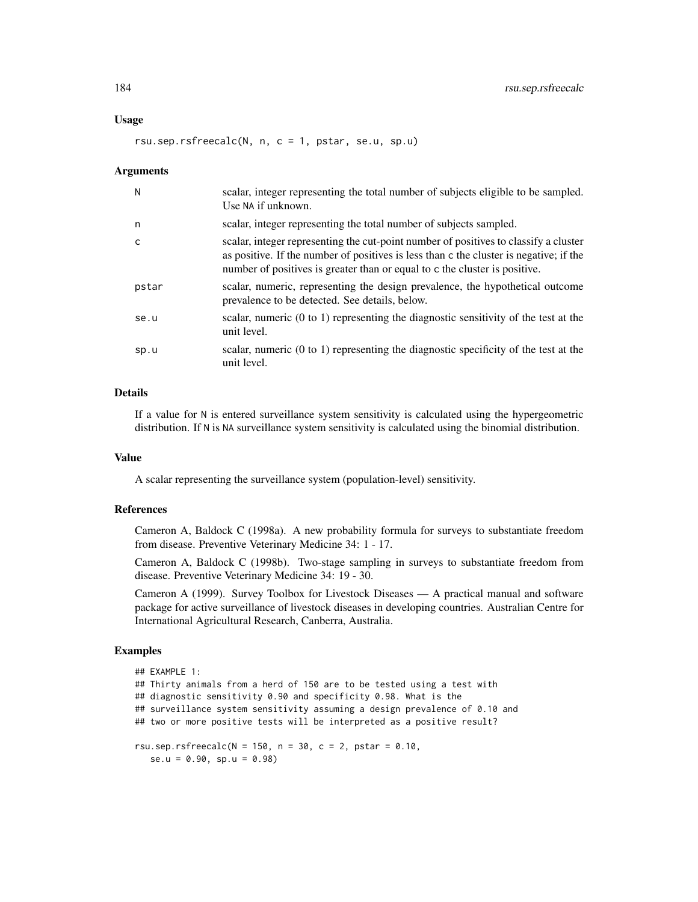#### rsu.sep.rsfreecalc $(N, n, c = 1, pstar, se.u, sp.u)$

#### Arguments

| N     | scalar, integer representing the total number of subjects eligible to be sampled.<br>Use NA if unknown.                                                                                                                                                      |
|-------|--------------------------------------------------------------------------------------------------------------------------------------------------------------------------------------------------------------------------------------------------------------|
| n     | scalar, integer representing the total number of subjects sampled.                                                                                                                                                                                           |
| C     | scalar, integer representing the cut-point number of positives to classify a cluster<br>as positive. If the number of positives is less than c the cluster is negative; if the<br>number of positives is greater than or equal to c the cluster is positive. |
| pstar | scalar, numeric, representing the design prevalence, the hypothetical outcome<br>prevalence to be detected. See details, below.                                                                                                                              |
| se.u  | scalar, numeric $(0 \text{ to } 1)$ representing the diagnostic sensitivity of the test at the<br>unit level.                                                                                                                                                |
| sp.u  | scalar, numeric $(0 \text{ to } 1)$ representing the diagnostic specificity of the test at the<br>unit level.                                                                                                                                                |

### Details

If a value for N is entered surveillance system sensitivity is calculated using the hypergeometric distribution. If N is NA surveillance system sensitivity is calculated using the binomial distribution.

### Value

A scalar representing the surveillance system (population-level) sensitivity.

### References

Cameron A, Baldock C (1998a). A new probability formula for surveys to substantiate freedom from disease. Preventive Veterinary Medicine 34: 1 - 17.

Cameron A, Baldock C (1998b). Two-stage sampling in surveys to substantiate freedom from disease. Preventive Veterinary Medicine 34: 19 - 30.

Cameron A (1999). Survey Toolbox for Livestock Diseases — A practical manual and software package for active surveillance of livestock diseases in developing countries. Australian Centre for International Agricultural Research, Canberra, Australia.

#### Examples

```
## EXAMPLE 1:
## Thirty animals from a herd of 150 are to be tested using a test with
## diagnostic sensitivity 0.90 and specificity 0.98. What is the
## surveillance system sensitivity assuming a design prevalence of 0.10 and
## two or more positive tests will be interpreted as a positive result?
rsu.sep.rsfreecalc(N = 150, n = 30, c = 2, pstar = 0.10,
  se.u = 0.90, sp.u = 0.98)
```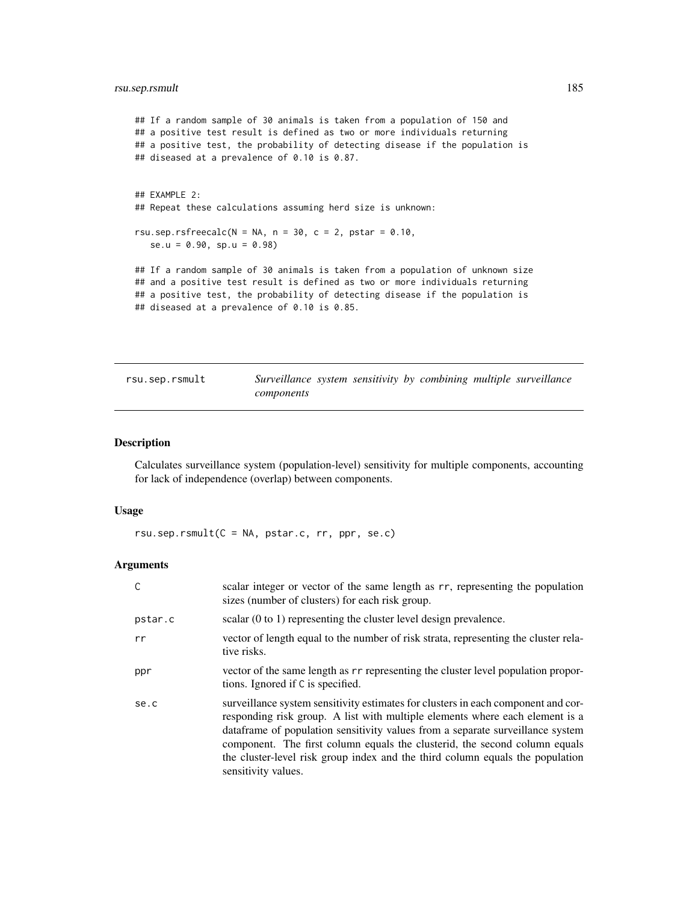### <span id="page-184-0"></span>rsu.sep.rsmult 185

```
## If a random sample of 30 animals is taken from a population of 150 and
## a positive test result is defined as two or more individuals returning
## a positive test, the probability of detecting disease if the population is
## diseased at a prevalence of 0.10 is 0.87.
## EXAMPLE 2:
## Repeat these calculations assuming herd size is unknown:
rsu.sep.rsfreecalc(N = NA, n = 30, c = 2, pstar = 0.10,
  se.u = 0.90, sp.u = 0.98## If a random sample of 30 animals is taken from a population of unknown size
## and a positive test result is defined as two or more individuals returning
## a positive test, the probability of detecting disease if the population is
## diseased at a prevalence of 0.10 is 0.85.
```
rsu.sep.rsmult *Surveillance system sensitivity by combining multiple surveillance components*

### Description

Calculates surveillance system (population-level) sensitivity for multiple components, accounting for lack of independence (overlap) between components.

### Usage

rsu.sep.rsmult(C = NA, pstar.c, rr, ppr, se.c)

| C       | scalar integer or vector of the same length as rr, representing the population<br>sizes (number of clusters) for each risk group.                                                                                                                                                                                                                                                                                                         |
|---------|-------------------------------------------------------------------------------------------------------------------------------------------------------------------------------------------------------------------------------------------------------------------------------------------------------------------------------------------------------------------------------------------------------------------------------------------|
| pstar.c | scalar $(0 \text{ to } 1)$ representing the cluster level design prevalence.                                                                                                                                                                                                                                                                                                                                                              |
| rr      | vector of length equal to the number of risk strata, representing the cluster rela-<br>tive risks.                                                                                                                                                                                                                                                                                                                                        |
| ppr     | vector of the same length as r r representing the cluster level population propor-<br>tions. Ignored if C is specified.                                                                                                                                                                                                                                                                                                                   |
| se.c    | surveillance system sensitivity estimates for clusters in each component and cor-<br>responding risk group. A list with multiple elements where each element is a<br>dataframe of population sensitivity values from a separate surveillance system<br>component. The first column equals the clusterid, the second column equals<br>the cluster-level risk group index and the third column equals the population<br>sensitivity values. |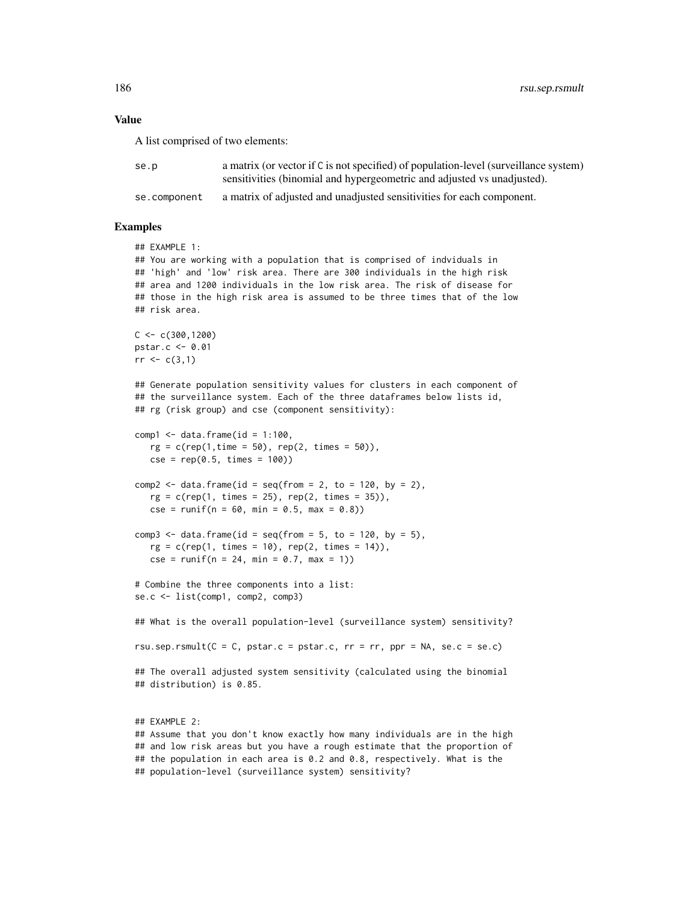A list comprised of two elements:

| se.p         | a matrix (or vector if C is not specified) of population-level (surveillance system) |
|--------------|--------------------------------------------------------------------------------------|
|              | sensitivities (binomial and hypergeometric and adjusted vs unadjusted).              |
| se.component | a matrix of adjusted and unadjusted sensitivities for each component.                |

### Examples

```
## EXAMPLE 1:
## You are working with a population that is comprised of indviduals in
## 'high' and 'low' risk area. There are 300 individuals in the high risk
## area and 1200 individuals in the low risk area. The risk of disease for
## those in the high risk area is assumed to be three times that of the low
## risk area.
C < -c(300, 1200)pstar.c <- 0.01
rr < c(3,1)## Generate population sensitivity values for clusters in each component of
## the surveillance system. Each of the three dataframes below lists id,
## rg (risk group) and cse (component sensitivity):
comp1 \leq data.frame(id = 1:100,
   rg = c(rep(1, time = 50), rep(2, times = 50)),cse = rep(0.5, times = 100)comp2 \leq data.frame(id = seq(from = 2, to = 120, by = 2),
   rg = c(rep(1, times = 25), rep(2, times = 35)),cse = runif(n = 60, min = 0.5, max = 0.8)comp3 \leq data.frame(id = seq(from = 5, to = 120, by = 5),
   rg = c(rep(1, times = 10), rep(2, times = 14)),cse = runif(n = 24, min = 0.7, max = 1))# Combine the three components into a list:
se.c <- list(comp1, comp2, comp3)
## What is the overall population-level (surveillance system) sensitivity?
rsu.sep.rsmult(C = C, pstar.c = pstar.c, rr = rr, ppr = NA, se.c = se.c)
## The overall adjusted system sensitivity (calculated using the binomial
## distribution) is 0.85.
## EXAMPLE 2:
## Assume that you don't know exactly how many individuals are in the high
## and low risk areas but you have a rough estimate that the proportion of
```
## the population in each area is 0.2 and 0.8, respectively. What is the

## population-level (surveillance system) sensitivity?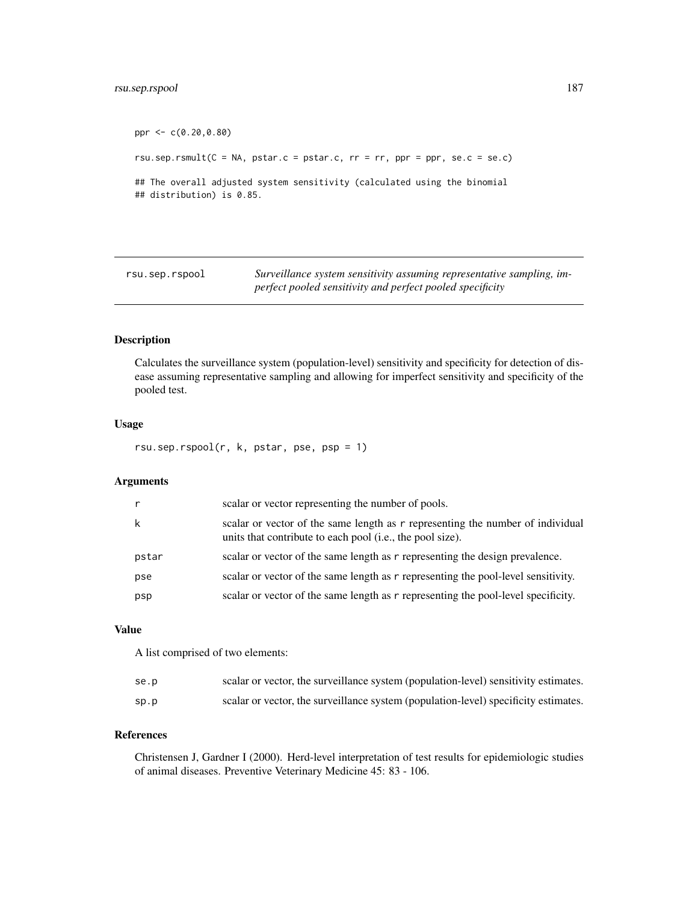### <span id="page-186-0"></span>rsu.sep.rspool 187

```
ppr <- c(0.20,0.80)
rsu.sep.rsmult(C = NA, pstar.c = pstar.c, rr = rr, ppr = ppr, se.c = se.c)
## The overall adjusted system sensitivity (calculated using the binomial
## distribution) is 0.85.
```
rsu.sep.rspool *Surveillance system sensitivity assuming representative sampling, imperfect pooled sensitivity and perfect pooled specificity*

### Description

Calculates the surveillance system (population-level) sensitivity and specificity for detection of disease assuming representative sampling and allowing for imperfect sensitivity and specificity of the pooled test.

#### Usage

rsu.sep.rspool(r, k, pstar, pse, psp = 1)

### Arguments

|       | scalar or vector representing the number of pools.                                                                                          |
|-------|---------------------------------------------------------------------------------------------------------------------------------------------|
| k     | scalar or vector of the same length as r representing the number of individual<br>units that contribute to each pool (i.e., the pool size). |
| pstar | scalar or vector of the same length as r representing the design prevalence.                                                                |
| pse   | scalar or vector of the same length as r representing the pool-level sensitivity.                                                           |
| psp   | scalar or vector of the same length as r representing the pool-level specificity.                                                           |

### Value

A list comprised of two elements:

| se.p | scalar or vector, the surveillance system (population-level) sensitivity estimates. |
|------|-------------------------------------------------------------------------------------|
| sp.p | scalar or vector, the surveillance system (population-level) specificity estimates. |

### References

Christensen J, Gardner I (2000). Herd-level interpretation of test results for epidemiologic studies of animal diseases. Preventive Veterinary Medicine 45: 83 - 106.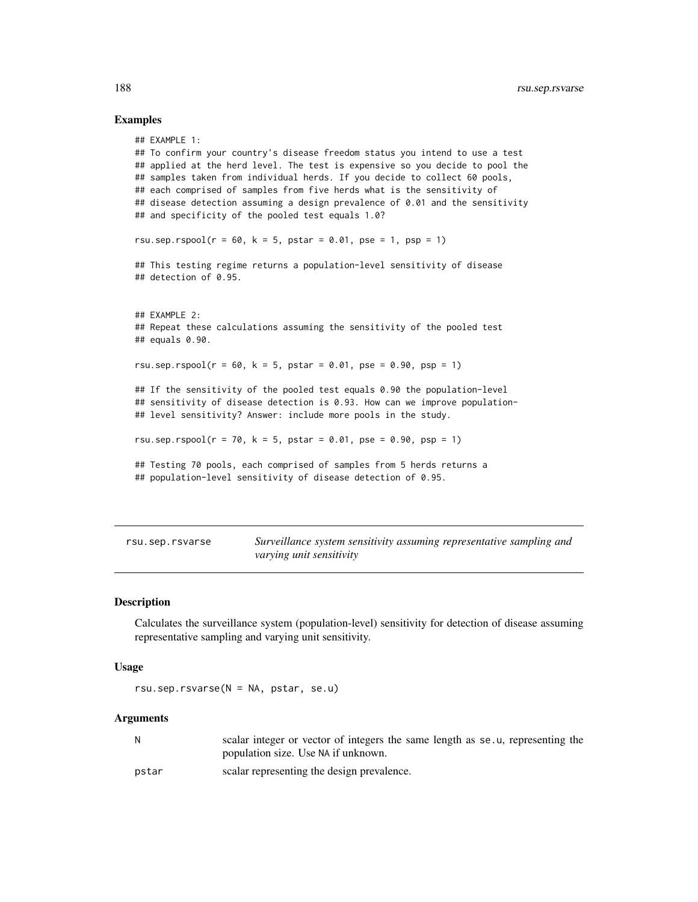### Examples

```
## EXAMPLE 1:
## To confirm your country's disease freedom status you intend to use a test
## applied at the herd level. The test is expensive so you decide to pool the
## samples taken from individual herds. If you decide to collect 60 pools,
## each comprised of samples from five herds what is the sensitivity of
## disease detection assuming a design prevalence of 0.01 and the sensitivity
## and specificity of the pooled test equals 1.0?
rsu.sep.rspool(r = 60, k = 5, pstar = 0.01, pse = 1, psp = 1)
## This testing regime returns a population-level sensitivity of disease
## detection of 0.95.
## EXAMPLE 2:
## Repeat these calculations assuming the sensitivity of the pooled test
## equals 0.90.
rsu.sep.rspool(r = 60, k = 5, pstar = 0.01, pse = 0.90, psp = 1)
## If the sensitivity of the pooled test equals 0.90 the population-level
## sensitivity of disease detection is 0.93. How can we improve population-
## level sensitivity? Answer: include more pools in the study.
rsu.sep.rspool(r = 70, k = 5, pstar = 0.01, pse = 0.90, psp = 1)
## Testing 70 pools, each comprised of samples from 5 herds returns a
## population-level sensitivity of disease detection of 0.95.
```

| rsu.sep.rsvarse | Surveillance system sensitivity assuming representative sampling and |
|-----------------|----------------------------------------------------------------------|
|                 | varying unit sensitivity                                             |

### Description

Calculates the surveillance system (population-level) sensitivity for detection of disease assuming representative sampling and varying unit sensitivity.

#### Usage

rsu.sep.rsvarse(N = NA, pstar, se.u)

| N     | scalar integer or vector of integers the same length as se.u, representing the |
|-------|--------------------------------------------------------------------------------|
|       | population size. Use NA if unknown.                                            |
| pstar | scalar representing the design prevalence.                                     |

<span id="page-187-0"></span>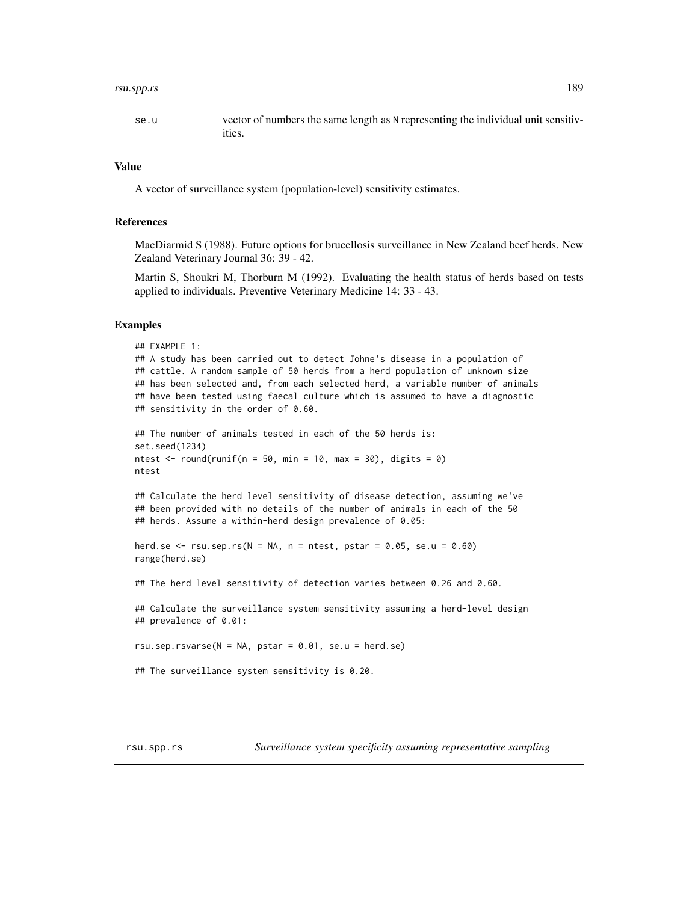#### <span id="page-188-0"></span>rsu.spp.rs 189

#### Value

A vector of surveillance system (population-level) sensitivity estimates.

### References

MacDiarmid S (1988). Future options for brucellosis surveillance in New Zealand beef herds. New Zealand Veterinary Journal 36: 39 - 42.

Martin S, Shoukri M, Thorburn M (1992). Evaluating the health status of herds based on tests applied to individuals. Preventive Veterinary Medicine 14: 33 - 43.

### Examples

```
## EXAMPLE 1:
## A study has been carried out to detect Johne's disease in a population of
## cattle. A random sample of 50 herds from a herd population of unknown size
## has been selected and, from each selected herd, a variable number of animals
## have been tested using faecal culture which is assumed to have a diagnostic
## sensitivity in the order of 0.60.
## The number of animals tested in each of the 50 herds is:
set.seed(1234)
ntest \le round(runif(n = 50, min = 10, max = 30), digits = 0)
ntest
## Calculate the herd level sensitivity of disease detection, assuming we've
## been provided with no details of the number of animals in each of the 50
## herds. Assume a within-herd design prevalence of 0.05:
herd.se \leq rsu.sep.rs(N = NA, n = ntest, pstar = 0.05, se.u = 0.60)
range(herd.se)
## The herd level sensitivity of detection varies between 0.26 and 0.60.
## Calculate the surveillance system sensitivity assuming a herd-level design
## prevalence of 0.01:
rsu.sep.rsvarse(N = NA, pstar = 0.01, se.u = herd.se)
## The surveillance system sensitivity is 0.20.
```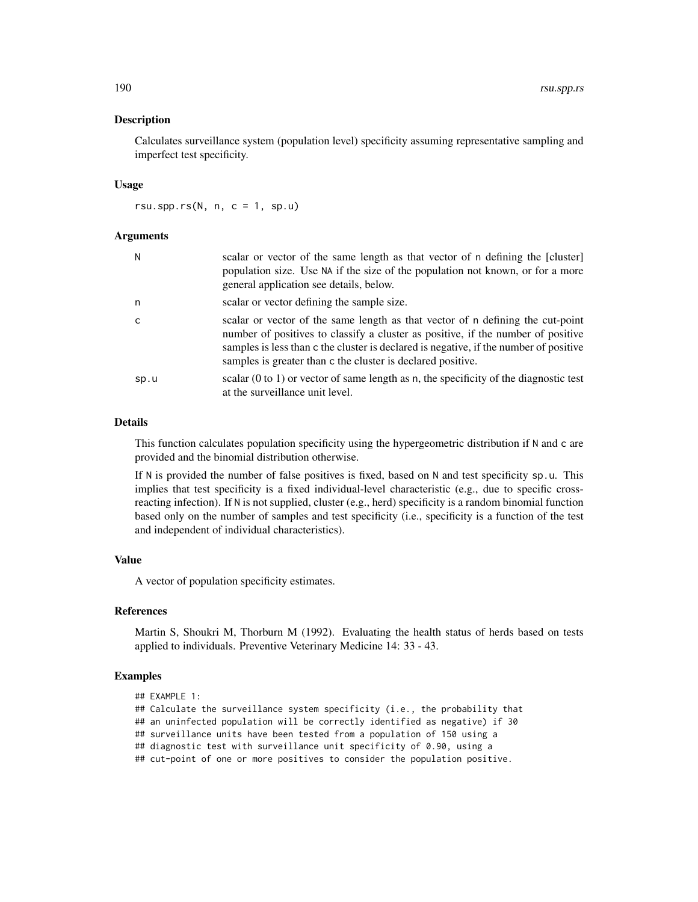#### **Description**

Calculates surveillance system (population level) specificity assuming representative sampling and imperfect test specificity.

#### Usage

rsu.spp.rs $(N, n, c = 1, sp.u)$ 

### Arguments

| N    | scalar or vector of the same length as that vector of n defining the [cluster]<br>population size. Use NA if the size of the population not known, or for a more<br>general application see details, below.                                                                                                                |
|------|----------------------------------------------------------------------------------------------------------------------------------------------------------------------------------------------------------------------------------------------------------------------------------------------------------------------------|
| n    | scalar or vector defining the sample size.                                                                                                                                                                                                                                                                                 |
| C    | scalar or vector of the same length as that vector of n defining the cut-point<br>number of positives to classify a cluster as positive, if the number of positive<br>samples is less than c the cluster is declared is negative, if the number of positive<br>samples is greater than c the cluster is declared positive. |
| sp.u | scalar $(0 \text{ to } 1)$ or vector of same length as n, the specificity of the diagnostic test<br>at the surveillance unit level.                                                                                                                                                                                        |

### **Details**

This function calculates population specificity using the hypergeometric distribution if N and c are provided and the binomial distribution otherwise.

If N is provided the number of false positives is fixed, based on N and test specificity sp.u. This implies that test specificity is a fixed individual-level characteristic (e.g., due to specific crossreacting infection). If N is not supplied, cluster (e.g., herd) specificity is a random binomial function based only on the number of samples and test specificity (i.e., specificity is a function of the test and independent of individual characteristics).

### Value

A vector of population specificity estimates.

### References

Martin S, Shoukri M, Thorburn M (1992). Evaluating the health status of herds based on tests applied to individuals. Preventive Veterinary Medicine 14: 33 - 43.

### Examples

```
## EXAMPLE 1:
```
## Calculate the surveillance system specificity (i.e., the probability that

## an uninfected population will be correctly identified as negative) if 30

## surveillance units have been tested from a population of 150 using a

## diagnostic test with surveillance unit specificity of 0.90, using a

## cut-point of one or more positives to consider the population positive.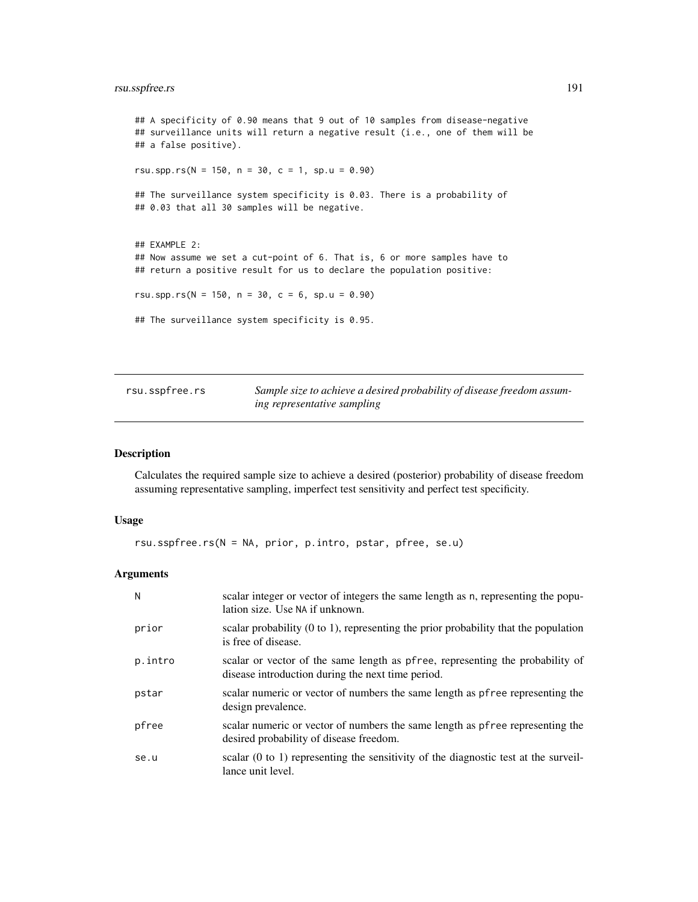### <span id="page-190-1"></span>rsu.sspfree.rs 191

## A specificity of 0.90 means that 9 out of 10 samples from disease-negative ## surveillance units will return a negative result (i.e., one of them will be ## a false positive). rsu.spp.rs( $N = 150$ ,  $n = 30$ ,  $c = 1$ , sp.u = 0.90) ## The surveillance system specificity is 0.03. There is a probability of ## 0.03 that all 30 samples will be negative. ## EXAMPLE 2: ## Now assume we set a cut-point of 6. That is, 6 or more samples have to ## return a positive result for us to declare the population positive: rsu.spp.rs( $N = 150$ ,  $n = 30$ ,  $c = 6$ ,  $sp.u = 0.90$ ) ## The surveillance system specificity is 0.95.

<span id="page-190-0"></span>

| rsu.sspfree.rs | Sample size to achieve a desired probability of disease freedom assum- |
|----------------|------------------------------------------------------------------------|
|                | ing representative sampling                                            |

### Description

Calculates the required sample size to achieve a desired (posterior) probability of disease freedom assuming representative sampling, imperfect test sensitivity and perfect test specificity.

#### Usage

```
rsu.sspfree.rs(N = NA, prior, p.intro, pstar, pfree, se.u)
```

| N       | scalar integer or vector of integers the same length as n, representing the popu-<br>lation size. Use NA if unknown.               |
|---------|------------------------------------------------------------------------------------------------------------------------------------|
| prior   | scalar probability $(0 \text{ to } 1)$ , representing the prior probability that the population<br>is free of disease.             |
| p.intro | scalar or vector of the same length as pfree, representing the probability of<br>disease introduction during the next time period. |
| pstar   | scalar numeric or vector of numbers the same length as pfree representing the<br>design prevalence.                                |
| pfree   | scalar numeric or vector of numbers the same length as pfree representing the<br>desired probability of disease freedom.           |
| se.u    | scalar $(0 \text{ to } 1)$ representing the sensitivity of the diagnostic test at the surveil-<br>lance unit level.                |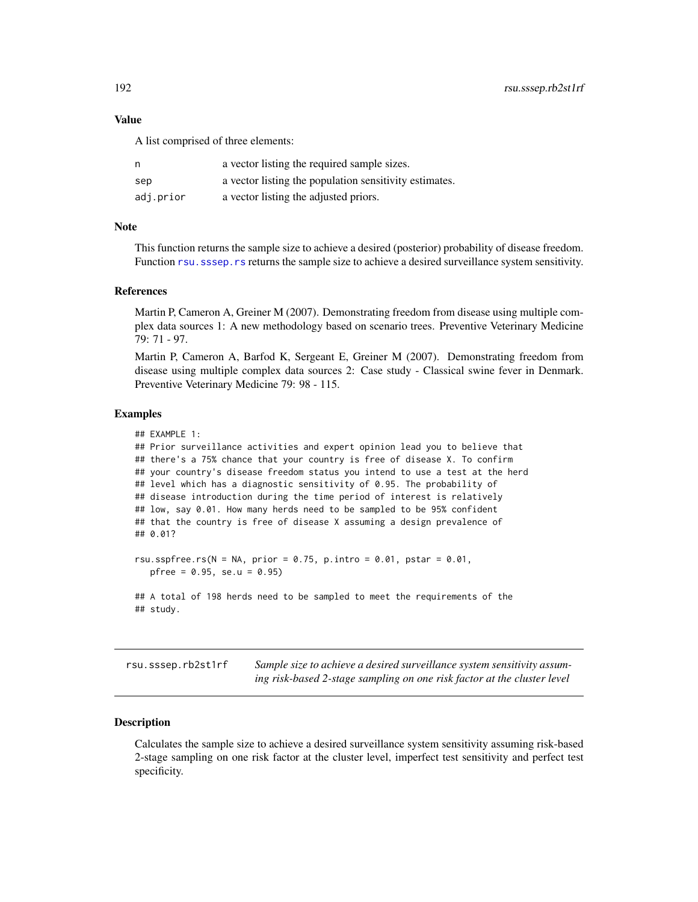A list comprised of three elements:

| n         | a vector listing the required sample sizes.            |
|-----------|--------------------------------------------------------|
| sep       | a vector listing the population sensitivity estimates. |
| adj.prior | a vector listing the adjusted priors.                  |

### **Note**

This function returns the sample size to achieve a desired (posterior) probability of disease freedom. Function rsu. sssep.rs returns the sample size to achieve a desired surveillance system sensitivity.

#### References

Martin P, Cameron A, Greiner M (2007). Demonstrating freedom from disease using multiple complex data sources 1: A new methodology based on scenario trees. Preventive Veterinary Medicine 79: 71 - 97.

Martin P, Cameron A, Barfod K, Sergeant E, Greiner M (2007). Demonstrating freedom from disease using multiple complex data sources 2: Case study - Classical swine fever in Denmark. Preventive Veterinary Medicine 79: 98 - 115.

### Examples

```
## EXAMPLE 1:
## Prior surveillance activities and expert opinion lead you to believe that
## there's a 75% chance that your country is free of disease X. To confirm
## your country's disease freedom status you intend to use a test at the herd
## level which has a diagnostic sensitivity of 0.95. The probability of
## disease introduction during the time period of interest is relatively
## low, say 0.01. How many herds need to be sampled to be 95% confident
## that the country is free of disease X assuming a design prevalence of
## 0.01?
rsu.sspfree.rs(N = NA, prior = 0.75, p.intro = 0.01, pstar = 0.01,
  pfree = 0.95, se.u = 0.95)
```

```
## A total of 198 herds need to be sampled to meet the requirements of the
## study.
```
rsu.sssep.rb2st1rf *Sample size to achieve a desired surveillance system sensitivity assuming risk-based 2-stage sampling on one risk factor at the cluster level*

### Description

Calculates the sample size to achieve a desired surveillance system sensitivity assuming risk-based 2-stage sampling on one risk factor at the cluster level, imperfect test sensitivity and perfect test specificity.

<span id="page-191-0"></span>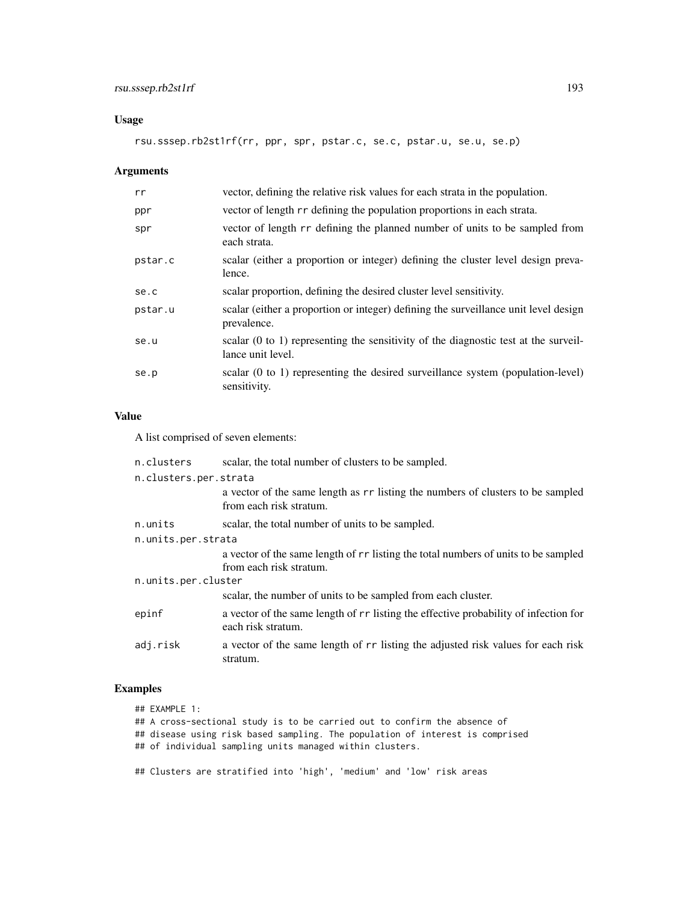### Usage

rsu.sssep.rb2st1rf(rr, ppr, spr, pstar.c, se.c, pstar.u, se.u, se.p)

## Arguments

| rr      | vector, defining the relative risk values for each strata in the population.                                        |
|---------|---------------------------------------------------------------------------------------------------------------------|
| ppr     | vector of length rr defining the population proportions in each strata.                                             |
| spr     | vector of length rr defining the planned number of units to be sampled from<br>each strata.                         |
| pstar.c | scalar (either a proportion or integer) defining the cluster level design preva-<br>lence.                          |
| se.c    | scalar proportion, defining the desired cluster level sensitivity.                                                  |
| pstar.u | scalar (either a proportion or integer) defining the surveillance unit level design<br>prevalence.                  |
| se.u    | scalar $(0 \text{ to } 1)$ representing the sensitivity of the diagnostic test at the surveil-<br>lance unit level. |
| se.p    | scalar (0 to 1) representing the desired surveillance system (population-level)<br>sensitivity.                     |

### Value

A list comprised of seven elements:

| n.clusters            | scalar, the total number of clusters to be sampled.                                                        |  |
|-----------------------|------------------------------------------------------------------------------------------------------------|--|
| n.clusters.per.strata |                                                                                                            |  |
|                       | a vector of the same length as r isting the numbers of clusters to be sampled<br>from each risk stratum.   |  |
| n.units               | scalar, the total number of units to be sampled.                                                           |  |
| n.units.per.strata    |                                                                                                            |  |
|                       | a vector of the same length of rr listing the total numbers of units to be sampled                         |  |
|                       | from each risk stratum.                                                                                    |  |
| n.units.per.cluster   |                                                                                                            |  |
|                       | scalar, the number of units to be sampled from each cluster.                                               |  |
| epinf                 | a vector of the same length of rr listing the effective probability of infection for<br>each risk stratum. |  |
| adj.risk              | a vector of the same length of r r listing the adjusted risk values for each risk<br>stratum.              |  |

### Examples

| ## EXAMPLE 1:                                                                 |
|-------------------------------------------------------------------------------|
| ## A cross-sectional study is to be carried out to confirm the absence of     |
| ## disease using risk based sampling. The population of interest is comprised |
| ## of individual sampling units managed within clusters.                      |
|                                                                               |
| ## Clusters are stratified into 'high', 'medium' and 'low' risk areas         |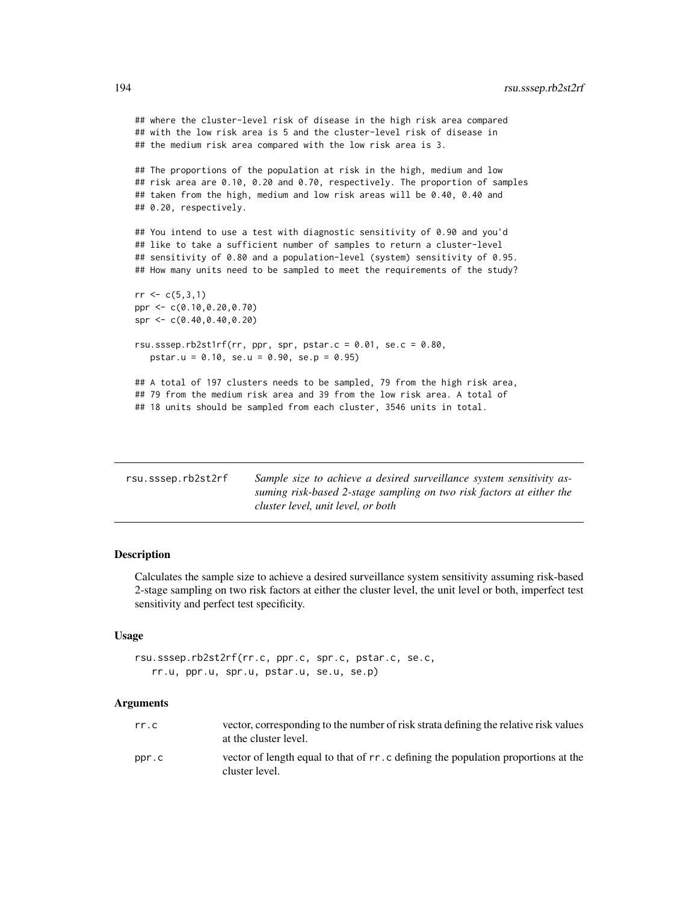<span id="page-193-0"></span>## where the cluster-level risk of disease in the high risk area compared ## with the low risk area is 5 and the cluster-level risk of disease in ## the medium risk area compared with the low risk area is 3. ## The proportions of the population at risk in the high, medium and low ## risk area are 0.10, 0.20 and 0.70, respectively. The proportion of samples ## taken from the high, medium and low risk areas will be 0.40, 0.40 and ## 0.20, respectively. ## You intend to use a test with diagnostic sensitivity of 0.90 and you'd ## like to take a sufficient number of samples to return a cluster-level ## sensitivity of 0.80 and a population-level (system) sensitivity of 0.95. ## How many units need to be sampled to meet the requirements of the study?  $rr < c(5,3,1)$ ppr <- c(0.10,0.20,0.70) spr <- c(0.40,0.40,0.20) rsu.sssep.rb2st1rf(rr, ppr, spr, pstar.c =  $0.01$ , se.c =  $0.80$ , pstar.u = 0.10, se.u = 0.90, se.p = 0.95) ## A total of 197 clusters needs to be sampled, 79 from the high risk area, ## 79 from the medium risk area and 39 from the low risk area. A total of ## 18 units should be sampled from each cluster, 3546 units in total.

| rsu.sssep.rb2st2rf | Sample size to achieve a desired surveillance system sensitivity as- |
|--------------------|----------------------------------------------------------------------|
|                    | suming risk-based 2-stage sampling on two risk factors at either the |
|                    | cluster level, unit level, or both                                   |

### Description

Calculates the sample size to achieve a desired surveillance system sensitivity assuming risk-based 2-stage sampling on two risk factors at either the cluster level, the unit level or both, imperfect test sensitivity and perfect test specificity.

### Usage

```
rsu.sssep.rb2st2rf(rr.c, ppr.c, spr.c, pstar.c, se.c,
   rr.u, ppr.u, spr.u, pstar.u, se.u, se.p)
```

| rr.c  | vector, corresponding to the number of risk strata defining the relative risk values<br>at the cluster level. |
|-------|---------------------------------------------------------------------------------------------------------------|
| ppr.c | vector of length equal to that of r r. c defining the population proportions at the<br>cluster level.         |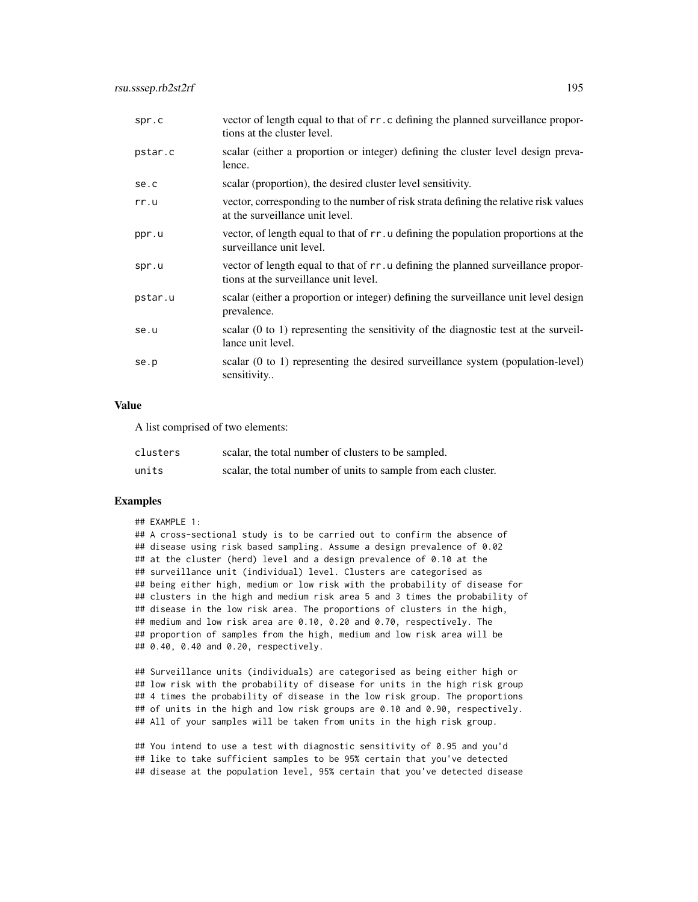| spr.c   | vector of length equal to that of rr. c defining the planned surveillance propor-<br>tions at the cluster level.           |
|---------|----------------------------------------------------------------------------------------------------------------------------|
| pstar.c | scalar (either a proportion or integer) defining the cluster level design preva-<br>lence.                                 |
| se.c    | scalar (proportion), the desired cluster level sensitivity.                                                                |
| rr.u    | vector, corresponding to the number of risk strata defining the relative risk values<br>at the surveillance unit level.    |
| ppr.u   | vector, of length equal to that of rr. u defining the population proportions at the<br>surveillance unit level.            |
| spr.u   | vector of length equal to that of rr. u defining the planned surveillance propor-<br>tions at the surveillance unit level. |
| pstar.u | scalar (either a proportion or integer) defining the surveillance unit level design<br>prevalence.                         |
| se.u    | scalar $(0 \text{ to } 1)$ representing the sensitivity of the diagnostic test at the surveil-<br>lance unit level.        |
| se.p    | scalar $(0 \text{ to } 1)$ representing the desired surveillance system (population-level)<br>sensitivity                  |

A list comprised of two elements:

| clusters | scalar, the total number of clusters to be sampled.            |
|----------|----------------------------------------------------------------|
| units    | scalar, the total number of units to sample from each cluster. |

### Examples

### ## EXAMPLE 1: ## A cross-sectional study is to be carried out to confirm the absence of ## disease using risk based sampling. Assume a design prevalence of 0.02 ## at the cluster (herd) level and a design prevalence of 0.10 at the ## surveillance unit (individual) level. Clusters are categorised as ## being either high, medium or low risk with the probability of disease for ## clusters in the high and medium risk area 5 and 3 times the probability of ## disease in the low risk area. The proportions of clusters in the high, ## medium and low risk area are 0.10, 0.20 and 0.70, respectively. The ## proportion of samples from the high, medium and low risk area will be ## 0.40, 0.40 and 0.20, respectively.

## Surveillance units (individuals) are categorised as being either high or ## low risk with the probability of disease for units in the high risk group ## 4 times the probability of disease in the low risk group. The proportions ## of units in the high and low risk groups are 0.10 and 0.90, respectively. ## All of your samples will be taken from units in the high risk group.

## You intend to use a test with diagnostic sensitivity of 0.95 and you'd ## like to take sufficient samples to be 95% certain that you've detected ## disease at the population level, 95% certain that you've detected disease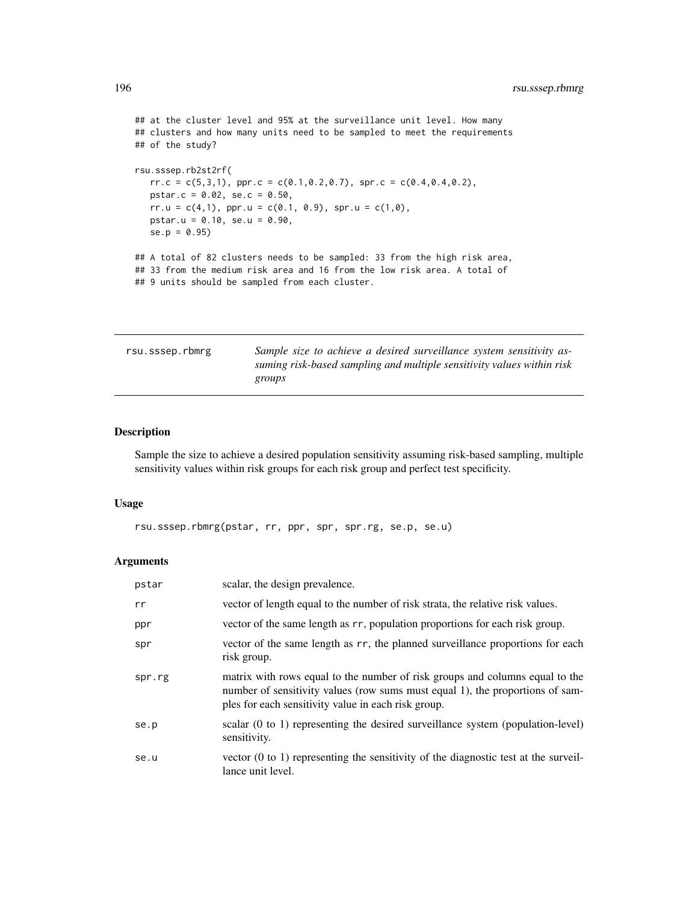```
## at the cluster level and 95% at the surveillance unit level. How many
## clusters and how many units need to be sampled to meet the requirements
## of the study?
rsu.sssep.rb2st2rf(
  rr.c = c(5,3,1), pr.c = c(0.1,0.2,0.7), spr.c = c(0.4,0.4,0.2),pstar.c = 0.02, se.c = 0.50,
  rr.u = c(4,1), ppr.u = c(0.1, 0.9), spr.u = c(1,0),
  pstar.u = 0.10, se.u = 0.90,
  se.p = 0.95## A total of 82 clusters needs to be sampled: 33 from the high risk area,
## 33 from the medium risk area and 16 from the low risk area. A total of
## 9 units should be sampled from each cluster.
```

| rsu.sssep.rbmrg | Sample size to achieve a desired surveillance system sensitivity as-   |
|-----------------|------------------------------------------------------------------------|
|                 | suming risk-based sampling and multiple sensitivity values within risk |
|                 | groups                                                                 |

### Description

Sample the size to achieve a desired population sensitivity assuming risk-based sampling, multiple sensitivity values within risk groups for each risk group and perfect test specificity.

#### Usage

```
rsu.sssep.rbmrg(pstar, rr, ppr, spr, spr.rg, se.p, se.u)
```

| pstar  | scalar, the design prevalence.                                                                                                                                                                                       |
|--------|----------------------------------------------------------------------------------------------------------------------------------------------------------------------------------------------------------------------|
| rr     | vector of length equal to the number of risk strata, the relative risk values.                                                                                                                                       |
| ppr    | vector of the same length as rr, population proportions for each risk group.                                                                                                                                         |
| spr    | vector of the same length as rr, the planned surveillance proportions for each<br>risk group.                                                                                                                        |
| spr.rg | matrix with rows equal to the number of risk groups and columns equal to the<br>number of sensitivity values (row sums must equal 1), the proportions of sam-<br>ples for each sensitivity value in each risk group. |
| se.p   | scalar (0 to 1) representing the desired surveillance system (population-level)<br>sensitivity.                                                                                                                      |
| se.u   | vector $(0 \text{ to } 1)$ representing the sensitivity of the diagnostic test at the surveil-<br>lance unit level.                                                                                                  |

<span id="page-195-0"></span>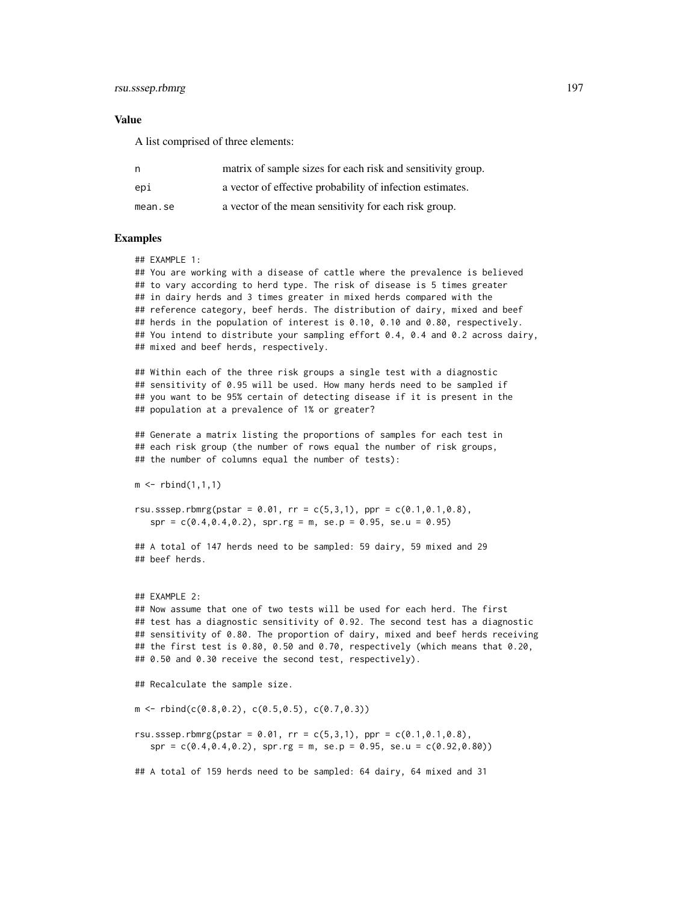### rsu.sssep.rbmrg 197

#### Value

A list comprised of three elements:

| n,      | matrix of sample sizes for each risk and sensitivity group. |
|---------|-------------------------------------------------------------|
| epi     | a vector of effective probability of infection estimates.   |
| mean.se | a vector of the mean sensitivity for each risk group.       |

### Examples

## EXAMPLE 1:

## You are working with a disease of cattle where the prevalence is believed ## to vary according to herd type. The risk of disease is 5 times greater ## in dairy herds and 3 times greater in mixed herds compared with the ## reference category, beef herds. The distribution of dairy, mixed and beef ## herds in the population of interest is 0.10, 0.10 and 0.80, respectively. ## You intend to distribute your sampling effort 0.4, 0.4 and 0.2 across dairy, ## mixed and beef herds, respectively.

## Within each of the three risk groups a single test with a diagnostic ## sensitivity of 0.95 will be used. How many herds need to be sampled if ## you want to be 95% certain of detecting disease if it is present in the ## population at a prevalence of 1% or greater?

## Generate a matrix listing the proportions of samples for each test in ## each risk group (the number of rows equal the number of risk groups, ## the number of columns equal the number of tests):

 $m \le -$  rbind(1,1,1)

rsu.sssep.rbmrg(pstar =  $0.01$ , rr =  $c(5,3,1)$ , ppr =  $c(0.1,0.1,0.8)$ ,  $spr = c(0.4, 0.4, 0.2)$ ,  $spr.rg = m$ ,  $se.p = 0.95$ ,  $se.u = 0.95$ )

## A total of 147 herds need to be sampled: 59 dairy, 59 mixed and 29 ## beef herds.

## EXAMPLE 2: ## Now assume that one of two tests will be used for each herd. The first ## test has a diagnostic sensitivity of 0.92. The second test has a diagnostic ## sensitivity of 0.80. The proportion of dairy, mixed and beef herds receiving ## the first test is 0.80, 0.50 and 0.70, respectively (which means that 0.20, ## 0.50 and 0.30 receive the second test, respectively).

## Recalculate the sample size.

 $m \le -rbind(c(0.8, 0.2), c(0.5, 0.5), c(0.7, 0.3))$ 

rsu.sssep.rbmrg(pstar =  $0.01$ , rr =  $c(5,3,1)$ , ppr =  $c(0.1,0.1,0.8)$ ,  $spr = c(0.4, 0.4, 0.2)$ ,  $spr.rg = m$ ,  $se.p = 0.95$ ,  $se.u = c(0.92, 0.80)$ 

## A total of 159 herds need to be sampled: 64 dairy, 64 mixed and 31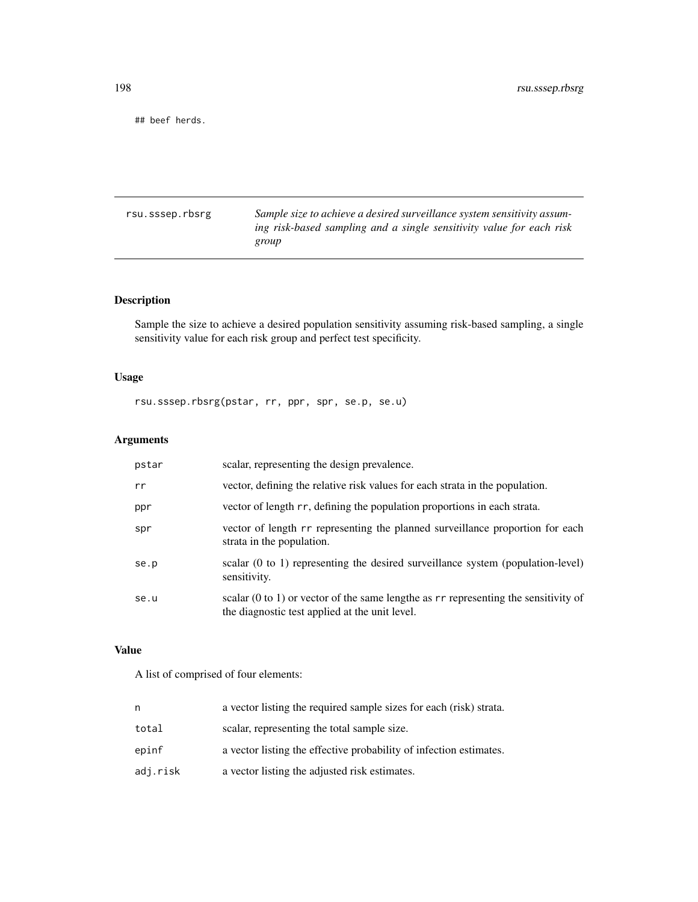<span id="page-197-0"></span>## beef herds.

rsu.sssep.rbsrg *Sample size to achieve a desired surveillance system sensitivity assuming risk-based sampling and a single sensitivity value for each risk group*

### Description

Sample the size to achieve a desired population sensitivity assuming risk-based sampling, a single sensitivity value for each risk group and perfect test specificity.

### Usage

rsu.sssep.rbsrg(pstar, rr, ppr, spr, se.p, se.u)

### Arguments

| pstar | scalar, representing the design prevalence.                                                                                                        |
|-------|----------------------------------------------------------------------------------------------------------------------------------------------------|
| rr    | vector, defining the relative risk values for each strata in the population.                                                                       |
| ppr   | vector of length rr, defining the population proportions in each strata.                                                                           |
| spr   | vector of length rr representing the planned surveillance proportion for each<br>strata in the population.                                         |
| se.p  | scalar (0 to 1) representing the desired surveillance system (population-level)<br>sensitivity.                                                    |
| se.u  | scalar $(0 \text{ to } 1)$ or vector of the same lengthe as $rr$ representing the sensitivity of<br>the diagnostic test applied at the unit level. |

### Value

A list of comprised of four elements:

| n        | a vector listing the required sample sizes for each (risk) strata. |
|----------|--------------------------------------------------------------------|
| total    | scalar, representing the total sample size.                        |
| epinf    | a vector listing the effective probability of infection estimates. |
| adj.risk | a vector listing the adjusted risk estimates.                      |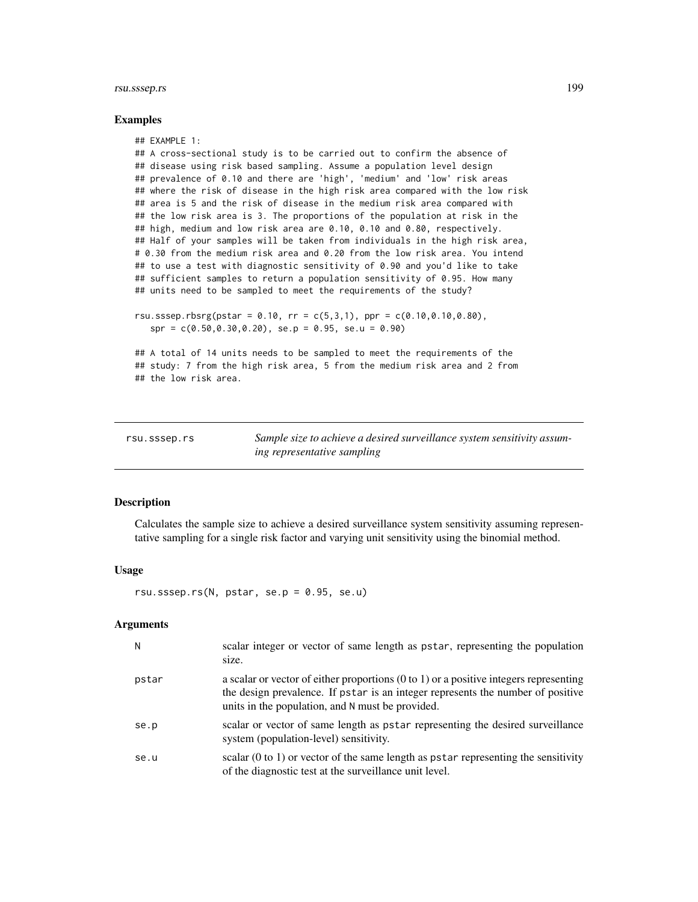### <span id="page-198-1"></span>rsu.sssep.rs 199

#### Examples

```
## EXAMPLE 1:
## A cross-sectional study is to be carried out to confirm the absence of
## disease using risk based sampling. Assume a population level design
## prevalence of 0.10 and there are 'high', 'medium' and 'low' risk areas
## where the risk of disease in the high risk area compared with the low risk
## area is 5 and the risk of disease in the medium risk area compared with
## the low risk area is 3. The proportions of the population at risk in the
## high, medium and low risk area are 0.10, 0.10 and 0.80, respectively.
## Half of your samples will be taken from individuals in the high risk area,
# 0.30 from the medium risk area and 0.20 from the low risk area. You intend
## to use a test with diagnostic sensitivity of 0.90 and you'd like to take
## sufficient samples to return a population sensitivity of 0.95. How many
## units need to be sampled to meet the requirements of the study?
rsu.sssep.rbsrg(pstar = 0.10, rr = c(5,3,1), ppr = c(0.10,0.10,0.80),
```
 $spr = c(0.50, 0.30, 0.20),$   $se.p = 0.95,$   $se.u = 0.90)$ 

## A total of 14 units needs to be sampled to meet the requirements of the ## study: 7 from the high risk area, 5 from the medium risk area and 2 from ## the low risk area.

<span id="page-198-0"></span>

| rsu.sssep.rs | Sample size to achieve a desired surveillance system sensitivity assum- |
|--------------|-------------------------------------------------------------------------|
|              | ing representative sampling                                             |

#### **Description**

Calculates the sample size to achieve a desired surveillance system sensitivity assuming representative sampling for a single risk factor and varying unit sensitivity using the binomial method.

#### Usage

rsu.sssep.rs( $N$ , pstar, se.p = 0.95, se.u)

| N     | scalar integer or vector of same length as pstar, representing the population<br>size.                                                                                                                                                  |
|-------|-----------------------------------------------------------------------------------------------------------------------------------------------------------------------------------------------------------------------------------------|
| pstar | a scalar or vector of either proportions $(0 \text{ to } 1)$ or a positive integers representing<br>the design prevalence. If pstar is an integer represents the number of positive<br>units in the population, and N must be provided. |
| se.p  | scalar or vector of same length as pstar representing the desired surveillance<br>system (population-level) sensitivity.                                                                                                                |
| se.u  | scalar $(0 \text{ to } 1)$ or vector of the same length as pstar representing the sensitivity<br>of the diagnostic test at the surveillance unit level.                                                                                 |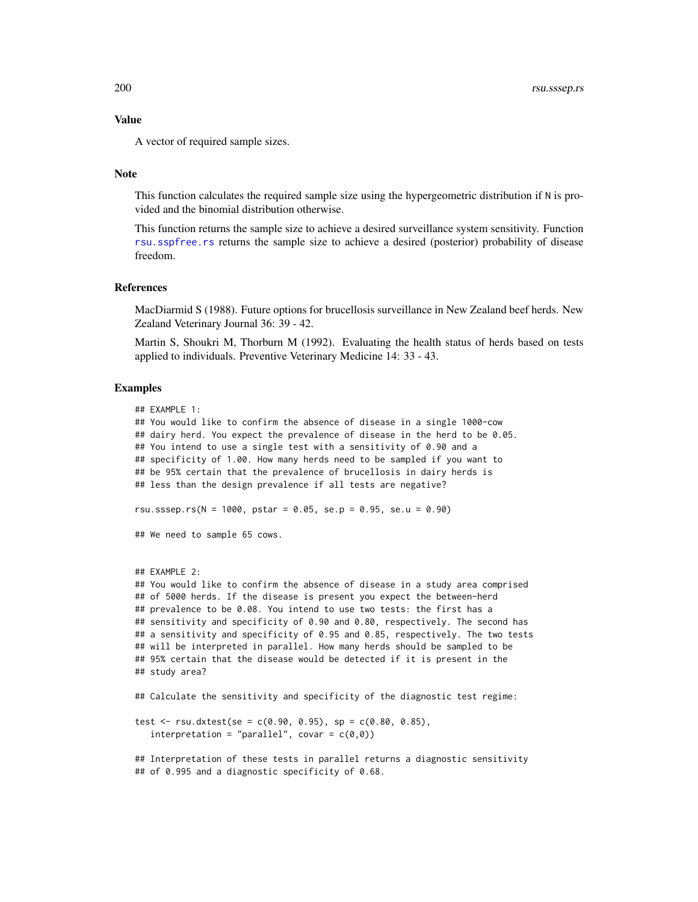A vector of required sample sizes.

#### **Note**

This function calculates the required sample size using the hypergeometric distribution if N is provided and the binomial distribution otherwise.

This function returns the sample size to achieve a desired surveillance system sensitivity. Function [rsu.sspfree.rs](#page-190-0) returns the sample size to achieve a desired (posterior) probability of disease freedom.

### References

MacDiarmid S (1988). Future options for brucellosis surveillance in New Zealand beef herds. New Zealand Veterinary Journal 36: 39 - 42.

Martin S, Shoukri M, Thorburn M (1992). Evaluating the health status of herds based on tests applied to individuals. Preventive Veterinary Medicine 14: 33 - 43.

#### Examples

```
## EXAMPLE 1:
## You would like to confirm the absence of disease in a single 1000-cow
## dairy herd. You expect the prevalence of disease in the herd to be 0.05.
## You intend to use a single test with a sensitivity of 0.90 and a
## specificity of 1.00. How many herds need to be sampled if you want to
## be 95% certain that the prevalence of brucellosis in dairy herds is
## less than the design prevalence if all tests are negative?
rsu.sssep.rs(N = 1000, pstar = 0.05, se.p = 0.95, se.u = 0.90)
## We need to sample 65 cows.
## EXAMPLE 2:
## You would like to confirm the absence of disease in a study area comprised
## of 5000 herds. If the disease is present you expect the between-herd
## prevalence to be 0.08. You intend to use two tests: the first has a
## sensitivity and specificity of 0.90 and 0.80, respectively. The second has
## a sensitivity and specificity of 0.95 and 0.85, respectively. The two tests
## will be interpreted in parallel. How many herds should be sampled to be
## 95% certain that the disease would be detected if it is present in the
## study area?
## Calculate the sensitivity and specificity of the diagnostic test regime:
test <- rsu.dxtest(se = c(0.90, 0.95), sp = c(0.80, 0.85),
   interpretation = "parallel", covar = c(\theta, \theta))
## Interpretation of these tests in parallel returns a diagnostic sensitivity
```
## of 0.995 and a diagnostic specificity of 0.68.

<span id="page-199-0"></span>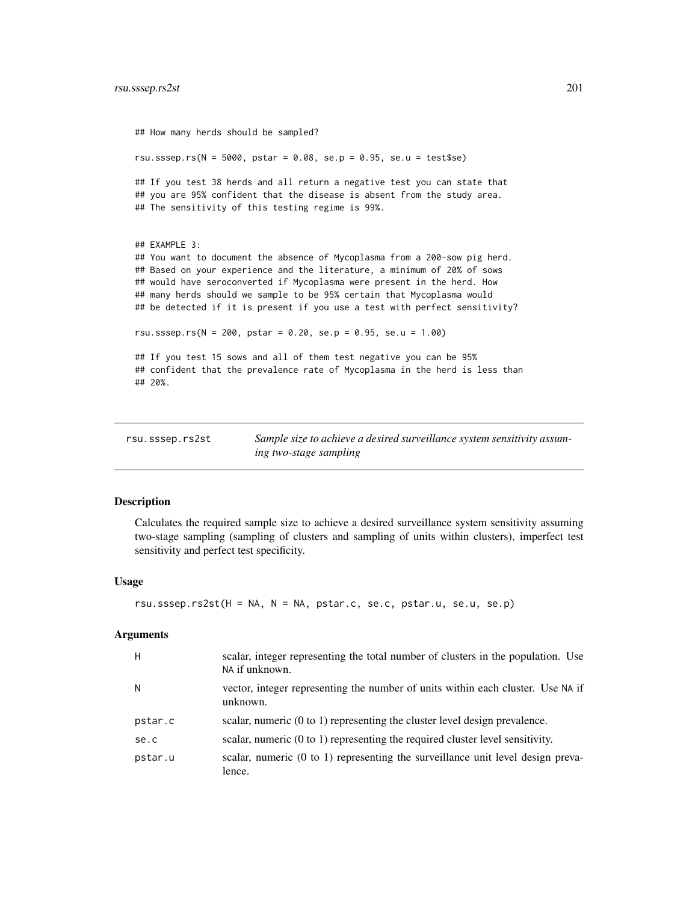```
## How many herds should be sampled?
rsu.sssep.rs(N = 5000, pstar = 0.08, se.p = 0.95, se.u = test$se)
## If you test 38 herds and all return a negative test you can state that
## you are 95% confident that the disease is absent from the study area.
## The sensitivity of this testing regime is 99%.
## EXAMPLE 3:
## You want to document the absence of Mycoplasma from a 200-sow pig herd.
## Based on your experience and the literature, a minimum of 20% of sows
## would have seroconverted if Mycoplasma were present in the herd. How
## many herds should we sample to be 95% certain that Mycoplasma would
## be detected if it is present if you use a test with perfect sensitivity?
rsu.sssep.rs(N = 200, pstar = 0.20, se.p = 0.95, se.u = 1.00)
## If you test 15 sows and all of them test negative you can be 95%
## confident that the prevalence rate of Mycoplasma in the herd is less than
## 20%.
```

| rsu.sssep.rs2st | Sample size to achieve a desired surveillance system sensitivity assum- |
|-----------------|-------------------------------------------------------------------------|
|                 | ing two-stage sampling                                                  |

### **Description**

Calculates the required sample size to achieve a desired surveillance system sensitivity assuming two-stage sampling (sampling of clusters and sampling of units within clusters), imperfect test sensitivity and perfect test specificity.

### Usage

```
rsu.sssep.rs2st(H = NA, N = NA, pstar.c, se.c, pstar.u, se.u, se.p)
```

| H       | scalar, integer representing the total number of clusters in the population. Use<br>NA if unknown. |
|---------|----------------------------------------------------------------------------------------------------|
| N       | vector, integer representing the number of units within each cluster. Use NA if<br>unknown.        |
| pstar.c | scalar, numeric $(0 \text{ to } 1)$ representing the cluster level design prevalence.              |
| se.c    | scalar, numeric $(0 \text{ to } 1)$ representing the required cluster level sensitivity.           |
| pstar.u | scalar, numeric (0 to 1) representing the surveillance unit level design preva-<br>lence.          |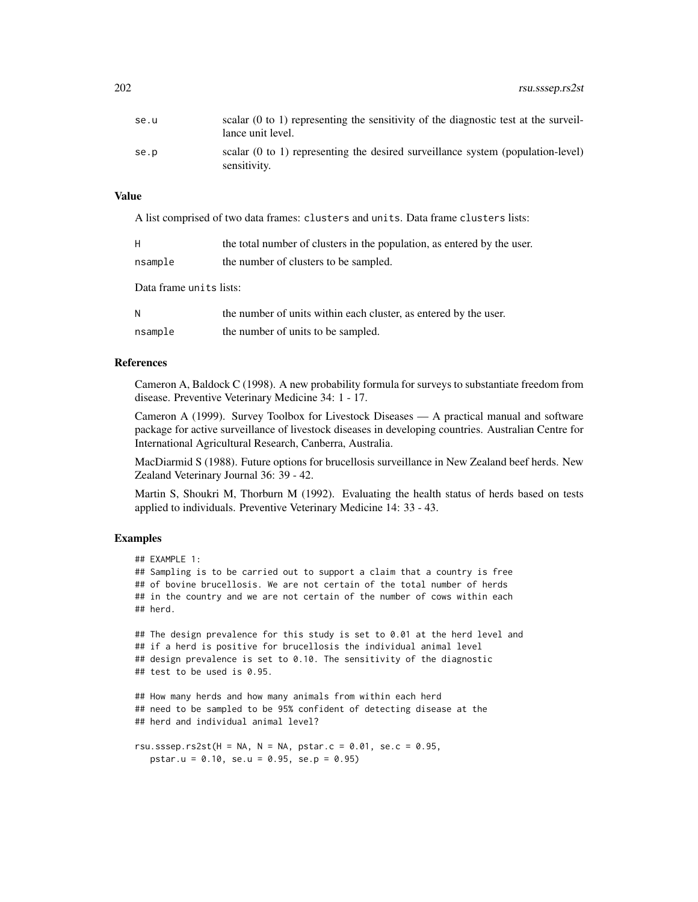| se.u | scalar $(0 \text{ to } 1)$ representing the sensitivity of the diagnostic test at the surveil-<br>lance unit level. |
|------|---------------------------------------------------------------------------------------------------------------------|
| se.p | scalar $(0 \text{ to } 1)$ representing the desired surveillance system (population-level)<br>sensitivity.          |

A list comprised of two data frames: clusters and units. Data frame clusters lists:

| H                       | the total number of clusters in the population, as entered by the user. |
|-------------------------|-------------------------------------------------------------------------|
| nsample                 | the number of clusters to be sampled.                                   |
| Data frame units lists: |                                                                         |

| N       | the number of units within each cluster, as entered by the user. |
|---------|------------------------------------------------------------------|
| nsample | the number of units to be sampled.                               |

### References

Cameron A, Baldock C (1998). A new probability formula for surveys to substantiate freedom from disease. Preventive Veterinary Medicine 34: 1 - 17.

Cameron A (1999). Survey Toolbox for Livestock Diseases — A practical manual and software package for active surveillance of livestock diseases in developing countries. Australian Centre for International Agricultural Research, Canberra, Australia.

MacDiarmid S (1988). Future options for brucellosis surveillance in New Zealand beef herds. New Zealand Veterinary Journal 36: 39 - 42.

Martin S, Shoukri M, Thorburn M (1992). Evaluating the health status of herds based on tests applied to individuals. Preventive Veterinary Medicine 14: 33 - 43.

### Examples

```
## EXAMPLE 1:
## Sampling is to be carried out to support a claim that a country is free
## of bovine brucellosis. We are not certain of the total number of herds
## in the country and we are not certain of the number of cows within each
## herd.
## The design prevalence for this study is set to 0.01 at the herd level and
## if a herd is positive for brucellosis the individual animal level
## design prevalence is set to 0.10. The sensitivity of the diagnostic
## test to be used is 0.95.
## How many herds and how many animals from within each herd
## need to be sampled to be 95% confident of detecting disease at the
## herd and individual animal level?
rsu.sssep.rs2st(H = NA, N = NA, pstar.c = 0.01, se.c = 0.95,
  pstar.u = 0.10, se.u = 0.95, se.p = 0.95)
```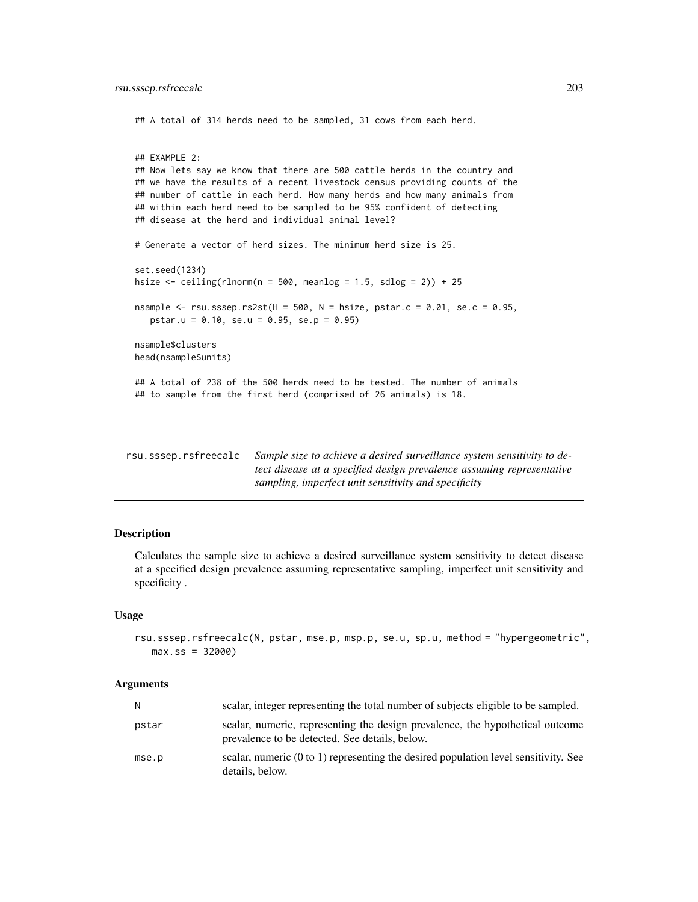<span id="page-202-0"></span>## A total of 314 herds need to be sampled, 31 cows from each herd.

```
## EXAMPLE 2:
## Now lets say we know that there are 500 cattle herds in the country and
## we have the results of a recent livestock census providing counts of the
## number of cattle in each herd. How many herds and how many animals from
## within each herd need to be sampled to be 95% confident of detecting
## disease at the herd and individual animal level?
# Generate a vector of herd sizes. The minimum herd size is 25.
set.seed(1234)
hsize \le ceiling(rlnorm(n = 500, meanlog = 1.5, sdlog = 2)) + 25
nsample \le rsu.sssep.rs2st(H = 500, N = hsize, pstar.c = 0.01, se.c = 0.95,
   pstar.u = 0.10, se.u = 0.95, se.p = 0.95)
nsample$clusters
head(nsample$units)
## A total of 238 of the 500 herds need to be tested. The number of animals
## to sample from the first herd (comprised of 26 animals) is 18.
```

| rsu.sssep.rsfreecalc | Sample size to achieve a desired surveillance system sensitivity to de- |
|----------------------|-------------------------------------------------------------------------|
|                      | tect disease at a specified design prevalence assuming representative   |
|                      | sampling, imperfect unit sensitivity and specificity                    |

### Description

Calculates the sample size to achieve a desired surveillance system sensitivity to detect disease at a specified design prevalence assuming representative sampling, imperfect unit sensitivity and specificity .

#### Usage

```
rsu.sssep.rsfreecalc(N, pstar, mse.p, msp.p, se.u, sp.u, method = "hypergeometric",
  max:ss = 32000
```

| N.    | scalar, integer representing the total number of subjects eligible to be sampled.                                               |
|-------|---------------------------------------------------------------------------------------------------------------------------------|
| pstar | scalar, numeric, representing the design prevalence, the hypothetical outcome<br>prevalence to be detected. See details, below. |
| mse.p | scalar, numeric (0 to 1) representing the desired population level sensitivity. See<br>details, below.                          |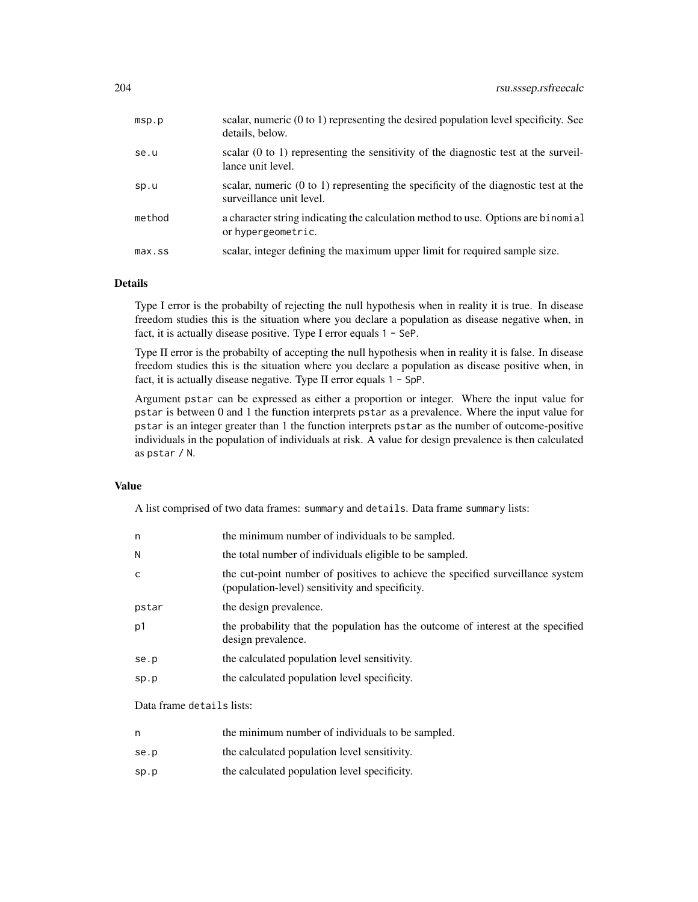| msp.p     | scalar, numeric $(0 \text{ to } 1)$ representing the desired population level specificity. See<br>details, below.          |
|-----------|----------------------------------------------------------------------------------------------------------------------------|
| se.u      | scalar $(0 \text{ to } 1)$ representing the sensitivity of the diagnostic test at the surveil-<br>lance unit level.        |
| sp.u      | scalar, numeric $(0 \text{ to } 1)$ representing the specificity of the diagnostic test at the<br>surveillance unit level. |
| method    | a character string indicating the calculation method to use. Options are binomial<br>or hypergeometric.                    |
| $max$ .ss | scalar, integer defining the maximum upper limit for required sample size.                                                 |

### Details

Type I error is the probabilty of rejecting the null hypothesis when in reality it is true. In disease freedom studies this is the situation where you declare a population as disease negative when, in fact, it is actually disease positive. Type I error equals 1 - SeP.

Type II error is the probabilty of accepting the null hypothesis when in reality it is false. In disease freedom studies this is the situation where you declare a population as disease positive when, in fact, it is actually disease negative. Type II error equals 1 - SpP.

Argument pstar can be expressed as either a proportion or integer. Where the input value for pstar is between 0 and 1 the function interprets pstar as a prevalence. Where the input value for pstar is an integer greater than 1 the function interprets pstar as the number of outcome-positive individuals in the population of individuals at risk. A value for design prevalence is then calculated as pstar / N.

### Value

A list comprised of two data frames: summary and details. Data frame summary lists:

| n     | the minimum number of individuals to be sampled.                                                                                  |
|-------|-----------------------------------------------------------------------------------------------------------------------------------|
| N     | the total number of individuals eligible to be sampled.                                                                           |
| C     | the cut-point number of positives to achieve the specified surveillance system<br>(population-level) sensitivity and specificity. |
| pstar | the design prevalence.                                                                                                            |
| p1    | the probability that the population has the outcome of interest at the specified<br>design prevalence.                            |
| se.p  | the calculated population level sensitivity.                                                                                      |
| sp.p  | the calculated population level specificity.                                                                                      |
|       |                                                                                                                                   |

Data frame details lists:

| the minimum number of individuals to be sampled. |  |  |
|--------------------------------------------------|--|--|
|                                                  |  |  |

- se.p the calculated population level sensitivity.
- sp.p the calculated population level specificity.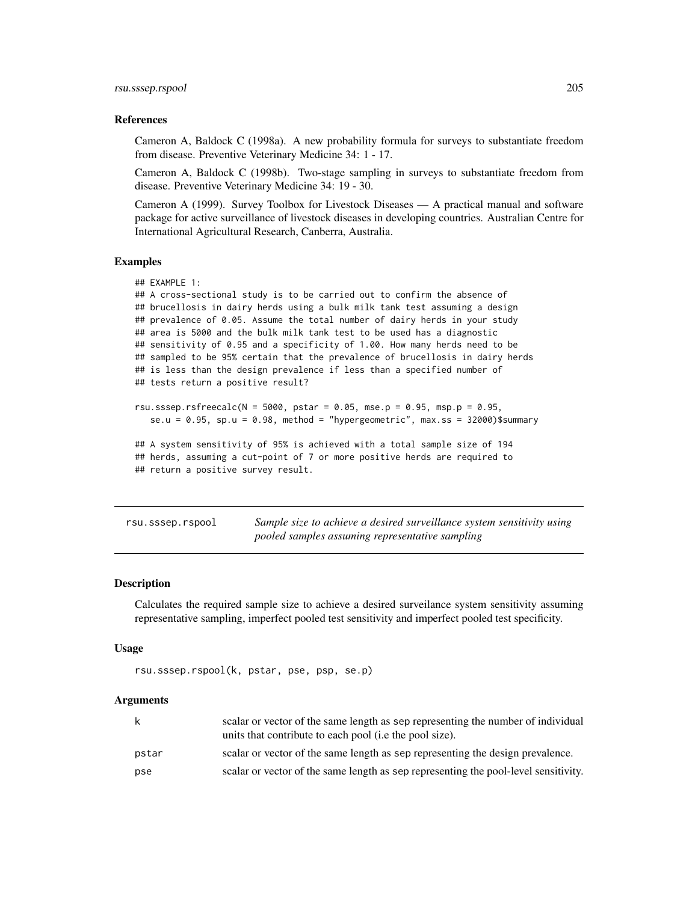#### <span id="page-204-0"></span>References

Cameron A, Baldock C (1998a). A new probability formula for surveys to substantiate freedom from disease. Preventive Veterinary Medicine 34: 1 - 17.

Cameron A, Baldock C (1998b). Two-stage sampling in surveys to substantiate freedom from disease. Preventive Veterinary Medicine 34: 19 - 30.

Cameron A (1999). Survey Toolbox for Livestock Diseases — A practical manual and software package for active surveillance of livestock diseases in developing countries. Australian Centre for International Agricultural Research, Canberra, Australia.

#### Examples

```
## EXAMPLE 1:
## A cross-sectional study is to be carried out to confirm the absence of
## brucellosis in dairy herds using a bulk milk tank test assuming a design
## prevalence of 0.05. Assume the total number of dairy herds in your study
## area is 5000 and the bulk milk tank test to be used has a diagnostic
## sensitivity of 0.95 and a specificity of 1.00. How many herds need to be
## sampled to be 95% certain that the prevalence of brucellosis in dairy herds
## is less than the design prevalence if less than a specified number of
## tests return a positive result?
rsu.sssep.rsfreecalc(N = 5000, pstar = 0.05, mse.p = 0.95, msp.p = 0.95,
  se.u = 0.95, sp.u = 0.98, method = "hypergeometric", max.ss = 32000)$summary
## A system sensitivity of 95% is achieved with a total sample size of 194
## herds, assuming a cut-point of 7 or more positive herds are required to
```
## return a positive survey result.

rsu.sssep.rspool *Sample size to achieve a desired surveillance system sensitivity using pooled samples assuming representative sampling*

#### Description

Calculates the required sample size to achieve a desired surveilance system sensitivity assuming representative sampling, imperfect pooled test sensitivity and imperfect pooled test specificity.

#### Usage

```
rsu.sssep.rspool(k, pstar, pse, psp, se.p)
```

| k     | scalar or vector of the same length as sep representing the number of individual<br>units that contribute to each pool ( <i>i.e</i> the pool size). |
|-------|-----------------------------------------------------------------------------------------------------------------------------------------------------|
| pstar | scalar or vector of the same length as sep representing the design prevalence.                                                                      |
| pse   | scalar or vector of the same length as sep representing the pool-level sensitivity.                                                                 |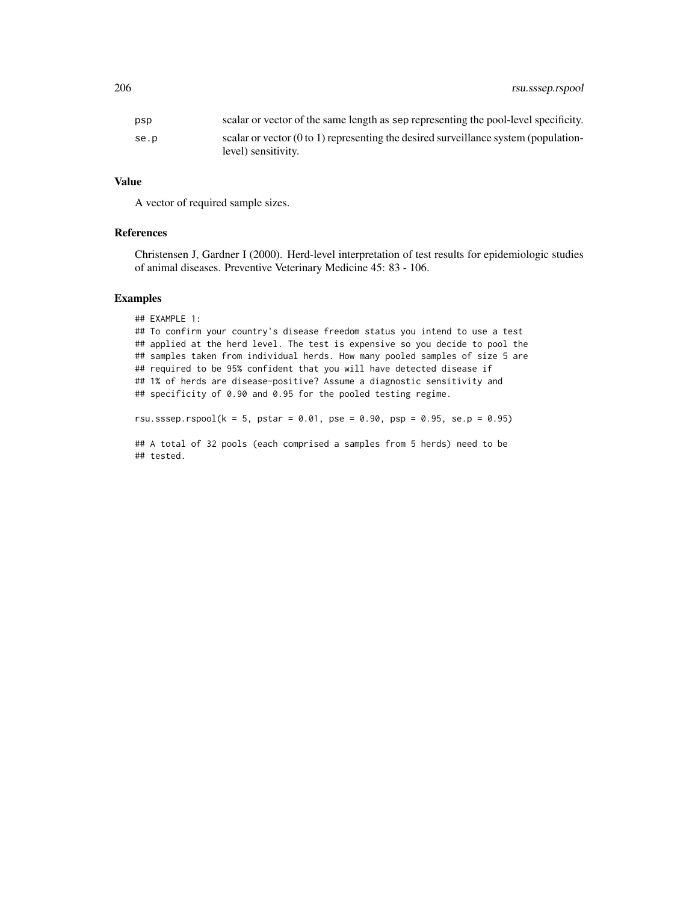| psp  | scalar or vector of the same length as sep representing the pool-level specificity.            |
|------|------------------------------------------------------------------------------------------------|
| se.p | scalar or vector $(0 \text{ to } 1)$ representing the desired surveillance system (population- |
|      | level) sensitivity.                                                                            |

A vector of required sample sizes.

### References

Christensen J, Gardner I (2000). Herd-level interpretation of test results for epidemiologic studies of animal diseases. Preventive Veterinary Medicine 45: 83 - 106.

#### Examples

## tested.

```
## EXAMPLE 1:
## To confirm your country's disease freedom status you intend to use a test
## applied at the herd level. The test is expensive so you decide to pool the
## samples taken from individual herds. How many pooled samples of size 5 are
## required to be 95% confident that you will have detected disease if
## 1% of herds are disease-positive? Assume a diagnostic sensitivity and
## specificity of 0.90 and 0.95 for the pooled testing regime.
rsu.sssep.rspool(k = 5, pstar = 0.01, pse = 0.90, psp = 0.95, se.p = 0.95)
## A total of 32 pools (each comprised a samples from 5 herds) need to be
```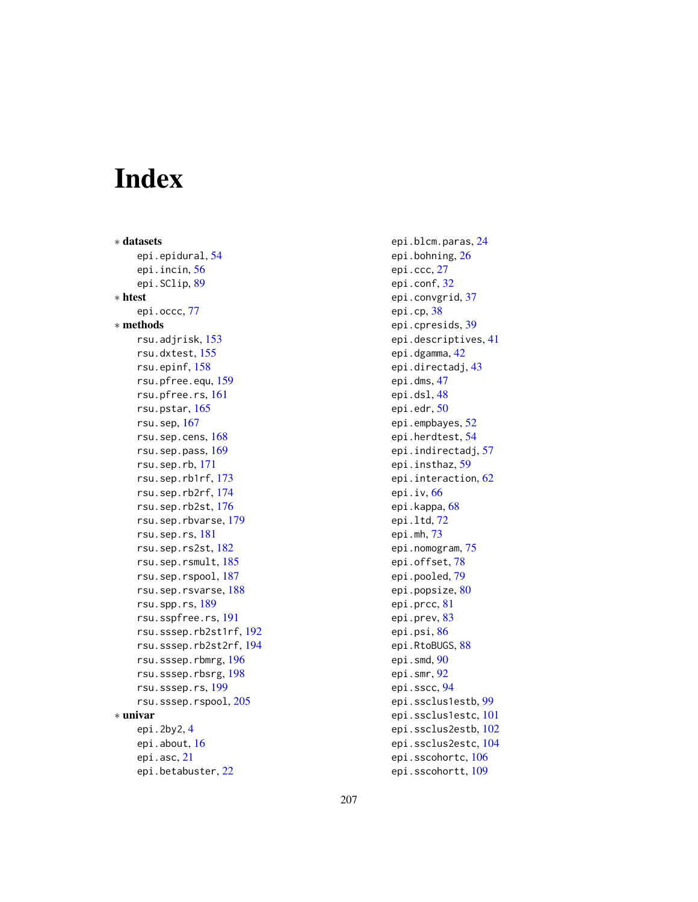# Index

∗ datasets epi.epidural, [54](#page-53-0) epi.incin, [56](#page-55-0) epi.SClip, [89](#page-88-0) ∗ htest epi.occc, [77](#page-76-0) ∗ methods rsu.adjrisk, [153](#page-152-0) rsu.dxtest, [155](#page-154-0) rsu.epinf, [158](#page-157-0) rsu.pfree.equ, [159](#page-158-0) rsu.pfree.rs, [161](#page-160-0) rsu.pstar, [165](#page-164-0) rsu.sep, [167](#page-166-0) rsu.sep.cens, [168](#page-167-0) rsu.sep.pass, [169](#page-168-0) rsu.sep.rb, [171](#page-170-0) rsu.sep.rb1rf, [173](#page-172-0) rsu.sep.rb2rf, [174](#page-173-0) rsu.sep.rb2st, [176](#page-175-0) rsu.sep.rbvarse, [179](#page-178-0) rsu.sep.rs, [181](#page-180-0) rsu.sep.rs2st, [182](#page-181-0) rsu.sep.rsmult, [185](#page-184-0) rsu.sep.rspool, [187](#page-186-0) rsu.sep.rsvarse, [188](#page-187-0) rsu.spp.rs, [189](#page-188-0) rsu.sspfree.rs, [191](#page-190-1) rsu.sssep.rb2st1rf, [192](#page-191-0) rsu.sssep.rb2st2rf, [194](#page-193-0) rsu.sssep.rbmrg, [196](#page-195-0) rsu.sssep.rbsrg, [198](#page-197-0) rsu.sssep.rs, [199](#page-198-1) rsu.sssep.rspool, [205](#page-204-0) ∗ univar epi.2by2, [4](#page-3-0) epi.about, [16](#page-15-0) epi.asc, [21](#page-20-0) epi.betabuster, [22](#page-21-0)

epi.blcm.paras, [24](#page-23-0) epi.bohning, [26](#page-25-0) epi.ccc, [27](#page-26-0) epi.conf, [32](#page-31-0) epi.convgrid, [37](#page-36-0) epi.cp, [38](#page-37-0) epi.cpresids, [39](#page-38-0) epi.descriptives, [41](#page-40-0) epi.dgamma, [42](#page-41-0) epi.directadj, [43](#page-42-0) epi.dms, [47](#page-46-0) epi.dsl, [48](#page-47-0) epi.edr, [50](#page-49-0) epi.empbayes, [52](#page-51-0) epi.herdtest, [54](#page-53-0) epi.indirectadj, [57](#page-56-0) epi.insthaz, [59](#page-58-0) epi.interaction, [62](#page-61-0) epi.iv, [66](#page-65-0) epi.kappa, [68](#page-67-0) epi.ltd, [72](#page-71-0) epi.mh, [73](#page-72-0) epi.nomogram, [75](#page-74-0) epi.offset, [78](#page-77-0) epi.pooled, [79](#page-78-0) epi.popsize, [80](#page-79-0) epi.prcc, [81](#page-80-0) epi.prev, [83](#page-82-0) epi.psi, [86](#page-85-0) epi.RtoBUGS, [88](#page-87-0) epi.smd, [90](#page-89-0) epi.smr, [92](#page-91-0) epi.sscc, [94](#page-93-0) epi.ssclus1estb, [99](#page-98-0) epi.ssclus1estc, [101](#page-100-0) epi.ssclus2estb, [102](#page-101-0) epi.ssclus2estc, [104](#page-103-0) epi.sscohortc, [106](#page-105-0) epi.sscohortt, [109](#page-108-0)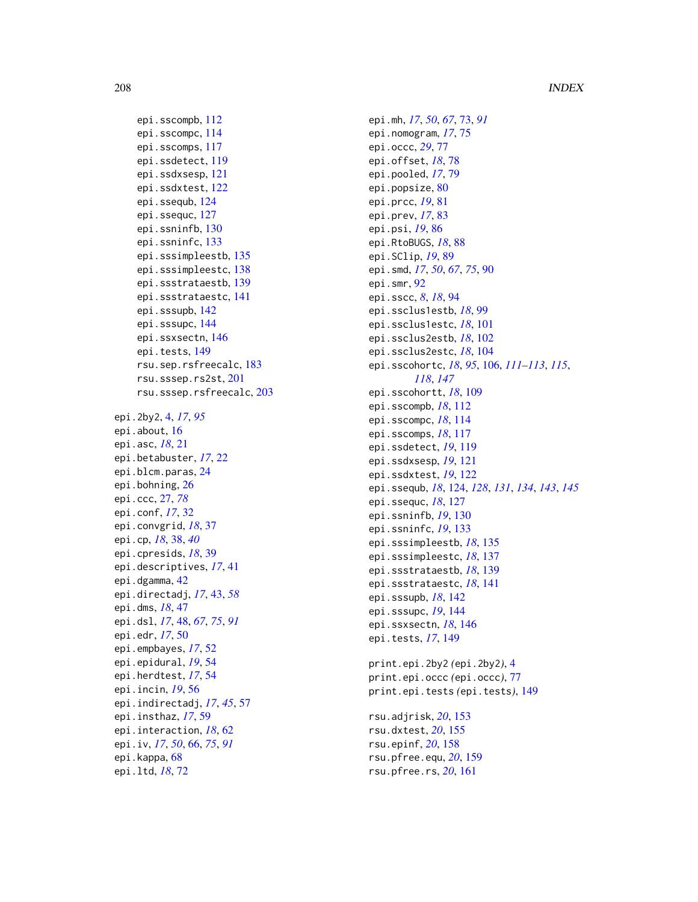```
epi.sscompb, 112
    epi.sscompc, 114
    epi.sscomps, 117
    epi.ssdetect, 119
    epi.ssdxsesp, 121
    epi.ssdxtest, 122
    epi.ssequb, 124
    epi.ssequc, 127
    epi.ssninfb, 130
    epi.ssninfc, 133
    epi.sssimpleestb, 135
    epi.sssimpleestc, 138
    epi.ssstrataestb, 139
    epi.ssstrataestc, 141
    epi.sssupb, 142
    epi.sssupc, 144
    epi.ssxsectn, 146
    epi.tests, 149
    rsu.sep.rsfreecalc, 183
    rsu.sssep.rs2st, 201
    rsu.sssep.rsfreecalc, 203
epi.2by2, 4, 17, 95
epi.about, 16
epi.asc, 18, 21
epi.betabuster, 17, 22
epi.blcm.paras, 24
epi.bohning, 26
epi.ccc, 27, 78
epi.conf, 17, 32
epi.convgrid, 18, 37
epi.cp, 18, 38, 40
epi.cpresids, 18, 39
epi.descriptives, 17, 41
epi.dgamma, 42
epi.directadj, 17, 43, 58
epi.dms, 18, 47
epi.dsl, 17, 48, 67, 75, 91
epi.edr, 17, 50
epi.empbayes, 17, 52
epi.epidural, 19, 54
epi.herdtest, 17, 54
epi.incin, 19, 56
epi.indirectadj, 17, 45, 57
epi.insthaz, 17, 59
epi.interaction, 18, 62
epi.iv, 17, 50, 66, 75, 91
epi.kappa, 68
epi.ltd, 18, 72
```

```
epi.mh, 17, 50, 67, 73, 91
epi.nomogram, 17, 75
epi.occc, 29, 77
epi.offset, 18, 78
epi.pooled, 17, 79
epi.popsize, 80
epi.prcc, 19, 81
epi.prev, 17, 83
epi.psi, 19, 86
epi.RtoBUGS, 18, 88
epi.SClip, 19, 89
epi.smd, 17, 50, 67, 75, 90
epi.smr, 92
epi.sscc, 8, 18, 94
epi.ssclus1estb, 18, 99
epi.ssclus1estc, 18, 101
epi.ssclus2estb, 18, 102
epi.ssclus2estc, 18, 104
epi.sscohortc, 18, 95, 106, 111–113, 115,
         118, 147
epi.sscohortt, 18, 109
epi.sscompb, 18, 112
epi.sscompc, 18, 114
epi.sscomps, 18, 117
epi.ssdetect, 19, 119
epi.ssdxsesp, 19, 121
epi.ssdxtest, 19, 122
epi.ssequb, 18, 124, 128, 131, 134, 143, 145
epi.ssequc, 18, 127
epi.ssninfb, 19, 130
epi.ssninfc, 19, 133
epi.sssimpleestb, 18, 135
epi.sssimpleestc, 18, 137
epi.ssstrataestb, 18, 139
epi.ssstrataestc, 18, 141
epi.sssupb, 18, 142
epi.sssupc, 19, 144
epi.ssxsectn, 18, 146
epi.tests, 17, 149
print.epi.2by2 (epi.2by2), 4
print.epi.occc (epi.occc), 77
print.epi.tests (epi.tests), 149
rsu.adjrisk, 20, 153
rsu.dxtest, 20, 155
rsu.epinf, 20, 158
rsu.pfree.equ, 20, 159
```
rsu.pfree.rs, *[20](#page-19-0)*, [161](#page-160-0)